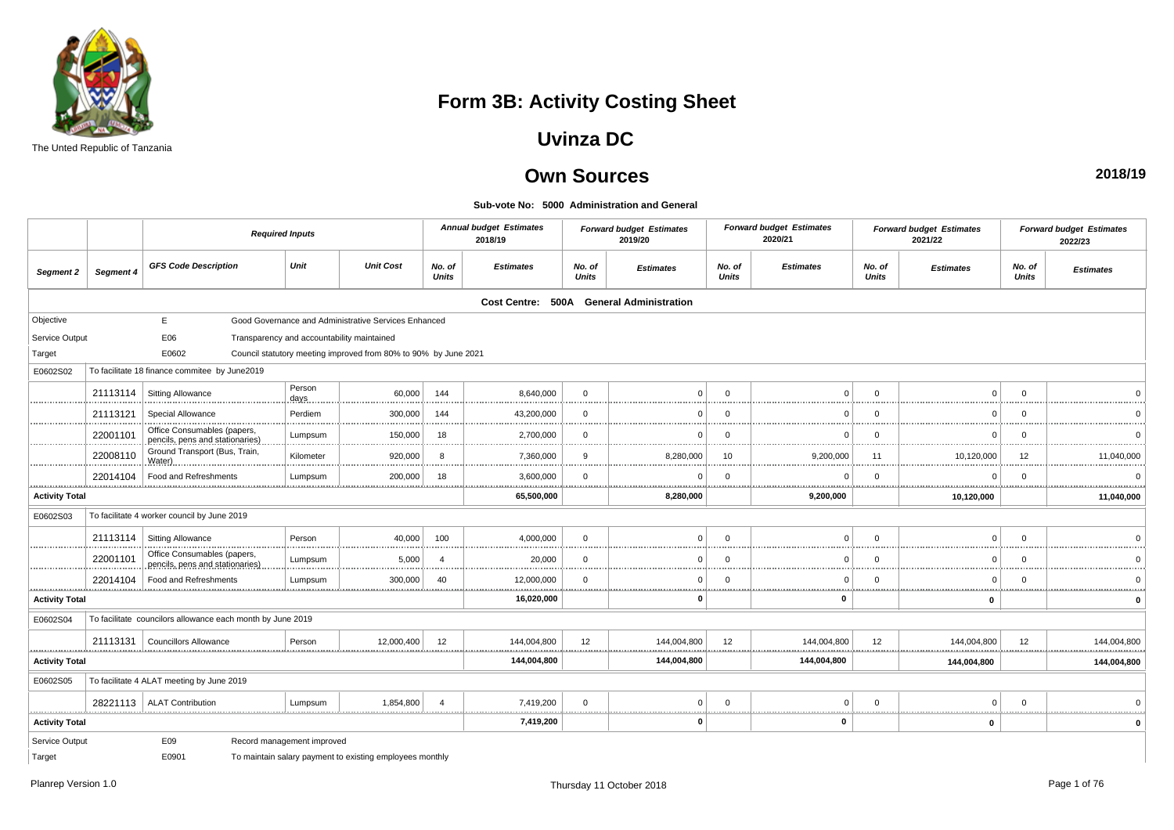

The Unted Republic of Tanzania

## **Form 3B: Activity Costing Sheet**

### **Uvinza DC**

### **Own Sources**

**Sub-vote No: 5000 Administration and General**

|                            |           |                                                                 | <b>Required Inputs</b>     |                                                                 |                        | <b>Annual budget Estimates</b><br>2018/19 |                        | <b>Forward budget Estimates</b><br>2019/20 |                        | <b>Forward budget Estimates</b><br>2020/21 |                                 | <b>Forward budget Estimates</b><br>2021/22 |                        | <b>Forward budget Estimates</b><br>2022/23 |
|----------------------------|-----------|-----------------------------------------------------------------|----------------------------|-----------------------------------------------------------------|------------------------|-------------------------------------------|------------------------|--------------------------------------------|------------------------|--------------------------------------------|---------------------------------|--------------------------------------------|------------------------|--------------------------------------------|
| Segment 2                  | Segment 4 | <b>GFS Code Description</b>                                     | Unit                       | <b>Unit Cost</b>                                                | No. of<br><b>Units</b> | <b>Estimates</b>                          | No. of<br><b>Units</b> | <b>Estimates</b>                           | No. of<br><b>Units</b> | <b>Estimates</b>                           | No. of<br><b>Units</b>          | <b>Estimates</b>                           | No. of<br><b>Units</b> | <b>Estimates</b>                           |
|                            |           |                                                                 |                            |                                                                 |                        | Cost Centre: 500A                         |                        | <b>General Administration</b>              |                        |                                            |                                 |                                            |                        |                                            |
| Objective                  |           | E                                                               |                            | Good Governance and Administrative Services Enhanced            |                        |                                           |                        |                                            |                        |                                            |                                 |                                            |                        |                                            |
| Service Output             |           | E06                                                             |                            | Transparency and accountability maintained                      |                        |                                           |                        |                                            |                        |                                            |                                 |                                            |                        |                                            |
| Target                     |           | E0602                                                           |                            | Council statutory meeting improved from 80% to 90% by June 2021 |                        |                                           |                        |                                            |                        |                                            |                                 |                                            |                        |                                            |
| E0602S02                   |           | To facilitate 18 finance commitee by June2019                   |                            |                                                                 |                        |                                           |                        |                                            |                        |                                            |                                 |                                            |                        |                                            |
| .                          | 21113114  | <b>Sitting Allowance</b>                                        | Person<br>days             | 60,000                                                          | 144                    | 8,640,000                                 | $\mathbf 0$<br>.       | n<br>                                      | $\Omega$               |                                            | $\Omega$                        | n                                          | $\Omega$               |                                            |
| .                          | 21113121  | Special Allowance                                               | Perdiem                    | 300,000                                                         | 144                    | 43,200,000                                | $\Omega$<br>           |                                            | $\Omega$               |                                            | $\Omega$                        | $\Omega$                                   | $\Omega$               |                                            |
|                            | 22001101  | Office Consumables (papers,<br>pencils, pens and stationaries). | Lumpsum                    | 150,000                                                         | 18                     | 2,700,000                                 | $\Omega$               |                                            | $\Omega$               |                                            | $\Omega$                        |                                            |                        |                                            |
| <br>.                      | 22008110  | Ground Transport (Bus, Train,<br>Water)                         | Kilometer                  | .<br>920,000                                                    | 8                      | .<br>7,360,000                            | <br>9<br>.             | <br>8,280,000<br>                          | <br>10                 | 9.200.000                                  | .<br>11<br>.                    | <br>10,120,000                             | .<br>12<br>.           | 11,040,000                                 |
|                            | 22014104  | Food and Refreshments                                           | Lumpsum                    | 200,000                                                         | 18                     | 3,600,000                                 | $\Omega$               |                                            | $\Omega$               |                                            | $\Omega$                        | <sup>0</sup>                               |                        |                                            |
| .<br><b>Activity Total</b> |           |                                                                 |                            |                                                                 |                        | .<br>.<br>65,500,000                      | .                      | 8,280,000                                  |                        | 9,200,000                                  | . <u>.</u>                      | 10,120,000                                 |                        | 11,040,000                                 |
| E0602S03                   |           | To facilitate 4 worker council by June 2019                     |                            |                                                                 |                        |                                           |                        |                                            |                        |                                            |                                 |                                            |                        |                                            |
|                            | 21113114  | <b>Sitting Allowance</b>                                        | Person                     | 40.000<br>                                                      | 100                    | 4,000,000                                 | $\Omega$<br>.          |                                            | $\Omega$               |                                            | $\Omega$                        |                                            | $\Omega$               |                                            |
| .                          | 22001101  | Office Consumables (papers,<br>pencils, pens and stationaries)  | Lumpsum                    | 5,000                                                           | 4                      | 20,000                                    | $\Omega$               |                                            | $\Omega$               |                                            | $\Omega$                        | $\Omega$                                   | $\Omega$               |                                            |
|                            | 22014104  | Food and Refreshments                                           | Lumpsum                    | 300,000                                                         | 40                     | 12,000,000                                | $\Omega$               |                                            | - 0                    | $\Omega$                                   | $\Omega$                        | $\Omega$                                   |                        |                                            |
| <b>Activity Total</b>      |           |                                                                 |                            |                                                                 |                        | 16,020,000                                |                        | $\Omega$                                   |                        | $\mathbf 0$                                |                                 | $\mathbf 0$                                |                        |                                            |
| E0602S04                   |           | To facilitate councilors allowance each month by June 2019      |                            |                                                                 |                        |                                           |                        |                                            |                        |                                            |                                 |                                            |                        |                                            |
| <u></u>                    | 21113131  | <b>Councillors Allowance</b>                                    | Person                     | 12,000,400                                                      | 12                     | 144,004,800<br>                           | 12<br>                 | 144,004,800<br>                            | 12<br>.                | 144,004,800                                | 12<br>.                         | 144,004,800<br>                            | 12<br>.                | 144,004,800<br>.<br><u></u>                |
| <b>Activity Total</b>      |           |                                                                 |                            |                                                                 |                        | 144,004,800                               |                        | 144,004,800                                |                        | 144,004,800                                |                                 | 144,004,800                                |                        | 144,004,800                                |
| E0602S05                   |           | To facilitate 4 ALAT meeting by June 2019                       |                            |                                                                 |                        |                                           |                        |                                            |                        |                                            |                                 |                                            |                        |                                            |
|                            |           | 28221113   ALAT Contribution                                    | Lumpsum                    | 1,854,800                                                       | $\overline{\Lambda}$   | 7,419,200                                 | $\mathbf 0$<br>        | $\Omega$                                   | $\Omega$               | $\Omega$                                   | $\Omega$<br><b>ALCOHOL: 000</b> | $\Omega$                                   | $\Omega$<br><u>.</u>   |                                            |
| <b>Activity Total</b>      |           |                                                                 |                            |                                                                 |                        | 7,419,200                                 |                        | $\Omega$                                   |                        | $\mathbf 0$                                |                                 | 0                                          |                        | 0                                          |
| Service Output             |           | E09                                                             | Record management improved |                                                                 |                        |                                           |                        |                                            |                        |                                            |                                 |                                            |                        |                                            |
| Target                     |           | E0901                                                           |                            | To maintain salary payment to existing employees monthly        |                        |                                           |                        |                                            |                        |                                            |                                 |                                            |                        |                                            |

**2018/19**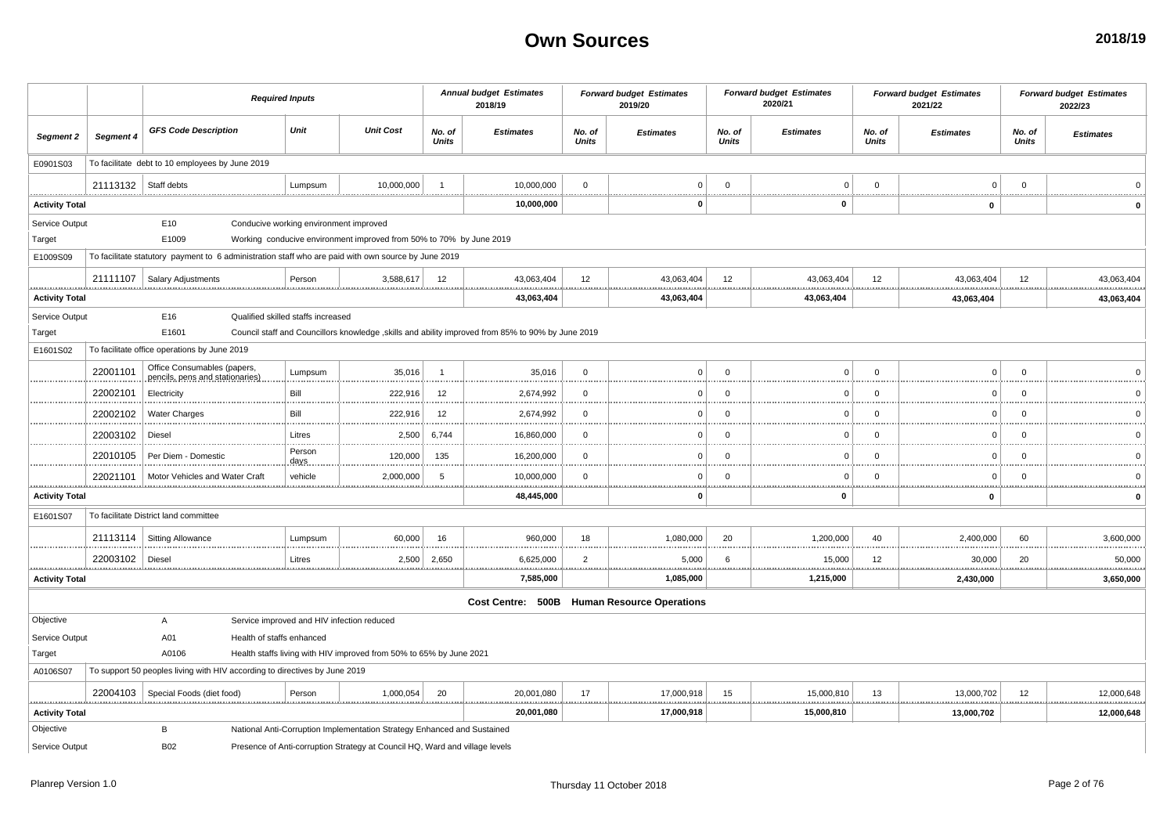|                       |                        |                                                                                                     | <b>Required Inputs</b>                     |                                                                             |                        | <b>Annual budget Estimates</b><br>2018/19                                                          |                    | <b>Forward budget Estimates</b><br>2019/20 |                        | <b>Forward budget Estimates</b><br>2020/21 |                  | <b>Forward budget Estimates</b><br>2021/22 |                        | <b>Forward budget Estimates</b><br>2022/23 |
|-----------------------|------------------------|-----------------------------------------------------------------------------------------------------|--------------------------------------------|-----------------------------------------------------------------------------|------------------------|----------------------------------------------------------------------------------------------------|--------------------|--------------------------------------------|------------------------|--------------------------------------------|------------------|--------------------------------------------|------------------------|--------------------------------------------|
| Segment 2             | Segment 4              | <b>GFS Code Description</b>                                                                         | Unit                                       | <b>Unit Cost</b>                                                            | No. of<br><b>Units</b> | <b>Estimates</b>                                                                                   | No. of<br>Units    | <b>Estimates</b>                           | No. of<br><b>Units</b> | <b>Estimates</b>                           | No. of<br>Units  | <b>Estimates</b>                           | No. of<br><b>Units</b> | <b>Estimates</b>                           |
| E0901S03              |                        | To facilitate debt to 10 employees by June 2019                                                     |                                            |                                                                             |                        |                                                                                                    |                    |                                            |                        |                                            |                  |                                            |                        |                                            |
|                       | 21113132   Staff debts |                                                                                                     | Lumpsum                                    | 10.000.000                                                                  |                        | 10,000,000                                                                                         | $\Omega$           | $\mathbf 0$                                | $\Omega$               | $\mathbf{0}$                               | $\Omega$         | $\Omega$                                   | $\Omega$               |                                            |
| <b>Activity Total</b> |                        |                                                                                                     |                                            |                                                                             |                        | 10,000,000                                                                                         |                    | $\Omega$                                   |                        | $\mathbf 0$                                |                  | $\mathbf 0$                                |                        | <b>*************</b> *                     |
| Service Output        |                        | E10                                                                                                 | Conducive working environment improved     |                                                                             |                        |                                                                                                    |                    |                                            |                        |                                            |                  |                                            |                        |                                            |
| Target                |                        | E1009                                                                                               |                                            | Working conducive environment improved from 50% to 70% by June 2019         |                        |                                                                                                    |                    |                                            |                        |                                            |                  |                                            |                        |                                            |
| E1009S09              |                        | To facilitate statutory payment to 6 administration staff who are paid with own source by June 2019 |                                            |                                                                             |                        |                                                                                                    |                    |                                            |                        |                                            |                  |                                            |                        |                                            |
|                       | 21111107               | Salary Adjustments                                                                                  | Person                                     | 3,588,617                                                                   | 12                     | 43,063,404                                                                                         | 12                 | 43,063,404                                 | 12                     | 43,063,404                                 | 12               | 43,063,404                                 | 12                     | 43,063,404                                 |
| <b>Activity Total</b> |                        |                                                                                                     |                                            |                                                                             |                        | 43,063,404                                                                                         |                    | 43,063,404                                 |                        | 43,063,404                                 |                  | 43,063,404                                 |                        | 43,063,404                                 |
| Service Output        |                        | E16                                                                                                 | Qualified skilled staffs increased         |                                                                             |                        |                                                                                                    |                    |                                            |                        |                                            |                  |                                            |                        |                                            |
| Target                |                        | E1601                                                                                               |                                            |                                                                             |                        | Council staff and Councillors knowledge , skills and ability improved from 85% to 90% by June 2019 |                    |                                            |                        |                                            |                  |                                            |                        |                                            |
| E1601S02              |                        | To facilitate office operations by June 2019                                                        |                                            |                                                                             |                        |                                                                                                    |                    |                                            |                        |                                            |                  |                                            |                        |                                            |
|                       | 22001101               | Office Consumables (papers,<br>pencils, pens and stationaries)                                      | Lumpsum                                    | 35,016                                                                      | $\overline{1}$         | 35,016                                                                                             | $\mathbf{0}$       | $\Omega$                                   | $\mathbf 0$            | $\Omega$                                   | $\mathbf 0$      | $\Omega$                                   | $\Omega$               |                                            |
|                       | 22002101               | Electricity                                                                                         | Bill                                       | 222,916                                                                     | 12                     | 2,674,992                                                                                          | $\mathbf{0}$       | $\Omega$                                   | $\Omega$               | $\Omega$                                   | $\mathbf 0$      | $\Omega$                                   | $\Omega$               |                                            |
|                       | 22002102               | <b>Water Charges</b>                                                                                | Bill                                       | 222,916                                                                     | 12                     | 2,674,992                                                                                          | $\Omega$           | $\Omega$                                   | $\Omega$               | $\Omega$                                   | $\Omega$         | $\Omega$                                   | $\Omega$               |                                            |
|                       | 22003102               | Diesel                                                                                              | Litres                                     | 2,500                                                                       | 6,744                  | 16,860,000                                                                                         | $\Omega$           | $\Omega$                                   | $\mathbf 0$            | $\Omega$                                   | $\mathbf{0}$     | $\Omega$                                   | $\Omega$               |                                            |
|                       | 22010105               | Per Diem - Domestic                                                                                 | Person<br>days                             | 120,000                                                                     | 135                    | 16,200,000                                                                                         | $\mathbf{0}$       | $\Omega$                                   | $\mathbf 0$            | $\Omega$                                   | $\mathbf 0$      | $\Omega$                                   | $\Omega$               |                                            |
|                       | 22021101               | Motor Vehicles and Water Craft                                                                      | vehicle                                    | 2,000,000                                                                   | 5                      | 10,000,000                                                                                         | $\Omega$           | $\mathbf 0$                                | $\Omega$               | $\mathbf 0$                                | $\Omega$         | $\Omega$                                   | $\Omega$<br><u></u>    |                                            |
| <b>Activity Total</b> |                        |                                                                                                     |                                            |                                                                             |                        | 48,445,000                                                                                         |                    | $\Omega$                                   |                        | $\mathbf 0$                                |                  | 0                                          |                        |                                            |
| E1601S07              |                        | To facilitate District land committee                                                               |                                            |                                                                             |                        |                                                                                                    |                    |                                            |                        |                                            |                  |                                            |                        |                                            |
|                       | 21113114               | <b>Sitting Allowance</b>                                                                            | Lumpsum                                    | 60,000                                                                      | 16                     | 960,000                                                                                            | 18<br>             | 1,080,000                                  | 20                     | 1,200,000                                  | 40               | 2,400,000                                  | 60<br>                 | 3,600,000<br>                              |
|                       | 22003102<br>.          | Diesel                                                                                              | Litres                                     | 2,500                                                                       | 2,650                  | 6,625,000<br>                                                                                      | $\overline{2}$<br> | 5,000                                      | 6                      | 15,000                                     | 12<br>           | 30,000                                     | 20<br>                 | 50,000<br>.                                |
| <b>Activity Total</b> |                        |                                                                                                     |                                            |                                                                             |                        | 7,585,000                                                                                          |                    | .<br>1,085,000                             |                        | 1,215,000                                  |                  | 2,430,000                                  |                        | 3,650,000                                  |
|                       |                        |                                                                                                     |                                            |                                                                             |                        | Cost Centre: 500B Human Resource Operations                                                        |                    |                                            |                        |                                            |                  |                                            |                        |                                            |
| Objective             |                        | $\overline{A}$                                                                                      | Service improved and HIV infection reduced |                                                                             |                        |                                                                                                    |                    |                                            |                        |                                            |                  |                                            |                        |                                            |
| Service Output        |                        | A01                                                                                                 | Health of staffs enhanced                  |                                                                             |                        |                                                                                                    |                    |                                            |                        |                                            |                  |                                            |                        |                                            |
| Target                |                        | A0106                                                                                               |                                            | Health staffs living with HIV improved from 50% to 65% by June 2021         |                        |                                                                                                    |                    |                                            |                        |                                            |                  |                                            |                        |                                            |
| A0106S07              |                        | To support 50 peoples living with HIV according to directives by June 2019                          |                                            |                                                                             |                        |                                                                                                    |                    |                                            |                        |                                            |                  |                                            |                        |                                            |
|                       |                        | 22004103   Special Foods (diet food)                                                                | Person                                     | 1,000,054                                                                   | 20<br>. <u>.</u>       | 20,001,080<br><br><u>.</u>                                                                         | 17                 | 17,000,918<br>                             | 15                     | 15,000,810<br>                             | 13<br>. <u>.</u> | 13,000,702<br><br>                         | 12<br>                 | 12,000,648<br>                             |
| <b>Activity Total</b> |                        |                                                                                                     |                                            |                                                                             |                        | 20,001,080                                                                                         |                    | 17,000,918                                 |                        | 15,000,810                                 |                  | 13,000,702                                 |                        | 12,000,648                                 |
| Objective             |                        | В                                                                                                   |                                            | National Anti-Corruption Implementation Strategy Enhanced and Sustained     |                        |                                                                                                    |                    |                                            |                        |                                            |                  |                                            |                        |                                            |
| Service Output        |                        | <b>B02</b>                                                                                          |                                            | Presence of Anti-corruption Strategy at Council HQ, Ward and village levels |                        |                                                                                                    |                    |                                            |                        |                                            |                  |                                            |                        |                                            |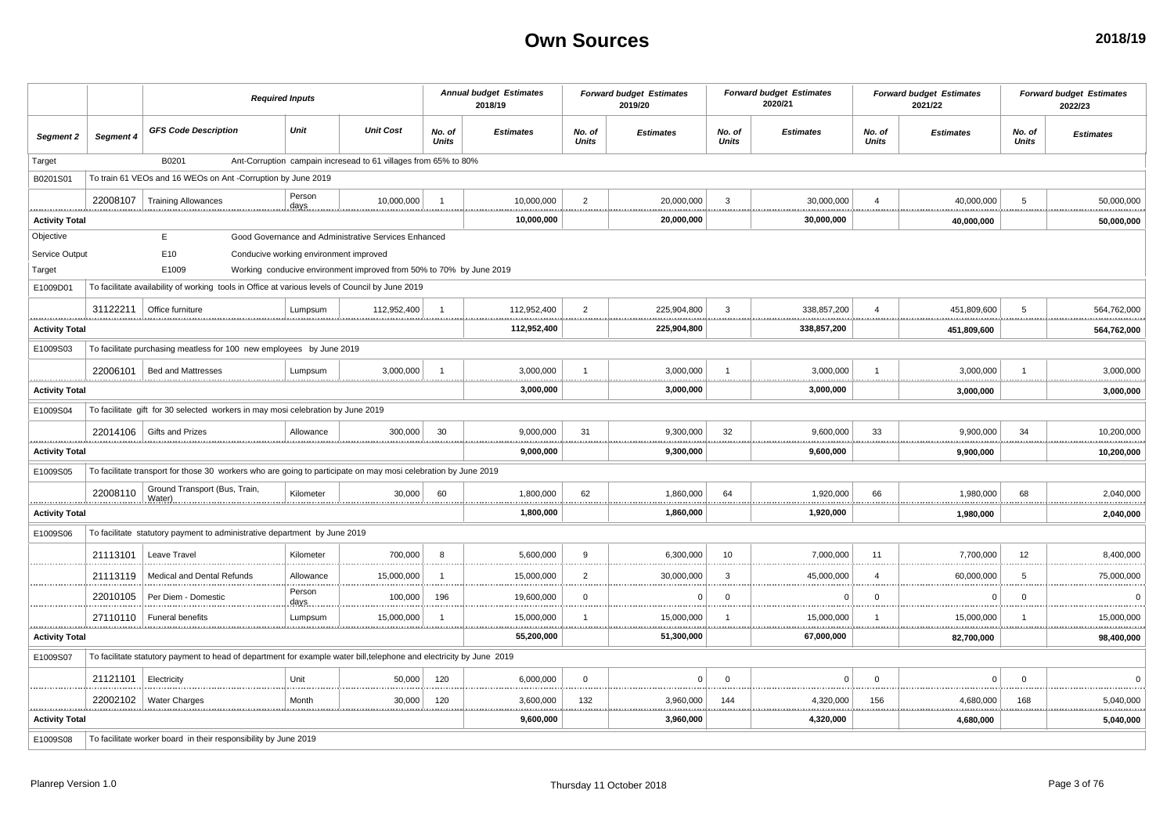|                       |           | <b>Required Inputs</b>                                                                                               |                                                                     |                        | <b>Annual budget Estimates</b><br>2018/19 |                        | <b>Forward budget Estimates</b><br>2019/20 |                        | <b>Forward budget Estimates</b><br>2020/21 |                        | <b>Forward budget Estimates</b><br>2021/22 |                        | <b>Forward budget Estimates</b><br>2022/23 |
|-----------------------|-----------|----------------------------------------------------------------------------------------------------------------------|---------------------------------------------------------------------|------------------------|-------------------------------------------|------------------------|--------------------------------------------|------------------------|--------------------------------------------|------------------------|--------------------------------------------|------------------------|--------------------------------------------|
| Segment 2             | Segment 4 | <b>GFS Code Description</b>                                                                                          | Unit<br><b>Unit Cost</b>                                            | No. of<br><b>Units</b> | <b>Estimates</b>                          | No. of<br><b>Units</b> | <b>Estimates</b>                           | No. of<br><b>Units</b> | <b>Estimates</b>                           | No. of<br><b>Units</b> | <b>Estimates</b>                           | No. of<br><b>Units</b> | <b>Estimates</b>                           |
| Target                |           | B0201                                                                                                                | Ant-Corruption campain incresead to 61 villages from 65% to 80%     |                        |                                           |                        |                                            |                        |                                            |                        |                                            |                        |                                            |
| B0201S01              |           | To train 61 VEOs and 16 WEOs on Ant -Corruption by June 2019                                                         |                                                                     |                        |                                           |                        |                                            |                        |                                            |                        |                                            |                        |                                            |
|                       |           | 22008107   Training Allowances                                                                                       | Person<br>10,000,000<br>days                                        | $\overline{1}$         | 10,000,000                                | $\overline{2}$         | 20,000,000                                 | 3                      | 30,000,000                                 | $\overline{4}$         | 40,000,000                                 | 5                      | 50,000,000                                 |
| <b>Activity Total</b> |           |                                                                                                                      |                                                                     |                        | 10,000,000                                |                        | .<br>20,000,000                            |                        | 30,000,000                                 |                        | .<br>40,000,000                            |                        | 50,000,000                                 |
| Objective             |           | E                                                                                                                    | Good Governance and Administrative Services Enhanced                |                        |                                           |                        |                                            |                        |                                            |                        |                                            |                        |                                            |
| Service Output        |           | E10                                                                                                                  | Conducive working environment improved                              |                        |                                           |                        |                                            |                        |                                            |                        |                                            |                        |                                            |
| Target                |           | E1009                                                                                                                | Working conducive environment improved from 50% to 70% by June 2019 |                        |                                           |                        |                                            |                        |                                            |                        |                                            |                        |                                            |
| E1009D01              |           | To facilitate availability of working tools in Office at various levels of Council by June 2019                      |                                                                     |                        |                                           |                        |                                            |                        |                                            |                        |                                            |                        |                                            |
|                       |           | 31122211   Office furniture                                                                                          | 112,952,400<br>Lumpsum                                              |                        | 112,952,400                               | $\overline{2}$<br>.    | 225,904,800<br>.                           | $\mathbf{3}$           | 338,857,200<br><b>***********</b>          |                        | 451,809,600<br>.                           | 5                      | 564,762,000                                |
| <b>Activity Total</b> |           |                                                                                                                      |                                                                     |                        | 112,952,400                               |                        | 225,904,800                                |                        | 338,857,200                                |                        | 451,809,600                                |                        | 564,762,000                                |
| E1009S03              |           | To facilitate purchasing meatless for 100 new employees by June 2019                                                 |                                                                     |                        |                                           |                        |                                            |                        |                                            |                        |                                            |                        |                                            |
|                       |           | 22006101   Bed and Mattresses                                                                                        | Lumpsum<br>3,000,000                                                | $\overline{1}$         | 3,000,000                                 |                        | 3,000,000                                  |                        | 3,000,000                                  |                        | 3,000,000                                  | $\overline{1}$         | 3,000,000                                  |
| <b>Activity Total</b> |           |                                                                                                                      |                                                                     |                        | .<br>3,000,000                            |                        | .<br>3,000,000                             |                        | 3,000,000                                  |                        | 3.000.000                                  |                        | 3,000,000                                  |
| E1009S04              |           | To facilitate gift for 30 selected workers in may mosi celebration by June 2019                                      |                                                                     |                        |                                           |                        |                                            |                        |                                            |                        |                                            |                        |                                            |
|                       |           | 22014106 Gifts and Prizes                                                                                            | 300,000<br>Allowance                                                | 30                     | 9,000,000                                 | 31                     | 9,300,000                                  | 32                     | 9,600,000                                  | 33                     | 9,900,000                                  | 34                     | 10,200,000                                 |
| <b>Activity Total</b> |           |                                                                                                                      |                                                                     |                        | 9,000,000                                 |                        | 9,300,000                                  |                        | 9,600,000                                  |                        | 9,900,000                                  |                        | 10,200,000                                 |
| E1009S05              |           | To facilitate transport for those 30 workers who are going to participate on may mosi celebration by June 2019       |                                                                     |                        |                                           |                        |                                            |                        |                                            |                        |                                            |                        |                                            |
|                       | 22008110  | Ground Transport (Bus, Train,<br>Water)                                                                              | Kilometer<br>30,000                                                 | 60                     | 1,800,000                                 | 62<br>                 | 1,860,000<br>.                             | 64                     | 1,920,000                                  | 66                     | 1.980.000<br>                              | 68                     | 2,040,000                                  |
| <b>Activity Total</b> |           |                                                                                                                      |                                                                     |                        | 1,800,000                                 |                        | 1,860,000                                  |                        | 1,920,000                                  |                        | 1,980,000                                  |                        | 2,040,000                                  |
| E1009S06              |           | To facilitate statutory payment to administrative department by June 2019                                            |                                                                     |                        |                                           |                        |                                            |                        |                                            |                        |                                            |                        |                                            |
|                       | 21113101  | Leave Travel                                                                                                         | 700.000<br>Kilometer                                                | 8                      | 5.600.000                                 | 9                      | 6.300.000                                  | 10                     | 7.000.000                                  | 11                     | 7.700.000                                  | 12                     | 8,400,000                                  |
|                       | 21113119  | Medical and Dental Refunds                                                                                           | 15,000,000<br>Allowance                                             | $\overline{1}$         | 15,000,000                                | $\overline{2}$         | 30,000,000                                 | 3                      | 45,000,000                                 | $\Delta$               | 60,000,000                                 | 5                      | 75,000,000                                 |
|                       | 22010105  | Per Diem - Domestic                                                                                                  | Person<br>100,000<br>days                                           | 196                    | 19,600,000                                | $\Omega$               | $\Omega$                                   | $\Omega$               | $\Omega$                                   | $\Omega$               | $\Omega$                                   | $\Omega$               | $\Omega$                                   |
|                       |           | 27110110   Funeral benefits                                                                                          | 15,000,000<br>Lumpsum                                               | $\overline{1}$         | 15,000,000                                | $\overline{1}$<br>     | 15,000,000                                 | $\overline{1}$         | 15,000,000                                 |                        | 15,000,000<br>                             |                        | 15,000,000                                 |
| <b>Activity Total</b> |           |                                                                                                                      |                                                                     |                        | 55,200,000                                |                        | 51,300,000                                 |                        | 67,000,000                                 |                        | 82,700,000                                 |                        | 98,400,000                                 |
| E1009S07              |           | To facilitate statutory payment to head of department for example water bill, telephone and electricity by June 2019 |                                                                     |                        |                                           |                        |                                            |                        |                                            |                        |                                            |                        |                                            |
|                       | 21121101  | Electricity                                                                                                          | Unit<br>50.000                                                      | 120                    | 6,000,000                                 | $^{\circ}$             | $\Omega$                                   | $\Omega$               | $\Omega$                                   | $\Omega$               | $\Omega$                                   | $\Omega$               | $\Omega$                                   |
|                       |           | 22002102   Water Charges                                                                                             | 30,000<br>Month<br>.                                                | 120                    | 3,600,000<br><u>.</u>                     | 132<br>                | 3,960,000<br><u></u>                       | 144                    | 4,320,000                                  | 156<br>                | 4,680,000<br>,,,,,,,,,,,,,,,,              | 168                    | 5,040,000                                  |
| <b>Activity Total</b> |           |                                                                                                                      |                                                                     |                        | 9,600,000                                 |                        | 3,960,000                                  |                        | 4,320,000                                  |                        | 4,680,000                                  |                        | 5,040,000                                  |
| E1009S08              |           | To facilitate worker board in their responsibility by June 2019                                                      |                                                                     |                        |                                           |                        |                                            |                        |                                            |                        |                                            |                        |                                            |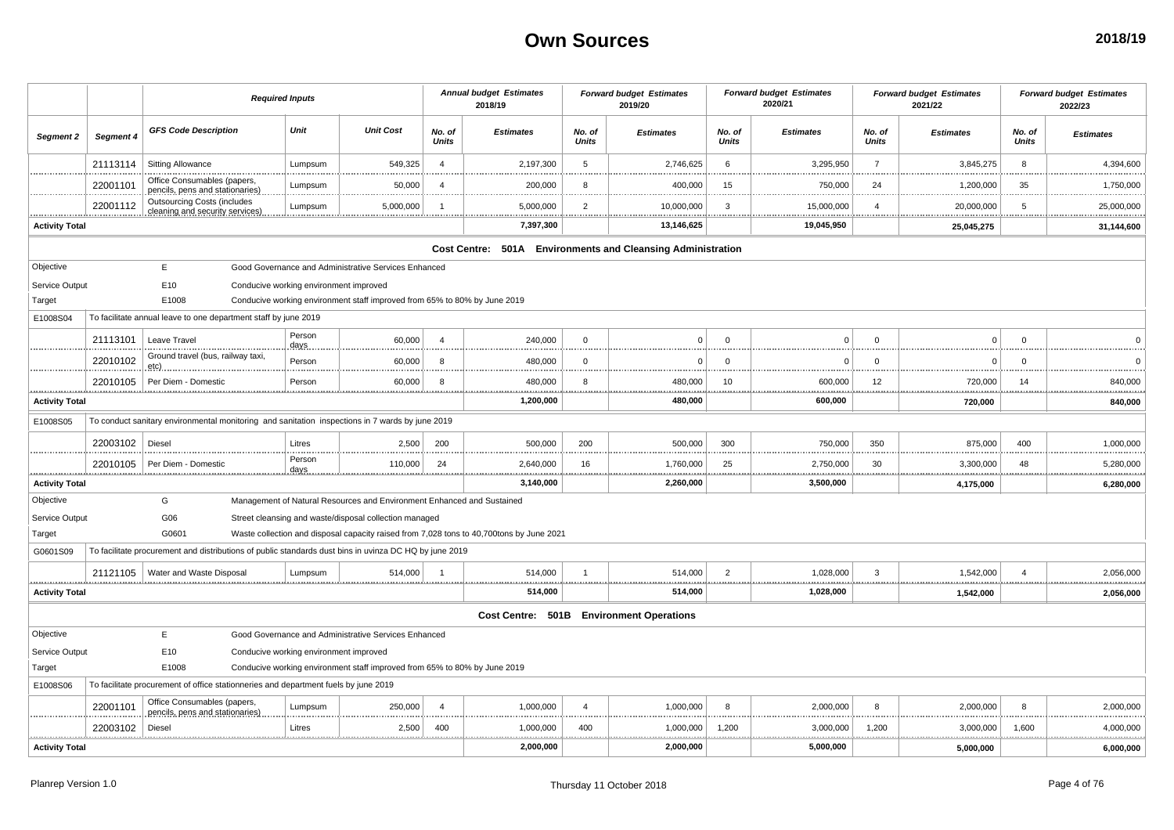|                       |           |                                                                                                        | <b>Required Inputs</b>                 |                                                                           |                        | <b>Annual budget Estimates</b><br>2018/19                                                |                        | <b>Forward budget Estimates</b><br>2019/20 |                        | <b>Forward budget Estimates</b><br>2020/21 |                 | <b>Forward budget Estimates</b><br>2021/22 |                 | <b>Forward budget Estimates</b><br>2022/23 |
|-----------------------|-----------|--------------------------------------------------------------------------------------------------------|----------------------------------------|---------------------------------------------------------------------------|------------------------|------------------------------------------------------------------------------------------|------------------------|--------------------------------------------|------------------------|--------------------------------------------|-----------------|--------------------------------------------|-----------------|--------------------------------------------|
| Segment 2             | Segment 4 | <b>GFS Code Description</b>                                                                            | Unit                                   | <b>Unit Cost</b>                                                          | No. of<br><b>Units</b> | <b>Estimates</b>                                                                         | No. of<br><b>Units</b> | <b>Estimates</b>                           | No. of<br><b>Units</b> | <b>Estimates</b>                           | No. of<br>Units | <b>Estimates</b>                           | No. of<br>Units | <b>Estimates</b>                           |
|                       | 21113114  | Sitting Allowance                                                                                      | Lumpsum                                | 549,325                                                                   | $\overline{4}$         | 2,197,300                                                                                | 5                      | 2,746,625                                  | 6                      | 3,295,950                                  | $\overline{7}$  | 3,845,275                                  | 8               | 4,394,600                                  |
|                       | 22001101  | Office Consumables (papers,<br>pencils, pens and stationaries)                                         | Lumpsum                                | 50,000                                                                    | $\overline{4}$         | 200,000                                                                                  | 8                      | 400,000                                    | 15                     | 750,000                                    | 24              | 1,200,000                                  | 35              | 1,750,000                                  |
|                       | 22001112  | <b>Outsourcing Costs (includes</b><br>cleaning and security services)                                  | Lumpsum                                | 5,000,000                                                                 |                        | 5,000,000                                                                                | $\overline{2}$         | 10,000,000                                 | 3                      | 15,000,000                                 | $\overline{4}$  | 20,000,000                                 | -5              | 25,000,000                                 |
| <b>Activity Total</b> |           |                                                                                                        |                                        |                                                                           |                        | 7,397,300                                                                                |                        | 13,146,625                                 |                        | 19,045,950                                 |                 | 25,045,275                                 |                 | 31,144,600                                 |
|                       |           |                                                                                                        |                                        |                                                                           |                        | Cost Centre: 501A Environments and Cleansing Administration                              |                        |                                            |                        |                                            |                 |                                            |                 |                                            |
| Objective             |           | E                                                                                                      |                                        | Good Governance and Administrative Services Enhanced                      |                        |                                                                                          |                        |                                            |                        |                                            |                 |                                            |                 |                                            |
| Service Output        |           | E10                                                                                                    | Conducive working environment improved |                                                                           |                        |                                                                                          |                        |                                            |                        |                                            |                 |                                            |                 |                                            |
| Target                |           | E1008                                                                                                  |                                        | Conducive working environment staff improved from 65% to 80% by June 2019 |                        |                                                                                          |                        |                                            |                        |                                            |                 |                                            |                 |                                            |
| E1008S04              |           | To facilitate annual leave to one department staff by june 2019                                        |                                        |                                                                           |                        |                                                                                          |                        |                                            |                        |                                            |                 |                                            |                 |                                            |
|                       | 21113101  | Leave Travel                                                                                           | Person<br>days.                        | 60,000                                                                    | $\overline{4}$         | 240,000                                                                                  | $\Omega$               | $\Omega$                                   | $\Omega$               | $\Omega$                                   | $\Omega$        | $\Omega$                                   | $\Omega$        |                                            |
|                       | 22010102  | Ground travel (bus, railway taxi,<br>etc).                                                             | Person                                 | 60,000                                                                    | 8                      | 480,000                                                                                  | $\mathbf 0$            | $\Omega$                                   | $\Omega$               | $\Omega$                                   | $\Omega$        | $\Omega$                                   | $\Omega$        |                                            |
|                       | 22010105  | Per Diem - Domestic                                                                                    | Person                                 | 60,000                                                                    | -8                     | 480,000                                                                                  | 8                      | 480,000                                    | 10                     | 600,000                                    | 12              | 720,000                                    | 14              | 840,000                                    |
| <b>Activity Total</b> |           |                                                                                                        |                                        |                                                                           |                        | 1,200,000                                                                                |                        | 480,000                                    |                        | 600,000                                    |                 | 720,000                                    |                 | 840,000                                    |
| E1008S05              |           | To conduct sanitary environmental monitoring and sanitation inspections in 7 wards by june 2019        |                                        |                                                                           |                        |                                                                                          |                        |                                            |                        |                                            |                 |                                            |                 |                                            |
|                       | 22003102  | Diesel                                                                                                 | Litres                                 | 2,500                                                                     | 200                    | 500,000                                                                                  | 200                    | 500,000                                    | 300                    | 750,000                                    | 350             | 875,000                                    | 400             | 1,000,000                                  |
|                       | 22010105  | Per Diem - Domestic                                                                                    | Person                                 | 110,000                                                                   | 24                     | 2,640,000                                                                                | 16                     | 1,760,000                                  | 25                     | 2,750,000                                  | 30              | 3,300,000<br><br>**************            | 48              | 5,280,000                                  |
| <b>Activity Total</b> |           |                                                                                                        |                                        |                                                                           |                        | 3,140,000                                                                                |                        | 2,260,000                                  |                        | 3,500,000                                  |                 | 4,175,000                                  |                 | 6,280,000                                  |
| Objective             |           | G                                                                                                      |                                        | Management of Natural Resources and Environment Enhanced and Sustained    |                        |                                                                                          |                        |                                            |                        |                                            |                 |                                            |                 |                                            |
| Service Output        |           | G06                                                                                                    |                                        | Street cleansing and waste/disposal collection managed                    |                        |                                                                                          |                        |                                            |                        |                                            |                 |                                            |                 |                                            |
| Target                |           | G0601                                                                                                  |                                        |                                                                           |                        | Waste collection and disposal capacity raised from 7,028 tons to 40,700tons by June 2021 |                        |                                            |                        |                                            |                 |                                            |                 |                                            |
| G0601S09              |           | To facilitate procurement and distributions of public standards dust bins in uvinza DC HQ by june 2019 |                                        |                                                                           |                        |                                                                                          |                        |                                            |                        |                                            |                 |                                            |                 |                                            |
|                       | 21121105  | Water and Waste Disposal                                                                               | Lumpsum                                | 514,000                                                                   |                        | 514,000                                                                                  | $\overline{1}$         | 514,000                                    | $\overline{2}$         | 1,028,000                                  | 3               | 1,542,000<br>,,,,,,,,,,,,,,                | $\overline{4}$  | 2,056,000                                  |
| <b>Activity Total</b> |           |                                                                                                        |                                        |                                                                           |                        | 514,000                                                                                  |                        | 514,000                                    |                        | 1,028,000                                  |                 | 1,542,000                                  |                 | 2,056,000                                  |
|                       |           |                                                                                                        |                                        |                                                                           |                        |                                                                                          |                        | Cost Centre: 501B Environment Operations   |                        |                                            |                 |                                            |                 |                                            |
| Objective             |           | E                                                                                                      |                                        | Good Governance and Administrative Services Enhanced                      |                        |                                                                                          |                        |                                            |                        |                                            |                 |                                            |                 |                                            |
| Service Output        |           | E10                                                                                                    | Conducive working environment improved |                                                                           |                        |                                                                                          |                        |                                            |                        |                                            |                 |                                            |                 |                                            |
| Target                |           | E1008                                                                                                  |                                        | Conducive working environment staff improved from 65% to 80% by June 2019 |                        |                                                                                          |                        |                                            |                        |                                            |                 |                                            |                 |                                            |
| E1008S06              |           | To facilitate procurement of office stationneries and department fuels by june 2019                    |                                        |                                                                           |                        |                                                                                          |                        |                                            |                        |                                            |                 |                                            |                 |                                            |
|                       | 22001101  | Office Consumables (papers,<br>pencils, pens and stationaries)                                         | Lumpsum                                | 250,000                                                                   | $\boldsymbol{\Lambda}$ | 1,000,000                                                                                | $\overline{4}$         | 1,000,000                                  | 8                      | 2,000,000                                  | 8               | 2,000,000                                  | 8               | 2,000,000                                  |
|                       | 22003102  | Diesel                                                                                                 | Litres<br>.                            | 2,500<br>.                                                                | 400                    | 1,000,000                                                                                | 400                    | 1,000,000                                  | 1,200                  | 3,000,000<br>.                             | 1,200           | 3,000,000                                  | 1,600           | 4,000,000                                  |
| <b>Activity Total</b> |           |                                                                                                        |                                        |                                                                           |                        | 2,000,000                                                                                |                        | 2,000,000                                  |                        | 5,000,000                                  |                 | 5,000,000                                  |                 | 6,000,000                                  |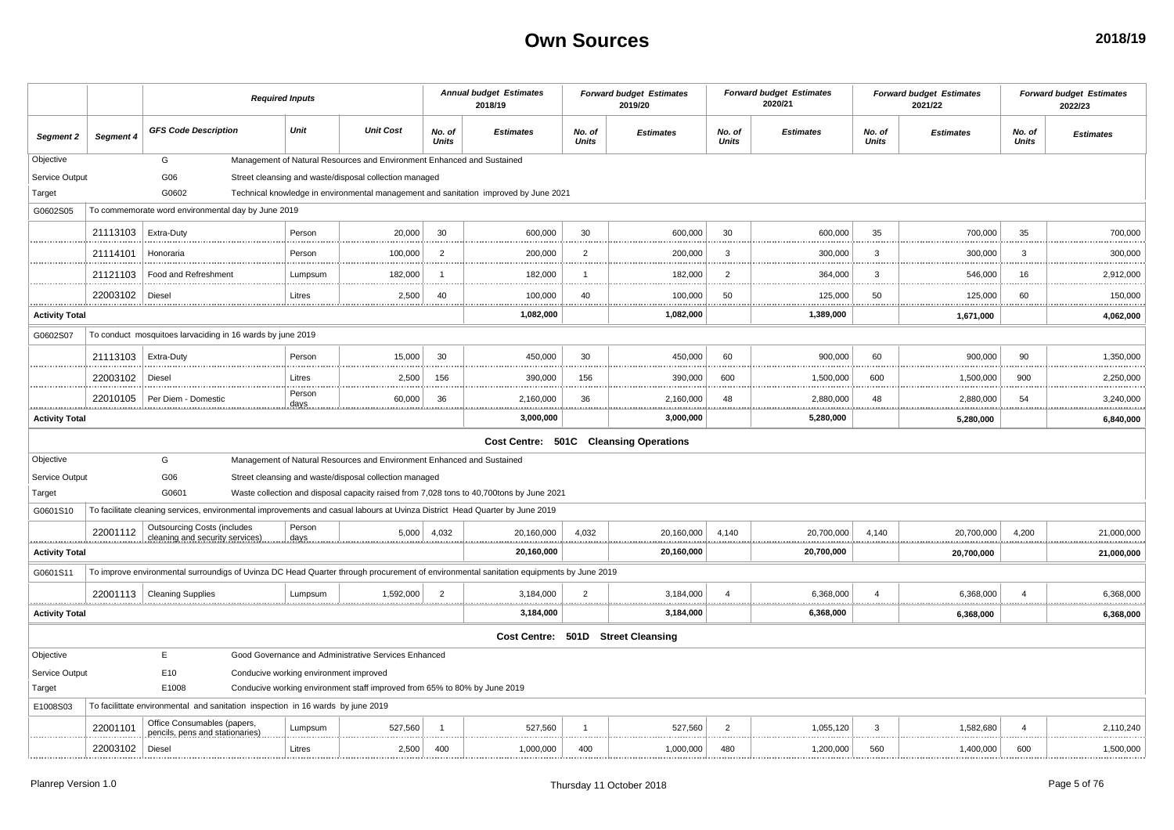|                            |              |                                                                                                                                        | <b>Required Inputs</b>                 |                                                                           |                        | <b>Annual budget Estimates</b><br>2018/19                                                |                        | <b>Forward budget Estimates</b><br>2019/20 |                        | <b>Forward budget Estimates</b><br>2020/21 |                        | <b>Forward budget Estimates</b><br>2021/22 |                        | <b>Forward budget Estimates</b><br>2022/23 |
|----------------------------|--------------|----------------------------------------------------------------------------------------------------------------------------------------|----------------------------------------|---------------------------------------------------------------------------|------------------------|------------------------------------------------------------------------------------------|------------------------|--------------------------------------------|------------------------|--------------------------------------------|------------------------|--------------------------------------------|------------------------|--------------------------------------------|
| Segment 2                  | Segment 4    | <b>GFS Code Description</b>                                                                                                            | Unit                                   | <b>Unit Cost</b>                                                          | No. of<br><b>Units</b> | <b>Estimates</b>                                                                         | No. of<br><b>Units</b> | <b>Estimates</b>                           | No. of<br><b>Units</b> | <b>Estimates</b>                           | No. of<br><b>Units</b> | <b>Estimates</b>                           | No. of<br>Units        | <b>Estimates</b>                           |
| Objective                  |              | G                                                                                                                                      |                                        | Management of Natural Resources and Environment Enhanced and Sustained    |                        |                                                                                          |                        |                                            |                        |                                            |                        |                                            |                        |                                            |
| Service Output             |              | G06                                                                                                                                    |                                        | Street cleansing and waste/disposal collection managed                    |                        |                                                                                          |                        |                                            |                        |                                            |                        |                                            |                        |                                            |
| Target                     |              | G0602                                                                                                                                  |                                        |                                                                           |                        | Technical knowledge in environmental management and sanitation improved by June 2021     |                        |                                            |                        |                                            |                        |                                            |                        |                                            |
| G0602S05                   |              | To commemorate word environmental day by June 2019                                                                                     |                                        |                                                                           |                        |                                                                                          |                        |                                            |                        |                                            |                        |                                            |                        |                                            |
|                            | 21113103     | Extra-Duty                                                                                                                             | Person                                 | 20,000                                                                    | 30                     | 600,000                                                                                  | 30                     | 600,000                                    | 30                     | 600,000                                    | 35                     | 700,000                                    | 35                     | 700,000                                    |
|                            | 21114101     | Honoraria                                                                                                                              | Person                                 | 100,000                                                                   | $\overline{2}$         | 200,000                                                                                  | $\overline{2}$         | 200,000                                    | 3                      | 300,000                                    | 3                      | 300,000                                    | 3                      | 300,000                                    |
|                            | 21121103     | Food and Refreshment                                                                                                                   | Lumpsum                                | 182,000                                                                   |                        | 182,000                                                                                  | $\mathbf{1}$           | 182,000                                    | $\overline{2}$         | 364,000                                    | 3                      | 546,000                                    | 16                     | 2,912,000                                  |
|                            | 22003102     | Diesel                                                                                                                                 | Litres                                 | 2,500                                                                     | 40                     | 100,000<br>.                                                                             | 40<br>                 | 100,000                                    | 50                     | 125,000                                    | 50                     | 125,000                                    | 60                     | 150,000<br>.                               |
| <b>Activity Total</b>      |              |                                                                                                                                        |                                        |                                                                           |                        | 1,082,000                                                                                |                        | 1,082,000                                  |                        | 1,389,000                                  |                        | 1,671,000                                  |                        | 4,062,000                                  |
| G0602S07                   |              | To conduct mosquitoes larvaciding in 16 wards by june 2019                                                                             |                                        |                                                                           |                        |                                                                                          |                        |                                            |                        |                                            |                        |                                            |                        |                                            |
|                            | 21113103     | <b>Extra-Duty</b>                                                                                                                      | Person                                 | 15,000                                                                    | 30                     | 450,000                                                                                  | 30                     | 450,000                                    | 60                     | 900,000                                    | 60                     | 900,000                                    | 90                     | 1,350,000                                  |
|                            | 22003102     | Diesel                                                                                                                                 | Litres                                 | 2,500                                                                     | 156                    | 390,000                                                                                  | 156                    | 390,000                                    | 600                    | 1,500,000                                  | 600                    | 1,500,000                                  | 900                    | 2,250,000<br>                              |
|                            | 22010105     | Per Diem - Domestic                                                                                                                    | Person<br>days.                        | 60,000                                                                    | 36                     | 2,160,000                                                                                | 36                     | 2,160,000                                  | 48                     | 2,880,000                                  | 48                     | 2,880,000                                  | 54                     | 3,240,000                                  |
| <b>Activity Total</b>      |              |                                                                                                                                        |                                        |                                                                           |                        | 3,000,000                                                                                |                        | 3,000,000                                  |                        | 5,280,000                                  |                        | 5,280,000                                  |                        | 6,840,000                                  |
|                            |              |                                                                                                                                        |                                        |                                                                           |                        |                                                                                          |                        | Cost Centre: 501C Cleansing Operations     |                        |                                            |                        |                                            |                        |                                            |
| Objective                  |              | G                                                                                                                                      |                                        | Management of Natural Resources and Environment Enhanced and Sustained    |                        |                                                                                          |                        |                                            |                        |                                            |                        |                                            |                        |                                            |
| Service Output             |              | G06                                                                                                                                    |                                        | Street cleansing and waste/disposal collection managed                    |                        |                                                                                          |                        |                                            |                        |                                            |                        |                                            |                        |                                            |
| Target                     |              | G0601                                                                                                                                  |                                        |                                                                           |                        | Waste collection and disposal capacity raised from 7,028 tons to 40,700tons by June 2021 |                        |                                            |                        |                                            |                        |                                            |                        |                                            |
| G0601S10                   |              | To facilitate cleaning services, environmental improvements and casual labours at Uvinza District Head Quarter by June 2019            |                                        |                                                                           |                        |                                                                                          |                        |                                            |                        |                                            |                        |                                            |                        |                                            |
|                            | 22001112<br> | <b>Outsourcing Costs (includes</b><br>cleaning and security services)                                                                  | Person                                 | 5,000                                                                     | 4,032                  | 20,160,000                                                                               | 4,032                  | 20,160,000                                 | 4,140                  | 20,700,000                                 | 4,140                  | 20,700,000                                 | 4,200                  | 21,000,000<br>.                            |
| .<br><b>Activity Total</b> |              |                                                                                                                                        |                                        |                                                                           |                        | 20,160,000                                                                               |                        | 20,160,000                                 |                        | 20,700,000                                 |                        | 20,700,000                                 |                        | .<br>21,000,000                            |
| G0601S11                   |              | To improve environmental surroundigs of Uvinza DC Head Quarter through procurement of environmental sanitation equipments by June 2019 |                                        |                                                                           |                        |                                                                                          |                        |                                            |                        |                                            |                        |                                            |                        |                                            |
|                            |              | 22001113   Cleaning Supplies                                                                                                           | Lumpsum                                | 1.592.000                                                                 | 2                      | 3,184,000                                                                                | $\overline{2}$         | 3,184,000                                  | $\overline{4}$         | 6,368,000                                  | $\Delta$               | 6,368,000                                  | $\boldsymbol{\Lambda}$ | 6,368,000                                  |
| <b>Activity Total</b>      |              |                                                                                                                                        |                                        |                                                                           |                        | 3,184,000                                                                                |                        | 3,184,000                                  |                        | 6,368,000                                  |                        | 6,368,000                                  |                        | .<br>6,368,000                             |
|                            |              |                                                                                                                                        |                                        |                                                                           |                        |                                                                                          |                        | Cost Centre: 501D Street Cleansing         |                        |                                            |                        |                                            |                        |                                            |
| Objective                  |              | E                                                                                                                                      |                                        | Good Governance and Administrative Services Enhanced                      |                        |                                                                                          |                        |                                            |                        |                                            |                        |                                            |                        |                                            |
| Service Output             |              | E10                                                                                                                                    | Conducive working environment improved |                                                                           |                        |                                                                                          |                        |                                            |                        |                                            |                        |                                            |                        |                                            |
| Target                     |              | E1008                                                                                                                                  |                                        | Conducive working environment staff improved from 65% to 80% by June 2019 |                        |                                                                                          |                        |                                            |                        |                                            |                        |                                            |                        |                                            |
| E1008S03                   |              | To facilittate environmental and sanitation inspection in 16 wards by june 2019                                                        |                                        |                                                                           |                        |                                                                                          |                        |                                            |                        |                                            |                        |                                            |                        |                                            |
|                            | 22001101     | Office Consumables (papers,<br>pencils, pens and stationaries)                                                                         | Lumpsum                                | 527,560                                                                   |                        | 527,560                                                                                  | $\mathbf{1}$           | 527,560                                    | $\overline{2}$         | 1,055,120                                  | 3                      | 1,582,680                                  | $\overline{A}$         | 2,110,240                                  |
|                            | 22003102     | Diesel                                                                                                                                 | Litres                                 | 2,500                                                                     | 400                    | 1,000,000                                                                                | 400                    | 1,000,000                                  | 480                    | 1,200,000                                  | 560                    | 1,400,000                                  | 600                    | 1,500,000                                  |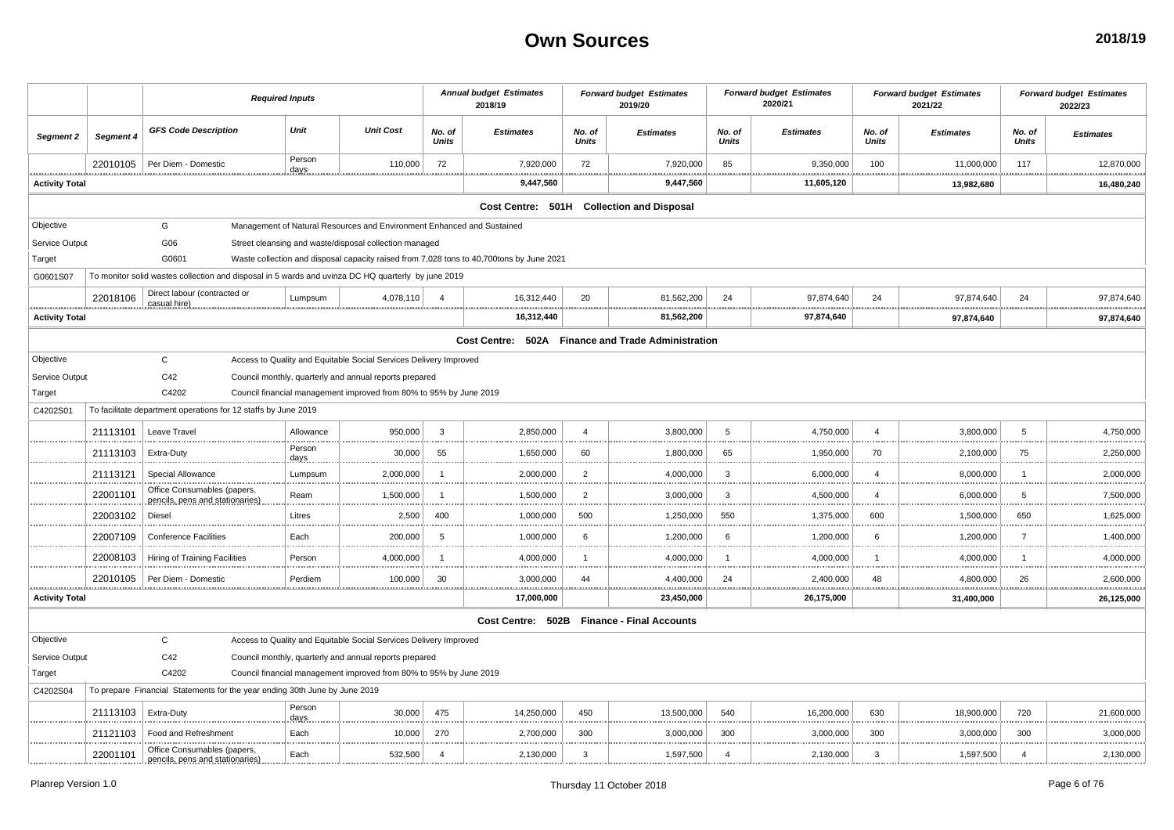|                       |           | <b>Required Inputs</b>                                                                             |                 |                                                                        |                        | <b>Annual budget Estimates</b><br>2018/19                                                |                 | <b>Forward budget Estimates</b><br>2019/20 |                 | <b>Forward budget Estimates</b><br>2020/21 |                 | <b>Forward budget Estimates</b><br>2021/22 |                 | <b>Forward budget Estimates</b><br>2022/23 |
|-----------------------|-----------|----------------------------------------------------------------------------------------------------|-----------------|------------------------------------------------------------------------|------------------------|------------------------------------------------------------------------------------------|-----------------|--------------------------------------------|-----------------|--------------------------------------------|-----------------|--------------------------------------------|-----------------|--------------------------------------------|
| Segment 2             | Segment 4 | <b>GFS Code Description</b>                                                                        | Unit            | <b>Unit Cost</b>                                                       | No. of<br><b>Units</b> | <b>Estimates</b>                                                                         | No. of<br>Units | <b>Estimates</b>                           | No. of<br>Units | <b>Estimates</b>                           | No. of<br>Units | <b>Estimates</b>                           | No. of<br>Units | <b>Estimates</b>                           |
|                       | 22010105  | Per Diem - Domestic                                                                                | Person<br>days  | 110,000                                                                | 72                     | 7,920,000                                                                                | 72              | 7,920,000                                  | 85              | 9,350,000                                  | 100             | 11,000,000                                 | 117             | 12,870,000                                 |
| <b>Activity Total</b> |           |                                                                                                    |                 |                                                                        |                        | 9,447,560                                                                                |                 | 9,447,560                                  |                 | 11,605,120                                 |                 | 13,982,680                                 |                 | 16,480,240                                 |
|                       |           |                                                                                                    |                 |                                                                        |                        | Cost Centre: 501H Collection and Disposal                                                |                 |                                            |                 |                                            |                 |                                            |                 |                                            |
| Objective             |           | G                                                                                                  |                 | Management of Natural Resources and Environment Enhanced and Sustained |                        |                                                                                          |                 |                                            |                 |                                            |                 |                                            |                 |                                            |
| Service Output        |           | G06                                                                                                |                 | Street cleansing and waste/disposal collection managed                 |                        |                                                                                          |                 |                                            |                 |                                            |                 |                                            |                 |                                            |
| Target                |           | G0601                                                                                              |                 |                                                                        |                        | Waste collection and disposal capacity raised from 7,028 tons to 40,700tons by June 2021 |                 |                                            |                 |                                            |                 |                                            |                 |                                            |
| G0601S07              |           | To monitor solid wastes collection and disposal in 5 wards and uvinza DC HQ quarterly by june 2019 |                 |                                                                        |                        |                                                                                          |                 |                                            |                 |                                            |                 |                                            |                 |                                            |
|                       | 22018106  | Direct labour (contracted or<br>casual hire)                                                       | Lumpsum         | 4,078,110                                                              | $\overline{4}$         | 16,312,440                                                                               | 20              | 81,562,200                                 | 24              | 97,874,640                                 | 24              | 97,874,640                                 | 24              | 97,874,640                                 |
| <b>Activity Total</b> |           |                                                                                                    |                 |                                                                        |                        | 16,312,440                                                                               |                 | 81,562,200                                 |                 | 97,874,640                                 |                 | 97,874,640                                 |                 | 97,874,640                                 |
|                       |           |                                                                                                    |                 |                                                                        |                        | Cost Centre: 502A Finance and Trade Administration                                       |                 |                                            |                 |                                            |                 |                                            |                 |                                            |
| Objective             |           | $\mathbf{C}$                                                                                       |                 | Access to Quality and Equitable Social Services Delivery Improved      |                        |                                                                                          |                 |                                            |                 |                                            |                 |                                            |                 |                                            |
| Service Output        |           | C42                                                                                                |                 | Council monthly, quarterly and annual reports prepared                 |                        |                                                                                          |                 |                                            |                 |                                            |                 |                                            |                 |                                            |
| Target                |           | C4202                                                                                              |                 | Council financial management improved from 80% to 95% by June 2019     |                        |                                                                                          |                 |                                            |                 |                                            |                 |                                            |                 |                                            |
| C4202S01              |           | To facilitate department operations for 12 staffs by June 2019                                     |                 |                                                                        |                        |                                                                                          |                 |                                            |                 |                                            |                 |                                            |                 |                                            |
|                       | 21113101  | Leave Travel                                                                                       | Allowance       | 950,000                                                                | $\overline{3}$         | 2,850,000                                                                                | $\overline{4}$  | 3,800,000                                  | 5               | 4,750,000                                  | $\overline{4}$  | 3,800,000                                  | 5               | 4,750,000                                  |
|                       | 21113103  | Extra-Duty                                                                                         | Person<br>days. | 30,000                                                                 | 55                     | 1,650,000                                                                                | 60              | 1,800,000                                  | 65              | 1,950,000                                  | 70              | 2,100,000                                  | 75              | 2,250,000<br>                              |
|                       | 21113121  | Special Allowance                                                                                  | Lumpsum         | 2,000,000                                                              | - 1                    | 2,000,000                                                                                | $\overline{2}$  | 4,000,000                                  | $\mathbf{3}$    | 6,000,000                                  | $\overline{4}$  | 8,000,000                                  | -1              | 2,000,000                                  |
|                       | 22001101  | Office Consumables (papers,<br>pencils, pens and stationaries)                                     | Ream            | 1,500,000                                                              | - 1                    | 1,500,000                                                                                | $\overline{2}$  | 3,000,000                                  | $\mathbf{3}$    | 4,500,000                                  | $\overline{4}$  | 6,000,000                                  | 5               | 7,500,000                                  |
|                       | 22003102  | Diesel                                                                                             | Litres          | 2,500                                                                  | 400                    | 1,000,000                                                                                | 500             | 1,250,000                                  | 550             | 1,375,000                                  | 600             | 1,500,000                                  | 650             | 1,625,000<br>.                             |
|                       | 22007109  | <b>Conference Facilities</b>                                                                       | Each            | 200,000                                                                | -5                     | 1,000,000                                                                                | 6               | 1,200,000                                  | 6               | 1,200,000                                  | 6               | 1,200,000                                  | $\overline{7}$  | 1,400,000                                  |
|                       | 22008103  | Hiring of Training Facilities                                                                      | Person          | 4,000,000                                                              | - 1                    | 4,000,000                                                                                |                 | 4,000,000                                  | $\overline{1}$  | 4,000,000                                  | 1               | 4,000,000                                  | $\overline{1}$  | 4,000,000                                  |
|                       | 22010105  | Per Diem - Domestic<br>                                                                            | Perdiem         | 100,000                                                                | 30                     | 3,000,000<br><u>.</u>                                                                    | 44              | 4,400,000<br>.                             | 24              | 2,400,000<br>                              | 48<br>.         | 4,800,000<br><u></u>                       | 26<br>.         | 2,600,000<br>.                             |
| <b>Activity Total</b> |           |                                                                                                    |                 |                                                                        |                        | 17,000,000                                                                               |                 | 23,450,000                                 |                 | 26,175,000                                 |                 | 31,400,000                                 |                 | 26,125,000                                 |
|                       |           |                                                                                                    |                 |                                                                        |                        | Cost Centre: 502B Finance - Final Accounts                                               |                 |                                            |                 |                                            |                 |                                            |                 |                                            |
| Objective             |           | $\mathsf{C}$                                                                                       |                 | Access to Quality and Equitable Social Services Delivery Improved      |                        |                                                                                          |                 |                                            |                 |                                            |                 |                                            |                 |                                            |
| Service Output        |           | C42                                                                                                |                 | Council monthly, quarterly and annual reports prepared                 |                        |                                                                                          |                 |                                            |                 |                                            |                 |                                            |                 |                                            |
| Target                |           | C4202                                                                                              |                 | Council financial management improved from 80% to 95% by June 2019     |                        |                                                                                          |                 |                                            |                 |                                            |                 |                                            |                 |                                            |
| C4202S04              |           | To prepare Financial Statements for the year ending 30th June by June 2019                         |                 |                                                                        |                        |                                                                                          |                 |                                            |                 |                                            |                 |                                            |                 |                                            |
|                       | 21113103  | Extra-Duty                                                                                         | Person<br>days. | 30,000                                                                 | 475                    | 14,250,000                                                                               | 450             | 13,500,000                                 | 540             | 16,200,000                                 | 630             | 18,900,000                                 | 720             | 21,600,000                                 |
|                       | 21121103  | Food and Refreshment                                                                               | Each            | 10,000                                                                 | 270                    | 2,700,000                                                                                | 300             | 3,000,000                                  | 300             | 3,000,000                                  | 300             | 3,000,000                                  | 300             | 3,000,000<br>.                             |
|                       | 22001101  | Office Consumables (papers,<br>pencils, pens and stationaries)                                     | Each            | 532,500                                                                | $\overline{4}$         | 2,130,000                                                                                | 3               | 1,597,500                                  | $\overline{4}$  | 2,130,000                                  | 3               | 1,597,500                                  | $\overline{4}$  | 2,130,000                                  |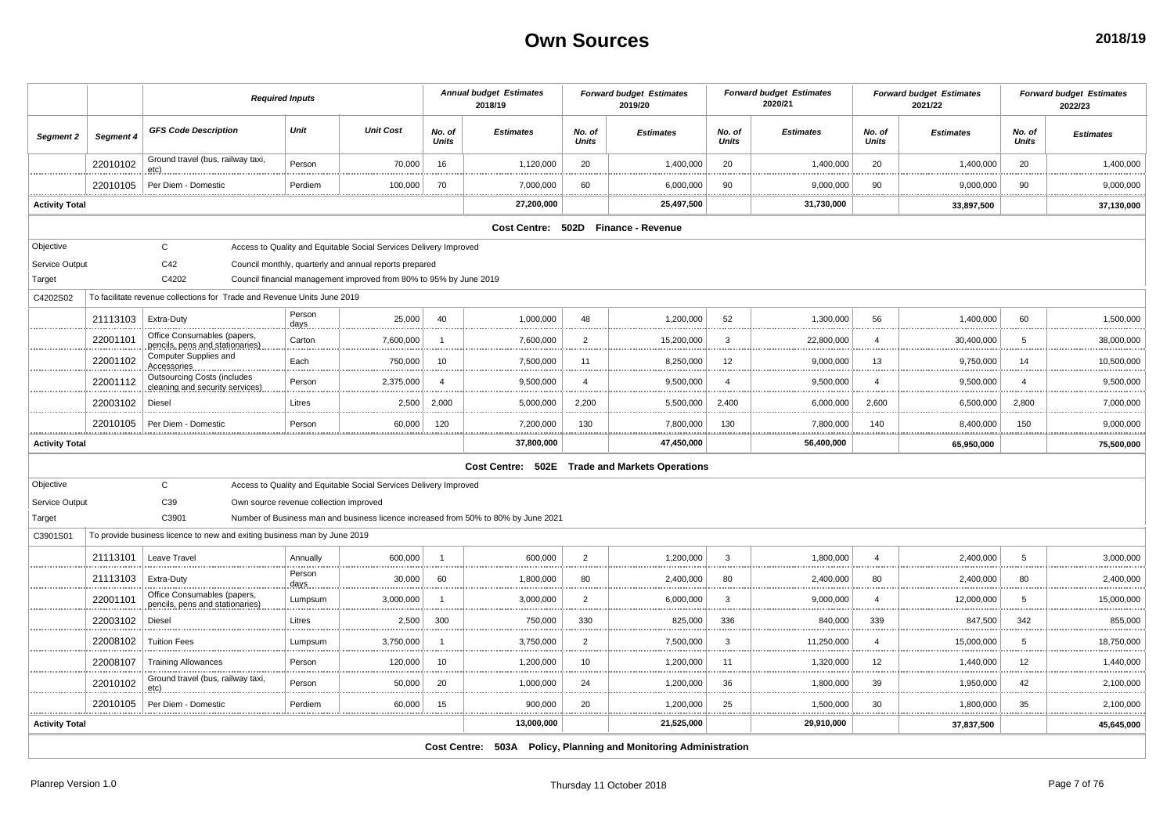|                       |           |                                                                          | <b>Required Inputs</b>                 |                                                                    |                        | <b>Annual budget Estimates</b><br>2018/19                                          |                        | <b>Forward budget Estimates</b><br>2019/20                       |                        | <b>Forward budget Estimates</b><br>2020/21 |                 | <b>Forward budget Estimates</b><br>2021/22 |                 | <b>Forward budget Estimates</b><br>2022/23 |
|-----------------------|-----------|--------------------------------------------------------------------------|----------------------------------------|--------------------------------------------------------------------|------------------------|------------------------------------------------------------------------------------|------------------------|------------------------------------------------------------------|------------------------|--------------------------------------------|-----------------|--------------------------------------------|-----------------|--------------------------------------------|
| Segment 2             | Segment 4 | <b>GFS Code Description</b>                                              | Unit                                   | <b>Unit Cost</b>                                                   | No. of<br><b>Units</b> | <b>Estimates</b>                                                                   | No. of<br><b>Units</b> | <b>Estimates</b>                                                 | No. of<br><b>Units</b> | <b>Estimates</b>                           | No. of<br>Units | <b>Estimates</b>                           | No. of<br>Units | <b>Estimates</b>                           |
|                       | 22010102  | Ground travel (bus, railway taxi,                                        | Person                                 | 70,000                                                             | 16                     | 1,120,000                                                                          | 20                     | 1,400,000                                                        | 20                     | 1,400,000                                  | 20              | 1,400,000                                  | 20              | 1,400,000                                  |
|                       | 22010105  | Per Diem - Domestic                                                      | Perdiem                                | 100,000                                                            | 70                     | 7,000,000                                                                          | 60                     | 6,000,000                                                        | 90                     | 9,000,000                                  | 90              | 9,000,000                                  | 90              | 9,000,000<br>.                             |
| <b>Activity Total</b> |           |                                                                          |                                        |                                                                    |                        | 27,200,000                                                                         |                        | 25,497,500                                                       |                        | 31,730,000                                 |                 | 33,897,500                                 |                 | 37,130,000                                 |
|                       |           |                                                                          |                                        |                                                                    |                        |                                                                                    |                        | Cost Centre: 502D Finance - Revenue                              |                        |                                            |                 |                                            |                 |                                            |
| Objective             |           | $\mathsf{C}$                                                             |                                        | Access to Quality and Equitable Social Services Delivery Improved  |                        |                                                                                    |                        |                                                                  |                        |                                            |                 |                                            |                 |                                            |
| Service Output        |           | C42                                                                      |                                        | Council monthly, quarterly and annual reports prepared             |                        |                                                                                    |                        |                                                                  |                        |                                            |                 |                                            |                 |                                            |
| Target                |           | C4202                                                                    |                                        | Council financial management improved from 80% to 95% by June 2019 |                        |                                                                                    |                        |                                                                  |                        |                                            |                 |                                            |                 |                                            |
| C4202S02              |           | To facilitate revenue collections for Trade and Revenue Units June 2019  |                                        |                                                                    |                        |                                                                                    |                        |                                                                  |                        |                                            |                 |                                            |                 |                                            |
|                       | 21113103  | Extra-Duty                                                               | Person<br>days.                        | 25,000                                                             | 40                     | 1,000,000                                                                          | 48                     | 1,200,000                                                        | 52                     | 1,300,000                                  | 56              | 1,400,000                                  | 60              | 1,500,000                                  |
|                       | 22001101  | Office Consumables (papers,<br>pencils, pens and stationaries)           | Carton                                 | 7,600,000                                                          | -1                     | 7,600,000                                                                          | $\overline{2}$         | 15,200,000                                                       | 3                      | 22,800,000                                 | 4               | 30,400,000                                 | 5               | 38,000,000                                 |
|                       | 22001102  | Computer Supplies and<br>Accessories                                     | Each                                   | 750,000                                                            | 10                     | 7,500,000                                                                          | 11                     | 8,250,000                                                        | 12                     | 9,000,000                                  | 13              | 9,750,000                                  | 14              | 10,500,000                                 |
|                       | 22001112  | <b>Outsourcing Costs (includes</b><br>cleaning and security services)    | Person                                 | 2,375,000                                                          | $\overline{a}$         | 9,500,000                                                                          | $\overline{a}$         | 9,500,000                                                        | $\overline{4}$         | 9,500,000                                  | 4               | 9,500,000                                  | $\overline{4}$  | 9,500,000                                  |
|                       | 22003102  | Diesel                                                                   | Litres                                 | 2,500                                                              | 2,000                  | 5,000,000                                                                          | 2,200                  | 5,500,000                                                        | 2.400                  | 6,000,000                                  | 2,600           | 6,500,000                                  | 2,800           | 7,000,000                                  |
|                       | 22010105  | Per Diem - Domestic                                                      | Person                                 | 60,000                                                             | 120                    | 7,200,000<br>.<br>. <u>.</u>                                                       | 130<br>                | 7,800,000                                                        | 130                    | 7,800,000                                  | 140             | 8,400,000                                  | 150             | 9,000,000<br>.                             |
| <b>Activity Total</b> |           |                                                                          |                                        |                                                                    |                        | 37,800,000                                                                         |                        | 47,450,000                                                       |                        | 56,400,000                                 |                 | 65,950,000                                 |                 | 75,500,000                                 |
|                       |           |                                                                          |                                        |                                                                    |                        |                                                                                    |                        | Cost Centre: 502E Trade and Markets Operations                   |                        |                                            |                 |                                            |                 |                                            |
| Objective             |           | $\mathsf{C}$                                                             |                                        | Access to Quality and Equitable Social Services Delivery Improved  |                        |                                                                                    |                        |                                                                  |                        |                                            |                 |                                            |                 |                                            |
| Service Output        |           | C39                                                                      | Own source revenue collection improved |                                                                    |                        |                                                                                    |                        |                                                                  |                        |                                            |                 |                                            |                 |                                            |
| Target                |           | C3901                                                                    |                                        |                                                                    |                        | Number of Business man and business licence increased from 50% to 80% by June 2021 |                        |                                                                  |                        |                                            |                 |                                            |                 |                                            |
| C3901S01              |           | To provide business licence to new and exiting business man by June 2019 |                                        |                                                                    |                        |                                                                                    |                        |                                                                  |                        |                                            |                 |                                            |                 |                                            |
|                       | 21113101  | Leave Travel                                                             | Annually                               | 600,000                                                            | -1                     | 600,000                                                                            | $\overline{2}$         | 1,200,000                                                        | 3                      | 1,800,000                                  | $\overline{4}$  | 2,400,000                                  | 5               | 3,000,000                                  |
|                       | 21113103  | Extra-Duty<br>                                                           | Person<br><u>.days</u>                 | 30,000                                                             | 60                     | 1,800,000                                                                          | 80                     | 2,400,000                                                        | 80                     | 2,400,000                                  | 80              | 2,400,000                                  | 80              | 2,400,000                                  |
|                       | 22001101  | Office Consumables (papers,<br>pencils, pens and stationaries)           | Lumpsum                                | 3,000,000                                                          | - 1                    | 3,000,000                                                                          | 2                      | 6,000,000                                                        | 3                      | 9,000,000                                  | $\overline{4}$  | 12,000,000                                 | 5               | 15,000,000<br>.                            |
|                       | 22003102  | Diesel                                                                   | Litres                                 | 2,500                                                              | 300                    | 750,000                                                                            | 330                    | 825,000                                                          | 336                    | 840,000                                    | 339             | 847,500                                    | 342             | 855,000                                    |
|                       | 22008102  | <b>Tuition Fees</b>                                                      | Lumpsum                                | 3,750,000                                                          |                        | 3,750,000                                                                          | $\overline{2}$         | 7,500,000                                                        | 3                      | 11,250,000                                 | $\overline{4}$  | 15,000,000                                 | -5              | 18,750,000                                 |
|                       | 22008107  | <b>Training Allowances</b>                                               | Person                                 | 120,000                                                            | 10                     | 1,200,000                                                                          | 10                     | 1,200,000                                                        | 11                     | 1,320,000                                  | 12              | 1,440,000                                  | 12              | 1,440,000                                  |
|                       | 22010102  | Ground travel (bus, railway taxi,<br>etc).                               | Person                                 | 50,000                                                             | 20                     | 1,000,000                                                                          | 24                     | 1,200,000                                                        | 36                     | 1,800,000                                  | 39              | 1,950,000                                  | 42              | .<br>2,100,000                             |
|                       | 22010105  | Per Diem - Domestic                                                      | Perdiem                                | 60,000                                                             | 15                     | 900,000                                                                            | 20                     | 1,200,000                                                        | 25                     | 1,500,000                                  | 30              | 1,800,000                                  | 35              | 2,100,000                                  |
| <b>Activity Total</b> |           |                                                                          |                                        |                                                                    |                        | 13,000,000                                                                         |                        | 21,525,000                                                       |                        | 29,910,000                                 |                 | 37,837,500                                 |                 | 45,645,000                                 |
|                       |           |                                                                          |                                        |                                                                    |                        |                                                                                    |                        | Cost Centre: 503A Policy, Planning and Monitoring Administration |                        |                                            |                 |                                            |                 |                                            |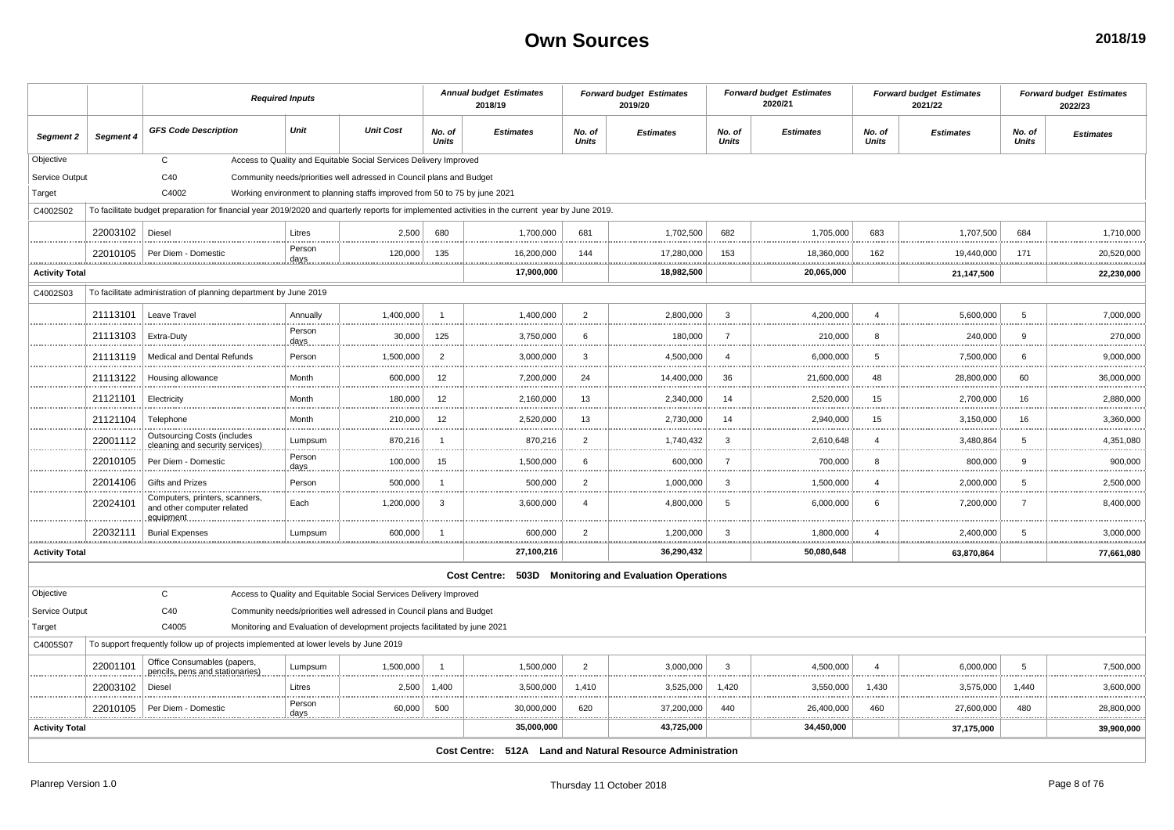|                       |           |                                                                                                                                                  | <b>Required Inputs</b> |                                                                            |                        | <b>Annual budget Estimates</b><br>2018/19                  |                        | <b>Forward budget Estimates</b><br>2019/20 |                 | <b>Forward budget Estimates</b><br>2020/21 |                         | <b>Forward budget Estimates</b><br>2021/22 |                 | <b>Forward budget Estimates</b><br>2022/23 |
|-----------------------|-----------|--------------------------------------------------------------------------------------------------------------------------------------------------|------------------------|----------------------------------------------------------------------------|------------------------|------------------------------------------------------------|------------------------|--------------------------------------------|-----------------|--------------------------------------------|-------------------------|--------------------------------------------|-----------------|--------------------------------------------|
| Segment 2             | Segment 4 | <b>GFS Code Description</b>                                                                                                                      | Unit                   | <b>Unit Cost</b>                                                           | No. of<br><b>Units</b> | <b>Estimates</b>                                           | No. of<br><b>Units</b> | <b>Estimates</b>                           | No. of<br>Units | <b>Estimates</b>                           | No. of<br>Units         | <b>Estimates</b>                           | No. of<br>Units | <b>Estimates</b>                           |
| Objective             |           | $\mathbf{C}$                                                                                                                                     |                        | Access to Quality and Equitable Social Services Delivery Improved          |                        |                                                            |                        |                                            |                 |                                            |                         |                                            |                 |                                            |
| Service Output        |           | C40                                                                                                                                              |                        | Community needs/priorities well adressed in Council plans and Budget       |                        |                                                            |                        |                                            |                 |                                            |                         |                                            |                 |                                            |
| Target                |           | C4002                                                                                                                                            |                        | Working environment to planning staffs improved from 50 to 75 by june 2021 |                        |                                                            |                        |                                            |                 |                                            |                         |                                            |                 |                                            |
| C4002S02              |           | To facilitate budget preparation for financial year 2019/2020 and quarterly reports for implemented activities in the current year by June 2019. |                        |                                                                            |                        |                                                            |                        |                                            |                 |                                            |                         |                                            |                 |                                            |
|                       | 22003102  | Diesel                                                                                                                                           | Litres                 | 2,500                                                                      | 680                    | 1,700,000                                                  | 681                    | 1,702,500                                  | 682             | 1,705,000                                  | 683                     | 1,707,500                                  | 684             | 1,710,000                                  |
| .                     |           | 22010105   Per Diem - Domestic                                                                                                                   | Person<br>days         | 120,000                                                                    | 135                    | 16,200,000                                                 | 144                    | 17,280,000                                 | 153             | 18,360,000                                 | 162                     | 19,440,000                                 | 171             | 20,520,000                                 |
| <b>Activity Total</b> |           |                                                                                                                                                  |                        |                                                                            |                        | 17,900,000                                                 |                        | 18,982,500                                 |                 | 20,065,000                                 |                         | 21,147,500                                 |                 | 22,230,000                                 |
| C4002S03              |           | To facilitate administration of planning department by June 2019                                                                                 |                        |                                                                            |                        |                                                            |                        |                                            |                 |                                            |                         |                                            |                 |                                            |
|                       | 21113101  | Leave Travel                                                                                                                                     | Annually               | 1.400.000                                                                  | $\overline{1}$         | 1.400.000                                                  | 2                      | 2.800.000                                  | 3               | 4.200.000                                  | $\overline{\mathbf{A}}$ | 5.600.000                                  | 5               | 7.000.000                                  |
|                       | 21113103  | Extra-Duty                                                                                                                                       | Person<br>days         | 30,000                                                                     | 125                    | 3,750,000                                                  | 6                      | 180,000<br>                                | $\overline{7}$  | 210,000                                    | 8                       | 240,000                                    | 9               | 270,000                                    |
|                       | 21113119  | Medical and Dental Refunds                                                                                                                       | Person                 | 1,500,000                                                                  | $\overline{2}$         | 3,000,000                                                  | 3                      | 4,500,000                                  | $\overline{4}$  | 6,000,000                                  | 5                       | 7,500,000                                  | 6               | 9,000,000                                  |
|                       | 21113122  | Housing allowance                                                                                                                                | Month                  | 600,000                                                                    | 12                     | 7,200,000                                                  | 24                     | 14,400,000                                 | 36              | 21,600,000                                 | 48                      | 28,800,000                                 | 60              | 36,000,000                                 |
|                       | 21121101  | Electricity                                                                                                                                      | Month                  | 180,000                                                                    | 12                     | 2,160,000                                                  | 13                     | 2,340,000<br>                              | 14              | 2,520,000                                  | 15                      | 2,700,000                                  | 16              | 2,880,000                                  |
|                       | 21121104  | Telephone                                                                                                                                        | Month                  | 210,000                                                                    | 12                     | 2,520,000                                                  | 13                     | 2,730,000                                  | 14              | 2,940,000                                  | 15                      | 3,150,000                                  | 16              | 3,360,000                                  |
|                       | 22001112  | <b>Outsourcing Costs (includes</b><br>cleaning and security services)                                                                            | Lumpsum                | 870,216                                                                    | $\overline{1}$         | 870,216                                                    | $\overline{2}$         | 1,740,432                                  | 3               | 2,610,648                                  | $\overline{4}$          | 3,480,864                                  | -5              | 4,351,080<br>                              |
|                       | 22010105  | Per Diem - Domestic                                                                                                                              | Person<br>days         | 100,000                                                                    | 15                     | 1,500,000                                                  | 6                      | 600,000                                    | $\overline{7}$  | 700,000                                    | 8                       | 800,000                                    | 9               | 900,000                                    |
|                       | 22014106  | Gifts and Prizes                                                                                                                                 | Person                 | 500,000                                                                    | $\overline{1}$         | 500,000                                                    | $\overline{2}$         | 1,000,000                                  | 3               | 1,500,000                                  | $\overline{4}$          | 2,000,000                                  | 5               | 2,500,000                                  |
|                       | 22024101  | Computers, printers, scanners,<br>and other computer related<br>equipment.                                                                       | Each                   | 1,200,000                                                                  | 3                      | 3,600,000                                                  | $\overline{4}$         | 4,800,000                                  | 5               | 6,000,000                                  | 6                       | 7,200,000                                  | 7               | 8,400,000                                  |
|                       | 22032111  | <b>Burial Expenses</b>                                                                                                                           | Lumpsum                | 600,000                                                                    | $\overline{1}$         | 600,000                                                    | $\overline{2}$         | 1,200,000                                  | 3               | 1,800,000                                  | $\overline{4}$          | 2,400,000                                  | -5              | 3,000,000                                  |
| <b>Activity Total</b> |           |                                                                                                                                                  |                        |                                                                            |                        | 27,100,216                                                 |                        | 36,290,432                                 |                 | 50,080,648                                 |                         | 63,870,864                                 |                 | 77,661,080                                 |
|                       |           |                                                                                                                                                  |                        |                                                                            |                        | Cost Centre: 503D Monitoring and Evaluation Operations     |                        |                                            |                 |                                            |                         |                                            |                 |                                            |
| Objective             |           | $\mathbf{C}$                                                                                                                                     |                        | Access to Quality and Equitable Social Services Delivery Improved          |                        |                                                            |                        |                                            |                 |                                            |                         |                                            |                 |                                            |
| Service Output        |           | C40                                                                                                                                              |                        | Community needs/priorities well adressed in Council plans and Budget       |                        |                                                            |                        |                                            |                 |                                            |                         |                                            |                 |                                            |
| Target                |           | C4005                                                                                                                                            |                        | Monitoring and Evaluation of development projects facilitated by june 2021 |                        |                                                            |                        |                                            |                 |                                            |                         |                                            |                 |                                            |
| C4005S07              |           | To support frequently follow up of projects implemented at lower levels by June 2019                                                             |                        |                                                                            |                        |                                                            |                        |                                            |                 |                                            |                         |                                            |                 |                                            |
|                       | 22001101  | Office Consumables (papers<br>pencils, pens and stationaries)                                                                                    | Lumpsum                | 1,500,000                                                                  | $\overline{1}$         | 1,500,000                                                  | $\overline{2}$         | 3,000,000                                  | 3               | 4,500,000                                  | $\overline{4}$          | 6,000,000                                  | 5               | 7,500,000                                  |
|                       | 22003102  | Diesel                                                                                                                                           | Litres                 | 2,500                                                                      | 1,400                  | 3,500,000                                                  | 1,410                  | 3,525,000<br>.                             | 1,420           | 3,550,000                                  | 1,430                   | 3,575,000                                  | 1,440           | 3,600,000                                  |
|                       | 22010105  | Per Diem - Domestic                                                                                                                              | Person<br>days         | 60,000                                                                     | 500                    | 30,000,000                                                 | 620                    | 37,200,000                                 | 440             | 26,400,000                                 | 460                     | 27,600,000                                 | 480             | 28,800,000                                 |
| <b>Activity Total</b> |           |                                                                                                                                                  |                        |                                                                            |                        | 35,000,000                                                 |                        | 43,725,000                                 |                 | 34,450,000                                 |                         | 37,175,000                                 |                 | 39,900,000                                 |
|                       |           |                                                                                                                                                  |                        |                                                                            |                        | Cost Centre: 512A Land and Natural Resource Administration |                        |                                            |                 |                                            |                         |                                            |                 |                                            |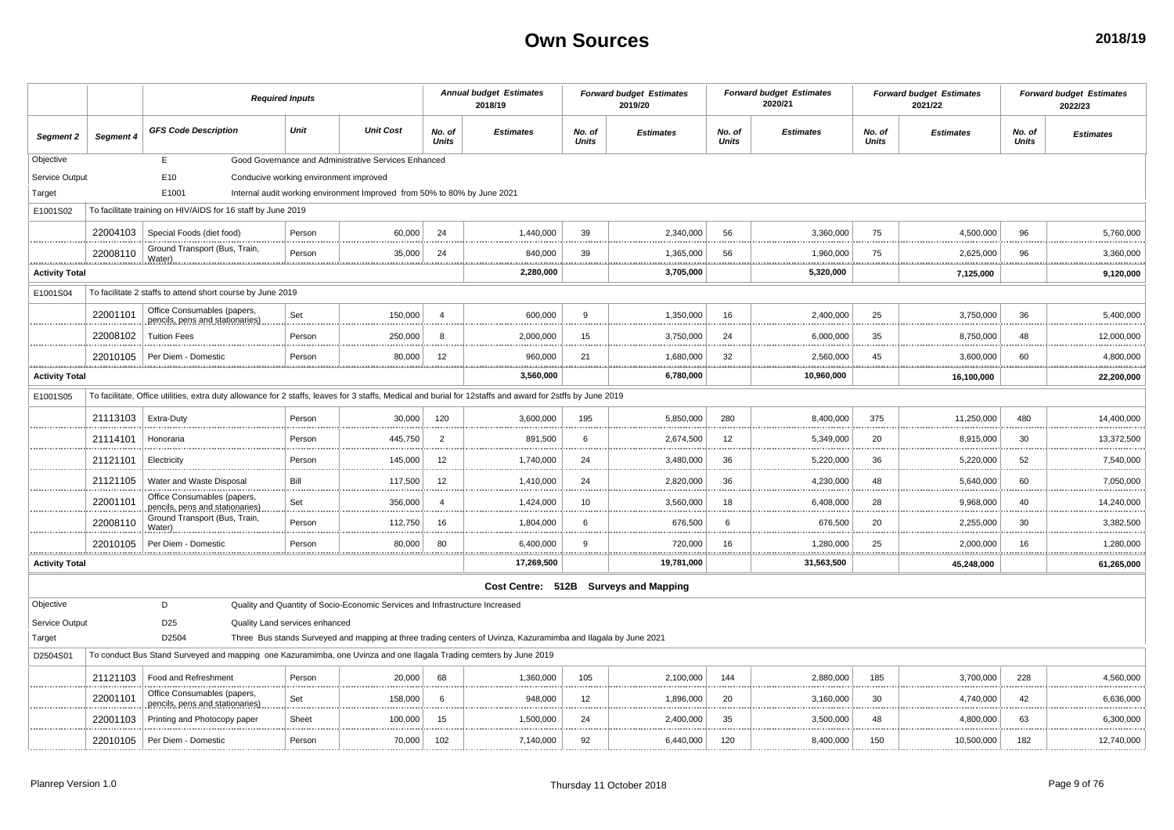|                       |               |                                                                                                                                                            | <b>Required Inputs</b>                 |                                                                              |                        | <b>Annual budget Estimates</b><br>2018/19                                                                      |                 | <b>Forward budget Estimates</b><br>2019/20 |                        | <b>Forward budget Estimates</b><br>2020/21 |                        | <b>Forward budget Estimates</b><br>2021/22 |                        | <b>Forward budget Estimates</b><br>2022/23 |
|-----------------------|---------------|------------------------------------------------------------------------------------------------------------------------------------------------------------|----------------------------------------|------------------------------------------------------------------------------|------------------------|----------------------------------------------------------------------------------------------------------------|-----------------|--------------------------------------------|------------------------|--------------------------------------------|------------------------|--------------------------------------------|------------------------|--------------------------------------------|
| Segment 2             | Segment 4     | <b>GFS Code Description</b>                                                                                                                                | Unit                                   | <b>Unit Cost</b>                                                             | No. of<br><b>Units</b> | <b>Estimates</b>                                                                                               | No. of<br>Units | <b>Estimates</b>                           | No. of<br><b>Units</b> | <b>Estimates</b>                           | No. of<br><b>Units</b> | <b>Estimates</b>                           | No. of<br><b>Units</b> | <b>Estimates</b>                           |
| Objective             |               | E                                                                                                                                                          |                                        | Good Governance and Administrative Services Enhanced                         |                        |                                                                                                                |                 |                                            |                        |                                            |                        |                                            |                        |                                            |
| Service Output        |               | E10                                                                                                                                                        | Conducive working environment improved |                                                                              |                        |                                                                                                                |                 |                                            |                        |                                            |                        |                                            |                        |                                            |
| Target                |               | E1001                                                                                                                                                      |                                        | Internal audit working environment Improved from 50% to 80% by June 2021     |                        |                                                                                                                |                 |                                            |                        |                                            |                        |                                            |                        |                                            |
| E1001S02              |               | To facilitate training on HIV/AIDS for 16 staff by June 2019                                                                                               |                                        |                                                                              |                        |                                                                                                                |                 |                                            |                        |                                            |                        |                                            |                        |                                            |
|                       | 22004103      | Special Foods (diet food)                                                                                                                                  | Person                                 | 60,000                                                                       | 24                     | 1,440,000                                                                                                      | 39              | 2,340,000                                  | 56                     | 3,360,000                                  | 75                     | 4,500,000                                  | 96                     | 5,760,000                                  |
|                       | 22008110      | Ground Transport (Bus, Train,<br>Water)                                                                                                                    | Person                                 | 35,000                                                                       | 24                     | 840,000                                                                                                        | 39              | 1,365,000                                  | 56                     | 1,960,000<br>.                             | 75                     | 2,625,000                                  | 96<br>.                | 3,360,000<br>.                             |
| <b>Activity Total</b> |               |                                                                                                                                                            |                                        |                                                                              |                        | 2,280,000                                                                                                      |                 | 3,705,000                                  |                        | 5,320,000                                  |                        | 7,125,000                                  |                        | 9,120,000                                  |
| E1001S04              |               | To facilitate 2 staffs to attend short course by June 2019                                                                                                 |                                        |                                                                              |                        |                                                                                                                |                 |                                            |                        |                                            |                        |                                            |                        |                                            |
|                       | 22001101      | Office Consumables (papers,<br>pencils, pens and stationaries)                                                                                             | Set                                    | 150,000                                                                      | $\overline{a}$         | 600,000                                                                                                        | 9               | 1.350.000                                  | 16                     | 2.400.000                                  | 25                     | 3,750,000                                  | 36                     | 5,400,000                                  |
|                       | 22008102      | <b>Tuition Fees</b>                                                                                                                                        | Person                                 | 250,000                                                                      | 8                      | 2,000,000                                                                                                      | 15              | 3,750,000                                  | 24                     | 6,000,000                                  | 35                     | 8,750,000                                  | 48                     | 12,000,000                                 |
|                       | 22010105      | Per Diem - Domestic                                                                                                                                        | Person                                 | 80,000                                                                       | 12                     | 960,000                                                                                                        | 21              | 1,680,000                                  | 32                     | 2,560,000                                  | 45                     | 3,600,000                                  | 60                     | 4,800,000                                  |
| <b>Activity Total</b> |               |                                                                                                                                                            |                                        |                                                                              |                        | .<br>3,560,000                                                                                                 |                 | 6,780,000                                  |                        | .<br>10,960,000                            |                        | 16,100,000                                 |                        | .<br>22,200,000                            |
| E1001S05              |               | To facilitate, Office utilities, extra duty allowance for 2 staffs, leaves for 3 staffs, Medical and burial for 12staffs and award for 2stffs by June 2019 |                                        |                                                                              |                        |                                                                                                                |                 |                                            |                        |                                            |                        |                                            |                        |                                            |
|                       | 21113103      | Extra-Duty                                                                                                                                                 | Person                                 | 30,000                                                                       | 120                    | 3,600,000                                                                                                      | 195             | 5,850,000                                  | 280                    | 8,400,000                                  | 375                    | 11,250,000                                 | 480                    | 14,400,000                                 |
|                       | 21114101      | Honoraria                                                                                                                                                  | Person                                 | 445,750                                                                      | $\overline{2}$         | 891,500                                                                                                        | 6               | 2,674,500                                  | 12                     | 5,349,000                                  | 20                     | 8,915,000                                  | 30                     | 13,372,500                                 |
|                       | 21121101      | Electricity                                                                                                                                                | Person                                 | 145,000                                                                      | 12                     | 1,740,000                                                                                                      | 24              | 3,480,000                                  | 36                     | 5,220,000                                  | 36                     | 5,220,000                                  | 52                     | 7,540,000                                  |
|                       | 21121105      | Water and Waste Disposal                                                                                                                                   | Bill                                   | 117,500                                                                      | 12                     | 1,410,000                                                                                                      | 24              | 2,820,000                                  | 36                     | 4,230,000                                  | 48                     | 5,640,000                                  | 60                     | 7,050,000                                  |
|                       | 22001101      | Office Consumables (papers<br>pencils, pens and stationaries)                                                                                              | Set                                    | 356,000                                                                      | $\overline{4}$         | 1,424,000                                                                                                      | 10              | 3,560,000                                  | 18                     | 6,408,000                                  | 28                     | 9,968,000                                  | 40                     | 14,240,000                                 |
|                       | 22008110      | Ground Transport (Bus, Train,<br>Water).                                                                                                                   | Person                                 | 112,750                                                                      | 16                     | 1,804,000                                                                                                      | 6               | 676,500                                    | 6                      | 676,500                                    | 20                     | 2,255,000                                  | 30                     | 3,382,500                                  |
|                       | 22010105<br>. | Per Diem - Domestic                                                                                                                                        | Person                                 | 80,000                                                                       | 80                     | 6,400,000<br>.                                                                                                 | $\mathbf{q}$    | 720,000                                    | 16<br>                 | 1,280,000<br>.                             | 25                     | 2,000,000<br>                              | 16<br>                 | 1,280,000<br>                              |
| <b>Activity Total</b> |               |                                                                                                                                                            |                                        |                                                                              |                        | 17,269,500                                                                                                     |                 | 19,781,000                                 |                        | 31,563,500                                 |                        | 45,248,000                                 |                        | 61,265,000                                 |
|                       |               |                                                                                                                                                            |                                        |                                                                              |                        | Cost Centre: 512B Surveys and Mapping                                                                          |                 |                                            |                        |                                            |                        |                                            |                        |                                            |
| Objective             |               | D                                                                                                                                                          |                                        | Quality and Quantity of Socio-Economic Services and Infrastructure Increased |                        |                                                                                                                |                 |                                            |                        |                                            |                        |                                            |                        |                                            |
| Service Output        |               | D <sub>25</sub>                                                                                                                                            | Quality Land services enhanced         |                                                                              |                        |                                                                                                                |                 |                                            |                        |                                            |                        |                                            |                        |                                            |
| Target                |               | D2504                                                                                                                                                      |                                        |                                                                              |                        | Three Bus stands Surveyed and mapping at three trading centers of Uvinza, Kazuramimba and Ilagala by June 2021 |                 |                                            |                        |                                            |                        |                                            |                        |                                            |
| D2504S01              |               | To conduct Bus Stand Surveyed and mapping one Kazuramimba, one Uvinza and one Ilagala Trading cemters by June 2019                                         |                                        |                                                                              |                        |                                                                                                                |                 |                                            |                        |                                            |                        |                                            |                        |                                            |
|                       | 21121103      | Food and Refreshment                                                                                                                                       | Person                                 | 20,000                                                                       | 68                     | 1,360,000                                                                                                      | 105             | 2,100,000                                  | 144                    | 2,880,000                                  | 185                    | 3,700,000                                  | 228                    | 4,560,000                                  |
|                       | 22001101      | Office Consumables (papers<br>pencils, pens and stationaries)                                                                                              | Set                                    | 158,000                                                                      | -6                     | 948,000                                                                                                        | 12              | 1,896,000                                  | 20                     | 3,160,000                                  | 30                     | 4,740,000                                  | 42                     | 6,636,000                                  |
|                       | 22001103      | Printing and Photocopy paper                                                                                                                               | Sheet                                  | 100,000                                                                      | 15                     | 1,500,000                                                                                                      | 24              | 2,400,000                                  | 35                     | 3,500,000                                  | 48                     | 4,800,000                                  | 63                     | 6,300,000                                  |
|                       |               | 22010105   Per Diem - Domestic                                                                                                                             | Person                                 | 70,000                                                                       | 102                    | 7,140,000                                                                                                      | 92              | 6,440,000                                  | 120                    | 8,400,000                                  | 150                    | 10,500,000                                 | 182                    | 12,740,000                                 |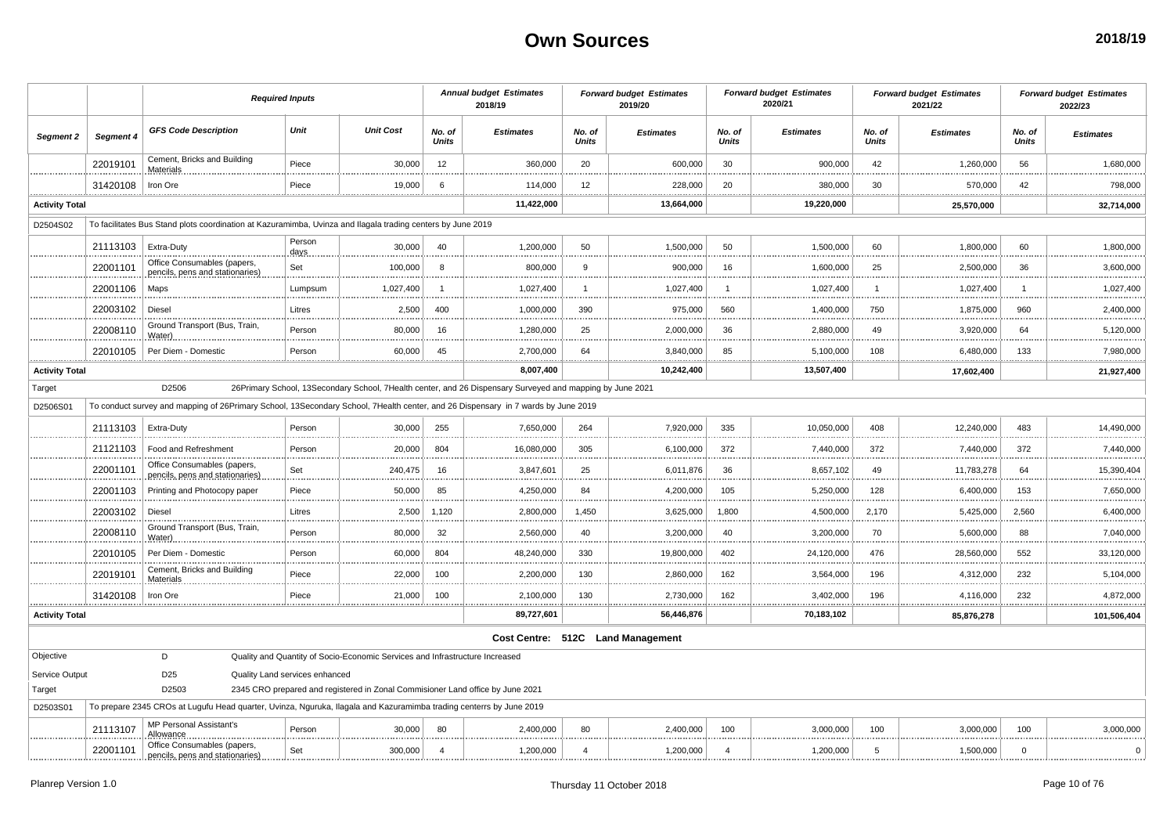|                       |           | <b>Required Inputs</b>                                                                                                           |                                |                                                                                |                        | <b>Annual budget Estimates</b><br>2018/19                                                                 |                        | <b>Forward budget Estimates</b><br>2019/20 |                 | <b>Forward budget Estimates</b><br>2020/21 |                        | <b>Forward budget Estimates</b><br>2021/22 |                        | <b>Forward budget Estimates</b><br>2022/23 |
|-----------------------|-----------|----------------------------------------------------------------------------------------------------------------------------------|--------------------------------|--------------------------------------------------------------------------------|------------------------|-----------------------------------------------------------------------------------------------------------|------------------------|--------------------------------------------|-----------------|--------------------------------------------|------------------------|--------------------------------------------|------------------------|--------------------------------------------|
| Segment 2             | Segment 4 | <b>GFS Code Description</b>                                                                                                      | Unit                           | <b>Unit Cost</b>                                                               | No. of<br><b>Units</b> | <b>Estimates</b>                                                                                          | No. of<br><b>Units</b> | <b>Estimates</b>                           | No. of<br>Units | <b>Estimates</b>                           | No. of<br><b>Units</b> | <b>Estimates</b>                           | No. of<br><b>Units</b> | <b>Estimates</b>                           |
|                       | 22019101  | Cement, Bricks and Building<br>Materials                                                                                         | Piece                          | 30,000                                                                         | 12                     | 360,000                                                                                                   | 20                     | 600,000                                    | 30              | 900,000                                    | 42                     | 1,260,000                                  | 56                     | 1,680,000                                  |
|                       | 31420108  | Iron Ore                                                                                                                         | Piece                          | 19,000                                                                         | 6                      | 114,000                                                                                                   | 12                     | 228,000                                    | 20              | 380,000                                    | 30                     | 570,000                                    | 42                     | 798,000                                    |
| <b>Activity Total</b> |           |                                                                                                                                  |                                |                                                                                |                        | 11,422,000                                                                                                |                        | 13,664,000                                 |                 | 19,220,000                                 |                        | 25,570,000                                 |                        | 32,714,000                                 |
| D2504S02              |           | To facilitates Bus Stand plots coordination at Kazuramimba, Uvinza and Ilagala trading centers by June 2019                      |                                |                                                                                |                        |                                                                                                           |                        |                                            |                 |                                            |                        |                                            |                        |                                            |
|                       | 21113103  | Extra-Duty                                                                                                                       | Person<br>days                 | 30,000                                                                         | 40                     | 1,200,000                                                                                                 | 50                     | 1,500,000                                  | 50              | 1,500,000                                  | 60                     | 1,800,000                                  | 60                     | 1,800,000                                  |
|                       | 22001101  | Office Consumables (papers,<br>pencils, pens and stationaries)                                                                   | Set                            | 100,000                                                                        | 8                      | 800,000                                                                                                   | 9                      | 900,000                                    | 16              | 1,600,000                                  | 25                     | 2,500,000                                  | 36                     | 3,600,000                                  |
|                       | 22001106  | Maps                                                                                                                             | Lumpsum                        | 1,027,400                                                                      | -1                     | 1,027,400                                                                                                 | $\mathbf 1$<br>.       | 1,027,400<br>.                             | -1              | 1,027,400                                  | -1                     | 1,027,400                                  | $\overline{1}$         | 1,027,400                                  |
|                       | 22003102  | Diesel                                                                                                                           | Litres                         | 2,500                                                                          | 400                    | 1,000,000                                                                                                 | 390<br>                | 975,000                                    | 560             | 1,400,000                                  | 750                    | 1,875,000                                  | 960                    | 2,400,000                                  |
|                       | 22008110  | Ground Transport (Bus, Train,<br>Water)                                                                                          | Person                         | 80,000                                                                         | 16                     | 1,280,000                                                                                                 | 25                     | 2,000,000                                  | 36              | 2,880,000                                  | 49                     | 3,920,000                                  | 64                     | 5,120,000                                  |
| .                     | 22010105  | Per Diem - Domestic                                                                                                              | Person                         | 60,000                                                                         | 45                     | 2,700,000                                                                                                 | 64<br>.                | 3,840,000                                  | 85<br>.         | 5,100,000<br>.                             | 108                    | 6,480,000                                  | 133                    | 7,980,000                                  |
| <b>Activity Total</b> |           |                                                                                                                                  |                                |                                                                                |                        | 8,007,400                                                                                                 |                        | 10,242,400                                 |                 | 13,507,400                                 |                        | 17,602,400                                 |                        | 21,927,400                                 |
| Target                |           | D2506                                                                                                                            |                                |                                                                                |                        | 26Primary School, 13Secondary School, 7Health center, and 26 Dispensary Surveyed and mapping by June 2021 |                        |                                            |                 |                                            |                        |                                            |                        |                                            |
| D2506S01              |           | To conduct survey and mapping of 26Primary School, 13Secondary School, 7Health center, and 26 Dispensary in 7 wards by June 2019 |                                |                                                                                |                        |                                                                                                           |                        |                                            |                 |                                            |                        |                                            |                        |                                            |
|                       | 21113103  | Extra-Duty                                                                                                                       | Person                         | 30,000                                                                         | 255                    | 7,650,000                                                                                                 | 264                    | 7,920,000                                  | 335             | 10,050,000                                 | 408                    | 12,240,000                                 | 483                    | 14,490,000                                 |
|                       | 21121103  | Food and Refreshment                                                                                                             | Person                         | 20,000                                                                         | 804                    | 16,080,000                                                                                                | 305                    | 6,100,000                                  | 372             | 7,440,000                                  | 372                    | 7,440,000                                  | 372                    | 7,440,000                                  |
|                       | 22001101  | Office Consumables (papers,<br>pencils, pens and stationaries)                                                                   | Set                            | 240,475                                                                        | 16                     | 3,847,601                                                                                                 | 25                     | 6,011,876                                  | 36              | 8,657,102                                  | 49                     | 11,783,278                                 | 64                     | 15,390,404                                 |
|                       | 22001103  | Printing and Photocopy paper                                                                                                     | Piece                          | 50,000                                                                         | 85                     | 4,250,000                                                                                                 | 84<br>                 | 4,200,000<br>                              | 105             | 5,250,000                                  | 128                    | 6,400,000                                  | 153                    | 7,650,000                                  |
|                       | 22003102  | Diesel                                                                                                                           | Litres                         | 2,500                                                                          | 1,120                  | 2,800,000                                                                                                 | 1,450                  | 3,625,000                                  | 1,800           | 4,500,000                                  | 2,170                  | 5,425,000                                  | 2,560                  | 6,400,000                                  |
|                       | 22008110  | Ground Transport (Bus, Train,<br>Water).                                                                                         | Person                         | 80,000                                                                         | 32                     | 2,560,000                                                                                                 | 40                     | 3,200,000<br>.                             | 40              | 3,200,000                                  | 70                     | 5,600,000                                  | 88                     | 7,040,000                                  |
|                       | 22010105  | Per Diem - Domestic                                                                                                              | Person                         | 60,000                                                                         | 804                    | 48,240,000                                                                                                | 330<br>                | 19,800,000<br>                             | 402             | 24,120,000                                 | 476                    | 28,560,000                                 | 552                    | 33,120,000                                 |
|                       | 22019101  | Cement, Bricks and Building<br>Materials                                                                                         | Piece                          | 22,000                                                                         | 100                    | 2,200,000                                                                                                 | 130                    | 2,860,000                                  | 162             | 3,564,000                                  | 196                    | 4,312,000                                  | 232                    | 5,104,000                                  |
|                       | 31420108  | Iron Ore                                                                                                                         | Piece                          | 21,000                                                                         | 100                    | 2,100,000<br>.                                                                                            | 130<br>                | 2,730,000<br>.                             | 162<br><u>.</u> | 3,402,000<br><u></u>                       | 196                    | 4,116,000                                  | 232                    | 4,872,000                                  |
| <b>Activity Total</b> |           |                                                                                                                                  |                                |                                                                                |                        | 89,727,601                                                                                                |                        | 56,446,876                                 |                 | 70,183,102                                 |                        | 85,876,278                                 |                        | 101,506,404                                |
|                       |           |                                                                                                                                  |                                |                                                                                |                        |                                                                                                           |                        | Cost Centre: 512C Land Management          |                 |                                            |                        |                                            |                        |                                            |
| Objective             |           | D                                                                                                                                |                                | Quality and Quantity of Socio-Economic Services and Infrastructure Increased   |                        |                                                                                                           |                        |                                            |                 |                                            |                        |                                            |                        |                                            |
| Service Output        |           | D <sub>25</sub>                                                                                                                  | Quality Land services enhanced |                                                                                |                        |                                                                                                           |                        |                                            |                 |                                            |                        |                                            |                        |                                            |
| Target                |           | D2503                                                                                                                            |                                | 2345 CRO prepared and registered in Zonal Commisioner Land office by June 2021 |                        |                                                                                                           |                        |                                            |                 |                                            |                        |                                            |                        |                                            |
| D2503S01              |           | To prepare 2345 CROs at Lugufu Head quarter, Uvinza, Nguruka, Ilagala and Kazuramimba trading centerrs by June 2019              |                                |                                                                                |                        |                                                                                                           |                        |                                            |                 |                                            |                        |                                            |                        |                                            |
|                       | 21113107  | <b>MP Personal Assistant's</b><br>Allowanc                                                                                       | Person                         | 30,000                                                                         | 80                     | 2,400,000                                                                                                 | 80                     | 2,400,000                                  | 100             | 3,000,000                                  | 100                    | 3,000,000                                  | 100                    | 3,000,000                                  |
|                       | 22001101  | Office Consumables (papers,<br>pencils, pens and stationaries)                                                                   | Set                            | 300,000                                                                        | $\overline{4}$         | 1,200,000                                                                                                 | $\overline{a}$         | 1,200,000                                  | $\overline{a}$  | 1,200,000                                  | -5                     | 1,500,000                                  | $\mathsf 0$            | $\Omega$                                   |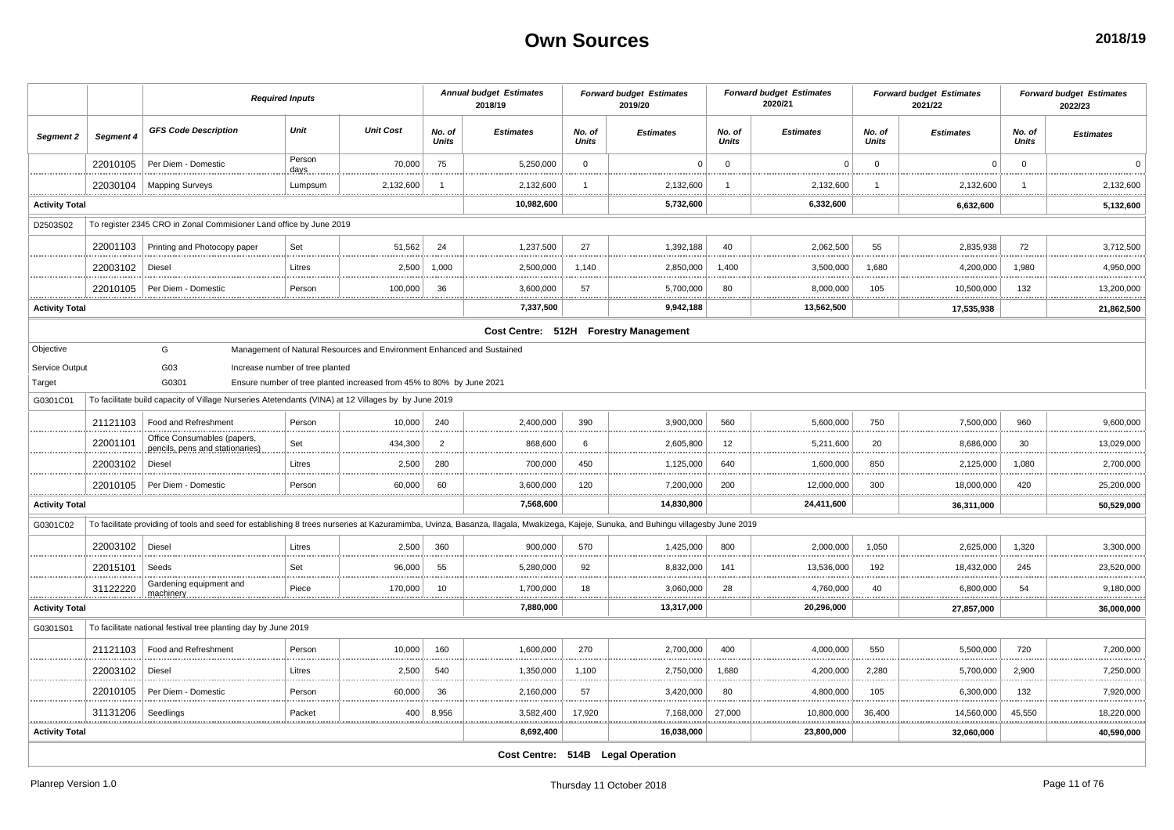|                                               |           | <b>Required Inputs</b>                                                                                                                                                             |                                 |                                                                        |                        | <b>Annual budget Estimates</b><br>2018/19 |                        | <b>Forward budget Estimates</b><br>2019/20 |                        | <b>Forward budget Estimates</b><br>2020/21 |                        | <b>Forward budget Estimates</b><br>2021/22 |                        | <b>Forward budget Estimates</b><br>2022/23 |
|-----------------------------------------------|-----------|------------------------------------------------------------------------------------------------------------------------------------------------------------------------------------|---------------------------------|------------------------------------------------------------------------|------------------------|-------------------------------------------|------------------------|--------------------------------------------|------------------------|--------------------------------------------|------------------------|--------------------------------------------|------------------------|--------------------------------------------|
| Segment 2                                     | Segment 4 | <b>GFS Code Description</b>                                                                                                                                                        | Unit                            | <b>Unit Cost</b>                                                       | No. of<br><b>Units</b> | <b>Estimates</b>                          | No. of<br><b>Units</b> | <b>Estimates</b>                           | No. of<br><b>Units</b> | <b>Estimates</b>                           | No. of<br><b>Units</b> | <b>Estimates</b>                           | No. of<br><b>Units</b> | <b>Estimates</b>                           |
|                                               | 22010105  | Per Diem - Domestic                                                                                                                                                                | Person<br>days.                 | 70,000                                                                 | 75                     | 5,250,000                                 | $\mathbf 0$            | $\Omega$                                   | $\Omega$               | $\Omega$                                   | $\Omega$               | $\Omega$                                   | $\Omega$               | $\Omega$                                   |
|                                               | 22030104  | <b>Mapping Surveys</b>                                                                                                                                                             | Lumpsum                         | 2,132,600                                                              |                        | 2,132,600                                 | -1                     | 2,132,600                                  |                        | 2,132,600                                  |                        | 2,132,600                                  |                        | 2,132,600                                  |
| <b>Activity Total</b>                         |           |                                                                                                                                                                                    |                                 |                                                                        |                        | 10,982,600                                |                        | 5,732,600                                  |                        | 6,332,600                                  |                        | 6,632,600                                  |                        | 5,132,600                                  |
| D2503S02                                      |           | To register 2345 CRO in Zonal Commisioner Land office by June 2019                                                                                                                 |                                 |                                                                        |                        |                                           |                        |                                            |                        |                                            |                        |                                            |                        |                                            |
|                                               | 22001103  | Printing and Photocopy paper                                                                                                                                                       | Set                             | 51,562                                                                 | 24                     | 1,237,500                                 | 27                     | 1,392,188                                  | 40                     | 2,062,500                                  | 55                     | 2,835,938                                  | 72                     | 3,712,500                                  |
|                                               | 22003102  | Diesel                                                                                                                                                                             | Litres                          | 2,500                                                                  | 1,000                  | 2,500,000                                 | 1,140                  | 2,850,000                                  | 1.400                  | 3,500,000                                  | 1,680                  | 4,200,000                                  | 1,980                  | 4,950,000                                  |
|                                               | 22010105  | Per Diem - Domestic                                                                                                                                                                | Person                          | 100,000                                                                | 36                     | 3,600,000                                 | 57                     | 5,700,000                                  | 80                     | 8,000,000                                  | 105                    | 10,500,000                                 | 132                    | 13,200,000                                 |
| <b>*************</b><br><b>Activity Total</b> |           |                                                                                                                                                                                    |                                 |                                                                        |                        | 7,337,500                                 |                        | .<br>9,942,188                             |                        | **************<br>13,562,500               |                        | <b>**************</b><br>17,535,938        |                        | .<br>21,862,500                            |
|                                               |           |                                                                                                                                                                                    |                                 |                                                                        |                        |                                           |                        | Cost Centre: 512H Forestry Management      |                        |                                            |                        |                                            |                        |                                            |
| Objective                                     |           | G                                                                                                                                                                                  |                                 | Management of Natural Resources and Environment Enhanced and Sustained |                        |                                           |                        |                                            |                        |                                            |                        |                                            |                        |                                            |
| Service Output                                |           | G03                                                                                                                                                                                | Increase number of tree planted |                                                                        |                        |                                           |                        |                                            |                        |                                            |                        |                                            |                        |                                            |
| Target                                        |           | G0301                                                                                                                                                                              |                                 | Ensure number of tree planted increased from 45% to 80% by June 2021   |                        |                                           |                        |                                            |                        |                                            |                        |                                            |                        |                                            |
| G0301C01                                      |           | To facilitate build capacity of Village Nurseries Atetendants (VINA) at 12 Villages by by June 2019                                                                                |                                 |                                                                        |                        |                                           |                        |                                            |                        |                                            |                        |                                            |                        |                                            |
|                                               | 21121103  | Food and Refreshment                                                                                                                                                               | Person                          | 10,000                                                                 | 240                    | 2,400,000                                 | 390                    | 3,900,000                                  | 560                    | 5,600,000                                  | 750                    | 7,500,000                                  | 960                    | 9,600,000                                  |
|                                               | 22001101  | Office Consumables (papers,<br>pencils, pens and stationaries)                                                                                                                     | Set                             | 434,300                                                                | $\overline{2}$         | 868,600                                   | 6                      | 2,605,800                                  | 12                     | 5,211,600                                  | 20                     | 8,686,000                                  | 30                     | 13,029,000                                 |
|                                               | 22003102  | Diesel                                                                                                                                                                             | Litres                          | 2,500                                                                  | 280                    | 700,000                                   | 450                    | 1,125,000                                  | 640                    | 1,600,000                                  | 850                    | 2,125,000                                  | 1,080                  | 2,700,000                                  |
|                                               | 22010105  | Per Diem - Domestic                                                                                                                                                                | Person                          | 60,000                                                                 | 60                     | 3,600,000                                 | 120                    | 7,200,000                                  | 200                    | 12,000,000                                 | 300                    | 18,000,000                                 | 420                    | 25,200,000                                 |
| <b>Activity Total</b>                         |           |                                                                                                                                                                                    |                                 |                                                                        |                        | 7,568,600                                 |                        | 14,830,800                                 |                        | 24,411,600                                 |                        | 36,311,000                                 |                        | 50,529,000                                 |
| G0301C02                                      |           | To facilitate providing of tools and seed for establishing 8 trees nurseries at Kazuramimba, Uvinza, Basanza, Ilagala, Mwakizega, Kajeje, Sunuka, and Buhingu villagesby June 2019 |                                 |                                                                        |                        |                                           |                        |                                            |                        |                                            |                        |                                            |                        |                                            |
|                                               | 22003102  | Diesel                                                                                                                                                                             | Litres                          | 2,500                                                                  | 360                    | 900,000                                   | 570                    | 1,425,000                                  | 800                    | 2,000,000                                  | 1,050                  | 2,625,000                                  | 1,320                  | 3,300,000                                  |
|                                               | 22015101  | Seeds                                                                                                                                                                              | Set                             | 96,000                                                                 | 55                     | 5,280,000                                 | 92                     | 8,832,000                                  | 141                    | 13,536,000                                 | 192                    | 18,432,000                                 | 245                    | 23,520,000                                 |
| <b>.</b>                                      | 31122220  | Gardening equipment and<br>machinery                                                                                                                                               | Piece                           | 170,000<br>.                                                           | 10                     | 1,700,000<br>                             | 18<br>                 | 3,060,000<br>                              | 28<br>                 | 4,760,000<br>                              | 40<br>                 | 6,800,000<br>                              | 54                     | 9,180,000<br>                              |
| <b>Activity Total</b>                         |           |                                                                                                                                                                                    |                                 |                                                                        |                        | 7,880,000                                 |                        | 13,317,000                                 |                        | 20,296,000                                 |                        | 27,857,000                                 |                        | 36,000,000                                 |
| G0301S01                                      |           | To facilitate national festival tree planting day by June 2019                                                                                                                     |                                 |                                                                        |                        |                                           |                        |                                            |                        |                                            |                        |                                            |                        |                                            |
|                                               | 21121103  | Food and Refreshment                                                                                                                                                               | Person                          | 10,000                                                                 | 160                    | 1,600,000                                 | 270                    | 2,700,000                                  | 400                    | 4,000,000                                  | 550                    | 5,500,000                                  | 720                    | 7,200,000                                  |
|                                               | 22003102  | Diesel                                                                                                                                                                             | Litres                          | 2,500                                                                  | 540                    | 1,350,000                                 | 1,100                  | 2,750,000                                  | 1,680                  | 4,200,000                                  | 2,280                  | 5,700,000                                  | 2,900                  | 7,250,000                                  |
|                                               | 22010105  | Per Diem - Domestic                                                                                                                                                                | Person                          | 60,000                                                                 | 36                     | 2,160,000                                 | 57                     | 3,420,000                                  | 80                     | 4,800,000                                  | 105                    | 6,300,000                                  | 132                    | 7,920,000                                  |
|                                               | 31131206  | Seedlings                                                                                                                                                                          | Packet                          | 400                                                                    | 8,956                  | 3,582,400                                 | 17,920                 | 7,168,000                                  | 27,000                 | 10,800,000                                 | 36,400                 | 14,560,000                                 | 45,550                 | 18,220,000                                 |
| <b>Activity Total</b>                         |           |                                                                                                                                                                                    |                                 |                                                                        |                        | 8,692,400                                 |                        | 16,038,000                                 |                        | 23,800,000                                 |                        | 32,060,000                                 |                        | 40,590,000                                 |
|                                               |           |                                                                                                                                                                                    |                                 |                                                                        |                        |                                           |                        | Cost Centre: 514B Legal Operation          |                        |                                            |                        |                                            |                        |                                            |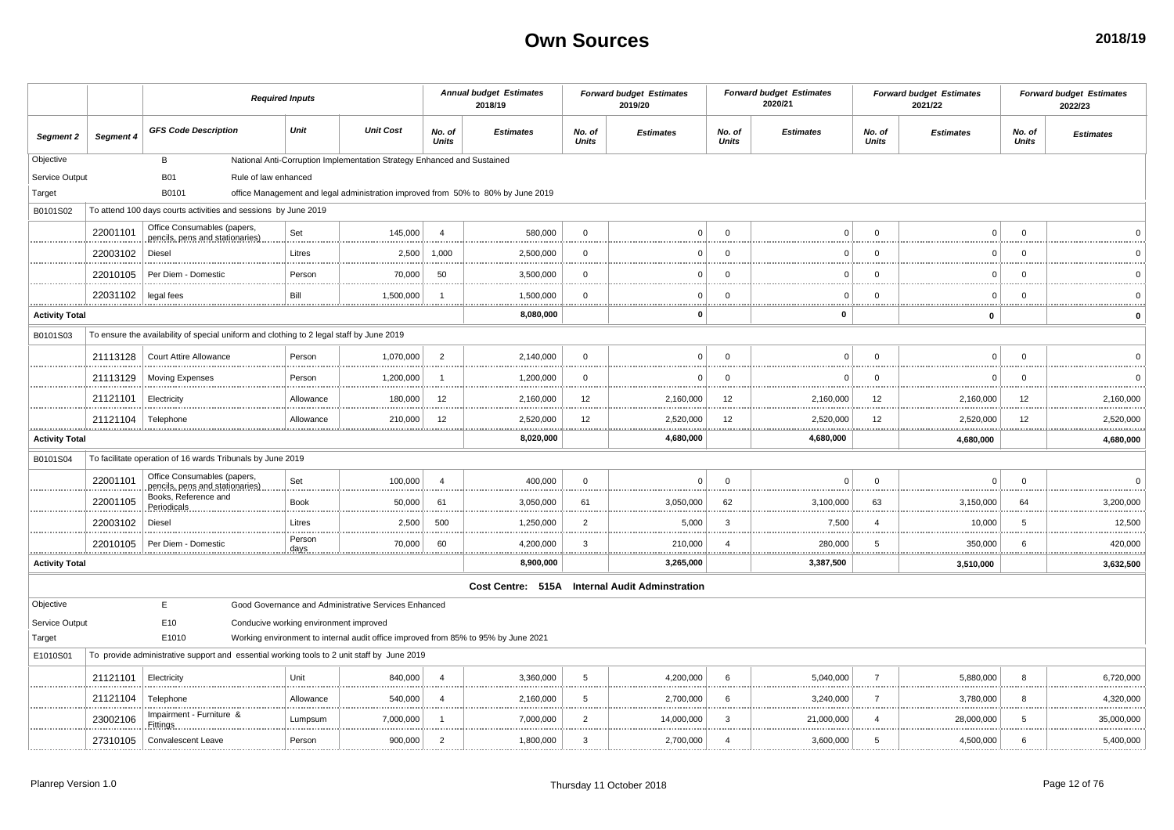|                       |           | <b>Required Inputs</b>                                                                     |                |                                                                                    |                        | <b>Annual budget Estimates</b><br>2018/19                                        |                        | <b>Forward budget Estimates</b><br>2019/20     |                         | <b>Forward budget Estimates</b><br>2020/21 |                 | <b>Forward budget Estimates</b><br>2021/22 |                 | <b>Forward budget Estimates</b><br>2022/23 |
|-----------------------|-----------|--------------------------------------------------------------------------------------------|----------------|------------------------------------------------------------------------------------|------------------------|----------------------------------------------------------------------------------|------------------------|------------------------------------------------|-------------------------|--------------------------------------------|-----------------|--------------------------------------------|-----------------|--------------------------------------------|
| Segment 2             | Segment 4 | <b>GFS Code Description</b>                                                                | Unit           | <b>Unit Cost</b>                                                                   | No. of<br><b>Units</b> | <b>Estimates</b>                                                                 | No. of<br><b>Units</b> | <b>Estimates</b>                               | No. of<br><b>Units</b>  | <b>Estimates</b>                           | No. of<br>Units | <b>Estimates</b>                           | No. of<br>Units | <b>Estimates</b>                           |
| Objective             |           | B                                                                                          |                | National Anti-Corruption Implementation Strategy Enhanced and Sustained            |                        |                                                                                  |                        |                                                |                         |                                            |                 |                                            |                 |                                            |
| Service Output        |           | <b>B01</b><br>Rule of law enhanced                                                         |                |                                                                                    |                        |                                                                                  |                        |                                                |                         |                                            |                 |                                            |                 |                                            |
| Target                |           | B0101                                                                                      |                |                                                                                    |                        | office Management and legal administration improved from 50% to 80% by June 2019 |                        |                                                |                         |                                            |                 |                                            |                 |                                            |
| B0101S02              |           | To attend 100 days courts activities and sessions by June 2019                             |                |                                                                                    |                        |                                                                                  |                        |                                                |                         |                                            |                 |                                            |                 |                                            |
|                       | 22001101  | Office Consumables (papers,<br>pencils, pens and stationaries)                             | Set            | 145,000                                                                            | $\overline{4}$         | 580,000                                                                          | $\mathbf{0}$           | $\Omega$                                       | $\Omega$                | $\mathbf C$                                | $\mathbf 0$     | $\Omega$                                   | $\mathbf{0}$    |                                            |
|                       | 22003102  | Diesel                                                                                     | Litres         | 2,500                                                                              | 1,000                  | 2,500,000                                                                        | $\Omega$<br>           | $\Omega$                                       | $\Omega$                | $\Omega$                                   | $\Omega$        | $\Omega$                                   | $\Omega$        |                                            |
|                       | 22010105  | Per Diem - Domestic                                                                        | Person         | 70,000                                                                             | 50                     | 3,500,000                                                                        | $\Omega$               | 0                                              | $\Omega$                | $\mathbf C$                                | 0               | $\overline{0}$                             | $\mathbf 0$     |                                            |
| .                     | 22031102  | legal fees                                                                                 | Bill           | 1,500,000                                                                          |                        | 1,500,000<br>                                                                    | $\Omega$               | $\Omega$                                       | $\Omega$                | C                                          | $\Omega$        | $\Omega$                                   | $\overline{0}$  |                                            |
| <b>Activity Total</b> |           |                                                                                            |                |                                                                                    |                        | 8,080,000                                                                        |                        | 0                                              |                         | 0                                          |                 | $\bf{0}$                                   |                 | $\mathbf 0$                                |
| B0101S03              |           | To ensure the availability of special uniform and clothing to 2 legal staff by June 2019   |                |                                                                                    |                        |                                                                                  |                        |                                                |                         |                                            |                 |                                            |                 |                                            |
|                       | 21113128  | <b>Court Attire Allowance</b>                                                              | Person         | 1,070,000                                                                          | $\overline{2}$         | 2,140,000                                                                        | $\mathbf 0$<br>        | 0                                              | $\mathbf 0$             | $\Omega$                                   | $\mathbf 0$     | $\overline{0}$                             | $\mathbf{0}$    |                                            |
|                       | 21113129  | <b>Moving Expenses</b>                                                                     | Person         | 1,200,000                                                                          |                        | 1,200,000                                                                        | $\Omega$               | $\Omega$                                       | $\Omega$                | $\Omega$                                   | $\Omega$        | $\Omega$                                   | $\mathbf{0}$    |                                            |
|                       | 21121101  | Electricity                                                                                | Allowance      | 180,000                                                                            | 12                     | 2,160,000                                                                        | 12                     | 2,160,000                                      | 12                      | 2,160,000                                  | 12              | 2,160,000                                  | 12              | 2,160,000                                  |
|                       | 21121104  | Telephone                                                                                  | Allowance      | 210,000                                                                            | 12                     | 2,520,000<br>.                                                                   | 12<br>. <u>.</u>       | 2,520,000                                      | 12                      | 2,520,000                                  | 12              | 2,520,000                                  | 12              | 2,520,000<br><u></u>                       |
| <b>Activity Total</b> |           |                                                                                            |                |                                                                                    |                        | 8,020,000                                                                        |                        | <u></u><br>4,680,000                           |                         | 4,680,000                                  |                 | 4,680,000                                  |                 | 4,680,000                                  |
| B0101S04              |           | To facilitate operation of 16 wards Tribunals by June 2019                                 |                |                                                                                    |                        |                                                                                  |                        |                                                |                         |                                            |                 |                                            |                 |                                            |
|                       | 22001101  | Office Consumables (papers,<br>pencils, pens and stationaries)                             | Set            | 100,000                                                                            | $\overline{4}$         | 400,000                                                                          | $\mathbf 0$            | $\Omega$                                       | $\Omega$                | $\Omega$                                   | $\mathbf 0$     | $\Omega$                                   | $\mathbf 0$     | $\Omega$<br>.                              |
|                       | 22001105  | Books, Reference and<br>Periodicals                                                        | <b>Book</b>    | 50,000                                                                             | 61                     | 3,050,000                                                                        | 61                     | 3,050,000                                      | 62                      | 3,100,000                                  | 63              | 3,150,000                                  | 64              | 3,200,000                                  |
|                       | 22003102  | Diesel                                                                                     | Litres         | 2,500                                                                              | 500                    | 1,250,000                                                                        | $\overline{2}$         | 5,000                                          | 3                       | 7,500                                      | $\overline{4}$  | 10,000                                     | -5              | 12,500                                     |
|                       | 22010105  | Per Diem - Domestic                                                                        | Person<br>days | 70,000                                                                             | 60                     | 4,200,000<br>.                                                                   | 3<br>.                 | 210,000                                        | $\Delta$                | 280,000                                    | 5               | 350,000                                    | 6               | 420,000<br>.                               |
| <b>Activity Total</b> |           |                                                                                            |                |                                                                                    |                        | 8,900,000                                                                        |                        | 3,265,000                                      |                         | 3,387,500                                  |                 | 3,510,000                                  |                 | 3,632,500                                  |
|                       |           |                                                                                            |                |                                                                                    |                        |                                                                                  |                        | Cost Centre: 515A Internal Audit Adminstration |                         |                                            |                 |                                            |                 |                                            |
| Objective             |           | E.                                                                                         |                | Good Governance and Administrative Services Enhanced                               |                        |                                                                                  |                        |                                                |                         |                                            |                 |                                            |                 |                                            |
| Service Output        |           | E <sub>10</sub><br>Conducive working environment improved                                  |                |                                                                                    |                        |                                                                                  |                        |                                                |                         |                                            |                 |                                            |                 |                                            |
| Target                |           | E1010                                                                                      |                | Working environment to internal audit office improved from 85% to 95% by June 2021 |                        |                                                                                  |                        |                                                |                         |                                            |                 |                                            |                 |                                            |
| E1010S01              |           | To provide administrative support and essential working tools to 2 unit staff by June 2019 |                |                                                                                    |                        |                                                                                  |                        |                                                |                         |                                            |                 |                                            |                 |                                            |
|                       | 21121101  | Electricity                                                                                | Unit           | 840,000                                                                            | $\overline{4}$         | 3,360,000                                                                        | 5                      | 4,200,000                                      | 6                       | 5,040,000                                  | $\overline{7}$  | 5,880,000                                  | 8               | 6,720,000                                  |
|                       | 21121104  | Telephone                                                                                  | Allowance      | 540,000                                                                            | $\overline{a}$         | 2,160,000                                                                        | 5                      | 2,700,000                                      | 6                       | 3,240,000                                  | $\overline{7}$  | 3,780,000                                  | 8               | 4,320,000                                  |
|                       | 23002106  | Impairment - Furniture &<br>Fittings                                                       | Lumpsum        | 7,000,000                                                                          |                        | 7,000,000                                                                        | $\overline{2}$         | 14,000,000                                     | 3                       | 21,000,000                                 | $\overline{4}$  | 28,000,000                                 | -5              | 35,000,000                                 |
|                       | 27310105  | Convalescent Leave                                                                         | Person         | 900,000                                                                            | $\overline{2}$         | 1,800,000                                                                        | 3                      | 2,700,000                                      | $\overline{\mathbf{4}}$ | 3,600,000                                  | 5               | 4,500,000                                  | 6               | 5,400,000                                  |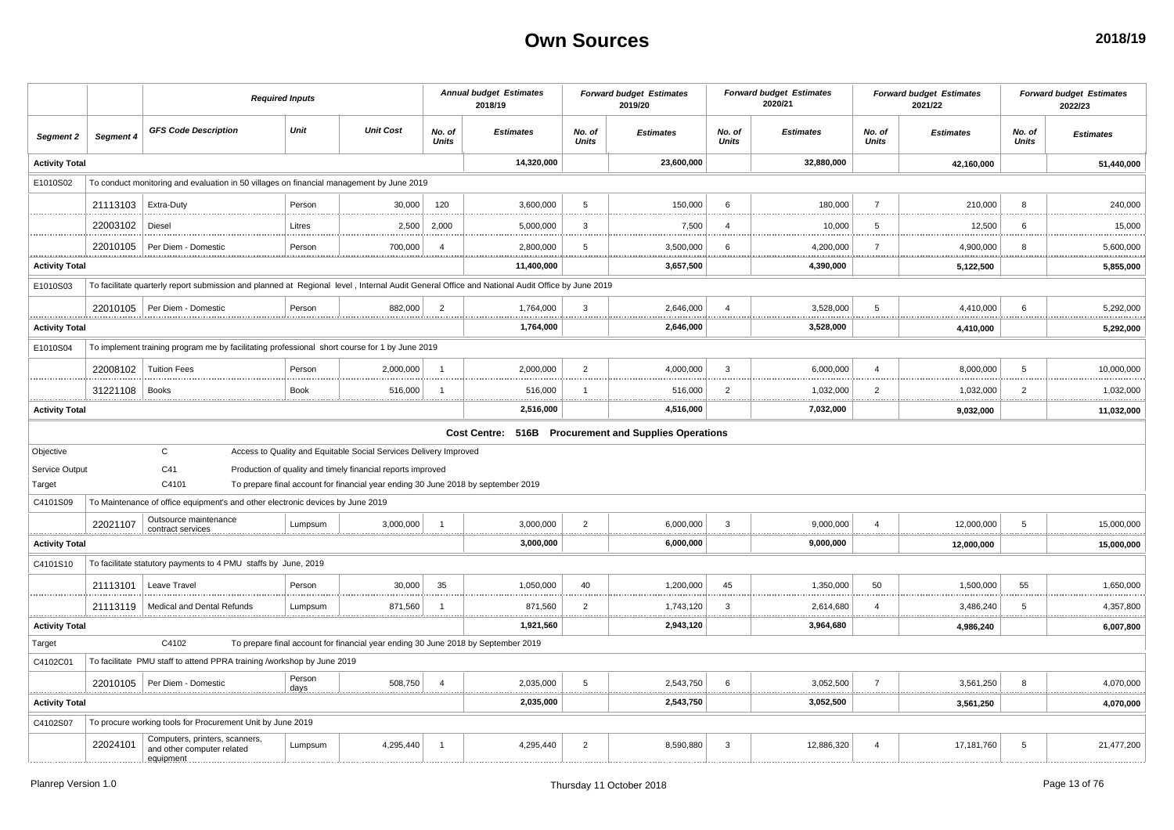|                       |               | <b>Required Inputs</b>                                                                                                                        |             |                                                                                   |                        | <b>Annual budget Estimates</b><br>2018/19 |                        | <b>Forward budget Estimates</b><br>2019/20            |                         | <b>Forward budget Estimates</b><br>2020/21 |                         | <b>Forward budget Estimates</b><br>2021/22 |                        | <b>Forward budget Estimates</b><br>2022/23 |
|-----------------------|---------------|-----------------------------------------------------------------------------------------------------------------------------------------------|-------------|-----------------------------------------------------------------------------------|------------------------|-------------------------------------------|------------------------|-------------------------------------------------------|-------------------------|--------------------------------------------|-------------------------|--------------------------------------------|------------------------|--------------------------------------------|
| Segment 2             | Segment 4     | <b>GFS Code Description</b>                                                                                                                   | Unit        | <b>Unit Cost</b>                                                                  | No. of<br><b>Units</b> | <b>Estimates</b>                          | No. of<br><b>Units</b> | <b>Estimates</b>                                      | No. of<br><b>Units</b>  | <b>Estimates</b>                           | No. of<br><b>Units</b>  | <b>Estimates</b>                           | No. of<br><b>Units</b> | <b>Estimates</b>                           |
| <b>Activity Total</b> |               |                                                                                                                                               |             |                                                                                   |                        | 14,320,000                                |                        | 23,600,000                                            |                         | 32,880,000                                 |                         | 42,160,000                                 |                        | 51,440,000                                 |
| E1010S02              |               | To conduct monitoring and evaluation in 50 villages on financial management by June 2019                                                      |             |                                                                                   |                        |                                           |                        |                                                       |                         |                                            |                         |                                            |                        |                                            |
|                       | 21113103      | Extra-Duty                                                                                                                                    | Person      | 30,000                                                                            | 120                    | 3,600,000                                 | 5                      | 150,000                                               | 6                       | 180,000                                    | $\overline{7}$          | 210,000                                    | -8                     | 240,000                                    |
|                       | 22003102      | Diesel                                                                                                                                        | Litres      | 2,500                                                                             | 2,000                  | 5,000,000                                 | 3                      | 7,500                                                 | $\overline{4}$          | 10,000                                     | 5                       | 12,500                                     | 6                      | 15,000                                     |
|                       | 22010105<br>. | Per Diem - Domestic                                                                                                                           | Person      | 700,000                                                                           | $\overline{4}$         | 2,800,000                                 | 5                      | 3,500,000                                             | 6                       | 4,200,000                                  | $\overline{7}$          | 4,900,000                                  | -8                     | 5,600,000<br>.                             |
| <b>Activity Total</b> |               |                                                                                                                                               |             |                                                                                   |                        | 11,400,000                                |                        | 3,657,500                                             |                         | 4,390,000                                  |                         | 5,122,500                                  |                        | 5,855,000                                  |
| E1010S03              |               | To facilitate quarterly report submission and planned at Regional level, Internal Audit General Office and National Audit Office by June 2019 |             |                                                                                   |                        |                                           |                        |                                                       |                         |                                            |                         |                                            |                        |                                            |
|                       |               | 22010105   Per Diem - Domestic                                                                                                                | Person      | 882,000<br>.                                                                      | $\overline{2}$         | 1,764,000                                 | $\mathbf{3}$           | 2,646,000                                             | $\overline{\mathbf{4}}$ | 3,528,000                                  | 5                       | 4,410,000                                  | 6                      | 5,292,000                                  |
| <b>Activity Total</b> |               |                                                                                                                                               |             |                                                                                   |                        | 1,764,000                                 |                        | 2,646,000                                             |                         | 3,528,000                                  |                         | 4,410,000                                  |                        | 5,292,000                                  |
| E1010S04              |               | To implement training program me by facilitating professional short course for 1 by June 2019                                                 |             |                                                                                   |                        |                                           |                        |                                                       |                         |                                            |                         |                                            |                        |                                            |
|                       | 22008102      | <b>Tuition Fees</b>                                                                                                                           | Person      | 2,000,000                                                                         | - 1                    | 2,000,000                                 | $\overline{2}$         | 4,000,000                                             | 3                       | 6,000,000                                  | $\overline{4}$          | 8,000,000                                  | 5                      | 10,000,000                                 |
|                       | 31221108      | <b>Books</b>                                                                                                                                  | <b>Book</b> | 516,000                                                                           |                        | 516,000                                   |                        | 516,000                                               | $\overline{2}$          | 1,032,000                                  | 2                       | 1,032,000                                  | $\overline{2}$         | 1,032,000                                  |
| <b>Activity Total</b> |               |                                                                                                                                               |             |                                                                                   |                        | 2,516,000                                 |                        | 4,516,000                                             |                         | 7,032,000                                  |                         | 9,032,000                                  |                        | 11,032,000                                 |
|                       |               |                                                                                                                                               |             |                                                                                   |                        |                                           |                        | Cost Centre: 516B Procurement and Supplies Operations |                         |                                            |                         |                                            |                        |                                            |
| Objective             |               | $\mathtt{C}$                                                                                                                                  |             | Access to Quality and Equitable Social Services Delivery Improved                 |                        |                                           |                        |                                                       |                         |                                            |                         |                                            |                        |                                            |
| Service Output        |               | C <sub>41</sub>                                                                                                                               |             | Production of quality and timely financial reports improved                       |                        |                                           |                        |                                                       |                         |                                            |                         |                                            |                        |                                            |
| Target                |               | C4101                                                                                                                                         |             | To prepare final account for financial year ending 30 June 2018 by september 2019 |                        |                                           |                        |                                                       |                         |                                            |                         |                                            |                        |                                            |
| C4101S09              |               | To Maintenance of office equipment's and other electronic devices by June 2019                                                                |             |                                                                                   |                        |                                           |                        |                                                       |                         |                                            |                         |                                            |                        |                                            |
|                       | 22021107<br>  | Outsource maintenance                                                                                                                         | Lumpsum     | 3,000,000                                                                         | $\overline{1}$         | 3,000,000<br>.                            | $\overline{2}$         | 6,000,000                                             | $\mathbf{3}$            | 9,000,000                                  | $\overline{a}$          | 12,000,000                                 | 5                      | 15,000,000<br>                             |
| <b>Activity Total</b> |               |                                                                                                                                               |             |                                                                                   |                        | 3,000,000                                 |                        | 6,000,000                                             |                         | 9,000,000                                  |                         | 12,000,000                                 |                        | 15,000,000                                 |
| C4101S10              |               | To facilitate statutory payments to 4 PMU staffs by June, 2019                                                                                |             |                                                                                   |                        |                                           |                        |                                                       |                         |                                            |                         |                                            |                        |                                            |
|                       | 21113101      | Leave Travel                                                                                                                                  | Person      | 30,000                                                                            | 35                     | 1,050,000                                 | 40                     | 1,200,000                                             | 45                      | 1,350,000                                  | 50                      | 1,500,000                                  | 55                     | 1,650,000                                  |
|                       |               | 21113119   Medical and Dental Refunds                                                                                                         | Lumpsum     | 871,560                                                                           |                        | 871,560                                   | $\overline{2}$         | 1,743,120                                             | 3                       | 2,614,680                                  | $\overline{\mathbf{4}}$ | 3,486,240                                  | -5                     | 4,357,800<br>.                             |
| <b>Activity Total</b> |               |                                                                                                                                               |             |                                                                                   |                        | 1,921,560                                 |                        | 2,943,120                                             |                         | 3,964,680                                  |                         | 4,986,240                                  |                        | 6,007,800                                  |
| Target                |               | C4102                                                                                                                                         |             | To prepare final account for financial year ending 30 June 2018 by September 2019 |                        |                                           |                        |                                                       |                         |                                            |                         |                                            |                        |                                            |
| C4102C01              |               | To facilitate PMU staff to attend PPRA training /workshop by June 2019                                                                        |             |                                                                                   |                        |                                           |                        |                                                       |                         |                                            |                         |                                            |                        |                                            |
|                       |               | 22010105   Per Diem - Domestic                                                                                                                | Person      | 508,750                                                                           | $\overline{4}$         | 2,035,000<br>.<br><u></u>                 | 5<br>.                 | 2,543,750<br><u></u>                                  | 6                       | 3,052,500                                  | $\overline{7}$          | 3,561,250                                  | 8                      | 4,070,000<br>. <u>.</u>                    |
| <b>Activity Total</b> |               |                                                                                                                                               |             |                                                                                   |                        | 2,035,000                                 |                        | 2,543,750                                             |                         | 3,052,500                                  |                         | 3,561,250                                  |                        | 4,070,000                                  |
| C4102S07              |               | To procure working tools for Procurement Unit by June 2019                                                                                    |             |                                                                                   |                        |                                           |                        |                                                       |                         |                                            |                         |                                            |                        |                                            |
|                       | 22024101      | Computers, printers, scanners,<br>and other computer related                                                                                  | Lumpsum     | 4,295,440                                                                         | $\overline{1}$         | 4,295,440                                 | $\overline{2}$         | 8,590,880                                             | 3                       | 12,886,320                                 | $\overline{a}$          | 17,181,760                                 | 5                      | 21,477,200                                 |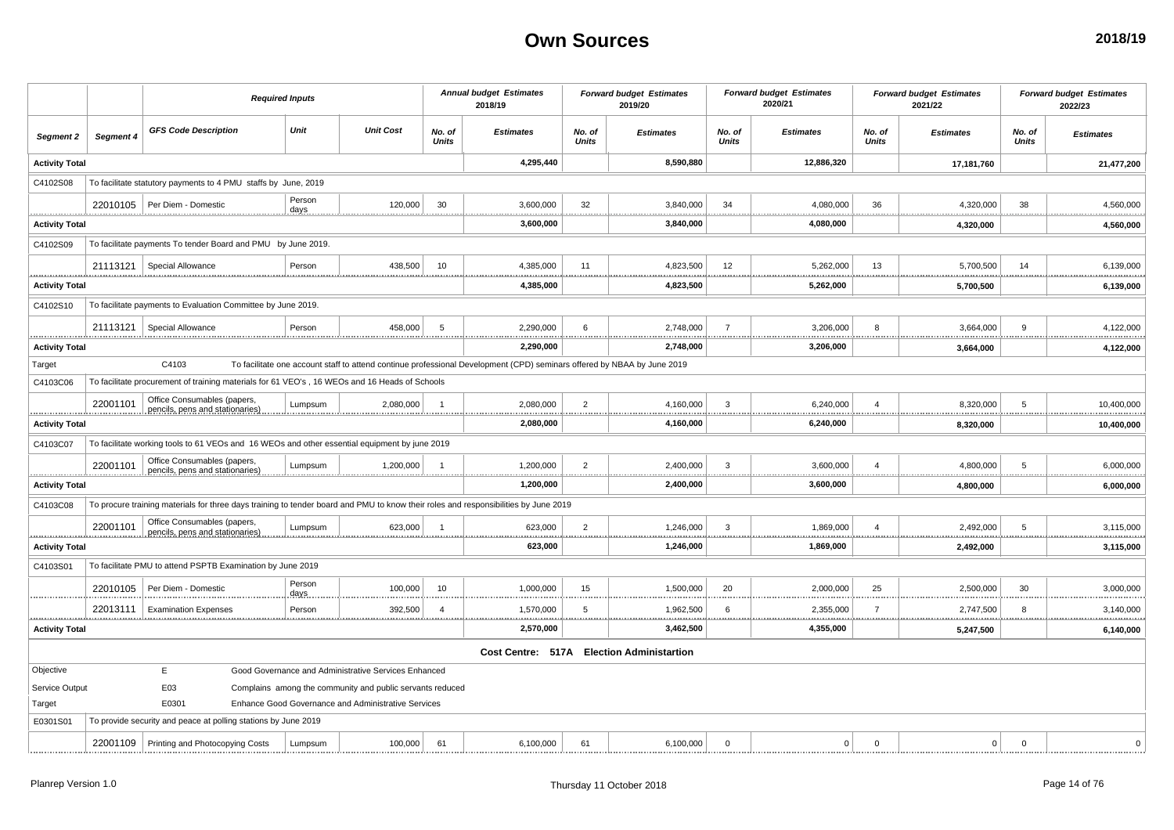|                            |               |                                                                                                                                     | <b>Required Inputs</b> |                |                                                           |                        | <b>Annual budget Estimates</b><br>2018/19                                                                               |                        | <b>Forward budget Estimates</b><br>2019/20 |                        | <b>Forward budget Estimates</b><br>2020/21 |                         | <b>Forward budget Estimates</b><br>2021/22 |                 | <b>Forward budget Estimates</b><br>2022/23 |
|----------------------------|---------------|-------------------------------------------------------------------------------------------------------------------------------------|------------------------|----------------|-----------------------------------------------------------|------------------------|-------------------------------------------------------------------------------------------------------------------------|------------------------|--------------------------------------------|------------------------|--------------------------------------------|-------------------------|--------------------------------------------|-----------------|--------------------------------------------|
| Segment 2                  | Segment 4     | <b>GFS Code Description</b>                                                                                                         |                        | Unit           | <b>Unit Cost</b>                                          | No. of<br><b>Units</b> | <b>Estimates</b>                                                                                                        | No. of<br><b>Units</b> | <b>Estimates</b>                           | No. of<br><b>Units</b> | <b>Estimates</b>                           | No. of<br><b>Units</b>  | <b>Estimates</b>                           | No. of<br>Units | <b>Estimates</b>                           |
| <b>Activity Total</b>      |               |                                                                                                                                     |                        |                |                                                           |                        | 4,295,440                                                                                                               |                        | 8,590,880                                  |                        | 12,886,320                                 |                         | 17,181,760                                 |                 | 21,477,200                                 |
| C4102S08                   |               | To facilitate statutory payments to 4 PMU staffs by June, 2019                                                                      |                        |                |                                                           |                        |                                                                                                                         |                        |                                            |                        |                                            |                         |                                            |                 |                                            |
|                            | 22010105      | Per Diem - Domestic                                                                                                                 |                        | Person<br>days | 120,000                                                   | 30                     | 3,600,000                                                                                                               | 32                     | 3,840,000                                  | 34                     | 4,080,000                                  | 36                      | 4,320,000                                  | 38              | 4,560,000                                  |
| <b>Activity Total</b>      |               |                                                                                                                                     |                        |                |                                                           |                        | . <u>.</u><br>3,600,000                                                                                                 | .                      | <u>.</u><br>3,840,000                      |                        | 4,080,000                                  |                         | 4,320,000                                  |                 | .<br>4,560,000                             |
| C4102S09                   |               | To facilitate payments To tender Board and PMU by June 2019.                                                                        |                        |                |                                                           |                        |                                                                                                                         |                        |                                            |                        |                                            |                         |                                            |                 |                                            |
|                            | 21113121      | Special Allowance                                                                                                                   |                        | Person         | 438,500                                                   | 10                     | 4,385,000                                                                                                               | 11                     | 4,823,500                                  | 12                     | 5,262,000                                  | 13                      | 5,700,500                                  | 14              | 6,139,000                                  |
| <b>Activity Total</b>      |               |                                                                                                                                     |                        |                |                                                           |                        | 4,385,000                                                                                                               |                        | 4,823,500                                  |                        | 5,262,000                                  |                         | 5,700,500                                  |                 | .<br>6,139,000                             |
| C4102S10                   |               | To facilitate payments to Evaluation Committee by June 2019.                                                                        |                        |                |                                                           |                        |                                                                                                                         |                        |                                            |                        |                                            |                         |                                            |                 |                                            |
|                            | 21113121      | Special Allowance                                                                                                                   |                        | Person         | 458,000                                                   | 5                      | 2,290,000                                                                                                               | 6                      | 2,748,000                                  | $\overline{7}$         | 3,206,000                                  | 8                       | 3,664,000                                  | $\mathbf{q}$    | 4,122,000                                  |
| <b>Activity Total</b>      |               |                                                                                                                                     |                        |                |                                                           |                        | 2,290,000                                                                                                               |                        | 2,748,000                                  |                        | 3,206,000                                  |                         | 3,664,000                                  |                 | 4,122,000                                  |
| Target                     |               | C4103                                                                                                                               |                        |                |                                                           |                        | To facilitate one account staff to attend continue professional Development (CPD) seminars offered by NBAA by June 2019 |                        |                                            |                        |                                            |                         |                                            |                 |                                            |
| C4103C06                   |               | To facilitate procurement of training materials for 61 VEO's, 16 WEOs and 16 Heads of Schools                                       |                        |                |                                                           |                        |                                                                                                                         |                        |                                            |                        |                                            |                         |                                            |                 |                                            |
|                            | 22001101      | Office Consumables (papers,<br>pencils, pens and stationaries                                                                       |                        | Lumpsum        | 2,080,000                                                 |                        | 2,080,000<br>                                                                                                           | $\overline{2}$         | 4,160,000<br><u>    </u><br>               | -3                     | 6,240,000                                  | $\overline{4}$          | 8,320,000                                  | -5              | 10,400,000                                 |
| <b>Activity Total</b>      |               |                                                                                                                                     |                        |                |                                                           |                        | 2,080,000                                                                                                               |                        | 4,160,000                                  |                        | 6,240,000                                  |                         | 8,320,000                                  |                 | 10,400,000                                 |
| C4103C07                   |               | To facilitate working tools to 61 VEOs and 16 WEOs and other essential equipment by june 2019                                       |                        |                |                                                           |                        |                                                                                                                         |                        |                                            |                        |                                            |                         |                                            |                 |                                            |
|                            | 22001101<br>. | Office Consumables (papers,<br>pencils, pens and stationaries)                                                                      |                        | Lumpsum        | 1,200,000                                                 | -1                     | 1,200,000                                                                                                               | $\overline{2}$         | 2,400,000                                  | 3                      | 3,600,000                                  | $\overline{\mathbf{4}}$ | 4,800,000                                  | 5               | 6,000,000<br>.<br>                         |
| .<br><b>Activity Total</b> |               |                                                                                                                                     |                        |                |                                                           |                        | 1,200,000                                                                                                               |                        | 2,400,000                                  |                        | 3,600,000                                  |                         | 4,800,000                                  |                 | 6,000,000                                  |
| C4103C08                   |               | To procure training materials for three days training to tender board and PMU to know their roles and responsibilities by June 2019 |                        |                |                                                           |                        |                                                                                                                         |                        |                                            |                        |                                            |                         |                                            |                 |                                            |
|                            | 22001101      | Office Consumables (papers,<br>pencils, pens and stationaries)                                                                      |                        | Lumpsum        | 623,000                                                   |                        | 623,000                                                                                                                 | $\overline{2}$         | 1,246,000                                  | 3                      | 1,869,000                                  | $\overline{\mathbf{4}}$ | 2,492,000                                  | -5              | 3,115,000                                  |
| <b>Activity Total</b>      |               |                                                                                                                                     |                        |                |                                                           |                        | 623,000                                                                                                                 |                        | <u>.</u><br>1,246,000                      |                        | 1,869,000                                  |                         | 2,492,000                                  |                 | .<br>3,115,000                             |
| C4103S01                   |               | To facilitate PMU to attend PSPTB Examination by June 2019                                                                          |                        |                |                                                           |                        |                                                                                                                         |                        |                                            |                        |                                            |                         |                                            |                 |                                            |
|                            | 22010105      | Per Diem - Domestic                                                                                                                 |                        | Person<br>days | 100,000                                                   | 10                     | 1,000,000                                                                                                               | 15                     | 1,500,000<br>                              | 20                     | 2,000,000                                  | 25                      | 2,500,000                                  | 30              | 3,000,000<br>                              |
| .                          | 22013111      | <b>Examination Expenses</b>                                                                                                         |                        | Person         | 392,500                                                   | $\overline{a}$         | 1,570,000<br>                                                                                                           | 5                      | 1,962,500<br>                              | 6                      | 2,355,000                                  | $\overline{7}$          | 2,747,500                                  | 8               | 3,140,000                                  |
| <b>Activity Total</b>      |               |                                                                                                                                     |                        |                |                                                           |                        | 2,570,000                                                                                                               |                        | <br>3,462,500                              |                        | 4,355,000                                  |                         | 5,247,500                                  |                 | 6,140,000                                  |
|                            |               |                                                                                                                                     |                        |                |                                                           |                        |                                                                                                                         |                        | Cost Centre: 517A Election Administartion  |                        |                                            |                         |                                            |                 |                                            |
| Objective                  |               | E.                                                                                                                                  |                        |                | Good Governance and Administrative Services Enhanced      |                        |                                                                                                                         |                        |                                            |                        |                                            |                         |                                            |                 |                                            |
| Service Output             |               | E03                                                                                                                                 |                        |                | Complains among the community and public servants reduced |                        |                                                                                                                         |                        |                                            |                        |                                            |                         |                                            |                 |                                            |
| Target                     |               | E0301                                                                                                                               |                        |                | Enhance Good Governance and Administrative Services       |                        |                                                                                                                         |                        |                                            |                        |                                            |                         |                                            |                 |                                            |
| E0301S01                   |               | To provide security and peace at polling stations by June 2019                                                                      |                        |                |                                                           |                        |                                                                                                                         |                        |                                            |                        |                                            |                         |                                            |                 |                                            |
|                            |               | 22001109   Printing and Photocopying Costs                                                                                          |                        | Lumpsum        | 100,000                                                   | 61                     | 6,100,000                                                                                                               | 61                     | 6,100,000                                  | $\mathbf 0$            | 0                                          | $\mathbf 0$             | $\mathbf 0$                                | $\mathbf 0$     | $\Omega$                                   |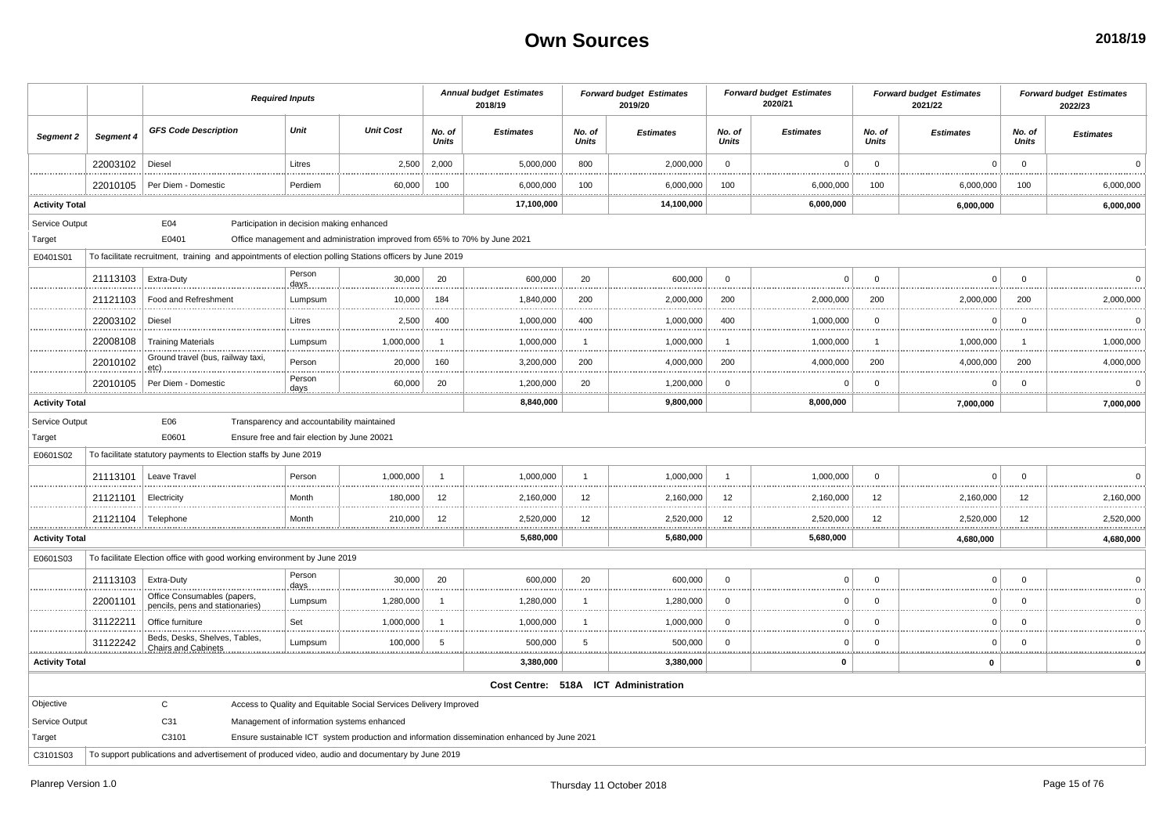|                       |           |                                                                                                         | <b>Required Inputs</b>                      |                                                                            |                         | <b>Annual budget Estimates</b><br>2018/19                                                    |                        | <b>Forward budget Estimates</b><br>2019/20 |                        | <b>Forward budget Estimates</b><br>2020/21 |                        | <b>Forward budget Estimates</b><br>2021/22 |                 | <b>Forward budget Estimates</b><br>2022/23 |
|-----------------------|-----------|---------------------------------------------------------------------------------------------------------|---------------------------------------------|----------------------------------------------------------------------------|-------------------------|----------------------------------------------------------------------------------------------|------------------------|--------------------------------------------|------------------------|--------------------------------------------|------------------------|--------------------------------------------|-----------------|--------------------------------------------|
| Segment 2             | Segment 4 | <b>GFS Code Description</b>                                                                             | Unit                                        | <b>Unit Cost</b>                                                           | No. of<br><b>Units</b>  | <b>Estimates</b>                                                                             | No. of<br><b>Units</b> | <b>Estimates</b>                           | No. of<br><b>Units</b> | <b>Estimates</b>                           | No. of<br><b>Units</b> | <b>Estimates</b>                           | No. of<br>Units | <b>Estimates</b>                           |
|                       | 22003102  | Diesel                                                                                                  | Litres                                      | 2,500                                                                      | 2,000                   | 5,000,000                                                                                    | 800                    | 2,000,000                                  | $\mathbf 0$            | $\mathsf 0$                                | $\mathsf 0$            | $\Omega$                                   | $\mathbf 0$     | $\Omega$                                   |
|                       | 22010105  | Per Diem - Domestic                                                                                     | Perdiem                                     | 60,000                                                                     | 100                     | 6,000,000                                                                                    | 100                    | 6,000,000                                  | 100                    | 6,000,000                                  | 100                    | 6,000,000                                  | 100             | 6,000,000                                  |
| <b>Activity Total</b> |           |                                                                                                         |                                             |                                                                            |                         | 17,100,000                                                                                   |                        | 14,100,000                                 |                        | <br>6,000,000                              |                        | <br>6,000,000                              |                 | <br>6,000,000                              |
| Service Output        |           | E04                                                                                                     | Participation in decision making enhanced   |                                                                            |                         |                                                                                              |                        |                                            |                        |                                            |                        |                                            |                 |                                            |
| Target                |           | E0401                                                                                                   |                                             | Office management and administration improved from 65% to 70% by June 2021 |                         |                                                                                              |                        |                                            |                        |                                            |                        |                                            |                 |                                            |
| E0401S01              |           | To facilitate recruitment, training and appointments of election polling Stations officers by June 2019 |                                             |                                                                            |                         |                                                                                              |                        |                                            |                        |                                            |                        |                                            |                 |                                            |
|                       | 21113103  | Extra-Duty                                                                                              | Person<br>days                              | 30,000                                                                     | 20                      | 600,000                                                                                      | 20                     | 600,000                                    | $\Omega$               | $\Omega$                                   | $\Omega$               | $\Omega$                                   | $\Omega$        | $\Omega$                                   |
|                       | 21121103  | Food and Refreshment                                                                                    | Lumpsum                                     | 10,000                                                                     | 184                     | 1,840,000                                                                                    | 200                    | 2,000,000                                  | 200                    | 2,000,000                                  | 200                    | 2,000,000                                  | 200             | 2,000,000                                  |
|                       | 22003102  | Diesel                                                                                                  | Litres                                      | 2,500                                                                      | 400                     | 1,000,000                                                                                    | 400                    | 1,000,000                                  | 400                    | 1,000,000                                  | $\mathbf 0$            | 0                                          | $\mathbf 0$     | $\mathbf 0$<br>                            |
|                       | 22008108  | <b>Training Materials</b>                                                                               | Lumpsum                                     | 1,000,000                                                                  | $\overline{\mathbf{1}}$ | 1,000,000                                                                                    | $\mathbf{1}$<br>.      | 1,000,000                                  | $\overline{1}$         | 1,000,000                                  | $\overline{1}$         | 1,000,000                                  | $\overline{1}$  | 1,000,000<br>.                             |
|                       | 22010102  | Ground travel (bus, railway taxi,<br>etc).                                                              | Person                                      | 20,000                                                                     | 160                     | 3,200,000                                                                                    | 200                    | 4,000,000                                  | 200                    | 4,000,000                                  | 200                    | 4.000.000                                  | 200             | 4,000,000                                  |
|                       | 22010105  | Per Diem - Domestic                                                                                     | Person<br>days.                             | 60,000                                                                     | 20                      | 1,200,000                                                                                    | 20                     | 1,200,000                                  | $\mathbf 0$<br>.       | 0<br>                                      | $\mathbf 0$            | $\Omega$                                   | $\mathbf 0$     | $\Omega$<br>.                              |
| <b>Activity Total</b> |           |                                                                                                         |                                             |                                                                            |                         | 8,840,000                                                                                    |                        | 9,800,000                                  |                        | 8,000,000                                  |                        | 7,000,000                                  |                 | 7,000,000                                  |
| Service Output        |           | E06<br>E0601                                                                                            | Ensure free and fair election by June 20021 | Transparency and accountability maintained                                 |                         |                                                                                              |                        |                                            |                        |                                            |                        |                                            |                 |                                            |
| Target<br>E0601S02    |           | To facilitate statutory payments to Election staffs by June 2019                                        |                                             |                                                                            |                         |                                                                                              |                        |                                            |                        |                                            |                        |                                            |                 |                                            |
|                       |           |                                                                                                         |                                             |                                                                            |                         |                                                                                              |                        |                                            |                        |                                            |                        |                                            |                 |                                            |
|                       | 21113101  | Leave Travel                                                                                            | Person                                      | 1,000,000                                                                  | $\overline{1}$          | 1,000,000                                                                                    | $\mathbf{1}$           | 1,000,000                                  | $\overline{1}$         | 1,000,000                                  | $\mathbf 0$            | $\Omega$                                   | $\mathbf 0$     | $\Omega$                                   |
|                       | 21121101  | Electricity                                                                                             | Month                                       | 180,000                                                                    | 12                      | 2,160,000<br>                                                                                | 12<br>.                | 2,160,000                                  | 12                     | 2,160,000                                  | 12                     | 2,160,000<br>.                             | 12              | 2,160,000<br>                              |
|                       | 21121104  | Telephone<br>.                                                                                          | Month                                       | 210,000<br><b></b>                                                         | 12                      | 2,520,000<br>.                                                                               | 12<br>.                | 2,520,000                                  | 12                     | 2,520,000                                  | 12                     | 2,520,000<br>.                             | 12<br>11111     | 2,520,000                                  |
| <b>Activity Total</b> |           |                                                                                                         |                                             |                                                                            |                         | 5,680,000                                                                                    |                        | 5,680,000                                  |                        | 5,680,000                                  |                        | 4,680,000                                  |                 | 4,680,000                                  |
| E0601S03              |           | To facilitate Election office with good working environment by June 2019                                |                                             |                                                                            |                         |                                                                                              |                        |                                            |                        |                                            |                        |                                            |                 |                                            |
|                       | 21113103  | Extra-Duty                                                                                              | Person<br>days                              | 30,000                                                                     | 20                      | 600,000                                                                                      | 20                     | 600,000                                    | $\mathbf 0$            | $\mathbf 0$                                | $\mathsf 0$            | $\mathbf 0$                                | $\mathbf 0$     | $\Omega$                                   |
|                       | 22001101  | Office Consumables (papers,<br>pencils, pens and stationaries)                                          | Lumpsum                                     | 1,280,000                                                                  | $\overline{1}$          | 1,280,000                                                                                    | $\mathbf{1}$           | 1,280,000                                  | $\mathbf 0$            | $\mathbf 0$                                | $\mathbf 0$            | $\Omega$                                   | $\mathbf 0$     |                                            |
|                       | 31122211  | Office furniture                                                                                        | Set                                         | 1,000,000                                                                  | $\overline{1}$          | 1,000,000                                                                                    |                        | 1,000,000                                  | $\mathbf 0$            | $\Omega$                                   | $\mathbf 0$            | $\Omega$                                   | $\Omega$        |                                            |
|                       | 31122242  | Beds, Desks, Shelves, Tables,<br><b>Chairs and Cabinets</b>                                             | Lumpsum                                     | 100,000                                                                    | -5                      | 500,000                                                                                      | 5                      | 500,000<br><br>                            | $\mathbf 0$<br>        | $\Omega$<br>                               | $\Omega$               | $\Omega$                                   | $\Omega$        |                                            |
| <b>Activity Total</b> |           |                                                                                                         |                                             |                                                                            |                         | 3,380,000                                                                                    |                        | 3,380,000                                  |                        | $\mathbf 0$                                |                        | 0                                          |                 |                                            |
|                       |           |                                                                                                         |                                             |                                                                            |                         |                                                                                              |                        | Cost Centre: 518A ICT Administration       |                        |                                            |                        |                                            |                 |                                            |
| Objective             |           | $\mathbf{C}$                                                                                            |                                             | Access to Quality and Equitable Social Services Delivery Improved          |                         |                                                                                              |                        |                                            |                        |                                            |                        |                                            |                 |                                            |
| Service Output        |           | C31                                                                                                     |                                             | Management of information systems enhanced                                 |                         |                                                                                              |                        |                                            |                        |                                            |                        |                                            |                 |                                            |
| Target                |           | C3101                                                                                                   |                                             |                                                                            |                         | Ensure sustainable ICT system production and information dissemination enhanced by June 2021 |                        |                                            |                        |                                            |                        |                                            |                 |                                            |
| C3101S03              |           | To support publications and advertisement of produced video, audio and documentary by June 2019         |                                             |                                                                            |                         |                                                                                              |                        |                                            |                        |                                            |                        |                                            |                 |                                            |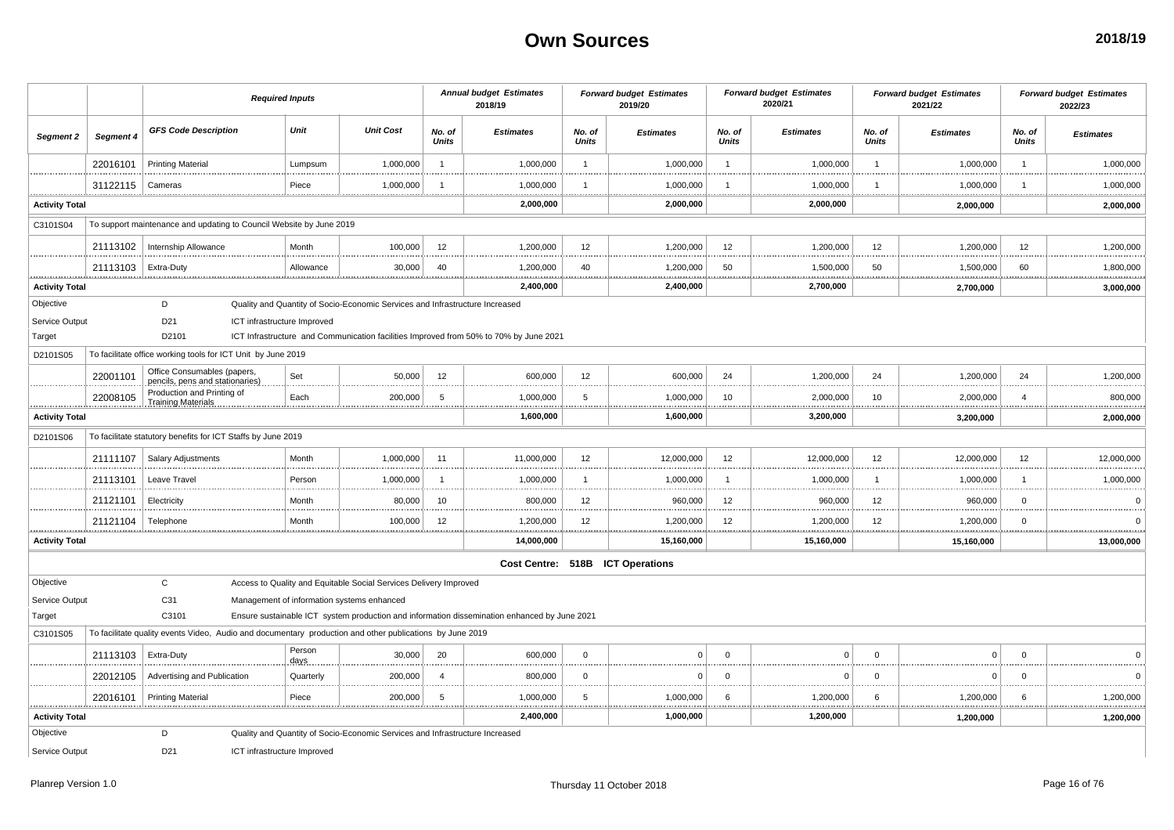|                       |                       |                                                                | <b>Required Inputs</b>                                                                                   |                  |                        | <b>Annual budget Estimates</b><br>2018/19                                                    |                        | <b>Forward budget Estimates</b><br>2019/20 |                        | <b>Forward budget Estimates</b><br>2020/21 |                        | <b>Forward budget Estimates</b><br>2021/22 |                        | <b>Forward budget Estimates</b><br>2022/23 |
|-----------------------|-----------------------|----------------------------------------------------------------|----------------------------------------------------------------------------------------------------------|------------------|------------------------|----------------------------------------------------------------------------------------------|------------------------|--------------------------------------------|------------------------|--------------------------------------------|------------------------|--------------------------------------------|------------------------|--------------------------------------------|
| Segment 2             | Segment 4             | <b>GFS Code Description</b>                                    | Unit                                                                                                     | <b>Unit Cost</b> | No. of<br><b>Units</b> | <b>Estimates</b>                                                                             | No. of<br><b>Units</b> | <b>Estimates</b>                           | No. of<br><b>Units</b> | <b>Estimates</b>                           | No. of<br><b>Units</b> | <b>Estimates</b>                           | No. of<br><b>Units</b> | <b>Estimates</b>                           |
|                       | 22016101              | <b>Printing Material</b>                                       | Lumpsum                                                                                                  | 1,000,000        | $\overline{1}$         | 1,000,000                                                                                    | $\mathbf{1}$           | 1,000,000                                  | $\overline{1}$         | 1,000,000                                  | $\mathbf{1}$           | 1,000,000                                  | $\overline{1}$         | 1,000,000                                  |
|                       | 31122115              | Cameras                                                        | Piece                                                                                                    | 1,000,000        |                        | 1,000,000                                                                                    | $\mathbf{1}$           | 1,000,000                                  |                        | 1,000,000                                  |                        | 1,000,000                                  | -1                     | 1,000,000                                  |
| <b>Activity Total</b> |                       |                                                                |                                                                                                          |                  |                        | 2,000,000                                                                                    |                        | 2,000,000                                  |                        | 2,000,000                                  |                        | 2,000,000                                  |                        | 2,000,000                                  |
| C3101S04              |                       |                                                                | To support maintenance and updating to Council Website by June 2019                                      |                  |                        |                                                                                              |                        |                                            |                        |                                            |                        |                                            |                        |                                            |
|                       |                       | 21113102   Internship Allowance                                | Month                                                                                                    | 100,000          | 12                     | 1,200,000                                                                                    | 12<br>.                | 1,200,000                                  | 12                     | 1,200,000                                  | 12                     | 1,200,000                                  | 12                     | 1,200,000                                  |
|                       | 21113103   Extra-Duty |                                                                | Allowance                                                                                                | 30,000           | 40                     | 1,200,000                                                                                    | 40                     | 1,200,000                                  | 50                     | 1,500,000                                  | 50                     | 1,500,000                                  | 60                     | 1,800,000                                  |
| <b>Activity Total</b> |                       |                                                                |                                                                                                          |                  |                        | <br>.<br>2,400,000                                                                           | <b>************</b>    | . <u>.</u> .<br>2,400,000                  |                        | 2,700,000                                  |                        | 2,700,000                                  |                        | <b>**********</b><br>3,000,000             |
| Objective             |                       | D                                                              | Quality and Quantity of Socio-Economic Services and Infrastructure Increased                             |                  |                        |                                                                                              |                        |                                            |                        |                                            |                        |                                            |                        |                                            |
| Service Output        |                       | D <sub>21</sub>                                                | ICT infrastructure Improved                                                                              |                  |                        |                                                                                              |                        |                                            |                        |                                            |                        |                                            |                        |                                            |
| Target                |                       | D2101                                                          |                                                                                                          |                  |                        | ICT Infrastructure and Communication facilities Improved from 50% to 70% by June 2021        |                        |                                            |                        |                                            |                        |                                            |                        |                                            |
| D2101S05              |                       | To facilitate office working tools for ICT Unit by June 2019   |                                                                                                          |                  |                        |                                                                                              |                        |                                            |                        |                                            |                        |                                            |                        |                                            |
|                       | 22001101              | Office Consumables (papers,<br>pencils, pens and stationaries) | Set                                                                                                      | 50,000           | 12                     | 600,000                                                                                      | 12                     | 600,000                                    | 24                     | 1,200,000                                  | 24                     | 1,200,000                                  | 24                     | 1,200,000                                  |
|                       | 22008105              | Production and Printing of<br><b>Training Materials</b>        | Each                                                                                                     | 200,000          | 5                      | 1,000,000                                                                                    | 5                      | 1,000,000                                  | 10                     | 2,000,000                                  | 10                     | 2,000,000                                  | $\overline{4}$         | 800,000                                    |
| <b>Activity Total</b> |                       |                                                                |                                                                                                          |                  |                        | 1,600,000                                                                                    |                        | 1,600,000                                  |                        | 3,200,000                                  |                        | 3,200,000                                  |                        | 2,000,000                                  |
| D2101S06              |                       | To facilitate statutory benefits for ICT Staffs by June 2019   |                                                                                                          |                  |                        |                                                                                              |                        |                                            |                        |                                            |                        |                                            |                        |                                            |
|                       | 21111107              | <b>Salary Adjustments</b>                                      | Month                                                                                                    | 1,000,000        | 11                     | 11,000,000                                                                                   | 12                     | 12,000,000                                 | 12                     | 12,000,000                                 | 12                     | 12,000,000                                 | 12                     | 12,000,000                                 |
|                       | 21113101              | Leave Travel                                                   | Person                                                                                                   | 1,000,000        | - 1                    | 1,000,000                                                                                    | $\mathbf{1}$           | 1,000,000                                  |                        | 1,000,000                                  |                        | 1,000,000                                  | -1                     | 1,000,000                                  |
|                       | 21121101              | Electricity                                                    | Month                                                                                                    | 80,000           | 10                     | 800,000                                                                                      | 12                     | 960,000                                    | 12                     | 960,000                                    | 12                     | 960,000                                    | $\mathbf 0$            | $\Omega$                                   |
|                       | 21121104              | Telephone                                                      | Month                                                                                                    | 100,000          | 12                     | 1,200,000<br>                                                                                | 12<br>                 | 1,200,000<br>                              | 12                     | 1,200,000                                  | 12                     | 1,200,000                                  | $\mathbf 0$            | n                                          |
| <b>Activity Total</b> |                       |                                                                |                                                                                                          |                  |                        | 14,000,000                                                                                   |                        | 15,160,000                                 |                        | 15,160,000                                 |                        | 15,160,000                                 |                        | 13,000,000                                 |
|                       |                       |                                                                |                                                                                                          |                  |                        |                                                                                              |                        | Cost Centre: 518B ICT Operations           |                        |                                            |                        |                                            |                        |                                            |
| Objective             |                       | $\mathtt{C}$                                                   | Access to Quality and Equitable Social Services Delivery Improved                                        |                  |                        |                                                                                              |                        |                                            |                        |                                            |                        |                                            |                        |                                            |
| Service Output        |                       | C31                                                            | Management of information systems enhanced                                                               |                  |                        |                                                                                              |                        |                                            |                        |                                            |                        |                                            |                        |                                            |
| Target                |                       | C3101                                                          |                                                                                                          |                  |                        | Ensure sustainable ICT system production and information dissemination enhanced by June 2021 |                        |                                            |                        |                                            |                        |                                            |                        |                                            |
| C3101S05              |                       |                                                                | To facilitate quality events Video, Audio and documentary production and other publications by June 2019 |                  |                        |                                                                                              |                        |                                            |                        |                                            |                        |                                            |                        |                                            |
|                       | 21113103              | Extra-Duty                                                     | Person<br>days                                                                                           | 30.000           | 20                     | 600,000                                                                                      | $\mathbf 0$            | $\Omega$                                   | $\Omega$               | $\Omega$                                   | $\mathbf 0$            | $\Omega$                                   | $\mathbf 0$            |                                            |
|                       | 22012105              | Advertising and Publication                                    | Quarterly                                                                                                | 200,000          | $\overline{4}$         | 800,000                                                                                      | $\mathbf 0$            | $\Omega$                                   | $\Omega$               | $\Omega$                                   | $\Omega$               | $\Omega$                                   | $\Omega$               |                                            |
|                       | 22016101              | <b>Printing Material</b>                                       | Piece                                                                                                    | 200,000          | 5                      | <br>1,000,000                                                                                | <br>5                  | 1,000,000                                  | -6                     | 1,200,000                                  | 6                      | 1,200,000                                  | 6                      | 1,200,000                                  |
| <b>Activity Total</b> |                       |                                                                |                                                                                                          |                  |                        | <br>2,400,000                                                                                |                        | 1,000,000                                  |                        | 1,200,000                                  |                        | 1,200,000                                  |                        | 1,200,000                                  |
| Objective             |                       | D                                                              | Quality and Quantity of Socio-Economic Services and Infrastructure Increased                             |                  |                        |                                                                                              |                        |                                            |                        |                                            |                        |                                            |                        |                                            |
| Service Output        |                       | D <sub>21</sub>                                                | ICT infrastructure Improved                                                                              |                  |                        |                                                                                              |                        |                                            |                        |                                            |                        |                                            |                        |                                            |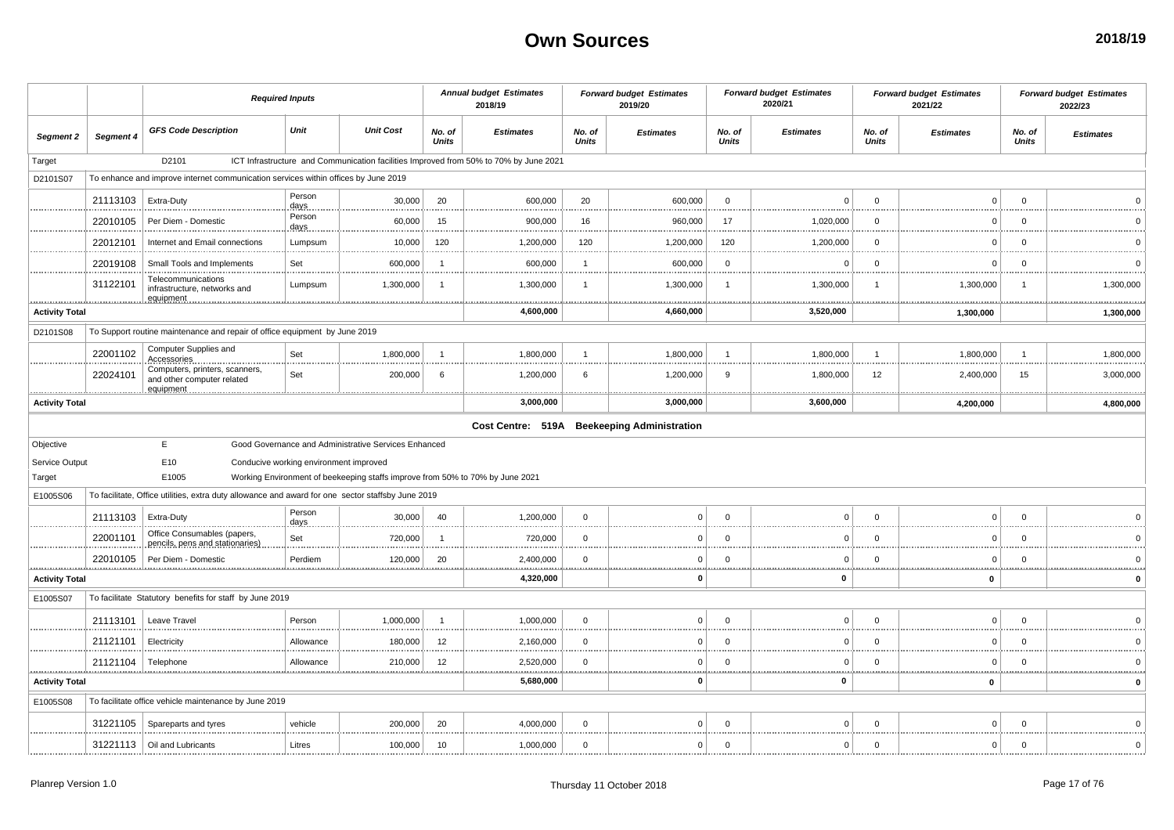|                       |               | <b>Required Inputs</b>                                                                            |                                        |                                                                               | <b>Annual budget Estimates</b><br>2018/19 |                                                                                       | <b>Forward budget Estimates</b><br>2019/20 |                  | <b>Forward budget Estimates</b><br>2020/21 |                                 | <b>Forward budget Estimates</b><br>2021/22 |                  | <b>Forward budget Estimates</b><br>2022/23 |                  |
|-----------------------|---------------|---------------------------------------------------------------------------------------------------|----------------------------------------|-------------------------------------------------------------------------------|-------------------------------------------|---------------------------------------------------------------------------------------|--------------------------------------------|------------------|--------------------------------------------|---------------------------------|--------------------------------------------|------------------|--------------------------------------------|------------------|
| Segment 2             | Segment 4     | <b>GFS Code Description</b>                                                                       | Unit                                   | <b>Unit Cost</b>                                                              | No. of<br><b>Units</b>                    | <b>Estimates</b>                                                                      | No. of<br><b>Units</b>                     | <b>Estimates</b> | No. of<br>Units                            | <b>Estimates</b>                | No. of<br><b>Units</b>                     | <b>Estimates</b> | No. of<br>Units                            | <b>Estimates</b> |
| Target                |               | D2101                                                                                             |                                        |                                                                               |                                           | ICT Infrastructure and Communication facilities Improved from 50% to 70% by June 2021 |                                            |                  |                                            |                                 |                                            |                  |                                            |                  |
| D2101S07              |               | To enhance and improve internet communication services within offices by June 2019                |                                        |                                                                               |                                           |                                                                                       |                                            |                  |                                            |                                 |                                            |                  |                                            |                  |
|                       | 21113103      | Extra-Duty                                                                                        | Person<br>days                         | 30,000                                                                        | 20                                        | 600,000                                                                               | 20                                         | 600,000          | $\mathbf 0$                                | $\Omega$                        | $\Omega$                                   | $\Omega$         | $\Omega$                                   |                  |
|                       | 22010105      | Per Diem - Domestic                                                                               | Person<br>days                         | 60,000                                                                        | 15                                        | 900,000                                                                               | 16                                         | 960,000          | 17                                         | 1,020,000                       | $\mathbf 0$                                | $\Omega$         | $\Omega$                                   |                  |
|                       | 22012101      | Internet and Email connections                                                                    | Lumpsum                                | 10,000                                                                        | 120                                       | 1,200,000                                                                             | 120                                        | 1,200,000        | 120                                        | 1,200,000                       | $\Omega$                                   | $\Omega$         | $\Omega$                                   |                  |
|                       | 22019108      | Small Tools and Implements                                                                        | Set                                    | 600,000                                                                       | - 1                                       | 600,000                                                                               | -1                                         | 600,000          | $\mathbf 0$<br>.                           | $\Omega$                        | $\Omega$                                   | $\Omega$         | $\Omega$                                   |                  |
|                       | 31122101<br>. | Telecommunications<br>infrastructure, networks and<br>equipment                                   | Lumpsum                                | 1,300,000                                                                     | -1                                        | 1,300,000<br>.                                                                        | $\mathbf{1}$                               | 1,300,000<br>    | $\overline{1}$<br>                         | 1,300,000<br><b>***********</b> | -1<br>.                                    | 1,300,000        |                                            | 1,300,000<br>.   |
| <b>Activity Total</b> |               |                                                                                                   |                                        |                                                                               |                                           | 4,600,000                                                                             |                                            | 4,660,000        |                                            | 3,520,000                       |                                            | 1,300,000        |                                            | 1,300,000        |
| D2101S08              |               | To Support routine maintenance and repair of office equipment by June 2019                        |                                        |                                                                               |                                           |                                                                                       |                                            |                  |                                            |                                 |                                            |                  |                                            |                  |
|                       | 22001102      | Computer Supplies and<br>Accessories                                                              | Set<br>.                               | 1,800,000                                                                     | - 1                                       | 1,800,000                                                                             | -1<br>.                                    | 1,800,000        | $\overline{1}$<br>                         | 1,800,000                       | $\overline{1}$<br>                         | 1,800,000        | -1<br>                                     | 1,800,000        |
|                       | 22024101      | Computers, printers, scanners,<br>and other computer related<br>equipment                         | Set                                    | 200,000                                                                       | 6                                         | 1,200,000                                                                             | 6                                          | 1,200,000        | 9                                          | 1,800,000                       | 12                                         | 2,400,000        | 15                                         | 3,000,000<br>    |
| <b>Activity Total</b> |               |                                                                                                   |                                        |                                                                               |                                           | 3,000,000                                                                             |                                            | 3,000,000        |                                            | 3,600,000                       |                                            | 4,200,000        |                                            | 4,800,000        |
|                       |               |                                                                                                   |                                        |                                                                               |                                           | Cost Centre: 519A Beekeeping Administration                                           |                                            |                  |                                            |                                 |                                            |                  |                                            |                  |
| Objective             |               | E                                                                                                 |                                        | Good Governance and Administrative Services Enhanced                          |                                           |                                                                                       |                                            |                  |                                            |                                 |                                            |                  |                                            |                  |
| Service Output        |               | E10                                                                                               | Conducive working environment improved |                                                                               |                                           |                                                                                       |                                            |                  |                                            |                                 |                                            |                  |                                            |                  |
| Target                |               | E1005                                                                                             |                                        | Working Environment of beekeeping staffs improve from 50% to 70% by June 2021 |                                           |                                                                                       |                                            |                  |                                            |                                 |                                            |                  |                                            |                  |
| E1005S06              |               | To facilitate, Office utilities, extra duty allowance and award for one sector staffsby June 2019 |                                        |                                                                               |                                           |                                                                                       |                                            |                  |                                            |                                 |                                            |                  |                                            |                  |
|                       | 21113103      | Extra-Duty                                                                                        | Person<br>days                         | 30,000                                                                        | 40                                        | 1,200,000                                                                             | $\Omega$                                   | $\Omega$         | $\mathbf 0$                                | $\Omega$                        | $\Omega$                                   | $\mathbf{0}$     | $\Omega$                                   |                  |
|                       | 22001101      | Office Consumables (papers,<br>pencils, pens and stationaries)                                    | Set                                    | 720,000                                                                       | - 1                                       | 720,000                                                                               | $\Omega$                                   | n                | $\Omega$                                   | $\Omega$                        | $\Omega$                                   | $\Omega$         | $\Omega$                                   |                  |
|                       | 22010105      | Per Diem - Domestic                                                                               | Perdiem                                | 120,000                                                                       | 20                                        | 2,400,000                                                                             | $\Omega$                                   | $\Omega$         | $\mathbf 0$                                | $\mathbf 0$                     | $\Omega$                                   | $\mathbf{0}$     | $\Omega$                                   |                  |
| <b>Activity Total</b> |               |                                                                                                   |                                        |                                                                               |                                           | 4,320,000                                                                             |                                            | O                |                                            | $\mathbf{0}$                    |                                            | 0                |                                            |                  |
| E1005S07              |               | To facilitate Statutory benefits for staff by June 2019                                           |                                        |                                                                               |                                           |                                                                                       |                                            |                  |                                            |                                 |                                            |                  |                                            |                  |
|                       | 21113101      | Leave Travel                                                                                      | Person                                 | 1,000,000                                                                     | -1                                        | 1,000,000                                                                             | $\Omega$                                   | $\sqrt{ }$       | $\Omega$                                   | $\Omega$                        | $\Omega$                                   | $\Omega$         | $\Omega$                                   |                  |
|                       | 21121101      | Electricity                                                                                       | Allowance                              | 180,000                                                                       | 12                                        | 2,160,000                                                                             | $\mathbf 0$                                | $\Omega$         | $\mathbf 0$<br>.                           | $\Omega$                        | $\Omega$<br>                               | $\Omega$         | $\Omega$<br>                               |                  |
|                       | 21121104      | Telephone                                                                                         | Allowance                              | 210,000                                                                       | 12                                        | 2,520,000                                                                             | $\Omega$                                   | $\Omega$         | $\mathbf 0$                                | $\Omega$                        | $\Omega$                                   | $\Omega$         | $\Omega$                                   |                  |
| <b>Activity Total</b> |               |                                                                                                   |                                        |                                                                               |                                           | 5,680,000                                                                             |                                            | O                |                                            | $\mathbf 0$                     |                                            | $\mathbf 0$      |                                            | O                |
| E1005S08              |               | To facilitate office vehicle maintenance by June 2019                                             |                                        |                                                                               |                                           |                                                                                       |                                            |                  |                                            |                                 |                                            |                  |                                            |                  |
|                       | 31221105      | Spareparts and tyres                                                                              | vehicle                                | 200,000                                                                       | 20                                        | 4,000,000                                                                             | $\Omega$                                   | $\Omega$         | $\mathbf 0$                                | $\Omega$                        | $\Omega$                                   | $\mathbf{0}$     | $\Omega$                                   |                  |
|                       |               | 31221113   Oil and Lubricants                                                                     | Litres                                 | 100,000                                                                       | 10                                        | 1,000,000                                                                             | $\mathbf 0$                                | $\Omega$         | $\mathbf 0$                                | $\mathbf{0}$                    | $\mathbf 0$                                | $\Omega$         | $\Omega$                                   | $\Omega$         |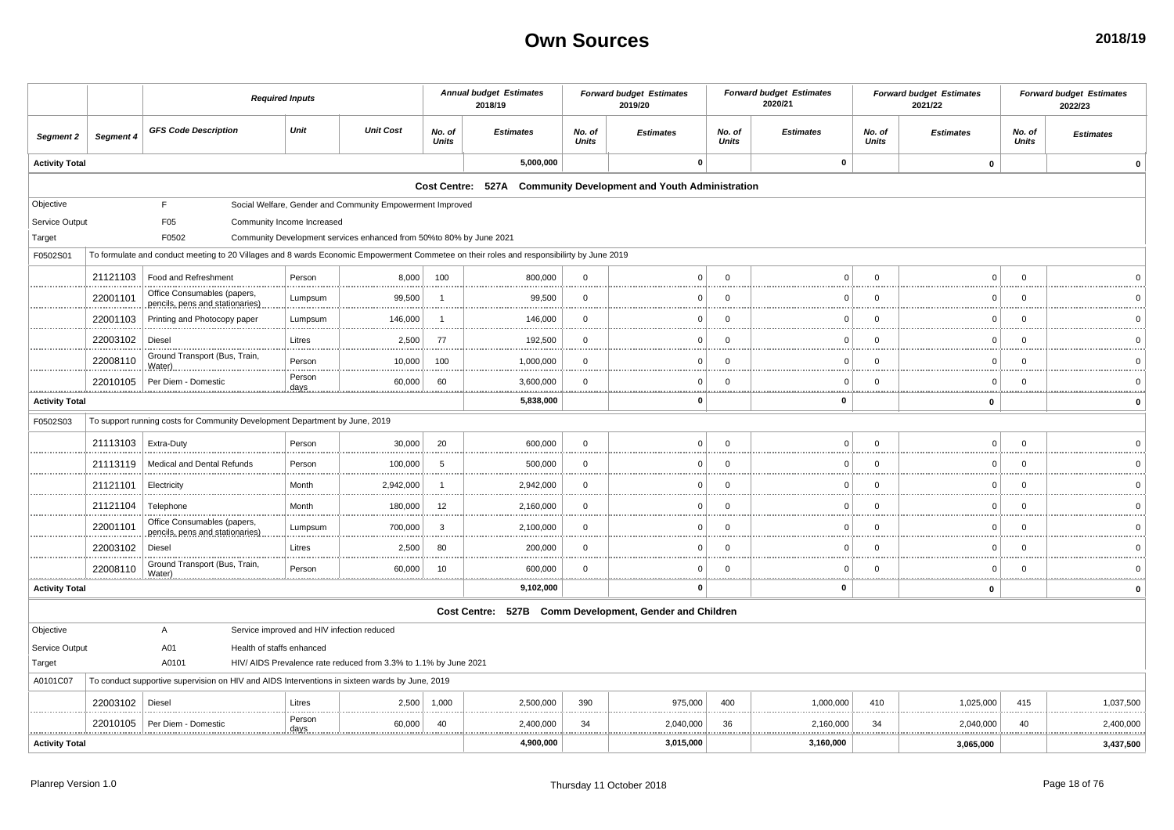|                       |                       |                                                                                                                                           | <b>Required Inputs</b>     |                                                                     |                        | <b>Annual budget Estimates</b><br>2018/19                        |                        | <b>Forward budget Estimates</b><br>2019/20 |                        | <b>Forward budget Estimates</b><br>2020/21 |                        | <b>Forward budget Estimates</b><br>2021/22 |                        | <b>Forward budget Estimates</b><br>2022/23 |
|-----------------------|-----------------------|-------------------------------------------------------------------------------------------------------------------------------------------|----------------------------|---------------------------------------------------------------------|------------------------|------------------------------------------------------------------|------------------------|--------------------------------------------|------------------------|--------------------------------------------|------------------------|--------------------------------------------|------------------------|--------------------------------------------|
| Segment 2             | Segment 4             | <b>GFS Code Description</b>                                                                                                               | Unit                       | <b>Unit Cost</b>                                                    | No. of<br><b>Units</b> | <b>Estimates</b>                                                 | No. of<br><b>Units</b> | <b>Estimates</b>                           | No. of<br><b>Units</b> | <b>Estimates</b>                           | No. of<br><b>Units</b> | <b>Estimates</b>                           | No. of<br><b>Units</b> | <b>Estimates</b>                           |
| <b>Activity Total</b> |                       |                                                                                                                                           |                            |                                                                     |                        | 5,000,000                                                        |                        | $\mathbf 0$                                |                        | $\pmb{0}$                                  |                        | $\pmb{0}$                                  |                        | $\Omega$                                   |
|                       |                       |                                                                                                                                           |                            |                                                                     |                        | Cost Centre: 527A Community Development and Youth Administration |                        |                                            |                        |                                            |                        |                                            |                        |                                            |
| Objective             |                       | F.                                                                                                                                        |                            | Social Welfare, Gender and Community Empowerment Improved           |                        |                                                                  |                        |                                            |                        |                                            |                        |                                            |                        |                                            |
| Service Output        |                       | F05                                                                                                                                       | Community Income Increased |                                                                     |                        |                                                                  |                        |                                            |                        |                                            |                        |                                            |                        |                                            |
| Target                |                       | F0502                                                                                                                                     |                            | Community Development services enhanced from 50%to 80% by June 2021 |                        |                                                                  |                        |                                            |                        |                                            |                        |                                            |                        |                                            |
| F0502S01              |                       | To formulate and conduct meeting to 20 Villages and 8 wards Economic Empowerment Commetee on their roles and responsibilirty by June 2019 |                            |                                                                     |                        |                                                                  |                        |                                            |                        |                                            |                        |                                            |                        |                                            |
|                       | 21121103              | Food and Refreshment                                                                                                                      | Person                     | 8,000                                                               | 100                    | 800,000                                                          | $\mathbf 0$            | 0                                          | $\Omega$               |                                            | $\Omega$               | $\Omega$                                   | $\Omega$               |                                            |
|                       | 22001101              | Office Consumables (papers,<br>pencils, pens and stationaries)                                                                            | Lumpsum                    | 99,500                                                              | $\mathbf{1}$           | 99,500                                                           | $\mathbf{0}$           | $\Omega$                                   | $\Omega$               | $\Omega$                                   | $\Omega$               | $\overline{0}$                             | $\overline{0}$         |                                            |
|                       | 22001103              | Printing and Photocopy paper                                                                                                              | Lumpsum                    | 146,000                                                             | $\overline{1}$         | 146,000                                                          | $\mathbf{0}$           | ŋ                                          | $\Omega$               | C                                          | $\Omega$               | $\Omega$                                   | $\overline{0}$         |                                            |
|                       | 22003102              | Diesel                                                                                                                                    | Litres                     | 2,500                                                               | 77                     | 192,500                                                          | $\mathbf 0$            | 0                                          | $\Omega$               | C                                          | $\Omega$               | $\Omega$                                   | $\overline{0}$         |                                            |
|                       | 22008110              | Ground Transport (Bus, Train,<br>Water)                                                                                                   | Person                     | 10,000                                                              | 100                    | 1,000,000                                                        | $\Omega$               | U                                          | $\Omega$               | $\Omega$                                   | $\Omega$               | $\Omega$                                   | $\Omega$               |                                            |
|                       | 22010105              | Per Diem - Domestic                                                                                                                       | Person<br><u>days.</u>     | 60,000                                                              | 60                     | 3,600,000                                                        | $\mathbf 0$            |                                            | $\Omega$               | O                                          | $\Omega$               | $\overline{0}$                             | $\overline{0}$         |                                            |
| <b>Activity Total</b> |                       |                                                                                                                                           |                            |                                                                     |                        | 5,838,000                                                        |                        | O                                          |                        | $\Omega$                                   |                        | $\mathbf 0$                                |                        | $\mathbf 0$                                |
| F0502S03              |                       | To support running costs for Community Development Department by June, 2019                                                               |                            |                                                                     |                        |                                                                  |                        |                                            |                        |                                            |                        |                                            |                        |                                            |
|                       | 21113103   Extra-Duty |                                                                                                                                           | Person                     | 30,000                                                              | 20                     | 600,000                                                          | $\mathbf 0$            | $\Omega$                                   | $\Omega$               | $\Omega$                                   | $\mathbf 0$            | $\overline{0}$                             | $\overline{0}$         |                                            |
|                       | 21113119              | Medical and Dental Refunds                                                                                                                | Person                     | 100,000                                                             | 5                      | 500,000                                                          | $\mathbf{0}$           | ŋ                                          | $\Omega$               |                                            | $\Omega$               | $\Omega$                                   | $\Omega$               |                                            |
|                       | 21121101              | Electricity                                                                                                                               | Month                      | 2,942,000                                                           | $\mathbf{1}$           | 2,942,000                                                        | $\mathbf 0$            | 0                                          | $\Omega$               | $\Omega$                                   | $\Omega$               | $\overline{0}$                             | $\overline{0}$         |                                            |
|                       | 21121104              | Telephone                                                                                                                                 | Month                      | 180,000                                                             | 12                     | 2,160,000                                                        | $\mathbf 0$            | ŋ                                          | $\Omega$               | $\Omega$                                   | $\Omega$               | $\overline{0}$                             | $\overline{0}$         |                                            |
|                       | 22001101              | Office Consumables (papers,<br>pencils, pens and stationaries)                                                                            | Lumpsum                    | 700,000                                                             | $\mathbf{3}$           | 2,100,000                                                        | $\mathbf 0$            | 0                                          | $\Omega$               | C                                          | $\Omega$               | $\Omega$                                   | $\overline{0}$         |                                            |
|                       | 22003102              | Diesel                                                                                                                                    | Litres                     | 2,500                                                               | 80                     | 200,000                                                          | $\Omega$               | U                                          | $\Omega$               | $\Omega$                                   | $\Omega$               | $\Omega$                                   | $\Omega$               |                                            |
|                       | 22008110              | Ground Transport (Bus, Train,<br>Water)                                                                                                   | Person                     | 60,000                                                              | 10                     | 600,000                                                          | $\mathbf 0$            | ŋ                                          | $\Omega$               | $\Omega$                                   | $\Omega$               | $\overline{0}$                             | $\overline{0}$         |                                            |
| <b>Activity Total</b> |                       |                                                                                                                                           |                            |                                                                     |                        | 9,102,000                                                        |                        | O                                          |                        | $\Omega$                                   |                        | 0                                          |                        | $\mathbf 0$                                |
|                       |                       |                                                                                                                                           |                            |                                                                     |                        | Cost Centre: 527B Comm Development, Gender and Children          |                        |                                            |                        |                                            |                        |                                            |                        |                                            |
| Objective             |                       | A                                                                                                                                         |                            | Service improved and HIV infection reduced                          |                        |                                                                  |                        |                                            |                        |                                            |                        |                                            |                        |                                            |
| Service Output        |                       | A01<br>Health of staffs enhanced                                                                                                          |                            |                                                                     |                        |                                                                  |                        |                                            |                        |                                            |                        |                                            |                        |                                            |
| Target                |                       | A0101                                                                                                                                     |                            | HIV/ AIDS Prevalence rate reduced from 3.3% to 1.1% by June 2021    |                        |                                                                  |                        |                                            |                        |                                            |                        |                                            |                        |                                            |
| A0101C07              |                       | To conduct supportive supervision on HIV and AIDS Interventions in sixteen wards by June, 2019                                            |                            |                                                                     |                        |                                                                  |                        |                                            |                        |                                            |                        |                                            |                        |                                            |
|                       | 22003102              | Diesel                                                                                                                                    | Litres                     | 2,500                                                               | 1,000                  | 2,500,000                                                        | 390                    | 975,000                                    | 400                    | 1,000,000                                  | 410                    | 1,025,000                                  | 415                    | 1,037,500                                  |
|                       | 22010105              | Per Diem - Domestio                                                                                                                       | Person<br>days.            | 60,000                                                              | 40                     | 2,400,000                                                        | 34                     | 2,040,000<br>                              | 36<br>.                | 2,160,000<br>.                             | 34                     | 2,040,000                                  | 40                     | 2,400,000<br>.                             |
| <b>Activity Total</b> |                       |                                                                                                                                           |                            |                                                                     |                        | 4,900,000                                                        |                        | 3,015,000                                  |                        | 3,160,000                                  |                        | 3,065,000                                  |                        | 3,437,500                                  |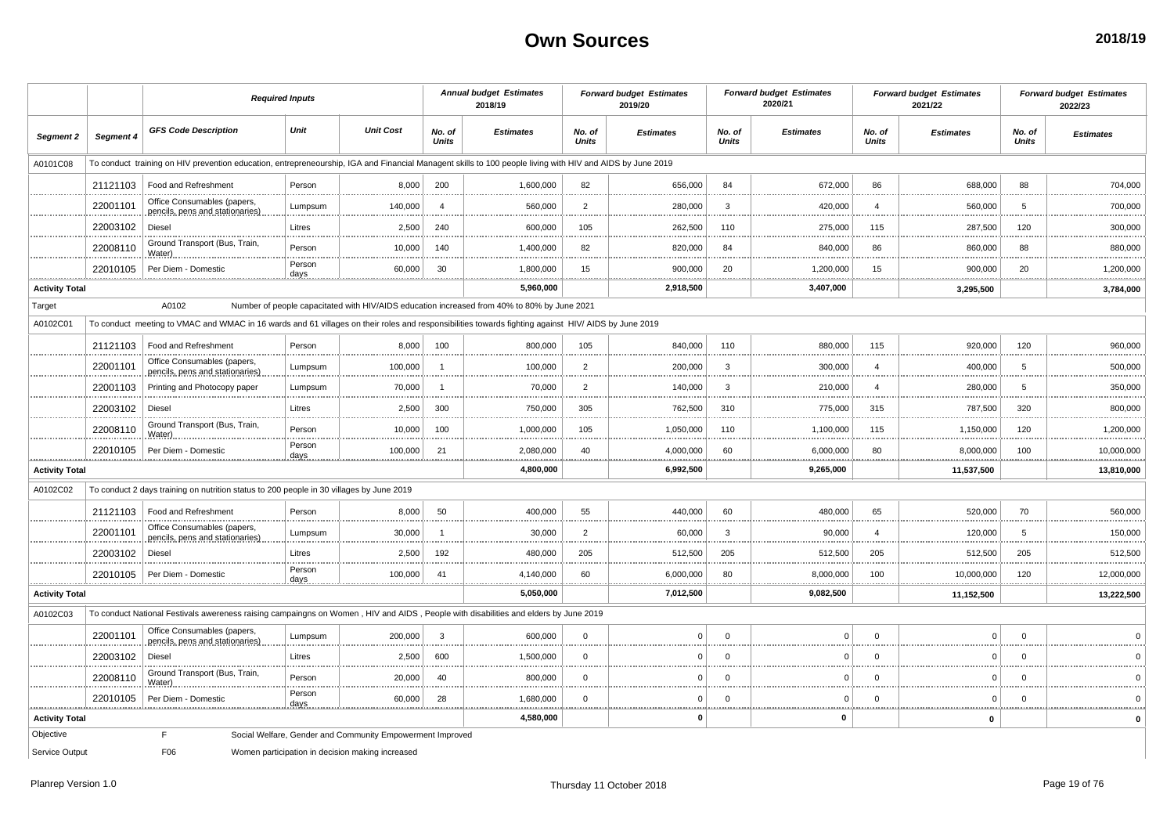|                       |           | <b>Required Inputs</b>                                                                                                                                    |                 |                                                           |                        | <b>Annual budget Estimates</b><br>2018/19                                                   |                        | <b>Forward budget Estimates</b><br>2019/20 |                        | <b>Forward budget Estimates</b><br>2020/21 |                        | <b>Forward budget Estimates</b><br>2021/22 |                        | <b>Forward budget Estimates</b><br>2022/23 |
|-----------------------|-----------|-----------------------------------------------------------------------------------------------------------------------------------------------------------|-----------------|-----------------------------------------------------------|------------------------|---------------------------------------------------------------------------------------------|------------------------|--------------------------------------------|------------------------|--------------------------------------------|------------------------|--------------------------------------------|------------------------|--------------------------------------------|
| Segment 2             | Segment 4 | <b>GFS Code Description</b>                                                                                                                               | Unit            | <b>Unit Cost</b>                                          | No. of<br><b>Units</b> | <b>Estimates</b>                                                                            | No. of<br><b>Units</b> | <b>Estimates</b>                           | No. of<br><b>Units</b> | <b>Estimates</b>                           | No. of<br><b>Units</b> | <b>Estimates</b>                           | No. of<br><b>Units</b> | <b>Estimates</b>                           |
| A0101C08              |           | To conduct training on HIV prevention education, entrepreneourship, IGA and Financial Managent skills to 100 people living with HIV and AIDS by June 2019 |                 |                                                           |                        |                                                                                             |                        |                                            |                        |                                            |                        |                                            |                        |                                            |
|                       | 21121103  | Food and Refreshment                                                                                                                                      | Person          | 8,000                                                     | 200                    | 1,600,000                                                                                   | 82                     | 656,000                                    | 84                     | 672,000                                    | 86                     | 688,000                                    | 88                     | 704,000                                    |
|                       | 22001101  | Office Consumables (papers)<br>pencils, pens and stationaries)                                                                                            | Lumpsum         | 140,000                                                   | $\overline{a}$         | 560,000                                                                                     | $\overline{2}$         | 280,000                                    | $\mathbf{3}$           | 420,000                                    | $\boldsymbol{\Delta}$  | 560,000                                    | 5                      | 700,000                                    |
|                       | 22003102  | Diesel                                                                                                                                                    | Litres          | 2,500                                                     | 240                    | 600,000                                                                                     | 105                    | 262,500                                    | 110                    | 275,000                                    | 115                    | 287,500                                    | 120                    | 300,000                                    |
|                       | 22008110  | Ground Transport (Bus, Train,<br>Water)                                                                                                                   | Person          | 10,000                                                    | 140                    | 1,400,000                                                                                   | 82                     | 820,000                                    | 84                     | 840,000                                    | 86                     | 860,000                                    | 88                     | 880,000                                    |
|                       | 22010105  | Per Diem - Domestic                                                                                                                                       | Person<br>days  | 60,000                                                    | 30                     | 1,800,000                                                                                   | 15                     | 900,000                                    | 20                     | 1,200,000                                  | 15                     | 900,000                                    | 20                     | 1,200,000                                  |
| <b>Activity Total</b> |           |                                                                                                                                                           |                 |                                                           |                        | <br>5,960,000                                                                               |                        | <br>2,918,500                              |                        | <br>3,407,000                              |                        | .<br>3,295,500                             | .                      | .<br>3,784,000                             |
| Target                |           | A0102                                                                                                                                                     |                 |                                                           |                        | Number of people capacitated with HIV/AIDS education increased from 40% to 80% by June 2021 |                        |                                            |                        |                                            |                        |                                            |                        |                                            |
| A0102C01              |           | To conduct meeting to VMAC and WMAC in 16 wards and 61 villages on their roles and responsibilities towards fighting against HIV/ AIDS by June 2019       |                 |                                                           |                        |                                                                                             |                        |                                            |                        |                                            |                        |                                            |                        |                                            |
|                       | 21121103  | Food and Refreshment                                                                                                                                      | Person          | 8,000                                                     | 100                    | 800,000                                                                                     | 105                    | 840,000                                    | 110                    | 880,000                                    | 115                    | 920,000                                    | 120                    | 960,000                                    |
|                       | 22001101  | Office Consumables (papers,<br>pencils, pens and stationaries)                                                                                            | Lumpsum         | 100,000                                                   | $\overline{1}$         | 100,000                                                                                     | $\overline{2}$         | 200,000                                    | 3                      | 300,000                                    | $\overline{4}$         | 400,000                                    | 5                      | 500,000                                    |
|                       | 22001103  | Printing and Photocopy paper                                                                                                                              | Lumpsum         | 70,000                                                    | $\overline{1}$         | 70,000                                                                                      | $\overline{2}$         | 140,000                                    | 3                      | 210,000                                    | $\overline{4}$         | 280,000                                    | 5                      | 350,000                                    |
|                       | 22003102  | Diesel                                                                                                                                                    | Litres          | 2,500                                                     | 300                    | 750,000                                                                                     | 305                    | 762,500                                    | 310                    | 775,000                                    | 315                    | 787,500                                    | 320                    | 800,000                                    |
|                       | 22008110  | Ground Transport (Bus, Train,<br>Water)                                                                                                                   | Person          | 10,000                                                    | 100                    | 1,000,000                                                                                   | 105                    | 1,050,000                                  | 110                    | 1,100,000                                  | 115                    | 1,150,000                                  | 120                    | 1,200,000                                  |
|                       | 22010105  | Per Diem - Domestic                                                                                                                                       | Person<br>days  | 100,000                                                   | 21                     | 2,080,000                                                                                   | 40                     | 4,000,000                                  | 60                     | 6,000,000                                  | 80                     | 8,000,000                                  | 100                    | 10,000,000<br>                             |
| <b>Activity Total</b> |           |                                                                                                                                                           |                 |                                                           |                        | 4,800,000                                                                                   |                        | 6,992,500                                  |                        | 9,265,000                                  |                        | 11,537,500                                 |                        | 13,810,000                                 |
| A0102C02              |           | To conduct 2 days training on nutrition status to 200 people in 30 villages by June 2019                                                                  |                 |                                                           |                        |                                                                                             |                        |                                            |                        |                                            |                        |                                            |                        |                                            |
|                       | 21121103  | Food and Refreshment                                                                                                                                      | Person          | 8,000                                                     | 50                     | 400,000                                                                                     | 55                     | 440,000                                    | 60                     | 480,000                                    | 65                     | 520,000                                    | 70                     | 560,000                                    |
|                       | 22001101  | Office Consumables (papers<br>pencils, pens and stationaries)                                                                                             | Lumpsum         | 30,000                                                    | $\overline{1}$         | 30,000                                                                                      | $\overline{2}$         | 60,000                                     | 3                      | 90,000                                     | $\overline{4}$         | 120,000<br>.                               | 5                      | 150,000<br>.                               |
|                       | 22003102  | Diesel                                                                                                                                                    | Litres          | 2,500                                                     | 192                    | 480,000                                                                                     | 205                    | 512,500                                    | 205                    | 512,500                                    | 205                    | 512,500                                    | 205                    | 512,500                                    |
|                       | 22010105  | Per Diem - Domestic                                                                                                                                       | Person<br>days. | 100,000                                                   | 41                     | 4,140,000                                                                                   | 60                     | 6,000,000                                  | 80                     | 8,000,000                                  | 100                    | 10,000,000                                 | 120                    | 12,000,000                                 |
| <b>Activity Total</b> |           |                                                                                                                                                           |                 |                                                           |                        | 5,050,000                                                                                   |                        | 7,012,500                                  |                        | 9,082,500                                  |                        | 11,152,500                                 |                        | 13,222,500                                 |
| A0102C03              |           | To conduct National Festivals awereness raising campaingns on Women, HIV and AIDS, People with disabilities and elders by June 2019                       |                 |                                                           |                        |                                                                                             |                        |                                            |                        |                                            |                        |                                            |                        |                                            |
|                       | 22001101  | Office Consumables (papers,<br>pencils, pens and stationaries)                                                                                            | Lumpsum         | 200,000                                                   | $\overline{3}$         | 600,000                                                                                     | $\Omega$               | $\Omega$                                   | $\Omega$               | $\Omega$                                   | $\Omega$               | $\Omega$                                   | $\Omega$               |                                            |
|                       | 22003102  | <b>Diesel</b>                                                                                                                                             | Litres          | 2,500                                                     | 600                    | 1,500,000                                                                                   | $\mathbf 0$            | $\Omega$                                   | $\Omega$               | 0                                          | $\Omega$               | $\Omega$                                   | $\Omega$               |                                            |
|                       | 22008110  | Ground Transport (Bus, Train,<br>Water)                                                                                                                   | Person          | 20,000                                                    | 40                     | 800,000                                                                                     | $\mathbf 0$            | $\overline{0}$                             | $\mathbf 0$            | $\mathbf 0$                                | $\mathbf 0$            | $\mathbf 0$                                | $\mathbf 0$            |                                            |
|                       | 22010105  | Per Diem - Domestic                                                                                                                                       | Person<br>days  | 60,000                                                    | 28                     | 1,680,000                                                                                   | $\Omega$               | $\mathbf 0$                                | $\mathbf 0$            | 0                                          | $\Omega$               | $\Omega$                                   | $\Omega$               |                                            |
| <b>Activity Total</b> |           |                                                                                                                                                           |                 |                                                           |                        | 4,580,000                                                                                   |                        | $\mathbf{0}$                               |                        | $\mathbf{0}$                               | .                      | $\mathbf{0}$                               | <u>.</u>               |                                            |
| Objective             |           | F                                                                                                                                                         |                 | Social Welfare, Gender and Community Empowerment Improved |                        |                                                                                             |                        |                                            |                        |                                            |                        |                                            |                        |                                            |
| Service Output        |           | F06                                                                                                                                                       |                 | Women participation in decision making increased          |                        |                                                                                             |                        |                                            |                        |                                            |                        |                                            |                        |                                            |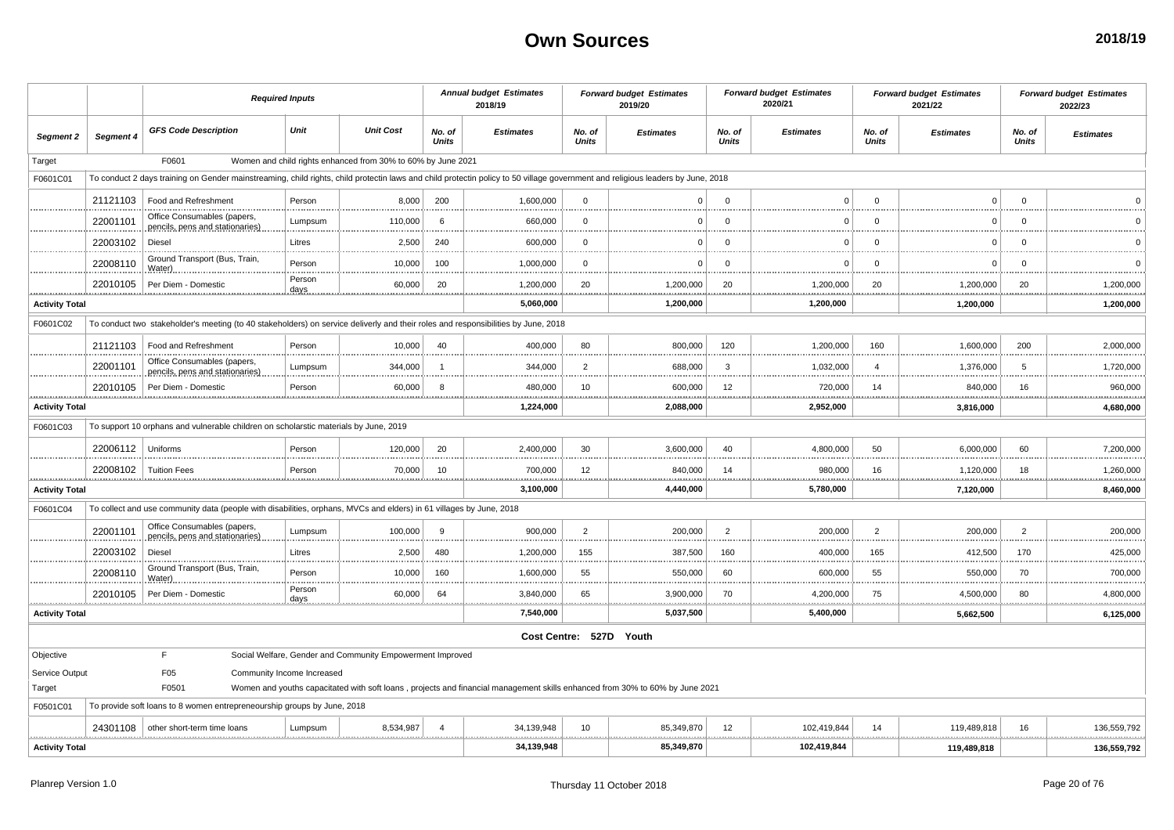|                       | <b>Required Inputs</b> |                                                                                                                                                                                |                            |                                                              |                        | <b>Annual budget Estimates</b><br>2018/19                                                                                    |                        | <b>Forward budget Estimates</b><br>2019/20 |                        | <b>Forward budget Estimates</b><br>2020/21 |                        | <b>Forward budget Estimates</b><br>2021/22 |                        | <b>Forward budget Estimates</b><br>2022/23 |
|-----------------------|------------------------|--------------------------------------------------------------------------------------------------------------------------------------------------------------------------------|----------------------------|--------------------------------------------------------------|------------------------|------------------------------------------------------------------------------------------------------------------------------|------------------------|--------------------------------------------|------------------------|--------------------------------------------|------------------------|--------------------------------------------|------------------------|--------------------------------------------|
| Segment 2             | Segment 4              | <b>GFS Code Description</b>                                                                                                                                                    | Unit                       | <b>Unit Cost</b>                                             | No. of<br><b>Units</b> | <b>Estimates</b>                                                                                                             | No. of<br><b>Units</b> | <b>Estimates</b>                           | No. of<br><b>Units</b> | <b>Estimates</b>                           | No. of<br><b>Units</b> | <b>Estimates</b>                           | No. of<br><b>Units</b> | <b>Estimates</b>                           |
| Target                |                        | F0601                                                                                                                                                                          |                            | Women and child rights enhanced from 30% to 60% by June 2021 |                        |                                                                                                                              |                        |                                            |                        |                                            |                        |                                            |                        |                                            |
| F0601C01              |                        | To conduct 2 days training on Gender mainstreaming, child rights, child protectin laws and child protectin policy to 50 village government and religious leaders by June, 2018 |                            |                                                              |                        |                                                                                                                              |                        |                                            |                        |                                            |                        |                                            |                        |                                            |
|                       | 21121103               | Food and Refreshment                                                                                                                                                           | Person                     | 8,000                                                        | 200                    | 1,600,000                                                                                                                    | $\Omega$               | $\Omega$                                   | $\Omega$               | $\Omega$                                   | $\Omega$               | $\Omega$                                   | $\Omega$               |                                            |
|                       | 22001101               | Office Consumables (papers,<br>pencils, pens and stationaries)                                                                                                                 | Lumpsum                    | 110,000                                                      | 6                      | 660,000                                                                                                                      | $\Omega$               | $\Omega$                                   | $\Omega$               | $\Omega$                                   | $\mathbf{0}$           | $\Omega$                                   | $\mathbf 0$            |                                            |
|                       | 22003102               | Diesel                                                                                                                                                                         | Litres                     | 2,500                                                        | 240                    | 600,000                                                                                                                      | $\mathbf{0}$           | - 0                                        | $\Omega$               | O                                          | $\mathbf 0$            | $\Omega$                                   | $\mathbf 0$            |                                            |
|                       | 22008110               | Ground Transport (Bus, Train<br>Water                                                                                                                                          | Person                     | 10,000                                                       | 100                    | 1,000,000                                                                                                                    | $\Omega$               | $^{\circ}$                                 | $\Omega$               | $\Omega$                                   | $\mathbf 0$            | $\Omega$                                   | $\mathbf 0$            |                                            |
|                       | 22010105               | Per Diem - Domestic                                                                                                                                                            | Person<br><u>days</u>      | 60,000                                                       | 20                     | 1,200,000<br>.                                                                                                               | 20<br>                 | 1,200,000<br>.                             | 20                     | 1,200,000                                  | 20                     | 1,200,000<br>                              | 20<br>.                | 1,200,000<br>.                             |
| <b>Activity Total</b> |                        |                                                                                                                                                                                |                            |                                                              |                        | 5,060,000                                                                                                                    |                        | 1,200,000                                  |                        | 1,200,000                                  |                        | 1,200,000                                  |                        | 1,200,000                                  |
| F0601C02              |                        | To conduct two stakeholder's meeting (to 40 stakeholders) on service deliverly and their roles and responsibilities by June, 2018                                              |                            |                                                              |                        |                                                                                                                              |                        |                                            |                        |                                            |                        |                                            |                        |                                            |
|                       | 21121103               | Food and Refreshment                                                                                                                                                           | Person                     | 10,000                                                       | 40                     | 400,000                                                                                                                      | 80                     | 800,000                                    | 120                    | 1,200,000                                  | 160                    | 1,600,000                                  | 200                    | 2,000,000                                  |
|                       | 22001101               | Office Consumables (papers,<br>pencils, pens and stationaries)                                                                                                                 | Lumpsum                    | 344,000                                                      | $\overline{1}$         | 344,000                                                                                                                      | $\overline{2}$         | 688,000                                    | $\overline{3}$         | 1,032,000                                  | $\overline{4}$         | 1,376,000                                  | 5                      | 1,720,000                                  |
|                       | 22010105               | Per Diem - Domestic                                                                                                                                                            | Person                     | 60,000                                                       | 8                      | 480,000                                                                                                                      | 10                     | 600,000                                    | 12                     | 720,000<br>                                | 14                     | 840,000                                    | 16<br>                 | 960,000<br>.                               |
| <b>Activity Total</b> |                        |                                                                                                                                                                                |                            |                                                              |                        | 1,224,000                                                                                                                    |                        | 2,088,000                                  |                        | 2,952,000                                  |                        | 3,816,000                                  |                        | 4,680,000                                  |
| F0601C03              |                        | To support 10 orphans and vulnerable children on scholarstic materials by June, 2019                                                                                           |                            |                                                              |                        |                                                                                                                              |                        |                                            |                        |                                            |                        |                                            |                        |                                            |
|                       | 22006112               | Uniforms                                                                                                                                                                       | Person                     | 120,000                                                      | 20                     | 2,400,000                                                                                                                    | 30                     | 3,600,000                                  | 40                     | 4,800,000                                  | 50                     | 6,000,000                                  | 60                     | 7,200,000                                  |
|                       | 22008102<br>           | <b>Tuition Fees</b>                                                                                                                                                            | Person<br>.                | 70,000<br>                                                   | 10                     | 700,000<br>.<br>                                                                                                             | 12<br>.                | 840,000<br>                                | 14                     | 980,000<br>.                               | 16                     | 1,120,000<br>                              | 18<br>.                | 1,260,000<br>**************                |
| <b>Activity Total</b> |                        |                                                                                                                                                                                |                            |                                                              |                        | 3,100,000                                                                                                                    |                        | 4,440,000                                  |                        | 5,780,000                                  |                        | 7,120,000                                  |                        | 8,460,000                                  |
| F0601C04              |                        | To collect and use community data (people with disabilities, orphans, MVCs and elders) in 61 villages by June, 2018                                                            |                            |                                                              |                        |                                                                                                                              |                        |                                            |                        |                                            |                        |                                            |                        |                                            |
|                       | 22001101               | Office Consumables (papers,<br>pencils, pens and stationaries)                                                                                                                 | Lumpsum                    | 100,000                                                      | 9                      | 900,000                                                                                                                      | $\overline{2}$         | 200,000                                    | $\overline{2}$         | 200,000                                    | $\overline{2}$         | 200,000                                    | $\overline{2}$         | 200,000<br><b></b>                         |
|                       | 22003102               | Diesel                                                                                                                                                                         | Litres                     | 2,500                                                        | 480                    | 1,200,000                                                                                                                    | 155                    | 387,500                                    | 160                    | 400,000                                    | 165                    | 412,500                                    | 170                    | 425,000<br>.                               |
|                       | 22008110               | Ground Transport (Bus, Train,<br>Water)                                                                                                                                        | Person                     | 10,000                                                       | 160                    | 1,600,000                                                                                                                    | 55                     | 550,000                                    | 60                     | 600,000                                    | 55                     | 550,000                                    | 70                     | 700,000                                    |
|                       | 22010105               | Per Diem - Domestio                                                                                                                                                            | Person<br>days             | 60,000                                                       | 64                     | 3,840,000                                                                                                                    | 65                     | 3,900,000                                  | 70                     | 4,200,000                                  | 75                     | 4,500,000                                  | 80                     | 4,800,000                                  |
| <b>Activity Total</b> |                        |                                                                                                                                                                                |                            |                                                              |                        | .<br>7,540,000                                                                                                               |                        | .<br>5,037,500                             |                        | .<br>5,400,000                             |                        | 5,662,500                                  | .                      | .<br>6,125,000                             |
|                       |                        |                                                                                                                                                                                |                            |                                                              |                        | Cost Centre: 527D Youth                                                                                                      |                        |                                            |                        |                                            |                        |                                            |                        |                                            |
| Objective             |                        | F.                                                                                                                                                                             |                            | Social Welfare, Gender and Community Empowerment Improved    |                        |                                                                                                                              |                        |                                            |                        |                                            |                        |                                            |                        |                                            |
| Service Output        |                        | F05                                                                                                                                                                            | Community Income Increased |                                                              |                        |                                                                                                                              |                        |                                            |                        |                                            |                        |                                            |                        |                                            |
| Target                |                        | F0501                                                                                                                                                                          |                            |                                                              |                        | Women and youths capacitated with soft loans, projects and financial management skills enhanced from 30% to 60% by June 2021 |                        |                                            |                        |                                            |                        |                                            |                        |                                            |
| F0501C01              |                        | To provide soft loans to 8 women entrepreneourship groups by June, 2018                                                                                                        |                            |                                                              |                        |                                                                                                                              |                        |                                            |                        |                                            |                        |                                            |                        |                                            |
|                       | 24301108               | other short-term time loans                                                                                                                                                    | Lumpsum                    | 8.534.987                                                    | $\overline{4}$         | 34,139,948                                                                                                                   | 10                     | 85.349.870                                 | 12                     | 102.419.844                                | 14                     | 119,489,818                                | 16                     | 136,559,792                                |
| <b>Activity Total</b> |                        |                                                                                                                                                                                |                            |                                                              |                        | 34,139,948                                                                                                                   |                        | 85,349,870                                 |                        | 102,419,844                                |                        | 119,489,818                                |                        | 136,559,792                                |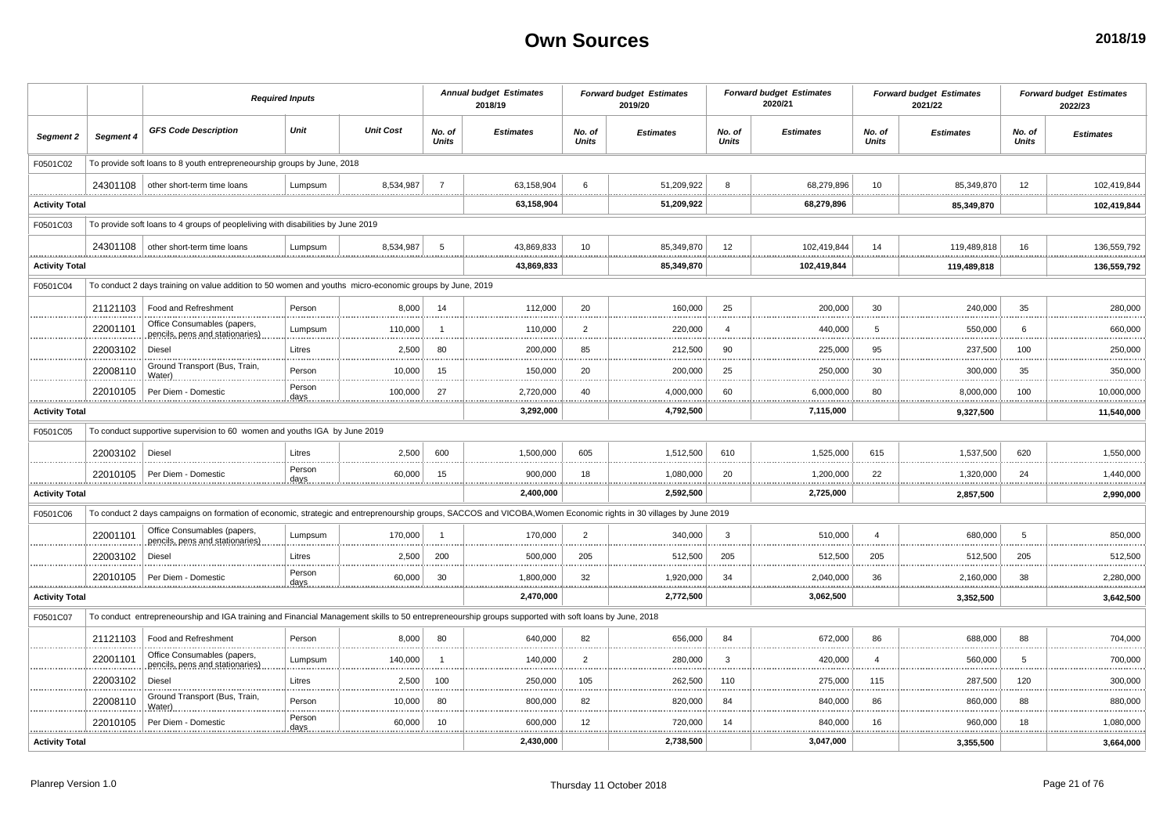|                       |           | <b>Required Inputs</b>                                                                                                                                            |                 |                  |                        | <b>Annual budget Estimates</b><br>2018/19 |                        | <b>Forward budget Estimates</b><br>2019/20 |                        | <b>Forward budget Estimates</b><br>2020/21 |                        | <b>Forward budget Estimates</b><br>2021/22 |                        | <b>Forward budget Estimates</b><br>2022/23 |
|-----------------------|-----------|-------------------------------------------------------------------------------------------------------------------------------------------------------------------|-----------------|------------------|------------------------|-------------------------------------------|------------------------|--------------------------------------------|------------------------|--------------------------------------------|------------------------|--------------------------------------------|------------------------|--------------------------------------------|
| Segment 2             | Segment 4 | <b>GFS Code Description</b>                                                                                                                                       | Unit            | <b>Unit Cost</b> | No. of<br><b>Units</b> | <b>Estimates</b>                          | No. of<br><b>Units</b> | <b>Estimates</b>                           | No. of<br><b>Units</b> | <b>Estimates</b>                           | No. of<br><b>Units</b> | <b>Estimates</b>                           | No. of<br><b>Units</b> | <b>Estimates</b>                           |
| F0501C02              |           | To provide soft loans to 8 youth entrepreneourship groups by June, 2018                                                                                           |                 |                  |                        |                                           |                        |                                            |                        |                                            |                        |                                            |                        |                                            |
|                       |           | 24301108   other short-term time loans                                                                                                                            | Lumpsum         | 8,534,987        | $\overline{7}$         | 63,158,904                                | 6                      | 51,209,922                                 | 8                      | 68,279,896                                 | 10                     | 85,349,870                                 | 12                     | 102,419,844                                |
| <b>Activity Total</b> |           |                                                                                                                                                                   |                 |                  |                        | 63,158,904                                |                        | 51,209,922                                 |                        | 68,279,896                                 |                        | 85,349,870                                 |                        | 102,419,844                                |
| F0501C03              |           | To provide soft loans to 4 groups of peopleliving with disabilities by June 2019                                                                                  |                 |                  |                        |                                           |                        |                                            |                        |                                            |                        |                                            |                        |                                            |
|                       |           | 24301108 other short-term time loans                                                                                                                              | Lumpsum         | 8.534.987        | -5                     | 43.869.833                                | 10                     | 85.349.870                                 | 12                     | 102.419.844                                | 14                     | 119,489,818                                | 16                     | 136,559,792                                |
| <b>Activity Total</b> |           |                                                                                                                                                                   |                 |                  |                        | 43,869,833                                |                        | 85,349,870                                 |                        | 102,419,844                                |                        | 119,489,818                                |                        | 136,559,792                                |
| F0501C04              |           | To conduct 2 days training on value addition to 50 women and youths micro-economic groups by June, 2019                                                           |                 |                  |                        |                                           |                        |                                            |                        |                                            |                        |                                            |                        |                                            |
|                       | 21121103  | Food and Refreshment                                                                                                                                              | Person          | 8.000            | 14                     | 112,000                                   | 20                     | 160,000                                    | 25                     | 200,000                                    | 30                     | 240,000                                    | 35                     | 280,000                                    |
|                       | 22001101  | Office Consumables (papers,<br>pencils, pens and stationaries)                                                                                                    | Lumpsum         | 110,000          |                        | 110,000                                   | $\overline{2}$         | 220,000                                    | $\overline{4}$         | 440,000                                    | 5                      | 550,000                                    | 6                      | 660,000                                    |
|                       | 22003102  | <b>Diesel</b>                                                                                                                                                     | Litres          | 2,500            | 80                     | 200.000                                   | 85                     | 212,500                                    | 90                     | 225,000                                    | 95                     | 237,500                                    | 100                    | 250,000                                    |
|                       | 22008110  | Ground Transport (Bus, Train<br>Water)                                                                                                                            | Person          | 10,000           | 15                     | 150,000                                   | 20                     | 200,000<br>.                               | 25                     | 250,000                                    | 30                     | 300,000                                    | 35                     | 350,000<br>                                |
|                       | 22010105  | Per Diem - Domestic                                                                                                                                               | Person<br>days. | 100,000          | 27                     | 2,720,000                                 | 40                     | 4,000,000                                  | 60                     | 6,000,000                                  | 80                     | 8,000,000                                  | 100                    | 10,000,000                                 |
| <b>Activity Total</b> |           |                                                                                                                                                                   |                 |                  |                        | 3,292,000                                 |                        | 4,792,500                                  |                        | 7,115,000                                  |                        | 9,327,500                                  |                        | 11,540,000                                 |
| F0501C05              |           | To conduct supportive supervision to 60 women and youths IGA by June 2019                                                                                         |                 |                  |                        |                                           |                        |                                            |                        |                                            |                        |                                            |                        |                                            |
|                       | 22003102  | Diesel                                                                                                                                                            | Litres          | 2.500            | 600                    | 1.500.000                                 | 605                    | 1.512.500                                  | 610                    | 1.525.000                                  | 615                    | 1.537.500                                  | 620                    | 1.550.000                                  |
|                       |           | 22010105   Per Diem - Domestion                                                                                                                                   | Person          | 60,000           | 15<br>.                | 900,000<br>************                   | 18<br>                 | 1,080,000<br>.                             | 20                     | 1,200,000<br>.                             | 22<br>                 | 1,320,000<br>.                             | 24<br>.                | 1,440,000<br>.                             |
| <b>Activity Total</b> |           |                                                                                                                                                                   |                 |                  |                        | 2,400,000                                 |                        | 2,592,500                                  |                        | 2,725,000                                  |                        | 2,857,500                                  |                        | 2,990,000                                  |
| F0501C06              |           | To conduct 2 days campaigns on formation of economic, strategic and entreprenourship groups, SACCOS and VICOBA, Women Economic rights in 30 villages by June 2019 |                 |                  |                        |                                           |                        |                                            |                        |                                            |                        |                                            |                        |                                            |
|                       | 22001101  | Office Consumables (papers,<br>pencils, pens and stationaries)                                                                                                    | Lumpsum         | 170.000          | $\overline{1}$         | 170.000                                   | $\overline{2}$         | 340.000                                    | -3                     | 510.000                                    | $\overline{a}$         | 680.000                                    | 5                      | 850,000                                    |
|                       | 22003102  | <b>Diesel</b>                                                                                                                                                     | Litres          | 2,500            | 200                    | 500,000                                   | 205                    | 512,500                                    | 205                    | 512,500                                    | 205                    | 512,500                                    | 205                    | 512,500<br>.                               |
|                       | 22010105  | Per Diem - Domestic                                                                                                                                               | Person<br>days  | 60,000           | 30                     | 1,800,000<br>.                            | 32<br>.                | 1,920,000<br>.                             | 34                     | 2,040,000                                  | 36                     | 2,160,000                                  | 38                     | 2,280,000<br>.                             |
| <b>Activity Total</b> |           |                                                                                                                                                                   |                 |                  |                        | 2,470,000                                 |                        | 2,772,500                                  |                        | 3,062,500                                  |                        | 3,352,500                                  |                        | 3,642,500                                  |
| F0501C07              |           | To conduct entrepreneourship and IGA training and Financial Management skills to 50 entrepreneourship groups supported with soft loans by June, 2018              |                 |                  |                        |                                           |                        |                                            |                        |                                            |                        |                                            |                        |                                            |
|                       | 21121103  | Food and Refreshment                                                                                                                                              | Person          | 8.000            | 80                     | 640.000                                   | 82                     | 656.000                                    | 84                     | 672.000                                    | 86                     | 688,000                                    | 88                     | 704.000                                    |
|                       | 22001101  | Office Consumables (papers,<br>pencils, pens and stationaries)                                                                                                    | Lumpsum         | 140,000          | $\overline{1}$         | 140,000                                   | $\overline{2}$         | 280,000                                    | $\mathbf{3}$           | 420,000                                    | $\overline{4}$         | 560,000                                    | 5                      | 700,000                                    |
|                       | 22003102  | Diesel                                                                                                                                                            | Litres          | 2,500            | 100                    | 250,000                                   | 105                    | 262,500<br>.                               | 110                    | 275,000                                    | 115                    | 287,500                                    | 120                    | 300,000<br>.                               |
|                       | 22008110  | Ground Transport (Bus, Train<br>Water)                                                                                                                            | Person          | 10.000           | 80                     | 800.000                                   | 82                     | 820,000                                    | 84                     | 840,000                                    | 86                     | 860,000                                    | 88                     | 880.000                                    |
|                       | 22010105  | Per Diem - Domestic                                                                                                                                               | Person<br>days  | 60,000           | 10                     | 600,000                                   | 12                     | 720,000<br>                                | 14                     | 840,000                                    | 16                     | 960,000                                    | 18                     | 1,080,000                                  |
| <b>Activity Total</b> |           |                                                                                                                                                                   |                 |                  |                        | 2,430,000                                 |                        | 2,738,500                                  |                        | 3,047,000                                  |                        | 3,355,500                                  |                        | 3,664,000                                  |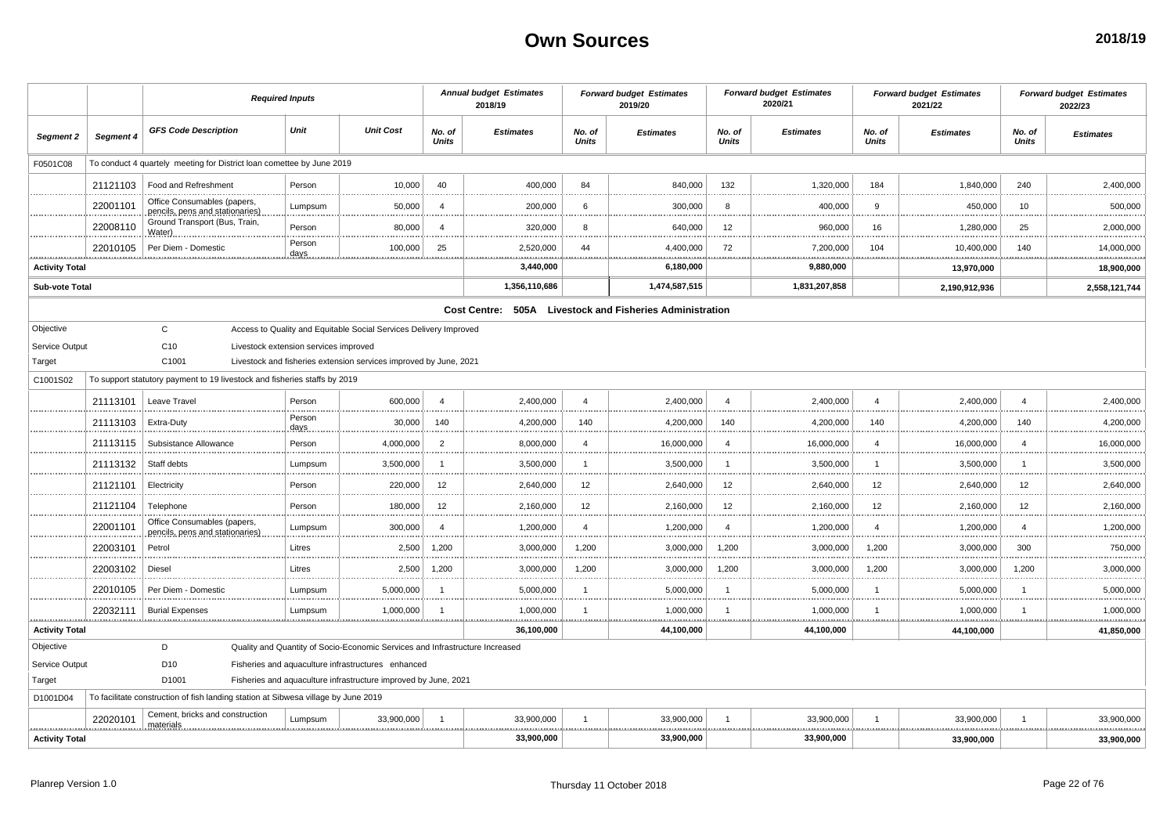|                       |           | <b>Required Inputs</b>                                                             |                        |                                                                              |                 | <b>Annual budget Estimates</b><br>2018/19                |                        | <b>Forward budget Estimates</b><br>2019/20 |                        | <b>Forward budget Estimates</b><br>2020/21 |                        | <b>Forward budget Estimates</b><br>2021/22 |                        | <b>Forward budget Estimates</b><br>2022/23 |
|-----------------------|-----------|------------------------------------------------------------------------------------|------------------------|------------------------------------------------------------------------------|-----------------|----------------------------------------------------------|------------------------|--------------------------------------------|------------------------|--------------------------------------------|------------------------|--------------------------------------------|------------------------|--------------------------------------------|
| Segment 2             | Segment 4 | <b>GFS Code Description</b>                                                        | Unit                   | <b>Unit Cost</b>                                                             | No. of<br>Units | <b>Estimates</b>                                         | No. of<br><b>Units</b> | <b>Estimates</b>                           | No. of<br><b>Units</b> | <b>Estimates</b>                           | No. of<br><b>Units</b> | <b>Estimates</b>                           | No. of<br><b>Units</b> | <b>Estimates</b>                           |
| F0501C08              |           | To conduct 4 quartely meeting for District loan comettee by June 2019              |                        |                                                                              |                 |                                                          |                        |                                            |                        |                                            |                        |                                            |                        |                                            |
|                       | 21121103  | Food and Refreshment                                                               | Person                 | 10,000                                                                       | 40              | 400,000                                                  | 84                     | 840,000                                    | 132                    | 1,320,000                                  | 184                    | 1,840,000                                  | 240                    | 2,400,000                                  |
|                       | 22001101  | Office Consumables (papers,<br>pencils, pens and stationaries)                     | Lumpsum                | 50,000                                                                       | $\overline{4}$  | 200,000                                                  | 6                      | 300,000                                    | 8                      | 400,000                                    | 9                      | 450,000                                    | 10                     | 500,000                                    |
|                       | 22008110  | Ground Transport (Bus, Train,<br>Water)                                            | Person                 | 80,000                                                                       | $\overline{4}$  | 320,000                                                  | 8                      | 640,000                                    | 12                     | 960,000                                    | 16                     | 1,280,000                                  | 25                     | 2,000,000                                  |
|                       | 22010105  | Per Diem - Domestic                                                                | Person<br><u>.days</u> | 100,000                                                                      | 25              | 2,520,000                                                | 44<br>                 | 4,400,000<br><u></u>                       | 72<br>                 | 7,200,000<br>                              | 104                    | 10,400,000                                 | 140                    | 14,000,000<br>.                            |
| <b>Activity Total</b> |           |                                                                                    |                        |                                                                              |                 | 3,440,000                                                |                        | 6,180,000                                  |                        | 9,880,000                                  |                        | 13,970,000                                 |                        | 18,900,000                                 |
| <b>Sub-vote Total</b> |           |                                                                                    |                        |                                                                              |                 | 1,356,110,686                                            |                        | 1,474,587,515                              |                        | 1,831,207,858                              |                        | 2,190,912,936                              |                        | 2,558,121,744                              |
|                       |           |                                                                                    |                        |                                                                              |                 | Cost Centre: 505A Livestock and Fisheries Administration |                        |                                            |                        |                                            |                        |                                            |                        |                                            |
| Objective             |           | $\mathbf{C}$                                                                       |                        | Access to Quality and Equitable Social Services Delivery Improved            |                 |                                                          |                        |                                            |                        |                                            |                        |                                            |                        |                                            |
| Service Output        |           | C <sub>10</sub><br>Livestock extension services improved                           |                        |                                                                              |                 |                                                          |                        |                                            |                        |                                            |                        |                                            |                        |                                            |
| Target                |           | C1001                                                                              |                        | Livestock and fisheries extension services improved by June, 2021            |                 |                                                          |                        |                                            |                        |                                            |                        |                                            |                        |                                            |
| C1001S02              |           | To support statutory payment to 19 livestock and fisheries staffs by 2019          |                        |                                                                              |                 |                                                          |                        |                                            |                        |                                            |                        |                                            |                        |                                            |
|                       | 21113101  | Leave Travel                                                                       | Person                 | 600,000                                                                      | $\overline{4}$  | 2,400,000                                                | $\overline{4}$         | 2,400,000                                  | $\overline{A}$         | 2,400,000                                  | $\overline{4}$         | 2,400,000                                  | $\overline{4}$         | 2,400,000                                  |
|                       | 21113103  | Extra-Duty                                                                         | Person<br>days         | 30,000                                                                       | 140             | 4,200,000                                                | 140<br>.               | 4,200,000<br>                              | 140<br>.               | 4,200,000                                  | 140                    | 4,200,000                                  | 140                    | 4,200,000                                  |
|                       | 21113115  | Subsistance Allowance                                                              | Person                 | 4,000,000                                                                    | $\overline{2}$  | 8,000,000                                                | $\overline{4}$         | 16,000,000                                 | $\Delta$               | 16,000,000                                 | $\overline{4}$         | 16,000,000                                 | $\overline{4}$         | 16,000,000                                 |
|                       | 21113132  | Staff debts                                                                        | Lumpsum                | 3,500,000                                                                    | $\mathbf{1}$    | 3,500,000                                                | -1                     | 3,500,000<br>                              | -1<br>.                | 3,500,000                                  | -1                     | 3,500,000                                  | $\overline{1}$         | 3,500,000<br>.                             |
|                       | 21121101  | Electricity                                                                        | Person                 | 220,000                                                                      | 12              | 2,640,000                                                | 12                     | 2,640,000                                  | 12                     | 2,640,000                                  | 12                     | 2,640,000                                  | 12                     | 2,640,000                                  |
|                       | 21121104  | Telephone                                                                          | Person                 | 180,000                                                                      | 12              | 2,160,000                                                | 12                     | 2,160,000                                  | 12                     | 2,160,000                                  | 12                     | 2,160,000                                  | 12                     | 2,160,000                                  |
|                       | 22001101  | Office Consumables (papers<br>pencils, pens and stationaries)                      | Lumpsum                | 300,000                                                                      | $\overline{4}$  | 1,200,000                                                | $\overline{4}$         | 1,200,000                                  | $\overline{4}$         | 1,200,000                                  | $\overline{a}$         | 1,200,000                                  | $\overline{4}$         | 1,200,000                                  |
|                       | 22003101  | Petrol                                                                             | Litres                 | 2,500                                                                        | 1,200           | 3,000,000                                                | 1,200                  | 3,000,000                                  | 1,200                  | 3,000,000                                  | 1,200                  | 3,000,000                                  | 300                    | 750,000                                    |
|                       | 22003102  | Diesel                                                                             | Litres                 | 2,500                                                                        | 1,200           | 3,000,000                                                | 1,200                  | 3,000,000<br>.                             | 1,200                  | 3,000,000                                  | 1,200                  | 3,000,000                                  | 1,200                  | 3,000,000<br>.                             |
|                       | 22010105  | Per Diem - Domestic                                                                | Lumpsum                | 5,000,000                                                                    | $\mathbf{1}$    | 5,000,000                                                | -1                     | 5,000,000                                  | -1                     | 5,000,000                                  | -1                     | 5,000,000                                  | -1                     | 5,000,000                                  |
|                       | 22032111  | <b>Burial Expenses</b>                                                             | Lumpsum                | 1,000,000                                                                    | $\overline{1}$  | 1,000,000                                                | $\overline{1}$         | 1,000,000                                  | <b>ALCOHOL: 000</b>    | 1,000,000                                  |                        | 1,000,000                                  |                        | 1,000,000                                  |
| <b>Activity Total</b> |           |                                                                                    |                        |                                                                              |                 | 36,100,000                                               |                        | 44,100,000                                 |                        | 44,100,000                                 |                        | 44,100,000                                 |                        | 41,850,000                                 |
| Objective             |           | D                                                                                  |                        | Quality and Quantity of Socio-Economic Services and Infrastructure Increased |                 |                                                          |                        |                                            |                        |                                            |                        |                                            |                        |                                            |
| Service Output        |           | D <sub>10</sub>                                                                    |                        | Fisheries and aquaculture infrastructures enhanced                           |                 |                                                          |                        |                                            |                        |                                            |                        |                                            |                        |                                            |
| Target                |           | D <sub>1001</sub>                                                                  |                        | Fisheries and aquaculture infrastructure improved by June, 2021              |                 |                                                          |                        |                                            |                        |                                            |                        |                                            |                        |                                            |
| D1001D04              |           | To facilitate construction of fish landing station at Sibwesa village by June 2019 |                        |                                                                              |                 |                                                          |                        |                                            |                        |                                            |                        |                                            |                        |                                            |
|                       | 22020101  | Cement, bricks and construction<br>materials                                       | Lumpsum                | 33,900,000                                                                   | $\overline{1}$  | 33,900,000                                               | -1                     | 33,900,000                                 |                        | 33,900,000                                 |                        | 33,900,000                                 |                        | 33,900,000                                 |
| <b>Activity Total</b> |           |                                                                                    |                        |                                                                              |                 | 33,900,000                                               |                        | 33,900,000                                 |                        | 33,900,000                                 |                        | 33,900,000                                 |                        | 33,900,000                                 |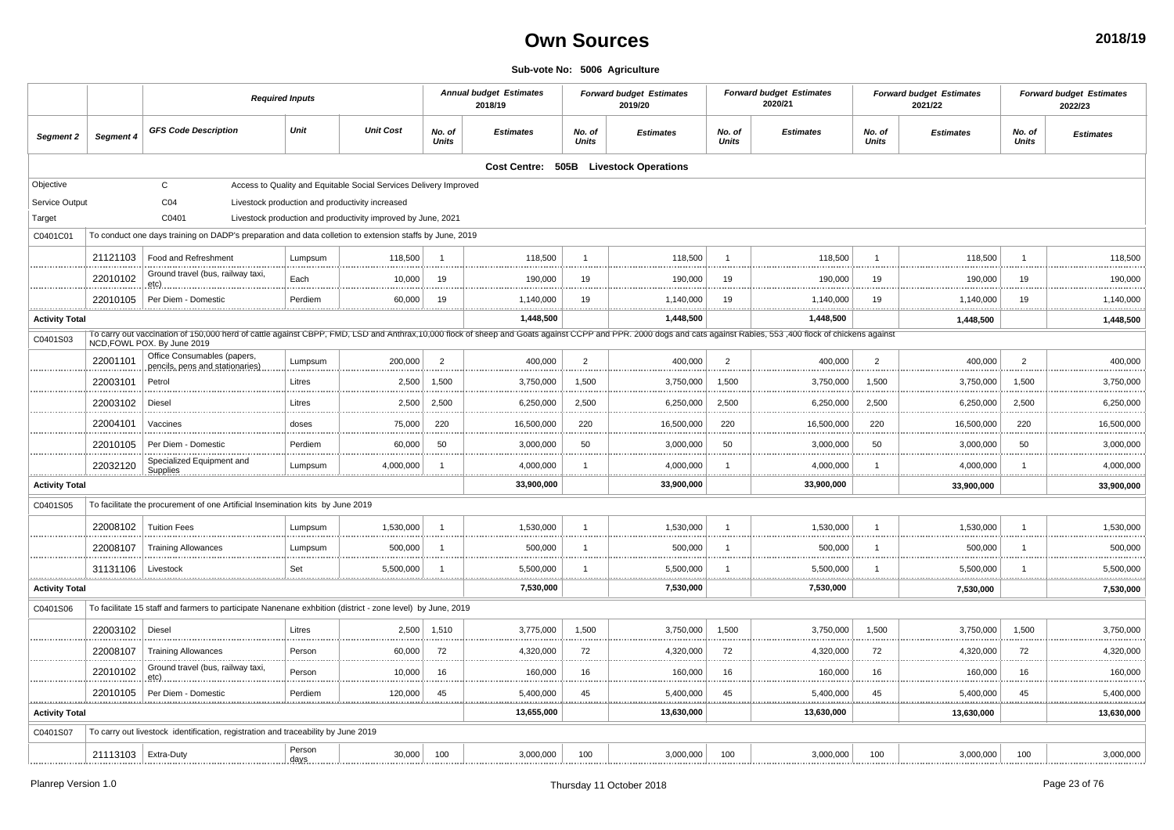#### **Sub-vote No: 5006 Agriculture**

|                       |                       | <b>Required Inputs</b>                                                                                                                                                                                                                           |                 |                                                                   |                        | <b>Annual budget Estimates</b><br>2018/19 |                        | <b>Forward budget Estimates</b><br>2019/20 |                 | <b>Forward budget Estimates</b><br>2020/21 |                        | <b>Forward budget Estimates</b><br>2021/22 |                        | <b>Forward budget Estimates</b><br>2022/23 |
|-----------------------|-----------------------|--------------------------------------------------------------------------------------------------------------------------------------------------------------------------------------------------------------------------------------------------|-----------------|-------------------------------------------------------------------|------------------------|-------------------------------------------|------------------------|--------------------------------------------|-----------------|--------------------------------------------|------------------------|--------------------------------------------|------------------------|--------------------------------------------|
| Segment 2             | Segment 4             | <b>GFS Code Description</b>                                                                                                                                                                                                                      | Unit            | <b>Unit Cost</b>                                                  | No. of<br><b>Units</b> | <b>Estimates</b>                          | No. of<br><b>Units</b> | <b>Estimates</b>                           | No. of<br>Units | <b>Estimates</b>                           | No. of<br><b>Units</b> | <b>Estimates</b>                           | No. of<br><b>Units</b> | <b>Estimates</b>                           |
|                       |                       |                                                                                                                                                                                                                                                  |                 |                                                                   |                        |                                           |                        | Cost Centre: 505B Livestock Operations     |                 |                                            |                        |                                            |                        |                                            |
| Objective             |                       | $\mathsf{C}$                                                                                                                                                                                                                                     |                 | Access to Quality and Equitable Social Services Delivery Improved |                        |                                           |                        |                                            |                 |                                            |                        |                                            |                        |                                            |
| Service Output        |                       | CO <sub>4</sub>                                                                                                                                                                                                                                  |                 | Livestock production and productivity increased                   |                        |                                           |                        |                                            |                 |                                            |                        |                                            |                        |                                            |
| Target                |                       | C0401                                                                                                                                                                                                                                            |                 | Livestock production and productivity improved by June, 2021      |                        |                                           |                        |                                            |                 |                                            |                        |                                            |                        |                                            |
| C0401C01              |                       | To conduct one days training on DADP's preparation and data colletion to extension staffs by June, 2019                                                                                                                                          |                 |                                                                   |                        |                                           |                        |                                            |                 |                                            |                        |                                            |                        |                                            |
|                       | 21121103              | Food and Refreshment                                                                                                                                                                                                                             | Lumpsum         | 118,500                                                           | -1                     | 118,500                                   | $\mathbf{1}$           | 118,500                                    |                 | 118,500                                    |                        | 118,500                                    | -1                     | 118,500                                    |
|                       | 22010102              | Ground travel (bus, railway taxi,<br>etc)                                                                                                                                                                                                        | Each            | 10,000                                                            | 19                     | 190,000                                   | 19                     | 190,000                                    | 19              | 190,000                                    | 19                     | 190,000                                    | 19                     | 190,000                                    |
|                       | 22010105<br>.         | Per Diem - Domestic                                                                                                                                                                                                                              | Perdiem         | 60,000                                                            | 19                     | 1,140,000<br>                             | 19                     | 1,140,000                                  | 19              | 1,140,000                                  | 19                     | 1,140,000<br>                              | 19<br>.                | 1,140,000<br>.<br>.                        |
| <b>Activity Total</b> |                       |                                                                                                                                                                                                                                                  |                 |                                                                   |                        | 1,448,500                                 |                        | 1,448,500                                  |                 | 1,448,500                                  |                        | 1,448,500                                  |                        | 1,448,500                                  |
| C0401S03              |                       | To carry out vaccination of 150,000 herd of cattle against CBPP, FMD, LSD and Anthrax, 10,000 flock of sheep and Goats against CCPP and PPR. 2000 dogs and cats against Rabies, 553,400 flock of chickens against<br>NCD, FOWL POX. By June 2019 |                 |                                                                   |                        |                                           |                        |                                            |                 |                                            |                        |                                            |                        |                                            |
|                       | 22001101              | Office Consumables (papers,<br>pencils, pens and stationaries)                                                                                                                                                                                   | Lumpsum         | 200,000                                                           | $\overline{2}$         | 400,000                                   | $\overline{2}$         | 400,000                                    | 2               | 400,000                                    | $\overline{2}$         | 400,000                                    | $\overline{2}$         | 400,000                                    |
|                       | 22003101              | Petrol                                                                                                                                                                                                                                           | Litres          | 2,500<br>                                                         | 1.500                  | 3,750,000                                 | 1,500                  | 3,750,000                                  | 1,500           | 3,750,000                                  | 1,500                  | 3,750,000                                  | 1,500                  | 3,750,000<br>                              |
|                       | 22003102              | Diesel                                                                                                                                                                                                                                           | Litres          | 2,500                                                             | 2,500                  | 6,250,000                                 | 2,500                  | 6,250,000<br>                              | 2,500           | 6,250,000                                  | 2,500                  | 6,250,000                                  | 2,500                  | 6,250,000                                  |
|                       | 22004101              | Vaccines                                                                                                                                                                                                                                         | doses           | 75,000                                                            | 220                    | 16,500,000                                | 220                    | 16,500,000                                 | 220             | 16,500,000                                 | 220                    | 16,500,000                                 | 220                    | 16,500,000                                 |
|                       | 22010105              | Per Diem - Domestic                                                                                                                                                                                                                              | Perdiem         | 60,000                                                            | 50                     | 3,000,000                                 | 50                     | 3,000,000<br>.                             | 50              | 3,000,000                                  | 50                     | 3,000,000                                  | 50                     | 3,000,000                                  |
| <u></u>               | 22032120              | Specialized Equipment and<br>Supplies                                                                                                                                                                                                            | Lumpsum         | 4,000,000                                                         |                        | 4,000,000                                 | $\mathbf{1}$           | 4,000,000<br>.                             |                 | 4,000,000                                  |                        | 4,000,000<br>.                             | .                      | 4,000,000<br><u></u>                       |
| <b>Activity Total</b> |                       |                                                                                                                                                                                                                                                  |                 |                                                                   |                        | 33,900,000                                |                        | 33,900,000                                 |                 | 33,900,000                                 |                        | 33,900,000                                 |                        | 33,900,000                                 |
| C0401S05              |                       | To facilitate the procurement of one Artificial Insemination kits by June 2019                                                                                                                                                                   |                 |                                                                   |                        |                                           |                        |                                            |                 |                                            |                        |                                            |                        |                                            |
|                       | 22008102              | <b>Tuition Fees</b>                                                                                                                                                                                                                              | Lumpsum         | 1,530,000                                                         | $\overline{1}$         | 1,530,000                                 | $\overline{1}$         | 1,530,000                                  |                 | 1,530,000                                  |                        | 1,530,000                                  |                        | 1,530,000                                  |
|                       | 22008107              | <b>Training Allowances</b>                                                                                                                                                                                                                       | Lumpsum         | 500,000                                                           |                        | 500,000                                   | -1                     | 500,000                                    |                 | 500,000                                    |                        | 500,000                                    |                        | 500,000                                    |
| . <u>.</u>            | 31131106              | Livestock                                                                                                                                                                                                                                        | Set             | 5,500,000                                                         |                        | 5,500,000                                 | $\mathbf{1}$           | 5,500,000                                  |                 | 5,500,000<br>.                             |                        | 5,500,000<br>                              | <b></b>                | 5,500,000<br>.<br>                         |
| <b>Activity Total</b> |                       |                                                                                                                                                                                                                                                  |                 |                                                                   |                        | 7,530,000                                 |                        | 7,530,000                                  |                 | 7,530,000                                  |                        | 7,530,000                                  |                        | 7,530,000                                  |
| C0401S06              |                       | To facilitate 15 staff and farmers to participate Nanenane exhbition (district - zone level) by June, 2019                                                                                                                                       |                 |                                                                   |                        |                                           |                        |                                            |                 |                                            |                        |                                            |                        |                                            |
|                       | 22003102              | Diesel                                                                                                                                                                                                                                           | Litres          | 2,500                                                             | 1,510                  | 3,775,000                                 | 1,500                  | 3,750,000                                  | 1,500           | 3,750,000                                  | 1,500                  | 3,750,000                                  | 1,500                  | 3,750,000                                  |
|                       | 22008107              | <b>Training Allowances</b>                                                                                                                                                                                                                       | Person          | 60,000                                                            | 72                     | 4,320,000                                 | 72                     | 4,320,000                                  | 72              | 4,320,000                                  | 72                     | 4,320,000                                  | 72                     | 4,320,000                                  |
|                       | 22010102              | Ground travel (bus, railway taxi,<br>etc)                                                                                                                                                                                                        | Person          | 10,000                                                            | 16                     | 160,000                                   | 16                     | 160,000                                    | 16              | 160,000                                    | 16                     | 160,000                                    | 16                     | 160,000                                    |
|                       | 22010105              | Per Diem - Domestic                                                                                                                                                                                                                              | Perdiem         | 120,000                                                           | 45                     | 5,400,000                                 | 45                     | 5,400,000                                  | 45              | 5,400,000                                  | 45                     | 5,400,000                                  | 45                     | 5,400,000                                  |
| <b>Activity Total</b> |                       |                                                                                                                                                                                                                                                  |                 |                                                                   |                        | 13,655,000                                |                        | 13,630,000                                 |                 | 13,630,000                                 |                        | 13,630,000                                 |                        | 13,630,000                                 |
| C0401S07              |                       | To carry out livestock identification, registration and traceability by June 2019                                                                                                                                                                |                 |                                                                   |                        |                                           |                        |                                            |                 |                                            |                        |                                            |                        |                                            |
|                       | 21113103   Extra-Duty |                                                                                                                                                                                                                                                  | Person<br>days. | 30,000                                                            | 100                    | 3,000,000                                 | 100                    | 3,000,000                                  | 100             | 3,000,000                                  | 100                    | 3,000,000                                  | 100                    | 3,000,000                                  |
|                       |                       |                                                                                                                                                                                                                                                  |                 |                                                                   |                        |                                           |                        |                                            |                 |                                            |                        |                                            |                        |                                            |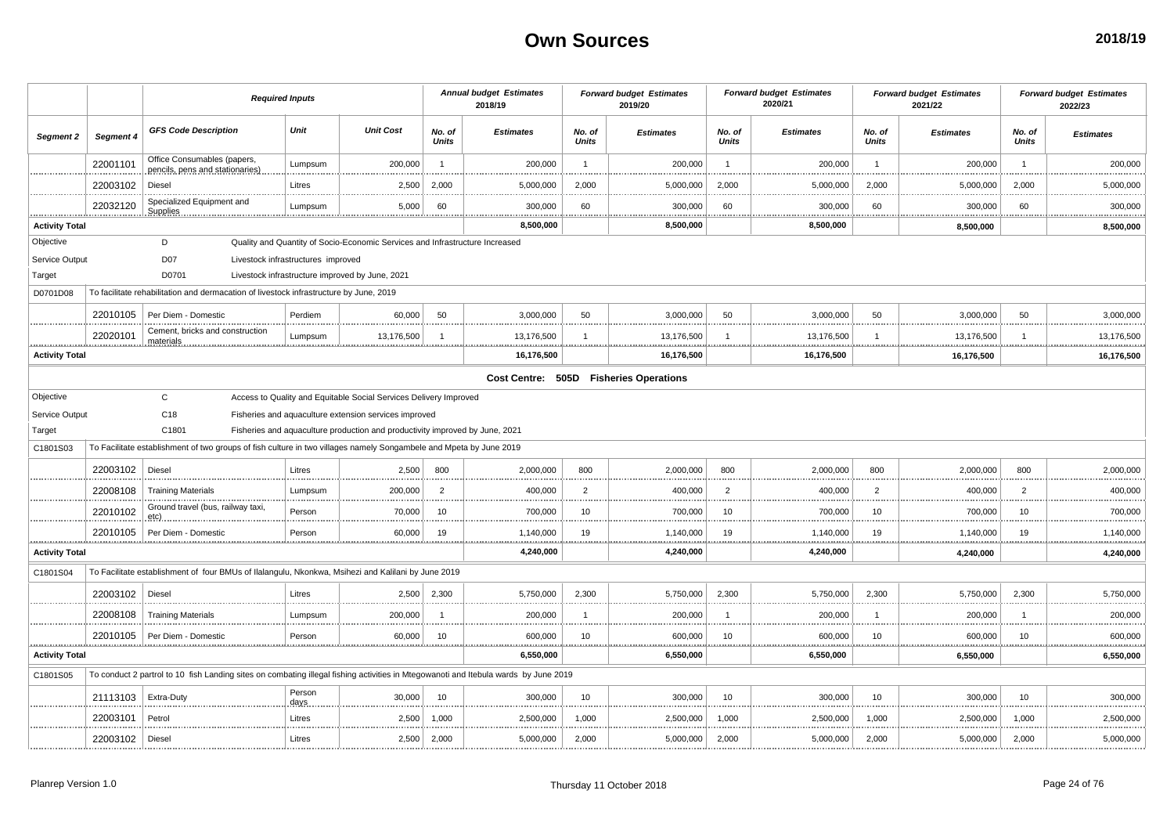|                       |                   | <b>Required Inputs</b>                                                                                                              |                                    |                                                                              | <b>Annual budget Estimates</b><br>2018/19 |                  | <b>Forward budget Estimates</b><br>2019/20 |                                        | <b>Forward budget Estimates</b><br>2020/21 |                      | <b>Forward budget Estimates</b><br>2021/22 |                      | <b>Forward budget Estimates</b><br>2022/23 |                                  |
|-----------------------|-------------------|-------------------------------------------------------------------------------------------------------------------------------------|------------------------------------|------------------------------------------------------------------------------|-------------------------------------------|------------------|--------------------------------------------|----------------------------------------|--------------------------------------------|----------------------|--------------------------------------------|----------------------|--------------------------------------------|----------------------------------|
| Segment 2             | Segment 4         | <b>GFS Code Description</b>                                                                                                         | Unit                               | <b>Unit Cost</b>                                                             | No. of<br><b>Units</b>                    | <b>Estimates</b> | No. of<br>Units                            | <b>Estimates</b>                       | No. of<br>Units                            | <b>Estimates</b>     | No. of<br>Units                            | <b>Estimates</b>     | No. of<br>Units                            | <b>Estimates</b>                 |
|                       | 22001101          | Office Consumables (papers,<br>pencils, pens and stationaries).                                                                     | Lumpsum                            | 200,000                                                                      | $\overline{1}$                            | 200,000          | $\overline{1}$                             | 200,000                                | $\overline{1}$                             | 200,000              | $\overline{1}$                             | 200,000              | $\overline{1}$                             | 200,000                          |
|                       | 22003102          | Diesel                                                                                                                              | Litres                             | 2,500                                                                        | 2,000                                     | 5,000,000        | 2,000                                      | 5,000,000                              | 2,000                                      | 5,000,000            | 2,000                                      | 5,000,000            | 2,000                                      | 5,000,000                        |
|                       | 22032120          | Specialized Equipment and<br>Supplies.<br>                                                                                          | Lumpsum                            | 5,000                                                                        | 60                                        | 300,000          | 60                                         | 300,000                                | 60                                         | 300,000              | 60                                         | 300,000              | 60                                         | 300,000<br>.                     |
| <b>Activity Total</b> |                   |                                                                                                                                     |                                    |                                                                              |                                           | 8,500,000        | . <b>.</b>                                 | .<br>8,500,000                         |                                            | <br>8,500,000        |                                            | <u></u><br>8,500,000 | .                                          | 8,500,000                        |
| Objective             |                   | D                                                                                                                                   |                                    | Quality and Quantity of Socio-Economic Services and Infrastructure Increased |                                           |                  |                                            |                                        |                                            |                      |                                            |                      |                                            |                                  |
| Service Output        |                   | <b>D07</b>                                                                                                                          | Livestock infrastructures improved |                                                                              |                                           |                  |                                            |                                        |                                            |                      |                                            |                      |                                            |                                  |
| Target                |                   | D0701                                                                                                                               |                                    | Livestock infrastructure improved by June, 2021                              |                                           |                  |                                            |                                        |                                            |                      |                                            |                      |                                            |                                  |
| D0701D08              |                   | To facilitate rehabilitation and dermacation of livestock infrastructure by June, 2019                                              |                                    |                                                                              |                                           |                  |                                            |                                        |                                            |                      |                                            |                      |                                            |                                  |
|                       | 22010105          | Per Diem - Domestic                                                                                                                 | Perdiem                            | 60,000                                                                       | 50                                        | 3,000,000        | 50                                         | 3,000,000                              | 50                                         | 3,000,000            | -50                                        | 3,000,000            | 50                                         | 3,000,000                        |
|                       | 22020101          | Cement, bricks and construction<br>materials.                                                                                       | Lumpsum                            | 13,176,500                                                                   |                                           | 13,176,500<br>.  |                                            | 13,176,500<br><u></u>                  |                                            | 13,176,500<br>.      |                                            | 13,176,500<br>       |                                            | 13,176,500<br>.                  |
| <b>Activity Total</b> |                   |                                                                                                                                     |                                    |                                                                              |                                           | 16,176,500       |                                            | 16,176,500                             |                                            | 16,176,500           |                                            | 16.176.500           |                                            | 16,176,500                       |
|                       |                   |                                                                                                                                     |                                    |                                                                              |                                           |                  |                                            | Cost Centre: 505D Fisheries Operations |                                            |                      |                                            |                      |                                            |                                  |
| Objective             |                   | $\mathbf{C}$                                                                                                                        |                                    | Access to Quality and Equitable Social Services Delivery Improved            |                                           |                  |                                            |                                        |                                            |                      |                                            |                      |                                            |                                  |
| Service Output        |                   | C18                                                                                                                                 |                                    | Fisheries and aquaculture extension services improved                        |                                           |                  |                                            |                                        |                                            |                      |                                            |                      |                                            |                                  |
| Target                |                   | C1801                                                                                                                               |                                    | Fisheries and aquaculture production and productivity improved by June, 2021 |                                           |                  |                                            |                                        |                                            |                      |                                            |                      |                                            |                                  |
| C1801S03              |                   | To Facilitate establishment of two groups of fish culture in two villages namely Songambele and Mpeta by June 2019                  |                                    |                                                                              |                                           |                  |                                            |                                        |                                            |                      |                                            |                      |                                            |                                  |
|                       | 22003102          | Diesel                                                                                                                              | Litres                             | 2,500                                                                        | 800                                       | 2,000,000        | 800                                        | 2,000,000                              | 800                                        | 2,000,000            | 800                                        | 2,000,000            | 800                                        | 2,000,000                        |
|                       | 22008108          | <b>Training Materials</b>                                                                                                           | Lumpsum                            | 200,000                                                                      | $\overline{2}$                            | 400,000          | 2                                          | 400,000                                | $\overline{2}$                             | 400,000              | $\overline{2}$                             | 400,000              | $\overline{2}$                             | 400,000                          |
|                       | 22010102          | Ground travel (bus, railway taxi,                                                                                                   | Person                             | 70,000                                                                       | 10                                        | 700,000          | 10                                         | 700,000                                | 10                                         | 700,000              | 10                                         | 700,000              | 10                                         | 700,000                          |
| .                     | 22010105          | Per Diem - Domestic                                                                                                                 | Person                             | 60,000                                                                       | 19                                        | 1,140,000<br>.   | 19<br><b>*********</b>                     | 1,140,000<br><u></u><br>               | 19<br>.                                    | 1,140,000<br><u></u> | 19<br>.                                    | 1,140,000<br>.       | 19<br>                                     | 1,140,000<br>***************     |
| <b>Activity Total</b> |                   |                                                                                                                                     |                                    |                                                                              |                                           | 4,240,000        |                                            | 4,240,000                              |                                            | 4,240,000            |                                            | 4,240,000            |                                            | 4,240,000                        |
| C1801S04              |                   | To Facilitate establishment of four BMUs of Ilalangulu, Nkonkwa, Msihezi and Kalilani by June 2019                                  |                                    |                                                                              |                                           |                  |                                            |                                        |                                            |                      |                                            |                      |                                            |                                  |
|                       | 22003102          | Diesel                                                                                                                              | Litres                             | 2.500                                                                        | 2.300                                     | 5,750,000        | 2.300                                      | 5,750,000                              | 2.300                                      | 5,750,000            | 2.300                                      | 5,750,000            | 2.300                                      | 5,750,000                        |
|                       | 22008108          | <b>Training Materials</b>                                                                                                           | Lumpsum                            | 200,000                                                                      |                                           | 200,000          | $\overline{1}$                             | 200,000                                | -1                                         | 200,000              |                                            | 200,000              |                                            | 200,000<br>                      |
|                       | 22010105          | Per Diem - Domestic                                                                                                                 | Person<br>.                        | 60,000                                                                       | 10                                        | 600,000          | 10                                         | 600,000                                | 10                                         | 600,000              | 10                                         | 600,000              | 10                                         | 600,000                          |
| <b>Activity Total</b> |                   |                                                                                                                                     |                                    |                                                                              |                                           | 6,550,000        |                                            | .<br>6,550,000                         |                                            | 6,550,000            |                                            | 6,550,000            |                                            | <b>ALCOHOL:</b> 0.0<br>6,550,000 |
| C1801S05              |                   | To conduct 2 partrol to 10 fish Landing sites on combating illegal fishing activities in Mtegowanoti and Itebula wards by June 2019 |                                    |                                                                              |                                           |                  |                                            |                                        |                                            |                      |                                            |                      |                                            |                                  |
|                       | 21113103          | Extra-Duty                                                                                                                          | Person<br>days                     | 30,000                                                                       | 10                                        | 300,000          | 10                                         | 300,000                                | 10                                         | 300,000              | 10                                         | 300,000              | 10                                         | 300,000                          |
|                       | 22003101          | Petrol                                                                                                                              | Litres                             | 2,500                                                                        | 1,000                                     | 2,500,000        | 1,000                                      | 2,500,000                              | 1,000                                      | 2,500,000            | 1,000                                      | 2,500,000            | 1,000                                      | 2,500,000                        |
|                       | 22003102   Diesel |                                                                                                                                     | Litres                             | 2,500                                                                        | 2,000                                     | 5,000,000        | 2,000                                      | 5,000,000                              | 2,000                                      | 5,000,000            | 2,000                                      | 5,000,000            | 2,000                                      | 5,000,000                        |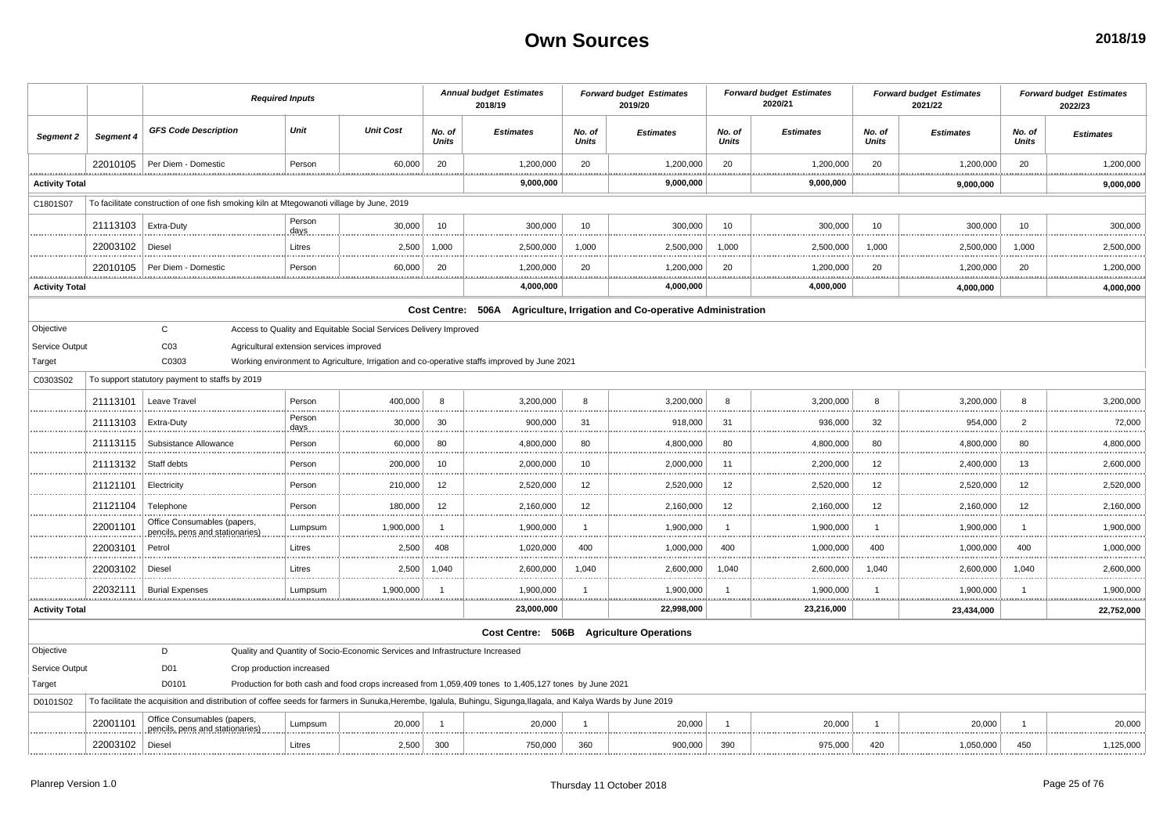|                       |           | <b>Required Inputs</b>                                                                                                                                          |                |                                                                              | <b>Annual budget Estimates</b><br>2018/19 |                                                                                                        | <b>Forward budget Estimates</b><br>2019/20 |                                                                           | <b>Forward budget Estimates</b><br>2020/21 |                  | <b>Forward budget Estimates</b><br>2021/22 |                    | <b>Forward budget Estimates</b><br>2022/23 |                    |
|-----------------------|-----------|-----------------------------------------------------------------------------------------------------------------------------------------------------------------|----------------|------------------------------------------------------------------------------|-------------------------------------------|--------------------------------------------------------------------------------------------------------|--------------------------------------------|---------------------------------------------------------------------------|--------------------------------------------|------------------|--------------------------------------------|--------------------|--------------------------------------------|--------------------|
| Segment 2             | Segment 4 | <b>GFS Code Description</b>                                                                                                                                     | Unit           | <b>Unit Cost</b>                                                             | No. of<br><b>Units</b>                    | <b>Estimates</b>                                                                                       | No. of<br><b>Units</b>                     | <b>Estimates</b>                                                          | No. of<br><b>Units</b>                     | <b>Estimates</b> | No. of<br><b>Units</b>                     | <b>Estimates</b>   | No. of<br>Units                            | <b>Estimates</b>   |
|                       | 22010105  | Per Diem - Domestic                                                                                                                                             | Person         | 60,000                                                                       | 20                                        | 1,200,000                                                                                              | 20                                         | 1,200,000                                                                 | 20                                         | 1,200,000        | 20                                         | 1,200,000          | 20                                         | 1,200,000          |
| <b>Activity Total</b> |           |                                                                                                                                                                 |                |                                                                              |                                           | 9,000,000                                                                                              |                                            | 9,000,000                                                                 |                                            | 9,000,000        |                                            | 9,000,000          |                                            | 9,000,000          |
| C1801S07              |           | To facilitate construction of one fish smoking kiln at Mtegowanoti village by June, 2019                                                                        |                |                                                                              |                                           |                                                                                                        |                                            |                                                                           |                                            |                  |                                            |                    |                                            |                    |
|                       | 21113103  | Extra-Duty                                                                                                                                                      | Person<br>days | 30,000                                                                       | 10                                        | 300,000                                                                                                | 10                                         | 300.000                                                                   | 10                                         | 300.000          | 10                                         | 300,000            | 10                                         | 300,000            |
|                       | 22003102  | Diesel                                                                                                                                                          | Litres         | 2,500                                                                        | 1,000                                     | 2,500,000                                                                                              | 1,000                                      | 2,500,000                                                                 | 1,000                                      | 2,500,000        | 1,000                                      | 2,500,000          | 1,000                                      | 2,500,000          |
|                       | 22010105  | Per Diem - Domestic                                                                                                                                             | Person         | 60,000                                                                       | 20                                        | 1,200,000                                                                                              | 20                                         | 1,200,000                                                                 | 20                                         | 1,200,000        | 20                                         | 1,200,000          | 20                                         | 1,200,000          |
| <b>Activity Total</b> |           |                                                                                                                                                                 |                |                                                                              |                                           | 4,000,000                                                                                              |                                            | 4,000,000                                                                 |                                            | 4,000,000        |                                            | 4,000,000          |                                            | 4,000,000          |
|                       |           |                                                                                                                                                                 |                |                                                                              |                                           |                                                                                                        |                                            | Cost Centre: 506A Agriculture, Irrigation and Co-operative Administration |                                            |                  |                                            |                    |                                            |                    |
| Objective             |           | $\mathsf{C}$                                                                                                                                                    |                | Access to Quality and Equitable Social Services Delivery Improved            |                                           |                                                                                                        |                                            |                                                                           |                                            |                  |                                            |                    |                                            |                    |
| Service Output        |           | C <sub>03</sub><br>Agricultural extension services improved                                                                                                     |                |                                                                              |                                           |                                                                                                        |                                            |                                                                           |                                            |                  |                                            |                    |                                            |                    |
| Target                |           | C0303                                                                                                                                                           |                |                                                                              |                                           | Working environment to Agriculture, Irrigation and co-operative staffs improved by June 2021           |                                            |                                                                           |                                            |                  |                                            |                    |                                            |                    |
| C0303S02              |           | To support statutory payment to staffs by 2019                                                                                                                  |                |                                                                              |                                           |                                                                                                        |                                            |                                                                           |                                            |                  |                                            |                    |                                            |                    |
|                       | 21113101  | Leave Travel                                                                                                                                                    | Person         | 400,000                                                                      | 8                                         | 3,200,000                                                                                              | 8                                          | 3,200,000                                                                 | 8                                          | 3,200,000        | R                                          | 3,200,000          | 8                                          | 3,200,000          |
|                       | 21113103  | Extra-Duty                                                                                                                                                      | Person<br>days | 30,000                                                                       | 30                                        | 900,000                                                                                                | 31                                         | 918,000                                                                   | 31                                         | 936,000          | 32                                         | 954,000            | $\overline{2}$                             | 72,000             |
|                       | 21113115  | Subsistance Allowance                                                                                                                                           | Person         | 60,000                                                                       | 80                                        | 4,800,000                                                                                              | 80                                         | 4,800,000                                                                 | 80                                         | 4,800,000        | 80                                         | 4,800,000          | 80                                         | 4,800,000          |
|                       | 21113132  | Staff debts                                                                                                                                                     | Person         | 200,000                                                                      | 10                                        | 2,000,000                                                                                              | 10                                         | 2,000,000<br>.                                                            | 11<br>.                                    | 2,200,000<br>.   | 12<br>.                                    | 2,400,000<br>.     | 13<br>                                     | 2,600,000<br>.     |
|                       | 21121101  | Electricity                                                                                                                                                     | Person         | 210,000                                                                      | 12                                        | 2,520,000                                                                                              | 12                                         | 2,520,000                                                                 | 12                                         | 2,520,000        | 12                                         | 2,520,000          | 12                                         | 2,520,000          |
|                       | 21121104  | Telephone                                                                                                                                                       | Person         | 180,000                                                                      | 12                                        | 2,160,000                                                                                              | 12                                         | 2,160,000                                                                 | 12                                         | 2.160.000        | 12                                         | 2,160,000          | 12                                         | 2,160,000          |
|                       | 22001101  | Office Consumables (papers,<br>pencils, pens and stationaries)                                                                                                  | Lumpsum        | 1,900,000                                                                    | $\overline{1}$                            | 1,900,000                                                                                              | $\overline{1}$                             | 1,900,000<br>.                                                            | -1<br>.                                    | 1,900,000<br>.   |                                            | 1,900,000          | -1<br>.                                    | 1,900,000          |
|                       | 22003101  | Petrol                                                                                                                                                          | Litres         | 2,500                                                                        | 408                                       | 1,020,000                                                                                              | 400                                        | 1,000,000                                                                 | 400                                        | 1,000,000<br>    | 400                                        | 1,000,000          | 400                                        | 1,000,000          |
|                       | 22003102  | Diesel                                                                                                                                                          | Litres         | 2,500                                                                        | 1,040                                     | 2,600,000                                                                                              | 1,040                                      | 2,600,000                                                                 | 1,040                                      | 2,600,000        | 1,040                                      | 2,600,000          | 1,040                                      | 2,600,000          |
| .                     | 22032111  | <b>Burial Expenses</b>                                                                                                                                          | Lumpsum        | 1,900,000                                                                    | $\overline{1}$                            | 1,900,000                                                                                              | -1<br>.                                    | 1,900,000<br>                                                             | -1                                         | 1,900,000        | .                                          | 1,900,000<br>.<br> |                                            | 1.900.000<br>.<br> |
| <b>Activity Total</b> |           |                                                                                                                                                                 |                |                                                                              |                                           | 23,000,000                                                                                             |                                            | 22,998,000                                                                |                                            | 23,216,000       |                                            | 23,434,000         |                                            | 22,752,000         |
|                       |           |                                                                                                                                                                 |                |                                                                              |                                           |                                                                                                        |                                            | Cost Centre: 506B Agriculture Operations                                  |                                            |                  |                                            |                    |                                            |                    |
| Objective             |           | D                                                                                                                                                               |                | Quality and Quantity of Socio-Economic Services and Infrastructure Increased |                                           |                                                                                                        |                                            |                                                                           |                                            |                  |                                            |                    |                                            |                    |
| Service Output        |           | D01<br>Crop production increased                                                                                                                                |                |                                                                              |                                           |                                                                                                        |                                            |                                                                           |                                            |                  |                                            |                    |                                            |                    |
| Target                |           | D0101                                                                                                                                                           |                |                                                                              |                                           | Production for both cash and food crops increased from 1,059,409 tones to 1,405,127 tones by June 2021 |                                            |                                                                           |                                            |                  |                                            |                    |                                            |                    |
| D0101S02              |           | To facilitate the acquisition and distribution of coffee seeds for farmers in Sunuka, Herembe, Igalula, Buhingu, Sigunga, Ilagala, and Kalya Wards by June 2019 |                |                                                                              |                                           |                                                                                                        |                                            |                                                                           |                                            |                  |                                            |                    |                                            |                    |
|                       | 22001101  | Office Consumables (papers,<br>pencils, pens and stationaries)                                                                                                  | Lumpsum        | 20,000                                                                       |                                           | 20,000                                                                                                 | $\overline{1}$                             | 20,000                                                                    |                                            | 20,000           |                                            | 20,000             |                                            | 20,000             |
|                       | 22003102  | Diesel                                                                                                                                                          | Litres         | 2,500                                                                        | 300                                       | 750,000                                                                                                | 360                                        | 900,000                                                                   | 390                                        | 975,000          | 420                                        | 1,050,000          | 450                                        | 1,125,000          |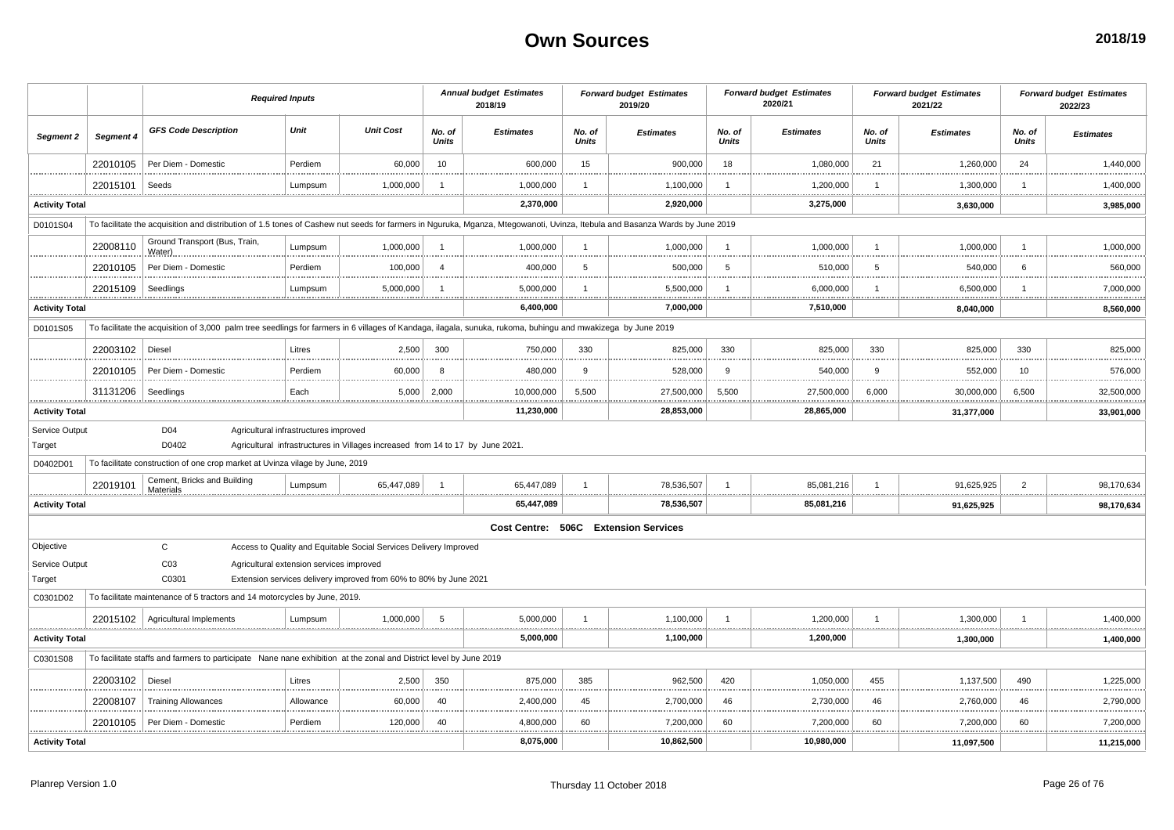|                       |           | <b>Required Inputs</b>                                                                                                                                                      |                                          |                                                                                |                        | <b>Annual budget Estimates</b><br>2018/19 |                        | <b>Forward budget Estimates</b><br>2019/20 |                        | <b>Forward budget Estimates</b><br>2020/21 |                        | <b>Forward budget Estimates</b><br>2021/22 |                        | <b>Forward budget Estimates</b><br>2022/23 |
|-----------------------|-----------|-----------------------------------------------------------------------------------------------------------------------------------------------------------------------------|------------------------------------------|--------------------------------------------------------------------------------|------------------------|-------------------------------------------|------------------------|--------------------------------------------|------------------------|--------------------------------------------|------------------------|--------------------------------------------|------------------------|--------------------------------------------|
| Segment 2             | Segment 4 | <b>GFS Code Description</b>                                                                                                                                                 | Unit                                     | <b>Unit Cost</b>                                                               | No. of<br><b>Units</b> | <b>Estimates</b>                          | No. of<br><b>Units</b> | <b>Estimates</b>                           | No. of<br><b>Units</b> | <b>Estimates</b>                           | No. of<br><b>Units</b> | <b>Estimates</b>                           | No. of<br><b>Units</b> | <b>Estimates</b>                           |
|                       | 22010105  | Per Diem - Domestic                                                                                                                                                         | Perdiem                                  | 60,000                                                                         | 10                     | 600,000                                   | 15                     | 900,000                                    | 18                     | 1,080,000                                  | 21                     | 1,260,000                                  | 24                     | 1,440,000                                  |
|                       | 22015101  | Seeds                                                                                                                                                                       | Lumpsum                                  | 1,000,000                                                                      |                        | 1,000,000                                 | -1                     | 1,100,000                                  | -1                     | 1,200,000                                  |                        | 1,300,000                                  |                        | 1,400,000                                  |
| <b>Activity Total</b> |           |                                                                                                                                                                             |                                          |                                                                                |                        | 2,370,000                                 |                        | 2,920,000                                  |                        | 3,275,000                                  |                        | 3,630,000                                  |                        | .<br>3,985,000                             |
| D0101S04              |           | To facilitate the acquisition and distribution of 1.5 tones of Cashew nut seeds for farmers in Nguruka, Mganza, Mtegowanoti, Uvinza, Itebula and Basanza Wards by June 2019 |                                          |                                                                                |                        |                                           |                        |                                            |                        |                                            |                        |                                            |                        |                                            |
|                       | 22008110  | Ground Transport (Bus, Train,<br>Water)                                                                                                                                     | Lumpsum                                  | 1,000,000                                                                      | $\overline{1}$         | 1,000,000                                 | $\overline{1}$         | 1,000,000                                  | - 1                    | 1,000,000                                  |                        | 1,000,000                                  |                        | 1,000,000                                  |
|                       | 22010105  | Per Diem - Domestic                                                                                                                                                         | Perdiem                                  | 100,000                                                                        | $\overline{4}$         | 400,000                                   | 5                      | 500,000                                    | 5                      | 510,000                                    | 5                      | 540,000                                    | 6                      | 560,000                                    |
|                       | 22015109  | Seedlings                                                                                                                                                                   | Lumpsum                                  | 5,000,000                                                                      |                        | 5,000,000                                 | -1                     | 5,500,000                                  |                        | 6,000,000                                  |                        | 6,500,000                                  |                        | 7,000,000                                  |
| <b>Activity Total</b> |           |                                                                                                                                                                             |                                          |                                                                                |                        | 6,400,000                                 |                        | 7,000,000                                  |                        | 7,510,000                                  |                        | 8,040,000                                  |                        | 8,560,000                                  |
| D0101S05              |           | To facilitate the acquisition of 3,000 palm tree seedlings for farmers in 6 villages of Kandaga, ilagala, sunuka, rukoma, buhingu and mwakizega by June 2019                |                                          |                                                                                |                        |                                           |                        |                                            |                        |                                            |                        |                                            |                        |                                            |
|                       | 22003102  | Diesel                                                                                                                                                                      | Litres                                   | 2,500                                                                          | 300                    | 750,000                                   | 330                    | 825,000                                    | 330                    | 825,000                                    | 330                    | 825,000                                    | 330                    | 825,000                                    |
|                       | 22010105  | Per Diem - Domestic                                                                                                                                                         | Perdiem                                  | 60,000                                                                         | 8                      | 480,000                                   | 9                      | 528,000                                    | 9                      | 540,000                                    | 9                      | 552,000                                    | 10                     | 576,000                                    |
|                       | 31131206  | Seedlings                                                                                                                                                                   | Each                                     | 5,000                                                                          | 2,000                  | 10,000,000                                | 5,500                  | 27,500,000                                 | 5,500                  | 27,500,000                                 | 6,000                  | 30,000,000                                 | 6,500                  | 32,500,000                                 |
| <b>Activity Total</b> |           |                                                                                                                                                                             |                                          |                                                                                |                        | 11,230,000                                |                        | 28,853,000                                 |                        | 28,865,000                                 |                        | 31,377,000                                 |                        | 33,901,000                                 |
| Service Output        |           | D04                                                                                                                                                                         | Agricultural infrastructures improved    |                                                                                |                        |                                           |                        |                                            |                        |                                            |                        |                                            |                        |                                            |
| Target                |           | D0402                                                                                                                                                                       |                                          | Agricultural infrastructures in Villages increased from 14 to 17 by June 2021. |                        |                                           |                        |                                            |                        |                                            |                        |                                            |                        |                                            |
| D0402D01              |           | To facilitate construction of one crop market at Uvinza vilage by June, 2019                                                                                                |                                          |                                                                                |                        |                                           |                        |                                            |                        |                                            |                        |                                            |                        |                                            |
|                       | 22019101  | Cement, Bricks and Building<br>Materials                                                                                                                                    | Lumpsum                                  | 65,447,089                                                                     |                        | 65,447,089                                | -1                     | 78,536,507                                 |                        | 85,081,216                                 |                        | 91,625,925                                 | $\overline{2}$         | 98,170,634                                 |
| <b>Activity Total</b> |           |                                                                                                                                                                             |                                          |                                                                                |                        | 65,447,089                                |                        | 78,536,507                                 |                        | 85,081,216                                 |                        | 91,625,925                                 |                        | 98,170,634                                 |
|                       |           |                                                                                                                                                                             |                                          |                                                                                |                        |                                           |                        | Cost Centre: 506C Extension Services       |                        |                                            |                        |                                            |                        |                                            |
| Objective             |           | $\mathsf{C}$                                                                                                                                                                |                                          | Access to Quality and Equitable Social Services Delivery Improved              |                        |                                           |                        |                                            |                        |                                            |                        |                                            |                        |                                            |
| Service Output        |           | C <sub>03</sub>                                                                                                                                                             | Agricultural extension services improved |                                                                                |                        |                                           |                        |                                            |                        |                                            |                        |                                            |                        |                                            |
| Target                |           | C0301                                                                                                                                                                       |                                          | Extension services delivery improved from 60% to 80% by June 2021              |                        |                                           |                        |                                            |                        |                                            |                        |                                            |                        |                                            |
| C0301D02              |           | To facilitate maintenance of 5 tractors and 14 motorcycles by June, 2019.                                                                                                   |                                          |                                                                                |                        |                                           |                        |                                            |                        |                                            |                        |                                            |                        |                                            |
|                       |           | 22015102   Agricultural Implements                                                                                                                                          | Lumpsum                                  | 1,000,000                                                                      | 5                      | 5,000,000                                 | 1                      | 1,100,000<br>. <u>.</u>                    | ÷.                     | 1,200,000                                  |                        | 1,300,000                                  |                        | 1,400,000                                  |
| <b>Activity Total</b> |           |                                                                                                                                                                             |                                          |                                                                                |                        | 5,000,000                                 |                        | 1,100,000                                  |                        | 1,200,000                                  |                        | 1,300,000                                  |                        | 1,400,000                                  |
| C0301S08              |           | To facilitate staffs and farmers to participate Nane nane exhibition at the zonal and District level by June 2019                                                           |                                          |                                                                                |                        |                                           |                        |                                            |                        |                                            |                        |                                            |                        |                                            |
|                       | 22003102  | Diesel                                                                                                                                                                      | Litres                                   | 2,500                                                                          | 350                    | 875,000                                   | 385                    | 962,500                                    | 420                    | 1,050,000                                  | 455                    | 1,137,500                                  | 490                    | 1,225,000                                  |
|                       | 22008107  | <b>Training Allowances</b>                                                                                                                                                  | Allowance                                | 60,000                                                                         | 40                     | 2,400,000                                 | 45                     | 2,700,000                                  | 46                     | 2,730,000                                  | 46                     | 2,760,000                                  | 46                     | 2,790,000                                  |
|                       | 22010105  | Per Diem - Domestic                                                                                                                                                         | Perdiem                                  | 120,000                                                                        | 40                     | 4,800,000                                 | 60                     | 7,200,000<br>                              | 60                     | 7,200,000                                  | 60                     | 7,200,000                                  | 60                     | 7,200,000<br>                              |
| <b>Activity Total</b> |           |                                                                                                                                                                             |                                          |                                                                                |                        | 8,075,000                                 |                        | 10,862,500                                 |                        | 10,980,000                                 |                        | 11,097,500                                 |                        | 11,215,000                                 |

Planrep Version 1.0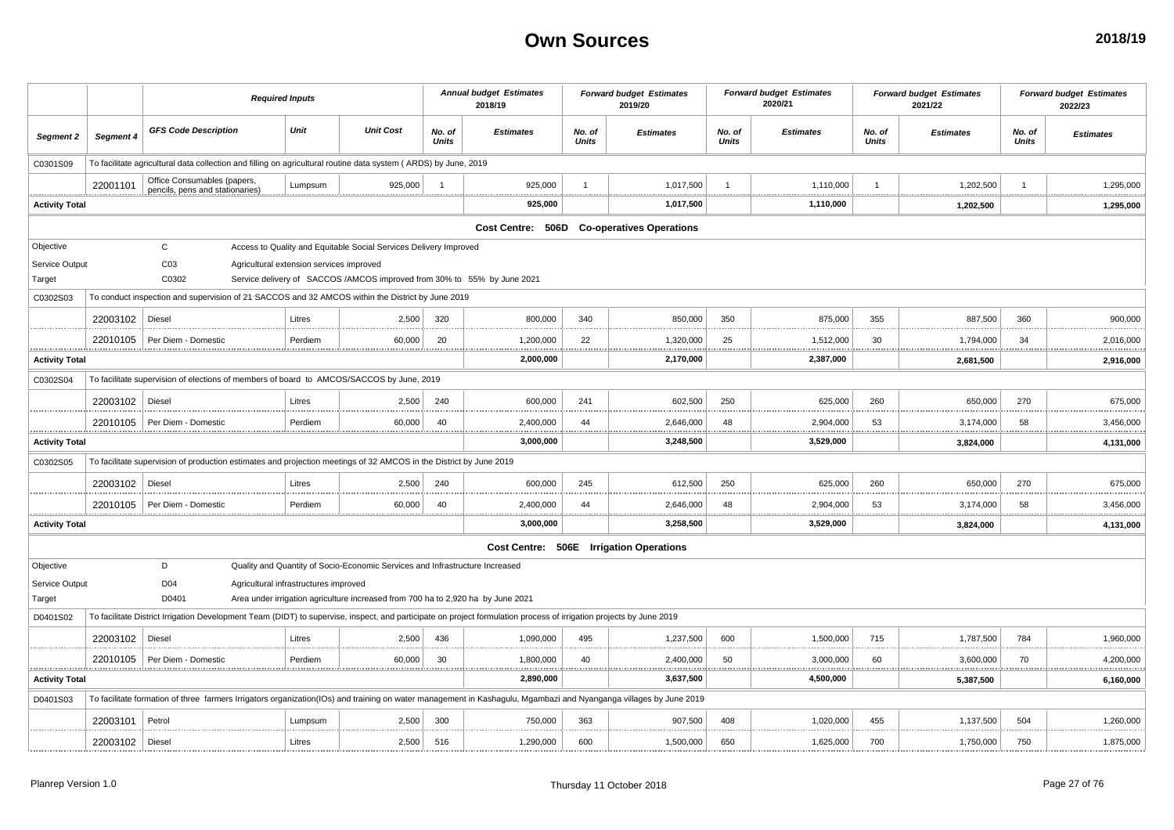|                       |                   | <b>Required Inputs</b>                                                                                                                                              |                                          |                                                                                  |                 | <b>Annual budget Estimates</b><br>2018/19 |                 | <b>Forward budget Estimates</b><br>2019/20 |                 | <b>Forward budget Estimates</b><br>2020/21 |                        | <b>Forward budget Estimates</b><br>2021/22 |                        | <b>Forward budget Estimates</b><br>2022/23 |
|-----------------------|-------------------|---------------------------------------------------------------------------------------------------------------------------------------------------------------------|------------------------------------------|----------------------------------------------------------------------------------|-----------------|-------------------------------------------|-----------------|--------------------------------------------|-----------------|--------------------------------------------|------------------------|--------------------------------------------|------------------------|--------------------------------------------|
| Segment 2             | Segment 4         | <b>GFS Code Description</b>                                                                                                                                         | Unit                                     | <b>Unit Cost</b>                                                                 | No. of<br>Units | <b>Estimates</b>                          | No. of<br>Units | <b>Estimates</b>                           | No. of<br>Units | <b>Estimates</b>                           | No. of<br><b>Units</b> | <b>Estimates</b>                           | No. of<br><b>Units</b> | <b>Estimates</b>                           |
| C0301S09              |                   | To facilitate agricultural data collection and filling on agricultural routine data system (ARDS) by June, 2019                                                     |                                          |                                                                                  |                 |                                           |                 |                                            |                 |                                            |                        |                                            |                        |                                            |
|                       | 22001101          | Office Consumables (papers,<br>pencils, pens and stationaries)                                                                                                      | Lumpsum                                  | 925.000                                                                          | $\overline{1}$  | 925.000                                   |                 | 1,017,500                                  | $\overline{1}$  | 1,110,000                                  | $\overline{1}$         | 1,202,500                                  |                        | 1,295,000                                  |
| <b>Activity Total</b> |                   |                                                                                                                                                                     |                                          |                                                                                  |                 | 925,000                                   |                 | 1,017,500                                  |                 | <br>1,110,000                              |                        | 1,202,500                                  |                        | **************<br>1,295,000                |
|                       |                   |                                                                                                                                                                     |                                          |                                                                                  |                 | Cost Centre: 506D                         |                 | <b>Co-operatives Operations</b>            |                 |                                            |                        |                                            |                        |                                            |
| Objective             |                   | $\mathsf{C}$                                                                                                                                                        |                                          | Access to Quality and Equitable Social Services Delivery Improved                |                 |                                           |                 |                                            |                 |                                            |                        |                                            |                        |                                            |
| Service Output        |                   | CO <sub>3</sub>                                                                                                                                                     | Agricultural extension services improved |                                                                                  |                 |                                           |                 |                                            |                 |                                            |                        |                                            |                        |                                            |
| Target                |                   | C0302                                                                                                                                                               |                                          | Service delivery of SACCOS/AMCOS improved from 30% to 55% by June 2021           |                 |                                           |                 |                                            |                 |                                            |                        |                                            |                        |                                            |
| C0302S03              |                   | To conduct inspection and supervision of 21 SACCOS and 32 AMCOS within the District by June 2019                                                                    |                                          |                                                                                  |                 |                                           |                 |                                            |                 |                                            |                        |                                            |                        |                                            |
|                       | 22003102          | Diesel                                                                                                                                                              | Litres                                   | 2,500                                                                            | 320             | 800,000                                   | 340             | 850,000                                    | 350             | 875,000                                    | 355                    | 887,500                                    | 360                    | 900,000                                    |
|                       |                   | 22010105   Per Diem - Domestic                                                                                                                                      | Perdiem                                  | 60,000<br>                                                                       | 20              | 1,200,000<br>.                            | 22<br>.         | 1,320,000<br><br>                          | 25<br>          | 1,512,000<br><u></u><br>.                  | 30                     | 1,794,000<br>.                             | 34<br>                 | 2,016,000<br>.                             |
| <b>Activity Total</b> |                   |                                                                                                                                                                     |                                          |                                                                                  |                 | 2,000,000                                 |                 | 2,170,000                                  |                 | 2,387,000                                  |                        | 2,681,500                                  |                        | 2,916,000                                  |
| C0302S04              |                   | To facilitate supervision of elections of members of board to AMCOS/SACCOS by June, 2019                                                                            |                                          |                                                                                  |                 |                                           |                 |                                            |                 |                                            |                        |                                            |                        |                                            |
|                       | 22003102   Diesel |                                                                                                                                                                     | Litres                                   | 2,500                                                                            | 240             | 600,000                                   | 241             | 602,500                                    | 250             | 625,000                                    | 260                    | 650,000                                    | 270                    | 675,000                                    |
|                       |                   | 22010105   Per Diem - Domestic                                                                                                                                      | Perdiem                                  | 60,000                                                                           | 40              | 2,400,000                                 | 44              | 2,646,000                                  | 48              | 2,904,000                                  | 53                     | 3,174,000                                  | 58                     | 3,456,000                                  |
| <b>Activity Total</b> |                   |                                                                                                                                                                     |                                          |                                                                                  |                 | 3,000,000                                 |                 | 3,248,500                                  |                 | .<br>3,529,000                             |                        | 3,824,000                                  |                        | 4,131,000                                  |
| C0302S05              |                   | To facilitate supervision of production estimates and projection meetings of 32 AMCOS in the District by June 2019                                                  |                                          |                                                                                  |                 |                                           |                 |                                            |                 |                                            |                        |                                            |                        |                                            |
|                       | 22003102          | Diesel                                                                                                                                                              | Litres                                   | 2,500                                                                            | 240             | 600.000                                   | 245             | 612.500                                    | 250             | 625,000                                    | 260                    | 650,000                                    | 270                    | 675,000                                    |
|                       |                   | 22010105   Per Diem - Domestio                                                                                                                                      | Perdiem                                  | 60,000                                                                           | 40              | 2,400,000                                 | 44              | 2,646,000                                  | 48              | 2,904,000                                  | 53                     | 3,174,000                                  | 58<br>                 | 3,456,000                                  |
| <b>Activity Total</b> |                   |                                                                                                                                                                     |                                          |                                                                                  |                 | 3,000,000                                 |                 | 3,258,500                                  |                 | 3,529,000                                  |                        | 3,824,000                                  |                        | 4,131,000                                  |
|                       |                   |                                                                                                                                                                     |                                          |                                                                                  |                 | Cost Centre: 506E Irrigation Operations   |                 |                                            |                 |                                            |                        |                                            |                        |                                            |
| Objective             |                   | D                                                                                                                                                                   |                                          | Quality and Quantity of Socio-Economic Services and Infrastructure Increased     |                 |                                           |                 |                                            |                 |                                            |                        |                                            |                        |                                            |
| Service Output        |                   | D04                                                                                                                                                                 | Agricultural infrastructures improved    |                                                                                  |                 |                                           |                 |                                            |                 |                                            |                        |                                            |                        |                                            |
| Target                |                   | D0401                                                                                                                                                               |                                          | Area under irrigation agriculture increased from 700 ha to 2,920 ha by June 2021 |                 |                                           |                 |                                            |                 |                                            |                        |                                            |                        |                                            |
| D0401S02              |                   | To facilitate District Irrigation Development Team (DIDT) to supervise, inspect, and participate on project formulation process of irrigation projects by June 2019 |                                          |                                                                                  |                 |                                           |                 |                                            |                 |                                            |                        |                                            |                        |                                            |
|                       | 22003102   Diesel |                                                                                                                                                                     | Litres                                   | 2,500                                                                            | 436             | 1,090,000                                 | 495             | 1,237,500                                  | 600             | 1,500,000                                  | 715                    | 1,787,500                                  | 784                    | 1,960,000                                  |
|                       |                   | 22010105   Per Diem - Domestic                                                                                                                                      | Perdiem                                  | 60,000                                                                           | 30              | 1,800,000                                 | 40              | 2,400,000                                  | 50              | 3,000,000                                  | 60                     | 3,600,000                                  | 70                     | 4,200,000                                  |
| <b>Activity Total</b> |                   |                                                                                                                                                                     |                                          |                                                                                  |                 | 2,890,000                                 |                 | 3,637,500                                  |                 | 4,500,000                                  |                        | 5,387,500                                  |                        | 6,160,000                                  |
| D0401S03              |                   | To facilitate formation of three farmers Irrigators organization(IOs) and training on water management in Kashagulu, Mgambazi and Nyanganga villages by June 2019   |                                          |                                                                                  |                 |                                           |                 |                                            |                 |                                            |                        |                                            |                        |                                            |
|                       | 22003101          | Petrol                                                                                                                                                              | Lumpsum                                  | 2,500                                                                            | 300             | 750,000                                   | 363             | 907,500                                    | 408             | 1,020,000                                  | 455                    | 1,137,500                                  | 504                    | 1,260,000                                  |
|                       |                   |                                                                                                                                                                     |                                          |                                                                                  |                 |                                           |                 |                                            |                 |                                            |                        |                                            |                        |                                            |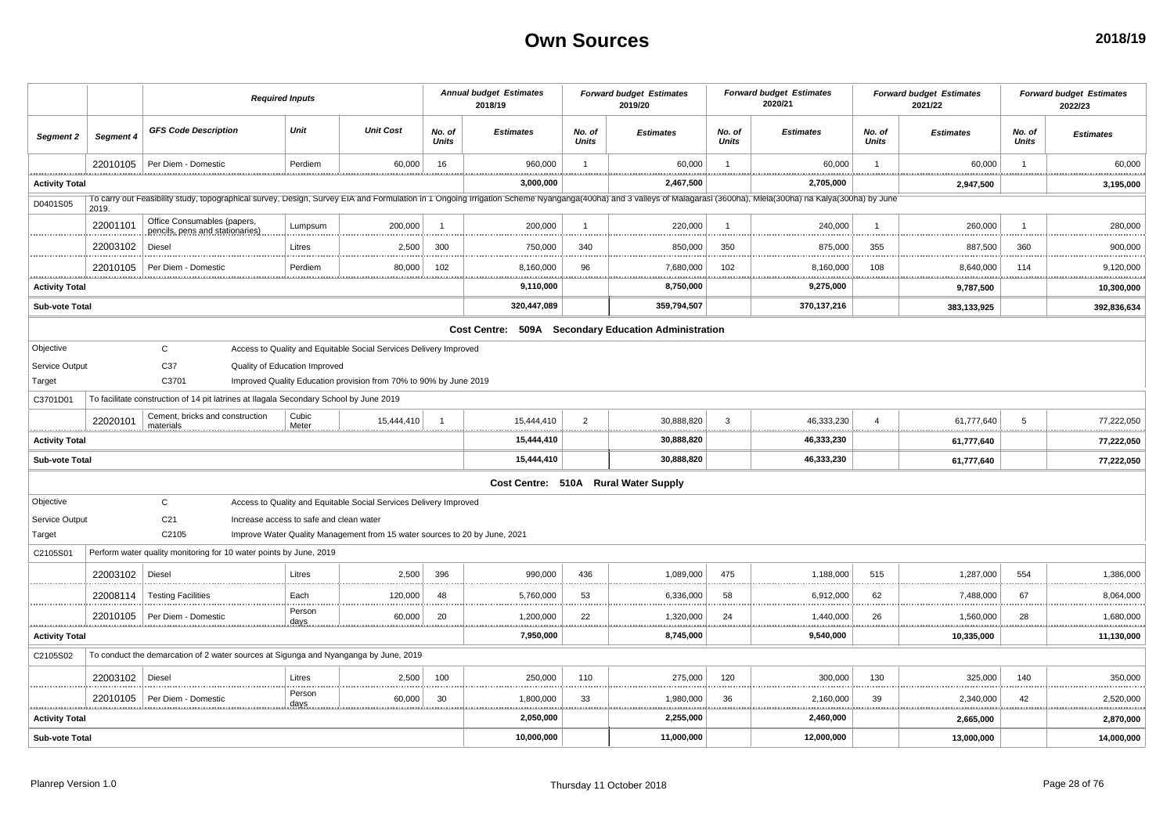|                       |           |                                                                                                                                                                                                                     | <b>Required Inputs</b>                  |                                                                            |                 | <b>Annual budget Estimates</b><br>2018/19 |                 | <b>Forward budget Estimates</b><br>2019/20           |                        | <b>Forward budget Estimates</b><br>2020/21 |                 | <b>Forward budget Estimates</b><br>2021/22 |                    | <b>Forward budget Estimates</b><br>2022/23 |
|-----------------------|-----------|---------------------------------------------------------------------------------------------------------------------------------------------------------------------------------------------------------------------|-----------------------------------------|----------------------------------------------------------------------------|-----------------|-------------------------------------------|-----------------|------------------------------------------------------|------------------------|--------------------------------------------|-----------------|--------------------------------------------|--------------------|--------------------------------------------|
| Segment 2             | Segment 4 | <b>GFS Code Description</b>                                                                                                                                                                                         | Unit                                    | <b>Unit Cost</b>                                                           | No. of<br>Units | <b>Estimates</b>                          | No. of<br>Units | <b>Estimates</b>                                     | No. of<br><b>Units</b> | <b>Estimates</b>                           | No. of<br>Units | <b>Estimates</b>                           | No. of<br>Units    | <b>Estimates</b>                           |
|                       | 22010105  | Per Diem - Domestic                                                                                                                                                                                                 | Perdiem                                 | 60,000                                                                     | 16              | 960,000<br>                               | $\overline{1}$  | 60,000                                               | $\overline{1}$<br>.    | 60,000                                     | $\overline{1}$  | 60,000                                     | $\overline{1}$<br> | 60,000                                     |
| <b>Activity Total</b> |           |                                                                                                                                                                                                                     |                                         |                                                                            |                 | 3,000,000                                 |                 | 2,467,500                                            |                        | 2,705,000                                  |                 | <br>2,947,500                              |                    | 3,195,000                                  |
| D0401S05              | 2019.     | To carry out Feasibility study, topographical survey, Design, Survey EIA and Formulation in 1 Ongoing Irrigation Scheme Nyanganga(400ha) and 3 valleys of Malagarasi (3600ha), Mlela(300ha) na Kalya(300ha) by June |                                         |                                                                            |                 |                                           |                 |                                                      |                        |                                            |                 |                                            |                    |                                            |
|                       | 22001101  | Office Consumables (papers,<br>pencils, pens and stationaries)                                                                                                                                                      | Lumpsum                                 | 200,000                                                                    | $\overline{1}$  | 200,000                                   | -1              | 220,000                                              | $\overline{1}$         | 240,000                                    | $\overline{1}$  | 260,000                                    | $\overline{1}$     | 280,000                                    |
|                       | 22003102  | Diesel                                                                                                                                                                                                              | Litres                                  | 2,500                                                                      | 300             | 750,000                                   | 340             | 850,000                                              | 350                    | 875,000                                    | 355             | 887,500                                    | 360                | 900,000                                    |
|                       | 22010105  | Per Diem - Domestic                                                                                                                                                                                                 | Perdiem                                 | 80,000                                                                     | 102             | 8,160,000                                 | 96              | 7,680,000                                            | 102                    | 8,160,000                                  | 108             | 8,640,000                                  | 114                | .<br>9,120,000                             |
| <b>Activity Total</b> |           |                                                                                                                                                                                                                     |                                         |                                                                            |                 | 9,110,000                                 |                 | 8,750,000                                            |                        | 9,275,000                                  |                 | 9,787,500                                  |                    | 10,300,000                                 |
| <b>Sub-vote Total</b> |           |                                                                                                                                                                                                                     |                                         |                                                                            |                 | 320,447,089                               |                 | 359,794,507                                          |                        | 370,137,216                                |                 | 383,133,925                                |                    | 392,836,634                                |
|                       |           |                                                                                                                                                                                                                     |                                         |                                                                            |                 |                                           |                 | Cost Centre: 509A Secondary Education Administration |                        |                                            |                 |                                            |                    |                                            |
| Objective             |           | $\mathsf{C}$                                                                                                                                                                                                        |                                         | Access to Quality and Equitable Social Services Delivery Improved          |                 |                                           |                 |                                                      |                        |                                            |                 |                                            |                    |                                            |
| Service Output        |           | C37                                                                                                                                                                                                                 | Quality of Education Improved           |                                                                            |                 |                                           |                 |                                                      |                        |                                            |                 |                                            |                    |                                            |
| Target                |           | C3701                                                                                                                                                                                                               |                                         | Improved Quality Education provision from 70% to 90% by June 2019          |                 |                                           |                 |                                                      |                        |                                            |                 |                                            |                    |                                            |
| C3701D01              |           | To facilitate construction of 14 pit latrines at Ilagala Secondary School by June 2019                                                                                                                              |                                         |                                                                            |                 |                                           |                 |                                                      |                        |                                            |                 |                                            |                    |                                            |
|                       | 22020101  | Cement, bricks and construction<br>materials                                                                                                                                                                        | Cubic<br>Meter                          | 15,444,410                                                                 | $\overline{1}$  | 15,444,410                                | $\overline{2}$  | 30,888,820                                           | $\mathbf{3}$           | 46,333,230                                 | $\overline{a}$  | 61,777,640                                 | 5                  | 77,222,050                                 |
| <b>Activity Total</b> |           |                                                                                                                                                                                                                     |                                         |                                                                            |                 | .<br>15,444,410                           |                 | .<br>.<br>30,888,820                                 | .                      | .<br>46,333,230                            |                 | 61,777,640                                 |                    | .<br>77,222,050                            |
| Sub-vote Total        |           |                                                                                                                                                                                                                     |                                         |                                                                            |                 | 15,444,410                                |                 | 30,888,820                                           |                        | 46,333,230                                 |                 | 61,777,640                                 |                    | 77,222,050                                 |
|                       |           |                                                                                                                                                                                                                     |                                         |                                                                            |                 |                                           |                 | Cost Centre: 510A Rural Water Supply                 |                        |                                            |                 |                                            |                    |                                            |
| Objective             |           | $\mathbf{C}$                                                                                                                                                                                                        |                                         | Access to Quality and Equitable Social Services Delivery Improved          |                 |                                           |                 |                                                      |                        |                                            |                 |                                            |                    |                                            |
| Service Output        |           | C <sub>21</sub>                                                                                                                                                                                                     | Increase access to safe and clean water |                                                                            |                 |                                           |                 |                                                      |                        |                                            |                 |                                            |                    |                                            |
| Target                |           | C2105                                                                                                                                                                                                               |                                         | Improve Water Quality Management from 15 water sources to 20 by June, 2021 |                 |                                           |                 |                                                      |                        |                                            |                 |                                            |                    |                                            |
| C2105S01              |           | Perform water quality monitoring for 10 water points by June, 2019                                                                                                                                                  |                                         |                                                                            |                 |                                           |                 |                                                      |                        |                                            |                 |                                            |                    |                                            |
|                       | 22003102  | Diesel                                                                                                                                                                                                              | Litres                                  | 2,500                                                                      | 396             | 990,000                                   | 436             | 1,089,000                                            | 475                    | 1,188,000                                  | 515             | 1,287,000                                  | 554                | 1,386,000                                  |
|                       | 22008114  | <b>Testing Facilities</b>                                                                                                                                                                                           | Each                                    | 120,000                                                                    | 48              | 5,760,000                                 | 53              | 6,336,000                                            | 58                     | 6,912,000                                  | 62              | 7,488,000                                  | 67                 | 8,064,000                                  |
|                       | 22010105  | Per Diem - Domestic                                                                                                                                                                                                 | Person<br><u>days</u>                   | 60,000                                                                     | 20              | 1,200,000                                 | 22              | 1,320,000                                            | 24                     | 1,440,000                                  | 26              | 1,560,000                                  | 28                 | .<br>1,680,000                             |
| <b>Activity Total</b> |           |                                                                                                                                                                                                                     |                                         |                                                                            |                 | 7,950,000                                 |                 | <u></u><br>8,745,000                                 | .                      | .<br>9,540,000                             |                 | <br>10,335,000                             | .                  | <br>11,130,000                             |
| C2105S02              |           | To conduct the demarcation of 2 water sources at Sigunga and Nyanganga by June, 2019                                                                                                                                |                                         |                                                                            |                 |                                           |                 |                                                      |                        |                                            |                 |                                            |                    |                                            |
|                       | 22003102  | Diesel                                                                                                                                                                                                              | Litres                                  | 2,500                                                                      | 100             | 250,000                                   | 110             | 275,000                                              | 120                    | 300,000                                    | 130             | 325,000                                    | 140                | 350,000                                    |
|                       | 22010105  | Per Diem - Domestic                                                                                                                                                                                                 | Person                                  | 60,000                                                                     | 30              | 1,800,000                                 | 33              | 1,980,000                                            | 36                     | 2,160,000                                  | 39              | 2,340,000                                  | 42                 | 2,520,000                                  |
| <b>Activity Total</b> |           |                                                                                                                                                                                                                     | <u>days</u>                             |                                                                            |                 | 2,050,000                                 |                 | 2,255,000                                            | .                      | 2,460,000                                  |                 | .<br>2,665,000                             | .                  | .<br>2,870,000                             |
| Sub-vote Total        |           |                                                                                                                                                                                                                     |                                         |                                                                            |                 | 10,000,000                                |                 | 11,000,000                                           |                        | 12,000,000                                 |                 | 13,000,000                                 |                    | 14,000,000                                 |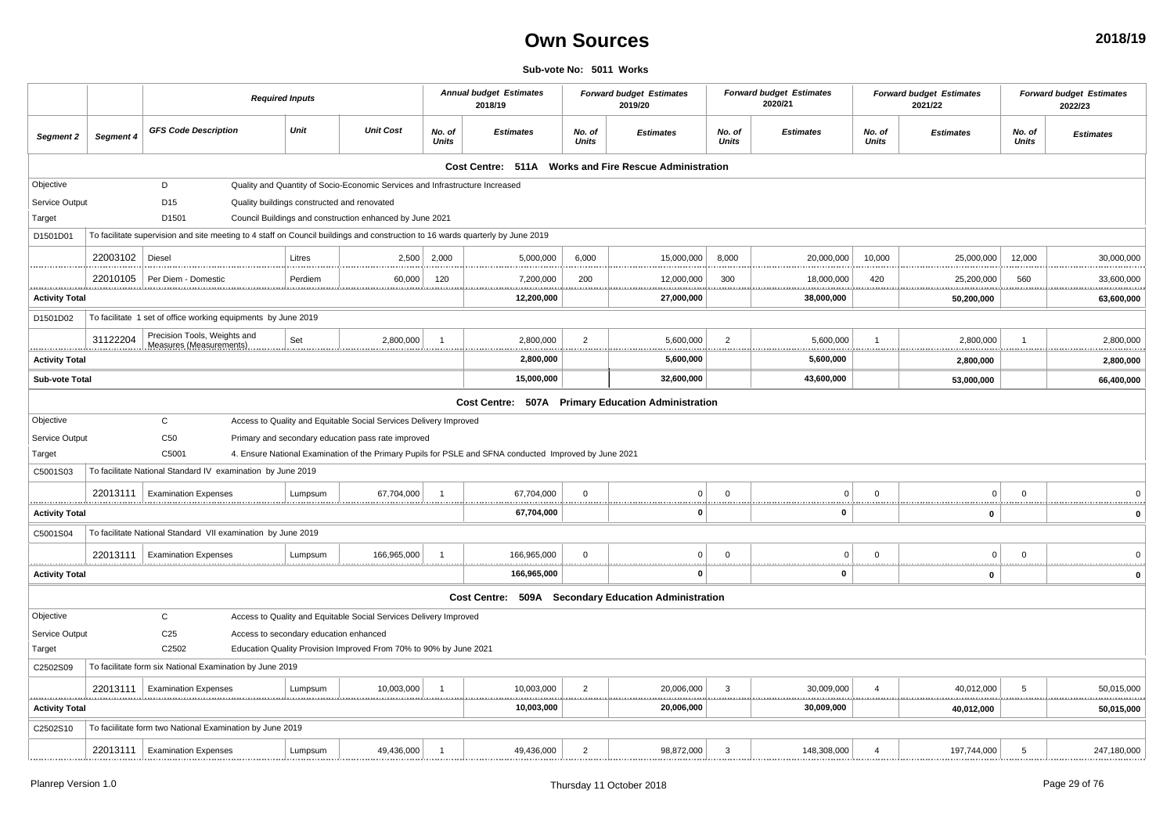#### **Sub-vote No: 5011 Works**

|                       |           | <b>Required Inputs</b>                                                                                                         |         |                                                                              |                        | <b>Annual budget Estimates</b><br>2018/19                                                              |                        | <b>Forward budget Estimates</b><br>2019/20 |                        | <b>Forward budget Estimates</b><br>2020/21 |                        | <b>Forward budget Estimates</b><br>2021/22 |                        | <b>Forward budget Estimates</b><br>2022/23 |
|-----------------------|-----------|--------------------------------------------------------------------------------------------------------------------------------|---------|------------------------------------------------------------------------------|------------------------|--------------------------------------------------------------------------------------------------------|------------------------|--------------------------------------------|------------------------|--------------------------------------------|------------------------|--------------------------------------------|------------------------|--------------------------------------------|
| Segment 2             | Segment 4 | <b>GFS Code Description</b>                                                                                                    | Unit    | <b>Unit Cost</b>                                                             | No. of<br><b>Units</b> | <b>Estimates</b>                                                                                       | No. of<br><b>Units</b> | <b>Estimates</b>                           | No. of<br><b>Units</b> | <b>Estimates</b>                           | No. of<br><b>Units</b> | <b>Estimates</b>                           | No. of<br><b>Units</b> | <b>Estimates</b>                           |
|                       |           |                                                                                                                                |         |                                                                              |                        | Cost Centre: 511A Works and Fire Rescue Administration                                                 |                        |                                            |                        |                                            |                        |                                            |                        |                                            |
| Objective             |           | D                                                                                                                              |         | Quality and Quantity of Socio-Economic Services and Infrastructure Increased |                        |                                                                                                        |                        |                                            |                        |                                            |                        |                                            |                        |                                            |
| Service Output        |           | D15                                                                                                                            |         | Quality buildings constructed and renovated                                  |                        |                                                                                                        |                        |                                            |                        |                                            |                        |                                            |                        |                                            |
| Target                |           | D1501                                                                                                                          |         | Council Buildings and construction enhanced by June 2021                     |                        |                                                                                                        |                        |                                            |                        |                                            |                        |                                            |                        |                                            |
| D1501D01              |           | To facilitate supervision and site meeting to 4 staff on Council buildings and construction to 16 wards quarterly by June 2019 |         |                                                                              |                        |                                                                                                        |                        |                                            |                        |                                            |                        |                                            |                        |                                            |
|                       | 22003102  | Diesel                                                                                                                         | Litres  | 2,500                                                                        | 2,000                  | 5,000,000                                                                                              | 6,000                  | 15,000,000                                 | 8,000                  | 20,000,000                                 | 10,000                 | 25,000,000                                 | 12,000                 | 30,000,000                                 |
| .                     | 22010105  | Per Diem - Domestic                                                                                                            | Perdiem | 60,000                                                                       | 120                    | 7,200,000<br>.                                                                                         | 200                    | 12,000,000<br>                             | 300                    | 18,000,000<br>.<br>.                       | 420                    | 25,200,000                                 | 560                    | 33,600,000<br>.                            |
| <b>Activity Total</b> |           |                                                                                                                                |         |                                                                              |                        | 12,200,000                                                                                             |                        | 27,000,000                                 |                        | 38,000,000                                 |                        | 50,200,000                                 |                        | 63,600,000                                 |
| D1501D02              |           | To facilitate 1 set of office working equipments by June 2019                                                                  |         |                                                                              |                        |                                                                                                        |                        |                                            |                        |                                            |                        |                                            |                        |                                            |
| .                     | 31122204  | Precision Tools, Weights and<br>Measures (Measurements)                                                                        | Set     | 2,800,000                                                                    | $\overline{1}$         | 2,800,000                                                                                              | $\overline{2}$         | 5,600,000                                  | $\overline{2}$         | 5,600,000                                  |                        | 2,800,000                                  |                        | 2,800,000<br>.                             |
| <b>Activity Total</b> |           |                                                                                                                                |         |                                                                              |                        | 2,800,000                                                                                              |                        | 5,600,000                                  |                        | 5,600,000                                  |                        | 2,800,000                                  |                        | 2,800,000                                  |
| <b>Sub-vote Total</b> |           |                                                                                                                                |         |                                                                              |                        | 15,000,000                                                                                             |                        | 32,600,000                                 |                        | 43,600,000                                 |                        | 53,000,000                                 |                        | 66,400,000                                 |
|                       |           |                                                                                                                                |         |                                                                              |                        | Cost Centre: 507A Primary Education Administration                                                     |                        |                                            |                        |                                            |                        |                                            |                        |                                            |
| Objective             |           | C                                                                                                                              |         | Access to Quality and Equitable Social Services Delivery Improved            |                        |                                                                                                        |                        |                                            |                        |                                            |                        |                                            |                        |                                            |
| Service Output        |           | C <sub>50</sub>                                                                                                                |         | Primary and secondary education pass rate improved                           |                        |                                                                                                        |                        |                                            |                        |                                            |                        |                                            |                        |                                            |
| Target                |           | C5001                                                                                                                          |         |                                                                              |                        | 4. Ensure National Examination of the Primary Pupils for PSLE and SFNA conducted Improved by June 2021 |                        |                                            |                        |                                            |                        |                                            |                        |                                            |
| C5001S03              |           | To facilitate National Standard IV examination by June 2019                                                                    |         |                                                                              |                        |                                                                                                        |                        |                                            |                        |                                            |                        |                                            |                        |                                            |
|                       | 22013111  | <b>Examination Expenses</b>                                                                                                    | Lumpsum | 67,704,000                                                                   |                        | 67,704,000                                                                                             | $\mathbf 0$            | $\overline{0}$                             | $\Omega$               | $\Omega$                                   | $\Omega$               | $\Omega$                                   | $\Omega$               |                                            |
| <b>Activity Total</b> |           |                                                                                                                                |         |                                                                              |                        | 67,704,000                                                                                             |                        | <u>.</u><br>0                              |                        | 0                                          |                        | 0                                          |                        | $\mathbf 0$                                |
| C5001S04              |           | To facilitate National Standard VII examination by June 2019                                                                   |         |                                                                              |                        |                                                                                                        |                        |                                            |                        |                                            |                        |                                            |                        |                                            |
|                       | 22013111  | <b>Examination Expenses</b>                                                                                                    | Lumpsum | 166.965.000                                                                  | $\overline{1}$         | 166,965,000                                                                                            | $\mathbf 0$            | $\overline{0}$                             | $\Omega$               | $\Omega$                                   | $\Omega$               | $\Omega$                                   | $\overline{0}$         |                                            |
| <b>Activity Total</b> |           |                                                                                                                                |         |                                                                              |                        | .<br>166,965,000                                                                                       |                        | 0                                          |                        | 0                                          |                        | 0                                          |                        | <br>$\mathbf 0$                            |
|                       |           |                                                                                                                                |         |                                                                              |                        | Cost Centre: 509A Secondary Education Administration                                                   |                        |                                            |                        |                                            |                        |                                            |                        |                                            |
| Objective             |           | $\mathsf C$                                                                                                                    |         | Access to Quality and Equitable Social Services Delivery Improved            |                        |                                                                                                        |                        |                                            |                        |                                            |                        |                                            |                        |                                            |
| Service Output        |           | C <sub>25</sub><br>Access to secondary education enhanced                                                                      |         |                                                                              |                        |                                                                                                        |                        |                                            |                        |                                            |                        |                                            |                        |                                            |
| Target                |           | C2502                                                                                                                          |         | Education Quality Provision Improved From 70% to 90% by June 2021            |                        |                                                                                                        |                        |                                            |                        |                                            |                        |                                            |                        |                                            |
| C2502S09              |           | To facilitate form six National Examination by June 2019                                                                       |         |                                                                              |                        |                                                                                                        |                        |                                            |                        |                                            |                        |                                            |                        |                                            |
|                       | 22013111  | <b>Examination Expenses</b>                                                                                                    | Lumpsum | 10,003,000                                                                   |                        | 10,003,000<br>                                                                                         | $\overline{2}$         | 20,006,000                                 | 3                      | 30,009,000                                 |                        | 40,012,000                                 | 5                      | 50,015,000                                 |
| <b>Activity Total</b> |           |                                                                                                                                |         |                                                                              |                        | <br>10,003,000                                                                                         |                        | <br>20,006,000                             |                        | <br>. <b>.</b><br>30,009,000               |                        | .<br>40,012,000                            |                        | .<br>50,015,000                            |
| C2502S10              |           | To facilitate form two National Examination by June 2019                                                                       |         |                                                                              |                        |                                                                                                        |                        |                                            |                        |                                            |                        |                                            |                        |                                            |
|                       |           | 22013111<br><b>Examination Expenses</b>                                                                                        | Lumpsum | 49,436,000                                                                   |                        | 49,436,000                                                                                             | $\overline{2}$         | 98,872,000                                 | 3                      | 148,308,000                                |                        | 197,744,000                                |                        |                                            |
|                       |           |                                                                                                                                |         |                                                                              |                        |                                                                                                        |                        |                                            |                        |                                            |                        |                                            |                        |                                            |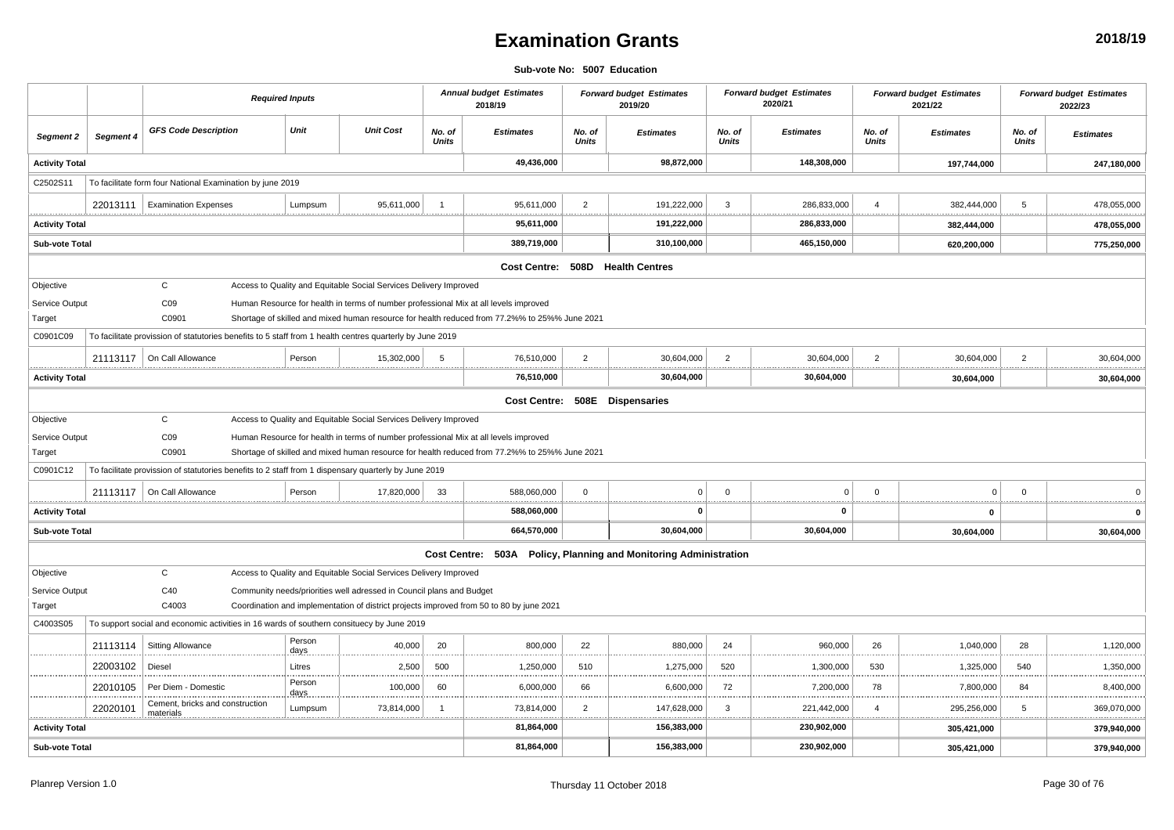### **Examination Grants**

#### **Sub-vote No: 5007 Education**

|                                   |           | <b>Required Inputs</b>                                                                                   |  |                |                                                                      |                 | <b>Annual budget Estimates</b><br>2018/19                                                     |                     | <b>Forward budget Estimates</b><br>2019/20                       |                                     | <b>Forward budget Estimates</b><br>2020/21 |                 | <b>Forward budget Estimates</b><br>2021/22 |                        | <b>Forward budget Estimates</b><br>2022/23 |
|-----------------------------------|-----------|----------------------------------------------------------------------------------------------------------|--|----------------|----------------------------------------------------------------------|-----------------|-----------------------------------------------------------------------------------------------|---------------------|------------------------------------------------------------------|-------------------------------------|--------------------------------------------|-----------------|--------------------------------------------|------------------------|--------------------------------------------|
| Segment 2                         | Segment 4 | <b>GFS Code Description</b>                                                                              |  | Unit           | <b>Unit Cost</b>                                                     | No. of<br>Units | <b>Estimates</b>                                                                              | No. of<br>Units     | <b>Estimates</b>                                                 | No. of<br>Units                     | <b>Estimates</b>                           | No. of<br>Units | <b>Estimates</b>                           | No. of<br><b>Units</b> | <b>Estimates</b>                           |
| <b>Activity Total</b>             |           |                                                                                                          |  |                |                                                                      |                 | 49,436,000                                                                                    |                     | 98,872,000                                                       |                                     | 148,308,000                                |                 | 197,744,000                                |                        | 247,180,000                                |
| C2502S11                          |           | To facilitate form four National Examination by june 2019                                                |  |                |                                                                      |                 |                                                                                               |                     |                                                                  |                                     |                                            |                 |                                            |                        |                                            |
|                                   | 22013111  | <b>Examination Expenses</b>                                                                              |  | Lumpsum        | 95,611,000                                                           |                 | 95,611,000                                                                                    | $\overline{2}$      | 191,222,000                                                      | -3                                  | 286,833,000                                |                 | 382,444,000                                | 5                      | 478,055,000                                |
| <u>.</u><br><b>Activity Total</b> |           |                                                                                                          |  |                |                                                                      |                 | 95,611,000                                                                                    | <u>.</u>            | 191,222,000                                                      |                                     | .<br>286,833,000                           |                 | .<br>382,444,000                           |                        | .<br>478,055,000                           |
| Sub-vote Total                    |           |                                                                                                          |  |                |                                                                      |                 | 389,719,000                                                                                   |                     | 310,100,000                                                      |                                     | 465,150,000                                |                 | 620,200,000                                |                        | 775,250,000                                |
|                                   |           |                                                                                                          |  |                |                                                                      |                 |                                                                                               |                     | Cost Centre: 508D Health Centres                                 |                                     |                                            |                 |                                            |                        |                                            |
| Objective                         |           | $\mathsf{C}$                                                                                             |  |                | Access to Quality and Equitable Social Services Delivery Improved    |                 |                                                                                               |                     |                                                                  |                                     |                                            |                 |                                            |                        |                                            |
| Service Output                    |           | CO9                                                                                                      |  |                |                                                                      |                 | Human Resource for health in terms of number professional Mix at all levels improved          |                     |                                                                  |                                     |                                            |                 |                                            |                        |                                            |
| Target                            |           | C0901                                                                                                    |  |                |                                                                      |                 | Shortage of skilled and mixed human resource for health reduced from 77.2%% to 25%% June 2021 |                     |                                                                  |                                     |                                            |                 |                                            |                        |                                            |
| C0901C09                          |           | To facilitate provission of statutories benefits to 5 staff from 1 health centres quarterly by June 2019 |  |                |                                                                      |                 |                                                                                               |                     |                                                                  |                                     |                                            |                 |                                            |                        |                                            |
|                                   | 21113117  | On Call Allowance                                                                                        |  | Person         | 15,302,000                                                           | 5               | 76,510,000<br>.                                                                               | $\overline{2}$<br>. | 30,604,000                                                       | $\overline{2}$                      | 30,604,000                                 | $\overline{2}$  | 30,604,000<br>.<br>                        | $\overline{2}$         | 30,604,000<br>. <u>.</u>                   |
| <b>Activity Total</b>             |           |                                                                                                          |  |                |                                                                      |                 | 76,510,000                                                                                    |                     | 30,604,000                                                       |                                     | 30,604,000                                 |                 | 30,604,000                                 |                        | 30,604,000                                 |
|                                   |           |                                                                                                          |  |                |                                                                      |                 |                                                                                               |                     | Cost Centre: 508E Dispensaries                                   |                                     |                                            |                 |                                            |                        |                                            |
| Objective                         |           | $\mathsf{C}$                                                                                             |  |                | Access to Quality and Equitable Social Services Delivery Improved    |                 |                                                                                               |                     |                                                                  |                                     |                                            |                 |                                            |                        |                                            |
| Service Output                    |           | CO9                                                                                                      |  |                |                                                                      |                 | Human Resource for health in terms of number professional Mix at all levels improved          |                     |                                                                  |                                     |                                            |                 |                                            |                        |                                            |
| Target                            |           | C0901                                                                                                    |  |                |                                                                      |                 | Shortage of skilled and mixed human resource for health reduced from 77.2%% to 25%% June 2021 |                     |                                                                  |                                     |                                            |                 |                                            |                        |                                            |
| C0901C12                          |           | To facilitate provission of statutories benefits to 2 staff from 1 dispensary quarterly by June 2019     |  |                |                                                                      |                 |                                                                                               |                     |                                                                  |                                     |                                            |                 |                                            |                        |                                            |
|                                   | 21113117  | On Call Allowance                                                                                        |  | Person         | 17,820,000                                                           | -33             | 588,060,000<br>                                                                               | $\overline{0}$<br>. | $\Omega$                                                         | $\mathbf{0}$<br>******************* | $\mathbf 0$                                | $\Omega$        | $\Omega$<br>                               | $\Omega$               |                                            |
| <b>Activity Total</b>             |           |                                                                                                          |  |                |                                                                      |                 | 588,060,000                                                                                   |                     | n                                                                |                                     | $\mathbf{0}$                               |                 | 0                                          |                        | $\mathbf{0}$                               |
| <b>Sub-vote Total</b>             |           |                                                                                                          |  |                |                                                                      |                 | 664,570,000                                                                                   |                     | 30,604,000                                                       |                                     | 30,604,000                                 |                 | 30,604,000                                 |                        | 30,604,000                                 |
|                                   |           |                                                                                                          |  |                |                                                                      |                 |                                                                                               |                     | Cost Centre: 503A Policy, Planning and Monitoring Administration |                                     |                                            |                 |                                            |                        |                                            |
| Objective                         |           | $\mathsf{C}$                                                                                             |  |                | Access to Quality and Equitable Social Services Delivery Improved    |                 |                                                                                               |                     |                                                                  |                                     |                                            |                 |                                            |                        |                                            |
| Service Output                    |           | C40                                                                                                      |  |                | Community needs/priorities well adressed in Council plans and Budget |                 |                                                                                               |                     |                                                                  |                                     |                                            |                 |                                            |                        |                                            |
| Target                            |           | C4003                                                                                                    |  |                |                                                                      |                 | Coordination and implementation of district projects improved from 50 to 80 by june 2021      |                     |                                                                  |                                     |                                            |                 |                                            |                        |                                            |
| C4003S05                          |           | To support social and economic activities in 16 wards of southern consituecy by June 2019                |  |                |                                                                      |                 |                                                                                               |                     |                                                                  |                                     |                                            |                 |                                            |                        |                                            |
|                                   | 21113114  | <b>Sitting Allowance</b>                                                                                 |  | Person<br>days | 40,000                                                               | 20              | 800,000                                                                                       | 22                  | 880,000                                                          | 24                                  | 960,000                                    | 26              | 1,040,000                                  | 28                     | 1,120,000                                  |
|                                   | 22003102  | Diesel                                                                                                   |  | Litres         | 2,500                                                                | 500             | 1,250,000                                                                                     | 510<br>             | 1,275,000                                                        | 520                                 | 1,300,000                                  | 530             | 1,325,000                                  | 540                    | 1,350,000<br>.                             |
|                                   | 22010105  | Per Diem - Domestic                                                                                      |  | Person<br>days | <br>100,000                                                          | 60              | .<br>6,000,000                                                                                | 66                  | 6,600,000                                                        | 72                                  | 7,200,000                                  | 78              | 7,800,000                                  | 84                     | 8,400,000                                  |
|                                   | 22020101  | Cement, bricks and construction<br>materials                                                             |  | Lumpsum        | 73,814,000                                                           | - 1             | 73,814,000                                                                                    | $\overline{2}$      | 147,628,000                                                      | 3                                   | 221,442,000                                | $\overline{4}$  | 295,256,000                                | 5                      | 369,070,000                                |
| <b>Activity Total</b>             |           |                                                                                                          |  |                |                                                                      |                 | 81,864,000                                                                                    |                     | 156,383,000                                                      |                                     | 230,902,000                                |                 | 305,421,000                                |                        | 379,940,000                                |
| <b>Sub-vote Total</b>             |           |                                                                                                          |  |                |                                                                      |                 | 81,864,000                                                                                    |                     | 156,383,000                                                      |                                     | 230,902,000                                |                 | 305,421,000                                |                        | 379,940,000                                |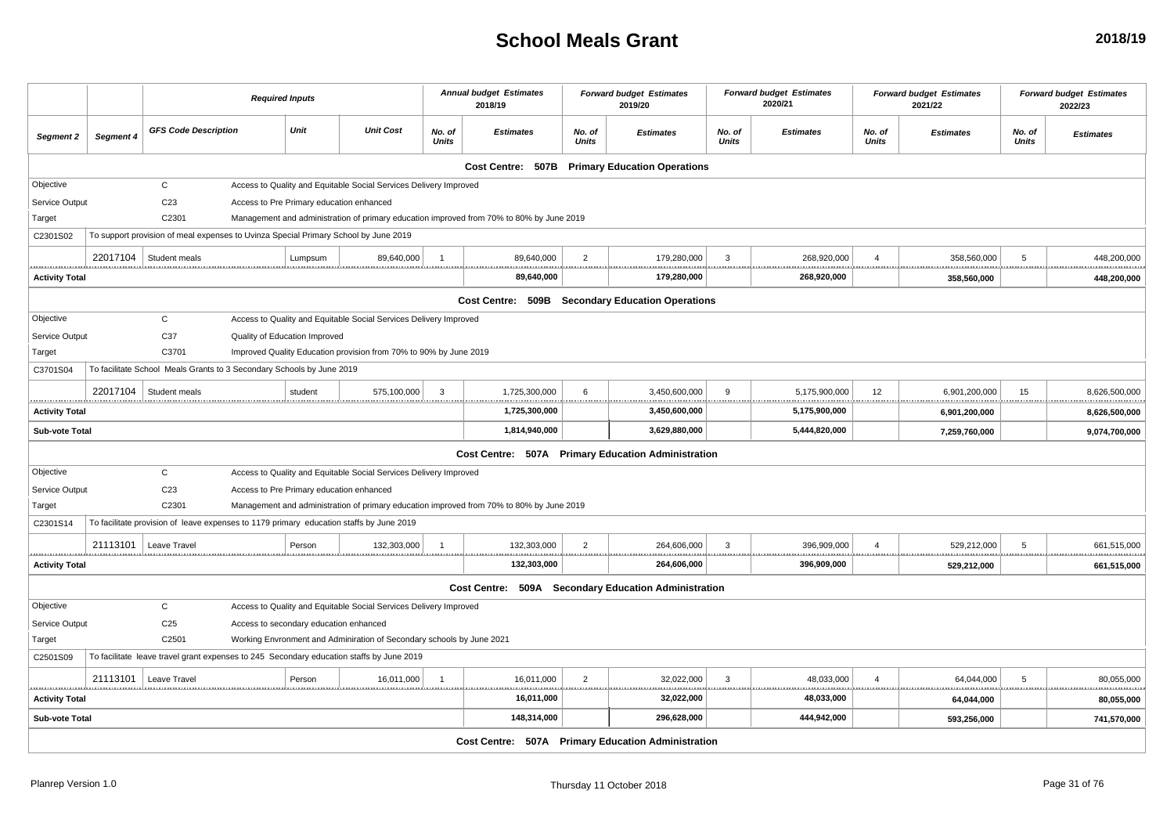### **School Meals Grant**

|                            |               |                                                                                         | <b>Required Inputs</b>                   |         |                                                                                          |                        | <b>Annual budget Estimates</b><br>2018/19                                                |                        | <b>Forward budget Estimates</b><br>2019/20           |                        | <b>Forward budget Estimates</b><br>2020/21 |                 | <b>Forward budget Estimates</b><br>2021/22 |                 | <b>Forward budget Estimates</b><br>2022/23 |
|----------------------------|---------------|-----------------------------------------------------------------------------------------|------------------------------------------|---------|------------------------------------------------------------------------------------------|------------------------|------------------------------------------------------------------------------------------|------------------------|------------------------------------------------------|------------------------|--------------------------------------------|-----------------|--------------------------------------------|-----------------|--------------------------------------------|
| Segment 2                  | Segment 4     | <b>GFS Code Description</b>                                                             |                                          | Unit    | <b>Unit Cost</b>                                                                         | No. of<br><b>Units</b> | <b>Estimates</b>                                                                         | No. of<br><b>Units</b> | <b>Estimates</b>                                     | No. of<br><b>Units</b> | <b>Estimates</b>                           | No. of<br>Units | <b>Estimates</b>                           | No. of<br>Units | <b>Estimates</b>                           |
|                            |               |                                                                                         |                                          |         |                                                                                          |                        |                                                                                          |                        | Cost Centre: 507B Primary Education Operations       |                        |                                            |                 |                                            |                 |                                            |
| Objective                  |               | $\mathsf{C}$                                                                            |                                          |         | Access to Quality and Equitable Social Services Delivery Improved                        |                        |                                                                                          |                        |                                                      |                        |                                            |                 |                                            |                 |                                            |
| Service Output             |               | C <sub>23</sub>                                                                         | Access to Pre Primary education enhanced |         |                                                                                          |                        |                                                                                          |                        |                                                      |                        |                                            |                 |                                            |                 |                                            |
| Target                     |               | C2301                                                                                   |                                          |         |                                                                                          |                        | Management and administration of primary education improved from 70% to 80% by June 2019 |                        |                                                      |                        |                                            |                 |                                            |                 |                                            |
| C2301S02                   |               | To support provision of meal expenses to Uvinza Special Primary School by June 2019     |                                          |         |                                                                                          |                        |                                                                                          |                        |                                                      |                        |                                            |                 |                                            |                 |                                            |
| .                          | 22017104<br>. | Student meals                                                                           |                                          | Lumpsum | 89,640,000                                                                               |                        | 89,640,000<br>                                                                           | $\overline{2}$         | 179,280,000<br>                                      | 3                      | 268,920,000<br>.                           |                 | 358,560,000                                | 5               | 448,200,000<br>.                           |
| <b>Activity Total</b>      |               |                                                                                         |                                          |         |                                                                                          |                        | 89,640,000                                                                               |                        | 179,280,000                                          |                        | 268,920,000                                |                 | 358,560,000                                |                 | 448,200,000                                |
|                            |               |                                                                                         |                                          |         |                                                                                          |                        |                                                                                          |                        | Cost Centre: 509B Secondary Education Operations     |                        |                                            |                 |                                            |                 |                                            |
| Objective                  |               | $\mathsf C$                                                                             |                                          |         | Access to Quality and Equitable Social Services Delivery Improved                        |                        |                                                                                          |                        |                                                      |                        |                                            |                 |                                            |                 |                                            |
| Service Output             |               | C37                                                                                     | Quality of Education Improved            |         |                                                                                          |                        |                                                                                          |                        |                                                      |                        |                                            |                 |                                            |                 |                                            |
| Target                     |               | C3701                                                                                   |                                          |         | Improved Quality Education provision from 70% to 90% by June 2019                        |                        |                                                                                          |                        |                                                      |                        |                                            |                 |                                            |                 |                                            |
| C3701S04                   |               | To facilitate School Meals Grants to 3 Secondary Schools by June 2019                   |                                          |         |                                                                                          |                        |                                                                                          |                        |                                                      |                        |                                            |                 |                                            |                 |                                            |
|                            | 22017104      | Student meals                                                                           |                                          | student | 575,100,000                                                                              | $\mathbf{3}$           | 1,725,300,000                                                                            | 6                      | 3,450,600,000                                        | 9                      | 5,175,900,000                              | 12              | 6,901,200,000                              | 15              | 8,626,500,000<br><u></u>                   |
| .<br><b>Activity Total</b> |               |                                                                                         |                                          |         |                                                                                          |                        | 1,725,300,000                                                                            |                        | 3,450,600,000                                        |                        | 5,175,900,000                              |                 | 6,901,200,000                              |                 | 8,626,500,000                              |
| Sub-vote Total             |               |                                                                                         |                                          |         |                                                                                          |                        | 1,814,940,000                                                                            |                        | 3,629,880,000                                        |                        | 5,444,820,000                              |                 | 7,259,760,000                              |                 | 9,074,700,000                              |
|                            |               |                                                                                         |                                          |         |                                                                                          |                        |                                                                                          |                        | Cost Centre: 507A Primary Education Administration   |                        |                                            |                 |                                            |                 |                                            |
| Objective                  |               | $\mathsf C$                                                                             |                                          |         | Access to Quality and Equitable Social Services Delivery Improved                        |                        |                                                                                          |                        |                                                      |                        |                                            |                 |                                            |                 |                                            |
| Service Output             |               | C <sub>23</sub>                                                                         | Access to Pre Primary education enhanced |         |                                                                                          |                        |                                                                                          |                        |                                                      |                        |                                            |                 |                                            |                 |                                            |
| Target                     |               | C2301                                                                                   |                                          |         |                                                                                          |                        | Management and administration of primary education improved from 70% to 80% by June 2019 |                        |                                                      |                        |                                            |                 |                                            |                 |                                            |
| C2301S14                   |               | To facilitate provision of leave expenses to 1179 primary education staffs by June 2019 |                                          |         |                                                                                          |                        |                                                                                          |                        |                                                      |                        |                                            |                 |                                            |                 |                                            |
|                            | 21113101      | Leave Travel                                                                            |                                          | Person  | 132,303,000                                                                              |                        | 132,303,000<br>                                                                          | $\overline{2}$         | 264,606,000                                          | 3                      | 396,909,000<br><u>.</u>                    | $\Delta$        | 529,212,000                                | 5               | 661,515,000<br>.                           |
| <b>Activity Total</b>      |               |                                                                                         |                                          |         |                                                                                          |                        | 132,303,000                                                                              |                        | 264,606,000                                          |                        | 396,909,000                                |                 | 529,212,000                                |                 | 661,515,000                                |
|                            |               |                                                                                         |                                          |         |                                                                                          |                        |                                                                                          |                        | Cost Centre: 509A Secondary Education Administration |                        |                                            |                 |                                            |                 |                                            |
| Objective                  |               | $\mathsf C$                                                                             |                                          |         | Access to Quality and Equitable Social Services Delivery Improved                        |                        |                                                                                          |                        |                                                      |                        |                                            |                 |                                            |                 |                                            |
| Service Output             |               | C <sub>25</sub>                                                                         | Access to secondary education enhanced   |         |                                                                                          |                        |                                                                                          |                        |                                                      |                        |                                            |                 |                                            |                 |                                            |
| Target                     |               | C2501                                                                                   |                                          |         | Working Envronment and Adminiration of Secondary schools by June 2021                    |                        |                                                                                          |                        |                                                      |                        |                                            |                 |                                            |                 |                                            |
| C2501S09                   |               |                                                                                         |                                          |         | To facilitate leave travel grant expenses to 245 Secondary education staffs by June 2019 |                        |                                                                                          |                        |                                                      |                        |                                            |                 |                                            |                 |                                            |
| .                          | 21113101      | Leave Travel                                                                            |                                          | Person  | 16,011,000                                                                               | $\overline{1}$         | 16,011,000<br>.<br><u></u>                                                               | $\overline{2}$         | 32,022,000                                           | 3                      | 48,033,000                                 | $\overline{4}$  | 64,044,000                                 | 5               | 80,055,000<br>.                            |
| <b>Activity Total</b>      |               |                                                                                         |                                          |         |                                                                                          |                        | 16,011,000                                                                               |                        | 32,022,000                                           |                        | 48,033,000                                 |                 | 64,044,000                                 |                 | 80,055,000                                 |
| Sub-vote Total             |               |                                                                                         |                                          |         |                                                                                          |                        | 148,314,000                                                                              |                        | 296,628,000                                          |                        | 444,942,000                                |                 | 593,256,000                                |                 | 741,570,000                                |
|                            |               |                                                                                         |                                          |         |                                                                                          |                        |                                                                                          |                        | Cost Centre: 507A Primary Education Administration   |                        |                                            |                 |                                            |                 |                                            |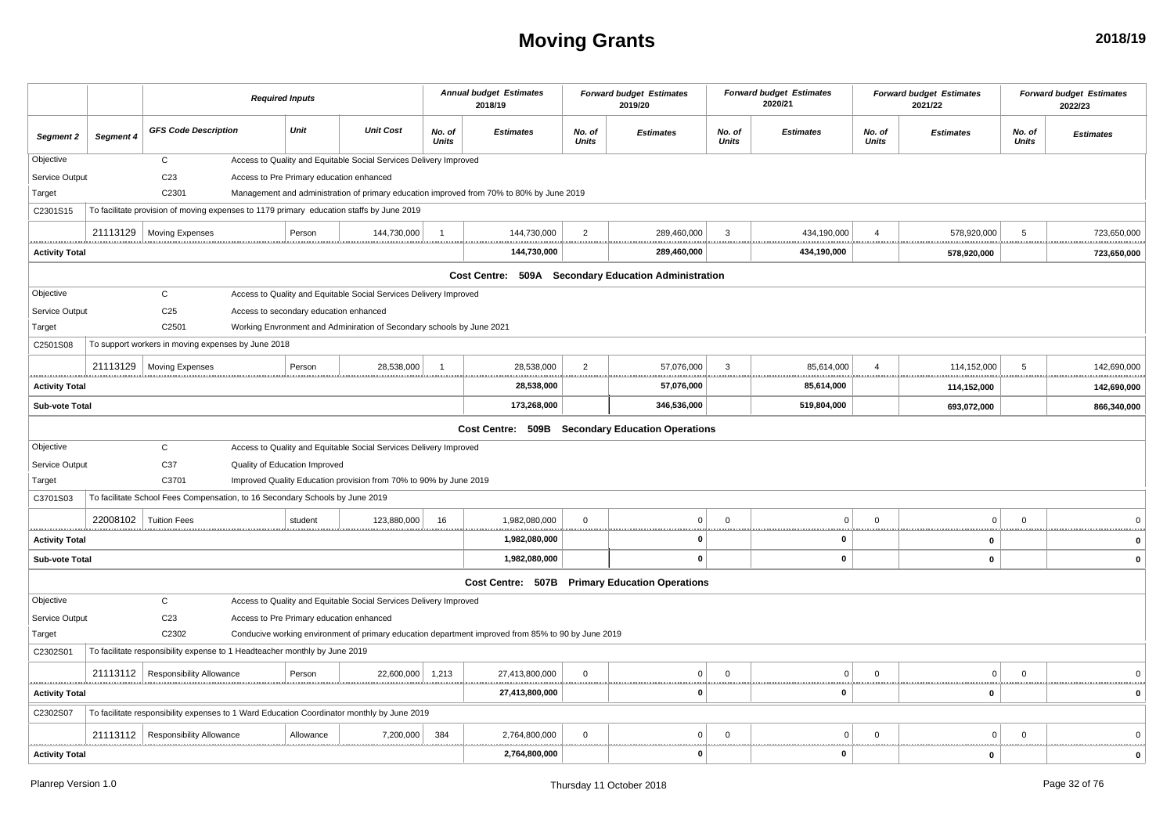## **Moving Grants**

|                           |                         |                                                                                            | <b>Required Inputs</b>                   |                                                                       |                        | <b>Annual budget Estimates</b><br>2018/19                                                          |                         | <b>Forward budget Estimates</b><br>2019/20     |                        | <b>Forward budget Estimates</b><br>2020/21 |                        | <b>Forward budget Estimates</b><br>2021/22 |                        | <b>Forward budget Estimates</b><br>2022/23 |
|---------------------------|-------------------------|--------------------------------------------------------------------------------------------|------------------------------------------|-----------------------------------------------------------------------|------------------------|----------------------------------------------------------------------------------------------------|-------------------------|------------------------------------------------|------------------------|--------------------------------------------|------------------------|--------------------------------------------|------------------------|--------------------------------------------|
| Segment 2                 | Segment 4               | <b>GFS Code Description</b>                                                                | Unit                                     | <b>Unit Cost</b>                                                      | No. of<br><b>Units</b> | <b>Estimates</b>                                                                                   | No. of<br><b>Units</b>  | <b>Estimates</b>                               | No. of<br><b>Units</b> | <b>Estimates</b>                           | No. of<br><b>Units</b> | <b>Estimates</b>                           | No. of<br><b>Units</b> | <b>Estimates</b>                           |
| Objective                 |                         | $\mathbf C$                                                                                |                                          | Access to Quality and Equitable Social Services Delivery Improved     |                        |                                                                                                    |                         |                                                |                        |                                            |                        |                                            |                        |                                            |
| Service Output            |                         | C <sub>23</sub>                                                                            | Access to Pre Primary education enhanced |                                                                       |                        |                                                                                                    |                         |                                                |                        |                                            |                        |                                            |                        |                                            |
| Target                    |                         | C2301                                                                                      |                                          |                                                                       |                        | Management and administration of primary education improved from 70% to 80% by June 2019           |                         |                                                |                        |                                            |                        |                                            |                        |                                            |
| C2301S15                  |                         | To facilitate provision of moving expenses to 1179 primary education staffs by June 2019   |                                          |                                                                       |                        |                                                                                                    |                         |                                                |                        |                                            |                        |                                            |                        |                                            |
|                           |                         | 21113129   Moving Expenses                                                                 | Person                                   | 144,730,000                                                           | $\overline{1}$         | 144,730,000<br>.                                                                                   | $\overline{2}$<br>.     | 289,460,000                                    | $\mathbf{3}$           | 434,190,000                                | $\overline{4}$         | 578,920,000                                | 5                      | 723,650,000                                |
| <b>Activity Total</b>     |                         |                                                                                            |                                          |                                                                       |                        | 144,730,000                                                                                        |                         | 289,460,000                                    |                        | 434,190,000                                |                        | 578,920,000                                |                        | 723,650,000                                |
|                           |                         |                                                                                            |                                          |                                                                       |                        | Cost Centre: 509A Secondary Education Administration                                               |                         |                                                |                        |                                            |                        |                                            |                        |                                            |
| Objective                 |                         | $\mathtt{C}$                                                                               |                                          | Access to Quality and Equitable Social Services Delivery Improved     |                        |                                                                                                    |                         |                                                |                        |                                            |                        |                                            |                        |                                            |
| Service Output            |                         | C <sub>25</sub>                                                                            | Access to secondary education enhanced   |                                                                       |                        |                                                                                                    |                         |                                                |                        |                                            |                        |                                            |                        |                                            |
| Target                    |                         | C2501                                                                                      |                                          | Working Envronment and Adminiration of Secondary schools by June 2021 |                        |                                                                                                    |                         |                                                |                        |                                            |                        |                                            |                        |                                            |
| C2501S08                  |                         | To support workers in moving expenses by June 2018                                         |                                          |                                                                       |                        |                                                                                                    |                         |                                                |                        |                                            |                        |                                            |                        |                                            |
|                           |                         | 21113129   Moving Expenses                                                                 | Person                                   | 28.538.000                                                            |                        | 28,538,000                                                                                         | $\overline{2}$<br>      | 57,076,000<br>                                 | 3                      | 85,614,000                                 |                        | 114,152,000                                | 5                      | 142,690,000                                |
| <b>Activity Total</b>     |                         |                                                                                            |                                          |                                                                       |                        | 28,538,000                                                                                         |                         | 57,076,000                                     |                        | 85,614,000                                 |                        | 114,152,000                                |                        | 142,690,000                                |
| Sub-vote Total            |                         |                                                                                            |                                          |                                                                       |                        | 173,268,000                                                                                        |                         | 346,536,000                                    |                        | 519,804,000                                |                        | 693,072,000                                |                        | 866,340,000                                |
|                           |                         |                                                                                            |                                          |                                                                       |                        | Cost Centre: 509B Secondary Education Operations                                                   |                         |                                                |                        |                                            |                        |                                            |                        |                                            |
| Objective                 |                         | $\mathsf{C}$                                                                               |                                          | Access to Quality and Equitable Social Services Delivery Improved     |                        |                                                                                                    |                         |                                                |                        |                                            |                        |                                            |                        |                                            |
| Service Output            |                         | C37                                                                                        | Quality of Education Improved            |                                                                       |                        |                                                                                                    |                         |                                                |                        |                                            |                        |                                            |                        |                                            |
| Target                    |                         | C3701                                                                                      |                                          | Improved Quality Education provision from 70% to 90% by June 2019     |                        |                                                                                                    |                         |                                                |                        |                                            |                        |                                            |                        |                                            |
| C3701S03                  |                         | To facilitate School Fees Compensation, to 16 Secondary Schools by June 2019               |                                          |                                                                       |                        |                                                                                                    |                         |                                                |                        |                                            |                        |                                            |                        |                                            |
|                           | 22008102   Tuition Fees |                                                                                            | student                                  | 123,880,000                                                           | 16                     | 1,982,080,000                                                                                      | $\Omega$                | $\Omega$                                       | $\Omega$               | $\Omega$<br>                               | $\Omega$<br>.          | $\Omega$                                   | $\Omega$<br><u></u>    |                                            |
| <b>Activity Total</b>     |                         |                                                                                            |                                          |                                                                       |                        | 1,982,080,000                                                                                      |                         | $\Omega$                                       |                        | 0                                          |                        | $\mathbf 0$                                |                        | $\Omega$                                   |
| Sub-vote Total            |                         |                                                                                            |                                          |                                                                       |                        | 1,982,080,000                                                                                      |                         | $\mathbf{0}$                                   |                        | $\mathbf 0$                                |                        | $\pmb{0}$                                  |                        | 0                                          |
|                           |                         |                                                                                            |                                          |                                                                       |                        |                                                                                                    |                         | Cost Centre: 507B Primary Education Operations |                        |                                            |                        |                                            |                        |                                            |
| Objective                 |                         | $\mathsf{C}$                                                                               |                                          | Access to Quality and Equitable Social Services Delivery Improved     |                        |                                                                                                    |                         |                                                |                        |                                            |                        |                                            |                        |                                            |
| Service Output            |                         | C <sub>23</sub>                                                                            | Access to Pre Primary education enhanced |                                                                       |                        |                                                                                                    |                         |                                                |                        |                                            |                        |                                            |                        |                                            |
| Target                    |                         | C2302                                                                                      |                                          |                                                                       |                        | Conducive working environment of primary education department improved from 85% to 90 by June 2019 |                         |                                                |                        |                                            |                        |                                            |                        |                                            |
| C2302S01                  |                         | To facilitate responsibility expense to 1 Headteacher monthly by June 2019                 |                                          |                                                                       |                        |                                                                                                    |                         |                                                |                        |                                            |                        |                                            |                        |                                            |
|                           | 21113112                | <b>Responsibility Allowance</b>                                                            | Person                                   | 22,600,000                                                            | 1,213                  | 27,413,800,000                                                                                     | $\overline{\mathbf{0}}$ | $\mathbf 0$                                    | $\Omega$               | $\Omega$                                   | $\Omega$               | $\mathbf 0$                                | $\Omega$               | $\Omega$                                   |
| <b>Activity Total</b>     |                         |                                                                                            |                                          |                                                                       |                        | 27,413,800,000                                                                                     | *******                 | ŋ                                              | .                      | $\mathbf{0}$                               |                        | 0                                          |                        | 0                                          |
| C2302S07                  |                         | To facilitate responsibility expenses to 1 Ward Education Coordinator monthly by June 2019 |                                          |                                                                       |                        |                                                                                                    |                         |                                                |                        |                                            |                        |                                            |                        |                                            |
|                           |                         | 21113112   Responsibility Allowance                                                        | Allowance                                | 7,200,000                                                             | 384                    | 2,764,800,000                                                                                      | $\overline{0}$          | $\Omega$                                       | $\Omega$               | $\overline{0}$                             | $\Omega$               | $\Omega$                                   | $\Omega$               | $\Omega$                                   |
| <br><b>Activity Total</b> |                         |                                                                                            |                                          |                                                                       |                        | <br>2,764,800,000                                                                                  |                         | $\mathbf{0}$                                   |                        | 1.11<br>0                                  |                        | $\pmb{0}$                                  |                        | $\mathbf 0$                                |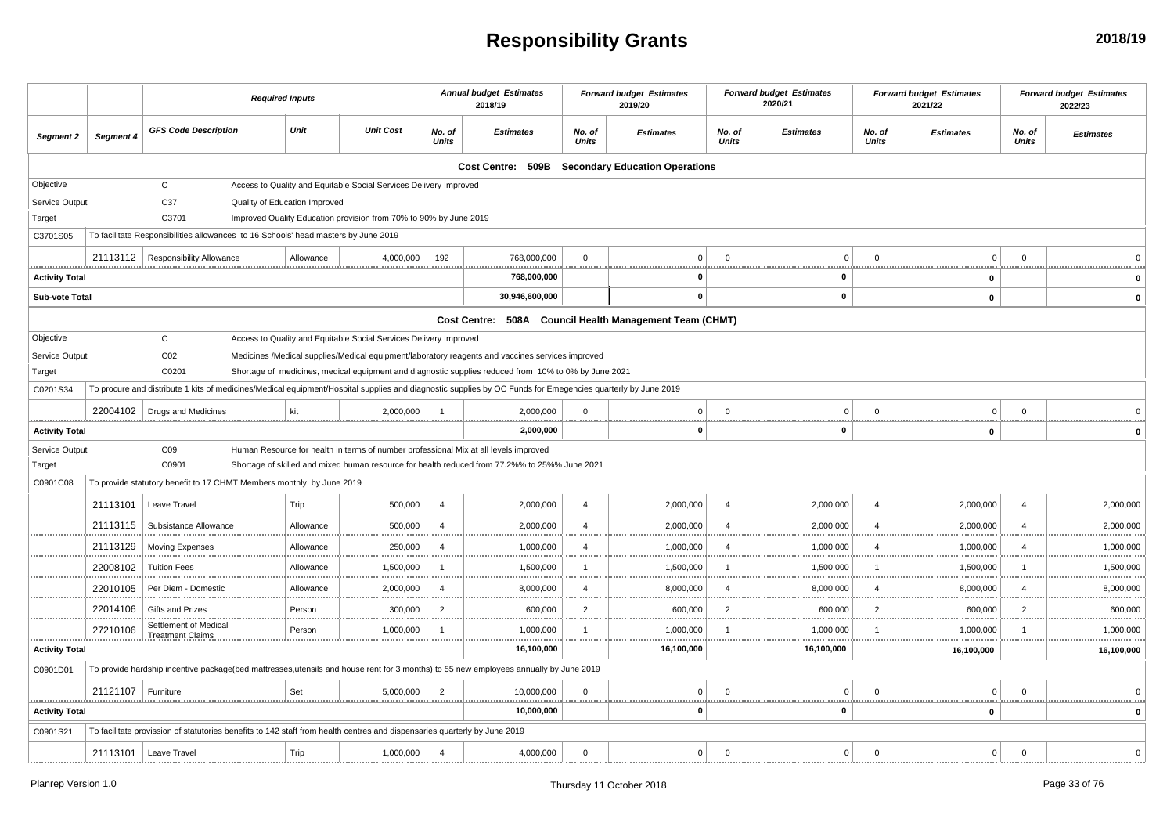# **Responsibility Grants**

|                            |           | <b>Required Inputs</b>                                                                                                                                      |           |                                                                                      |                 | <b>Annual budget Estimates</b><br>2018/19                                                            |                 | <b>Forward budget Estimates</b><br>2019/20              |                 | <b>Forward budget Estimates</b><br>2020/21 |                 | <b>Forward budget Estimates</b><br>2021/22 |                 | <b>Forward budget Estimates</b><br>2022/23 |
|----------------------------|-----------|-------------------------------------------------------------------------------------------------------------------------------------------------------------|-----------|--------------------------------------------------------------------------------------|-----------------|------------------------------------------------------------------------------------------------------|-----------------|---------------------------------------------------------|-----------------|--------------------------------------------|-----------------|--------------------------------------------|-----------------|--------------------------------------------|
| Segment 2                  | Segment 4 | <b>GFS Code Description</b>                                                                                                                                 | Unit      | <b>Unit Cost</b>                                                                     | No. of<br>Units | <b>Estimates</b>                                                                                     | No. of<br>Units | <b>Estimates</b>                                        | No. of<br>Units | <b>Estimates</b>                           | No. of<br>Units | <b>Estimates</b>                           | No. of<br>Units | <b>Estimates</b>                           |
|                            |           |                                                                                                                                                             |           |                                                                                      |                 |                                                                                                      |                 | Cost Centre: 509B Secondary Education Operations        |                 |                                            |                 |                                            |                 |                                            |
| Objective                  |           | $\mathbf{C}$                                                                                                                                                |           | Access to Quality and Equitable Social Services Delivery Improved                    |                 |                                                                                                      |                 |                                                         |                 |                                            |                 |                                            |                 |                                            |
| Service Output             |           | C37<br>Quality of Education Improved                                                                                                                        |           |                                                                                      |                 |                                                                                                      |                 |                                                         |                 |                                            |                 |                                            |                 |                                            |
| Target                     |           | C3701                                                                                                                                                       |           | Improved Quality Education provision from 70% to 90% by June 2019                    |                 |                                                                                                      |                 |                                                         |                 |                                            |                 |                                            |                 |                                            |
| C3701S05                   |           | To facilitate Responsibilities allowances to 16 Schools' head masters by June 2019                                                                          |           |                                                                                      |                 |                                                                                                      |                 |                                                         |                 |                                            |                 |                                            |                 |                                            |
|                            | 21113112  | <b>Responsibility Allowance</b>                                                                                                                             | Allowance | 4,000,000                                                                            | 192             | 768,000,000                                                                                          | $\mathbf 0$     | $\Omega$                                                | $\Omega$        | $\Omega$                                   | $\Omega$        | $\Omega$                                   | $\Omega$        |                                            |
| <b>Activity Total</b>      |           |                                                                                                                                                             |           |                                                                                      |                 | 768,000,000                                                                                          |                 |                                                         |                 | 0                                          | .               | 0                                          |                 | $\Omega$                                   |
| Sub-vote Total             |           |                                                                                                                                                             |           |                                                                                      |                 | 30,946,600,000                                                                                       |                 | $\mathbf{0}$                                            |                 | $\mathbf 0$                                |                 | $\mathbf 0$                                |                 | $\mathbf 0$                                |
|                            |           |                                                                                                                                                             |           |                                                                                      |                 |                                                                                                      |                 | Cost Centre: 508A Council Health Management Team (CHMT) |                 |                                            |                 |                                            |                 |                                            |
| Objective                  |           | $\mathsf{C}$                                                                                                                                                |           | Access to Quality and Equitable Social Services Delivery Improved                    |                 |                                                                                                      |                 |                                                         |                 |                                            |                 |                                            |                 |                                            |
| Service Output             |           | CO <sub>2</sub>                                                                                                                                             |           |                                                                                      |                 | Medicines /Medical supplies/Medical equipment/laboratory reagents and vaccines services improved     |                 |                                                         |                 |                                            |                 |                                            |                 |                                            |
| Target                     |           | C0201                                                                                                                                                       |           |                                                                                      |                 | Shortage of medicines, medical equipment and diagnostic supplies reduced from 10% to 0% by June 2021 |                 |                                                         |                 |                                            |                 |                                            |                 |                                            |
| C0201S34                   |           | To procure and distribute 1 kits of medicines/Medical equipment/Hospital supplies and diagnostic supplies by OC Funds for Emegencies quarterly by June 2019 |           |                                                                                      |                 |                                                                                                      |                 |                                                         |                 |                                            |                 |                                            |                 |                                            |
|                            | 22004102  | Drugs and Medicines                                                                                                                                         | kit       | 2,000,000                                                                            | $\overline{1}$  | 2,000,000                                                                                            | $\mathbf 0$     | $\overline{0}$                                          | $\Omega$        | $\Omega$                                   | $\Omega$        | $\Omega$                                   | $\Omega$        |                                            |
| .<br><b>Activity Total</b> |           |                                                                                                                                                             |           |                                                                                      |                 | 2,000,000                                                                                            |                 | 0                                                       |                 | $\Omega$                                   |                 | 0                                          |                 | $\Omega$                                   |
| Service Output             |           | CO9                                                                                                                                                         |           | Human Resource for health in terms of number professional Mix at all levels improved |                 |                                                                                                      |                 |                                                         |                 |                                            |                 |                                            |                 |                                            |
| Target                     |           | C0901                                                                                                                                                       |           |                                                                                      |                 | Shortage of skilled and mixed human resource for health reduced from 77.2%% to 25%% June 2021        |                 |                                                         |                 |                                            |                 |                                            |                 |                                            |
| C0901C08                   |           | To provide statutory benefit to 17 CHMT Members monthly by June 2019                                                                                        |           |                                                                                      |                 |                                                                                                      |                 |                                                         |                 |                                            |                 |                                            |                 |                                            |
|                            | 21113101  | Leave Travel                                                                                                                                                | Trip      | 500,000                                                                              | $\overline{4}$  | 2,000,000                                                                                            | $\overline{4}$  | 2,000,000                                               | $\overline{a}$  | 2,000,000                                  | $\Delta$        | 2,000,000                                  | $\Delta$        | 2,000,000                                  |
|                            | 21113115  | Subsistance Allowance                                                                                                                                       | Allowance | 500,000                                                                              | $\overline{4}$  | 2,000,000                                                                                            | $\overline{4}$  | 2,000,000                                               | $\overline{4}$  | 2,000,000                                  | 4               | 2,000,000                                  | $\overline{4}$  | 2,000,000                                  |
|                            | 21113129  | <b>Moving Expenses</b>                                                                                                                                      | Allowance | 250,000                                                                              | $\overline{a}$  | 1,000,000                                                                                            | 4               | 1,000,000                                               |                 | 1,000,000                                  |                 | 1,000,000                                  |                 | 1,000,000                                  |
|                            | 22008102  | <b>Tuition Fees</b>                                                                                                                                         | Allowance | 1,500,000                                                                            | -1              | 1,500,000                                                                                            | $\mathbf{1}$    | 1,500,000<br>                                           | -1              | 1,500,000<br>                              |                 | 1,500,000<br>                              |                 | 1,500,000                                  |
|                            | 22010105  | Per Diem - Domestic                                                                                                                                         | Allowance | 2,000,000                                                                            | $\overline{4}$  | 8,000,000                                                                                            | $\overline{4}$  | 8,000,000                                               | 4               | 8,000,000                                  |                 | 8,000,000                                  | $\overline{4}$  | 8,000,000                                  |
|                            | 22014106  | Gifts and Prizes                                                                                                                                            | Person    | 300,000                                                                              | 2               | 600,000                                                                                              | 2               | 600,000                                                 | $\overline{2}$  | 600,000                                    | $\mathcal{P}$   | 600,000                                    | 2               | 600,000                                    |
|                            | 27210106  | Settlement of Medical<br><b>Treatment Claims</b>                                                                                                            | Person    | 1,000,000                                                                            | $\mathbf{1}$    | 1,000,000                                                                                            | -1              | 1,000,000                                               |                 | 1,000,000                                  |                 | 1,000,000                                  |                 | 1,000,000                                  |
| <b>Activity Total</b>      |           |                                                                                                                                                             |           |                                                                                      |                 | 16,100,000                                                                                           |                 | 16,100,000                                              |                 | 16,100,000                                 |                 | 16,100,000                                 |                 | 16,100,000                                 |
| C0901D01                   |           | To provide hardship incentive package(bed mattresses,utensils and house rent for 3 months) to 55 new employees annually by June 2019                        |           |                                                                                      |                 |                                                                                                      |                 |                                                         |                 |                                            |                 |                                            |                 |                                            |
|                            | 21121107  | Furniture                                                                                                                                                   | Set       | 5,000,000                                                                            | $\overline{2}$  | 10,000,000                                                                                           | $\Omega$        | $\Omega$                                                | $\Omega$        | $\Omega$                                   |                 | $\Omega$                                   | $\Omega$        |                                            |
| <b>Activity Total</b>      |           |                                                                                                                                                             |           |                                                                                      |                 | 10,000,000                                                                                           |                 | $\mathbf{0}$                                            |                 | $\mathbf 0$                                |                 | 0                                          |                 | ,,,,,,,,,,,,,,,,,,,,,,,,,,,,,,,,,,,<br>0   |
| C0901S21                   |           | To facilitate provission of statutories benefits to 142 staff from health centres and dispensaries quarterly by June 2019                                   |           |                                                                                      |                 |                                                                                                      |                 |                                                         |                 |                                            |                 |                                            |                 |                                            |
|                            | 21113101  | Leave Travel                                                                                                                                                | Trip      | 1,000,000                                                                            | $\overline{4}$  | 4,000,000                                                                                            | $\mathbf 0$     | $\overline{0}$                                          | $^{\circ}$      | $\overline{0}$                             | $\Omega$        | $\Omega$                                   | $\Omega$        | $\Omega$                                   |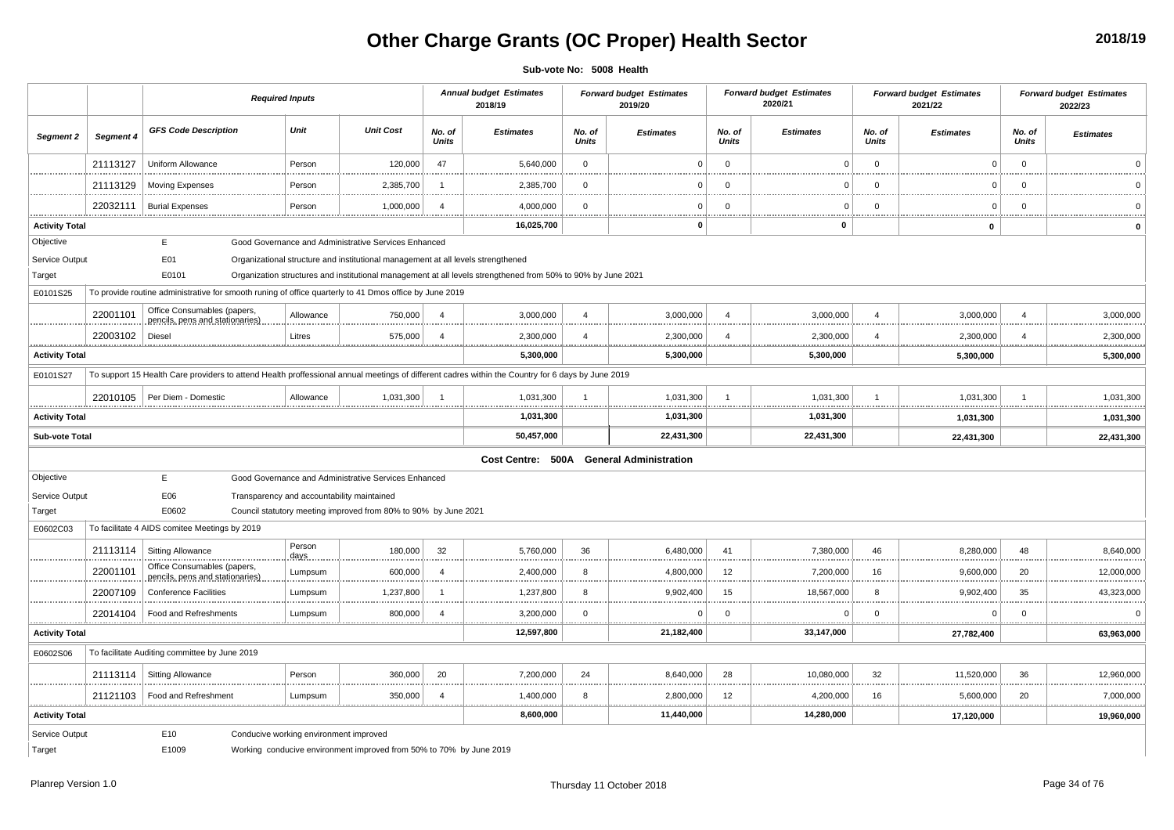## **Other Charge Grants (OC Proper) Health Sector**

**2018/19**

**Sub-vote No: 5008 Health**

|                           |           |                                                                                                                                                   | <b>Required Inputs</b>                 |                                                                                  |                        | <b>Annual budget Estimates</b><br>2018/19                                                                    |                 | <b>Forward budget Estimates</b><br>2019/20 |                        | <b>Forward budget Estimates</b><br>2020/21 |                       | <b>Forward budget Estimates</b><br>2021/22 |                 | <b>Forward budget Estimates</b><br>2022/23 |
|---------------------------|-----------|---------------------------------------------------------------------------------------------------------------------------------------------------|----------------------------------------|----------------------------------------------------------------------------------|------------------------|--------------------------------------------------------------------------------------------------------------|-----------------|--------------------------------------------|------------------------|--------------------------------------------|-----------------------|--------------------------------------------|-----------------|--------------------------------------------|
| Segment 2                 | Segment 4 | <b>GFS Code Description</b>                                                                                                                       | Unit                                   | <b>Unit Cost</b>                                                                 | No. of<br>Units        | <b>Estimates</b>                                                                                             | No. of<br>Units | <b>Estimates</b>                           | No. of<br><b>Units</b> | <b>Estimates</b>                           | No. of<br>Units       | <b>Estimates</b>                           | No. of<br>Units | <b>Estimates</b>                           |
|                           | 21113127  | Uniform Allowance                                                                                                                                 | Person                                 | 120,000                                                                          | 47                     | 5,640,000                                                                                                    | $\mathbf 0$     | $\Omega$                                   | $\Omega$               | $\overline{0}$                             | $\mathbf 0$           | $\mathbf 0$                                | $\mathbf 0$     | $\Omega$                                   |
|                           | 21113129  | <b>Moving Expenses</b>                                                                                                                            | Person                                 | 2,385,700                                                                        | -1                     | 2,385,700                                                                                                    | $\mathbf 0$     | $\Omega$                                   | $\Omega$               | $\Omega$                                   | $\Omega$              | $\Omega$                                   | $\Omega$        | $\Omega$                                   |
| .                         | 22032111  | <b>Burial Expenses</b>                                                                                                                            | Person                                 | 1,000,000                                                                        | $\Delta$               | 4,000,000                                                                                                    | $\mathbf 0$     | $\Omega$                                   | $\Omega$               | $\Omega$                                   | $\Omega$              | 0                                          | $\Omega$        |                                            |
| <br><b>Activity Total</b> |           |                                                                                                                                                   |                                        |                                                                                  |                        | <br>.<br>16,025,700                                                                                          | .               | 0                                          |                        | <br>$\mathbf 0$                            |                       | <br>$\mathbf{0}$                           |                 |                                            |
| Objective                 |           | E                                                                                                                                                 |                                        | Good Governance and Administrative Services Enhanced                             |                        |                                                                                                              |                 |                                            |                        |                                            |                       |                                            |                 |                                            |
| Service Output            |           | E01                                                                                                                                               |                                        | Organizational structure and institutional management at all levels strengthened |                        |                                                                                                              |                 |                                            |                        |                                            |                       |                                            |                 |                                            |
| Target                    |           | E0101                                                                                                                                             |                                        |                                                                                  |                        | Organization structures and institutional management at all levels strengthened from 50% to 90% by June 2021 |                 |                                            |                        |                                            |                       |                                            |                 |                                            |
| E0101S25                  |           | To provide routine administrative for smooth runing of office quarterly to 41 Dmos office by June 2019                                            |                                        |                                                                                  |                        |                                                                                                              |                 |                                            |                        |                                            |                       |                                            |                 |                                            |
|                           | 22001101  | Office Consumables (papers,<br>pencils, pens and stationaries)                                                                                    | Allowance                              | 750,000                                                                          | $\overline{4}$         | 3,000,000                                                                                                    | $\overline{4}$  | 3,000,000                                  | $\overline{4}$         | 3,000,000                                  | $\boldsymbol{\Delta}$ | 3,000,000                                  | $\overline{4}$  | 3,000,000                                  |
|                           | 22003102  | Diesel                                                                                                                                            | Litres                                 | 575,000                                                                          | $\overline{4}$         | 2,300,000                                                                                                    | $\overline{4}$  | 2,300,000                                  | $\overline{4}$         | 2,300,000                                  | $\overline{4}$        | 2,300,000                                  | $\overline{4}$  | 2,300,000                                  |
| <b>Activity Total</b>     |           |                                                                                                                                                   |                                        |                                                                                  |                        | 5,300,000                                                                                                    |                 | 5,300,000                                  |                        | 5,300,000                                  |                       | 5,300,000                                  |                 | 5,300,000                                  |
| E0101S27                  |           | To support 15 Health Care providers to attend Health proffessional annual meetings of different cadres within the Country for 6 days by June 2019 |                                        |                                                                                  |                        |                                                                                                              |                 |                                            |                        |                                            |                       |                                            |                 |                                            |
| .                         |           | 22010105   Per Diem - Domestic                                                                                                                    | Allowance                              | 1,031,300<br>.                                                                   |                        | 1,031,300<br>.                                                                                               | .               | 1,031,300                                  | -1                     | 1,031,300<br>.                             |                       | 1,031,300                                  | 1               | 1,031,300<br>.                             |
| <b>Activity Total</b>     |           |                                                                                                                                                   |                                        |                                                                                  |                        | 1,031,300                                                                                                    |                 | 1,031,300                                  |                        | 1,031,300                                  |                       | 1,031,300                                  |                 | 1,031,300                                  |
| Sub-vote Total            |           |                                                                                                                                                   |                                        |                                                                                  |                        | 50,457,000                                                                                                   |                 | 22,431,300                                 |                        | 22,431,300                                 |                       | 22,431,300                                 |                 | 22,431,300                                 |
|                           |           |                                                                                                                                                   |                                        |                                                                                  |                        | Cost Centre: 500A                                                                                            |                 | <b>General Administration</b>              |                        |                                            |                       |                                            |                 |                                            |
| Objective                 |           | E                                                                                                                                                 |                                        | Good Governance and Administrative Services Enhanced                             |                        |                                                                                                              |                 |                                            |                        |                                            |                       |                                            |                 |                                            |
| Service Output            |           | E06                                                                                                                                               |                                        | Transparency and accountability maintained                                       |                        |                                                                                                              |                 |                                            |                        |                                            |                       |                                            |                 |                                            |
| Target                    |           | E0602                                                                                                                                             |                                        | Council statutory meeting improved from 80% to 90% by June 2021                  |                        |                                                                                                              |                 |                                            |                        |                                            |                       |                                            |                 |                                            |
| E0602C03                  |           | To facilitate 4 AIDS comitee Meetings by 2019                                                                                                     |                                        |                                                                                  |                        |                                                                                                              |                 |                                            |                        |                                            |                       |                                            |                 |                                            |
| .                         | 21113114  | <b>Sitting Allowance</b>                                                                                                                          | Person<br>days                         | 180,000                                                                          | 32                     | 5,760,000                                                                                                    | 36              | 6,480,000                                  | 41                     | 7,380,000                                  | 46                    | 8,280,000                                  | 48              | 8,640,000                                  |
|                           | 22001101  | Office Consumables (papers,<br>pencils, pens and stationaries)                                                                                    | Lumpsum                                | 600,000                                                                          | $\boldsymbol{\Lambda}$ | 2,400,000                                                                                                    | 8               | 4,800,000                                  | 12                     | 7,200,000                                  | 16                    | 9,600,000                                  | 20              | 12,000,000                                 |
|                           | 22007109  | <b>Conference Facilities</b>                                                                                                                      | Lumpsum                                | 1,237,800                                                                        |                        | 1,237,800                                                                                                    | 8               | 9,902,400                                  | 15                     | 18,567,000                                 | 8                     | 9,902,400                                  | 35              | 43,323,000                                 |
|                           | 22014104  | Food and Refreshments<br>.                                                                                                                        | Lumpsum                                | 800,000                                                                          | $\overline{4}$         | 3,200,000                                                                                                    | $\Omega$        | $\Omega$                                   | $\Omega$               | $\Omega$                                   | $\Omega$              | $\Omega$                                   | $\Omega$        | $\Omega$                                   |
| <br><b>Activity Total</b> |           |                                                                                                                                                   |                                        |                                                                                  |                        | 12,597,800                                                                                                   |                 | <br>21,182,400                             |                        | 33,147,000                                 |                       | <br>27,782,400                             |                 | .<br>63,963,000                            |
| E0602S06                  |           | To facilitate Auditing committee by June 2019                                                                                                     |                                        |                                                                                  |                        |                                                                                                              |                 |                                            |                        |                                            |                       |                                            |                 |                                            |
|                           | 21113114  | <b>Sitting Allowance</b>                                                                                                                          | Person                                 | 360,000                                                                          | 20                     | 7,200,000                                                                                                    | 24              | 8,640,000                                  | 28                     | 10,080,000                                 | 32                    | 11,520,000                                 | 36              | 12,960,000                                 |
| .                         | 21121103  | Food and Refreshment                                                                                                                              | Lumpsum                                | 350,000                                                                          | $\overline{4}$         | 1,400,000                                                                                                    | 8               | 2,800,000                                  | 12                     | 4,200,000                                  | 16                    | 5,600,000                                  | 20              | 7,000,000                                  |
| <b>Activity Total</b>     |           |                                                                                                                                                   |                                        |                                                                                  |                        | 8,600,000                                                                                                    |                 | 11,440,000                                 |                        | 14,280,000                                 |                       | 17,120,000                                 |                 | 19,960,000                                 |
| Service Output            |           | E10                                                                                                                                               | Conducive working environment improved |                                                                                  |                        |                                                                                                              |                 |                                            |                        |                                            |                       |                                            |                 |                                            |
| Target                    |           | E1009                                                                                                                                             |                                        | Working conducive environment improved from 50% to 70% by June 2019              |                        |                                                                                                              |                 |                                            |                        |                                            |                       |                                            |                 |                                            |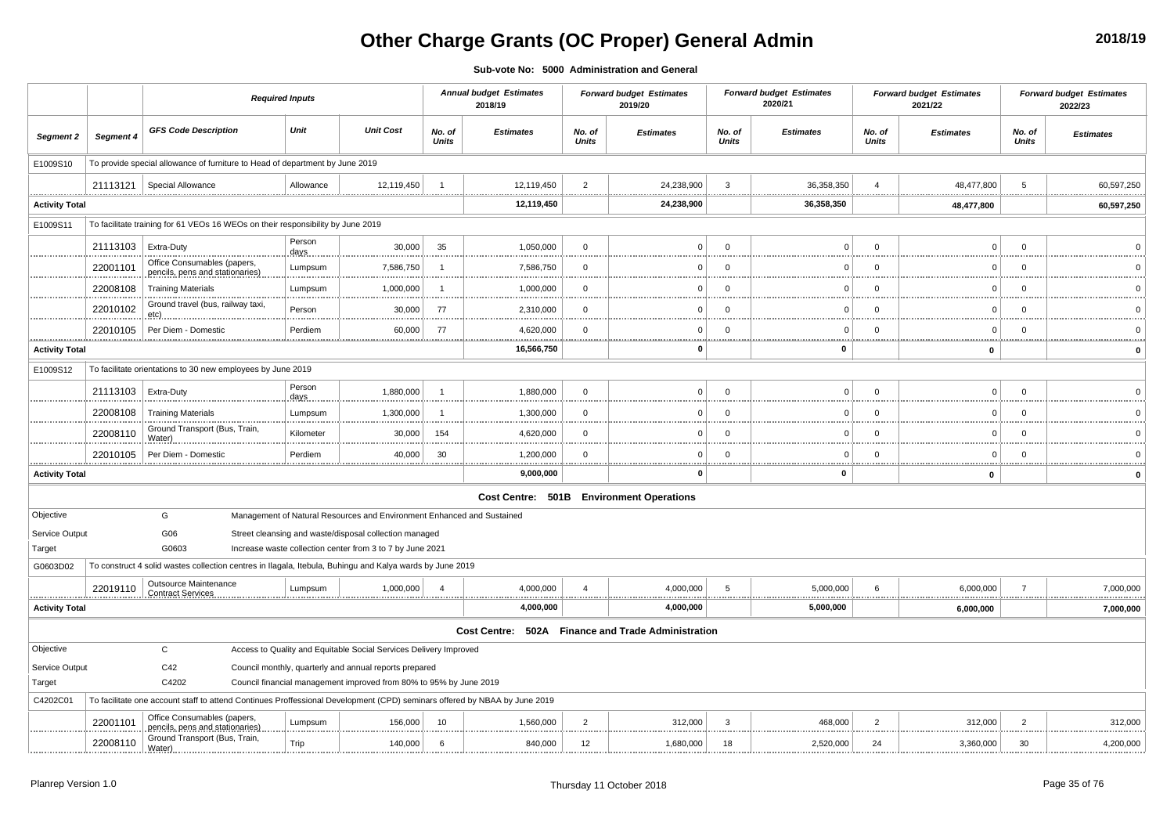# **Other Charge Grants (OC Proper) General Admin**

**2018/19**

**Sub-vote No: 5000 Administration and General**

|                       |           | <b>Required Inputs</b>                                                                                                    |                 |                                                                        |                        | <b>Annual budget Estimates</b><br>2018/19          |                        | <b>Forward budget Estimates</b><br>2019/20 |                        | <b>Forward budget Estimates</b><br>2020/21 |                        | <b>Forward budget Estimates</b><br>2021/22 |                        | <b>Forward budget Estimates</b><br>2022/23 |
|-----------------------|-----------|---------------------------------------------------------------------------------------------------------------------------|-----------------|------------------------------------------------------------------------|------------------------|----------------------------------------------------|------------------------|--------------------------------------------|------------------------|--------------------------------------------|------------------------|--------------------------------------------|------------------------|--------------------------------------------|
| Segment 2             | Segment 4 | <b>GFS Code Description</b>                                                                                               | Unit            | <b>Unit Cost</b>                                                       | No. of<br><b>Units</b> | <b>Estimates</b>                                   | No. of<br><b>Units</b> | <b>Estimates</b>                           | No. of<br><b>Units</b> | <b>Estimates</b>                           | No. of<br><b>Units</b> | <b>Estimates</b>                           | No. of<br><b>Units</b> | <b>Estimates</b>                           |
| E1009S10              |           | To provide special allowance of furniture to Head of department by June 2019                                              |                 |                                                                        |                        |                                                    |                        |                                            |                        |                                            |                        |                                            |                        |                                            |
|                       | 21113121  | Special Allowance                                                                                                         | Allowance       | 12,119,450                                                             | $\overline{1}$         | 12,119,450                                         | $\overline{2}$         | 24,238,900                                 | $\overline{3}$         | 36,358,350                                 |                        | 48,477,800                                 | 5                      | 60,597,250                                 |
| <b>Activity Total</b> |           |                                                                                                                           |                 |                                                                        |                        | 12,119,450                                         |                        | 24,238,900                                 |                        | <br><br>36,358,350                         |                        | <br>48,477,800                             |                        | 60,597,250                                 |
| E1009S11              |           | To facilitate training for 61 VEOs 16 WEOs on their responsibility by June 2019                                           |                 |                                                                        |                        |                                                    |                        |                                            |                        |                                            |                        |                                            |                        |                                            |
|                       | 21113103  | Extra-Duty                                                                                                                | Person<br>days. | 30,000                                                                 | 35                     | 1,050,000                                          | $\mathbf 0$            | $\overline{0}$                             | $\overline{0}$         | $\mathbf 0$                                | $\mathbf 0$            | $\mathsf 0$                                | $\mathbf 0$            | $\Omega$                                   |
|                       | 22001101  | Office Consumables (papers,<br>pencils, pens and stationaries)                                                            | Lumpsum         | 7,586,750                                                              | -1                     | 7,586,750                                          | $\overline{0}$         | $\Omega$                                   | $\Omega$               | $\Omega$                                   | $\Omega$               | $\Omega$                                   | $\Omega$               | $\Omega$                                   |
|                       | 22008108  | <b>Training Materials</b>                                                                                                 | Lumpsum         | 1,000,000                                                              | -1                     | 1,000,000                                          | $\overline{0}$         | $\Omega$                                   | $\Omega$               | $\mathbf 0$                                | $\Omega$               | $\mathbf 0$                                | $\Omega$               | $\Omega$                                   |
|                       | 22010102  | Ground travel (bus, railway taxi,<br>etc)                                                                                 | Person          | 30,000                                                                 | 77                     | 2,310,000                                          | $\mathbf 0$            | $\Omega$                                   | $\overline{0}$         | $\mathbf 0$                                | $\overline{0}$         | .<br>$\mathbf 0$                           | $\mathbf 0$            | $\overline{0}$                             |
|                       | 22010105  | Per Diem - Domestic                                                                                                       | Perdiem         | 60,000                                                                 | -77                    | 4,620,000                                          | $\mathbf 0$            | $\Omega$                                   | $\overline{0}$         | $\Omega$                                   | $\Omega$               | $\mathbf 0$                                | $\Omega$               | $\mathbf{0}$                               |
| <b>Activity Total</b> |           |                                                                                                                           |                 |                                                                        |                        | .<br>16,566,750                                    |                        | $\Omega$                                   |                        | <u></u><br>0                               |                        | $\mathbf 0$                                | <u>.</u>               | $\mathbf 0$                                |
| E1009S12              |           | To facilitate orientations to 30 new employees by June 2019                                                               |                 |                                                                        |                        |                                                    |                        |                                            |                        |                                            |                        |                                            |                        |                                            |
|                       | 21113103  | Extra-Duty                                                                                                                | Person<br>days  | 1,880,000                                                              | $\overline{1}$         | 1,880,000                                          | $\overline{0}$         | $\Omega$                                   | $\overline{0}$         | $\Omega$                                   | $\overline{0}$         | $\mathbf 0$                                | $\mathbf 0$            | $\Omega$                                   |
|                       | 22008108  | <b>Training Materials</b>                                                                                                 | Lumpsum         | 1,300,000                                                              | -1                     | 1,300,000                                          | $\mathbf 0$            | $^{\circ}$                                 | $\overline{0}$         | $\mathbf 0$                                | $\overline{0}$         | $\mathbf 0$                                | $\mathbf 0$            | $\Omega$                                   |
|                       | 22008110  | Ground Transport (Bus, Train,<br>Water)                                                                                   | Kilometer       | 30,000                                                                 | 154                    | 4,620,000                                          | $\Omega$               | $\Omega$                                   | $\overline{0}$         | $\Omega$                                   | $\overline{0}$         | $\Omega$                                   | $\Omega$               | $\Omega$                                   |
|                       | 22010105  | Per Diem - Domestic                                                                                                       | Perdiem         | 40,000                                                                 | 30                     | 1,200,000                                          | $\overline{0}$         | - 0                                        | $\overline{0}$         | $\Omega$                                   | $\overline{0}$         | $\mathbf 0$                                | $\Omega$               | $\Omega$                                   |
| <b>Activity Total</b> |           |                                                                                                                           |                 |                                                                        |                        | .<br>9,000,000                                     |                        | - 0                                        | . <b>.</b> .           | <br>0                                      |                        | $\mathbf 0$                                |                        | <br>$\mathbf 0$                            |
|                       |           |                                                                                                                           |                 |                                                                        |                        |                                                    |                        | Cost Centre: 501B Environment Operations   |                        |                                            |                        |                                            |                        |                                            |
| Objective             |           | G                                                                                                                         |                 | Management of Natural Resources and Environment Enhanced and Sustained |                        |                                                    |                        |                                            |                        |                                            |                        |                                            |                        |                                            |
| Service Output        |           | G06                                                                                                                       |                 | Street cleansing and waste/disposal collection managed                 |                        |                                                    |                        |                                            |                        |                                            |                        |                                            |                        |                                            |
| Target                |           | G0603                                                                                                                     |                 | Increase waste collection center from 3 to 7 by June 2021              |                        |                                                    |                        |                                            |                        |                                            |                        |                                            |                        |                                            |
| G0603D02              |           | To construct 4 solid wastes collection centres in Ilagala, Itebula, Buhingu and Kalya wards by June 2019                  |                 |                                                                        |                        |                                                    |                        |                                            |                        |                                            |                        |                                            |                        |                                            |
|                       | 22019110  | <b>Outsource Maintenance</b><br><b>Contract Services</b>                                                                  | Lumpsum         | 1,000,000                                                              | $\overline{4}$         | 4,000,000                                          | $\overline{4}$         | 4,000,000                                  | 5                      | 5,000,000<br>.                             | 6                      | 6,000,000                                  | $\overline{7}$         | 7,000,000                                  |
| <b>Activity Total</b> |           |                                                                                                                           |                 |                                                                        |                        | 4,000,000                                          |                        | 4,000,000                                  |                        | 5,000,000                                  |                        | <br>6,000,000                              |                        | 7,000,000                                  |
|                       |           |                                                                                                                           |                 |                                                                        |                        | Cost Centre: 502A Finance and Trade Administration |                        |                                            |                        |                                            |                        |                                            |                        |                                            |
| Objective             |           | C                                                                                                                         |                 | Access to Quality and Equitable Social Services Delivery Improved      |                        |                                                    |                        |                                            |                        |                                            |                        |                                            |                        |                                            |
| Service Output        |           | C42                                                                                                                       |                 | Council monthly, quarterly and annual reports prepared                 |                        |                                                    |                        |                                            |                        |                                            |                        |                                            |                        |                                            |
| Target                |           | C4202                                                                                                                     |                 | Council financial management improved from 80% to 95% by June 2019     |                        |                                                    |                        |                                            |                        |                                            |                        |                                            |                        |                                            |
| C4202C01              |           | To facilitate one account staff to attend Continues Proffessional Development (CPD) seminars offered by NBAA by June 2019 |                 |                                                                        |                        |                                                    |                        |                                            |                        |                                            |                        |                                            |                        |                                            |
|                       | 22001101  | Office Consumables (papers,<br>pencils, pens and stationaries)                                                            | Lumpsum         | 156,000                                                                | 10                     | 1,560,000                                          | $\overline{2}$         | 312,000                                    | -3                     | 468,000                                    | $\overline{2}$         | 312,000                                    | $\overline{2}$         | 312,000                                    |
|                       | 22008110  | Ground Transport (Bus, Train,<br>Water)                                                                                   | Trip            | 140,000                                                                | 6                      | 840,000                                            | 12                     | 1,680,000                                  | 18                     | 2,520,000                                  | 24                     | 3,360,000                                  | 30                     | 4,200,000                                  |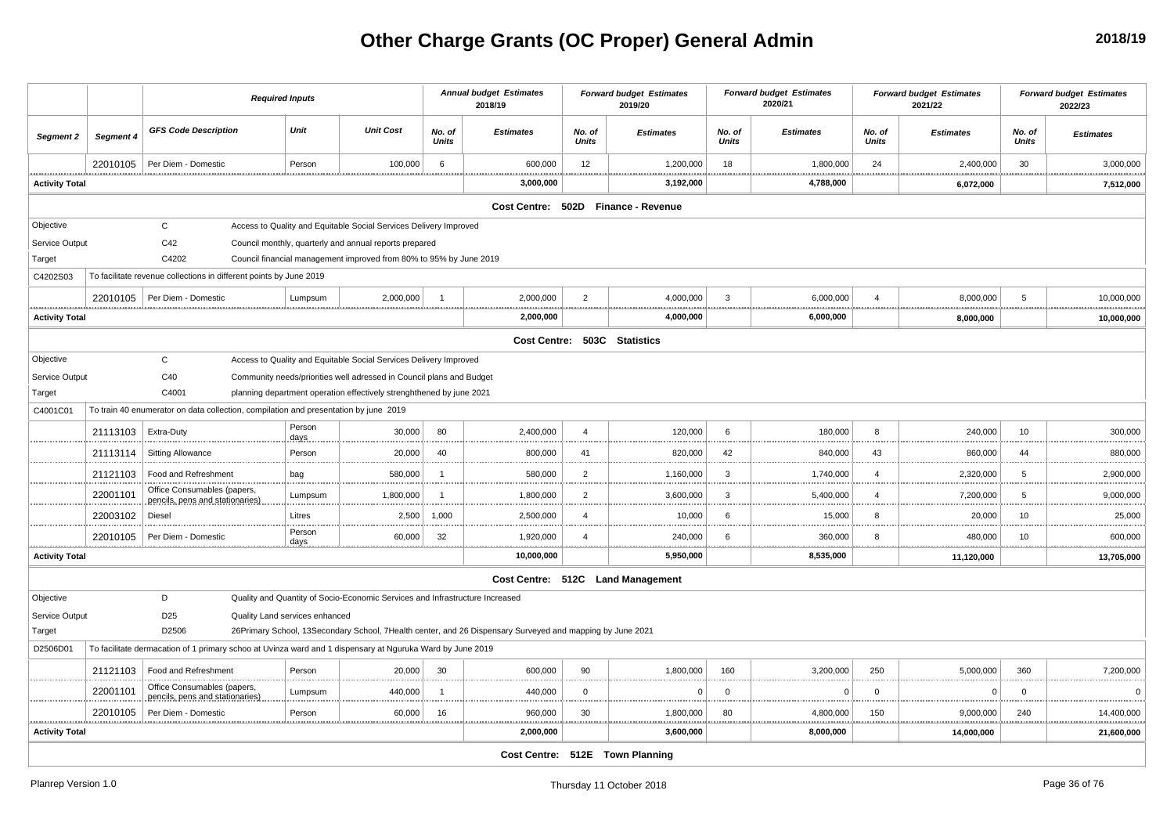# **Other Charge Grants (OC Proper) General Admin**

|                       |           | <b>Required Inputs</b>                                                                                    |                       |                                                                              | <b>Annual budget Estimates</b><br>2018/19 |                                                                                                           | <b>Forward budget Estimates</b><br>2019/20 |                                   | <b>Forward budget Estimates</b><br>2020/21 |                  | <b>Forward budget Estimates</b><br>2021/22 |                      | <b>Forward budget Estimates</b><br>2022/23 |                  |
|-----------------------|-----------|-----------------------------------------------------------------------------------------------------------|-----------------------|------------------------------------------------------------------------------|-------------------------------------------|-----------------------------------------------------------------------------------------------------------|--------------------------------------------|-----------------------------------|--------------------------------------------|------------------|--------------------------------------------|----------------------|--------------------------------------------|------------------|
| Segment 2             | Segment 4 | <b>GFS Code Description</b>                                                                               | Unit                  | <b>Unit Cost</b>                                                             | No. of<br><b>Units</b>                    | <b>Estimates</b>                                                                                          | No. of<br><b>Units</b>                     | <b>Estimates</b>                  | No. of<br><b>Units</b>                     | <b>Estimates</b> | No. of<br><b>Units</b>                     | <b>Estimates</b>     | No. of<br><b>Units</b>                     | <b>Estimates</b> |
|                       | 22010105  | Per Diem - Domestic                                                                                       | Person                | 100,000                                                                      | 6                                         | 600,000                                                                                                   | 12                                         | 1,200,000                         | 18<br>.                                    | 1,800,000        | 24                                         | 2,400,000            | 30                                         | 3,000,000        |
| <b>Activity Total</b> |           |                                                                                                           |                       |                                                                              |                                           | 3,000,000                                                                                                 |                                            | 3,192,000                         |                                            | 4,788,000        |                                            | 6,072,000            |                                            | 7,512,000        |
|                       |           |                                                                                                           |                       |                                                                              |                                           | Cost Centre: 502D Finance - Revenue                                                                       |                                            |                                   |                                            |                  |                                            |                      |                                            |                  |
| Objective             |           | $\mathsf{C}$                                                                                              |                       | Access to Quality and Equitable Social Services Delivery Improved            |                                           |                                                                                                           |                                            |                                   |                                            |                  |                                            |                      |                                            |                  |
| Service Output        |           | C42                                                                                                       |                       | Council monthly, quarterly and annual reports prepared                       |                                           |                                                                                                           |                                            |                                   |                                            |                  |                                            |                      |                                            |                  |
| Target                |           | C4202                                                                                                     |                       | Council financial management improved from 80% to 95% by June 2019           |                                           |                                                                                                           |                                            |                                   |                                            |                  |                                            |                      |                                            |                  |
| C4202S03              |           | To facilitate revenue collections in different points by June 2019                                        |                       |                                                                              |                                           |                                                                                                           |                                            |                                   |                                            |                  |                                            |                      |                                            |                  |
|                       | 22010105  | Per Diem - Domestic                                                                                       | Lumpsum               | 2,000,000                                                                    | $\overline{1}$                            | 2,000,000                                                                                                 | $\overline{2}$                             | 4,000,000                         | 3                                          | 6,000,000        | $\overline{4}$                             | 8,000,000            | 5                                          | 10,000,000       |
| <b>Activity Total</b> |           |                                                                                                           |                       |                                                                              |                                           | 2,000,000                                                                                                 |                                            | 4,000,000                         |                                            | 6,000,000        |                                            | 8,000,000            |                                            | 10,000,000       |
|                       |           |                                                                                                           |                       |                                                                              |                                           |                                                                                                           |                                            | Cost Centre: 503C Statistics      |                                            |                  |                                            |                      |                                            |                  |
| Objective             |           | $\mathbf C$                                                                                               |                       | Access to Quality and Equitable Social Services Delivery Improved            |                                           |                                                                                                           |                                            |                                   |                                            |                  |                                            |                      |                                            |                  |
| Service Output        |           | C40                                                                                                       |                       | Community needs/priorities well adressed in Council plans and Budget         |                                           |                                                                                                           |                                            |                                   |                                            |                  |                                            |                      |                                            |                  |
| Target                |           | C4001                                                                                                     |                       | planning department operation effectively strenghthened by june 2021         |                                           |                                                                                                           |                                            |                                   |                                            |                  |                                            |                      |                                            |                  |
| C4001C01              |           | To train 40 enumerator on data collection, compilation and presentation by june 2019                      |                       |                                                                              |                                           |                                                                                                           |                                            |                                   |                                            |                  |                                            |                      |                                            |                  |
|                       | 21113103  | Extra-Duty                                                                                                | Person<br>days        | 30,000                                                                       | 80                                        | 2,400,000                                                                                                 | $\overline{4}$                             | 120,000                           | 6                                          | 180,000          | 8                                          | 240,000<br>.         | 10                                         | 300,000          |
|                       | 21113114  | <b>Sitting Allowance</b>                                                                                  | Person                | 20,000                                                                       | 40                                        | 800,000                                                                                                   | 41                                         | 820,000                           | 42                                         | 840,000          | 43                                         | 860,000              | 44                                         | 880,000          |
|                       | 21121103  | Food and Refreshment                                                                                      | bag                   | 580,000                                                                      | $\overline{1}$                            | 580,000                                                                                                   | $\overline{2}$                             | 1,160,000                         | 3                                          | 1,740,000        | $\overline{4}$                             | 2,320,000            | 5                                          | 2,900,000        |
|                       | 22001101  | Office Consumables (papers,<br>pencils, pens and stationaries)                                            | Lumpsum               | 1,800,000                                                                    | -1                                        | 1,800,000                                                                                                 | $\overline{2}$                             | 3,600,000                         | 3                                          | 5,400,000        | $\overline{a}$                             | 7,200,000            | 5                                          | 9,000,000        |
|                       | 22003102  | Diesel                                                                                                    | Litres                | 2,500                                                                        | 1,000                                     | 2,500,000                                                                                                 | $\overline{4}$                             | 10,000                            | 6                                          | 15,000           | 8                                          | 20,000               | 10                                         | 25,000           |
|                       | 22010105  | Per Diem - Domestic                                                                                       | Person<br><u>days</u> | 60,000                                                                       | 32<br>                                    | 1,920,000                                                                                                 | $\overline{4}$                             | 240,000<br><u></u>                | 6<br>.                                     | 360,000          | 8                                          | 480,000<br>.         | 10<br>.                                    | 600,000          |
| <b>Activity Total</b> |           |                                                                                                           |                       |                                                                              |                                           | 10,000,000                                                                                                |                                            | 5,950,000                         |                                            | 8,535,000        |                                            | 11,120,000           |                                            | 13,705,000       |
|                       |           |                                                                                                           |                       |                                                                              |                                           |                                                                                                           |                                            | Cost Centre: 512C Land Management |                                            |                  |                                            |                      |                                            |                  |
| Objective             |           | D                                                                                                         |                       | Quality and Quantity of Socio-Economic Services and Infrastructure Increased |                                           |                                                                                                           |                                            |                                   |                                            |                  |                                            |                      |                                            |                  |
| Service Output        |           | D <sub>25</sub><br>Quality Land services enhanced                                                         |                       |                                                                              |                                           |                                                                                                           |                                            |                                   |                                            |                  |                                            |                      |                                            |                  |
| Target                |           | D2506                                                                                                     |                       |                                                                              |                                           | 26Primary School, 13Secondary School, 7Health center, and 26 Dispensary Surveyed and mapping by June 2021 |                                            |                                   |                                            |                  |                                            |                      |                                            |                  |
| D2506D01              |           | To facilitate dermacation of 1 primary schoo at Uvinza ward and 1 dispensary at Nguruka Ward by June 2019 |                       |                                                                              |                                           |                                                                                                           |                                            |                                   |                                            |                  |                                            |                      |                                            |                  |
|                       | 21121103  | Food and Refreshment                                                                                      | Person                | 20,000                                                                       | 30                                        | 600,000                                                                                                   | 90                                         | 1,800,000                         | 160                                        | 3,200,000        | 250                                        | 5,000,000            | 360                                        | 7,200,000        |
|                       | 22001101  | Office Consumables (papers,<br>pencils, pens and stationaries)                                            | Lumpsum               | 440,000                                                                      | -1                                        | 440,000                                                                                                   | $\mathbf{0}$                               | $\Omega$                          | $\mathbf{0}$                               | $\Omega$         | $\overline{0}$                             | $\mathbf 0$          | $\mathbf 0$                                | $\Omega$         |
|                       | 22010105  | Per Diem - Domestic                                                                                       | Person                | 60,000                                                                       | 16                                        | 960,000                                                                                                   | 30                                         | 1,800,000<br><u></u>              | 80                                         | 4,800,000        | 150                                        | 9,000,000<br><u></u> | 240                                        | 14,400,000       |
| <b>Activity Total</b> |           |                                                                                                           |                       |                                                                              |                                           | 2,000,000                                                                                                 |                                            | 3,600,000                         |                                            | 8,000,000        |                                            | 14,000,000           |                                            | 21,600,000       |
|                       |           |                                                                                                           |                       |                                                                              |                                           |                                                                                                           |                                            | Cost Centre: 512E Town Planning   |                                            |                  |                                            |                      |                                            |                  |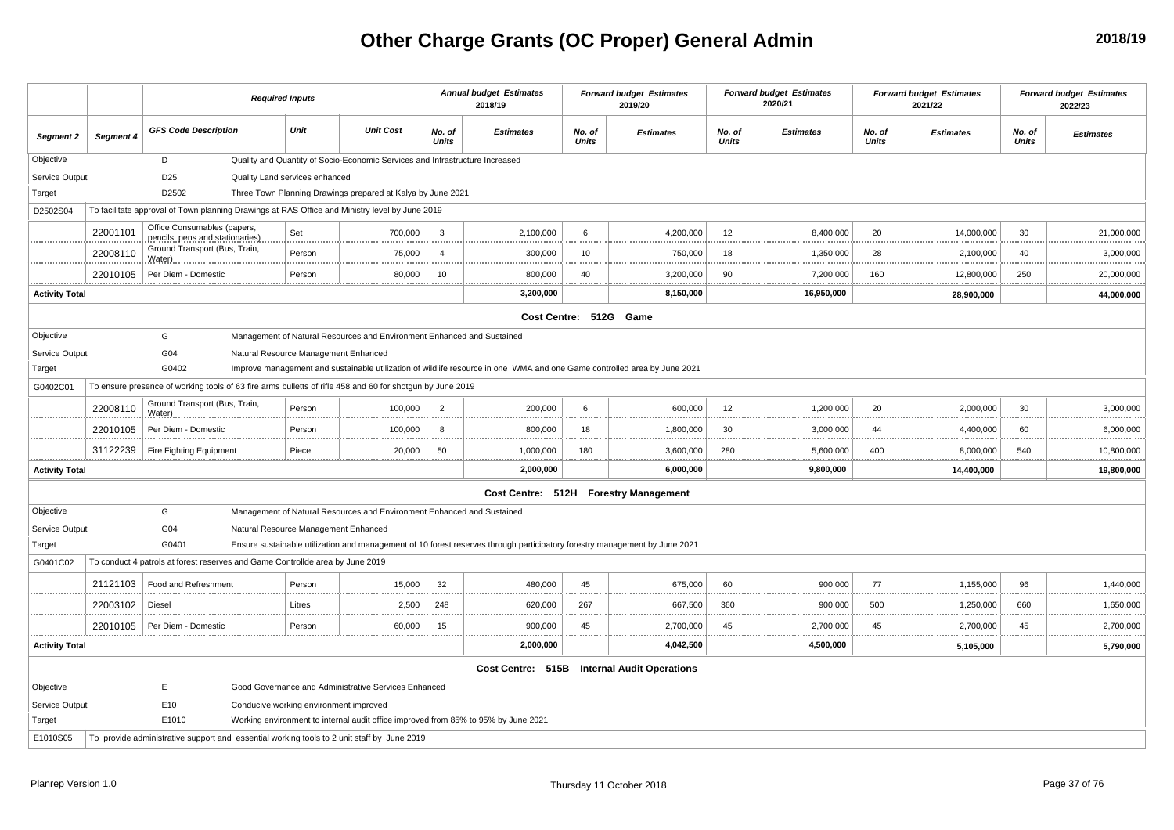# **Other Charge Grants (OC Proper) General Admin**

|                            |           |                                                                                                           | <b>Required Inputs</b>                 |        |                                                                                    |                        | <b>Annual budget Estimates</b><br>2018/19                                                                                  |                        | <b>Forward budget Estimates</b><br>2019/20  |                        | <b>Forward budget Estimates</b><br>2020/21 |                        | <b>Forward budget Estimates</b><br>2021/22 |                        | <b>Forward budget Estimates</b><br>2022/23 |
|----------------------------|-----------|-----------------------------------------------------------------------------------------------------------|----------------------------------------|--------|------------------------------------------------------------------------------------|------------------------|----------------------------------------------------------------------------------------------------------------------------|------------------------|---------------------------------------------|------------------------|--------------------------------------------|------------------------|--------------------------------------------|------------------------|--------------------------------------------|
| Segment 2                  | Segment 4 | <b>GFS Code Description</b>                                                                               |                                        | Unit   | <b>Unit Cost</b>                                                                   | No. of<br><b>Units</b> | <b>Estimates</b>                                                                                                           | No. of<br><b>Units</b> | <b>Estimates</b>                            | No. of<br><b>Units</b> | <b>Estimates</b>                           | No. of<br><b>Units</b> | <b>Estimates</b>                           | No. of<br><b>Units</b> | <b>Estimates</b>                           |
| Objective                  |           | D                                                                                                         |                                        |        | Quality and Quantity of Socio-Economic Services and Infrastructure Increased       |                        |                                                                                                                            |                        |                                             |                        |                                            |                        |                                            |                        |                                            |
| Service Output             |           | D <sub>25</sub>                                                                                           | Quality Land services enhanced         |        |                                                                                    |                        |                                                                                                                            |                        |                                             |                        |                                            |                        |                                            |                        |                                            |
| Target                     |           | D2502                                                                                                     |                                        |        | Three Town Planning Drawings prepared at Kalya by June 2021                        |                        |                                                                                                                            |                        |                                             |                        |                                            |                        |                                            |                        |                                            |
| D2502S04                   |           | To facilitate approval of Town planning Drawings at RAS Office and Ministry level by June 2019            |                                        |        |                                                                                    |                        |                                                                                                                            |                        |                                             |                        |                                            |                        |                                            |                        |                                            |
|                            | 22001101  | Office Consumables (papers,<br>pencils, pens and stationaries)                                            |                                        | Set    | 700,000                                                                            | 3                      | 2,100,000                                                                                                                  | 6                      | 4,200,000                                   | 12                     | 8,400,000                                  | 20                     | 14,000,000                                 | 30                     | 21,000,000                                 |
|                            | 22008110  | Ground Transport (Bus, Train,<br>Water)                                                                   |                                        | Person | 75,000                                                                             | $\overline{4}$         | 300,000                                                                                                                    | 10                     | 750,000                                     | 18                     | 1,350,000                                  | 28                     | 2,100,000                                  | 40                     | 3,000,000                                  |
|                            | 22010105  | Per Diem - Domestic                                                                                       |                                        | Person | 80.000                                                                             | -10                    | 800,000                                                                                                                    | 40                     | 3,200,000                                   | 90                     | 7,200,000                                  | 160                    | 12,800,000                                 | 250                    | 20,000,000                                 |
| .<br><b>Activity Total</b> |           |                                                                                                           |                                        |        |                                                                                    |                        | .<br>.<br>3,200,000                                                                                                        |                        | .<br>.<br>8,150,000                         |                        | 16,950,000                                 |                        | .<br>28,900,000                            |                        | <br><br>44,000,000                         |
|                            |           |                                                                                                           |                                        |        |                                                                                    |                        |                                                                                                                            |                        | Cost Centre: 512G Game                      |                        |                                            |                        |                                            |                        |                                            |
| Objective                  |           | G                                                                                                         |                                        |        | Management of Natural Resources and Environment Enhanced and Sustained             |                        |                                                                                                                            |                        |                                             |                        |                                            |                        |                                            |                        |                                            |
| Service Output             |           | G04                                                                                                       | Natural Resource Management Enhanced   |        |                                                                                    |                        |                                                                                                                            |                        |                                             |                        |                                            |                        |                                            |                        |                                            |
| Target                     |           | G0402                                                                                                     |                                        |        |                                                                                    |                        | Improve management and sustainable utilization of wildlife resource in one WMA and one Game controlled area by June 2021   |                        |                                             |                        |                                            |                        |                                            |                        |                                            |
| G0402C01                   |           | To ensure presence of working tools of 63 fire arms bulletts of rifle 458 and 60 for shotgun by June 2019 |                                        |        |                                                                                    |                        |                                                                                                                            |                        |                                             |                        |                                            |                        |                                            |                        |                                            |
|                            | 22008110  | Ground Transport (Bus, Train,<br>Water)                                                                   |                                        | Person | 100,000                                                                            | $\overline{2}$         | 200,000                                                                                                                    | 6                      | 600,000                                     | 12                     | 1,200,000                                  | 20                     | 2,000,000                                  | 30                     | 3,000,000                                  |
|                            | 22010105  | Per Diem - Domestic                                                                                       |                                        | Person | 100,000                                                                            | 8                      | 800,000                                                                                                                    | 18                     | 1,800,000                                   | 30                     | 3,000,000                                  | 44                     | 4,400,000                                  | 60                     | 6,000,000                                  |
|                            | 31122239  | Fire Fighting Equipment                                                                                   |                                        | Piece  | 20,000                                                                             | 50                     | 1,000,000<br>.<br>.                                                                                                        | 180<br>                | 3,600,000<br><br>.                          | 280                    | 5,600,000                                  | 400                    | 8,000,000<br>.                             | 540<br>                | 10,800,000<br><br>.                        |
| <b>Activity Total</b>      |           |                                                                                                           |                                        |        |                                                                                    |                        | 2,000,000                                                                                                                  |                        | 6,000,000                                   |                        | 9,800,000                                  |                        | 14,400,000                                 |                        | 19,800,000                                 |
|                            |           |                                                                                                           |                                        |        |                                                                                    |                        |                                                                                                                            |                        | Cost Centre: 512H Forestry Management       |                        |                                            |                        |                                            |                        |                                            |
| Objective                  |           | G                                                                                                         |                                        |        | Management of Natural Resources and Environment Enhanced and Sustained             |                        |                                                                                                                            |                        |                                             |                        |                                            |                        |                                            |                        |                                            |
| Service Output             |           | G04                                                                                                       | Natural Resource Management Enhanced   |        |                                                                                    |                        |                                                                                                                            |                        |                                             |                        |                                            |                        |                                            |                        |                                            |
| Target                     |           | G0401                                                                                                     |                                        |        |                                                                                    |                        | Ensure sustainable utilization and management of 10 forest reserves through participatory forestry management by June 2021 |                        |                                             |                        |                                            |                        |                                            |                        |                                            |
| G0401C02                   |           | To conduct 4 patrols at forest reserves and Game Controllde area by June 2019                             |                                        |        |                                                                                    |                        |                                                                                                                            |                        |                                             |                        |                                            |                        |                                            |                        |                                            |
|                            | 21121103  | Food and Refreshment                                                                                      |                                        | Person | 15,000                                                                             | 32                     | 480,000                                                                                                                    | 45                     | 675,000                                     | 60                     | 900,000                                    | 77                     | 1,155,000                                  | 96                     | 1,440,000                                  |
|                            | 22003102  | Diesel                                                                                                    |                                        | Litres | 2,500                                                                              | 248                    | 620,000                                                                                                                    | 267                    | 667,500                                     | 360                    | 900,000                                    | 500                    | 1,250,000                                  | 660                    | 1,650,000                                  |
|                            |           | 22010105 Per Diem - Domestion                                                                             |                                        | Person | 60,000                                                                             | 15                     | 900,000                                                                                                                    | 45                     | 2,700,000                                   | 45                     | 2,700,000                                  | 45                     | 2,700,000                                  | 45                     | 2,700,000                                  |
| <b>Activity Total</b>      |           |                                                                                                           |                                        |        |                                                                                    |                        | 2,000,000                                                                                                                  |                        | 4,042,500                                   |                        | 4,500,000                                  |                        | 5,105,000                                  |                        | 5,790,000                                  |
|                            |           |                                                                                                           |                                        |        |                                                                                    |                        |                                                                                                                            |                        | Cost Centre: 515B Internal Audit Operations |                        |                                            |                        |                                            |                        |                                            |
| Objective                  |           | E                                                                                                         |                                        |        | Good Governance and Administrative Services Enhanced                               |                        |                                                                                                                            |                        |                                             |                        |                                            |                        |                                            |                        |                                            |
| Service Output             |           | E10                                                                                                       | Conducive working environment improved |        |                                                                                    |                        |                                                                                                                            |                        |                                             |                        |                                            |                        |                                            |                        |                                            |
| Target                     |           | E1010                                                                                                     |                                        |        | Working environment to internal audit office improved from 85% to 95% by June 2021 |                        |                                                                                                                            |                        |                                             |                        |                                            |                        |                                            |                        |                                            |
| E1010S05                   |           | To provide administrative support and essential working tools to 2 unit staff by June 2019                |                                        |        |                                                                                    |                        |                                                                                                                            |                        |                                             |                        |                                            |                        |                                            |                        |                                            |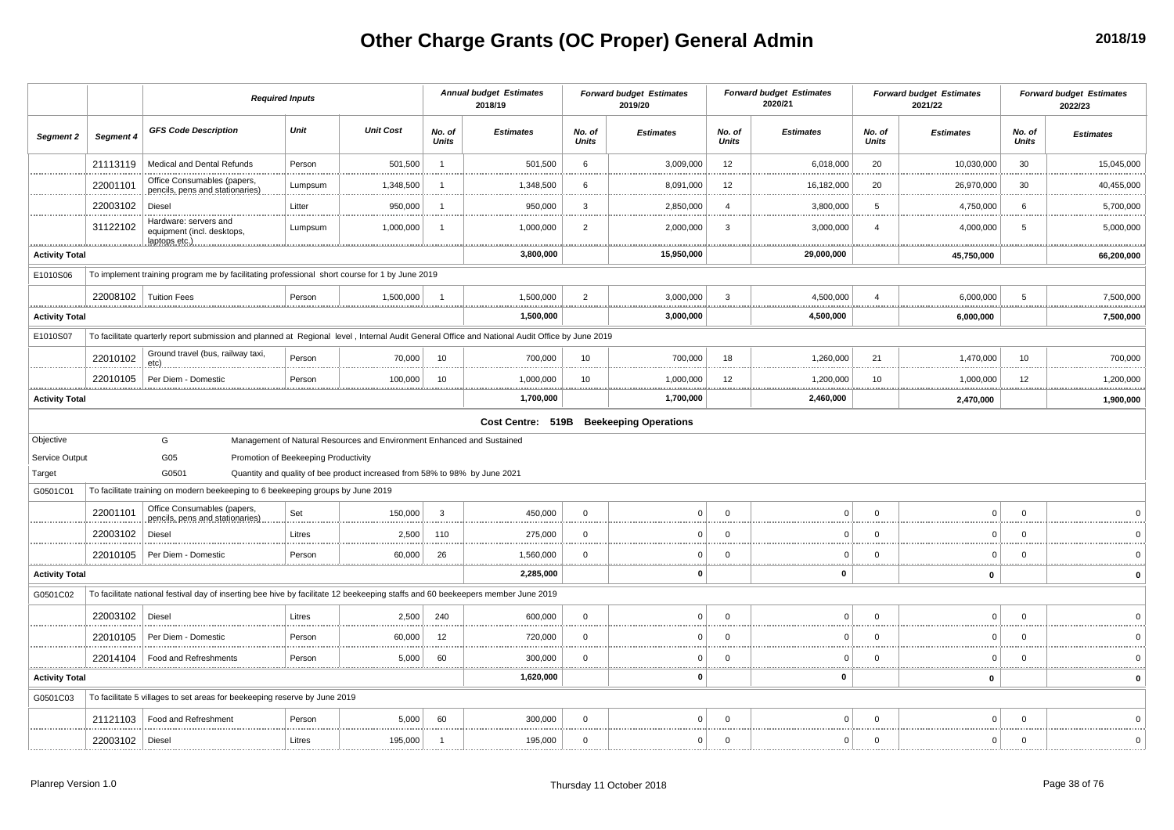# **Other Charge Grants (OC Proper) General Admin**

|                       |                         |                                                                                                                                               | <b>Required Inputs</b>               |                                                                            |                        | <b>Annual budget Estimates</b><br>2018/19 |                        | <b>Forward budget Estimates</b><br>2019/20 |                        | <b>Forward budget Estimates</b><br>2020/21 |                        | <b>Forward budget Estimates</b><br>2021/22 |                        | <b>Forward budget Estimates</b><br>2022/23 |
|-----------------------|-------------------------|-----------------------------------------------------------------------------------------------------------------------------------------------|--------------------------------------|----------------------------------------------------------------------------|------------------------|-------------------------------------------|------------------------|--------------------------------------------|------------------------|--------------------------------------------|------------------------|--------------------------------------------|------------------------|--------------------------------------------|
| Segment 2             | Segment 4               | <b>GFS Code Description</b>                                                                                                                   | Unit                                 | <b>Unit Cost</b>                                                           | No. of<br><b>Units</b> | <b>Estimates</b>                          | No. of<br><b>Units</b> | <b>Estimates</b>                           | No. of<br><b>Units</b> | <b>Estimates</b>                           | No. of<br><b>Units</b> | <b>Estimates</b>                           | No. of<br><b>Units</b> | <b>Estimates</b>                           |
|                       | 21113119                | Medical and Dental Refunds                                                                                                                    | Person                               | 501,500                                                                    | $\overline{1}$         | 501,500                                   | 6                      | 3,009,000                                  | 12                     | 6,018,000                                  | 20                     | 10,030,000                                 | 30                     | 15,045,000                                 |
|                       | 22001101                | Office Consumables (papers,<br>pencils, pens and stationaries)                                                                                | Lumpsum                              | 1,348,500                                                                  |                        | 1,348,500                                 | 6                      | 8,091,000                                  | 12                     | 16,182,000                                 | 20                     | 26,970,000                                 | 30                     | 40,455,000                                 |
|                       | 22003102                | Diesel                                                                                                                                        | Litter                               | 950,000                                                                    | -1                     | 950,000                                   | 3                      | 2,850,000                                  | $\overline{4}$         | 3,800,000                                  | 5                      | 4,750,000<br>                              | 6                      | 5,700,000                                  |
|                       | 31122102                | Hardware: servers and<br>equipment (incl. desktops,                                                                                           | Lumpsum                              | 1,000,000                                                                  | $\overline{1}$         | 1,000,000<br>                             | $\overline{2}$         | 2,000,000<br>                              | 3                      | 3,000,000                                  | 4                      | 4,000,000<br>                              | 5<br>.                 | 5,000,000<br>.                             |
| <b>Activity Total</b> |                         |                                                                                                                                               |                                      |                                                                            |                        | 3,800,000                                 |                        | 15,950,000                                 |                        | 29,000,000                                 |                        | 45,750,000                                 |                        | 66,200,000                                 |
| E1010S06              |                         | To implement training program me by facilitating professional short course for 1 by June 2019                                                 |                                      |                                                                            |                        |                                           |                        |                                            |                        |                                            |                        |                                            |                        |                                            |
|                       | 22008102   Tuition Fees |                                                                                                                                               | Person                               | 1,500,000                                                                  |                        | 1,500,000                                 | $\overline{2}$         | 3,000,000                                  | 3                      | 4,500,000                                  |                        | 6,000,000                                  | 5                      | 7,500,000                                  |
| <b>Activity Total</b> |                         |                                                                                                                                               |                                      |                                                                            |                        | 1,500,000                                 |                        | 3,000,000                                  |                        | 4,500,000                                  |                        | 6,000,000                                  |                        | 7,500,000                                  |
| E1010S07              |                         | To facilitate quarterly report submission and planned at Regional level, Internal Audit General Office and National Audit Office by June 2019 |                                      |                                                                            |                        |                                           |                        |                                            |                        |                                            |                        |                                            |                        |                                            |
|                       | 22010102                | Ground travel (bus, railway taxi,<br>etc)                                                                                                     | Person                               | 70,000                                                                     | 10                     | 700,000                                   | 10                     | 700,000                                    | 18                     | 1,260,000                                  | 21                     | 1,470,000                                  | 10                     | 700,000                                    |
|                       | 22010105                | Per Diem - Domestio                                                                                                                           | Person                               | 100,000                                                                    | 10                     | 1,000,000                                 | 10                     | 1,000,000                                  | 12                     | 1,200,000                                  | 10                     | 1,000,000                                  | 12                     | 1,200,000                                  |
| <b>Activity Total</b> |                         |                                                                                                                                               |                                      |                                                                            |                        | 1,700,000                                 |                        | 1,700,000                                  |                        | 2,460,000                                  |                        | 2,470,000                                  |                        | 1,900,000                                  |
|                       |                         |                                                                                                                                               |                                      |                                                                            |                        |                                           |                        | Cost Centre: 519B Beekeeping Operations    |                        |                                            |                        |                                            |                        |                                            |
| Objective             |                         | G                                                                                                                                             |                                      | Management of Natural Resources and Environment Enhanced and Sustained     |                        |                                           |                        |                                            |                        |                                            |                        |                                            |                        |                                            |
| Service Output        |                         | G05                                                                                                                                           | Promotion of Beekeeping Productivity |                                                                            |                        |                                           |                        |                                            |                        |                                            |                        |                                            |                        |                                            |
| Target                |                         | G0501<br>To facilitate training on modern beekeeping to 6 beekeeping groups by June 2019                                                      |                                      | Quantity and quality of bee product increased from 58% to 98% by June 2021 |                        |                                           |                        |                                            |                        |                                            |                        |                                            |                        |                                            |
| G0501C01              |                         | Office Consumables (papers,                                                                                                                   |                                      |                                                                            |                        |                                           |                        |                                            |                        |                                            |                        |                                            |                        |                                            |
|                       | 22001101                | pencils, pens and stationaries)                                                                                                               | Set                                  | 150,000                                                                    | 3                      | 450,000                                   | $\mathbf 0$            | $\overline{0}$                             | $\Omega$               | $\Omega$                                   | $\Omega$               | O                                          | $\Omega$               |                                            |
|                       | 22003102                | Diesel                                                                                                                                        | Litres                               | 2,500                                                                      | 110                    | 275,000                                   | $\mathbf 0$            | $\Omega$                                   | $\mathbf 0$            | $\Omega$                                   |                        | O                                          | $\Omega$               |                                            |
|                       | 22010105                | Per Diem - Domestic                                                                                                                           | Person                               | 60,000<br>                                                                 | 26                     | 1,560,000                                 | $\mathbf 0$            | $\Omega$                                   | $\Omega$               | $\Omega$                                   | $\Omega$               | $\Omega$                                   | $\Omega$               |                                            |
| <b>Activity Total</b> |                         |                                                                                                                                               |                                      |                                                                            |                        | 2,285,000                                 |                        | O                                          |                        | $\Omega$                                   |                        | 0                                          |                        |                                            |
| G0501C02              |                         | To facilitate national festival day of inserting bee hive by facilitate 12 beekeeping staffs and 60 beekeepers member June 2019               |                                      |                                                                            |                        |                                           |                        |                                            |                        |                                            |                        |                                            |                        |                                            |
|                       | 22003102                | Diesel                                                                                                                                        | Litres                               | 2,500                                                                      | 240                    | 600,000                                   | $\mathbf 0$            | $\Omega$                                   | $\Omega$               | $\Omega$                                   |                        |                                            | $\Omega$               |                                            |
|                       | 22010105                | Per Diem - Domestic                                                                                                                           | Person                               | 60,000                                                                     | 12                     | 720,000                                   | $\mathbf 0$            | $\Omega$                                   | $\Omega$               | $\Omega$                                   | $\Omega$               | $\Omega$<br>                               | $\Omega$               |                                            |
|                       | 22014104                | Food and Refreshments                                                                                                                         | Person                               | 5,000                                                                      | 60                     | 300,000                                   | $\mathbf 0$            | $\mathbf 0$                                | $\mathbf 0$            | $\Omega$                                   | $\Omega$               | 0                                          | $\Omega$               |                                            |
| <b>Activity Total</b> |                         |                                                                                                                                               |                                      |                                                                            |                        | 1,620,000                                 |                        | 0                                          |                        | $\Omega$                                   |                        | 0                                          |                        | $\Omega$                                   |
| G0501C03              |                         | To facilitate 5 villages to set areas for beekeeping reserve by June 2019                                                                     |                                      |                                                                            |                        |                                           |                        |                                            |                        |                                            |                        |                                            |                        |                                            |
|                       | 21121103                | Food and Refreshment                                                                                                                          | Person                               | 5,000                                                                      | 60                     | 300,000                                   | $\mathbf 0$            | $\overline{0}$                             | $\Omega$               | $\Omega$                                   | $\Omega$               | $\Omega$                                   | $\Omega$               |                                            |
|                       | 22003102   Diesel       |                                                                                                                                               | Litres                               | 195,000                                                                    | -1                     | 195,000                                   | $\mathbf 0$            | $\circ$                                    | $\mathbf 0$            | $\Omega$                                   | $\Omega$               | $\Omega$                                   | $\Omega$               | $\Omega$                                   |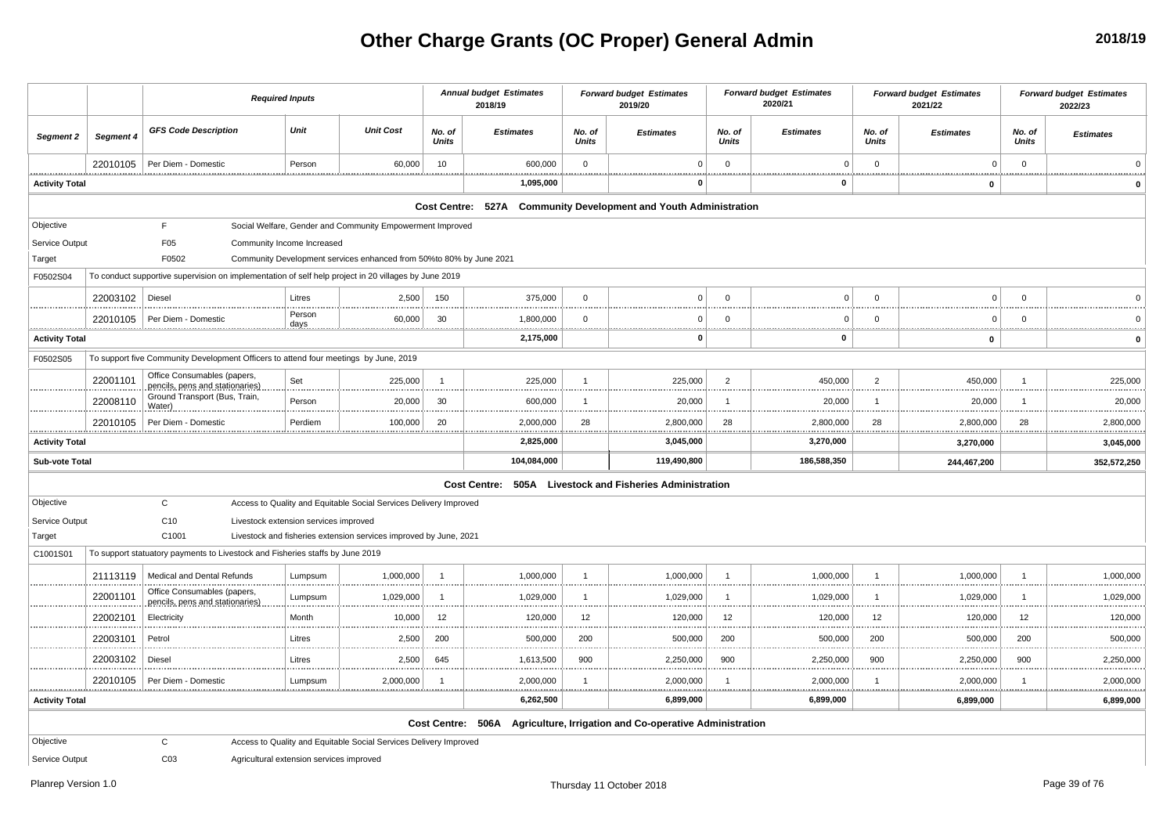# **Other Charge Grants (OC Proper) General Admin**

|                       |           | <b>Required Inputs</b>                                                                               |                                          |                                                                     |                        | <b>Annual budget Estimates</b><br>2018/19                        |                           | <b>Forward budget Estimates</b><br>2019/20              |                         | <b>Forward budget Estimates</b><br>2020/21 |                        | <b>Forward budget Estimates</b><br>2021/22 |                        | <b>Forward budget Estimates</b><br>2022/23 |
|-----------------------|-----------|------------------------------------------------------------------------------------------------------|------------------------------------------|---------------------------------------------------------------------|------------------------|------------------------------------------------------------------|---------------------------|---------------------------------------------------------|-------------------------|--------------------------------------------|------------------------|--------------------------------------------|------------------------|--------------------------------------------|
| Segment 2             | Segment 4 | <b>GFS Code Description</b>                                                                          | Unit                                     | <b>Unit Cost</b>                                                    | No. of<br><b>Units</b> | <b>Estimates</b>                                                 | No. of<br><b>Units</b>    | <b>Estimates</b>                                        | No. of<br><b>Units</b>  | <b>Estimates</b>                           | No. of<br><b>Units</b> | <b>Estimates</b>                           | No. of<br><b>Units</b> | <b>Estimates</b>                           |
|                       | 22010105  | Per Diem - Domestic                                                                                  | Person                                   | 60,000                                                              | 10                     | 600,000                                                          | $\mathbf 0$               | $\Omega$                                                | $\overline{\mathbf{0}}$ | $\mathbf 0$                                | $\overline{0}$         | $\mathsf 0$                                | $\mathbf 0$            |                                            |
| <b>Activity Total</b> |           |                                                                                                      |                                          |                                                                     |                        | 1,095,000                                                        |                           | $\Omega$                                                |                         | $\mathbf 0$                                |                        | $\mathbf 0$                                |                        |                                            |
|                       |           |                                                                                                      |                                          |                                                                     |                        | Cost Centre: 527A Community Development and Youth Administration |                           |                                                         |                         |                                            |                        |                                            |                        |                                            |
| Objective             |           | F.                                                                                                   |                                          | Social Welfare, Gender and Community Empowerment Improved           |                        |                                                                  |                           |                                                         |                         |                                            |                        |                                            |                        |                                            |
| Service Output        |           | F <sub>05</sub>                                                                                      | Community Income Increased               |                                                                     |                        |                                                                  |                           |                                                         |                         |                                            |                        |                                            |                        |                                            |
| Target                |           | F0502                                                                                                |                                          | Community Development services enhanced from 50%to 80% by June 2021 |                        |                                                                  |                           |                                                         |                         |                                            |                        |                                            |                        |                                            |
| F0502S04              |           | To conduct supportive supervision on implementation of self help project in 20 villages by June 2019 |                                          |                                                                     |                        |                                                                  |                           |                                                         |                         |                                            |                        |                                            |                        |                                            |
|                       | 22003102  | Diesel                                                                                               | Litres                                   | 2,500                                                               | 150                    | 375,000                                                          | $\Omega$                  | $\Omega$                                                | $\Omega$                | $\Omega$                                   | $\Omega$               | $\Omega$                                   | $\Omega$               | $\Omega$                                   |
|                       | 22010105  | Per Diem - Domestic                                                                                  | Person                                   | 60,000                                                              | 30                     | 1,800,000                                                        | $\overline{0}$            | $\Omega$                                                | $\overline{0}$          | $\mathbf{0}$                               | $\overline{0}$         | $\Omega$                                   | $\mathbf 0$            | $\Omega$                                   |
| <b>Activity Total</b> |           |                                                                                                      |                                          |                                                                     |                        | <u></u><br>2,175,000                                             |                           | - 0                                                     |                         | <br>0                                      |                        | $\mathbf 0$                                |                        | <br>$\mathbf 0$                            |
| F0502S05              |           | To support five Community Development Officers to attend four meetings by June, 2019                 |                                          |                                                                     |                        |                                                                  |                           |                                                         |                         |                                            |                        |                                            |                        |                                            |
|                       | 22001101  | Office Consumables (papers,<br>pencils, pens and stationaries)                                       | Set                                      | 225,000                                                             | $\overline{1}$         | 225,000                                                          | $\overline{1}$<br><b></b> | 225,000                                                 | $\overline{2}$          | 450,000                                    | $\overline{2}$         | 450,000<br>                                | $\overline{1}$<br>.    | 225,000                                    |
|                       | 22008110  | Ground Transport (Bus, Train,<br>Water)                                                              | Person                                   | 20,000                                                              | 30                     | 600,000                                                          | -1                        | 20,000                                                  | - 1                     | 20,000                                     | -1                     | 20,000                                     | -1                     | 20,000                                     |
|                       | 22010105  | Per Diem - Domestio                                                                                  | Perdiem                                  | 100,000                                                             | 20                     | 2,000,000                                                        | 28                        | 2,800,000                                               | 28                      | 2,800,000                                  | 28                     | 2,800,000                                  | 28                     | 2,800,000                                  |
| <b>Activity Total</b> |           |                                                                                                      |                                          |                                                                     |                        | 2,825,000                                                        |                           | 3,045,000                                               |                         | 3,270,000                                  |                        | 3,270,000                                  |                        | 3,045,000                                  |
| Sub-vote Total        |           |                                                                                                      |                                          |                                                                     |                        | 104,084,000                                                      |                           | 119,490,800                                             |                         | 186,588,350                                |                        | 244,467,200                                |                        | 352,572,250                                |
|                       |           |                                                                                                      |                                          |                                                                     |                        | <b>Cost Centre:</b><br>505A                                      |                           | <b>Livestock and Fisheries Administration</b>           |                         |                                            |                        |                                            |                        |                                            |
| Objective             |           | $\mathsf{C}$                                                                                         |                                          | Access to Quality and Equitable Social Services Delivery Improved   |                        |                                                                  |                           |                                                         |                         |                                            |                        |                                            |                        |                                            |
| Service Output        |           | C <sub>10</sub>                                                                                      | Livestock extension services improved    |                                                                     |                        |                                                                  |                           |                                                         |                         |                                            |                        |                                            |                        |                                            |
| Target                |           | C1001                                                                                                |                                          | Livestock and fisheries extension services improved by June, 2021   |                        |                                                                  |                           |                                                         |                         |                                            |                        |                                            |                        |                                            |
| C1001S01              |           | To support statuatory payments to Livestock and Fisheries staffs by June 2019                        |                                          |                                                                     |                        |                                                                  |                           |                                                         |                         |                                            |                        |                                            |                        |                                            |
|                       | 21113119  | Medical and Dental Refunds                                                                           | Lumpsum                                  | 1,000,000                                                           | $\overline{1}$         | 1,000,000                                                        | $\mathbf{1}$              | 1,000,000                                               | $\overline{1}$          | 1,000,000                                  | $\overline{1}$         | 1,000,000                                  | $\overline{1}$         | 1,000,000                                  |
|                       | 22001101  | Office Consumables (papers,<br>pencils, pens and stationaries                                        | Lumpsum                                  | 1,029,000                                                           | $\overline{1}$         | 1,029,000                                                        | $\mathbf{1}$              | 1,029,000                                               | -1                      | 1,029,000                                  | $\mathbf{1}$           | 1,029,000                                  | -1                     | 1,029,000                                  |
|                       | 22002101  | Electricity                                                                                          | Month                                    | 10,000                                                              | 12                     | 120,000                                                          | 12<br>                    | 120,000                                                 | 12                      | 120,000                                    | 12                     | 120,000                                    | 12                     | 120,000                                    |
|                       | 22003101  | Petrol                                                                                               | Litres                                   | 2,500                                                               | 200                    | 500,000                                                          | 200                       | 500,000                                                 | 200                     | 500,000                                    | 200                    | 500,000                                    | 200                    | 500,000                                    |
|                       | 22003102  | Diesel                                                                                               | Litres                                   | 2,500                                                               | 645                    | 1,613,500                                                        | 900                       | 2,250,000                                               | 900                     | 2,250,000                                  | 900                    | 2,250,000                                  | 900                    | 2,250,000                                  |
|                       | 22010105  | Per Diem - Domestic                                                                                  | Lumpsum                                  | 2,000,000                                                           | -1                     | 2,000,000<br>.                                                   |                           | 2,000,000                                               |                         | 2,000,000                                  | -1                     | 2,000,000                                  |                        | 2,000,000                                  |
| <b>Activity Total</b> |           |                                                                                                      |                                          |                                                                     |                        | 6,262,500                                                        |                           | 6,899,000                                               |                         | .<br>6,899,000                             |                        | <u></u><br>6,899,000                       |                        | 6,899,000                                  |
|                       |           |                                                                                                      |                                          |                                                                     |                        | Cost Centre: 506A                                                |                           | Agriculture, Irrigation and Co-operative Administration |                         |                                            |                        |                                            |                        |                                            |
| Objective             |           | C                                                                                                    |                                          | Access to Quality and Equitable Social Services Delivery Improved   |                        |                                                                  |                           |                                                         |                         |                                            |                        |                                            |                        |                                            |
| Service Output        |           | CO <sub>3</sub>                                                                                      | Agricultural extension services improved |                                                                     |                        |                                                                  |                           |                                                         |                         |                                            |                        |                                            |                        |                                            |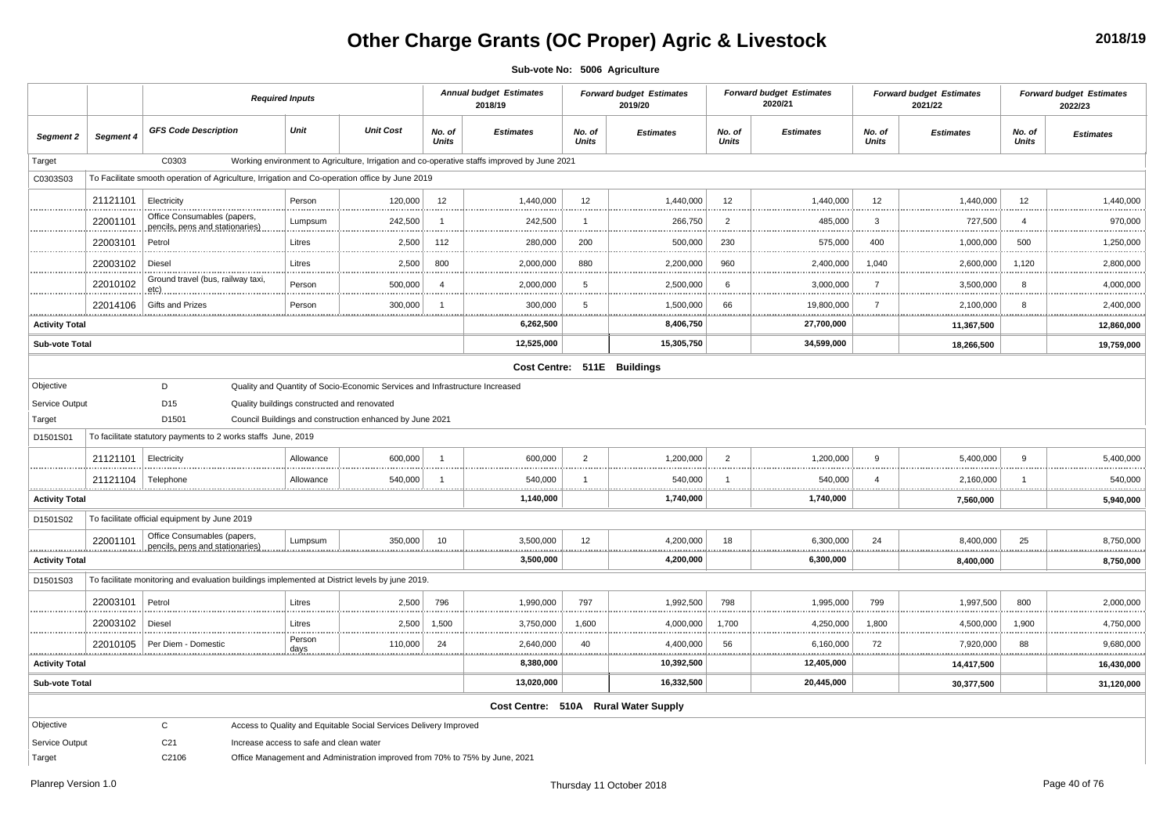# **Other Charge Grants (OC Proper) Agric & Livestock**

**2018/19**

**Sub-vote No: 5006 Agriculture**

|                       |           |                                                                                                | <b>Required Inputs</b>                      |                                                                              |                        | <b>Annual budget Estimates</b><br>2018/19                                                    |                        | <b>Forward budget Estimates</b><br>2019/20 |                        | <b>Forward budget Estimates</b><br>2020/21 |                        | <b>Forward budget Estimates</b><br>2021/22 |                        | <b>Forward budget Estimates</b><br>2022/23 |
|-----------------------|-----------|------------------------------------------------------------------------------------------------|---------------------------------------------|------------------------------------------------------------------------------|------------------------|----------------------------------------------------------------------------------------------|------------------------|--------------------------------------------|------------------------|--------------------------------------------|------------------------|--------------------------------------------|------------------------|--------------------------------------------|
| <b>Segment 2</b>      | Segment 4 | <b>GFS Code Description</b>                                                                    | Unit                                        | <b>Unit Cost</b>                                                             | No. of<br><b>Units</b> | <b>Estimates</b>                                                                             | No. of<br><b>Units</b> | <b>Estimates</b>                           | No. of<br><b>Units</b> | <b>Estimates</b>                           | No. of<br><b>Units</b> | <b>Estimates</b>                           | No. of<br><b>Units</b> | <b>Estimates</b>                           |
| Target                |           | C0303                                                                                          |                                             |                                                                              |                        | Working environment to Agriculture, Irrigation and co-operative staffs improved by June 2021 |                        |                                            |                        |                                            |                        |                                            |                        |                                            |
| C0303S03              |           | To Facilitate smooth operation of Agriculture, Irrigation and Co-operation office by June 2019 |                                             |                                                                              |                        |                                                                                              |                        |                                            |                        |                                            |                        |                                            |                        |                                            |
|                       | 21121101  | Electricity                                                                                    | Person                                      | 120,000                                                                      | 12                     | 1,440,000                                                                                    | 12                     | 1,440,000                                  | 12                     | 1,440,000                                  | 12                     | 1,440,000                                  | 12                     | 1,440,000                                  |
|                       | 22001101  | Office Consumables (papers,<br>pencils, pens and stationaries)                                 | Lumpsum                                     | 242,500                                                                      | -1                     | 242,500                                                                                      | $\overline{1}$         | 266,750                                    | $\overline{2}$         | 485,000                                    | $\overline{3}$         | 727,500                                    | 4                      | 970,000                                    |
|                       | 22003101  | Petrol                                                                                         | Litres                                      | 2,500                                                                        | 112                    | 280,000                                                                                      | 200                    | 500,000                                    | 230                    | 575,000                                    | 400                    | 1,000,000                                  | 500                    | 1,250,000                                  |
|                       | 22003102  | Diesel                                                                                         | Litres                                      | 2,500                                                                        | 800                    | 2,000,000                                                                                    | 880                    | 2,200,000                                  | 960                    | 2,400,000                                  | 1,040                  | 2,600,000                                  | 1,120                  | 2,800,000                                  |
|                       | 22010102  | Ground travel (bus, railway taxi,<br>etc)                                                      | Person                                      | 500,000                                                                      | $\overline{4}$         | 2,000,000                                                                                    | 5                      | 2,500,000                                  | 6                      | 3,000,000                                  | $\overline{7}$         | 3,500,000                                  | 8                      | 4,000,000                                  |
|                       | 22014106  | <b>Gifts and Prizes</b>                                                                        | Person                                      | 300,000                                                                      | $\overline{1}$         | 300,000                                                                                      | 5                      | 1,500,000                                  | 66                     | 19,800,000                                 | $\overline{7}$         | 2,100,000                                  | 8                      | 2,400,000                                  |
| <b>Activity Total</b> |           |                                                                                                |                                             |                                                                              |                        | 6,262,500                                                                                    |                        | 8,406,750                                  |                        | 27,700,000                                 |                        | 11,367,500                                 |                        | 12,860,000                                 |
| Sub-vote Total        |           |                                                                                                |                                             |                                                                              |                        | 12,525,000                                                                                   |                        | 15,305,750                                 |                        | 34,599,000                                 |                        | 18,266,500                                 |                        | 19,759,000                                 |
|                       |           |                                                                                                |                                             |                                                                              |                        |                                                                                              |                        | Cost Centre: 511E Buildings                |                        |                                            |                        |                                            |                        |                                            |
| Objective             |           | D                                                                                              |                                             | Quality and Quantity of Socio-Economic Services and Infrastructure Increased |                        |                                                                                              |                        |                                            |                        |                                            |                        |                                            |                        |                                            |
| Service Output        |           | D <sub>15</sub>                                                                                | Quality buildings constructed and renovated |                                                                              |                        |                                                                                              |                        |                                            |                        |                                            |                        |                                            |                        |                                            |
| Target                |           | D1501                                                                                          |                                             | Council Buildings and construction enhanced by June 2021                     |                        |                                                                                              |                        |                                            |                        |                                            |                        |                                            |                        |                                            |
| D1501S01              |           | To facilitate statutory payments to 2 works staffs June, 2019                                  |                                             |                                                                              |                        |                                                                                              |                        |                                            |                        |                                            |                        |                                            |                        |                                            |
|                       | 21121101  | Electricity                                                                                    | Allowance                                   | 600,000                                                                      | $\overline{1}$         | 600,000                                                                                      | $\overline{2}$         | 1,200,000                                  | $\overline{2}$         | 1,200,000                                  | 9                      | 5,400,000                                  | 9                      | 5,400,000                                  |
|                       | 21121104  | Telephone                                                                                      | Allowance                                   | 540,000                                                                      | -1                     | 540,000<br>                                                                                  | $\mathbf{1}$           | 540,000<br><u></u>                         | -1                     | 540,000<br>                                | $\overline{a}$         | 2,160,000<br><u></u>                       | -1<br>                 | 540,000                                    |
| <b>Activity Total</b> |           |                                                                                                |                                             |                                                                              |                        | 1,140,000                                                                                    |                        | 1,740,000                                  |                        | 1,740,000                                  |                        | 7,560,000                                  |                        | 5,940,000                                  |
| D1501S02              |           | To facilitate official equipment by June 2019                                                  |                                             |                                                                              |                        |                                                                                              |                        |                                            |                        |                                            |                        |                                            |                        |                                            |
|                       | 22001101  | Office Consumables (papers,<br>pencils, pens and stationaries).                                | Lumpsum                                     | 350,000                                                                      | 10                     | 3,500,000<br>.                                                                               | 12                     | 4,200,000<br>                              | 18                     | 6,300,000                                  | 24                     | 8,400,000<br>.                             | 25                     | 8,750,000                                  |
| <b>Activity Total</b> |           |                                                                                                |                                             |                                                                              |                        | 3,500,000                                                                                    |                        | 4,200,000                                  |                        | 6,300,000                                  |                        | 8,400,000                                  |                        | 8,750,000                                  |
| D1501S03              |           | To facilitate monitoring and evaluation buildings implemented at District levels by june 2019. |                                             |                                                                              |                        |                                                                                              |                        |                                            |                        |                                            |                        |                                            |                        |                                            |
|                       | 22003101  | Petrol                                                                                         | Litres                                      | 2,500                                                                        | 796                    | 1,990,000                                                                                    | 797                    | 1,992,500                                  | 798                    | 1,995,000                                  | 799                    | 1,997,500                                  | 800                    | 2,000,000                                  |
|                       | 22003102  | Diesel                                                                                         | Litres                                      | 2,500                                                                        | 1,500                  | 3,750,000                                                                                    | 1,600                  | 4,000,000                                  | 1,700                  | 4,250,000                                  | 1,800                  | 4,500,000                                  | 1,900                  | 4,750,000                                  |
|                       | 22010105  | Per Diem - Domestic                                                                            | Person<br>days                              | 110,000                                                                      | 24                     | 2,640,000<br>.                                                                               | 40                     | 4,400,000<br>.                             | 56<br>.                | 6,160,000<br>.                             | 72                     | 7,920,000<br><br>                          | 88<br>.                | 9,680,000                                  |
| <b>Activity Total</b> |           |                                                                                                |                                             |                                                                              |                        | 8,380,000                                                                                    |                        | 10,392,500                                 |                        | 12,405,000                                 |                        | 14,417,500                                 |                        | 16,430,000                                 |
| <b>Sub-vote Total</b> |           |                                                                                                |                                             |                                                                              |                        | 13,020,000                                                                                   |                        | 16,332,500                                 |                        | 20,445,000                                 |                        | 30,377,500                                 |                        | 31,120,000                                 |
|                       |           |                                                                                                |                                             |                                                                              |                        |                                                                                              |                        | Cost Centre: 510A Rural Water Supply       |                        |                                            |                        |                                            |                        |                                            |
| Objective             |           | $\mathsf{C}$                                                                                   |                                             | Access to Quality and Equitable Social Services Delivery Improved            |                        |                                                                                              |                        |                                            |                        |                                            |                        |                                            |                        |                                            |
| Service Output        |           | C <sub>21</sub>                                                                                | Increase access to safe and clean water     |                                                                              |                        |                                                                                              |                        |                                            |                        |                                            |                        |                                            |                        |                                            |
| Target                |           | C2106                                                                                          |                                             | Office Management and Administration improved from 70% to 75% by June, 2021  |                        |                                                                                              |                        |                                            |                        |                                            |                        |                                            |                        |                                            |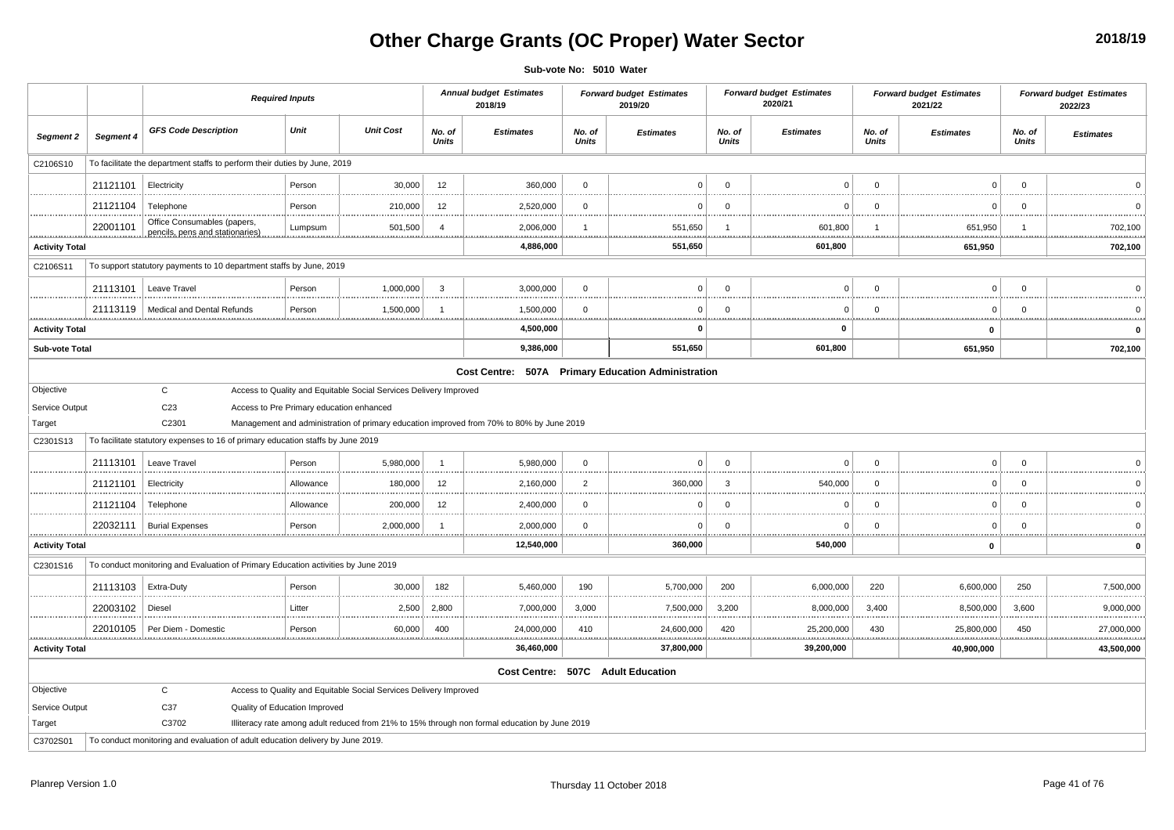# **Other Charge Grants (OC Proper) Water Sector**

**Sub-vote No: 5010 Water**

|                       |           |                                                                                   | <b>Required Inputs</b>        |                                                                   |                        | <b>Annual budget Estimates</b><br>2018/19                                                     |                        | <b>Forward budget Estimates</b><br>2019/20 |                        | <b>Forward budget Estimates</b><br>2020/21 |                        | <b>Forward budget Estimates</b><br>2021/22 |                        | <b>Forward budget Estimates</b><br>2022/23 |
|-----------------------|-----------|-----------------------------------------------------------------------------------|-------------------------------|-------------------------------------------------------------------|------------------------|-----------------------------------------------------------------------------------------------|------------------------|--------------------------------------------|------------------------|--------------------------------------------|------------------------|--------------------------------------------|------------------------|--------------------------------------------|
| Segment 2             | Segment 4 | <b>GFS Code Description</b>                                                       | Unit                          | <b>Unit Cost</b>                                                  | No. of<br><b>Units</b> | <b>Estimates</b>                                                                              | No. of<br><b>Units</b> | <b>Estimates</b>                           | No. of<br><b>Units</b> | <b>Estimates</b>                           | No. of<br><b>Units</b> | <b>Estimates</b>                           | No. of<br><b>Units</b> | <b>Estimates</b>                           |
| C2106S10              |           | To facilitate the department staffs to perform their duties by June, 2019         |                               |                                                                   |                        |                                                                                               |                        |                                            |                        |                                            |                        |                                            |                        |                                            |
|                       | 21121101  | Electricity                                                                       | Person                        | 30,000                                                            | 12                     | 360,000                                                                                       | $\mathbf 0$            | $^{\circ}$                                 | $\overline{0}$         | $\Omega$                                   | $\Omega$               | $\mathbf 0$                                | $\mathbf{0}$           | $\Omega$                                   |
|                       | 21121104  | Telephone                                                                         | Person                        | 210,000                                                           | 12                     | 2,520,000                                                                                     | $\Omega$               | $\Omega$                                   | $\overline{0}$         | $\Omega$                                   | $\Omega$               | $\mathbf 0$                                | $\Omega$               | $\Omega$                                   |
|                       | 22001101  | Office Consumables (papers,                                                       | Lumpsum                       | 501,500                                                           | $\overline{4}$         | 2,006,000                                                                                     |                        | 551,650                                    |                        | <br>601,800                                |                        | <br>651,950                                |                        | 702,100                                    |
| <b>Activity Total</b> |           | pencils, pens and stationaries)                                                   |                               |                                                                   |                        | 4,886,000                                                                                     |                        | 551,650                                    |                        | 601,800                                    |                        | 651,950                                    |                        | 702,100                                    |
| C2106S11              |           | To support statutory payments to 10 department staffs by June, 2019               |                               |                                                                   |                        |                                                                                               |                        |                                            |                        |                                            |                        |                                            |                        |                                            |
|                       | 21113101  | Leave Travel                                                                      | Person                        | 1,000,000                                                         | 3                      | 3,000,000                                                                                     | $\Omega$               | $\Omega$                                   | $\Omega$               | $\Omega$                                   | $\overline{0}$         | $\mathbf 0$                                | $\Omega$               | $\Omega$                                   |
|                       | 21113119  | Medical and Dental Refunds                                                        | Person                        | 1,500,000                                                         | -1                     | 1,500,000                                                                                     | $\overline{0}$         | $\Omega$                                   | - 0                    | $\Omega$                                   | $\Omega$               | $\Omega$                                   | $\Omega$               | - 0                                        |
| <b>Activity Total</b> | .         |                                                                                   |                               |                                                                   |                        | .<br>4,500,000                                                                                |                        | $\Omega$                                   |                        | .<br>$\mathbf 0$                           |                        | .<br>$\mathbf 0$                           |                        | $\mathbf 0$                                |
| Sub-vote Total        |           |                                                                                   |                               |                                                                   |                        | 9,386,000                                                                                     |                        | 551,650                                    |                        | 601,800                                    |                        | 651,950                                    |                        | 702,100                                    |
|                       |           |                                                                                   |                               |                                                                   |                        | Cost Centre: 507A Primary Education Administration                                            |                        |                                            |                        |                                            |                        |                                            |                        |                                            |
| Objective             |           | $\mathbf{C}$                                                                      |                               | Access to Quality and Equitable Social Services Delivery Improved |                        |                                                                                               |                        |                                            |                        |                                            |                        |                                            |                        |                                            |
| Service Output        |           | C <sub>23</sub>                                                                   |                               | Access to Pre Primary education enhanced                          |                        |                                                                                               |                        |                                            |                        |                                            |                        |                                            |                        |                                            |
| Target                |           | C2301                                                                             |                               |                                                                   |                        | Management and administration of primary education improved from 70% to 80% by June 2019      |                        |                                            |                        |                                            |                        |                                            |                        |                                            |
| C2301S13              |           | To facilitate statutory expenses to 16 of primary education staffs by June 2019   |                               |                                                                   |                        |                                                                                               |                        |                                            |                        |                                            |                        |                                            |                        |                                            |
|                       | 21113101  | Leave Travel                                                                      | Person                        | 5,980,000                                                         | $\overline{1}$         | 5,980,000                                                                                     | $\mathbf 0$            | $\Omega$                                   | $\overline{0}$         | $\Omega$                                   | $\overline{0}$         | $\mathbf 0$                                | $\mathbf{0}$           | $\Omega$                                   |
|                       | 21121101  | Electricity                                                                       | Allowance                     | 180,000                                                           | 12                     | 2,160,000                                                                                     | $\overline{2}$<br>.    | 360,000                                    | -3                     | 540,000                                    | $\overline{0}$         | $\mathbf{0}$<br>.                          | $\mathbf 0$            | $\overline{0}$                             |
|                       | 21121104  | Telephone                                                                         | Allowance                     | 200,000                                                           | 12                     | 2,400,000                                                                                     | $\overline{0}$         | $\Omega$                                   | $\overline{0}$         | $\Omega$                                   | $\Omega$               | $\Omega$                                   | $\Omega$               | $\Omega$                                   |
|                       | 22032111  | <b>Burial Expenses</b>                                                            | Person                        | 2,000,000                                                         | -1                     | 2,000,000                                                                                     | $\mathbf 0$            | $\Omega$                                   | $\overline{0}$         | $\Omega$                                   | $\overline{0}$         | $\mathbf 0$                                | $\mathbf 0$            | $\overline{0}$                             |
| <b>Activity Total</b> |           |                                                                                   |                               |                                                                   |                        | <br>12,540,000                                                                                |                        | 360,000                                    |                        | <br>540,000                                |                        | <br>$\mathbf 0$                            |                        | $\mathbf 0$                                |
| C2301S16              |           | To conduct monitoring and Evaluation of Primary Education activities by June 2019 |                               |                                                                   |                        |                                                                                               |                        |                                            |                        |                                            |                        |                                            |                        |                                            |
|                       | 21113103  | Extra-Duty                                                                        | Person                        | 30,000                                                            | 182                    | 5,460,000                                                                                     | 190                    | 5,700,000                                  | 200                    | 6,000,000                                  | 220                    | 6,600,000                                  | 250                    | 7,500,000                                  |
|                       | 22003102  | Diesel                                                                            | Litter                        | 2,500                                                             | 2,800                  | 7,000,000                                                                                     | 3,000                  | 7,500,000                                  | 3,200                  | 8,000,000                                  | 3,400                  | 8,500,000                                  | 3,600                  | 9,000,000                                  |
|                       | 22010105  | Per Diem - Domestic                                                               | Person                        | 60,000                                                            | 400                    | 24,000,000                                                                                    | <br>410                | 24,600,000                                 | 420                    | 25,200,000                                 | 430                    | <br>25,800,000                             | 450                    | 27,000,000                                 |
| <b>Activity Total</b> |           |                                                                                   |                               |                                                                   |                        | 36,460,000                                                                                    |                        | 37,800,000                                 |                        | 39,200,000                                 |                        | 40,900,000                                 |                        | 43,500,000                                 |
|                       |           |                                                                                   |                               |                                                                   |                        |                                                                                               |                        | Cost Centre: 507C Adult Education          |                        |                                            |                        |                                            |                        |                                            |
| Objective             |           | C                                                                                 |                               | Access to Quality and Equitable Social Services Delivery Improved |                        |                                                                                               |                        |                                            |                        |                                            |                        |                                            |                        |                                            |
| Service Output        |           | C37                                                                               | Quality of Education Improved |                                                                   |                        |                                                                                               |                        |                                            |                        |                                            |                        |                                            |                        |                                            |
| Target                |           | C3702                                                                             |                               |                                                                   |                        | Illiteracy rate among adult reduced from 21% to 15% through non formal education by June 2019 |                        |                                            |                        |                                            |                        |                                            |                        |                                            |
| C3702S01              |           | To conduct monitoring and evaluation of adult education delivery by June 2019.    |                               |                                                                   |                        |                                                                                               |                        |                                            |                        |                                            |                        |                                            |                        |                                            |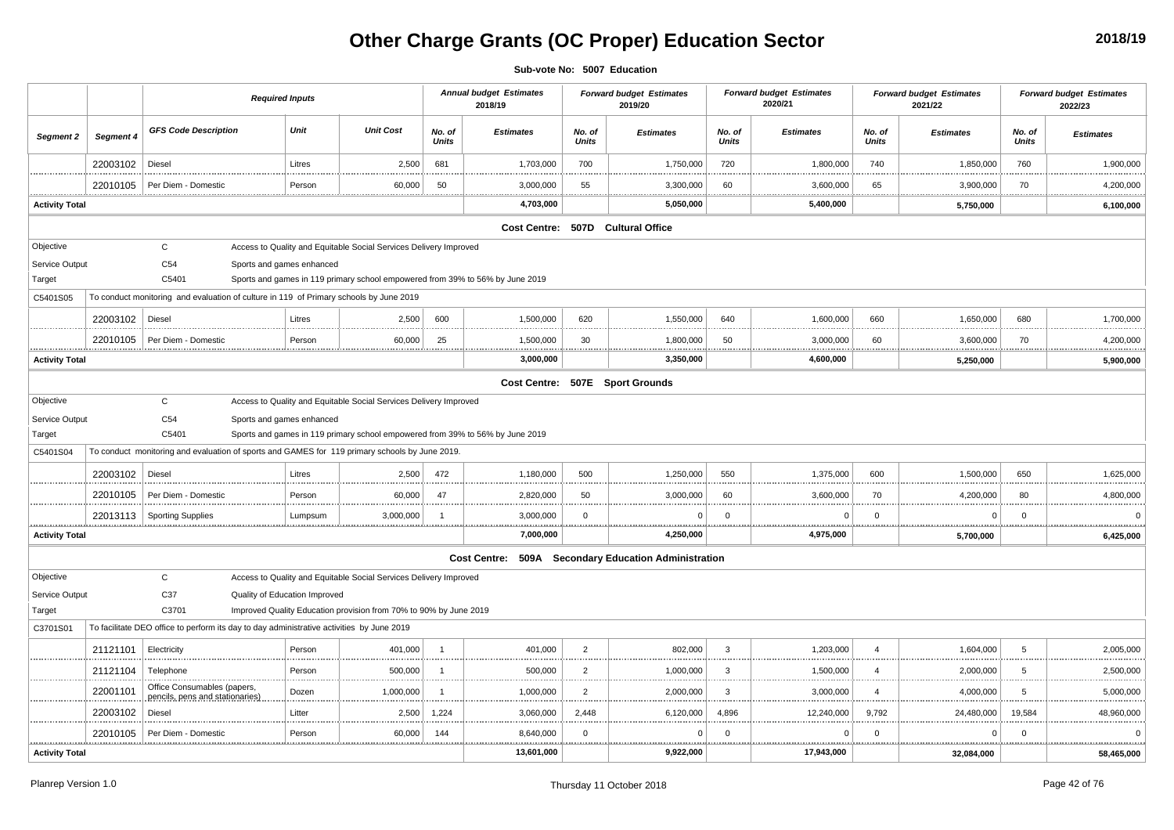# **Other Charge Grants (OC Proper) Education Sector**

**Sub-vote No: 5007 Education**

|                       |           |                                                                                                | <b>Required Inputs</b> |                                                                               |                        | <b>Annual budget Estimates</b><br>2018/19            |                        | <b>Forward budget Estimates</b><br>2019/20 |                        | <b>Forward budget Estimates</b><br>2020/21 |                        | <b>Forward budget Estimates</b><br>2021/22 |                        | <b>Forward budget Estimates</b><br>2022/23 |
|-----------------------|-----------|------------------------------------------------------------------------------------------------|------------------------|-------------------------------------------------------------------------------|------------------------|------------------------------------------------------|------------------------|--------------------------------------------|------------------------|--------------------------------------------|------------------------|--------------------------------------------|------------------------|--------------------------------------------|
| Segment 2             | Segment 4 | <b>GFS Code Description</b>                                                                    | Unit                   | <b>Unit Cost</b>                                                              | No. of<br><b>Units</b> | <b>Estimates</b>                                     | No. of<br><b>Units</b> | <b>Estimates</b>                           | No. of<br><b>Units</b> | <b>Estimates</b>                           | No. of<br><b>Units</b> | <b>Estimates</b>                           | No. of<br><b>Units</b> | <b>Estimates</b>                           |
|                       | 22003102  | Diesel                                                                                         | Litres                 | 2,500                                                                         | 681                    | 1,703,000                                            | 700                    | 1,750,000                                  | 720                    | 1,800,000                                  | 740                    | 1,850,000                                  | 760                    | 1,900,000                                  |
|                       | 22010105  | Per Diem - Domestic                                                                            | Person                 | 60,000                                                                        | 50                     | 3,000,000                                            | 55                     | 3,300,000                                  | 60                     | 3,600,000                                  | 65                     | 3,900,000                                  | 70                     | 4,200,000<br>.                             |
| <b>Activity Total</b> |           |                                                                                                |                        |                                                                               |                        | 4,703,000                                            |                        | 5,050,000                                  |                        | 5,400,000                                  |                        | 5,750,000                                  |                        | 6,100,000                                  |
|                       |           |                                                                                                |                        |                                                                               |                        |                                                      |                        | Cost Centre: 507D Cultural Office          |                        |                                            |                        |                                            |                        |                                            |
| Objective             |           | $\mathtt{C}$                                                                                   |                        | Access to Quality and Equitable Social Services Delivery Improved             |                        |                                                      |                        |                                            |                        |                                            |                        |                                            |                        |                                            |
| Service Output        |           | C <sub>54</sub><br>Sports and games enhanced                                                   |                        |                                                                               |                        |                                                      |                        |                                            |                        |                                            |                        |                                            |                        |                                            |
| Target                |           | C5401                                                                                          |                        | Sports and games in 119 primary school empowered from 39% to 56% by June 2019 |                        |                                                      |                        |                                            |                        |                                            |                        |                                            |                        |                                            |
| C5401S05              |           | To conduct monitoring and evaluation of culture in 119 of Primary schools by June 2019         |                        |                                                                               |                        |                                                      |                        |                                            |                        |                                            |                        |                                            |                        |                                            |
|                       | 22003102  | Diesel                                                                                         | Litres                 | 2,500                                                                         | 600                    | 1,500,000                                            | 620                    | 1,550,000                                  | 640                    | 1.600.000                                  | 660                    | 1.650.000                                  | 680                    | 1,700,000                                  |
|                       | 22010105  | Per Diem - Domestic                                                                            | Person                 | 60,000<br><u></u>                                                             | 25<br>.                | 1,500,000<br><u></u>                                 | 30                     | 1,800,000<br>.                             | 50                     | 3,000,000<br>.                             | 60<br>.                | 3,600,000<br><u></u>                       | 70<br>.                | 4,200,000<br>.                             |
| <b>Activity Total</b> |           |                                                                                                |                        |                                                                               |                        | 3,000,000                                            |                        | 3,350,000                                  |                        | 4,600,000                                  |                        | 5,250,000                                  |                        | 5,900,000                                  |
|                       |           |                                                                                                |                        |                                                                               |                        |                                                      |                        | Cost Centre: 507E Sport Grounds            |                        |                                            |                        |                                            |                        |                                            |
| Objective             |           | $\mathtt{C}$                                                                                   |                        | Access to Quality and Equitable Social Services Delivery Improved             |                        |                                                      |                        |                                            |                        |                                            |                        |                                            |                        |                                            |
| Service Output        |           | C <sub>54</sub><br>Sports and games enhanced                                                   |                        |                                                                               |                        |                                                      |                        |                                            |                        |                                            |                        |                                            |                        |                                            |
| Target                |           | C5401                                                                                          |                        | Sports and games in 119 primary school empowered from 39% to 56% by June 2019 |                        |                                                      |                        |                                            |                        |                                            |                        |                                            |                        |                                            |
| C5401S04              |           | To conduct monitoring and evaluation of sports and GAMES for 119 primary schools by June 2019. |                        |                                                                               |                        |                                                      |                        |                                            |                        |                                            |                        |                                            |                        |                                            |
|                       | 22003102  | Diesel                                                                                         | Litres                 | 2,500                                                                         | 472                    | 1,180,000                                            | 500                    | 1,250,000                                  | 550                    | 1,375,000                                  | 600                    | 1.500.000                                  | 650                    | 1,625,000                                  |
|                       | 22010105  | Per Diem - Domestic                                                                            | Person                 | 60,000                                                                        | 47                     | 2,820,000                                            | 50                     | 3,000,000<br>.                             | 60                     | 3,600,000                                  | 70                     | 4,200,000                                  | 80                     | 4,800,000<br>.                             |
|                       | 22013113  | <b>Sporting Supplies</b>                                                                       | Lumpsum                | 3,000,000                                                                     |                        | 3,000,000                                            | 0                      | $\Omega$                                   | $\Omega$               | $\Omega$                                   | $\Omega$               | 0                                          | $\mathbf 0$            | $\Omega$                                   |
| <b>Activity Total</b> |           |                                                                                                |                        |                                                                               |                        | 7,000,000                                            |                        | .<br>4,250,000                             |                        | 4,975,000                                  |                        | 5,700,000                                  |                        | <br>6,425,000                              |
|                       |           |                                                                                                |                        |                                                                               |                        | Cost Centre: 509A Secondary Education Administration |                        |                                            |                        |                                            |                        |                                            |                        |                                            |
| Objective             |           | $\mathsf{C}$                                                                                   |                        | Access to Quality and Equitable Social Services Delivery Improved             |                        |                                                      |                        |                                            |                        |                                            |                        |                                            |                        |                                            |
| Service Output        |           | C37<br>Quality of Education Improved                                                           |                        |                                                                               |                        |                                                      |                        |                                            |                        |                                            |                        |                                            |                        |                                            |
| Target                |           | C3701                                                                                          |                        | Improved Quality Education provision from 70% to 90% by June 2019             |                        |                                                      |                        |                                            |                        |                                            |                        |                                            |                        |                                            |
| C3701S01              |           | To facilitate DEO office to perform its day to day administrative activities by June 2019      |                        |                                                                               |                        |                                                      |                        |                                            |                        |                                            |                        |                                            |                        |                                            |
|                       | 21121101  | Electricity                                                                                    | Person                 | 401,000                                                                       | $\overline{1}$         | 401,000                                              | 2                      | 802,000                                    | $\mathbf{3}$           | 1,203,000                                  | $\overline{4}$         | 1,604,000                                  | $\sqrt{5}$             | 2,005,000<br>                              |
|                       | 21121104  | Telephone                                                                                      | Person                 | 500,000                                                                       |                        | 500,000                                              | $\overline{2}$         | 1,000,000                                  | 3                      | 1,500,000                                  | $\overline{4}$         | 2,000,000                                  | 5                      | 2,500,000                                  |
|                       | 22001101  | Office Consumables (papers,<br>pencils, pens and stationaries)                                 | Dozen                  | 1,000,000                                                                     | -1                     | 1,000,000                                            | $\overline{2}$         | 2,000,000                                  | 3                      | 3,000,000                                  | $\overline{4}$         | 4,000,000                                  | 5                      | 5,000,000                                  |
|                       | 22003102  | Diesel                                                                                         | Litter                 | 2,500                                                                         | 1,224                  | 3,060,000                                            | 2,448                  | 6,120,000                                  | 4,896                  | 12,240,000                                 | 9,792                  | 24,480,000                                 | 19,584                 | 48,960,000<br>.                            |
|                       | 22010105  | Per Diem - Domestic                                                                            | Person                 | 60,000                                                                        | 144                    | 8,640,000                                            | 0<br>                  | 0<br>.                                     | $\Omega$               | $\Omega$                                   | $\mathbf 0$            | $\Omega$                                   | 0<br>1.1.1.1           | <u></u>                                    |
| <b>Activity Total</b> |           |                                                                                                |                        |                                                                               |                        | 13,601,000                                           |                        | 9,922,000                                  |                        | 17,943,000                                 |                        | 32,084,000                                 |                        | 58,465,000                                 |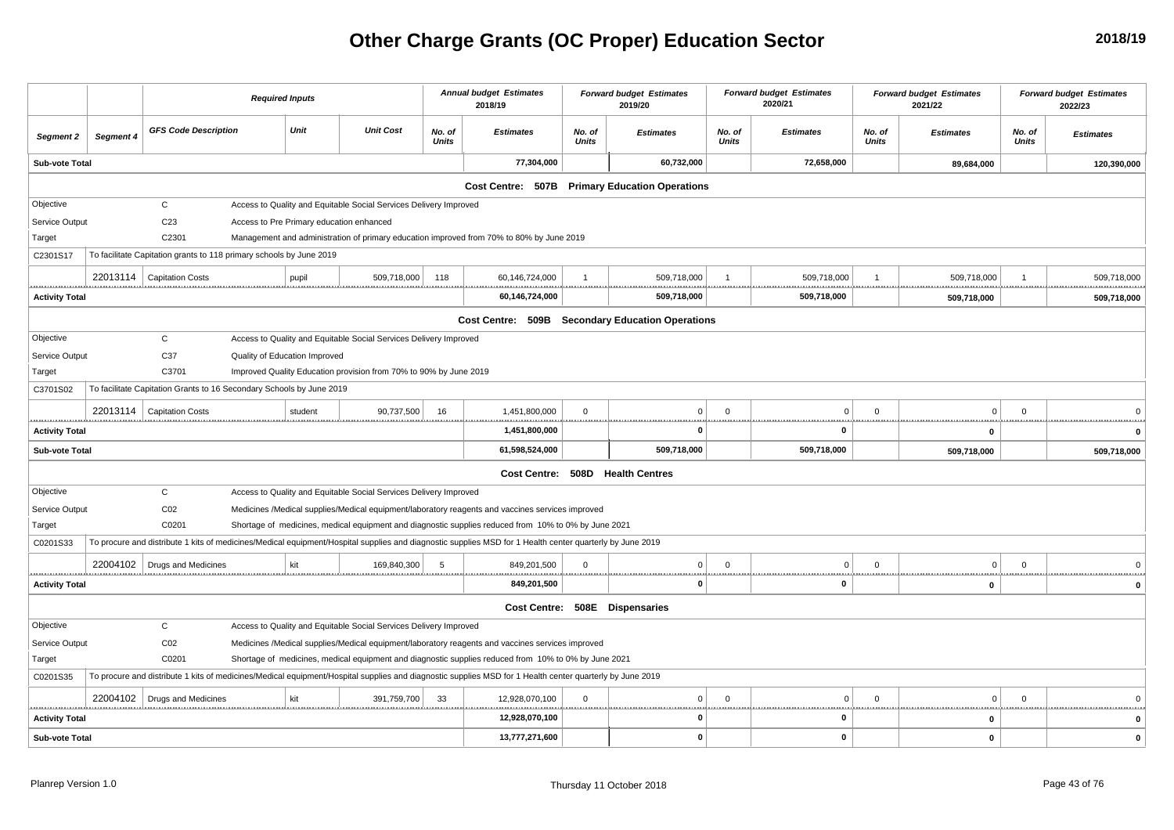# **Other Charge Grants (OC Proper) Education Sector**

|                       |           |                                                                      | <b>Required Inputs</b>        |         |                                                                   |                 | <b>Annual budget Estimates</b><br>2018/19                                                                                                                |                 | <b>Forward budget Estimates</b><br>2019/20       |                          | <b>Forward budget Estimates</b><br>2020/21 |                 | <b>Forward budget Estimates</b><br>2021/22 |                 | <b>Forward budget Estimates</b><br>2022/23 |
|-----------------------|-----------|----------------------------------------------------------------------|-------------------------------|---------|-------------------------------------------------------------------|-----------------|----------------------------------------------------------------------------------------------------------------------------------------------------------|-----------------|--------------------------------------------------|--------------------------|--------------------------------------------|-----------------|--------------------------------------------|-----------------|--------------------------------------------|
| Segment 2             | Segment 4 | <b>GFS Code Description</b>                                          |                               | Unit    | <b>Unit Cost</b>                                                  | No. of<br>Units | <b>Estimates</b>                                                                                                                                         | No. of<br>Units | <b>Estimates</b>                                 | No. of<br>Units          | <b>Estimates</b>                           | No. of<br>Units | <b>Estimates</b>                           | No. of<br>Units | <b>Estimates</b>                           |
| Sub-vote Total        |           |                                                                      |                               |         |                                                                   |                 | 77,304,000                                                                                                                                               |                 | 60,732,000                                       |                          | 72,658,000                                 |                 | 89,684,000                                 |                 | 120,390,000                                |
|                       |           |                                                                      |                               |         |                                                                   |                 |                                                                                                                                                          |                 | Cost Centre: 507B Primary Education Operations   |                          |                                            |                 |                                            |                 |                                            |
| Objective             |           | $\mathsf{C}$                                                         |                               |         | Access to Quality and Equitable Social Services Delivery Improved |                 |                                                                                                                                                          |                 |                                                  |                          |                                            |                 |                                            |                 |                                            |
| Service Output        |           | C <sub>23</sub>                                                      |                               |         | Access to Pre Primary education enhanced                          |                 |                                                                                                                                                          |                 |                                                  |                          |                                            |                 |                                            |                 |                                            |
| Target                |           | C2301                                                                |                               |         |                                                                   |                 | Management and administration of primary education improved from 70% to 80% by June 2019                                                                 |                 |                                                  |                          |                                            |                 |                                            |                 |                                            |
| C2301S17              |           | To facilitate Capitation grants to 118 primary schools by June 2019  |                               |         |                                                                   |                 |                                                                                                                                                          |                 |                                                  |                          |                                            |                 |                                            |                 |                                            |
|                       |           | 22013114   Capitation Costs                                          |                               | pupil   | 509,718,000                                                       | 118             | 60,146,724,000                                                                                                                                           |                 | 509,718,000                                      |                          | 509,718,000                                |                 | 509,718,000                                |                 | 509,718,000                                |
| <b>Activity Total</b> |           |                                                                      |                               |         |                                                                   |                 | <br>60,146,724,000                                                                                                                                       |                 | <u></u><br>509,718,000                           |                          | <br>509,718,000                            |                 | <br>509,718,000                            | .               | 509,718,000                                |
|                       |           |                                                                      |                               |         |                                                                   |                 |                                                                                                                                                          |                 | Cost Centre: 509B Secondary Education Operations |                          |                                            |                 |                                            |                 |                                            |
| Objective             |           | $\mathbf{C}$                                                         |                               |         | Access to Quality and Equitable Social Services Delivery Improved |                 |                                                                                                                                                          |                 |                                                  |                          |                                            |                 |                                            |                 |                                            |
| Service Output        |           | C37                                                                  | Quality of Education Improved |         |                                                                   |                 |                                                                                                                                                          |                 |                                                  |                          |                                            |                 |                                            |                 |                                            |
| Target                |           | C3701                                                                |                               |         | Improved Quality Education provision from 70% to 90% by June 2019 |                 |                                                                                                                                                          |                 |                                                  |                          |                                            |                 |                                            |                 |                                            |
| C3701S02              |           | To facilitate Capitation Grants to 16 Secondary Schools by June 2019 |                               |         |                                                                   |                 |                                                                                                                                                          |                 |                                                  |                          |                                            |                 |                                            |                 |                                            |
|                       |           | 22013114   Capitation Costs                                          |                               | student | 90,737,500                                                        | 16              | 1,451,800,000                                                                                                                                            | $\mathbf 0$     | $\mathbf{0}$                                     | $\mathbf{0}$             | $\mathbf 0$                                | $\overline{0}$  | $\Omega$                                   | $\mathbf 0$     |                                            |
| <b>Activity Total</b> |           |                                                                      |                               |         |                                                                   |                 | 1,451,800,000                                                                                                                                            |                 | <u></u><br>$\Omega$                              | <u></u>                  | $\mathbf 0$                                |                 | $\mathbf{0}$                               | .               |                                            |
| Sub-vote Total        |           |                                                                      |                               |         |                                                                   |                 | 61,598,524,000                                                                                                                                           |                 | 509,718,000                                      |                          | 509,718,000                                |                 | 509,718,000                                |                 | 509,718,000                                |
|                       |           |                                                                      |                               |         |                                                                   |                 |                                                                                                                                                          |                 | Cost Centre: 508D Health Centres                 |                          |                                            |                 |                                            |                 |                                            |
| Objective             |           | $\mathbf C$                                                          |                               |         | Access to Quality and Equitable Social Services Delivery Improved |                 |                                                                                                                                                          |                 |                                                  |                          |                                            |                 |                                            |                 |                                            |
| Service Output        |           | CO <sub>2</sub>                                                      |                               |         |                                                                   |                 | Medicines /Medical supplies/Medical equipment/laboratory reagents and vaccines services improved                                                         |                 |                                                  |                          |                                            |                 |                                            |                 |                                            |
| Target                |           | C0201                                                                |                               |         |                                                                   |                 | Shortage of medicines, medical equipment and diagnostic supplies reduced from 10% to 0% by June 2021                                                     |                 |                                                  |                          |                                            |                 |                                            |                 |                                            |
| C0201S33              |           |                                                                      |                               |         |                                                                   |                 | To procure and distribute 1 kits of medicines/Medical equipment/Hospital supplies and diagnostic supplies MSD for 1 Health center quarterly by June 2019 |                 |                                                  |                          |                                            |                 |                                            |                 |                                            |
|                       |           | 22004102   Drugs and Medicines                                       |                               | kit     | 169,840,300                                                       | 5               | 849,201,500                                                                                                                                              | $\mathbf 0$     | $\Omega$                                         | $\Omega$                 | $\Omega$<br>                               | $\overline{0}$  | $\Omega$                                   | $\Omega$        | $\Omega$<br>.                              |
| <b>Activity Total</b> |           |                                                                      |                               |         |                                                                   |                 | 849,201,500                                                                                                                                              |                 | $\Omega$                                         |                          | 0                                          |                 | $\mathbf 0$                                |                 | 0                                          |
|                       |           |                                                                      |                               |         |                                                                   |                 |                                                                                                                                                          |                 | Cost Centre: 508E Dispensaries                   |                          |                                            |                 |                                            |                 |                                            |
| Objective             |           | $\mathsf{C}$                                                         |                               |         | Access to Quality and Equitable Social Services Delivery Improved |                 |                                                                                                                                                          |                 |                                                  |                          |                                            |                 |                                            |                 |                                            |
| Service Output        |           | C <sub>02</sub>                                                      |                               |         |                                                                   |                 | Medicines /Medical supplies/Medical equipment/laboratory reagents and vaccines services improved                                                         |                 |                                                  |                          |                                            |                 |                                            |                 |                                            |
| Target                |           | C0201                                                                |                               |         |                                                                   |                 | Shortage of medicines, medical equipment and diagnostic supplies reduced from 10% to 0% by June 2021                                                     |                 |                                                  |                          |                                            |                 |                                            |                 |                                            |
| C0201S35              |           |                                                                      |                               |         |                                                                   |                 | To procure and distribute 1 kits of medicines/Medical equipment/Hospital supplies and diagnostic supplies MSD for 1 Health center quarterly by June 2019 |                 |                                                  |                          |                                            |                 |                                            |                 |                                            |
|                       |           | 22004102   Drugs and Medicines                                       |                               | kit     | 391,759,700                                                       | 33              | 12,928,070,100                                                                                                                                           | $\mathbf{0}$    | 0                                                | $\mathbf{0}$<br><u>.</u> | $\mathbf 0$                                | $\overline{0}$  | $\mathbf 0$<br><u></u>                     | $\mathbf 0$     | $\Omega$                                   |
| <b>Activity Total</b> |           |                                                                      |                               |         |                                                                   |                 | 12,928,070,100                                                                                                                                           |                 | $\mathbf 0$                                      |                          | 0                                          |                 | $\mathbf 0$                                |                 | $\mathbf 0$                                |
| Sub-vote Total        |           |                                                                      |                               |         |                                                                   |                 | 13,777,271,600                                                                                                                                           |                 | 0                                                |                          | 0                                          |                 | $\mathbf 0$                                |                 | $\mathbf 0$                                |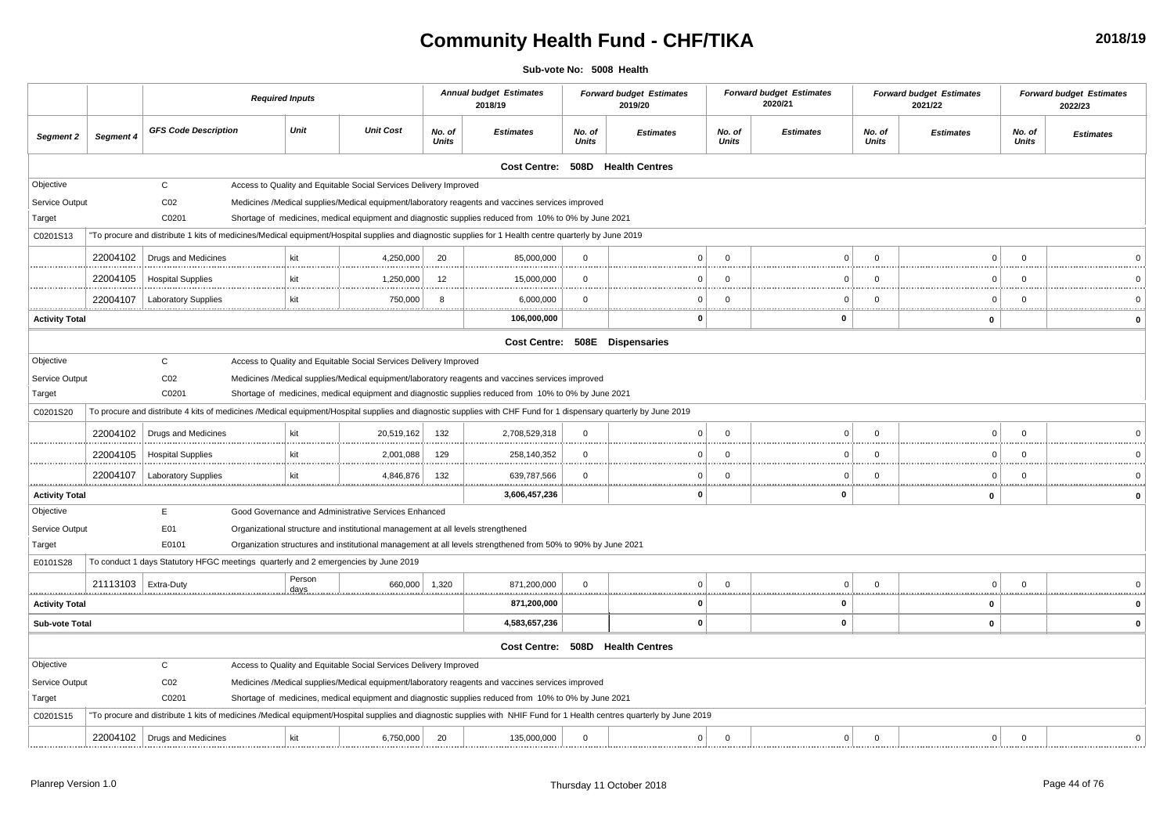## **Community Health Fund - CHF/TIKA**

**Sub-vote No: 5008 Health**

|                       |           |                                                                                    | <b>Required Inputs</b> |                |                                                                                  |                 | <b>Annual budget Estimates</b><br>2018/19                                                                                                                        |                 | <b>Forward budget Estimates</b><br>2019/20                                                                                                                             |                 | <b>Forward budget Estimates</b><br>2020/21 |                 | <b>Forward budget Estimates</b><br>2021/22 |                 | <b>Forward budget Estimates</b><br>2022/23 |
|-----------------------|-----------|------------------------------------------------------------------------------------|------------------------|----------------|----------------------------------------------------------------------------------|-----------------|------------------------------------------------------------------------------------------------------------------------------------------------------------------|-----------------|------------------------------------------------------------------------------------------------------------------------------------------------------------------------|-----------------|--------------------------------------------|-----------------|--------------------------------------------|-----------------|--------------------------------------------|
| Segment 2             | Segment 4 | <b>GFS Code Description</b>                                                        |                        | Unit           | <b>Unit Cost</b>                                                                 | No. of<br>Units | <b>Estimates</b>                                                                                                                                                 | No. of<br>Units | <b>Estimates</b>                                                                                                                                                       | No. of<br>Units | <b>Estimates</b>                           | No. of<br>Units | <b>Estimates</b>                           | No. of<br>Units | <b>Estimates</b>                           |
|                       |           |                                                                                    |                        |                |                                                                                  |                 |                                                                                                                                                                  |                 | Cost Centre: 508D Health Centres                                                                                                                                       |                 |                                            |                 |                                            |                 |                                            |
| Objective             |           | $\mathsf{C}$                                                                       |                        |                | Access to Quality and Equitable Social Services Delivery Improved                |                 |                                                                                                                                                                  |                 |                                                                                                                                                                        |                 |                                            |                 |                                            |                 |                                            |
| Service Output        |           | CO <sub>2</sub>                                                                    |                        |                |                                                                                  |                 | Medicines /Medical supplies/Medical equipment/laboratory reagents and vaccines services improved                                                                 |                 |                                                                                                                                                                        |                 |                                            |                 |                                            |                 |                                            |
| Target                |           | C0201                                                                              |                        |                |                                                                                  |                 | Shortage of medicines, medical equipment and diagnostic supplies reduced from 10% to 0% by June 2021                                                             |                 |                                                                                                                                                                        |                 |                                            |                 |                                            |                 |                                            |
| C0201S13              |           |                                                                                    |                        |                |                                                                                  |                 | "To procure and distribute 1 kits of medicines/Medical equipment/Hospital supplies and diagnostic supplies for 1 Health centre quarterly by June 2019            |                 |                                                                                                                                                                        |                 |                                            |                 |                                            |                 |                                            |
|                       | 22004102  | Drugs and Medicines                                                                |                        | kit            | 4,250,000                                                                        | 20              | 85,000,000                                                                                                                                                       | $\mathbf 0$     | $\Omega$                                                                                                                                                               | $\Omega$        | $\Omega$                                   | $\Omega$        | $\mathbf 0$                                | $\Omega$        |                                            |
|                       | 22004105  | <b>Hospital Supplies</b>                                                           |                        | kit            | 1,250,000                                                                        | 12              | 15,000,000                                                                                                                                                       | $^{\circ}$      | $\Omega$                                                                                                                                                               | $\Omega$        | $\Omega$                                   | $\Omega$        | $\Omega$                                   | $\Omega$        |                                            |
|                       | 22004107  | <b>Laboratory Supplies</b>                                                         |                        | kit<br>        | 750,000                                                                          | 8<br>           | 6,000,000                                                                                                                                                        | $\Omega$<br>    | $\Omega$                                                                                                                                                               | $\Omega$        | $\Omega$                                   | $\Omega$<br>    | $\Omega$<br>                               | $\Omega$<br>    |                                            |
| <b>Activity Total</b> |           |                                                                                    |                        |                |                                                                                  |                 | 106,000,000                                                                                                                                                      |                 | 0                                                                                                                                                                      |                 | $\mathbf{0}$                               |                 | 0                                          |                 |                                            |
|                       |           |                                                                                    |                        |                |                                                                                  |                 |                                                                                                                                                                  |                 | Cost Centre: 508E Dispensaries                                                                                                                                         |                 |                                            |                 |                                            |                 |                                            |
| Objective             |           | $\mathsf{C}$                                                                       |                        |                | Access to Quality and Equitable Social Services Delivery Improved                |                 |                                                                                                                                                                  |                 |                                                                                                                                                                        |                 |                                            |                 |                                            |                 |                                            |
| Service Output        |           | CO <sub>2</sub>                                                                    |                        |                |                                                                                  |                 | Medicines /Medical supplies/Medical equipment/laboratory reagents and vaccines services improved                                                                 |                 |                                                                                                                                                                        |                 |                                            |                 |                                            |                 |                                            |
| Target                |           | C0201                                                                              |                        |                |                                                                                  |                 | Shortage of medicines, medical equipment and diagnostic supplies reduced from 10% to 0% by June 2021                                                             |                 |                                                                                                                                                                        |                 |                                            |                 |                                            |                 |                                            |
| C0201S20              |           |                                                                                    |                        |                |                                                                                  |                 | To procure and distribute 4 kits of medicines /Medical equipment/Hospital supplies and diagnostic supplies with CHF Fund for 1 dispensary quarterly by June 2019 |                 |                                                                                                                                                                        |                 |                                            |                 |                                            |                 |                                            |
|                       | 22004102  | Drugs and Medicines                                                                |                        | kit            | 20,519,162                                                                       | 132             | 2,708,529,318                                                                                                                                                    | $\mathbf 0$     | $\Omega$                                                                                                                                                               | $\Omega$        | $\Omega$                                   | $\Omega$        | $\Omega$                                   | $\Omega$        | $\Omega$                                   |
|                       | 22004105  | <b>Hospital Supplies</b>                                                           |                        | kit            | 2,001,088                                                                        | 129             | 258,140,352                                                                                                                                                      | $\Omega$        | $\Omega$                                                                                                                                                               | $\Omega$        | $\Omega$<br>                               | $\Omega$<br>    | $\Omega$<br>.                              | $\Omega$<br>    |                                            |
|                       | 22004107  | <b>Laboratory Supplies</b>                                                         |                        |                | 4,846,876                                                                        | 132             | 639,787,566                                                                                                                                                      | $\mathbf 0$     | $\Omega$                                                                                                                                                               | $\mathbf 0$     | $\Omega$                                   | $\Omega$        | $\Omega$                                   | $\Omega$        |                                            |
| <b>Activity Total</b> |           |                                                                                    |                        |                |                                                                                  |                 | 3,606,457,236                                                                                                                                                    |                 | $\Omega$                                                                                                                                                               |                 | 0                                          |                 | 0                                          |                 | $\mathbf{0}$                               |
| Objective             |           | E                                                                                  |                        |                | Good Governance and Administrative Services Enhanced                             |                 |                                                                                                                                                                  |                 |                                                                                                                                                                        |                 |                                            |                 |                                            |                 |                                            |
| Service Output        |           | E01                                                                                |                        |                | Organizational structure and institutional management at all levels strengthened |                 |                                                                                                                                                                  |                 |                                                                                                                                                                        |                 |                                            |                 |                                            |                 |                                            |
| Target                |           | E0101                                                                              |                        |                |                                                                                  |                 | Organization structures and institutional management at all levels strengthened from 50% to 90% by June 2021                                                     |                 |                                                                                                                                                                        |                 |                                            |                 |                                            |                 |                                            |
| E0101S28              |           | To conduct 1 days Statutory HFGC meetings quarterly and 2 emergencies by June 2019 |                        |                |                                                                                  |                 |                                                                                                                                                                  |                 |                                                                                                                                                                        |                 |                                            |                 |                                            |                 |                                            |
|                       | 21113103  | Extra-Duty                                                                         |                        | Person<br>days | 660,000                                                                          | 1,320           | 871,200,000                                                                                                                                                      | $\mathbf 0$     | $\Omega$                                                                                                                                                               | $\mathbf 0$     | $\Omega$                                   | $\mathbf 0$     | $\Omega$                                   | $\Omega$        |                                            |
| <b>Activity Total</b> |           |                                                                                    |                        |                |                                                                                  |                 | 871,200,000                                                                                                                                                      |                 | $\mathbf 0$                                                                                                                                                            |                 | 0                                          |                 | $\mathbf{0}$                               |                 |                                            |
| <b>Sub-vote Total</b> |           |                                                                                    |                        |                |                                                                                  |                 | 4,583,657,236                                                                                                                                                    |                 | $\Omega$                                                                                                                                                               |                 | $\mathbf 0$                                |                 | $\pmb{0}$                                  |                 |                                            |
|                       |           |                                                                                    |                        |                |                                                                                  |                 |                                                                                                                                                                  |                 | Cost Centre: 508D Health Centres                                                                                                                                       |                 |                                            |                 |                                            |                 |                                            |
| Objective             |           | C                                                                                  |                        |                | Access to Quality and Equitable Social Services Delivery Improved                |                 |                                                                                                                                                                  |                 |                                                                                                                                                                        |                 |                                            |                 |                                            |                 |                                            |
| Service Output        |           | CO <sub>2</sub>                                                                    |                        |                |                                                                                  |                 | Medicines /Medical supplies/Medical equipment/laboratory reagents and vaccines services improved                                                                 |                 |                                                                                                                                                                        |                 |                                            |                 |                                            |                 |                                            |
| Target                |           | C0201                                                                              |                        |                |                                                                                  |                 | Shortage of medicines, medical equipment and diagnostic supplies reduced from 10% to 0% by June 2021                                                             |                 |                                                                                                                                                                        |                 |                                            |                 |                                            |                 |                                            |
| C0201S15              |           |                                                                                    |                        |                |                                                                                  |                 |                                                                                                                                                                  |                 | "To procure and distribute 1 kits of medicines /Medical equipment/Hospital supplies and diagnostic supplies with NHIF Fund for 1 Health centres quarterly by June 2019 |                 |                                            |                 |                                            |                 |                                            |
|                       | 22004102  | Drugs and Medicines                                                                |                        | kit            | 6,750,000                                                                        | 20              | 135,000,000                                                                                                                                                      | $\mathbf 0$     | $\mathbf 0$                                                                                                                                                            | $\mathbf 0$     | $\mathbf 0$                                | $\mathbf 0$     | $\mathbf 0$                                | $\Omega$        | $\Omega$                                   |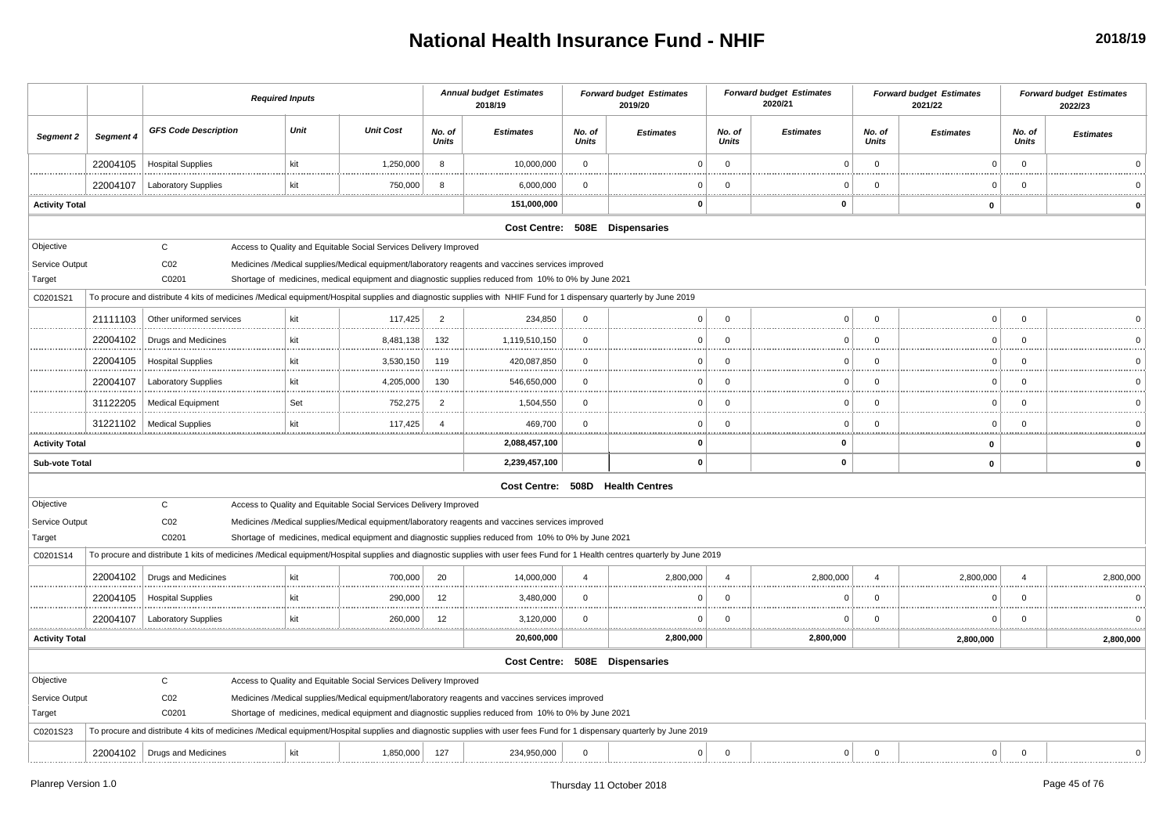## **National Health Insurance Fund - NHIF**

|                                                   |           |                                          | <b>Required Inputs</b>                                                                                                                                                                                                                                                                                                                                                                                                                             |                  |                        | <b>Annual budget Estimates</b><br>2018/19 |                 | <b>Forward budget Estimates</b><br>2019/20 |                 | <b>Forward budget Estimates</b><br>2020/21 |                 | <b>Forward budget Estimates</b><br>2021/22 |                        | <b>Forward budget Estimates</b><br>2022/23 |
|---------------------------------------------------|-----------|------------------------------------------|----------------------------------------------------------------------------------------------------------------------------------------------------------------------------------------------------------------------------------------------------------------------------------------------------------------------------------------------------------------------------------------------------------------------------------------------------|------------------|------------------------|-------------------------------------------|-----------------|--------------------------------------------|-----------------|--------------------------------------------|-----------------|--------------------------------------------|------------------------|--------------------------------------------|
| Segment 2                                         | Segment 4 | <b>GFS Code Description</b>              | Unit                                                                                                                                                                                                                                                                                                                                                                                                                                               | <b>Unit Cost</b> | No. of<br>Units        | <b>Estimates</b>                          | No. of<br>Units | <b>Estimates</b>                           | No. of<br>Units | <b>Estimates</b>                           | No. of<br>Units | <b>Estimates</b>                           | No. of<br>Units        | <b>Estimates</b>                           |
|                                                   | 22004105  | <b>Hospital Supplies</b>                 | kit                                                                                                                                                                                                                                                                                                                                                                                                                                                | 1,250,000        | 8                      | 10,000,000                                | $\mathbf 0$     | $\Omega$                                   | $\mathbf 0$     | $\Omega$                                   | $\Omega$        | $\Omega$                                   | $\Omega$               |                                            |
|                                                   | 22004107  | <b>Laboratory Supplies</b>               | kit                                                                                                                                                                                                                                                                                                                                                                                                                                                | 750,000          | 8                      | 6,000,000                                 | $\mathbf 0$     | $\Omega$                                   | $\Omega$        | $\Omega$                                   | $\Omega$        | $\Omega$                                   | $\Omega$               |                                            |
| <b>Activity Total</b>                             |           |                                          |                                                                                                                                                                                                                                                                                                                                                                                                                                                    |                  |                        | 151,000,000                               |                 | <br>0                                      |                 | 0                                          |                 | 0                                          |                        | $\mathbf{0}$                               |
|                                                   |           |                                          |                                                                                                                                                                                                                                                                                                                                                                                                                                                    |                  |                        |                                           |                 | Cost Centre: 508E Dispensaries             |                 |                                            |                 |                                            |                        |                                            |
| Objective<br>Service Output<br>Target<br>C0201S21 |           | C<br>CO <sub>2</sub><br>C0201            | Access to Quality and Equitable Social Services Delivery Improved<br>Medicines /Medical supplies/Medical equipment/laboratory reagents and vaccines services improved<br>Shortage of medicines, medical equipment and diagnostic supplies reduced from 10% to 0% by June 2021<br>To procure and distribute 4 kits of medicines /Medical equipment/Hospital supplies and diagnostic supplies with NHIF Fund for 1 dispensary quarterly by June 2019 |                  |                        |                                           |                 |                                            |                 |                                            |                 |                                            |                        |                                            |
|                                                   |           |                                          |                                                                                                                                                                                                                                                                                                                                                                                                                                                    |                  |                        |                                           |                 |                                            |                 |                                            |                 |                                            |                        |                                            |
|                                                   | 21111103  | Other uniformed services                 | kit                                                                                                                                                                                                                                                                                                                                                                                                                                                | 117,425          | $\overline{2}$         | 234,850                                   | $\mathbf 0$     | $\Omega$                                   | $\Omega$        | $\Omega$                                   | $\Omega$        | $\Omega$                                   | $\Omega$               |                                            |
|                                                   | 22004102  | Drugs and Medicines                      | kit                                                                                                                                                                                                                                                                                                                                                                                                                                                | 8,481,138        | 132                    | 1,119,510,150                             | $\mathbf 0$     | $\Omega$                                   | $\Omega$        | $\Omega$                                   |                 | $\Omega$                                   | $\Omega$               |                                            |
|                                                   | 22004105  | <b>Hospital Supplies</b>                 | kit                                                                                                                                                                                                                                                                                                                                                                                                                                                | 3,530,150        | 119                    | 420,087,850                               | $\mathbf 0$     | 0                                          | $\Omega$        |                                            |                 | C                                          | $\Omega$               |                                            |
|                                                   | 22004107  | <b>Laboratory Supplies</b>               | kit                                                                                                                                                                                                                                                                                                                                                                                                                                                | 4,205,000<br>    | 130                    | 546,650,000                               | $\mathbf 0$     | $\Omega$                                   | $\Omega$        | $\Omega$                                   |                 | $\Omega$                                   | $\Omega$               |                                            |
|                                                   | 31122205  | <b>Medical Equipment</b>                 | Set                                                                                                                                                                                                                                                                                                                                                                                                                                                | 752,275          | $\overline{2}$         | 1,504,550                                 | $\mathbf 0$     | $\Omega$                                   | $^{\circ}$      | $\Omega$                                   | $\Omega$        | $\Omega$                                   | $\Omega$               | $\Omega$                                   |
|                                                   | 31221102  | <b>Medical Supplies</b>                  | kit                                                                                                                                                                                                                                                                                                                                                                                                                                                | 117,425          | $\boldsymbol{\Lambda}$ | 469,700                                   | $\mathbf 0$     | 0                                          | $\Omega$        | $\Omega$<br><u>.</u>                       | $\cap$          | n                                          | $\Omega$               | $\Omega$                                   |
| <b>Activity Total</b>                             |           |                                          |                                                                                                                                                                                                                                                                                                                                                                                                                                                    |                  |                        | 2,088,457,100                             |                 | 0                                          |                 | 0                                          |                 | 0                                          |                        | $\mathbf{0}$                               |
| <b>Sub-vote Total</b>                             |           |                                          |                                                                                                                                                                                                                                                                                                                                                                                                                                                    |                  |                        | 2,239,457,100                             |                 | $\mathbf{0}$                               |                 | $\mathbf 0$                                |                 | $\pmb{0}$                                  |                        | $\Omega$                                   |
|                                                   |           |                                          |                                                                                                                                                                                                                                                                                                                                                                                                                                                    |                  |                        |                                           |                 | Cost Centre: 508D Health Centres           |                 |                                            |                 |                                            |                        |                                            |
| Objective<br>Service Output<br>Target             |           | $\mathtt{C}$<br>CO <sub>2</sub><br>C0201 | Access to Quality and Equitable Social Services Delivery Improved<br>Medicines /Medical supplies/Medical equipment/laboratory reagents and vaccines services improved<br>Shortage of medicines, medical equipment and diagnostic supplies reduced from 10% to 0% by June 2021                                                                                                                                                                      |                  |                        |                                           |                 |                                            |                 |                                            |                 |                                            |                        |                                            |
| C0201S14                                          |           |                                          | To procure and distribute 1 kits of medicines /Medical equipment/Hospital supplies and diagnostic supplies with user fees Fund for 1 Health centres quarterly by June 2019                                                                                                                                                                                                                                                                         |                  |                        |                                           |                 |                                            |                 |                                            |                 |                                            |                        |                                            |
|                                                   | 22004102  | Drugs and Medicines                      | kit                                                                                                                                                                                                                                                                                                                                                                                                                                                | 700,000          | 20                     | 14,000,000                                | $\overline{4}$  | 2,800,000                                  | $\overline{a}$  | 2,800,000                                  | $\Delta$        | 2,800,000<br>                              | $\boldsymbol{\Lambda}$ | 2,800,000                                  |
|                                                   | 22004105  | <b>Hospital Supplies</b>                 | kit                                                                                                                                                                                                                                                                                                                                                                                                                                                | 290,000          | 12                     | 3,480,000                                 | $\mathbf 0$     | $\Omega$                                   | $\Omega$        | $\Omega$                                   | $\Omega$        | $\Omega$                                   | $\Omega$               | $\Omega$                                   |
|                                                   | 22004107  | <b>Laboratory Supplies</b>               | kit                                                                                                                                                                                                                                                                                                                                                                                                                                                | 260,000          | 12                     | 3,120,000                                 | $\mathbf 0$     | $\Omega$                                   | $\Omega$        | $\Omega$<br>. <u>.</u>                     | <b></b>         | $\Omega$                                   | $\Omega$               | $\Omega$<br>.                              |
| <b>Activity Total</b>                             |           |                                          |                                                                                                                                                                                                                                                                                                                                                                                                                                                    |                  |                        | 20,600,000                                |                 | 2,800,000                                  |                 | 2,800,000                                  |                 | 2,800,000                                  |                        | 2,800,000                                  |
|                                                   |           |                                          |                                                                                                                                                                                                                                                                                                                                                                                                                                                    |                  |                        | <b>Cost Centre:</b>                       |                 | 508E Dispensaries                          |                 |                                            |                 |                                            |                        |                                            |
| Objective                                         |           | C                                        | Access to Quality and Equitable Social Services Delivery Improved                                                                                                                                                                                                                                                                                                                                                                                  |                  |                        |                                           |                 |                                            |                 |                                            |                 |                                            |                        |                                            |
| Service Output                                    |           | CO <sub>2</sub>                          | Medicines /Medical supplies/Medical equipment/laboratory reagents and vaccines services improved                                                                                                                                                                                                                                                                                                                                                   |                  |                        |                                           |                 |                                            |                 |                                            |                 |                                            |                        |                                            |
| Target                                            |           | C0201                                    | Shortage of medicines, medical equipment and diagnostic supplies reduced from 10% to 0% by June 2021                                                                                                                                                                                                                                                                                                                                               |                  |                        |                                           |                 |                                            |                 |                                            |                 |                                            |                        |                                            |
| C0201S23                                          |           |                                          | To procure and distribute 4 kits of medicines /Medical equipment/Hospital supplies and diagnostic supplies with user fees Fund for 1 dispensary quarterly by June 2019                                                                                                                                                                                                                                                                             |                  |                        |                                           |                 |                                            |                 |                                            |                 |                                            |                        |                                            |
|                                                   |           | 22004102   Drugs and Medicines           | kit                                                                                                                                                                                                                                                                                                                                                                                                                                                | 1,850,000        | 127                    | 234,950,000                               | $\mathbf 0$     | $\overline{0}$                             | $\mathbf 0$     | $\mathbf{0}$                               | $\mathbf 0$     | $\mathbf 0$                                | $\mathbf 0$            | $\Omega$                                   |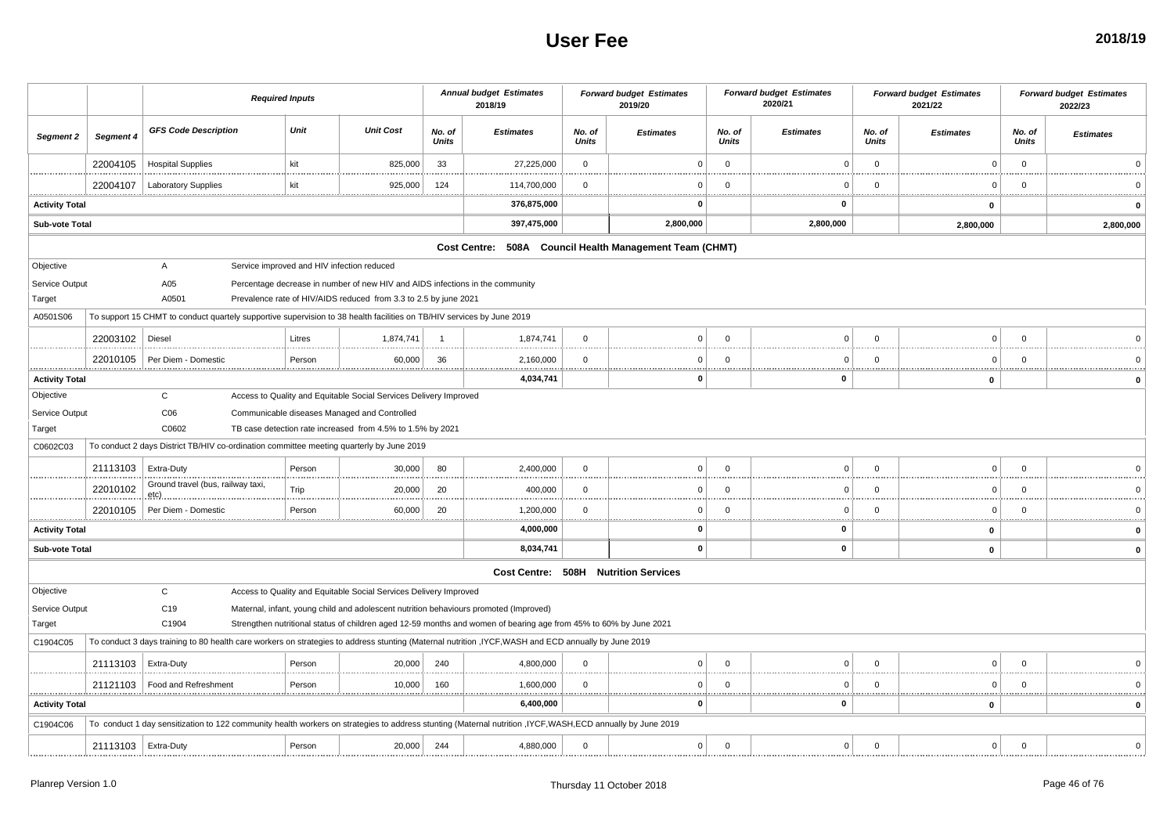#### **User Fee**

|                           |                       |                                           | <b>Required Inputs</b> |        |                                                                                                                       |                 | <b>Annual budget Estimates</b><br>2018/19                                                                                                                 |                 | <b>Forward budget Estimates</b><br>2019/20              |                         | <b>Forward budget Estimates</b><br>2020/21 |                        | <b>Forward budget Estimates</b><br>2021/22 |                        | <b>Forward budget Estimates</b><br>2022/23 |
|---------------------------|-----------------------|-------------------------------------------|------------------------|--------|-----------------------------------------------------------------------------------------------------------------------|-----------------|-----------------------------------------------------------------------------------------------------------------------------------------------------------|-----------------|---------------------------------------------------------|-------------------------|--------------------------------------------|------------------------|--------------------------------------------|------------------------|--------------------------------------------|
| <b>Segment 2</b>          | Segment 4             | <b>GFS Code Description</b>               |                        | Unit   | <b>Unit Cost</b>                                                                                                      | No. of<br>Units | <b>Estimates</b>                                                                                                                                          | No. of<br>Units | <b>Estimates</b>                                        | No. of<br><b>Units</b>  | <b>Estimates</b>                           | No. of<br><b>Units</b> | <b>Estimates</b>                           | No. of<br><b>Units</b> | <b>Estimates</b>                           |
|                           | 22004105              | <b>Hospital Supplies</b>                  |                        | kit    | 825,000                                                                                                               | 33              | 27,225,000                                                                                                                                                | $\mathbf{0}$    | $^{\circ}$                                              | $\overline{0}$          | $\Omega$                                   | $\Omega$               | $\Omega$                                   | $\mathbf{0}$           |                                            |
|                           | 22004107              | <b>Laboratory Supplies</b>                |                        | kit    | 925,000<br>                                                                                                           | 124<br>         | 114,700,000                                                                                                                                               | $\Omega$        | - 0                                                     | $\Omega$<br>            | $\Omega$                                   | $\Omega$<br>           | O                                          | $\Omega$               | .                                          |
| <br><b>Activity Total</b> |                       |                                           |                        |        |                                                                                                                       |                 | <br>376,875,000                                                                                                                                           |                 | <br>- 0                                                 |                         | <br>0                                      |                        | $\mathbf 0$                                |                        |                                            |
| Sub-vote Total            |                       |                                           |                        |        |                                                                                                                       |                 | 397,475,000                                                                                                                                               |                 | 2,800,000                                               |                         | 2,800,000                                  |                        | 2,800,000                                  |                        | 2,800,000                                  |
|                           |                       |                                           |                        |        |                                                                                                                       |                 |                                                                                                                                                           |                 | Cost Centre: 508A Council Health Management Team (CHMT) |                         |                                            |                        |                                            |                        |                                            |
| Objective                 |                       | $\mathsf{A}$                              |                        |        | Service improved and HIV infection reduced                                                                            |                 |                                                                                                                                                           |                 |                                                         |                         |                                            |                        |                                            |                        |                                            |
| Service Output            |                       | A05                                       |                        |        | Percentage decrease in number of new HIV and AIDS infections in the community                                         |                 |                                                                                                                                                           |                 |                                                         |                         |                                            |                        |                                            |                        |                                            |
| Target                    |                       | A0501                                     |                        |        | Prevalence rate of HIV/AIDS reduced from 3.3 to 2.5 by june 2021                                                      |                 |                                                                                                                                                           |                 |                                                         |                         |                                            |                        |                                            |                        |                                            |
| A0501S06                  |                       |                                           |                        |        | To support 15 CHMT to conduct quartely supportive supervision to 38 health facilities on TB/HIV services by June 2019 |                 |                                                                                                                                                           |                 |                                                         |                         |                                            |                        |                                            |                        |                                            |
|                           | 22003102              | Diesel                                    |                        | Litres | 1,874,741                                                                                                             | - 1             | 1,874,741                                                                                                                                                 | $\mathbf{0}$    | $\Omega$                                                | $\mathbf 0$             | $\mathbf{0}$                               | $\mathbf 0$            | $\Omega$                                   | $\mathbf{0}$           |                                            |
| .                         | 22010105              | Per Diem - Domestic                       |                        | Person | 60,000                                                                                                                | 36              | 2,160,000                                                                                                                                                 | $\Omega$        | 0                                                       | $\Omega$                | $\mathbf 0$                                | $\mathbf 0$            | $\mathbf 0$                                | $\Omega$               |                                            |
| <b>Activity Total</b>     |                       |                                           |                        |        |                                                                                                                       |                 | 4,034,741                                                                                                                                                 |                 | $\mathbf{0}$                                            |                         | 0                                          |                        | 0                                          |                        |                                            |
| Objective                 |                       | $\mathbf{C}$                              |                        |        | Access to Quality and Equitable Social Services Delivery Improved                                                     |                 |                                                                                                                                                           |                 |                                                         |                         |                                            |                        |                                            |                        |                                            |
| Service Output            |                       | CO6                                       |                        |        | Communicable diseases Managed and Controlled                                                                          |                 |                                                                                                                                                           |                 |                                                         |                         |                                            |                        |                                            |                        |                                            |
| Target                    |                       | C0602                                     |                        |        | TB case detection rate increased from 4.5% to 1.5% by 2021                                                            |                 |                                                                                                                                                           |                 |                                                         |                         |                                            |                        |                                            |                        |                                            |
| C0602C03                  |                       |                                           |                        |        | To conduct 2 days District TB/HIV co-ordination committee meeting quarterly by June 2019                              |                 |                                                                                                                                                           |                 |                                                         |                         |                                            |                        |                                            |                        |                                            |
|                           | 21113103              | <b>Extra-Duty</b>                         |                        | Person | 30,000                                                                                                                | 80              | 2,400,000                                                                                                                                                 | $\Omega$        | $\mathbf 0$                                             | $\Omega$                | $\mathbf 0$                                | $\Omega$               | $\Omega$                                   | $\Omega$               |                                            |
|                           | 22010102              | Ground travel (bus, railway taxi,<br>etç) |                        | Trip   | 20,000                                                                                                                | 20              | 400,000                                                                                                                                                   | $\Omega$        | $\Omega$                                                | $\Omega$                | $\Omega$                                   | $\Omega$               | $\Omega$                                   | $\Omega$               |                                            |
|                           | 22010105              | Per Diem - Domestic                       |                        | Person | 60,000                                                                                                                | 20              | 1,200,000<br><b></b>                                                                                                                                      | $\mathbf{0}$    | $\Omega$<br>                                            | $\Omega$                | $\mathbf 0$                                | $\Omega$               | $\Omega$<br>.                              | $\Omega$<br>           |                                            |
| <b>Activity Total</b>     |                       |                                           |                        |        |                                                                                                                       |                 | 4,000,000                                                                                                                                                 |                 | 0                                                       |                         | 0                                          |                        | $\mathbf 0$                                |                        |                                            |
| Sub-vote Total            |                       |                                           |                        |        |                                                                                                                       |                 | 8,034,741                                                                                                                                                 |                 | $\mathbf{0}$                                            |                         | $\pmb{0}$                                  |                        | $\mathbf 0$                                |                        |                                            |
|                           |                       |                                           |                        |        |                                                                                                                       |                 |                                                                                                                                                           |                 | Cost Centre: 508H Nutrition Services                    |                         |                                            |                        |                                            |                        |                                            |
| Objective                 |                       | $\mathbf{C}$                              |                        |        | Access to Quality and Equitable Social Services Delivery Improved                                                     |                 |                                                                                                                                                           |                 |                                                         |                         |                                            |                        |                                            |                        |                                            |
| Service Output            |                       | C <sub>19</sub>                           |                        |        |                                                                                                                       |                 | Maternal, infant, young child and adolescent nutrition behaviours promoted (Improved)                                                                     |                 |                                                         |                         |                                            |                        |                                            |                        |                                            |
| Target                    |                       | C1904                                     |                        |        |                                                                                                                       |                 | Strengthen nutritional status of children aged 12-59 months and women of bearing age from 45% to 60% by June 2021                                         |                 |                                                         |                         |                                            |                        |                                            |                        |                                            |
| C1904C05                  |                       |                                           |                        |        |                                                                                                                       |                 | To conduct 3 days training to 80 health care workers on strategies to address stunting (Maternal nutrition, IYCF, WASH and ECD annually by June 2019      |                 |                                                         |                         |                                            |                        |                                            |                        |                                            |
|                           | 21113103              | <b>Extra-Duty</b>                         |                        | Person | 20,000                                                                                                                | 240             | 4,800,000                                                                                                                                                 | $\mathbf{0}$    | $\mathbf 0$                                             | $\overline{\mathbf{0}}$ | $\mathbf 0$                                | $\mathbf 0$            | $\Omega$                                   | $\mathbf{0}$           |                                            |
|                           | 21121103              | Food and Refreshment                      |                        | Person | 10,000                                                                                                                | 160             | 1,600,000                                                                                                                                                 | $\Omega$        | 0                                                       | $\mathbf 0$             | $\mathbf 0$                                | $\mathbf 0$            | $\mathbf 0$                                | $\Omega$               |                                            |
| <b>Activity Total</b>     |                       |                                           |                        |        |                                                                                                                       |                 | 6,400,000                                                                                                                                                 |                 | $\Omega$                                                |                         | 0                                          |                        | 0                                          |                        |                                            |
| C1904C06                  |                       |                                           |                        |        |                                                                                                                       |                 | To conduct 1 day sensitization to 122 community health workers on strategies to address stunting (Maternal nutrition ,IYCF,WASH,ECD annually by June 2019 |                 |                                                         |                         |                                            |                        |                                            |                        |                                            |
|                           | 21113103   Extra-Duty |                                           |                        | Person | 20,000                                                                                                                | 244             | 4,880,000                                                                                                                                                 | $\Omega$        | $\mathbf 0$                                             | $\Omega$                | $\mathbf 0$                                | $\Omega$               | $\Omega$                                   | $\Omega$               | $\Omega$                                   |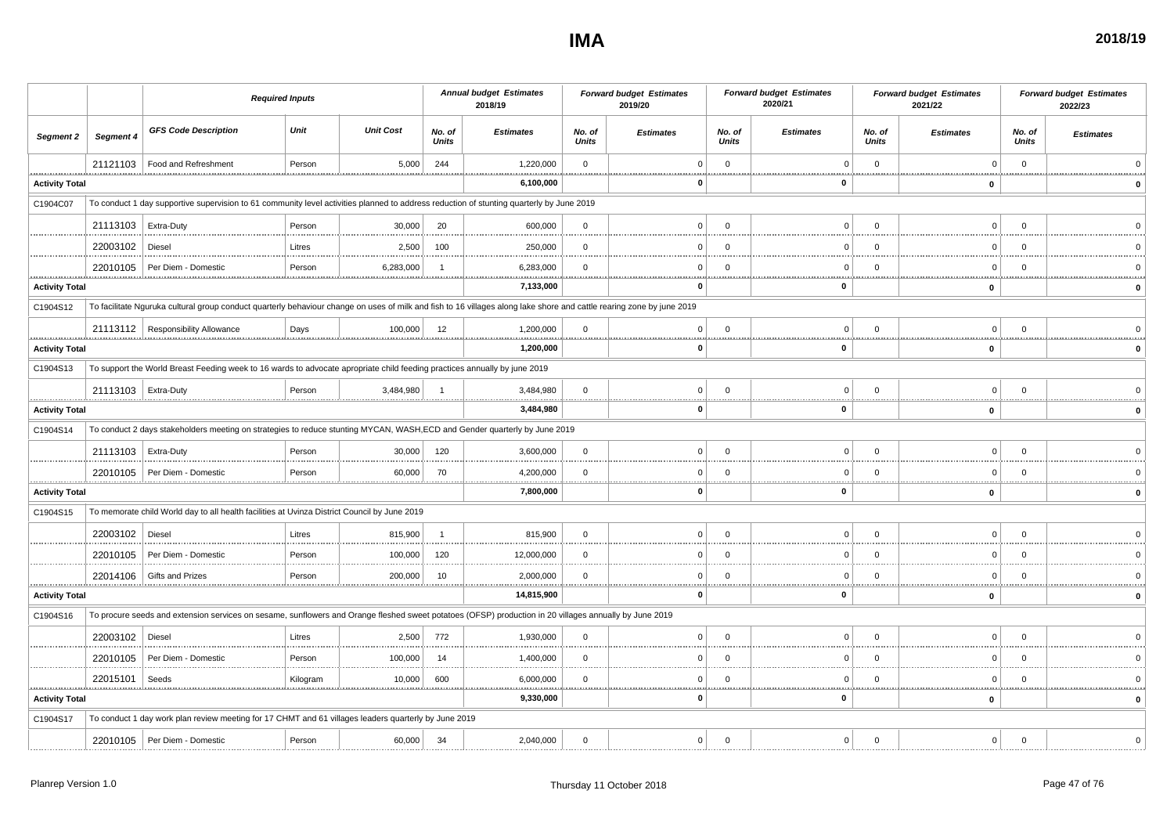#### **IMA**

| A | 2018/19 |
|---|---------|
|   |         |

|                                   |                       |                                                                                                                                                                       | <b>Required Inputs</b> |                  |                 | <b>Annual budget Estimates</b><br>2018/19 |                 | <b>Forward budget Estimates</b><br>2019/20 |                        | <b>Forward budget Estimates</b><br>2020/21 |                              | <b>Forward budget Estimates</b><br>2021/22 |                    | <b>Forward budget Estimates</b><br>2022/23 |
|-----------------------------------|-----------------------|-----------------------------------------------------------------------------------------------------------------------------------------------------------------------|------------------------|------------------|-----------------|-------------------------------------------|-----------------|--------------------------------------------|------------------------|--------------------------------------------|------------------------------|--------------------------------------------|--------------------|--------------------------------------------|
| Segment 2                         | Segment 4             | <b>GFS Code Description</b>                                                                                                                                           | Unit                   | <b>Unit Cost</b> | No. of<br>Units | <b>Estimates</b>                          | No. of<br>Units | <b>Estimates</b>                           | No. of<br><b>Units</b> | <b>Estimates</b>                           | No. of<br>Units              | <b>Estimates</b>                           | No. of<br>Units    | <b>Estimates</b>                           |
|                                   | 21121103              | Food and Refreshment                                                                                                                                                  | Person                 | 5,000            | 244             | 1,220,000                                 | $\overline{0}$  |                                            | $\mathbf 0$            | $\Omega$                                   | $\mathbf 0$                  | $\Omega$                                   | $\overline{0}$<br> |                                            |
| <b>Activity Total</b>             |                       |                                                                                                                                                                       |                        |                  |                 | 6,100,000                                 |                 | 0                                          |                        | $\pmb{0}$                                  |                              | 0                                          |                    |                                            |
| C1904C07                          |                       | To conduct 1 day supportive supervision to 61 community level activities planned to address reduction of stunting quarterly by June 2019                              |                        |                  |                 |                                           |                 |                                            |                        |                                            |                              |                                            |                    |                                            |
|                                   | 21113103   Extra-Duty |                                                                                                                                                                       | Person                 | 30,000           | 20              | 600,000                                   | $\mathbf{0}$    | $\Omega$                                   | $\mathbf 0$            | $\Omega$                                   | $\Omega$                     | $\mathbf 0$                                | $\Omega$           |                                            |
|                                   | 22003102              | Diesel                                                                                                                                                                | Litres                 | 2,500            | 100             | 250,000                                   | $\mathbf 0$     | $\Omega$                                   | $\mathbf 0$            | $\mathbf 0$                                | $\Omega$                     | $\mathbf 0$                                | $\Omega$           |                                            |
| .                                 | 22010105              | Per Diem - Domestic                                                                                                                                                   | Person<br><u>.</u>     | 6,283,000        |                 | 6,283,000<br>.                            | $\mathbf 0$     | $\Omega$                                   | $\Omega$               | $\Omega$<br>**********************         | $\Omega$<br><b>*********</b> | $\Omega$<br>****************<br><u>.</u>   | $\Omega$<br>.      |                                            |
| <b>Activity Total</b>             |                       |                                                                                                                                                                       |                        |                  |                 | 7,133,000                                 |                 | 0                                          |                        | $\mathbf 0$                                |                              | $\mathbf{0}$                               |                    |                                            |
| C1904S12                          |                       | To facilitate Nguruka cultural group conduct quarterly behaviour change on uses of milk and fish to 16 villages along lake shore and cattle rearing zone by june 2019 |                        |                  |                 |                                           |                 |                                            |                        |                                            |                              |                                            |                    |                                            |
|                                   |                       | 21113112   Responsibility Allowance                                                                                                                                   | Days<br>               | 100,000          | 12              | 1,200,000<br>.                            | $\mathbf{0}$    | $\Omega$<br>.                              | $\Omega$               | $\Omega$                                   | $\Omega$                     | 0 <sup>1</sup>                             | $\Omega$           |                                            |
| <b>Activity Total</b>             |                       |                                                                                                                                                                       |                        |                  |                 | 1,200,000                                 |                 | 0                                          |                        | $\mathbf 0$                                |                              | $\pmb{0}$                                  |                    |                                            |
| C1904S13                          |                       | To support the World Breast Feeding week to 16 wards to advocate apropriate child feeding practices annually by june 2019                                             |                        |                  |                 |                                           |                 |                                            |                        |                                            |                              |                                            |                    |                                            |
|                                   | 21113103   Extra-Duty |                                                                                                                                                                       | Person                 | 3,484,980        |                 | 3,484,980                                 | $\mathbf 0$     | $\mathbf{0}$                               | $\overline{0}$         | $\Omega$                                   | $\Omega$                     | $\circ$                                    | $\mathbf 0$        |                                            |
| <b>Activity Total</b>             |                       |                                                                                                                                                                       |                        |                  |                 | 3,484,980                                 |                 | 0                                          |                        | $\mathbf 0$                                |                              | $\mathbf 0$                                |                    |                                            |
| C1904S14                          |                       | To conduct 2 days stakeholders meeting on strategies to reduce stunting MYCAN, WASH,ECD and Gender quarterly by June 2019                                             |                        |                  |                 |                                           |                 |                                            |                        |                                            |                              |                                            |                    |                                            |
|                                   | 21113103              | Extra-Duty                                                                                                                                                            | Person                 | 30,000           | 120             | 3,600,000                                 | $\mathbf 0$     | $\Omega$                                   | $\Omega$               | $\Omega$                                   | $\Omega$                     | $\mathbf 0$                                | $\Omega$           |                                            |
|                                   |                       | 22010105   Per Diem - Domestic                                                                                                                                        | Person<br>             | 60,000           | 70              | 4,200,000<br>.                            | $\overline{0}$  | $\Omega$<br>                               | $\mathbf 0$            | $\Omega$                                   | $\Omega$                     | $\mathbf 0$                                | $\overline{0}$     |                                            |
| <b>Activity Total</b>             |                       |                                                                                                                                                                       |                        |                  |                 | 7,800,000                                 |                 | 0                                          |                        | $\mathbf 0$                                |                              | 0                                          |                    |                                            |
| C1904S15                          |                       | To memorate child World day to all health facilities at Uvinza District Council by June 2019                                                                          |                        |                  |                 |                                           |                 |                                            |                        |                                            |                              |                                            |                    |                                            |
|                                   | 22003102              | Diesel                                                                                                                                                                | Litres                 | 815,900          | $\overline{1}$  | 815,900                                   | $\mathbf 0$     | $\mathbf{0}$                               | $\mathbf 0$            | $\Omega$                                   | $\Omega$                     | $\mathbf 0$                                | $\mathbf 0$        |                                            |
|                                   | 22010105              | Per Diem - Domestic                                                                                                                                                   | Person                 | 100,000          | 120             | 12,000,000                                | $\Omega$        | $\Omega$                                   | $\Omega$               | $\Omega$                                   | $\Omega$                     | $\Omega$                                   | $\Omega$           |                                            |
|                                   | 22014106              | Gifts and Prizes                                                                                                                                                      | Person<br>             | 200,000          | 10              | 2,000,000<br>                             | $\overline{0}$  | $\Omega$                                   | $\Omega$               | $\Omega$                                   | $\Omega$                     | $\mathbf 0$<br>.                           | $\Omega$<br>       |                                            |
| <b>Activity Total</b>             |                       |                                                                                                                                                                       |                        |                  |                 | 14,815,900                                |                 | 0                                          |                        | 0                                          |                              | $\pmb{0}$                                  |                    |                                            |
| C1904S16                          |                       | To procure seeds and extension services on sesame, sunflowers and Orange fleshed sweet potatoes (OFSP) production in 20 villages annually by June 2019                |                        |                  |                 |                                           |                 |                                            |                        |                                            |                              |                                            |                    |                                            |
|                                   | 22003102              | Diesel                                                                                                                                                                | Litres                 | 2,500            | 772             | 1,930,000                                 | $\mathbf 0$     | $\Omega$                                   | $\mathbf 0$            | $\Omega$                                   | $\Omega$                     | $\mathbf 0$                                | $\mathbf 0$        |                                            |
|                                   | 22010105              | Per Diem - Domestic                                                                                                                                                   | Person                 | 100,000          | -14             | 1,400,000                                 | $\overline{0}$  | $\Omega$                                   | $\mathbf 0$            | $\Omega$                                   | $\Omega$                     | $\mathbf 0$                                | $\Omega$           |                                            |
|                                   | 22015101              | Seeds                                                                                                                                                                 | Kilogram<br><u></u>    | 10,000           | 600             | 6,000,000<br>.                            | $\overline{0}$  | $\Omega$                                   | $\Omega$               | $\Omega$<br>                               | $\Omega$                     | $\Omega$<br>                               | $\overline{0}$     |                                            |
| <u>.</u><br><b>Activity Total</b> |                       |                                                                                                                                                                       |                        |                  |                 | 9,330,000                                 |                 | $\Omega$                                   |                        | 0                                          |                              | $\mathbf{0}$                               |                    |                                            |
| C1904S17                          |                       | To conduct 1 day work plan review meeting for 17 CHMT and 61 villages leaders quarterly by June 2019                                                                  |                        |                  |                 |                                           |                 |                                            |                        |                                            |                              |                                            |                    |                                            |
|                                   |                       | 22010105   Per Diem - Domestic                                                                                                                                        | Person                 | 60,000           | -34             | 2,040,000                                 | $\Omega$        | $\Omega$                                   | $\Omega$               | $\Omega$                                   | $\Omega$                     | $\mathbf 0$                                | $\Omega$           |                                            |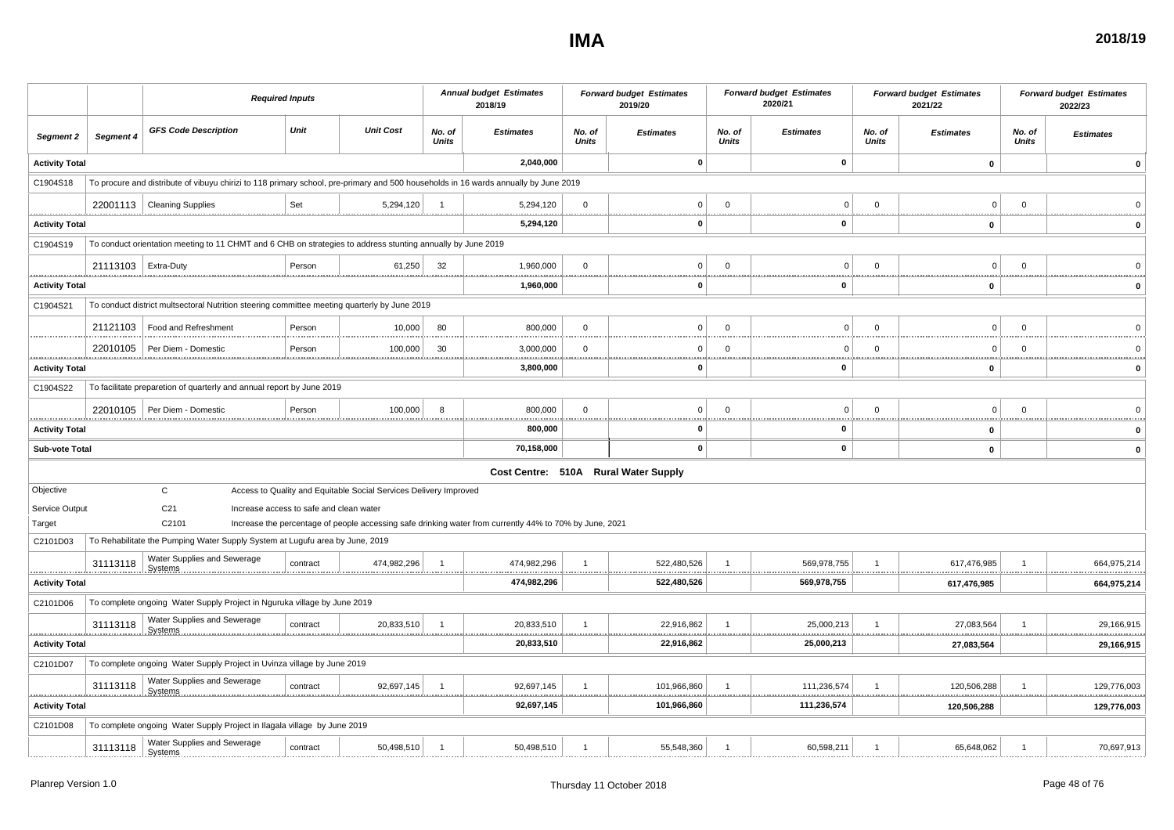#### **IMA**

| A | 2018/19 |
|---|---------|
|   |         |

|                                   |                       | <b>Required Inputs</b>                                                                                                              |                                         |                                                                   |                        | <b>Annual budget Estimates</b><br>2018/19                                                               |                        | <b>Forward budget Estimates</b><br>2019/20 |                        | <b>Forward budget Estimates</b><br>2020/21 |                         | <b>Forward budget Estimates</b><br>2021/22 |                        | <b>Forward budget Estimates</b><br>2022/23 |
|-----------------------------------|-----------------------|-------------------------------------------------------------------------------------------------------------------------------------|-----------------------------------------|-------------------------------------------------------------------|------------------------|---------------------------------------------------------------------------------------------------------|------------------------|--------------------------------------------|------------------------|--------------------------------------------|-------------------------|--------------------------------------------|------------------------|--------------------------------------------|
| Segment 2                         | Segment 4             | <b>GFS Code Description</b>                                                                                                         | Unit                                    | <b>Unit Cost</b>                                                  | No. of<br><b>Units</b> | <b>Estimates</b>                                                                                        | No. of<br><b>Units</b> | <b>Estimates</b>                           | No. of<br><b>Units</b> | <b>Estimates</b>                           | No. of<br><b>Units</b>  | <b>Estimates</b>                           | No. of<br><b>Units</b> | <b>Estimates</b>                           |
| <b>Activity Total</b>             |                       |                                                                                                                                     |                                         |                                                                   |                        | 2,040,000                                                                                               |                        | $\mathbf 0$                                |                        | $\mathbf 0$                                |                         | $\mathbf{0}$                               |                        | $\mathbf{0}$                               |
| C1904S18                          |                       | To procure and distribute of vibuyu chirizi to 118 primary school, pre-primary and 500 households in 16 wards annually by June 2019 |                                         |                                                                   |                        |                                                                                                         |                        |                                            |                        |                                            |                         |                                            |                        |                                            |
|                                   |                       | 22001113   Cleaning Supplies                                                                                                        | Set                                     | 5,294,120                                                         | - 1                    | 5,294,120                                                                                               | $\Omega$               | $\Omega$                                   | $\Omega$               | $\Omega$                                   | $\Omega$                | $\Omega$                                   | $\Omega$               |                                            |
| <b>Activity Total</b>             |                       |                                                                                                                                     |                                         |                                                                   |                        | .<br>5,294,120                                                                                          |                        | 0                                          |                        | <u>.</u><br>0                              |                         | $\mathbf 0$                                | <u>.</u>               | <b>*********</b><br>0                      |
| C1904S19                          |                       | To conduct orientation meeting to 11 CHMT and 6 CHB on strategies to address stunting annually by June 2019                         |                                         |                                                                   |                        |                                                                                                         |                        |                                            |                        |                                            |                         |                                            |                        |                                            |
|                                   | 21113103   Extra-Duty |                                                                                                                                     | Person                                  | 61,250                                                            | 32                     | 1,960,000                                                                                               | $\Omega$               | $\Omega$                                   | $\mathbf 0$            | $\Omega$                                   | $\Omega$                | $\Omega$                                   | $\Omega$               |                                            |
| .<br><b>Activity Total</b>        |                       |                                                                                                                                     |                                         |                                                                   |                        | .<br>1,960,000                                                                                          |                        | $\mathbf 0$                                |                        | 0                                          |                         | $\mathbf 0$                                |                        | $\Omega$                                   |
| C1904S21                          |                       | To conduct district multsectoral Nutrition steering committee meeting quarterly by June 2019                                        |                                         |                                                                   |                        |                                                                                                         |                        |                                            |                        |                                            |                         |                                            |                        |                                            |
|                                   |                       | 21121103   Food and Refreshment                                                                                                     | Person                                  | 10,000                                                            | 80                     | 800,000                                                                                                 | $\Omega$               | $\Omega$                                   | $\mathbf{0}$           | $\Omega$                                   | $\mathbf{0}$            | $\Omega$                                   | $\Omega$               |                                            |
|                                   |                       | 22010105   Per Diem - Domestic                                                                                                      | Person                                  | 100,000                                                           | 30                     | 3,000,000                                                                                               | $\Omega$               | $\Omega$                                   | $\mathbf 0$            | 0                                          | $\Omega$                | $\Omega$                                   | $\Omega$               |                                            |
| <b>Activity Total</b>             |                       |                                                                                                                                     |                                         |                                                                   |                        | 3,800,000                                                                                               |                        | <u></u><br>$\Omega$                        |                        | <u></u><br>0                               |                         | 0                                          | <u></u>                | 0                                          |
| C1904S22                          |                       | To facilitate preparetion of quarterly and annual report by June 2019                                                               |                                         |                                                                   |                        |                                                                                                         |                        |                                            |                        |                                            |                         |                                            |                        |                                            |
|                                   |                       | 22010105   Per Diem - Domestic                                                                                                      | Person                                  | 100,000                                                           | 8                      | 800,000                                                                                                 | $\Omega$               | $\Omega$                                   | $\Omega$               | $\Omega$                                   | $\Omega$                | $\Omega$                                   | $\Omega$               |                                            |
| <u>.</u><br><b>Activity Total</b> |                       |                                                                                                                                     |                                         |                                                                   |                        | 800,000                                                                                                 |                        | 0                                          |                        | 0                                          |                         | $\mathbf 0$                                |                        |                                            |
| Sub-vote Total                    |                       |                                                                                                                                     |                                         |                                                                   |                        | 70,158,000                                                                                              |                        | 0                                          |                        | $\mathbf 0$                                |                         | $\mathbf 0$                                |                        | 0                                          |
|                                   |                       |                                                                                                                                     |                                         |                                                                   |                        |                                                                                                         |                        | Cost Centre: 510A Rural Water Supply       |                        |                                            |                         |                                            |                        |                                            |
| Objective                         |                       | $\mathsf{C}$                                                                                                                        |                                         | Access to Quality and Equitable Social Services Delivery Improved |                        |                                                                                                         |                        |                                            |                        |                                            |                         |                                            |                        |                                            |
| Service Output                    |                       | C <sub>21</sub>                                                                                                                     | Increase access to safe and clean water |                                                                   |                        |                                                                                                         |                        |                                            |                        |                                            |                         |                                            |                        |                                            |
| Target                            |                       | C2101                                                                                                                               |                                         |                                                                   |                        | Increase the percentage of people accessing safe drinking water from currently 44% to 70% by June, 2021 |                        |                                            |                        |                                            |                         |                                            |                        |                                            |
| C2101D03                          |                       | To Rehabilitate the Pumping Water Supply System at Lugufu area by June, 2019                                                        |                                         |                                                                   |                        |                                                                                                         |                        |                                            |                        |                                            |                         |                                            |                        |                                            |
|                                   | 31113118              | Water Supplies and Sewerage<br>Systems                                                                                              | contract                                | 474,982,296<br>                                                   |                        | 474,982,296                                                                                             |                        | 522,480,526                                |                        | 569,978,755                                |                         | 617,476,985                                |                        | 664,975,214                                |
| <b>Activity Total</b>             |                       |                                                                                                                                     |                                         |                                                                   |                        | 474,982,296                                                                                             |                        | 522,480,526                                |                        | 569,978,755                                |                         | 617,476,985                                |                        | 664,975,214                                |
| C2101D06                          |                       | To complete ongoing Water Supply Project in Nguruka village by June 2019                                                            |                                         |                                                                   |                        |                                                                                                         |                        |                                            |                        |                                            |                         |                                            |                        |                                            |
|                                   | 31113118              | Water Supplies and Sewerage                                                                                                         | contract                                | 20,833,510                                                        | $\overline{1}$         | 20,833,510<br><u></u>                                                                                   |                        | 22,916,862<br><u></u>                      | $\overline{1}$<br>     | 25,000,213                                 | $\overline{\mathbf{1}}$ | 27,083,564                                 |                        | 29,166,915<br>.                            |
| <b>Activity Total</b>             |                       |                                                                                                                                     |                                         |                                                                   |                        | 20,833,510                                                                                              |                        | 22,916,862                                 |                        | 25,000,213                                 |                         | 27,083,564                                 |                        | 29,166,915                                 |
| C2101D07                          |                       | To complete ongoing Water Supply Project in Uvinza village by June 2019                                                             |                                         |                                                                   |                        |                                                                                                         |                        |                                            |                        |                                            |                         |                                            |                        |                                            |
|                                   | 31113118              | Water Supplies and Sewerage<br><b>Systems</b>                                                                                       | contract                                | 92,697,145                                                        | $\overline{1}$         | 92,697,145                                                                                              | -1                     | 101,966,860                                | $\overline{1}$         | 111,236,574                                | $\overline{1}$          | 120,506,288                                | -1                     | 129,776,003                                |
| .<br><b>Activity Total</b>        |                       |                                                                                                                                     |                                         |                                                                   |                        | 92,697,145                                                                                              |                        | 101,966,860                                |                        | 111,236,574                                |                         | 120,506,288                                |                        | 129,776,003                                |
| C2101D08                          |                       | To complete ongoing Water Supply Project in Ilagala village by June 2019                                                            |                                         |                                                                   |                        |                                                                                                         |                        |                                            |                        |                                            |                         |                                            |                        |                                            |
|                                   | 31113118              | Water Supplies and Sewerage<br><b>Systems</b>                                                                                       | contract                                | 50,498,510                                                        | $\overline{1}$         | 50,498,510                                                                                              |                        | 55,548,360                                 | $\overline{1}$         | 60,598,211                                 | $\overline{1}$          | 65,648,062                                 |                        | 70,697,913                                 |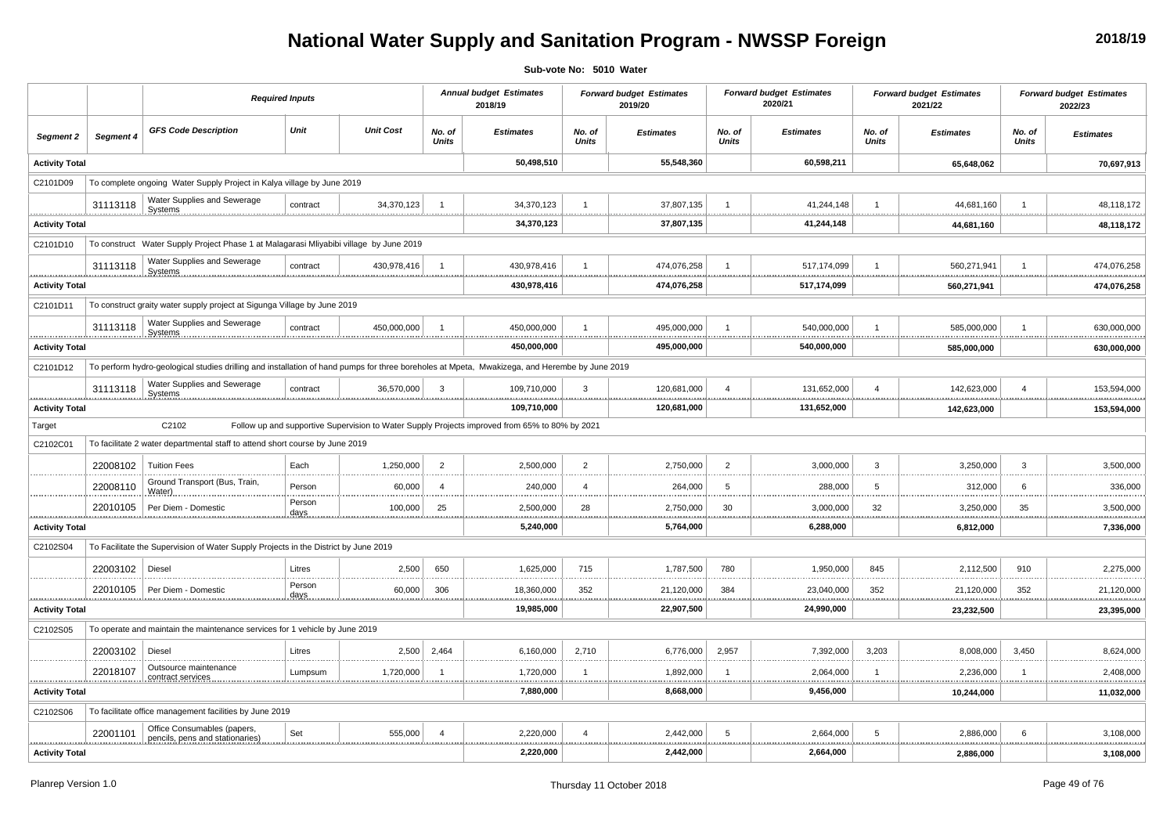# **National Water Supply and Sanitation Program - NWSSP Foreign**

**Sub-vote No: 5010 Water**

|                       |                                                                                   | <b>Required Inputs</b>                                                                                                                        |                 |                  |                        | <b>Annual budget Estimates</b><br>2018/19                                                      |                            | <b>Forward budget Estimates</b><br>2019/20 |                        | <b>Forward budget Estimates</b><br>2020/21 |                        | <b>Forward budget Estimates</b><br>2021/22 |                        | <b>Forward budget Estimates</b><br>2022/23 |
|-----------------------|-----------------------------------------------------------------------------------|-----------------------------------------------------------------------------------------------------------------------------------------------|-----------------|------------------|------------------------|------------------------------------------------------------------------------------------------|----------------------------|--------------------------------------------|------------------------|--------------------------------------------|------------------------|--------------------------------------------|------------------------|--------------------------------------------|
| Segment 2             | Segment 4                                                                         | <b>GFS Code Description</b>                                                                                                                   | Unit            | <b>Unit Cost</b> | No. of<br><b>Units</b> | <b>Estimates</b>                                                                               | No. of<br><b>Units</b>     | <b>Estimates</b>                           | No. of<br><b>Units</b> | <b>Estimates</b>                           | No. of<br><b>Units</b> | <b>Estimates</b>                           | No. of<br><b>Units</b> | <b>Estimates</b>                           |
| <b>Activity Total</b> |                                                                                   |                                                                                                                                               |                 |                  |                        | 50,498,510                                                                                     |                            | 55,548,360                                 |                        | 60,598,211                                 |                        | 65,648,062                                 |                        | 70,697,913                                 |
| C2101D09              |                                                                                   | To complete ongoing Water Supply Project in Kalya village by June 2019                                                                        |                 |                  |                        |                                                                                                |                            |                                            |                        |                                            |                        |                                            |                        |                                            |
|                       | 31113118                                                                          | Water Supplies and Sewerage<br>Systems                                                                                                        | contract        | 34,370,123       |                        | 34,370,123                                                                                     |                            | 37,807,135                                 |                        | 41,244,148                                 |                        | 44,681,160                                 |                        | 48,118,172                                 |
| <b>Activity Total</b> |                                                                                   |                                                                                                                                               |                 |                  |                        | 34,370,123                                                                                     |                            | 37,807,135                                 |                        | 41,244,148                                 |                        | 44,681,160                                 |                        | 48,118,172                                 |
| C2101D10              |                                                                                   | To construct Water Supply Project Phase 1 at Malagarasi Mliyabibi village by June 2019                                                        |                 |                  |                        |                                                                                                |                            |                                            |                        |                                            |                        |                                            |                        |                                            |
|                       | 31113118                                                                          | Water Supplies and Sewerage                                                                                                                   | contract        | 430,978,416      | $\overline{1}$         | 430,978,416                                                                                    |                            | 474,076,258                                |                        | 517,174,099                                |                        | 560.271.941                                |                        | 474,076,258                                |
| <b>Activity Total</b> |                                                                                   |                                                                                                                                               |                 |                  |                        | 430,978,416                                                                                    | .                          | 474,076,258                                |                        | 517,174,099                                |                        | 560,271,941                                | .                      | 474,076,258                                |
| C2101D11              |                                                                                   | To construct graity water supply project at Sigunga Village by June 2019                                                                      |                 |                  |                        |                                                                                                |                            |                                            |                        |                                            |                        |                                            |                        |                                            |
|                       | 31113118                                                                          | Water Supplies and Sewerage<br>Systems                                                                                                        | contract        | 450.000.000      | $\overline{1}$         | 450.000.000                                                                                    |                            | 495.000.000                                |                        | 540.000.000                                |                        | 585.000.000                                |                        | 630,000,000                                |
| <b>Activity Total</b> |                                                                                   |                                                                                                                                               |                 |                  |                        | .<br>450,000,000                                                                               |                            | 495,000,000                                |                        | 540,000,000                                |                        | 585,000,000                                |                        | 630,000,000                                |
| C2101D12              |                                                                                   | To perform hydro-geological studies drilling and installation of hand pumps for three boreholes at Mpeta, Mwakizega, and Herembe by June 2019 |                 |                  |                        |                                                                                                |                            |                                            |                        |                                            |                        |                                            |                        |                                            |
|                       | Water Supplies and Sewerage<br>31113118<br>36,570,000<br>contract<br>Systems<br>. |                                                                                                                                               |                 |                  |                        | 109,710,000                                                                                    | 3                          | 120,681,000                                |                        | 131,652,000                                |                        | 142,623,000                                | $\overline{4}$         | 153,594,000                                |
| <b>Activity Total</b> |                                                                                   |                                                                                                                                               |                 |                  |                        | 109,710,000                                                                                    |                            | 120,681,000                                |                        | <u>.</u><br>131,652,000                    |                        | 142,623,000                                |                        | 153,594,000                                |
| Target                |                                                                                   | C2102                                                                                                                                         |                 |                  |                        | Follow up and supportive Supervision to Water Supply Projects improved from 65% to 80% by 2021 |                            |                                            |                        |                                            |                        |                                            |                        |                                            |
| C2102C01              |                                                                                   | To facilitate 2 water departmental staff to attend short course by June 2019                                                                  |                 |                  |                        |                                                                                                |                            |                                            |                        |                                            |                        |                                            |                        |                                            |
|                       | 22008102                                                                          | <b>Tuition Fees</b>                                                                                                                           | Each            | 1,250,000        | $\overline{2}$         | 2,500,000                                                                                      | $\overline{2}$             | 2,750,000                                  | $\overline{2}$         | 3,000,000                                  | $\overline{3}$         | 3,250,000                                  | 3                      | 3,500,000                                  |
|                       | 22008110                                                                          | Ground Transport (Bus, Train,<br>Water)                                                                                                       | Person          | 60,000           | $\overline{4}$         | 240,000                                                                                        | $\overline{4}$             | 264,000                                    | -5                     | 288,000                                    | -5                     | 312,000                                    | 6                      | 336,000                                    |
| <u></u>               | 22010105                                                                          | Per Diem - Domestic                                                                                                                           | Person<br>days. | 100,000          | 25                     | 2,500,000<br><u></u>                                                                           | 28<br>                     | 2,750,000                                  | 30                     | 3,000,000                                  | 32                     | 3,250,000<br><u></u><br>                   | 35                     | 3,500,000                                  |
| <b>Activity Total</b> |                                                                                   |                                                                                                                                               |                 |                  |                        | 5,240,000                                                                                      |                            | 5,764,000                                  |                        | 6,288,000                                  |                        | 6,812,000                                  |                        | 7,336,000                                  |
| C2102S04              |                                                                                   | To Facilitate the Supervision of Water Supply Projects in the District by June 2019                                                           |                 |                  |                        |                                                                                                |                            |                                            |                        |                                            |                        |                                            |                        |                                            |
|                       | 22003102                                                                          | Diesel                                                                                                                                        | Litres          | 2,500            | 650                    | 1,625,000                                                                                      | 715                        | 1,787,500                                  | 780                    | 1,950,000                                  | 845                    | 2,112,500                                  | 910                    | 2,275,000                                  |
|                       | 22010105<br>                                                                      | Per Diem - Domestic                                                                                                                           | Person<br>days. | 60,000           | 306                    | 18,360,000<br>.                                                                                | 352<br><b></b>             | 21,120,000                                 | 384                    | 23,040,000<br>.                            | 352                    | 21,120,000<br>. <u>.</u> .                 | 352<br>                | 21,120,000                                 |
| <b>Activity Total</b> |                                                                                   |                                                                                                                                               |                 |                  |                        | 19,985,000                                                                                     |                            | 22,907,500                                 |                        | 24,990,000                                 |                        | 23,232,500                                 |                        | 23,395,000                                 |
| C2102S05              |                                                                                   | To operate and maintain the maintenance services for 1 vehicle by June 2019                                                                   |                 |                  |                        |                                                                                                |                            |                                            |                        |                                            |                        |                                            |                        |                                            |
|                       | 22003102                                                                          | Diesel                                                                                                                                        | Litres          | 2,500            | 2,464                  | 6,160,000                                                                                      | 2,710                      | 6,776,000                                  | 2,957                  | 7,392,000                                  | 3,203                  | 8,008,000                                  | 3,450                  | 8,624,000                                  |
|                       | 22018107                                                                          | Outsource maintenance<br>contract services                                                                                                    | Lumpsum         | 1,720,000        | -1                     | 1,720,000                                                                                      | $\mathbf{1}$<br>           | 1,892,000                                  | -1                     | 2,064,000                                  | -1                     | 2,236,000                                  |                        | 2,408,000                                  |
| <b>Activity Total</b> |                                                                                   |                                                                                                                                               |                 |                  |                        | <br>7,880,000                                                                                  |                            | 8,668,000                                  |                        | 9,456,000                                  |                        | 10,244,000                                 |                        | 11,032,000                                 |
| C2102S06              |                                                                                   | To facilitate office management facilities by June 2019                                                                                       |                 |                  |                        |                                                                                                |                            |                                            |                        |                                            |                        |                                            |                        |                                            |
|                       | 22001101<br>                                                                      | Office Consumables (papers,<br>pencils, pens and stationaries)                                                                                | Set             | 555,000          | $\overline{4}$         | 2,220,000<br><u>.</u>                                                                          | $\boldsymbol{\Lambda}$<br> | 2,442,000                                  | -5                     | 2,664,000<br>.                             | 5                      | 2,886,000<br><u>.</u>                      | 6                      | 3,108,000                                  |
| <b>Activity Total</b> |                                                                                   |                                                                                                                                               |                 |                  |                        | 2,220,000                                                                                      |                            | 2,442,000                                  |                        | 2,664,000                                  |                        | 2,886,000                                  |                        | 3,108,000                                  |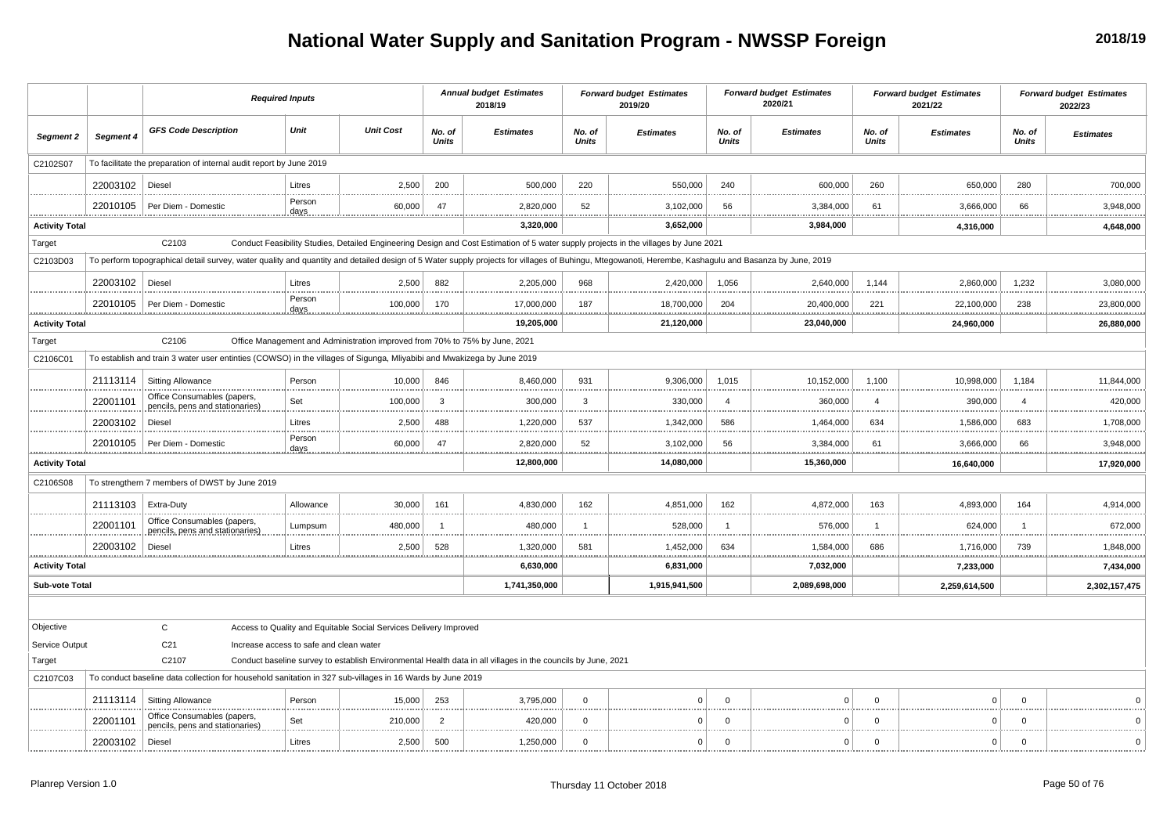## **National Water Supply and Sanitation Program - NWSSP Foreign**

|                       |           |                                                                                                                                                                                                      | <b>Required Inputs</b>                  |                                                                             |                        | <b>Annual budget Estimates</b><br>2018/19                                                                    |                        | <b>Forward budget Estimates</b><br>2019/20                                                                                           |                        | <b>Forward budget Estimates</b><br>2020/21 |                        | <b>Forward budget Estimates</b><br>2021/22 |                        | <b>Forward budget Estimates</b><br>2022/23 |
|-----------------------|-----------|------------------------------------------------------------------------------------------------------------------------------------------------------------------------------------------------------|-----------------------------------------|-----------------------------------------------------------------------------|------------------------|--------------------------------------------------------------------------------------------------------------|------------------------|--------------------------------------------------------------------------------------------------------------------------------------|------------------------|--------------------------------------------|------------------------|--------------------------------------------|------------------------|--------------------------------------------|
| Segment 2             | Segment 4 | <b>GFS Code Description</b>                                                                                                                                                                          | Unit                                    | <b>Unit Cost</b>                                                            | No. of<br><b>Units</b> | <b>Estimates</b>                                                                                             | No. of<br><b>Units</b> | <b>Estimates</b>                                                                                                                     | No. of<br><b>Units</b> | <b>Estimates</b>                           | No. of<br><b>Units</b> | <b>Estimates</b>                           | No. of<br><b>Units</b> | <b>Estimates</b>                           |
| C2102S07              |           | To facilitate the preparation of internal audit report by June 2019                                                                                                                                  |                                         |                                                                             |                        |                                                                                                              |                        |                                                                                                                                      |                        |                                            |                        |                                            |                        |                                            |
|                       | 22003102  | <b>Diesel</b>                                                                                                                                                                                        | Litres                                  | 2,500                                                                       | 200                    | 500,000                                                                                                      | 220                    | 550,000                                                                                                                              | 240                    | 600,000                                    | 260                    | 650,000                                    | 280                    | 700,000                                    |
|                       | 22010105  | Per Diem - Domestic                                                                                                                                                                                  | Person<br>days                          | 60,000                                                                      | 47                     | 2,820,000                                                                                                    | 52                     | 3,102,000                                                                                                                            | 56                     | 3,384,000                                  | 61                     | 3,666,000                                  | 66                     | 3,948,000                                  |
| <b>Activity Total</b> |           |                                                                                                                                                                                                      |                                         |                                                                             |                        | 3,320,000                                                                                                    |                        | 3,652,000                                                                                                                            |                        | 3,984,000                                  |                        | 4,316,000                                  |                        | .<br>4,648,000                             |
| Target                |           | C2103                                                                                                                                                                                                |                                         |                                                                             |                        |                                                                                                              |                        | Conduct Feasibility Studies, Detailed Engineering Design and Cost Estimation of 5 water supply projects in the villages by June 2021 |                        |                                            |                        |                                            |                        |                                            |
| C2103D03              |           | To perform topographical detail survey, water quality and quantity and detailed design of 5 Water supply projects for villages of Buhingu, Mtegowanoti, Herembe, Kashagulu and Basanza by June, 2019 |                                         |                                                                             |                        |                                                                                                              |                        |                                                                                                                                      |                        |                                            |                        |                                            |                        |                                            |
|                       | 22003102  | Diesel                                                                                                                                                                                               | Litres                                  | 2,500                                                                       | 882                    | 2,205,000                                                                                                    | 968                    | 2,420,000                                                                                                                            | 1,056                  | 2,640,000                                  | 1,144                  | 2,860,000                                  | 1,232                  | 3,080,000                                  |
|                       | 22010105  | Per Diem - Domestic                                                                                                                                                                                  | Person<br>days                          | 100,000                                                                     | 170                    | 17,000,000                                                                                                   | 187                    | 18,700,000                                                                                                                           | 204                    | 20,400,000                                 | 221                    | 22,100,000                                 | 238                    | 23,800,000                                 |
| <b>Activity Total</b> |           |                                                                                                                                                                                                      |                                         |                                                                             |                        | <br>19,205,000                                                                                               |                        | <br>21,120,000                                                                                                                       |                        | 23,040,000                                 |                        | 24,960,000                                 |                        | <br>26,880,000                             |
| Target                |           | C2106                                                                                                                                                                                                |                                         | Office Management and Administration improved from 70% to 75% by June, 2021 |                        |                                                                                                              |                        |                                                                                                                                      |                        |                                            |                        |                                            |                        |                                            |
| C2106C01              |           | To establish and train 3 water user entinties (COWSO) in the villages of Sigunga, Mliyabibi and Mwakizega by June 2019                                                                               |                                         |                                                                             |                        |                                                                                                              |                        |                                                                                                                                      |                        |                                            |                        |                                            |                        |                                            |
|                       | 21113114  | <b>Sitting Allowance</b>                                                                                                                                                                             | Person                                  | 10,000                                                                      | 846                    | 8,460,000                                                                                                    | 931                    | 9,306,000                                                                                                                            | 1,015                  | 10,152,000                                 | 1,100                  | 10,998,000                                 | 1,184                  | 11,844,000                                 |
|                       | 22001101  | Office Consumables (papers,<br>pencils, pens and stationaries)                                                                                                                                       | Set                                     | 100,000                                                                     | 3                      | 300,000                                                                                                      | 3                      | 330,000                                                                                                                              | $\overline{4}$         | 360,000                                    | $\overline{4}$         | 390,000                                    | $\overline{4}$         | 420,000<br>.                               |
|                       | 22003102  | Diesel                                                                                                                                                                                               | Litres                                  | 2,500                                                                       | 488                    | 1,220,000                                                                                                    | 537                    | 1,342,000                                                                                                                            | 586                    | 1,464,000                                  | 634                    | 1,586,000                                  | 683                    | 1,708,000                                  |
|                       | 22010105  | Per Diem - Domestic                                                                                                                                                                                  | Person<br>days                          | 60,000                                                                      | 47                     | 2,820,000                                                                                                    | 52                     | 3,102,000                                                                                                                            | 56                     | 3,384,000                                  | 61                     | 3,666,000                                  | 66                     | 3,948,000                                  |
| <b>Activity Total</b> |           |                                                                                                                                                                                                      |                                         |                                                                             |                        | 12,800,000                                                                                                   |                        | 14,080,000                                                                                                                           |                        | 15,360,000                                 |                        | 16.640.000                                 |                        | 17,920,000                                 |
| C2106S08              |           | To strengthern 7 members of DWST by June 2019                                                                                                                                                        |                                         |                                                                             |                        |                                                                                                              |                        |                                                                                                                                      |                        |                                            |                        |                                            |                        |                                            |
|                       | 21113103  | Extra-Duty                                                                                                                                                                                           | Allowance                               | 30,000                                                                      | 161                    | 4,830,000                                                                                                    | 162                    | 4,851,000                                                                                                                            | 162                    | 4,872,000                                  | 163                    | 4,893,000                                  | 164                    | 4,914,000                                  |
|                       | 22001101  | Office Consumables (papers,<br>pencils, pens and stationaries)                                                                                                                                       | Lumpsum                                 | 480,000                                                                     | -1                     | 480,000                                                                                                      | $\mathbf{1}$           | 528,000                                                                                                                              | -1                     | 576,000                                    | $\mathbf 1$            | 624,000                                    | $\overline{1}$         | 672,000<br>                                |
|                       | 22003102  | Diesel                                                                                                                                                                                               | Litres                                  | 2,500                                                                       | 528                    | 1,320,000                                                                                                    | 581                    | 1,452,000                                                                                                                            | 634                    | 1,584,000                                  | 686                    | 1,716,000                                  | 739                    | 1,848,000                                  |
| <b>Activity Total</b> |           |                                                                                                                                                                                                      |                                         |                                                                             |                        | <b>**********</b><br>6,630,000                                                                               |                        | <br>6,831,000                                                                                                                        |                        | <br>7,032,000                              |                        | 7,233,000                                  | .                      | <br>7,434,000                              |
| <b>Sub-vote Total</b> |           |                                                                                                                                                                                                      |                                         |                                                                             |                        | 1,741,350,000                                                                                                |                        | 1,915,941,500                                                                                                                        |                        | 2,089,698,000                              |                        | 2,259,614,500                              |                        | 2,302,157,475                              |
|                       |           |                                                                                                                                                                                                      |                                         |                                                                             |                        |                                                                                                              |                        |                                                                                                                                      |                        |                                            |                        |                                            |                        |                                            |
| Objective             |           | $\mathbf{C}$                                                                                                                                                                                         |                                         | Access to Quality and Equitable Social Services Delivery Improved           |                        |                                                                                                              |                        |                                                                                                                                      |                        |                                            |                        |                                            |                        |                                            |
| Service Output        |           | C <sub>21</sub>                                                                                                                                                                                      | Increase access to safe and clean water |                                                                             |                        |                                                                                                              |                        |                                                                                                                                      |                        |                                            |                        |                                            |                        |                                            |
| Target                |           | C2107                                                                                                                                                                                                |                                         |                                                                             |                        | Conduct baseline survey to establish Environmental Health data in all villages in the councils by June, 2021 |                        |                                                                                                                                      |                        |                                            |                        |                                            |                        |                                            |
| C2107C03              |           | To conduct baseline data collection for household sanitation in 327 sub-villages in 16 Wards by June 2019                                                                                            |                                         |                                                                             |                        |                                                                                                              |                        |                                                                                                                                      |                        |                                            |                        |                                            |                        |                                            |
|                       | 21113114  | <b>Sitting Allowance</b>                                                                                                                                                                             | Person                                  | 15,000                                                                      | 253                    | 3,795,000                                                                                                    | $\mathbf 0$            | $\Omega$                                                                                                                             | $\mathbf 0$            | $\Omega$                                   | $\mathbf 0$            | $\Omega$                                   | $\mathbf 0$            |                                            |
|                       | 22001101  | Office Consumables (papers,<br>pencils, pens and stationaries)                                                                                                                                       | Set                                     | 210,000                                                                     | $\overline{2}$         | 420,000                                                                                                      | $\mathbf{0}$           | $\Omega$<br>1.1.1.1                                                                                                                  | $\mathbf 0$            | $\Omega$                                   | $\Omega$               | $\Omega$                                   | $\mathbf 0$            |                                            |
|                       | 22003102  | Diesel                                                                                                                                                                                               | Litres                                  | 2,500                                                                       | 500                    | 1,250,000                                                                                                    | $\mathbf 0$            | $\mathbf 0$                                                                                                                          | $\mathbf 0$            | 0                                          | $\mathbf 0$            | $\Omega$                                   | $\mathbf 0$            | $\Omega$                                   |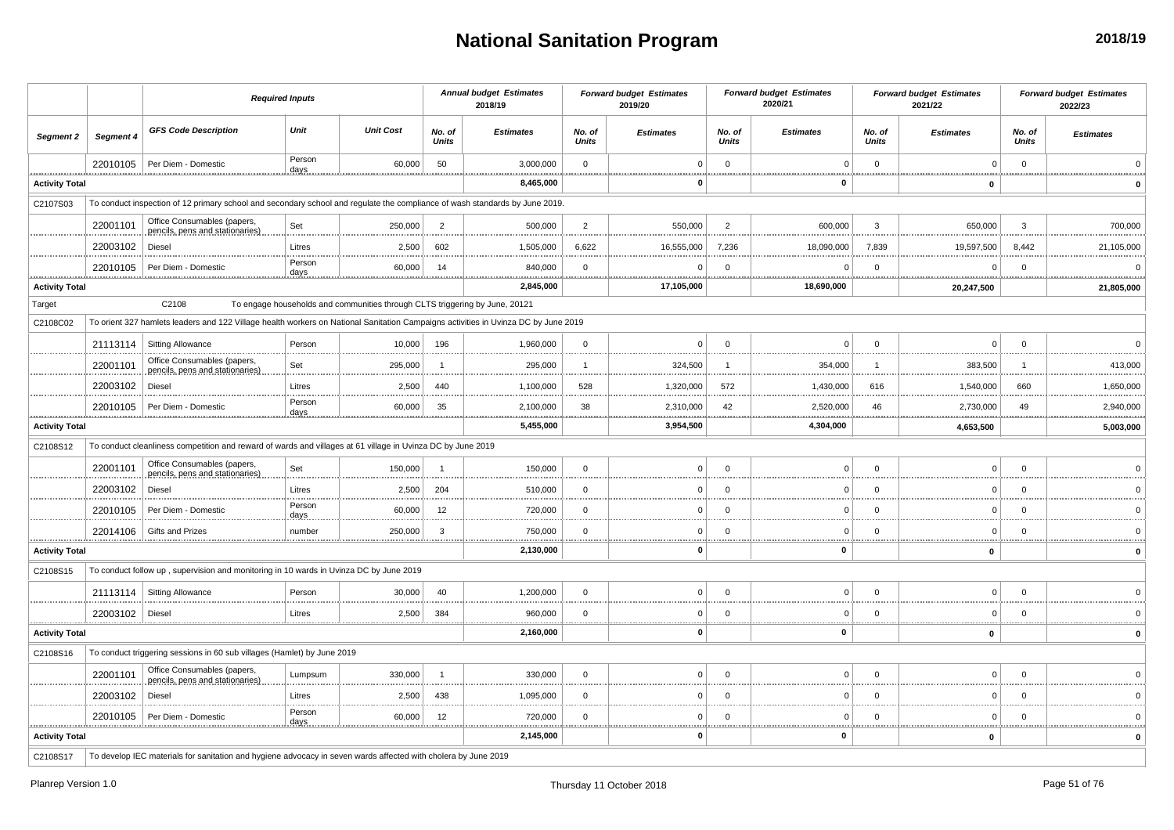## **National Sanitation Program**

|                       |              |                                                                                                                                    | <b>Required Inputs</b> |                                                                             |                        | <b>Annual budget Estimates</b><br>2018/19 |                        | <b>Forward budget Estimates</b><br>2019/20 |                        | <b>Forward budget Estimates</b><br>2020/21         |                        | <b>Forward budget Estimates</b><br>2021/22 |                        | <b>Forward budget Estimates</b><br>2022/23 |
|-----------------------|--------------|------------------------------------------------------------------------------------------------------------------------------------|------------------------|-----------------------------------------------------------------------------|------------------------|-------------------------------------------|------------------------|--------------------------------------------|------------------------|----------------------------------------------------|------------------------|--------------------------------------------|------------------------|--------------------------------------------|
| Segment 2             | Segment 4    | <b>GFS Code Description</b>                                                                                                        | Unit                   | <b>Unit Cost</b>                                                            | No. of<br><b>Units</b> | <b>Estimates</b>                          | No. of<br><b>Units</b> | <b>Estimates</b>                           | No. of<br><b>Units</b> | <b>Estimates</b>                                   | No. of<br><b>Units</b> | <b>Estimates</b>                           | No. of<br><b>Units</b> | <b>Estimates</b>                           |
|                       | 22010105<br> | Per Diem - Domestic                                                                                                                | Person<br>days         | 60,000                                                                      | 50                     | 3,000,000<br>.                            | $\Omega$<br>           | $\Omega$<br>.                              | $\mathbf{0}$<br>       | $\mathsf 0$<br>.                                   | $\mathbf{0}$<br>       | $\mathbf 0$<br>                            | $\mathbf{0}$<br>       |                                            |
| <b>Activity Total</b> |              |                                                                                                                                    |                        |                                                                             |                        | 8,465,000                                 |                        | 0                                          |                        | 0                                                  |                        | $\mathbf 0$                                |                        |                                            |
| C2107S03              |              | To conduct inspection of 12 primary school and secondary school and regulate the compliance of wash standards by June 2019.        |                        |                                                                             |                        |                                           |                        |                                            |                        |                                                    |                        |                                            |                        |                                            |
|                       | 22001101     | Office Consumables (papers,<br>pencils, pens and stationaries)                                                                     | Set                    | 250,000                                                                     | $\overline{2}$         | 500,000                                   | $\overline{2}$         | 550,000                                    | $\overline{2}$         | 600,000                                            | 3                      | 650,000                                    | 3                      | 700,000                                    |
|                       | 22003102     | Diesel                                                                                                                             | Litres                 | 2,500                                                                       | 602                    | 1,505,000                                 | 6,622                  | 16,555,000                                 | 7,236                  | 18,090,000                                         | 7,839                  | 19,597,500                                 | 8,442                  | 21,105,000                                 |
|                       | 22010105     | Per Diem - Domestic                                                                                                                | Person<br>days         | 60,000                                                                      | 14                     | 840,000                                   | $\mathbf 0$            | $\sqrt{2}$                                 | $\Omega$               | $\Omega$                                           | $\Omega$               | $\Omega$                                   | $\Omega$               | .                                          |
| <b>Activity Total</b> |              |                                                                                                                                    |                        |                                                                             |                        | 2,845,000                                 |                        | <u>.</u><br>17,105,000                     |                        | <u>.</u><br>18,690,000                             |                        | <u>.</u><br>20,247,500                     |                        | 21,805,000                                 |
| Target                |              | C2108                                                                                                                              |                        | To engage households and communities through CLTS triggering by June, 20121 |                        |                                           |                        |                                            |                        |                                                    |                        |                                            |                        |                                            |
| C2108C02              |              | To orient 327 hamlets leaders and 122 Village health workers on National Sanitation Campaigns activities in Uvinza DC by June 2019 |                        |                                                                             |                        |                                           |                        |                                            |                        |                                                    |                        |                                            |                        |                                            |
|                       | 21113114     | <b>Sitting Allowance</b>                                                                                                           | Person                 | 10,000                                                                      | 196                    | 1,960,000                                 | $\mathbf{0}$           | $\mathbf 0$                                | $\Omega$               | $\mathsf 0$                                        | $\Omega$               | $\mathbf 0$                                | $\mathbf 0$            | $\Omega$                                   |
|                       | 22001101     | Office Consumables (papers,<br>pencils, pens and stationaries)                                                                     | Set                    | 295,000                                                                     | $\overline{1}$         | 295,000                                   | $\mathbf{1}$           | 324,500                                    | $\overline{1}$         | 354,000                                            | $\overline{1}$         | 383,500                                    | $\overline{1}$         | 413,000                                    |
|                       | 22003102     | <b>Diesel</b>                                                                                                                      | Litres                 | 2,500                                                                       | 440                    | 1,100,000                                 | 528                    | 1,320,000                                  | 572                    | 1,430,000                                          | 616                    | 1,540,000                                  | 660                    | 1,650,000                                  |
|                       | 22010105     | Per Diem - Domestic                                                                                                                | Person<br>days         | 60,000<br><u></u>                                                           | 35                     | 2,100,000<br>.                            | 38                     | 2,310,000<br><u></u>                       | 42<br><b>*********</b> | 2,520,000<br>****************                      | 46<br>.                | 2,730,000<br><u>.</u>                      | 49<br>                 | 2,940,000<br>.                             |
| <b>Activity Total</b> |              |                                                                                                                                    |                        |                                                                             |                        | 5,455,000                                 |                        | 3,954,500                                  |                        | 4,304,000                                          |                        | 4,653,500                                  |                        | 5,003,000                                  |
| C2108S12              |              | To conduct cleanliness competition and reward of wards and villages at 61 village in Uvinza DC by June 2019                        |                        |                                                                             |                        |                                           |                        |                                            |                        |                                                    |                        |                                            |                        |                                            |
|                       | 22001101     | Office Consumables (papers,<br>pencils, pens and stationaries)                                                                     | Set                    | 150,000                                                                     | $\overline{1}$         | 150,000                                   | $\mathbf{0}$           | $\Omega$                                   | $\Omega$               | $\mathbf 0$                                        | $\Omega$               | $\mathbf 0$                                | $\mathbf 0$            |                                            |
|                       | 22003102     | Diesel                                                                                                                             | Litres                 | 2,500                                                                       | 204                    | 510,000                                   | $\Omega$               | $\Omega$                                   | $\Omega$               | $\Omega$                                           | $\Omega$               | $\Omega$                                   | $\Omega$               |                                            |
|                       | 22010105     | Per Diem - Domestic                                                                                                                | Person<br>days         | 60,000                                                                      | 12                     | 720,000                                   | $\mathbf 0$            | $\Omega$                                   | $\Omega$               | $\mathbf 0$                                        | $\Omega$               | 0                                          | $\Omega$               |                                            |
|                       | 22014106     | Gifts and Prizes                                                                                                                   | number                 | 250,000                                                                     | 3                      | 750,000                                   | $\mathbf 0$            | C                                          | $\Omega$               | $\mathbf 0$                                        | $\Omega$               | $\mathbf 0$                                | $\Omega$               |                                            |
| <b>Activity Total</b> |              |                                                                                                                                    |                        |                                                                             |                        | 2,130,000                                 |                        | O                                          |                        | $\mathbf 0$                                        |                        | 0                                          |                        |                                            |
| C2108S15              |              | To conduct follow up, supervision and monitoring in 10 wards in Uvinza DC by June 2019                                             |                        |                                                                             |                        |                                           |                        |                                            |                        |                                                    |                        |                                            |                        |                                            |
|                       |              | 21113114   Sitting Allowance                                                                                                       | Person                 | 30,000                                                                      | 40                     | 1,200,000                                 | $\Omega$               | $\Omega$                                   | $\Omega$               | $\mathbf 0$                                        | $\Omega$               | $\mathbf 0$                                | $\Omega$               |                                            |
|                       | 22003102     | Diesel                                                                                                                             | Litres                 | 2,500                                                                       | 384                    | 960,000                                   | $\mathbf 0$            | C                                          | $\Omega$               | $\mathbf 0$<br>                                    | $\Omega$               | $\mathbf 0$                                | $\mathbf 0$            |                                            |
| <b>Activity Total</b> |              |                                                                                                                                    |                        |                                                                             |                        | 2,160,000                                 |                        | n                                          |                        | $\pmb{0}$                                          |                        | $\mathbf{0}$                               |                        |                                            |
| C2108S16              |              | To conduct triggering sessions in 60 sub villages (Hamlet) by June 2019                                                            |                        |                                                                             |                        |                                           |                        |                                            |                        |                                                    |                        |                                            |                        |                                            |
|                       | 22001101     | Office Consumables (papers,<br>pencils, pens and stationaries)                                                                     | Lumpsum                | 330,000                                                                     | $\overline{1}$         | 330,000                                   | $\mathbf{0}$           | $\Omega$                                   | $\Omega$               | $\mathbf 0$                                        | $\Omega$               | $\mathbf 0$                                | $\Omega$               |                                            |
|                       | 22003102     | <b>Diesel</b>                                                                                                                      | Litres                 | 2,500                                                                       | 438                    | 1,095,000                                 | $\Omega$               | $\sqrt{2}$                                 | $\Omega$               | $\Omega$                                           | $\Omega$               | $\Omega$                                   | $\Omega$               |                                            |
| .                     | 22010105     | Per Diem - Domestic                                                                                                                | Person<br>days         | 60,000                                                                      | 12                     | 720,000<br>.                              | $\mathbf 0$<br>        | $\Omega$                                   | $\Omega$               | $\mathbf 0$<br>,,,,,,,,,,,,,,,,,,,,,,,,,,,,,,,,,,, | $\Omega$               | $\mathbf 0$                                | $\mathbf 0$            |                                            |
| <b>Activity Total</b> |              |                                                                                                                                    |                        |                                                                             |                        | 2,145,000                                 |                        | 0                                          |                        | 0                                                  |                        | 0                                          |                        |                                            |
| C2108S17              |              | To develop IEC materials for sanitation and hygiene advocacy in seven wards affected with cholera by June 2019                     |                        |                                                                             |                        |                                           |                        |                                            |                        |                                                    |                        |                                            |                        |                                            |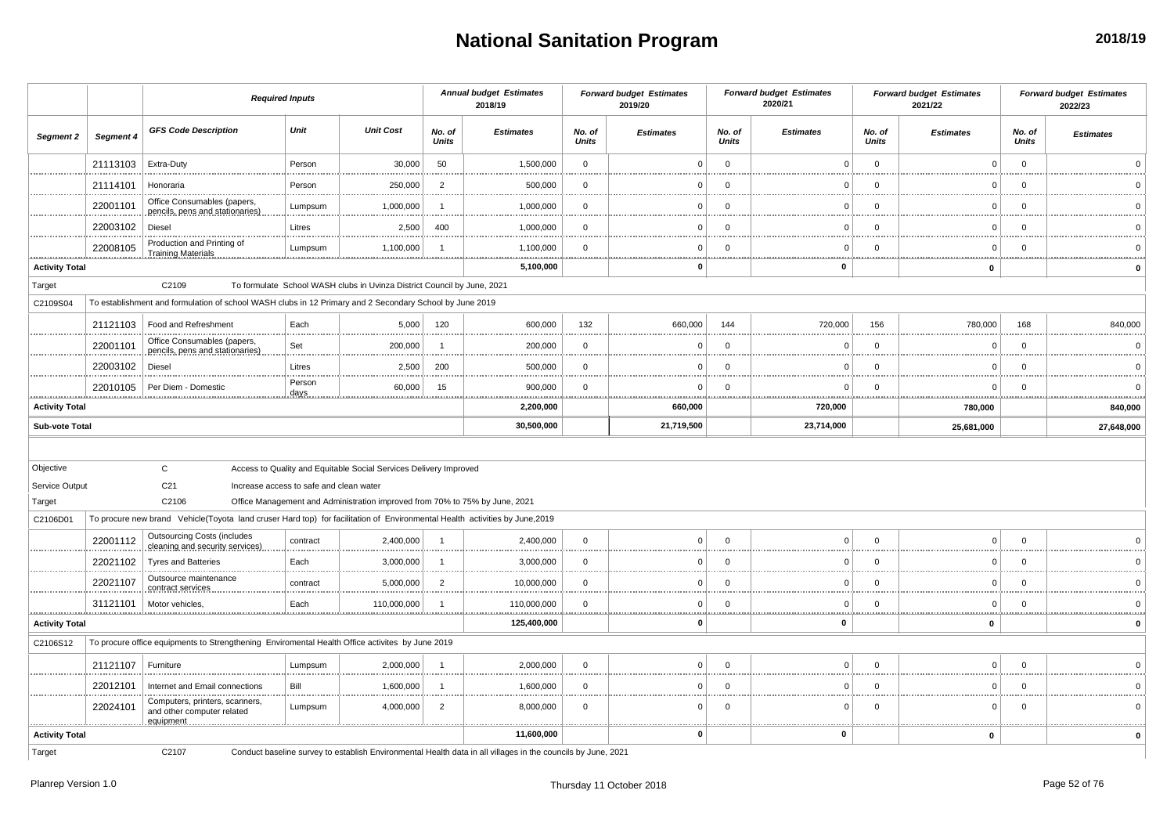# **National Sanitation Program**

|                             |               |                                                                                                                             | <b>Required Inputs</b>                  |                                                                             |                        | <b>Annual budget Estimates</b><br>2018/19                                                                    |                  | <b>Forward budget Estimates</b><br>2019/20 |                        | <b>Forward budget Estimates</b><br>2020/21 |                        | <b>Forward budget Estimates</b><br>2021/22 |                        | <b>Forward budget Estimates</b><br>2022/23 |
|-----------------------------|---------------|-----------------------------------------------------------------------------------------------------------------------------|-----------------------------------------|-----------------------------------------------------------------------------|------------------------|--------------------------------------------------------------------------------------------------------------|------------------|--------------------------------------------|------------------------|--------------------------------------------|------------------------|--------------------------------------------|------------------------|--------------------------------------------|
| Segment 2                   | Segment 4     | <b>GFS Code Description</b>                                                                                                 | Unit                                    | <b>Unit Cost</b>                                                            | No. of<br><b>Units</b> | <b>Estimates</b>                                                                                             | No. of<br>Units  | <b>Estimates</b>                           | No. of<br><b>Units</b> | <b>Estimates</b>                           | No. of<br><b>Units</b> | <b>Estimates</b>                           | No. of<br><b>Units</b> | <b>Estimates</b>                           |
|                             | 21113103      | Extra-Duty                                                                                                                  | Person                                  | 30,000                                                                      | 50                     | 1,500,000                                                                                                    | $\mathbf 0$      | $\Omega$                                   | $\mathbf 0$            | $\Omega$                                   | $\mathbf 0$            | $\Omega$                                   | $\mathbf{0}$           |                                            |
|                             | 21114101      | Honoraria                                                                                                                   | Person                                  | 250,000                                                                     | $\overline{2}$         | 500,000                                                                                                      | $\mathbf 0$      | $\Omega$                                   | $\Omega$               |                                            | $\mathbf 0$            | 0                                          | $\Omega$               |                                            |
|                             | 22001101      | Office Consumables (papers,<br>pencils, pens and stationaries).                                                             | Lumpsum                                 | 1,000,000                                                                   |                        | 1,000,000                                                                                                    | $\mathbf 0$      | $\Omega$                                   | $\Omega$               | $\Omega$                                   | $\Omega$               | $\Omega$                                   | $\Omega$               |                                            |
|                             | 22003102      | Diesel                                                                                                                      | Litres                                  | 2,500                                                                       | 400                    | 1,000,000                                                                                                    | $\mathbf 0$      | $\Omega$                                   | $\Omega$               | $\Omega$                                   | $\Omega$               | $\Omega$                                   | $\Omega$               |                                            |
|                             | 22008105      | Production and Printing of<br><b>Training Materials</b>                                                                     | Lumpsum                                 | 1,100,000                                                                   |                        | 1,100,000                                                                                                    | $\mathbf 0$      | $\mathbf 0$                                | $\mathbf 0$            | $\Omega$                                   | $\mathbf 0$            | $\Omega$                                   | $\Omega$               |                                            |
| <b>Activity Total</b>       |               |                                                                                                                             |                                         |                                                                             |                        | 5,100,000                                                                                                    |                  | 0                                          |                        | 0                                          |                        | 0                                          |                        | $\mathbf 0$                                |
| Target                      |               | C2109                                                                                                                       |                                         | To formulate School WASH clubs in Uvinza District Council by June, 2021     |                        |                                                                                                              |                  |                                            |                        |                                            |                        |                                            |                        |                                            |
| C2109S04                    |               | To establishment and formulation of school WASH clubs in 12 Primary and 2 Secondary School by June 2019                     |                                         |                                                                             |                        |                                                                                                              |                  |                                            |                        |                                            |                        |                                            |                        |                                            |
|                             | 21121103      | Food and Refreshment                                                                                                        | Each                                    | 5,000                                                                       | 120                    | 600,000                                                                                                      | 132              | 660,000                                    | 144                    | 720,000                                    | 156                    | 780,000                                    | 168                    | 840,000                                    |
|                             | 22001101      | Office Consumables (papers,<br>pencils, pens and stationaries)                                                              | Set                                     | 200,000                                                                     |                        | 200,000                                                                                                      | $\mathbf 0$      | 0                                          | $\Omega$               | $\Omega$                                   | $\mathbf 0$            | $\Omega$                                   | $\Omega$               | $\Omega$                                   |
|                             | 22003102      | Diesel                                                                                                                      | Litres                                  | 2,500                                                                       | 200                    | 500,000                                                                                                      | $\mathbf 0$      | $\Omega$                                   | $\mathbf 0$            | $\Omega$                                   | $\mathbf 0$            | $\Omega$                                   | $\Omega$               | $\Omega$                                   |
| .                           | 22010105<br>  | Per Diem - Domestic                                                                                                         | Person<br>days                          | 60,000<br>                                                                  | 15<br>                 | 900,000                                                                                                      | $\mathbf 0$<br>. | $\Omega$<br>                               | $\Omega$               | $\Omega$<br>                               | $\mathbf 0$            | $\Omega$                                   | $\Omega$<br>.          | $\Omega$                                   |
| <b>Activity Total</b>       |               |                                                                                                                             |                                         |                                                                             |                        | 2,200,000                                                                                                    |                  | 660,000                                    |                        | 720,000                                    |                        | 780,000                                    |                        | 840,000                                    |
| <b>Sub-vote Total</b>       |               |                                                                                                                             |                                         |                                                                             |                        | 30,500,000                                                                                                   |                  | 21,719,500                                 |                        | 23,714,000                                 |                        | 25,681,000                                 |                        | 27,648,000                                 |
| Objective<br>Service Output |               | $\mathbf{C}$<br>C <sub>21</sub>                                                                                             | Increase access to safe and clean water | Access to Quality and Equitable Social Services Delivery Improved           |                        |                                                                                                              |                  |                                            |                        |                                            |                        |                                            |                        |                                            |
| Target                      |               | C2106                                                                                                                       |                                         | Office Management and Administration improved from 70% to 75% by June, 2021 |                        |                                                                                                              |                  |                                            |                        |                                            |                        |                                            |                        |                                            |
| C2106D01                    |               | To procure new brand Vehicle(Toyota land cruser Hard top) for facilitation of Environmental Health activities by June, 2019 |                                         |                                                                             |                        |                                                                                                              |                  |                                            |                        |                                            |                        |                                            |                        |                                            |
|                             | 22001112      | <b>Outsourcing Costs (includes</b><br>cleaning and security services)                                                       | contract                                | 2,400,000                                                                   |                        | 2,400,000                                                                                                    | $\mathbf 0$      | $\Omega$                                   | $\Omega$               | $\Omega$                                   | $\mathbf 0$            | $\Omega$                                   | $\Omega$               |                                            |
|                             | 22021102      | <b>Tyres and Batteries</b>                                                                                                  | Each                                    | 3,000,000                                                                   |                        | 3,000,000                                                                                                    | $^{\circ}$       | $\Omega$                                   | $\Omega$               | $\Omega$                                   | $\Omega$               | $\Omega$                                   | $\Omega$               |                                            |
|                             | 22021107      | Outsource maintenance<br>contract services                                                                                  | contract                                | 5,000,000                                                                   | $\overline{2}$         | 10,000,000                                                                                                   | $\mathbf 0$      | $\mathbf 0$                                | $\mathbf 0$            | $\Omega$                                   | $\mathbf 0$            | 0                                          | $\mathbf 0$            | $\Omega$                                   |
| <u>.</u>                    | 31121101<br>. | Motor vehicles,                                                                                                             | Each                                    | 110,000,000                                                                 |                        | 110,000,000                                                                                                  | $\mathbf 0$      | $\mathbf 0$<br><u></u>                     | $\Omega$               | 0                                          | $\Omega$               | 0                                          | $\Omega$               |                                            |
| <b>Activity Total</b>       |               |                                                                                                                             |                                         |                                                                             |                        | 125,400,000                                                                                                  |                  | $\mathbf 0$                                |                        | $\mathbf 0$                                |                        | 0                                          |                        | $\mathbf 0$                                |
| C2106S12                    |               | To procure office equipments to Strengthening Enviromental Health Office activites by June 2019                             |                                         |                                                                             |                        |                                                                                                              |                  |                                            |                        |                                            |                        |                                            |                        |                                            |
|                             | 21121107      | Furniture                                                                                                                   | Lumpsum                                 | 2,000,000                                                                   | - 1                    | 2,000,000                                                                                                    | $\mathbf{0}$     | $\mathbf 0$                                | $\Omega$               | $\Omega$                                   | $\Omega$               | $\Omega$                                   | $\Omega$               |                                            |
|                             | 22012101      | Internet and Email connections                                                                                              | Bill                                    | 1,600,000                                                                   |                        | 1,600,000                                                                                                    | $\mathbf{0}$     | $\Omega$                                   | $\Omega$               | $\Omega$                                   | $\Omega$               | $\Omega$                                   | $\Omega$               |                                            |
|                             | 22024101      | Computers, printers, scanners,<br>and other computer related<br>equipment                                                   | Lumpsum                                 | 4,000,000                                                                   | $\overline{2}$         | 8,000,000<br>.                                                                                               | $\mathbf 0$      | $\Omega$                                   | $\Omega$               | $\Omega$                                   | $\Omega$               | $\Omega$                                   | $\Omega$               |                                            |
| <b>Activity Total</b>       |               |                                                                                                                             |                                         |                                                                             |                        | 11,600,000                                                                                                   |                  | 0                                          |                        | $\mathbf 0$                                |                        | $\mathbf 0$                                |                        | $\mathbf 0$                                |
| Target                      |               | C2107                                                                                                                       |                                         |                                                                             |                        | Conduct baseline survey to establish Environmental Health data in all villages in the councils by June, 2021 |                  |                                            |                        |                                            |                        |                                            |                        |                                            |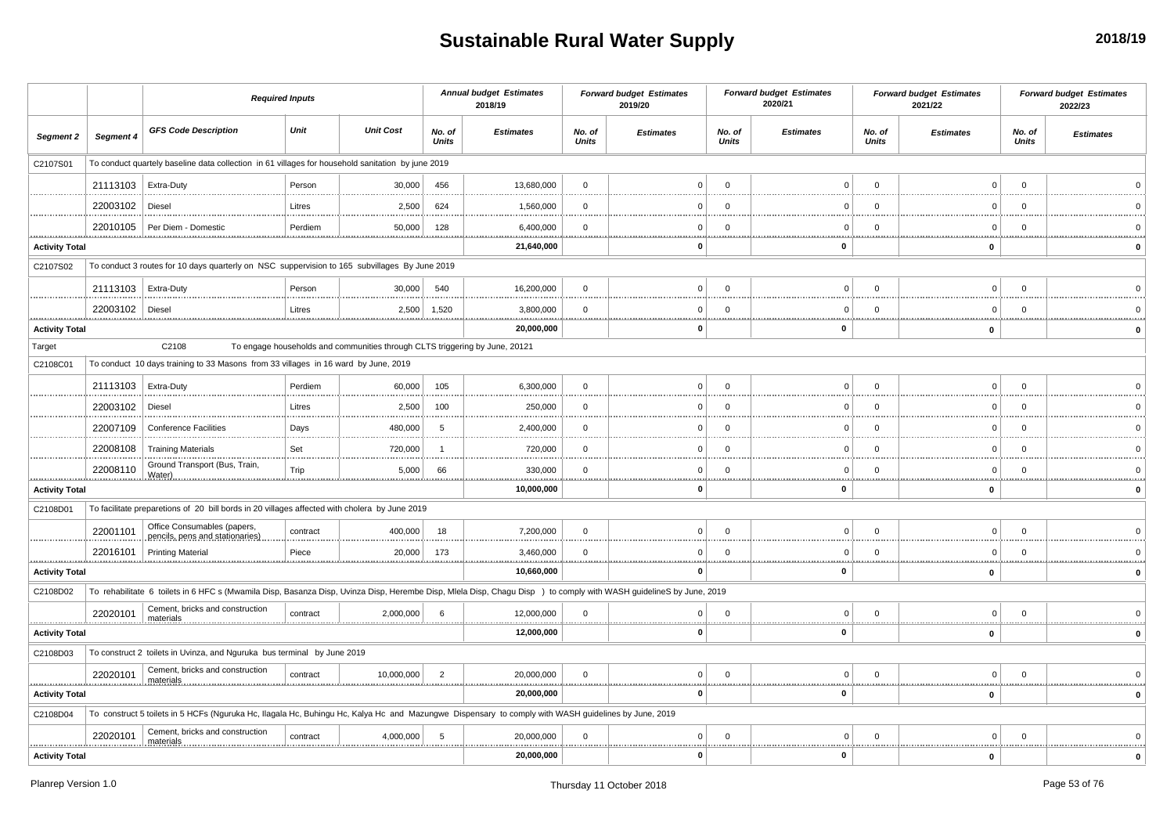# **Sustainable Rural Water Supply**

|                       |                       | <b>Required Inputs</b>                                                                                                                                             |          |                                                                             |                        | <b>Annual budget Estimates</b><br>2018/19 |                        | <b>Forward budget Estimates</b><br>2019/20 |                         | <b>Forward budget Estimates</b><br>2020/21 |                        | <b>Forward budget Estimates</b><br>2021/22 |                        | <b>Forward budget Estimates</b><br>2022/23 |
|-----------------------|-----------------------|--------------------------------------------------------------------------------------------------------------------------------------------------------------------|----------|-----------------------------------------------------------------------------|------------------------|-------------------------------------------|------------------------|--------------------------------------------|-------------------------|--------------------------------------------|------------------------|--------------------------------------------|------------------------|--------------------------------------------|
| Segment 2             | Segment 4             | <b>GFS Code Description</b>                                                                                                                                        | Unit     | <b>Unit Cost</b>                                                            | No. of<br><b>Units</b> | <b>Estimates</b>                          | No. of<br><b>Units</b> | <b>Estimates</b>                           | No. of<br><b>Units</b>  | <b>Estimates</b>                           | No. of<br><b>Units</b> | <b>Estimates</b>                           | No. of<br><b>Units</b> | <b>Estimates</b>                           |
| C2107S01              |                       | To conduct quartely baseline data collection in 61 villages for household sanitation by june 2019                                                                  |          |                                                                             |                        |                                           |                        |                                            |                         |                                            |                        |                                            |                        |                                            |
|                       | 21113103   Extra-Duty |                                                                                                                                                                    | Person   | 30,000                                                                      | 456                    | 13,680,000                                | $\overline{0}$         | $\Omega$                                   | $\mathbf{0}$            |                                            | $\Omega$               | $\mathbf 0$                                | $\Omega$               |                                            |
|                       | 22003102   Diesel     |                                                                                                                                                                    | Litres   | 2,500                                                                       | 624                    | 1,560,000                                 | $\mathbf{0}$           |                                            | $\Omega$                | C                                          | $\Omega$               | $\Omega$                                   | $\Omega$               |                                            |
|                       | 22010105              | Per Diem - Domestic                                                                                                                                                | Perdiem  | 50,000                                                                      | 128                    | 6,400,000                                 | $\mathbf 0$            | $\Omega$                                   | $\Omega$                | $\Omega$                                   | $\Omega$               | $\Omega$                                   | $\Omega$               |                                            |
| <b>Activity Total</b> |                       |                                                                                                                                                                    |          |                                                                             |                        | 21,640,000                                |                        | $\Omega$                                   |                         | 0                                          |                        | $\mathbf 0$                                |                        |                                            |
| C2107S02              |                       | To conduct 3 routes for 10 days quarterly on NSC suppervision to 165 subvillages By June 2019                                                                      |          |                                                                             |                        |                                           |                        |                                            |                         |                                            |                        |                                            |                        |                                            |
|                       | 21113103   Extra-Duty |                                                                                                                                                                    | Person   | 30,000                                                                      | 540                    | 16,200,000                                | $\overline{0}$         | $\Omega$                                   | $\Omega$                | $\Omega$                                   | $\Omega$               | $\mathbf 0$                                | $\Omega$               |                                            |
|                       | 22003102              | Diesel                                                                                                                                                             | Litres   | 2,500                                                                       | 1,520                  | 3,800,000                                 | $\mathbf 0$            | 0                                          | $\mathbf 0$             | $\Omega$                                   | $\mathbf 0$            | $\mathsf 0$                                | $\Omega$               |                                            |
| <b>Activity Total</b> |                       |                                                                                                                                                                    |          |                                                                             |                        | 20,000,000                                |                        | $\Omega$                                   | .                       | $\bf{0}$                                   |                        | $\pmb{0}$                                  |                        |                                            |
| Target                |                       | C2108                                                                                                                                                              |          | To engage households and communities through CLTS triggering by June, 20121 |                        |                                           |                        |                                            |                         |                                            |                        |                                            |                        |                                            |
| C2108C01              |                       | To conduct 10 days training to 33 Masons from 33 villages in 16 ward by June, 2019                                                                                 |          |                                                                             |                        |                                           |                        |                                            |                         |                                            |                        |                                            |                        |                                            |
|                       | 21113103   Extra-Duty |                                                                                                                                                                    | Perdiem  | 60,000                                                                      | 105                    | 6,300,000                                 | $\mathbf 0$            | $\Omega$                                   | $\Omega$                | $\Omega$                                   | $\Omega$               | $\mathbf 0$                                | $\Omega$               |                                            |
|                       | 22003102              | Diesel                                                                                                                                                             | Litres   | 2,500                                                                       | 100                    | 250,000                                   | $\overline{0}$         | <sup>0</sup>                               | $\Omega$                | n                                          | $\Omega$               | $\mathbf 0$                                | $\Omega$               |                                            |
|                       | 22007109              | <b>Conference Facilities</b>                                                                                                                                       | Days     | 480,000                                                                     | 5                      | 2,400,000                                 | $\mathbf{0}$           | $\Omega$                                   | $\Omega$                | $\Omega$                                   | $\Omega$               | $\overline{0}$                             | $\Omega$               |                                            |
|                       | 22008108              | <b>Training Materials</b>                                                                                                                                          | Set      | 720,000                                                                     |                        | 720,000                                   | $\mathbf{0}$           | $\Omega$                                   | $\Omega$                | $\Omega$                                   | $\Omega$               | $\mathbf 0$                                | $\Omega$               |                                            |
|                       | 22008110              | Ground Transport (Bus, Train<br>Water)                                                                                                                             | Trip     | 5,000                                                                       | 66                     | 330,000                                   | $\mathbf{0}$           |                                            | $\Omega$                |                                            | $\Omega$               | $\Omega$                                   | $\Omega$               |                                            |
| <b>Activity Total</b> |                       |                                                                                                                                                                    |          |                                                                             |                        | 10,000,000                                |                        | n                                          |                         | <br>0                                      |                        | $\mathbf 0$                                |                        | <br>$\mathbf{0}$                           |
| C2108D01              |                       | To facilitate preparetions of 20 bill bords in 20 villages affected with cholera by June 2019                                                                      |          |                                                                             |                        |                                           |                        |                                            |                         |                                            |                        |                                            |                        |                                            |
|                       | 22001101              | Office Consumables (papers,<br>pencils, pens and stationaries)                                                                                                     | contract | 400,000                                                                     | 18                     | 7,200,000                                 | $\mathbf 0$            | $\Omega$                                   | $\Omega$                | $\Omega$                                   | $\Omega$               | $\mathbf 0$                                | $\Omega$               |                                            |
|                       | 22016101              | <b>Printing Material</b>                                                                                                                                           | Piece    | 20,000                                                                      | 173                    | 3,460,000                                 | $\mathbf 0$            | <sup>0</sup>                               | $\Omega$                | C                                          | $\Omega$               | $\mathbf 0$                                | - 0                    |                                            |
| <b>Activity Total</b> |                       |                                                                                                                                                                    |          | <b></b>                                                                     |                        | 10,660,000                                |                        | $\Omega$                                   |                         | 11111<br>$\mathbf 0$                       |                        | $\pmb{0}$                                  |                        | 0                                          |
| C2108D02              |                       | To rehabilitate 6 toilets in 6 HFC s (Mwamila Disp, Basanza Disp, Uvinza Disp, Herembe Disp, Mlela Disp, Chagu Disp ) to comply with WASH guidelineS by June, 2019 |          |                                                                             |                        |                                           |                        |                                            |                         |                                            |                        |                                            |                        |                                            |
|                       | 22020101              | Cement, bricks and construction<br>materials                                                                                                                       | contract | 2,000,000                                                                   | 6                      | 12,000,000                                | $\mathbf 0$            | $\overline{0}$                             | $\overline{\mathbf{0}}$ | $\mathbf 0$                                | $\mathbf 0$            | $\mathsf 0$                                | $\overline{0}$         |                                            |
| <b>Activity Total</b> |                       |                                                                                                                                                                    |          |                                                                             |                        | 12,000,000                                |                        | $\Omega$                                   |                         | $\mathbf{0}$                               |                        | $\mathbf 0$                                |                        |                                            |
| C2108D03              |                       | To construct 2 toilets in Uvinza, and Nguruka bus terminal by June 2019                                                                                            |          |                                                                             |                        |                                           |                        |                                            |                         |                                            |                        |                                            |                        |                                            |
|                       | 22020101              | Cement, bricks and construction<br>materials                                                                                                                       | contract | 10,000,000                                                                  | $\overline{2}$         | 20,000,000                                | $\mathbf{0}$           | $\overline{0}$                             | $\Omega$                | $\Omega$                                   | $\Omega$               | $\mathbf 0$                                | $\Omega$               |                                            |
| <b>Activity Total</b> |                       |                                                                                                                                                                    |          |                                                                             |                        | 20,000,000                                |                        | $\Omega$                                   |                         | 0                                          |                        | $\mathbf 0$                                |                        | 0                                          |
| C2108D04              |                       | To construct 5 toilets in 5 HCFs (Nguruka Hc, Ilagala Hc, Buhingu Hc, Kalya Hc and Mazungwe Dispensary to comply with WASH guidelines by June, 2019                |          |                                                                             |                        |                                           |                        |                                            |                         |                                            |                        |                                            |                        |                                            |
|                       | 22020101              | Cement, bricks and construction<br>materials                                                                                                                       | contract | 4,000,000                                                                   | -5                     | 20,000,000                                | $\mathbf{0}$           | $\Omega$                                   | $\Omega$                | $\Omega$                                   | $\Omega$               | $\mathbf 0$                                | $\Omega$               |                                            |
| <b>Activity Total</b> |                       |                                                                                                                                                                    |          |                                                                             |                        | 20,000,000                                |                        |                                            |                         | $\Omega$                                   |                        | 0                                          |                        |                                            |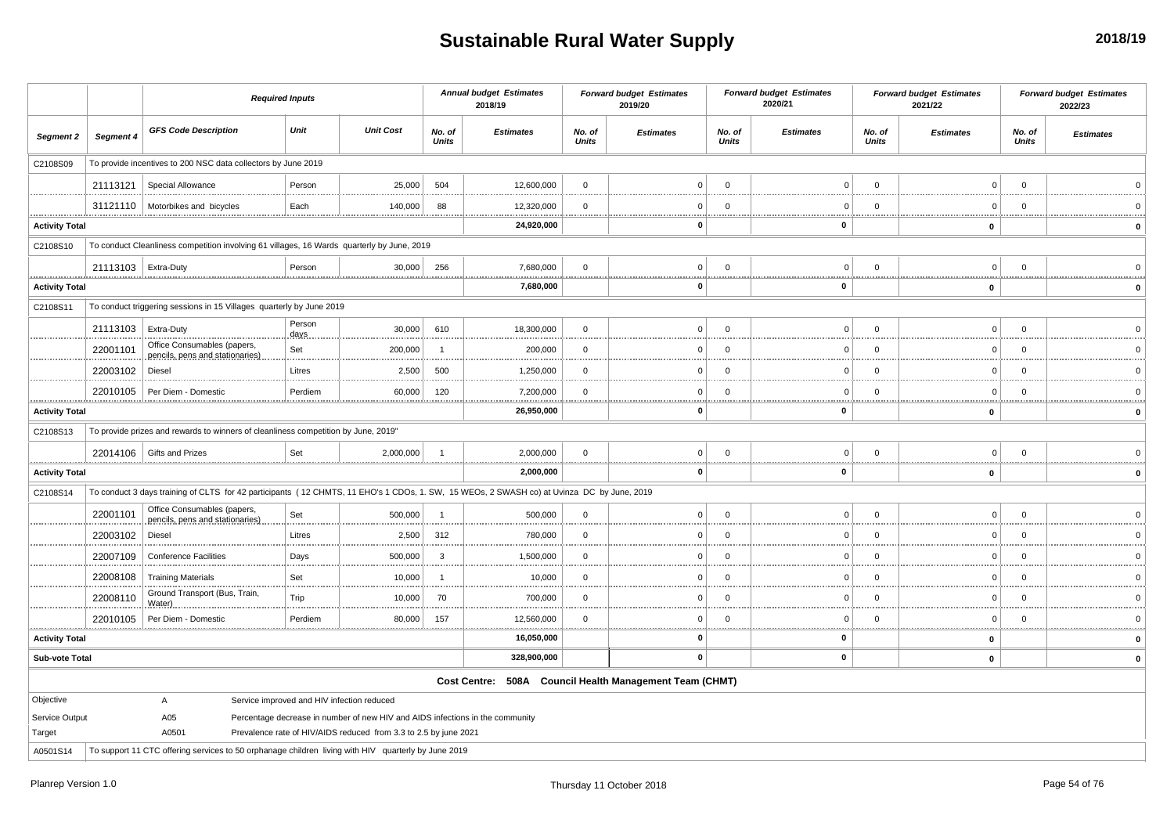## **Sustainable Rural Water Supply**

|                       |                       | <b>Required Inputs</b>                                                                                                                    |                |                                                                               |                        | <b>Annual budget Estimates</b><br>2018/19               |                        | <b>Forward budget Estimates</b><br>2019/20 |                           | <b>Forward budget Estimates</b><br>2020/21 |                 | <b>Forward budget Estimates</b><br>2021/22 |                 | <b>Forward budget Estimates</b><br>2022/23 |
|-----------------------|-----------------------|-------------------------------------------------------------------------------------------------------------------------------------------|----------------|-------------------------------------------------------------------------------|------------------------|---------------------------------------------------------|------------------------|--------------------------------------------|---------------------------|--------------------------------------------|-----------------|--------------------------------------------|-----------------|--------------------------------------------|
| Segment 2             | Segment 4             | <b>GFS Code Description</b>                                                                                                               | Unit           | <b>Unit Cost</b>                                                              | No. of<br><b>Units</b> | <b>Estimates</b>                                        | No. of<br><b>Units</b> | <b>Estimates</b>                           | No. of<br><b>Units</b>    | <b>Estimates</b>                           | No. of<br>Units | <b>Estimates</b>                           | No. of<br>Units | <b>Estimates</b>                           |
| C2108S09              |                       | To provide incentives to 200 NSC data collectors by June 2019                                                                             |                |                                                                               |                        |                                                         |                        |                                            |                           |                                            |                 |                                            |                 |                                            |
|                       | 21113121              | Special Allowance                                                                                                                         | Person         | 25,000                                                                        | 504                    | 12,600,000                                              | $\mathbf 0$            | $\Omega$                                   | $\Omega$                  | $\Omega$                                   | $\Omega$        | $\Omega$                                   | $\Omega$        |                                            |
|                       | 31121110              | Motorbikes and bicycles                                                                                                                   | Each           | 140,000                                                                       | 88                     | 12,320,000<br>                                          | $\overline{0}$<br>     | $\Omega$                                   | $\overline{0}$<br>.       | $\Omega$<br>                               | $\Omega$        | $\Omega$<br>                               | $\Omega$<br>    |                                            |
| <b>Activity Total</b> |                       |                                                                                                                                           |                |                                                                               |                        | 24,920,000                                              |                        | $\Omega$                                   |                           | $\mathbf 0$                                |                 | $\mathbf 0$                                |                 | $\mathbf 0$                                |
| C2108S10              |                       | To conduct Cleanliness competition involving 61 villages, 16 Wards quarterly by June, 2019                                                |                |                                                                               |                        |                                                         |                        |                                            |                           |                                            |                 |                                            |                 |                                            |
|                       | 21113103   Extra-Duty |                                                                                                                                           | Person         | 30,000                                                                        | 256                    | 7,680,000                                               | $\mathbf 0$            | $\Omega$                                   | $\overline{0}$            | $\Omega$                                   | $\overline{0}$  | $\mathbf 0$                                | $\mathbf 0$     |                                            |
| <b>Activity Total</b> |                       |                                                                                                                                           |                |                                                                               |                        | 7,680,000                                               |                        | $\mathbf{0}$                               |                           | <br>0                                      |                 | $\mathbf 0$                                |                 | $\mathbf{0}$                               |
| C2108S11              |                       | To conduct triggering sessions in 15 Villages quarterly by June 2019                                                                      |                |                                                                               |                        |                                                         |                        |                                            |                           |                                            |                 |                                            |                 |                                            |
|                       | 21113103              | Extra-Duty                                                                                                                                | Person<br>days | 30,000                                                                        | 610                    | 18,300,000                                              | $\mathbf{0}$           | $\Omega$                                   | $\overline{0}$            | $\Omega$                                   | $\overline{0}$  | $\mathbf 0$                                | $\mathbf{0}$    | $\Omega$                                   |
|                       | 22001101              | Office Consumables (papers,<br>pencils, pens and stationaries)                                                                            | Set            | 200,000                                                                       | $\overline{1}$         | 200,000                                                 | $\mathbf 0$            | $\Omega$                                   | $\overline{0}$            | $\Omega$                                   | $\overline{0}$  | $\mathbf 0$                                | $\Omega$        | $\Omega$                                   |
|                       | 22003102              | Diesel                                                                                                                                    | Litres         | 2,500                                                                         | 500                    | 1,250,000                                               | $\mathbf 0$            | $\Omega$                                   | $\overline{\mathbf{0}}$   | 0                                          | $\Omega$        | 0                                          | $\mathbf 0$     | $\overline{0}$                             |
|                       | 22010105              | Per Diem - Domestic                                                                                                                       | Perdiem        | 60,000                                                                        | 120                    | 7,200,000<br>.                                          | $\overline{0}$<br>     | $\Omega$                                   | $\overline{0}$            | $\Omega$                                   | $\overline{0}$  | $\mathbf 0$                                | $\Omega$        |                                            |
| <b>Activity Total</b> |                       |                                                                                                                                           |                |                                                                               |                        | 26,950,000                                              |                        | n                                          | . <b>.</b>                | 0                                          |                 | $\mathbf 0$                                |                 | $\mathbf 0$                                |
| C2108S13              |                       | To provide prizes and rewards to winners of cleanliness competition by June, 2019"                                                        |                |                                                                               |                        |                                                         |                        |                                            |                           |                                            |                 |                                            |                 |                                            |
|                       | 22014106              | Gifts and Prizes                                                                                                                          | Set            | 2,000,000                                                                     | $\overline{1}$         | 2,000,000<br>                                           | $\mathbf 0$<br>.       | $\overline{0}$                             | $\overline{0}$<br><u></u> | $\Omega$<br>                               | $\Omega$        | $\Omega$                                   | $\Omega$        | $\Omega$                                   |
| <b>Activity Total</b> |                       |                                                                                                                                           |                |                                                                               |                        | 2,000,000                                               |                        | $\mathbf{0}$                               |                           | 0                                          |                 | $\mathbf 0$                                |                 | $\Omega$                                   |
| C2108S14              |                       | To conduct 3 days training of CLTS for 42 participants (12 CHMTS, 11 EHO's 1 CDOs, 1. SW, 15 WEOs, 2 SWASH co) at Uvinza DC by June, 2019 |                |                                                                               |                        |                                                         |                        |                                            |                           |                                            |                 |                                            |                 |                                            |
|                       | 22001101              | Office Consumables (papers,<br>pencils, pens and stationaries)                                                                            | Set            | 500,000                                                                       | $\overline{1}$         | 500,000                                                 | $\mathbf{0}$           | $\Omega$                                   | $\Omega$                  | $\Omega$                                   | $\Omega$        | $\mathbf 0$                                | $\Omega$        | $\Omega$                                   |
|                       | 22003102              | Diesel                                                                                                                                    | Litres         | 2,500                                                                         | 312                    | 780,000<br>.                                            | $\mathbf 0$            | $\Omega$                                   | $\overline{0}$            | $\Omega$                                   | $\Omega$        | $\mathsf 0$                                | $\Omega$        | $\Omega$                                   |
|                       | 22007109              | <b>Conference Facilities</b>                                                                                                              | Days           | 500,000                                                                       | $\mathbf{3}$           | 1,500,000                                               | $\overline{0}$         | $\Omega$                                   | $\overline{0}$            | $\mathbf 0$                                | $\overline{0}$  | 0                                          | $\Omega$        |                                            |
|                       | 22008108              | <b>Training Materials</b>                                                                                                                 | Set            | 10,000                                                                        | -1                     | 10,000                                                  | $\mathbf 0$            | $\Omega$                                   | $\overline{0}$            | $\mathbf 0$                                | $\overline{0}$  | 0                                          | $\Omega$        |                                            |
|                       | 22008110              | Ground Transport (Bus, Train,<br>Water)                                                                                                   | Trip           | 10,000                                                                        | 70                     | 700,000                                                 | $\overline{0}$         | $\Omega$                                   | $\overline{0}$            | $\Omega$                                   | $\Omega$        | $\mathbf 0$                                | $\mathbf 0$     |                                            |
|                       | 22010105              | Per Diem - Domestic                                                                                                                       | Perdiem        | 80,000                                                                        | 157                    | 12,560,000                                              | $\Omega$<br>           | $\Omega$                                   | $\Omega$                  | $\Omega$                                   | $\Omega$        | $\mathbf 0$<br><b>ARABASE</b>              | $\Omega$        |                                            |
| <b>Activity Total</b> |                       |                                                                                                                                           |                |                                                                               |                        | 16,050,000                                              |                        | n                                          |                           | 0                                          |                 | $\mathbf 0$                                |                 |                                            |
| <b>Sub-vote Total</b> |                       |                                                                                                                                           |                |                                                                               |                        | 328,900,000                                             |                        | $\mathbf 0$                                |                           | 0                                          |                 | $\pmb{0}$                                  |                 |                                            |
|                       |                       |                                                                                                                                           |                |                                                                               |                        | Cost Centre: 508A Council Health Management Team (CHMT) |                        |                                            |                           |                                            |                 |                                            |                 |                                            |
| Objective             |                       | A                                                                                                                                         |                | Service improved and HIV infection reduced                                    |                        |                                                         |                        |                                            |                           |                                            |                 |                                            |                 |                                            |
| Service Output        |                       | A05                                                                                                                                       |                | Percentage decrease in number of new HIV and AIDS infections in the community |                        |                                                         |                        |                                            |                           |                                            |                 |                                            |                 |                                            |
| Target<br>A0501S14    |                       | A0501<br>To support 11 CTC offering services to 50 orphanage children living with HIV quarterly by June 2019                              |                | Prevalence rate of HIV/AIDS reduced from 3.3 to 2.5 by june 2021              |                        |                                                         |                        |                                            |                           |                                            |                 |                                            |                 |                                            |
|                       |                       |                                                                                                                                           |                |                                                                               |                        |                                                         |                        |                                            |                           |                                            |                 |                                            |                 |                                            |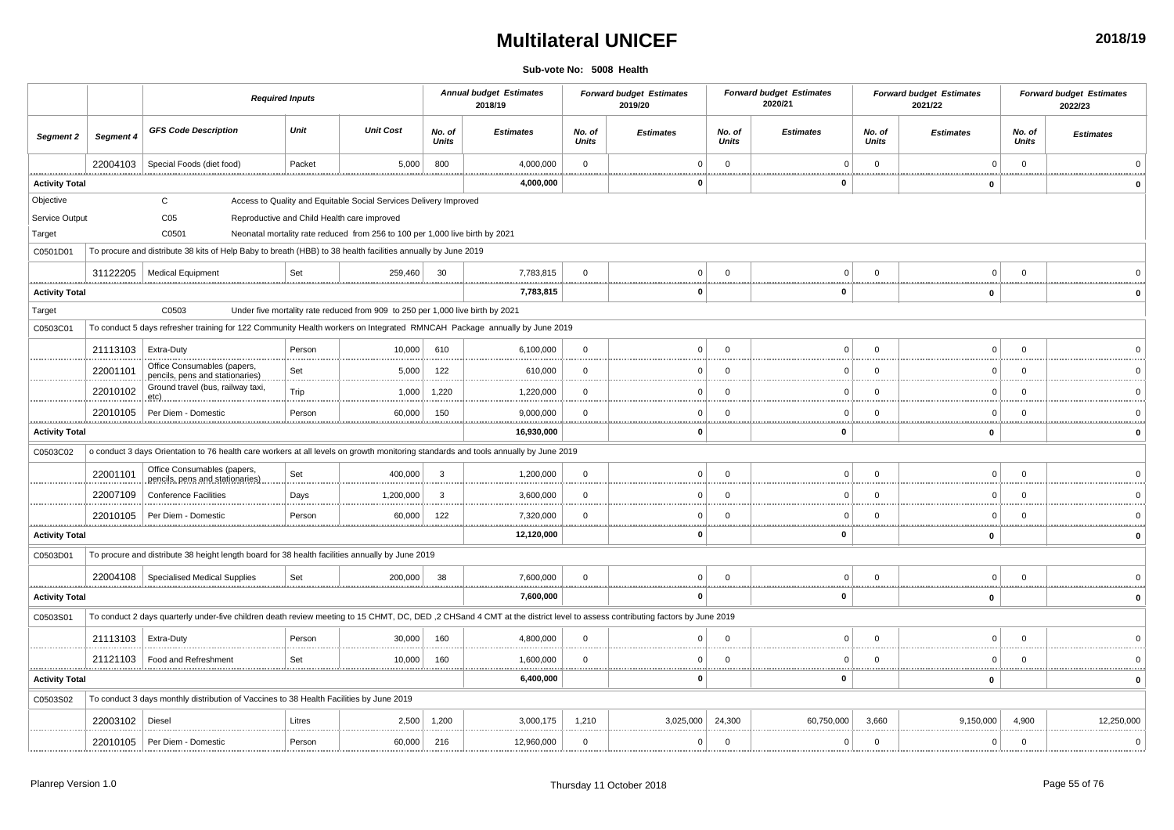### **Multilateral UNICEF**

**Sub-vote No: 5008 Health**

|                       |           |                                                                                                                                                                            | <b>Required Inputs</b> |                                                                                |                        | <b>Annual budget Estimates</b><br>2018/19 |                        | <b>Forward budget Estimates</b><br>2019/20 |                            | <b>Forward budget Estimates</b><br>2020/21 |                        | <b>Forward budget Estimates</b><br>2021/22 |                        | <b>Forward budget Estimates</b><br>2022/23 |
|-----------------------|-----------|----------------------------------------------------------------------------------------------------------------------------------------------------------------------------|------------------------|--------------------------------------------------------------------------------|------------------------|-------------------------------------------|------------------------|--------------------------------------------|----------------------------|--------------------------------------------|------------------------|--------------------------------------------|------------------------|--------------------------------------------|
| Segment 2             | Segment 4 | <b>GFS Code Description</b>                                                                                                                                                | Unit                   | <b>Unit Cost</b>                                                               | No. of<br><b>Units</b> | <b>Estimates</b>                          | No. of<br><b>Units</b> | <b>Estimates</b>                           | No. of<br><b>Units</b>     | <b>Estimates</b>                           | No. of<br><b>Units</b> | <b>Estimates</b>                           | No. of<br><b>Units</b> | <b>Estimates</b>                           |
|                       | 22004103  | Special Foods (diet food)                                                                                                                                                  | Packet                 | 5,000                                                                          | 800                    | 4,000,000                                 | $\mathbf 0$            |                                            | $\mathbf 0$                | $\Omega$                                   | $\mathbf 0$            | $\mathbf 0$                                | $\mathbf 0$            |                                            |
| <b>Activity Total</b> |           |                                                                                                                                                                            |                        |                                                                                |                        | 4,000,000                                 |                        |                                            |                            | 0                                          |                        | $\mathbf 0$                                |                        |                                            |
| Objective             |           | $\mathsf{C}$                                                                                                                                                               |                        | Access to Quality and Equitable Social Services Delivery Improved              |                        |                                           |                        |                                            |                            |                                            |                        |                                            |                        |                                            |
| Service Output        |           | C <sub>05</sub>                                                                                                                                                            |                        | Reproductive and Child Health care improved                                    |                        |                                           |                        |                                            |                            |                                            |                        |                                            |                        |                                            |
| Target                |           | C0501                                                                                                                                                                      |                        | Neonatal mortality rate reduced from 256 to 100 per 1,000 live birth by 2021   |                        |                                           |                        |                                            |                            |                                            |                        |                                            |                        |                                            |
| C0501D01              |           | To procure and distribute 38 kits of Help Baby to breath (HBB) to 38 health facilities annually by June 2019                                                               |                        |                                                                                |                        |                                           |                        |                                            |                            |                                            |                        |                                            |                        |                                            |
|                       | 31122205  | <b>Medical Equipment</b><br>                                                                                                                                               | Set                    | 259,460                                                                        | 30                     | 7,783,815<br>                             | $\Omega$               | $\mathbf{0}$                               | $\Omega$<br>. <del>.</del> | $\mathbf 0$<br>                            | $\Omega$               | $\Omega$<br>                               | $\Omega$               |                                            |
| <b>Activity Total</b> |           |                                                                                                                                                                            |                        |                                                                                |                        | 7,783,815                                 |                        | $\Omega$                                   |                            | $\mathbf 0$                                |                        | $\mathbf 0$                                |                        |                                            |
| Target                |           | C0503                                                                                                                                                                      |                        | Under five mortality rate reduced from 909 to 250 per 1,000 live birth by 2021 |                        |                                           |                        |                                            |                            |                                            |                        |                                            |                        |                                            |
| C0503C01              |           | To conduct 5 days refresher training for 122 Community Health workers on Integrated RMNCAH Package annually by June 2019                                                   |                        |                                                                                |                        |                                           |                        |                                            |                            |                                            |                        |                                            |                        |                                            |
|                       | 21113103  | Extra-Duty                                                                                                                                                                 | Person                 | 10,000                                                                         | 610                    | 6,100,000                                 | $\overline{0}$         | $\Omega$                                   | $\Omega$                   | $\Omega$                                   | $\Omega$               | $\Omega$                                   | $\Omega$               |                                            |
|                       | 22001101  | Office Consumables (papers,<br>pencils, pens and stationaries)                                                                                                             | Set                    | 5,000                                                                          | 122                    | 610,000                                   | $\mathbf 0$            | $\Omega$                                   | $\mathbf 0$                | $\Omega$                                   | $\mathbf 0$            | $\mathbf 0$                                | $\Omega$               |                                            |
|                       | 22010102  | Ground travel (bus, railway taxi,<br>etc)                                                                                                                                  | Trip                   | 1,000                                                                          | 1,220                  | 1,220,000<br>                             | $\Omega$               | $\Omega$                                   | $\Omega$                   | $^{\circ}$                                 | $\Omega$               | $\Omega$                                   | $\Omega$               |                                            |
|                       | 22010105  | Per Diem - Domestic                                                                                                                                                        | Person                 | 60,000                                                                         | 150                    | 9,000,000<br>                             | $\Omega$<br>.          | $\Omega$                                   | $\Omega$<br>.              | $\Omega$<br>.                              | $\Omega$<br>           | $\Omega$<br>.                              | $\Omega$<br>           |                                            |
| <b>Activity Total</b> |           |                                                                                                                                                                            |                        |                                                                                |                        | 16,930,000                                |                        |                                            |                            | 0                                          |                        | $\mathbf 0$                                |                        |                                            |
| C0503C02              |           | o conduct 3 days Orientation to 76 health care workers at all levels on growth monitoring standards and tools annually by June 2019                                        |                        |                                                                                |                        |                                           |                        |                                            |                            |                                            |                        |                                            |                        |                                            |
|                       | 22001101  | Office Consumables (papers,<br>pencils, pens and stationaries)                                                                                                             | Set                    | 400,000                                                                        | 3                      | 1,200,000                                 | $\mathbf 0$            | $\Omega$                                   | $\mathbf 0$                | $\mathbf 0$                                | $\Omega$               | $\Omega$                                   | $\Omega$               |                                            |
|                       | 22007109  | <b>Conference Facilities</b>                                                                                                                                               | Days                   | 1,200,000                                                                      | 3                      | 3,600,000                                 | $\Omega$               | $\Omega$                                   | $\overline{0}$             | $^{\circ}$                                 | $\Omega$               | $\Omega$                                   | $\Omega$               |                                            |
|                       | 22010105  | Per Diem - Domestic                                                                                                                                                        | Person                 | 60,000                                                                         | 122                    | 7,320,000<br>.                            | $\overline{0}$<br>     | <sup>n</sup>                               | $\Omega$<br><u></u>        | $\cap$<br>                                 | $\Omega$<br>           | $\Omega$<br>                               | $\Omega$<br>           |                                            |
| <b>Activity Total</b> |           |                                                                                                                                                                            |                        |                                                                                |                        | 12,120,000                                |                        | $\Omega$                                   |                            | $\mathbf 0$                                |                        | $\mathbf 0$                                |                        |                                            |
| C0503D01              |           | To procure and distribute 38 height length board for 38 health facilities annually by June 2019                                                                            |                        |                                                                                |                        |                                           |                        |                                            |                            |                                            |                        |                                            |                        |                                            |
|                       |           | 22004108   Specialised Medical Supplies                                                                                                                                    | Set                    | 200,000                                                                        | -38                    | 7,600,000                                 | $\Omega$               | $\Omega$                                   | $\Omega$                   | 0                                          | $\Omega$               | $\Omega$                                   | $\Omega$               |                                            |
| <b>Activity Total</b> |           |                                                                                                                                                                            |                        |                                                                                |                        | 7,600,000                                 |                        | $\Omega$                                   |                            | $\mathbf 0$                                |                        | $\mathbf 0$                                |                        | $\mathbf{0}$                               |
| C0503S01              |           | To conduct 2 days quarterly under-five children death review meeting to 15 CHMT, DC, DED, 2 CHSand 4 CMT at the district level to assess contributing factors by June 2019 |                        |                                                                                |                        |                                           |                        |                                            |                            |                                            |                        |                                            |                        |                                            |
|                       | 21113103  | Extra-Duty                                                                                                                                                                 | Person                 | 30,000                                                                         | 160                    | 4,800,000                                 | $\mathbf 0$            | $\Omega$                                   | $\Omega$                   | $\Omega$                                   | $\mathbf{0}$           | $\Omega$                                   | $\Omega$               |                                            |
|                       | 21121103  | Food and Refreshment                                                                                                                                                       | Set                    | 10,000<br>                                                                     | 160                    | 1,600,000<br>                             | $\Omega$               |                                            | $\Omega$<br>. <del>.</del> | $\Omega$<br>                               | $\Omega$<br>           | $\Omega$                                   | $\Omega$               |                                            |
| <b>Activity Total</b> |           |                                                                                                                                                                            |                        |                                                                                |                        | 6,400,000                                 |                        | $\Omega$                                   |                            | $\mathbf 0$                                |                        | $\mathbf 0$                                |                        |                                            |
| C0503S02              |           | To conduct 3 days monthly distribution of Vaccines to 38 Health Facilities by June 2019                                                                                    |                        |                                                                                |                        |                                           |                        |                                            |                            |                                            |                        |                                            |                        |                                            |
|                       | 22003102  | Diesel                                                                                                                                                                     | Litres                 | 2,500                                                                          | 1.200                  | 3,000,175                                 | 1,210                  | 3,025,000                                  | 24,300                     | 60,750,000                                 | 3,660                  | 9,150,000                                  | 4,900                  | 12,250,000                                 |
|                       | 22010105  | Per Diem - Domestic                                                                                                                                                        | Person                 | 60,000                                                                         | 216                    | 12,960,000                                | $\mathbf 0$            | $\Omega$                                   | $\mathbf 0$                | 0                                          | $\mathbf 0$            | $\mathbf 0$                                | $\mathbf 0$            | $\mathbf 0$                                |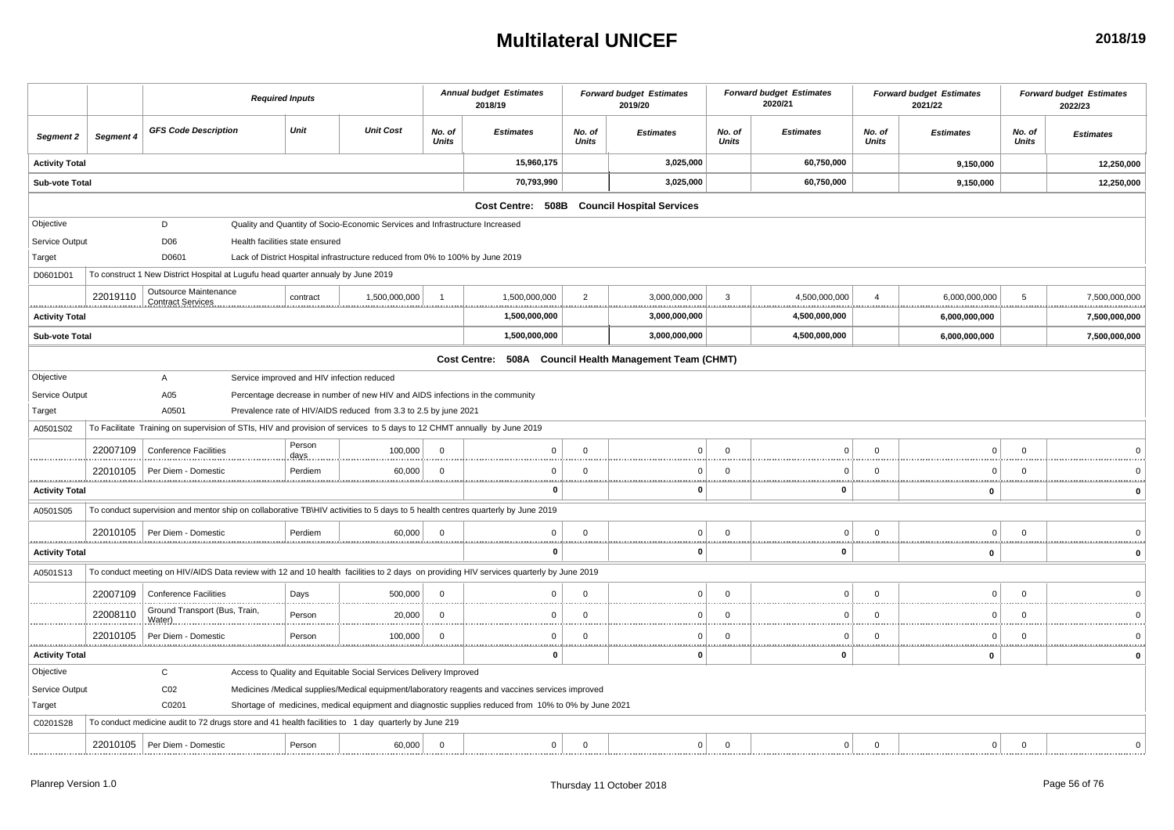#### **Multilateral UNICEF**

|                       |           |                                                                                                                         | <b>Required Inputs</b>                     |                |                                                                               |                        | <b>Annual budget Estimates</b><br>2018/19                                                                                              |                                | <b>Forward budget Estimates</b><br>2019/20              |                        | <b>Forward budget Estimates</b><br>2020/21 |                        | <b>Forward budget Estimates</b><br>2021/22 |                 | <b>Forward budget Estimates</b><br>2022/23 |
|-----------------------|-----------|-------------------------------------------------------------------------------------------------------------------------|--------------------------------------------|----------------|-------------------------------------------------------------------------------|------------------------|----------------------------------------------------------------------------------------------------------------------------------------|--------------------------------|---------------------------------------------------------|------------------------|--------------------------------------------|------------------------|--------------------------------------------|-----------------|--------------------------------------------|
| Segment 2             | Segment 4 | <b>GFS Code Description</b>                                                                                             |                                            | Unit           | <b>Unit Cost</b>                                                              | No. of<br><b>Units</b> | <b>Estimates</b>                                                                                                                       | No. of<br><b>Units</b>         | <b>Estimates</b>                                        | No. of<br><b>Units</b> | <b>Estimates</b>                           | No. of<br><b>Units</b> | <b>Estimates</b>                           | No. of<br>Units | <b>Estimates</b>                           |
| <b>Activity Total</b> |           |                                                                                                                         |                                            |                |                                                                               |                        | 15,960,175                                                                                                                             |                                | 3,025,000                                               |                        | 60,750,000                                 |                        | 9,150,000                                  |                 | 12,250,000                                 |
| <b>Sub-vote Total</b> |           |                                                                                                                         |                                            |                |                                                                               |                        | 70,793,990                                                                                                                             |                                | 3,025,000                                               |                        | 60,750,000                                 |                        | 9,150,000                                  |                 | 12,250,000                                 |
|                       |           |                                                                                                                         |                                            |                |                                                                               |                        | Cost Centre: 508B                                                                                                                      |                                | <b>Council Hospital Services</b>                        |                        |                                            |                        |                                            |                 |                                            |
| Objective             |           | D                                                                                                                       |                                            |                | Quality and Quantity of Socio-Economic Services and Infrastructure Increased  |                        |                                                                                                                                        |                                |                                                         |                        |                                            |                        |                                            |                 |                                            |
| Service Output        |           | D <sub>06</sub>                                                                                                         | Health facilities state ensured            |                |                                                                               |                        |                                                                                                                                        |                                |                                                         |                        |                                            |                        |                                            |                 |                                            |
| Target                |           | D0601                                                                                                                   |                                            |                | Lack of District Hospital infrastructure reduced from 0% to 100% by June 2019 |                        |                                                                                                                                        |                                |                                                         |                        |                                            |                        |                                            |                 |                                            |
| D0601D01              |           | To construct 1 New District Hospital at Lugufu head quarter annualy by June 2019                                        |                                            |                |                                                                               |                        |                                                                                                                                        |                                |                                                         |                        |                                            |                        |                                            |                 |                                            |
|                       | 22019110  | Outsource Maintenance<br><b>Contract Services</b>                                                                       |                                            | contract       | 1,500,000,000                                                                 |                        | 1,500,000,000                                                                                                                          | $\overline{2}$                 | 3,000,000,000                                           | 3<br>.                 | 4,500,000,000<br><br>                      | $\overline{4}$         | 6,000,000,000                              | 5               | 7,500,000,000                              |
| <b>Activity Total</b> |           |                                                                                                                         |                                            |                |                                                                               |                        | 1,500,000,000                                                                                                                          |                                | 3,000,000,000                                           |                        | 4,500,000,000                              |                        | 6,000,000,000                              |                 | 7,500,000,000                              |
| <b>Sub-vote Total</b> |           |                                                                                                                         |                                            |                |                                                                               |                        | 1,500,000,000                                                                                                                          |                                | 3,000,000,000                                           |                        | 4,500,000,000                              |                        | 6,000,000,000                              |                 | 7,500,000,000                              |
|                       |           |                                                                                                                         |                                            |                |                                                                               |                        |                                                                                                                                        |                                | Cost Centre: 508A Council Health Management Team (CHMT) |                        |                                            |                        |                                            |                 |                                            |
| Objective             |           | A                                                                                                                       | Service improved and HIV infection reduced |                |                                                                               |                        |                                                                                                                                        |                                |                                                         |                        |                                            |                        |                                            |                 |                                            |
| Service Output        |           | A05                                                                                                                     |                                            |                | Percentage decrease in number of new HIV and AIDS infections in the community |                        |                                                                                                                                        |                                |                                                         |                        |                                            |                        |                                            |                 |                                            |
| Target                |           | A0501                                                                                                                   |                                            |                | Prevalence rate of HIV/AIDS reduced from 3.3 to 2.5 by june 2021              |                        |                                                                                                                                        |                                |                                                         |                        |                                            |                        |                                            |                 |                                            |
| A0501S02              |           | To Facilitate Training on supervision of STIs, HIV and provision of services to 5 days to 12 CHMT annually by June 2019 |                                            |                |                                                                               |                        |                                                                                                                                        |                                |                                                         |                        |                                            |                        |                                            |                 |                                            |
|                       | 22007109  | <b>Conference Facilities</b>                                                                                            |                                            | Person<br>days | 100,000                                                                       | $\Omega$               | $\Omega$                                                                                                                               | $\Omega$                       | $\Omega$                                                | $\Omega$               | $\Omega$                                   | $\Omega$               | $\mathbf 0$                                | $\overline{0}$  |                                            |
|                       | 22010105  | Per Diem - Domestic                                                                                                     |                                            | Perdiem        | 60,000                                                                        | $\Omega$               | $\mathbf{0}$                                                                                                                           | $\Omega$                       | 0                                                       | $\Omega$               | $\Omega$                                   | $\Omega$               | $\overline{0}$                             | $\overline{0}$  |                                            |
| <b>Activity Total</b> |           |                                                                                                                         |                                            |                |                                                                               |                        | .<br>$\bf{0}$                                                                                                                          |                                | $\mathbf 0$                                             |                        | $\mathbf{0}$                               |                        | 0                                          |                 | $\mathbf{0}$                               |
| A0501S05              |           |                                                                                                                         |                                            |                |                                                                               |                        | To conduct supervision and mentor ship on collaborative TB\HIV activities to 5 days to 5 health centres quarterly by June 2019         |                                |                                                         |                        |                                            |                        |                                            |                 |                                            |
|                       |           | 22010105   Per Diem - Domestic                                                                                          |                                            | Perdiem        | 60,000                                                                        | $\overline{0}$         | $\mathbf 0$                                                                                                                            | $\Omega$                       | $\Omega$                                                | $\Omega$               | $\Omega$                                   | $\Omega$               | $\overline{0}$                             | $\overline{0}$  |                                            |
| <b>Activity Total</b> |           |                                                                                                                         |                                            |                |                                                                               |                        | .<br>$\bf{0}$                                                                                                                          |                                | 0                                                       |                        | $\mathbf{0}$                               |                        | $\pmb{0}$                                  |                 | <br>$\mathbf 0$                            |
| A0501S13              |           |                                                                                                                         |                                            |                |                                                                               |                        | To conduct meeting on HIV/AIDS Data review with 12 and 10 health facilities to 2 days on providing HIV services quarterly by June 2019 |                                |                                                         |                        |                                            |                        |                                            |                 |                                            |
|                       | 22007109  | <b>Conference Facilities</b>                                                                                            |                                            | Days           | 500,000                                                                       | $\Omega$               | $\overline{0}$                                                                                                                         | $\Omega$                       | 0                                                       | $\Omega$               | $\Omega$                                   | $\Omega$               | $\mathbf 0$                                | $\overline{0}$  |                                            |
|                       | 22008110  | Ground Transport (Bus, Train,<br>Water).                                                                                |                                            | Person         | 20,000                                                                        | $\Omega$               | $\Omega$                                                                                                                               | $\Omega$                       | U                                                       | $\Omega$               | C                                          | $\Omega$               | $\Omega$                                   | $\Omega$        |                                            |
|                       | 22010105  | Per Diem - Domestic                                                                                                     |                                            | Person         | 100,000                                                                       | $\mathbf 0$            | $\mathbf{0}$                                                                                                                           | $\mathbf 0$<br><b>ARRAIGHT</b> | 0                                                       | $\Omega$               | $\Omega$                                   | $\Omega$               | $\Omega$                                   | $\overline{0}$  | .                                          |
| <b>Activity Total</b> |           |                                                                                                                         |                                            |                |                                                                               |                        | 0                                                                                                                                      |                                | 0                                                       |                        | 0                                          |                        | 0                                          |                 | $\mathbf 0$                                |
| Objective             |           | C                                                                                                                       |                                            |                | Access to Quality and Equitable Social Services Delivery Improved             |                        |                                                                                                                                        |                                |                                                         |                        |                                            |                        |                                            |                 |                                            |
| Service Output        |           | CO <sub>2</sub>                                                                                                         |                                            |                |                                                                               |                        | Medicines /Medical supplies/Medical equipment/laboratory reagents and vaccines services improved                                       |                                |                                                         |                        |                                            |                        |                                            |                 |                                            |
| Target                |           | C0201                                                                                                                   |                                            |                |                                                                               |                        | Shortage of medicines, medical equipment and diagnostic supplies reduced from 10% to 0% by June 2021                                   |                                |                                                         |                        |                                            |                        |                                            |                 |                                            |
| C0201S28              |           | To conduct medicine audit to 72 drugs store and 41 health facilities to 1 day quarterly by June 219                     |                                            |                |                                                                               |                        |                                                                                                                                        |                                |                                                         |                        |                                            |                        |                                            |                 |                                            |
|                       |           | 22010105   Per Diem - Domestic                                                                                          |                                            | Person         | 60,000                                                                        | $\Omega$               | $\mathbf 0$                                                                                                                            | $\mathbf 0$                    | $\overline{0}$                                          | $\mathbf 0$            | $\Omega$                                   | $\mathbf 0$            | $\Omega$                                   | $\overline{0}$  | $\Omega$                                   |
|                       |           |                                                                                                                         |                                            |                |                                                                               |                        |                                                                                                                                        |                                |                                                         |                        |                                            |                        |                                            |                 |                                            |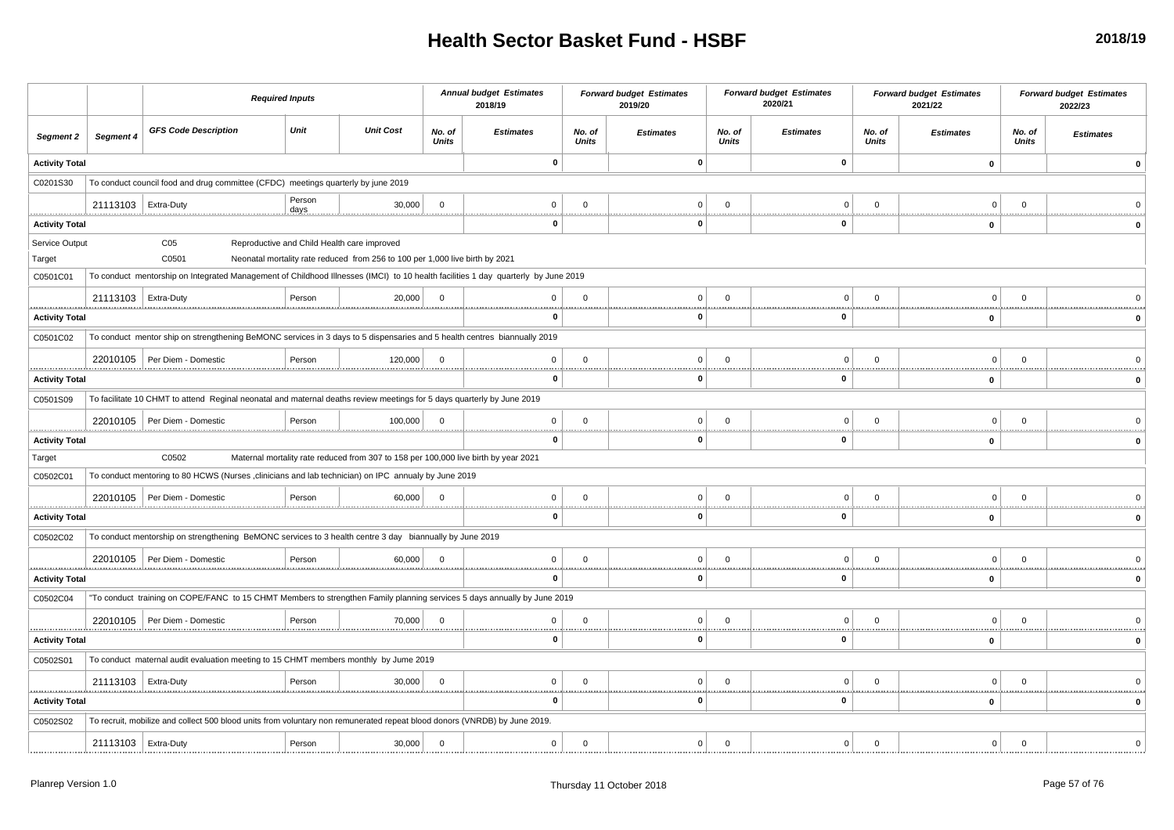|                          |                           | <b>Required Inputs</b>                                                                                                                                        |        |                                                                                                                             |                        | <b>Annual budget Estimates</b><br>2018/19 |                        | <b>Forward budget Estimates</b><br>2019/20 |                        | <b>Forward budget Estimates</b><br>2020/21 |                        | <b>Forward budget Estimates</b><br>2021/22 |                 | <b>Forward budget Estimates</b><br>2022/23 |
|--------------------------|---------------------------|---------------------------------------------------------------------------------------------------------------------------------------------------------------|--------|-----------------------------------------------------------------------------------------------------------------------------|------------------------|-------------------------------------------|------------------------|--------------------------------------------|------------------------|--------------------------------------------|------------------------|--------------------------------------------|-----------------|--------------------------------------------|
| Segment 2                | Segment 4                 | <b>GFS Code Description</b>                                                                                                                                   | Unit   | <b>Unit Cost</b>                                                                                                            | No. of<br><b>Units</b> | <b>Estimates</b>                          | No. of<br><b>Units</b> | <b>Estimates</b>                           | No. of<br><b>Units</b> | <b>Estimates</b>                           | No. of<br><b>Units</b> | <b>Estimates</b>                           | No. of<br>Units | <b>Estimates</b>                           |
| <b>Activity Total</b>    |                           |                                                                                                                                                               |        |                                                                                                                             |                        | $\mathbf 0$                               |                        | $\mathbf{0}$                               |                        | $\pmb{0}$                                  |                        | $\pmb{0}$                                  |                 | $\Omega$                                   |
| C0201S30                 |                           | To conduct council food and drug committee (CFDC) meetings quarterly by june 2019                                                                             |        |                                                                                                                             |                        |                                           |                        |                                            |                        |                                            |                        |                                            |                 |                                            |
|                          | 21113103   Extra-Duty<br> |                                                                                                                                                               | Person | 30,000                                                                                                                      | $\Omega$               | $\Omega$                                  | $\Omega$               | 0                                          | $\Omega$               | $\Omega$                                   | $\Omega$               | $\Omega$                                   | $\Omega$        |                                            |
| <b>Activity Total</b>    |                           |                                                                                                                                                               |        |                                                                                                                             |                        | $\mathbf 0$                               |                        | $\Omega$                                   |                        | $\mathbf{0}$                               |                        | 0                                          |                 |                                            |
| Service Output<br>Target |                           | C <sub>05</sub><br>C0501<br>To conduct mentorship on Integrated Management of Childhood Illnesses (IMCI) to 10 health facilities 1 day quarterly by June 2019 |        | Reproductive and Child Health care improved<br>Neonatal mortality rate reduced from 256 to 100 per 1,000 live birth by 2021 |                        |                                           |                        |                                            |                        |                                            |                        |                                            |                 |                                            |
| C0501C01                 | 21113103   Extra-Duty     |                                                                                                                                                               | Person | 20,000                                                                                                                      | $\overline{0}$         | $\mathbf 0$                               | $\mathbf 0$            | $\Omega$                                   | $\Omega$               | $\Omega$                                   | $\Omega$               | $\Omega$                                   | $\overline{0}$  |                                            |
| <b>Activity Total</b>    |                           |                                                                                                                                                               |        |                                                                                                                             |                        | 0                                         | <b>*********</b>       | 0                                          |                        | 0                                          |                        | $\pmb{0}$                                  |                 |                                            |
| C0501C02                 |                           | To conduct mentor ship on strengthening BeMONC services in 3 days to 5 dispensaries and 5 health centres biannually 2019                                      |        |                                                                                                                             |                        |                                           |                        |                                            |                        |                                            |                        |                                            |                 |                                            |
|                          |                           | 22010105   Per Diem - Domestic                                                                                                                                | Person | 120,000                                                                                                                     | $\Omega$               | $\mathbf 0$                               | $\Omega$               | 0                                          | $\Omega$               | $\Omega$                                   | $\Omega$               | $\Omega$                                   | $\overline{0}$  |                                            |
| <b>Activity Total</b>    |                           |                                                                                                                                                               |        |                                                                                                                             |                        | 0                                         |                        | O                                          |                        | $\Omega$                                   |                        | 0                                          |                 |                                            |
| C0501S09                 |                           | To facilitate 10 CHMT to attend Reginal neonatal and maternal deaths review meetings for 5 days quarterly by June 2019                                        |        |                                                                                                                             |                        |                                           |                        |                                            |                        |                                            |                        |                                            |                 |                                            |
|                          |                           | 22010105   Per Diem - Domestic                                                                                                                                | Person | 100,000                                                                                                                     | $\Omega$               | $\mathbf 0$                               | $\mathbf 0$            | $\Omega$                                   | $\Omega$               | $\Omega$                                   | $\Omega$               | $\Omega$                                   | $\overline{0}$  |                                            |
| <b>Activity Total</b>    |                           |                                                                                                                                                               |        |                                                                                                                             |                        | <br>$\bf{0}$                              |                        | 0                                          |                        | $\mathbf{0}$                               |                        | 0                                          |                 | <br>$\mathbf{0}$                           |
| Target                   |                           | C0502                                                                                                                                                         |        | Maternal mortality rate reduced from 307 to 158 per 100,000 live birth by year 2021                                         |                        |                                           |                        |                                            |                        |                                            |                        |                                            |                 |                                            |
| C0502C01                 |                           | To conduct mentoring to 80 HCWS (Nurses ,clinicians and lab technician) on IPC annualy by June 2019                                                           |        |                                                                                                                             |                        |                                           |                        |                                            |                        |                                            |                        |                                            |                 |                                            |
|                          |                           | 22010105   Per Diem - Domestic                                                                                                                                | Person | 60,000                                                                                                                      | $\overline{0}$         | $\mathbf 0$                               | $\mathbf 0$            | $\overline{0}$                             | $\Omega$               | $\Omega$                                   | $\Omega$               | $\Omega$                                   | $\overline{0}$  |                                            |
| <b>Activity Total</b>    |                           |                                                                                                                                                               |        |                                                                                                                             |                        | $\mathbf 0$                               |                        | 0                                          |                        | 0                                          |                        | 0                                          |                 |                                            |
| C0502C02                 |                           | To conduct mentorship on strengthening BeMONC services to 3 health centre 3 day biannually by June 2019                                                       |        |                                                                                                                             |                        |                                           |                        |                                            |                        |                                            |                        |                                            |                 |                                            |
|                          |                           | 22010105   Per Diem - Domestic                                                                                                                                | Person | 60,000                                                                                                                      | $\Omega$               | $\mathbf 0$                               | $\Omega$               | 0                                          | $\Omega$               |                                            |                        | $\Omega$                                   | $\Omega$        |                                            |
| <b>Activity Total</b>    |                           |                                                                                                                                                               |        |                                                                                                                             |                        | $\bf{0}$                                  |                        | $\mathbf 0$                                |                        | $\mathbf{0}$                               |                        | $\mathbf{0}$                               |                 | $\mathbf{0}$                               |
| C0502C04                 |                           | "To conduct training on COPE/FANC to 15 CHMT Members to strengthen Family planning services 5 days annually by June 2019                                      |        |                                                                                                                             |                        |                                           |                        |                                            |                        |                                            |                        |                                            |                 |                                            |
|                          |                           | 22010105   Per Diem - Domestic                                                                                                                                | Person | 70,000                                                                                                                      | $\Omega$               | $\mathbf 0$                               | $\Omega$               | $\Omega$                                   | $\Omega$               | $\Omega$                                   | $\Omega$               | $\Omega$                                   | $\Omega$        |                                            |
| <b>Activity Total</b>    |                           |                                                                                                                                                               |        |                                                                                                                             |                        | <br>0                                     |                        | 0                                          |                        | 0                                          |                        | 0                                          |                 | $\Omega$                                   |
| C0502S01                 |                           | To conduct maternal audit evaluation meeting to 15 CHMT members monthly by Jume 2019                                                                          |        |                                                                                                                             |                        |                                           |                        |                                            |                        |                                            |                        |                                            |                 |                                            |
|                          | 21113103   Extra-Duty     |                                                                                                                                                               | Person | 30,000                                                                                                                      | $\Omega$               | $\mathbf 0$                               | $\Omega$               | 0                                          | $\Omega$               | $\Omega$                                   | $\Omega$               | $\Omega$                                   | $\Omega$        |                                            |
| <b>Activity Total</b>    |                           |                                                                                                                                                               |        |                                                                                                                             |                        | 0                                         |                        | o                                          |                        | $\Omega$                                   |                        | $\mathbf{0}$                               |                 |                                            |
| C0502S02                 |                           | To recruit, mobilize and collect 500 blood units from voluntary non remunerated repeat blood donors (VNRDB) by June 2019.                                     |        |                                                                                                                             |                        |                                           |                        |                                            |                        |                                            |                        |                                            |                 |                                            |
|                          | 21113103   Extra-Duty     |                                                                                                                                                               | Person | 30,000                                                                                                                      | $\Omega$               | $\mathbf 0$                               | $\mathbf 0$            | $\overline{0}$                             | $\mathbf 0$            | $\Omega$                                   | $\Omega$               | $\overline{0}$                             | $\Omega$        |                                            |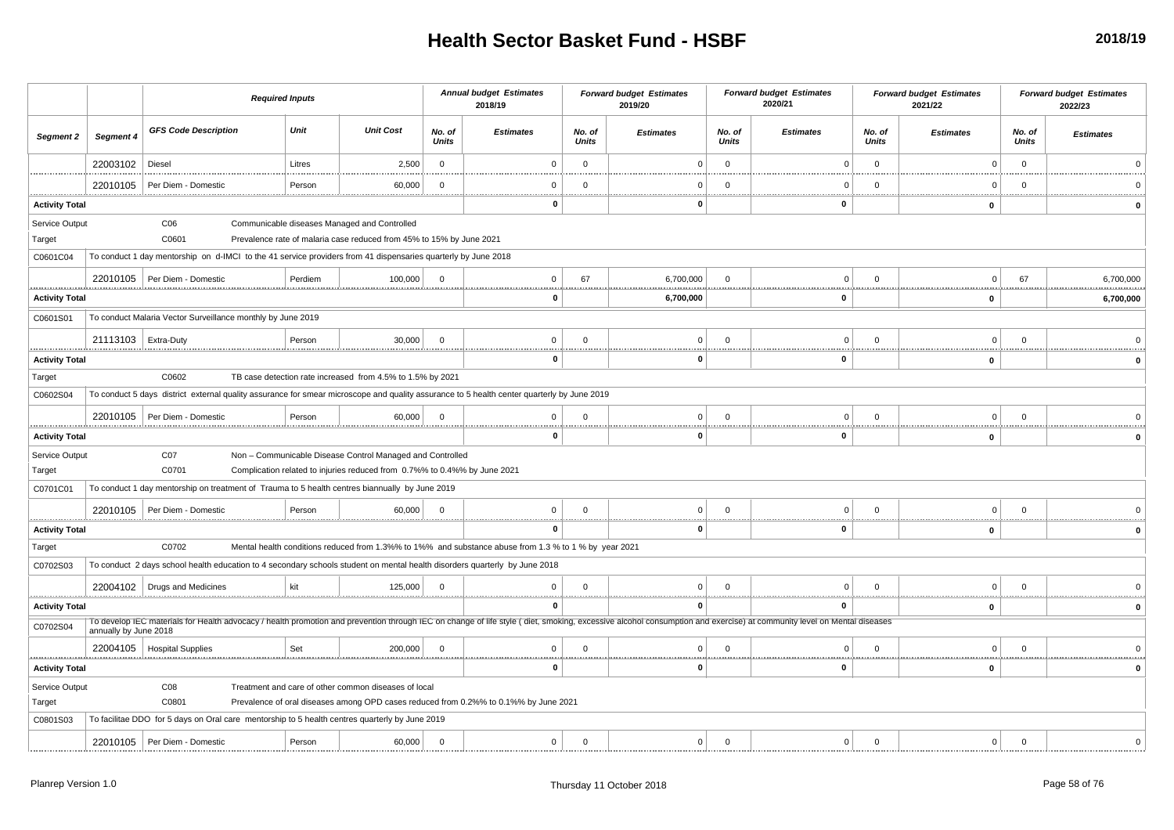|                                      |                       | <b>Required Inputs</b>                                                                                                                                                                                               |         |                                                                                                                                        |                        | <b>Annual budget Estimates</b><br>2018/19                                                             |                        | <b>Forward budget Estimates</b><br>2019/20 |                        | <b>Forward budget Estimates</b><br>2020/21 |                 | <b>Forward budget Estimates</b><br>2021/22 |                        | <b>Forward budget Estimates</b><br>2022/23 |
|--------------------------------------|-----------------------|----------------------------------------------------------------------------------------------------------------------------------------------------------------------------------------------------------------------|---------|----------------------------------------------------------------------------------------------------------------------------------------|------------------------|-------------------------------------------------------------------------------------------------------|------------------------|--------------------------------------------|------------------------|--------------------------------------------|-----------------|--------------------------------------------|------------------------|--------------------------------------------|
| <b>Segment 2</b>                     | Segment 4             | <b>GFS Code Description</b>                                                                                                                                                                                          | Unit    | <b>Unit Cost</b>                                                                                                                       | No. of<br><b>Units</b> | <b>Estimates</b>                                                                                      | No. of<br><b>Units</b> | <b>Estimates</b>                           | No. of<br><b>Units</b> | <b>Estimates</b>                           | No. of<br>Units | <b>Estimates</b>                           | No. of<br><b>Units</b> | <b>Estimates</b>                           |
|                                      | 22003102              | Diesel                                                                                                                                                                                                               | Litres  | 2,500                                                                                                                                  | $\mathbf 0$            | $\Omega$                                                                                              | $\mathbf{0}$           | $\Omega$                                   | $\mathbf 0$            | $\Omega$                                   | $\mathbf 0$     | $\overline{0}$                             | $\overline{0}$         |                                            |
|                                      | 22010105              | Per Diem - Domestic                                                                                                                                                                                                  | Person  | 60,000                                                                                                                                 | $\Omega$               | - 0                                                                                                   | $\Omega$               | $^{(1)}$                                   | $\Omega$               | C                                          | $^{\circ}$      | - 0                                        | $\overline{0}$         |                                            |
| <b>Activity Total</b>                |                       |                                                                                                                                                                                                                      |         |                                                                                                                                        | <u></u>                | $\bf{0}$                                                                                              |                        | 0                                          |                        | <br>$\mathbf{0}$                           |                 | <br>0                                      |                        |                                            |
| Service Output<br>Target<br>C0601C04 |                       | C <sub>06</sub><br>C0601<br>To conduct 1 day mentorship on d-IMCI to the 41 service providers from 41 dispensaries quarterly by June 2018                                                                            |         | Communicable diseases Managed and Controlled<br>Prevalence rate of malaria case reduced from 45% to 15% by June 2021                   |                        |                                                                                                       |                        |                                            |                        |                                            |                 |                                            |                        |                                            |
|                                      | 22010105              | Per Diem - Domestic                                                                                                                                                                                                  | Perdiem | 100,000                                                                                                                                | $\Omega$               | $^{\circ}$                                                                                            | 67                     | 6,700,000                                  |                        | $\Omega$                                   | $\Omega$        | $\Omega$                                   | 67                     | 6,700,000                                  |
| <b>Activity Total</b>                |                       |                                                                                                                                                                                                                      |         |                                                                                                                                        |                        | 0                                                                                                     |                        | .<br>6,700,000                             |                        | 0                                          |                 | 0                                          |                        | 6,700,000                                  |
| C0601S01                             |                       | To conduct Malaria Vector Surveillance monthly by June 2019                                                                                                                                                          |         |                                                                                                                                        |                        |                                                                                                       |                        |                                            |                        |                                            |                 |                                            |                        |                                            |
|                                      | 21113103   Extra-Duty |                                                                                                                                                                                                                      | Person  | 30,000                                                                                                                                 | $\Omega$               | $\mathbf 0$                                                                                           | $\Omega$               | $\Omega$                                   | $\Omega$               | $\Omega$                                   | $\mathbf 0$     | $\overline{0}$                             | $\mathbf{0}$           |                                            |
| <br><b>Activity Total</b>            |                       |                                                                                                                                                                                                                      |         |                                                                                                                                        |                        | 0                                                                                                     |                        | $\mathbf 0$                                |                        | $\mathbf{0}$                               |                 | 0                                          |                        |                                            |
| Target                               |                       | C0602                                                                                                                                                                                                                |         | TB case detection rate increased from 4.5% to 1.5% by 2021                                                                             |                        |                                                                                                       |                        |                                            |                        |                                            |                 |                                            |                        |                                            |
| C0602S04                             |                       | To conduct 5 days district external quality assurance for smear microscope and quality assurance to 5 health center quarterly by June 2019                                                                           |         |                                                                                                                                        |                        |                                                                                                       |                        |                                            |                        |                                            |                 |                                            |                        |                                            |
|                                      | 22010105              | Per Diem - Domestic                                                                                                                                                                                                  | Person  | 60,000                                                                                                                                 | $\mathbf 0$            | $^{\circ}$                                                                                            | $\Omega$               | $\Omega$                                   | $\Omega$               | $\Omega$                                   | $\Omega$        | $\Omega$                                   | $\Omega$               |                                            |
| <b>Activity Total</b>                |                       |                                                                                                                                                                                                                      |         |                                                                                                                                        |                        | 0                                                                                                     |                        | 0                                          |                        | $\bf{0}$                                   |                 | 0                                          |                        |                                            |
| Service Output<br>Target             |                       | CO7<br>C0701                                                                                                                                                                                                         |         | Non - Communicable Disease Control Managed and Controlled<br>Complication related to injuries reduced from 0.7%% to 0.4%% by June 2021 |                        |                                                                                                       |                        |                                            |                        |                                            |                 |                                            |                        |                                            |
| C0701C01                             |                       | To conduct 1 day mentorship on treatment of Trauma to 5 health centres biannually by June 2019                                                                                                                       |         |                                                                                                                                        |                        |                                                                                                       |                        |                                            |                        |                                            |                 |                                            |                        |                                            |
|                                      | 22010105              | Per Diem - Domestic                                                                                                                                                                                                  | Person  | 60,000                                                                                                                                 | $\Omega$               | $\Omega$                                                                                              | $\Omega$               | $\Omega$                                   | $\Omega$               | $\Omega$                                   | $\Omega$        | $\overline{0}$                             | $\mathbf{0}$           |                                            |
| <b>Activity Total</b>                |                       |                                                                                                                                                                                                                      |         |                                                                                                                                        |                        | $\Omega$                                                                                              |                        | 0                                          |                        | $\mathbf{0}$                               |                 | 0                                          |                        | $\Omega$                                   |
| Target                               |                       | C0702                                                                                                                                                                                                                |         |                                                                                                                                        |                        | Mental health conditions reduced from 1.3%% to 1%% and substance abuse from 1.3 % to 1 % by year 2021 |                        |                                            |                        |                                            |                 |                                            |                        |                                            |
| C0702S03                             |                       | To conduct 2 days school health education to 4 secondary schools student on mental health disorders quarterly by June 2018                                                                                           |         |                                                                                                                                        |                        |                                                                                                       |                        |                                            |                        |                                            |                 |                                            |                        |                                            |
|                                      |                       | 22004102   Drugs and Medicines                                                                                                                                                                                       | kit     | 125,000                                                                                                                                | $\mathbf 0$            | $\Omega$                                                                                              | $\Omega$               | $\Omega$                                   | $\Omega$               | $\Omega$                                   | $^{\circ}$      | $\Omega$                                   | $\overline{0}$         |                                            |
| <b>Activity Total</b>                |                       | To develop IEC materials for Health advocacy / health promotion and prevention through IEC on change of life style (diet, smoking, excessive alcohol consumption and exercise) at community level on Mental diseases |         |                                                                                                                                        |                        | $\bf{0}$                                                                                              |                        | 0                                          |                        | $\mathbf{0}$                               |                 | 0                                          |                        |                                            |
| C0702S04                             | annually by June 2018 |                                                                                                                                                                                                                      |         |                                                                                                                                        |                        |                                                                                                       |                        |                                            |                        |                                            |                 |                                            |                        |                                            |
|                                      |                       | 22004105   Hospital Supplies                                                                                                                                                                                         | Set     | 200,000                                                                                                                                | $\Omega$               | $\Omega$                                                                                              | $\Omega$               | 0                                          |                        | $\Omega$                                   | $\mathbf 0$     | $\Omega$                                   | $\mathbf{0}$           |                                            |
| <b>Activity Total</b>                |                       |                                                                                                                                                                                                                      |         |                                                                                                                                        |                        | $\bf{0}$                                                                                              |                        | 0                                          |                        | $\mathbf{0}$                               |                 | 0                                          |                        | $\Omega$                                   |
| Service Output<br>Target             |                       | C <sub>08</sub><br>C0801                                                                                                                                                                                             |         | Treatment and care of other common diseases of local                                                                                   |                        | Prevalence of oral diseases among OPD cases reduced from 0.2%% to 0.1%% by June 2021                  |                        |                                            |                        |                                            |                 |                                            |                        |                                            |
| C0801S03                             |                       | To facilitae DDO for 5 days on Oral care mentorship to 5 health centres quarterly by June 2019                                                                                                                       |         |                                                                                                                                        |                        |                                                                                                       |                        |                                            |                        |                                            |                 |                                            |                        |                                            |
|                                      | 22010105              | Per Diem - Domestic                                                                                                                                                                                                  | Person  | 60,000                                                                                                                                 | $\mathbf 0$            | $\mathbf 0$                                                                                           | $\mathbf 0$            | 0 <sup>1</sup>                             | $\mathbf 0$            | $\mathbf{0}$                               | $\mathbf 0$     | $\overline{0}$                             | $\Omega$               |                                            |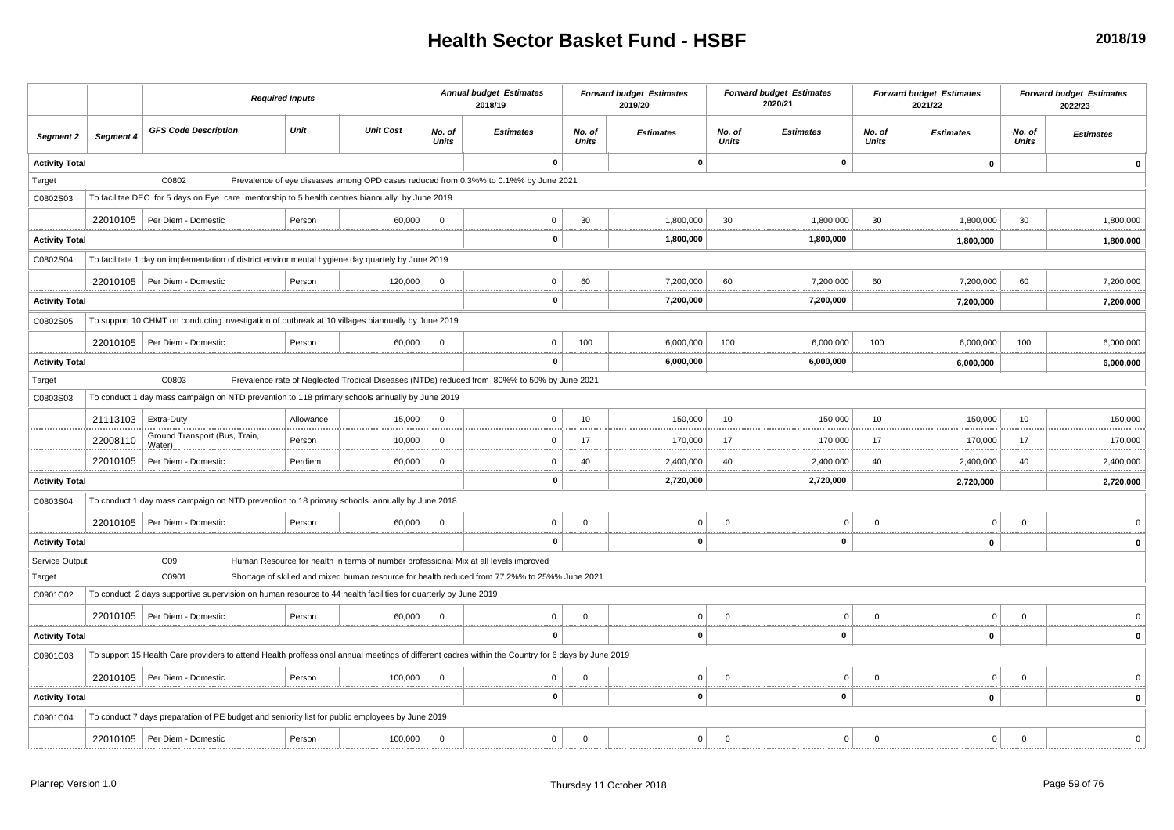|                            |           | <b>Required Inputs</b>                                                                                                                            |           |                  |                         | <b>Annual budget Estimates</b><br>2018/19                                                     |                        | <b>Forward budget Estimates</b><br>2019/20 |                        | <b>Forward budget Estimates</b><br>2020/21 |                        | <b>Forward budget Estimates</b><br>2021/22 |                        | <b>Forward budget Estimates</b><br>2022/23 |
|----------------------------|-----------|---------------------------------------------------------------------------------------------------------------------------------------------------|-----------|------------------|-------------------------|-----------------------------------------------------------------------------------------------|------------------------|--------------------------------------------|------------------------|--------------------------------------------|------------------------|--------------------------------------------|------------------------|--------------------------------------------|
| Segment 2                  | Segment 4 | <b>GFS Code Description</b>                                                                                                                       | Unit      | <b>Unit Cost</b> | No. of<br><b>Units</b>  | <b>Estimates</b>                                                                              | No. of<br><b>Units</b> | <b>Estimates</b>                           | No. of<br><b>Units</b> | <b>Estimates</b>                           | No. of<br><b>Units</b> | <b>Estimates</b>                           | No. of<br><b>Units</b> | <b>Estimates</b>                           |
| <b>Activity Total</b>      |           |                                                                                                                                                   |           |                  |                         | 0                                                                                             |                        | $\mathbf 0$                                |                        | $\mathbf 0$                                |                        | $\mathbf 0$                                |                        |                                            |
| Target                     |           | C0802                                                                                                                                             |           |                  |                         | Prevalence of eye diseases among OPD cases reduced from 0.3%% to 0.1%% by June 2021           |                        |                                            |                        |                                            |                        |                                            |                        |                                            |
| C0802S03                   |           | To facilitae DEC for 5 days on Eye care mentorship to 5 health centres biannually by June 2019                                                    |           |                  |                         |                                                                                               |                        |                                            |                        |                                            |                        |                                            |                        |                                            |
|                            |           | 22010105   Per Diem - Domestic                                                                                                                    | Person    | 60,000           | $\overline{0}$          | $\mathbf 0$                                                                                   | 30                     | 1,800,000                                  | 30                     | 1,800,000                                  | 30                     | 1,800,000                                  | 30                     | 1,800,000                                  |
| <b>Activity Total</b>      |           |                                                                                                                                                   |           |                  |                         | 0                                                                                             |                        | 1,800,000                                  |                        | 1,800,000                                  |                        | 1,800,000                                  |                        | 1,800,000                                  |
| C0802S04                   |           | To facilitate 1 day on implementation of district environmental hygiene day quartely by June 2019                                                 |           |                  |                         |                                                                                               |                        |                                            |                        |                                            |                        |                                            |                        |                                            |
|                            |           | 22010105   Per Diem - Domestic                                                                                                                    | Person    | 120,000          | $\overline{\mathbf{0}}$ | $\mathbf 0$                                                                                   | 60                     | 7,200,000                                  | 60                     | 7,200,000                                  | 60                     | 7,200,000                                  | 60                     | 7,200,000                                  |
| <b>Activity Total</b>      |           |                                                                                                                                                   |           |                  |                         | 0                                                                                             |                        | .<br>7,200,000                             |                        | 7,200,000                                  |                        | 7,200,000                                  |                        | 7,200,000                                  |
| C0802S05                   |           | To support 10 CHMT on conducting investigation of outbreak at 10 villages biannually by June 2019                                                 |           |                  |                         |                                                                                               |                        |                                            |                        |                                            |                        |                                            |                        |                                            |
|                            |           | 22010105   Per Diem - Domestic                                                                                                                    | Person    | 60,000           | $\Omega$                | $\mathbf{0}$                                                                                  | 100                    | 6,000,000                                  | 100                    | 6,000,000                                  | 100                    | 6,000,000                                  | 100                    | 6,000,000                                  |
| .<br><b>Activity Total</b> |           |                                                                                                                                                   |           |                  |                         | O                                                                                             |                        | <br>6,000,000                              |                        | 6,000,000                                  |                        | 6,000,000                                  |                        | 6,000,000                                  |
| Target                     |           | C0803                                                                                                                                             |           |                  |                         | Prevalence rate of Neglected Tropical Diseases (NTDs) reduced from 80%% to 50% by June 2021   |                        |                                            |                        |                                            |                        |                                            |                        |                                            |
| C0803S03                   |           | To conduct 1 day mass campaign on NTD prevention to 118 primary schools annually by June 2019                                                     |           |                  |                         |                                                                                               |                        |                                            |                        |                                            |                        |                                            |                        |                                            |
|                            | 21113103  | <b>Extra-Duty</b>                                                                                                                                 | Allowance | 15,000           | $\Omega$                | $\mathbf 0$                                                                                   | 10                     | 150,000                                    | 10                     | 150,000                                    | 10                     | 150,000                                    | 10                     | 150,000                                    |
|                            | 22008110  | Ground Transport (Bus, Train,<br>Water).<br>                                                                                                      | Person    | 10,000           | $\overline{0}$          | $\Omega$                                                                                      | 17                     | 170,000<br>.                               | 17                     | 170,000                                    | 17                     | 170,000                                    | 17                     | 170,000                                    |
|                            | 22010105  | Per Diem - Domestic                                                                                                                               | Perdiem   | 60,000<br>       | $\Omega$                | $\Omega$<br>.                                                                                 | 40                     | 2,400,000<br>.                             | 40                     | 2,400,000<br><u></u>                       | 40                     | 2,400,000<br><u></u>                       | 40                     | 2,400,000<br><u></u>                       |
| <b>Activity Total</b>      |           |                                                                                                                                                   |           |                  |                         | 0                                                                                             |                        | 2,720,000                                  |                        | 2,720,000                                  |                        | 2,720,000                                  |                        | 2,720,000                                  |
| C0803S04                   |           | To conduct 1 day mass campaign on NTD prevention to 18 primary schools annually by June 2018                                                      |           |                  |                         |                                                                                               |                        |                                            |                        |                                            |                        |                                            |                        |                                            |
|                            |           | 22010105   Per Diem - Domestic                                                                                                                    | Person    | 60,000           | $\Omega$                | $\Omega$                                                                                      | $\Omega$               | $\Omega$                                   | $\Omega$               | $\Omega$                                   | $\Omega$               | $\Omega$                                   | $\Omega$               |                                            |
| <b>Activity Total</b>      |           |                                                                                                                                                   |           |                  |                         | 0                                                                                             |                        | 0                                          |                        | $\mathbf 0$                                |                        | $\mathbf{0}$                               |                        |                                            |
| Service Output             |           | CO9                                                                                                                                               |           |                  |                         | Human Resource for health in terms of number professional Mix at all levels improved          |                        |                                            |                        |                                            |                        |                                            |                        |                                            |
| Target                     |           | C0901                                                                                                                                             |           |                  |                         | Shortage of skilled and mixed human resource for health reduced from 77.2%% to 25%% June 2021 |                        |                                            |                        |                                            |                        |                                            |                        |                                            |
| C0901C02                   |           | To conduct 2 days supportive supervision on human resource to 44 health facilities for quarterly by June 2019                                     |           |                  |                         |                                                                                               |                        |                                            |                        |                                            |                        |                                            |                        |                                            |
|                            |           | 22010105   Per Diem - Domestic                                                                                                                    | Person    | 60,000           | $\Omega$                | $\Omega$                                                                                      | $\Omega$               | $\Omega$                                   | $\Omega$               | $\Omega$                                   | $\Omega$               | $\Omega$                                   | $\Omega$               |                                            |
| <b>Activity Total</b>      |           |                                                                                                                                                   |           |                  |                         | 0                                                                                             |                        | - 0                                        |                        | $\bf{0}$                                   |                        | $\mathbf 0$                                |                        | Û                                          |
| C0901C03                   |           | To support 15 Health Care providers to attend Health proffessional annual meetings of different cadres within the Country for 6 days by June 2019 |           |                  |                         |                                                                                               |                        |                                            |                        |                                            |                        |                                            |                        |                                            |
|                            |           | 22010105   Per Diem - Domestic                                                                                                                    | Person    | 100,000          | $\Omega$                | $\Omega$                                                                                      | $\Omega$               | $\Omega$                                   | $\Omega$               | $\Omega$                                   | $\Omega$               | $\mathbf 0$                                | $\Omega$               |                                            |
| .<br><b>Activity Total</b> |           |                                                                                                                                                   |           |                  |                         | n                                                                                             |                        | $\Omega$                                   |                        | 0                                          | .                      | $\mathbf 0$                                | <u>.</u>               |                                            |
| C0901C04                   |           | To conduct 7 days preparation of PE budget and seniority list for public employees by June 2019                                                   |           |                  |                         |                                                                                               |                        |                                            |                        |                                            |                        |                                            |                        |                                            |
|                            |           | 22010105   Per Diem - Domestic                                                                                                                    | Person    | 100,000          | $\overline{0}$          | $\mathbf 0$                                                                                   | $\mathbf 0$            | $\mathbf 0$                                | $\mathbf 0$            | $\overline{0}$                             | $\mathsf 0$            | 0                                          | $\mathbf 0$            | $\Omega$                                   |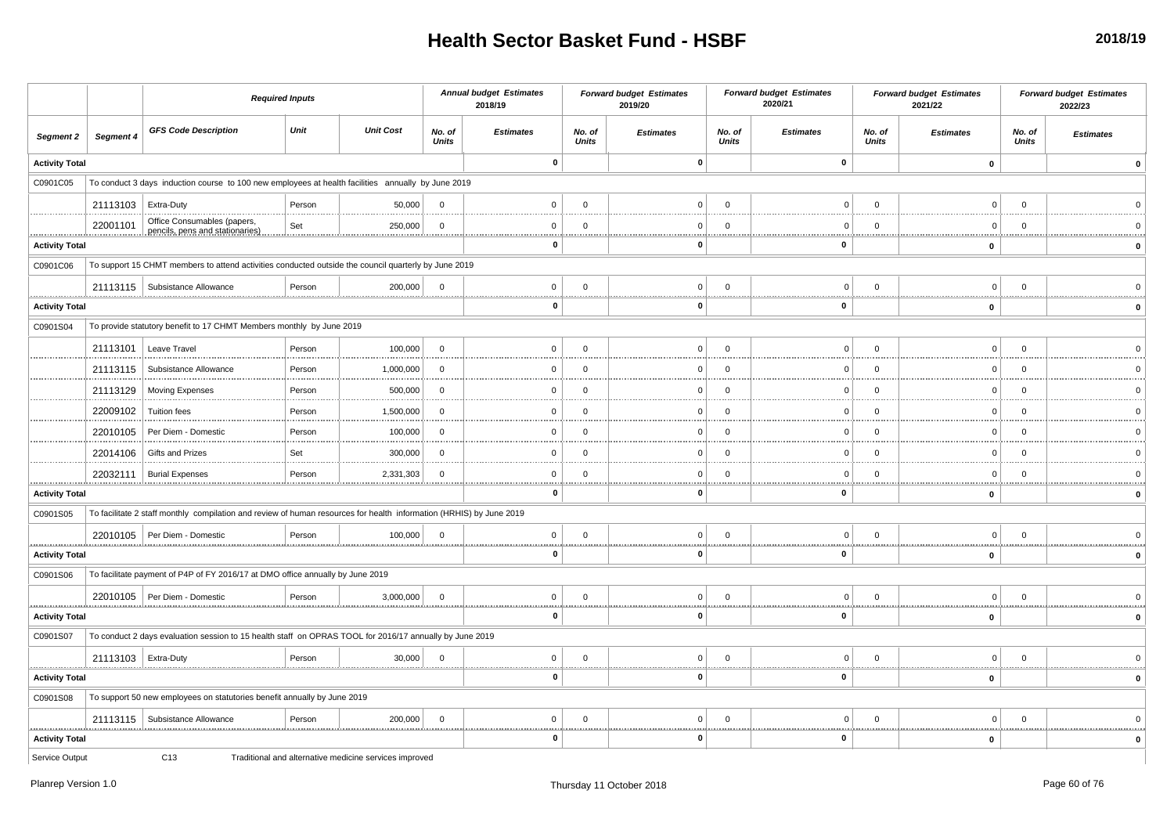|                       |                       |                                                                                                                     | <b>Required Inputs</b> |                                                        |                        | <b>Annual budget Estimates</b><br>2018/19 |                        | <b>Forward budget Estimates</b><br>2019/20 |                        | <b>Forward budget Estimates</b><br>2020/21 |                        | <b>Forward budget Estimates</b><br>2021/22 |                        | <b>Forward budget Estimates</b><br>2022/23 |
|-----------------------|-----------------------|---------------------------------------------------------------------------------------------------------------------|------------------------|--------------------------------------------------------|------------------------|-------------------------------------------|------------------------|--------------------------------------------|------------------------|--------------------------------------------|------------------------|--------------------------------------------|------------------------|--------------------------------------------|
| Segment 2             | Segment 4             | <b>GFS Code Description</b>                                                                                         | Unit                   | <b>Unit Cost</b>                                       | No. of<br><b>Units</b> | <b>Estimates</b>                          | No. of<br><b>Units</b> | <b>Estimates</b>                           | No. of<br><b>Units</b> | <b>Estimates</b>                           | No. of<br><b>Units</b> | <b>Estimates</b>                           | No. of<br><b>Units</b> | <b>Estimates</b>                           |
| <b>Activity Total</b> |                       |                                                                                                                     |                        |                                                        |                        | $\pmb{0}$                                 |                        | $\mathbf{0}$                               |                        | $\mathbf 0$                                |                        | $\pmb{0}$                                  |                        | $\Omega$                                   |
| C0901C05              |                       | To conduct 3 days induction course to 100 new employees at health facilities annually by June 2019                  |                        |                                                        |                        |                                           |                        |                                            |                        |                                            |                        |                                            |                        |                                            |
|                       | 21113103   Extra-Duty |                                                                                                                     | Person                 | 50,000                                                 | $\Omega$               | $\mathbf 0$                               | $\mathbf 0$            | $\mathbf 0$                                | $\Omega$               | $\overline{0}$                             | $\mathbf 0$            | $\overline{0}$                             | $\mathbf 0$            |                                            |
| .                     | 22001101              | Office Consumables (papers,<br>pencils, pens and stationaries)                                                      | Set                    | 250,000<br>                                            | $\Omega$               | $\mathbf 0$<br>                           | $\overline{0}$         | $\Omega$                                   | $\Omega$<br>.          | $\Omega$<br>1.111                          | $\Omega$               | $\Omega$<br>1.1.1.1                        | $\Omega$               |                                            |
| <b>Activity Total</b> |                       |                                                                                                                     |                        |                                                        |                        | $\mathbf 0$                               |                        | $\mathbf 0$                                |                        | $\mathbf 0$                                |                        | $\pmb{0}$                                  |                        |                                            |
| C0901C06              |                       | To support 15 CHMT members to attend activities conducted outside the council quarterly by June 2019                |                        |                                                        |                        |                                           |                        |                                            |                        |                                            |                        |                                            |                        |                                            |
|                       |                       | 21113115   Subsistance Allowance                                                                                    | Person                 | 200,000                                                | $\overline{0}$         | $\mathbf 0$<br>                           | $\mathbf 0$            | $\mathbf 0$                                | $\overline{0}$         | $\overline{0}$                             | $\mathbf 0$            | $\overline{0}$                             | $\mathbf 0$            |                                            |
| <b>Activity Total</b> |                       |                                                                                                                     |                        |                                                        |                        | $\mathbf 0$                               |                        | 0                                          |                        | $\mathbf 0$                                |                        | $\mathbf 0$                                |                        |                                            |
| C0901S04              |                       | To provide statutory benefit to 17 CHMT Members monthly by June 2019                                                |                        |                                                        |                        |                                           |                        |                                            |                        |                                            |                        |                                            |                        |                                            |
|                       |                       | 21113101   Leave Travel                                                                                             | Person                 | 100,000                                                | $\Omega$               | $\mathbf{0}$                              | $\mathbf 0$            | $\Omega$                                   | $\Omega$               | $\Omega$                                   | $\mathbf 0$            | $\mathbf 0$                                | $\mathbf 0$            |                                            |
|                       | 21113115              | Subsistance Allowance                                                                                               | Person                 | 1,000,000                                              | $\Omega$               | $\mathbf 0$                               | $\mathbf 0$            | $\Omega$                                   | $\Omega$               | $\Omega$                                   | $\Omega$               | $\mathbf 0$                                | $\overline{0}$         |                                            |
|                       | 21113129              | <b>Moving Expenses</b>                                                                                              | Person                 | 500,000                                                | $\Omega$               | 0                                         | $\mathbf 0$            | $\Omega$                                   | $\Omega$               | $\mathbf 0$                                | $\Omega$               | $\Omega$                                   | $^{\circ}$             |                                            |
|                       | 22009102              | <b>Tuition fees</b>                                                                                                 | Person                 | 1,500,000                                              | $\Omega$               | $\mathbf 0$                               | $\Omega$               | $\Omega$                                   | $\overline{0}$         | $\Omega$                                   | $\Omega$               | $\Omega$                                   | $\Omega$               |                                            |
|                       | 22010105              | Per Diem - Domestic                                                                                                 | Person                 | 100,000                                                | $\Omega$               | $\mathbf 0$                               | $\overline{0}$         | $\Omega$                                   | $\Omega$               | $\Omega$                                   | $\Omega$               | $\mathbf 0$                                | $\overline{0}$         |                                            |
|                       | 22014106              | Gifts and Prizes                                                                                                    | Set                    | 300,000                                                | $\Omega$               | $\mathbf 0$                               | $\Omega$               | $\Omega$                                   | $\Omega$               | $\Omega$                                   | $\Omega$               | $\Omega$                                   | $\overline{0}$         |                                            |
| .                     | 22032111              | <b>Burial Expenses</b>                                                                                              | Person                 | 2,331,303                                              | $\Omega$               | $\mathbf 0$                               | $\mathbf 0$            | $\mathbf 0$                                | $\mathbf 0$            | $\mathbf 0$                                | $\mathbf 0$            | 0                                          | $\mathbf 0$            |                                            |
| <b>Activity Total</b> |                       |                                                                                                                     |                        |                                                        |                        | 0                                         |                        | O                                          |                        | 0                                          |                        | $\mathbf 0$                                |                        |                                            |
| C0901S05              |                       | To facilitate 2 staff monthly compilation and review of human resources for health information (HRHIS) by June 2019 |                        |                                                        |                        |                                           |                        |                                            |                        |                                            |                        |                                            |                        |                                            |
| .                     |                       | 22010105   Per Diem - Domestic                                                                                      | Person                 | 100,000                                                | $\overline{0}$         | $\mathbf 0$<br>11111                      | $\mathbf 0$            | $\Omega$                                   | $\Omega$               | $\Omega$                                   | $\Omega$               | $\mathbf 0$                                | $\mathbf 0$            |                                            |
| <b>Activity Total</b> |                       |                                                                                                                     |                        |                                                        |                        | $\mathbf 0$                               |                        | $\mathbf{0}$                               |                        | $\mathbf 0$                                |                        | $\pmb{0}$                                  |                        |                                            |
| C0901S06              |                       | To facilitate payment of P4P of FY 2016/17 at DMO office annually by June 2019                                      |                        |                                                        |                        |                                           |                        |                                            |                        |                                            |                        |                                            |                        |                                            |
|                       |                       | 22010105   Per Diem - Domestic                                                                                      | Person                 | 3,000,000                                              | $\overline{0}$         | $\mathbf 0$<br>                           | $\mathbf 0$            | $\circ$                                    | $\mathbf 0$            | $\overline{0}$                             | $\mathbf 0$            | $\overline{0}$                             | $\mathbf 0$            |                                            |
| <b>Activity Total</b> |                       |                                                                                                                     |                        |                                                        |                        | $\mathbf 0$                               |                        | $\mathbf 0$                                |                        | $\mathbf 0$                                |                        | $\mathbf 0$                                |                        |                                            |
| C0901S07              |                       | To conduct 2 days evaluation session to 15 health staff on OPRAS TOOL for 2016/17 annually by June 2019             |                        |                                                        |                        |                                           |                        |                                            |                        |                                            |                        |                                            |                        |                                            |
|                       | 21113103   Extra-Duty |                                                                                                                     | Person                 | 30,000                                                 | $\Omega$               | $\mathbf 0$<br>1.1.1.1                    | $\Omega$               | $\Omega$<br>.                              | $\Omega$               | $\Omega$<br>                               | $\Omega$               | $\Omega$<br>.                              | $\Omega$               |                                            |
| <b>Activity Total</b> |                       |                                                                                                                     |                        |                                                        |                        | $\mathbf 0$                               |                        | 0                                          |                        | 0                                          |                        | $\pmb{0}$                                  |                        |                                            |
| C0901S08              |                       | To support 50 new employees on statutories benefit annually by June 2019                                            |                        |                                                        |                        |                                           |                        |                                            |                        |                                            |                        |                                            |                        |                                            |
| .                     |                       | 21113115   Subsistance Allowance                                                                                    | Person                 | 200,000                                                | $\overline{0}$         | $\mathbf 0$<br>                           | $\mathbf 0$            | 0                                          | $\mathbf 0$<br>.       | $\mathbf 0$<br>                            | $\mathbf 0$            | 0<br>.                                     | $\mathbf 0$            |                                            |
| <b>Activity Total</b> |                       |                                                                                                                     |                        |                                                        |                        | $\mathbf 0$                               |                        | 0                                          |                        | $\mathbf 0$                                |                        | $\pmb{0}$                                  |                        |                                            |
| Service Output        |                       | C <sub>13</sub>                                                                                                     |                        | Traditional and alternative medicine services improved |                        |                                           |                        |                                            |                        |                                            |                        |                                            |                        |                                            |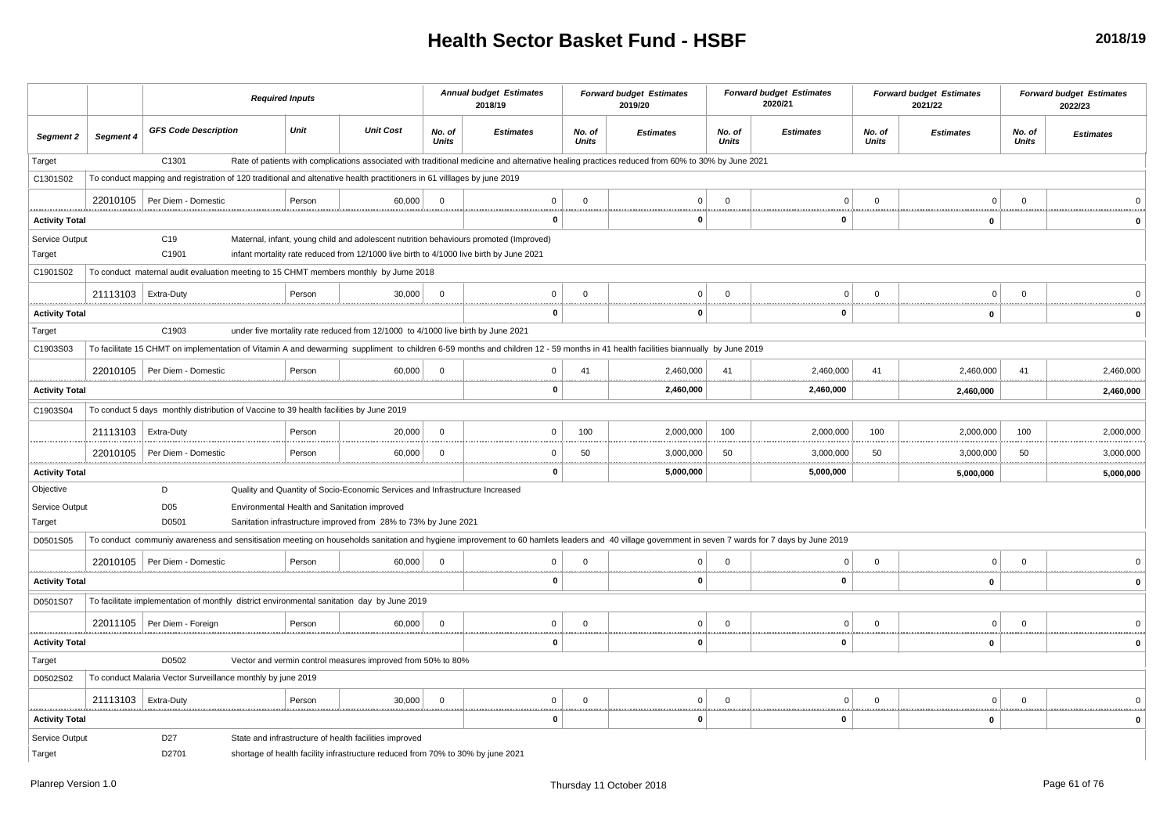|                          |                       | <b>Required Inputs</b>                                                                                                                                                                            |        |                                                                                                                                           |                 | <b>Annual budget Estimates</b><br>2018/19                                                                                                       |                 | <b>Forward budget Estimates</b><br>2019/20 |                        | <b>Forward budget Estimates</b><br>2020/21 |                   | <b>Forward budget Estimates</b><br>2021/22 |                 | <b>Forward budget Estimates</b><br>2022/23 |
|--------------------------|-----------------------|---------------------------------------------------------------------------------------------------------------------------------------------------------------------------------------------------|--------|-------------------------------------------------------------------------------------------------------------------------------------------|-----------------|-------------------------------------------------------------------------------------------------------------------------------------------------|-----------------|--------------------------------------------|------------------------|--------------------------------------------|-------------------|--------------------------------------------|-----------------|--------------------------------------------|
| Segment 2                | Segment 4             | <b>GFS Code Description</b>                                                                                                                                                                       | Unit   | <b>Unit Cost</b>                                                                                                                          | No. of<br>Units | <b>Estimates</b>                                                                                                                                | No. of<br>Units | <b>Estimates</b>                           | No. of<br>Units        | <b>Estimates</b>                           | No. of<br>Units   | <b>Estimates</b>                           | No. of<br>Units | <b>Estimates</b>                           |
| Target                   |                       | C1301                                                                                                                                                                                             |        |                                                                                                                                           |                 | Rate of patients with complications associated with traditional medicine and alternative healing practices reduced from 60% to 30% by June 2021 |                 |                                            |                        |                                            |                   |                                            |                 |                                            |
| C1301S02                 |                       | To conduct mapping and registration of 120 traditional and altenative health practitioners in 61 villlages by june 2019                                                                           |        |                                                                                                                                           |                 |                                                                                                                                                 |                 |                                            |                        |                                            |                   |                                            |                 |                                            |
|                          |                       | 22010105   Per Diem - Domestic                                                                                                                                                                    | Person | 60,000                                                                                                                                    | $\mathbf 0$     | $\Omega$                                                                                                                                        | $\Omega$        | $\Omega$                                   | $\Omega$               | $\Omega$                                   | $\Omega$          | $\Omega$                                   | $\Omega$        |                                            |
| <b>Activity Total</b>    |                       |                                                                                                                                                                                                   |        |                                                                                                                                           |                 | $\Omega$                                                                                                                                        | .               | $\Omega$                                   |                        | 0                                          | <b>**********</b> | $\mathbf{0}$                               |                 |                                            |
| Service Output<br>Target |                       | C <sub>19</sub><br>C1901                                                                                                                                                                          |        | infant mortality rate reduced from 12/1000 live birth to 4/1000 live birth by June 2021                                                   |                 | Maternal, infant, young child and adolescent nutrition behaviours promoted (Improved)                                                           |                 |                                            |                        |                                            |                   |                                            |                 |                                            |
| C1901S02                 |                       | To conduct maternal audit evaluation meeting to 15 CHMT members monthly by Jume 2018                                                                                                              |        |                                                                                                                                           |                 |                                                                                                                                                 |                 |                                            |                        |                                            |                   |                                            |                 |                                            |
|                          | 21113103   Extra-Duty |                                                                                                                                                                                                   | Person | 30,000                                                                                                                                    | $\Omega$        | $\Omega$                                                                                                                                        | $\Omega$        | $\Omega$                                   | $\Omega$               | $\Omega$                                   | $\Omega$          | $\Omega$                                   | $\Omega$        |                                            |
| <b>Activity Total</b>    |                       |                                                                                                                                                                                                   |        |                                                                                                                                           |                 | 0                                                                                                                                               |                 | 0                                          |                        | 0                                          |                   | <br>$\mathbf 0$                            |                 |                                            |
| Target                   |                       | C1903                                                                                                                                                                                             |        | under five mortality rate reduced from 12/1000 to 4/1000 live birth by June 2021                                                          |                 |                                                                                                                                                 |                 |                                            |                        |                                            |                   |                                            |                 |                                            |
| C1903S03                 |                       | To facilitate 15 CHMT on implementation of Vitamin A and dewarming suppliment to children 6-59 months and children 12 - 59 months in 41 health facilities biannually by June 2019                 |        |                                                                                                                                           |                 |                                                                                                                                                 |                 |                                            |                        |                                            |                   |                                            |                 |                                            |
|                          |                       | 22010105   Per Diem - Domestic                                                                                                                                                                    | Person | 60,000                                                                                                                                    | $\Omega$        | $\Omega$                                                                                                                                        | 41              | 2,460,000                                  | 41                     | 2,460,000                                  | 41                | 2,460,000                                  | 41              | 2,460,000                                  |
| <b>Activity Total</b>    |                       |                                                                                                                                                                                                   |        |                                                                                                                                           |                 | 0                                                                                                                                               |                 | <br>2,460,000                              | .                      | <br>2,460,000                              |                   | <br>.<br>2,460,000                         |                 | <br>2,460,000                              |
| C1903S04                 |                       | To conduct 5 days monthly distribution of Vaccine to 39 health facilities by June 2019                                                                                                            |        |                                                                                                                                           |                 |                                                                                                                                                 |                 |                                            |                        |                                            |                   |                                            |                 |                                            |
|                          | 21113103              | Extra-Duty                                                                                                                                                                                        | Person | 20,000                                                                                                                                    | $\overline{0}$  | $\Omega$                                                                                                                                        | 100             | 2,000,000                                  | 100                    | 2,000,000                                  | 100               | 2,000,000                                  | 100             | 2,000,000<br>.                             |
|                          | 22010105              | Per Diem - Domestic                                                                                                                                                                               | Persor | 60,000                                                                                                                                    | $\mathbf 0$     | $\Omega$                                                                                                                                        | 50              | 3,000,000                                  | 50                     | 3,000,000                                  | 50                | 3,000,000                                  | 50              | 3,000,000                                  |
| <b>Activity Total</b>    |                       |                                                                                                                                                                                                   |        |                                                                                                                                           |                 | 0                                                                                                                                               |                 | 5,000,000                                  |                        | 5,000,000                                  |                   | 5,000,000                                  |                 | 5,000,000                                  |
| Objective                |                       | D                                                                                                                                                                                                 |        | Quality and Quantity of Socio-Economic Services and Infrastructure Increased                                                              |                 |                                                                                                                                                 |                 |                                            |                        |                                            |                   |                                            |                 |                                            |
| Service Output           |                       | D <sub>05</sub>                                                                                                                                                                                   |        | Environmental Health and Sanitation improved                                                                                              |                 |                                                                                                                                                 |                 |                                            |                        |                                            |                   |                                            |                 |                                            |
| Target                   |                       | D0501                                                                                                                                                                                             |        | Sanitation infrastructure improved from 28% to 73% by June 2021                                                                           |                 |                                                                                                                                                 |                 |                                            |                        |                                            |                   |                                            |                 |                                            |
| D0501S05                 |                       | To conduct communiy awareness and sensitisation meeting on households sanitation and hygiene improvement to 60 hamlets leaders and 40 village government in seven 7 wards for 7 days by June 2019 |        |                                                                                                                                           |                 |                                                                                                                                                 |                 |                                            |                        |                                            |                   |                                            |                 |                                            |
|                          |                       | 22010105   Per Diem - Domestic                                                                                                                                                                    | Persor | 60,000                                                                                                                                    | $\Omega$        |                                                                                                                                                 | $\Omega$        | $\Omega$                                   | $\Omega$               | $\Omega$                                   | $\Omega$          | $\mathbf 0$                                | $\Omega$        |                                            |
| <b>Activity Total</b>    |                       |                                                                                                                                                                                                   |        |                                                                                                                                           |                 | O                                                                                                                                               |                 |                                            |                        | $\mathbf{0}$                               |                   | $\mathbf 0$                                |                 |                                            |
| D0501S07                 |                       | To facilitate implementation of monthly district environmental sanitation day by June 2019                                                                                                        |        |                                                                                                                                           |                 |                                                                                                                                                 |                 |                                            |                        |                                            |                   |                                            |                 |                                            |
|                          |                       | 22011105 Per Diem - Foreign                                                                                                                                                                       | Person | 60,000                                                                                                                                    | $\Omega$        | $\Omega$                                                                                                                                        | $\Omega$        | $\Omega$                                   | $\Omega$<br><u>.</u>   | $\Omega$                                   | $\Omega$          | $\mathbf 0$<br><b>ARRESTS</b>              | $\Omega$        |                                            |
| <b>Activity Total</b>    |                       |                                                                                                                                                                                                   |        |                                                                                                                                           |                 | 0                                                                                                                                               |                 | $\mathbf{0}$                               |                        | 0                                          |                   | $\mathbf 0$                                |                 |                                            |
| Target                   |                       | D0502                                                                                                                                                                                             |        | Vector and vermin control measures improved from 50% to 80%                                                                               |                 |                                                                                                                                                 |                 |                                            |                        |                                            |                   |                                            |                 |                                            |
| D0502S02                 |                       | To conduct Malaria Vector Surveillance monthly by june 2019                                                                                                                                       |        |                                                                                                                                           |                 |                                                                                                                                                 |                 |                                            |                        |                                            |                   |                                            |                 |                                            |
|                          | 21113103   Extra-Duty |                                                                                                                                                                                                   | Person | 30,000                                                                                                                                    | $\overline{0}$  | $^{\circ}$                                                                                                                                      | $\Omega$        | $\mathbf{0}$                               | $\Omega$<br>. <u>.</u> | 0<br>,,,,,,,,,,,,,,,,,,,,,,,,,,            | $\mathbf 0$       | $\Omega$<br><u></u>                        | $\mathbf 0$     |                                            |
| <b>Activity Total</b>    |                       |                                                                                                                                                                                                   |        |                                                                                                                                           |                 | 0                                                                                                                                               |                 | $\Omega$                                   |                        | 0                                          |                   | $\mathbf 0$                                |                 |                                            |
| Service Output<br>Target |                       | D <sub>27</sub><br>D2701                                                                                                                                                                          |        | State and infrastructure of health facilities improved<br>shortage of health facility infrastructure reduced from 70% to 30% by june 2021 |                 |                                                                                                                                                 |                 |                                            |                        |                                            |                   |                                            |                 |                                            |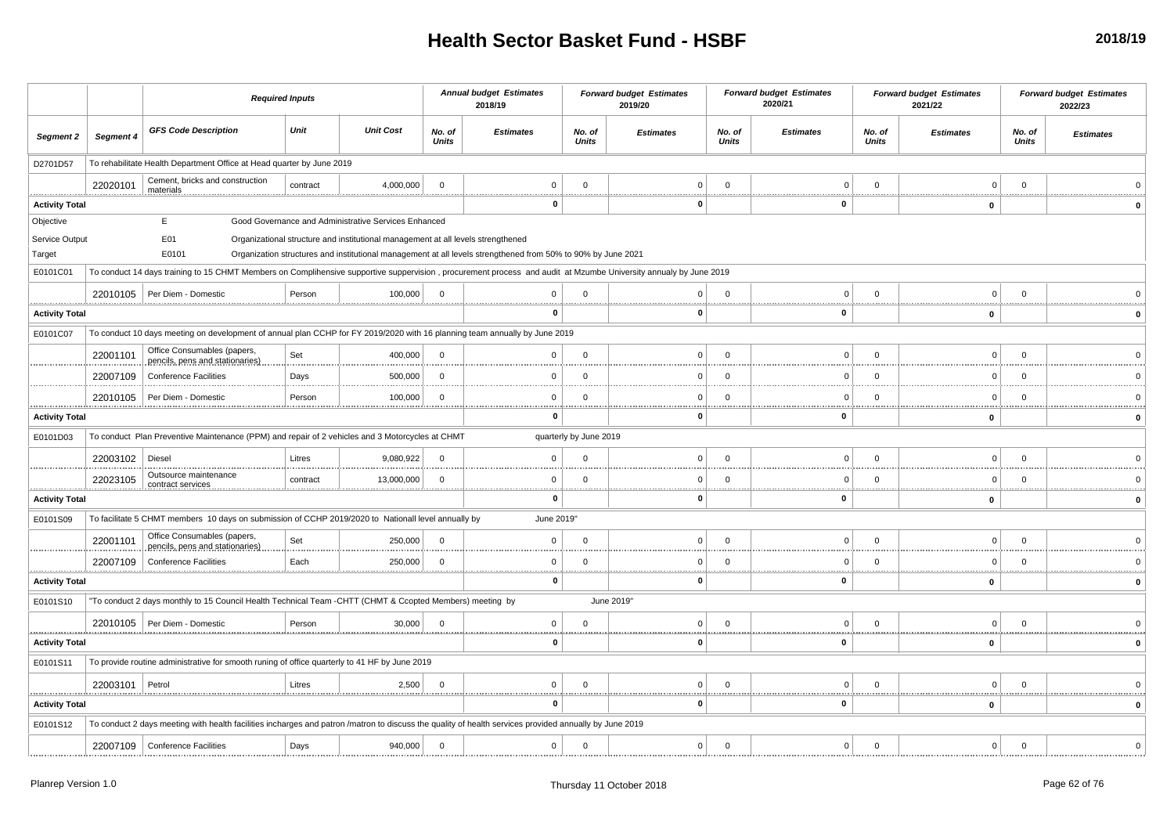|                            |           | <b>Required Inputs</b>                                                                                                                                           |              |                                                                                  |                        | <b>Annual budget Estimates</b><br>2018/19                                                                    |                        | <b>Forward budget Estimates</b><br>2019/20 |                        | <b>Forward budget Estimates</b><br>2020/21 |                        | <b>Forward budget Estimates</b><br>2021/22 |                        | <b>Forward budget Estimates</b><br>2022/23 |
|----------------------------|-----------|------------------------------------------------------------------------------------------------------------------------------------------------------------------|--------------|----------------------------------------------------------------------------------|------------------------|--------------------------------------------------------------------------------------------------------------|------------------------|--------------------------------------------|------------------------|--------------------------------------------|------------------------|--------------------------------------------|------------------------|--------------------------------------------|
| Segment 2                  | Segment 4 | <b>GFS Code Description</b>                                                                                                                                      | Unit         | <b>Unit Cost</b>                                                                 | No. of<br><b>Units</b> | <b>Estimates</b>                                                                                             | No. of<br><b>Units</b> | <b>Estimates</b>                           | No. of<br><b>Units</b> | <b>Estimates</b>                           | No. of<br><b>Units</b> | <b>Estimates</b>                           | No. of<br><b>Units</b> | <b>Estimates</b>                           |
| D2701D57                   |           | To rehabilitate Health Department Office at Head quarter by June 2019                                                                                            |              |                                                                                  |                        |                                                                                                              |                        |                                            |                        |                                            |                        |                                            |                        |                                            |
|                            | 22020101  | Cement, bricks and construction<br>materials                                                                                                                     | contract     | 4,000,000                                                                        | $\Omega$               | $\mathbf 0$                                                                                                  | $\mathbf 0$            | $\overline{0}$                             | $\Omega$               | $\Omega$                                   | $\Omega$               | $\overline{0}$                             | $\overline{0}$         |                                            |
| <b>Activity Total</b>      |           |                                                                                                                                                                  |              |                                                                                  |                        | $\mathbf{0}$                                                                                                 |                        | O                                          |                        | 0                                          |                        | 0                                          |                        |                                            |
| Objective                  |           | Е                                                                                                                                                                |              | Good Governance and Administrative Services Enhanced                             |                        |                                                                                                              |                        |                                            |                        |                                            |                        |                                            |                        |                                            |
| Service Output<br>Target   |           | E01<br>E0101                                                                                                                                                     |              | Organizational structure and institutional management at all levels strengthened |                        | Organization structures and institutional management at all levels strengthened from 50% to 90% by June 2021 |                        |                                            |                        |                                            |                        |                                            |                        |                                            |
| E0101C01                   |           | To conduct 14 days training to 15 CHMT Members on Complihensive supportive suppervision, procurement process and audit at Mzumbe University annualy by June 2019 |              |                                                                                  |                        |                                                                                                              |                        |                                            |                        |                                            |                        |                                            |                        |                                            |
|                            |           | 22010105 Per Diem - Domestic                                                                                                                                     | Person       | 100.000                                                                          | - 0                    | $\Omega$                                                                                                     | $\Omega$               | 0                                          | $\Omega$               | $\Omega$                                   | $\Omega$               | $\Omega$                                   | $\Omega$               |                                            |
| <b>Activity Total</b>      |           |                                                                                                                                                                  |              |                                                                                  |                        | 0                                                                                                            |                        | $\Omega$                                   |                        | 0                                          |                        | $\mathbf 0$                                |                        |                                            |
| E0101C07                   |           | To conduct 10 days meeting on development of annual plan CCHP for FY 2019/2020 with 16 planning team annually by June 2019                                       |              |                                                                                  |                        |                                                                                                              |                        |                                            |                        |                                            |                        |                                            |                        |                                            |
|                            | 22001101  | Office Consumables (papers,                                                                                                                                      | Set          | 400,000                                                                          | - 0                    | $\mathbf 0$                                                                                                  | $\mathbf 0$            | $\overline{0}$                             | $\Omega$               | $\Omega$                                   | $\Omega$               | $\mathbf 0$                                | $\overline{0}$         |                                            |
|                            | 22007109  | pencils, pens and stationaries)                                                                                                                                  |              |                                                                                  | - 0                    | 0                                                                                                            |                        | <sup>0</sup>                               | $\cap$                 |                                            |                        | 0                                          | $\Omega$               |                                            |
|                            |           | <b>Conference Facilities</b>                                                                                                                                     | Days         | 500,000                                                                          |                        |                                                                                                              | $\mathbf 0$            |                                            |                        |                                            |                        |                                            |                        |                                            |
| .                          | 22010105  | Per Diem - Domestic                                                                                                                                              | Person       | 100,000                                                                          | - 0                    | $\Omega$                                                                                                     | $\mathbf 0$            | $\Omega$                                   | $\Omega$               | $\Omega$                                   | $\Omega$               | $\Omega$                                   | $\Omega$               |                                            |
| <b>Activity Total</b>      |           |                                                                                                                                                                  |              |                                                                                  |                        | 0                                                                                                            |                        | O                                          |                        | $\Omega$                                   |                        | 0                                          |                        |                                            |
| E0101D03                   |           | To conduct Plan Preventive Maintenance (PPM) and repair of 2 vehicles and 3 Motorcycles at CHMT                                                                  |              |                                                                                  |                        |                                                                                                              | quarterly by June 2019 |                                            |                        |                                            |                        |                                            |                        |                                            |
|                            | 22003102  | Diesel                                                                                                                                                           | Litres       | 9,080,922                                                                        | $\Omega$               | $\Omega$                                                                                                     | $\Omega$               | $\Omega$                                   | $\Omega$               |                                            |                        | $\Omega$                                   | $\Omega$               |                                            |
|                            | 22023105  | Outsource maintenance<br>contract services                                                                                                                       | contract<br> | 13,000,000                                                                       | $\cap$                 | $\mathbf{0}$<br>                                                                                             | $\Omega$               | $\Omega$                                   | $\Omega$               | $\Omega$                                   | $\Omega$               | $\Omega$                                   | $\cap$                 |                                            |
| <b>Activity Total</b>      |           |                                                                                                                                                                  |              |                                                                                  |                        | $\mathbf 0$                                                                                                  |                        | 0                                          |                        | $\mathbf{0}$                               |                        | $\pmb{0}$                                  |                        | $\Omega$                                   |
| E0101S09                   |           | To facilitate 5 CHMT members 10 days on submission of CCHP 2019/2020 to Nationall level annually by                                                              |              |                                                                                  |                        | June 2019"                                                                                                   |                        |                                            |                        |                                            |                        |                                            |                        |                                            |
|                            | 22001101  | Office Consumables (papers,<br>pencils, pens and stationaries)                                                                                                   | Set          | 250,000                                                                          | $\Omega$               | $\mathbf 0$                                                                                                  | $\mathbf 0$            | $\mathbf 0$                                | $\Omega$               | $\Omega$                                   | $\Omega$               | $\mathbf 0$                                | $\overline{0}$         |                                            |
| <u>.</u>                   | 22007109  | <b>Conference Facilities</b>                                                                                                                                     | Each         | 250,000                                                                          |                        | $\mathbf 0$<br>                                                                                              | $\mathbf 0$            | $\Omega$                                   | $\Omega$<br><u></u>    | $\Omega$                                   |                        | $\Omega$                                   | $\Omega$               |                                            |
| <b>Activity Total</b>      |           |                                                                                                                                                                  |              |                                                                                  |                        | $\mathbf 0$                                                                                                  |                        | $\mathbf 0$                                |                        | $\mathbf{0}$                               |                        | $\mathbf{0}$                               |                        | $\mathbf{0}$                               |
| E0101S10                   |           | "To conduct 2 days monthly to 15 Council Health Technical Team -CHTT (CHMT & Ccopted Members) meeting by                                                         |              |                                                                                  |                        |                                                                                                              |                        | June 2019"                                 |                        |                                            |                        |                                            |                        |                                            |
|                            |           | 22010105   Per Diem - Domestic                                                                                                                                   | Person       | 30,000                                                                           | - 0                    | $\mathbf 0$                                                                                                  | $\Omega$               | $\Omega$                                   | $\Omega$               | $\Omega$                                   | $\Omega$               | $\Omega$                                   | $\overline{0}$         |                                            |
| .<br><b>Activity Total</b> |           |                                                                                                                                                                  |              |                                                                                  |                        | <br>$\mathbf{0}$                                                                                             |                        | $\bf{0}$                                   |                        | 0                                          |                        | $\mathbf 0$                                |                        | $\Omega$                                   |
| E0101S11                   |           | To provide routine administrative for smooth runing of office quarterly to 41 HF by June 2019                                                                    |              |                                                                                  |                        |                                                                                                              |                        |                                            |                        |                                            |                        |                                            |                        |                                            |
|                            | 22003101  | Petrol                                                                                                                                                           | Litres       | 2,500                                                                            | $\Omega$               | $\mathbf 0$                                                                                                  | $\mathbf 0$            | $\overline{0}$                             | $\Omega$               | $\Omega$                                   | $\Omega$               | $\mathbf 0$                                | $\overline{0}$         |                                            |
| <br><b>Activity Total</b>  |           |                                                                                                                                                                  |              |                                                                                  |                        | 0                                                                                                            |                        | 0                                          |                        | 0                                          |                        | 0                                          |                        |                                            |
| E0101S12                   |           | To conduct 2 days meeting with health facilities incharges and patron /matron to discuss the quality of health services provided annually by June 2019           |              |                                                                                  |                        |                                                                                                              |                        |                                            |                        |                                            |                        |                                            |                        |                                            |
|                            |           | 22007109 Conference Facilities                                                                                                                                   | Days         | 940,000                                                                          | $\Omega$               | $\Omega$                                                                                                     | $\Omega$               | $\Omega$                                   | $^{\circ}$             | $\Omega$                                   | $\Omega$               | $\Omega$                                   | $\Omega$               |                                            |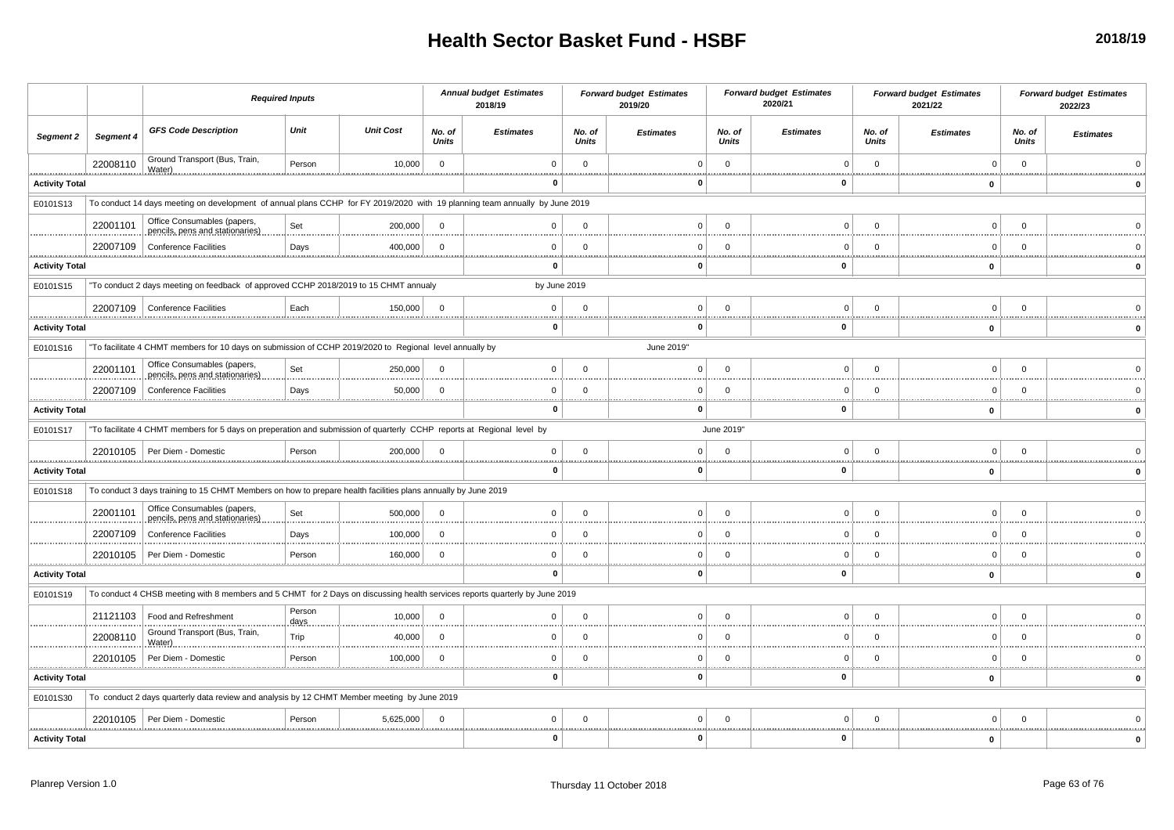|                       |               |                                                                                                                             | <b>Required Inputs</b> |                  |                        | <b>Annual budget Estimates</b><br>2018/19 |                        | <b>Forward budget Estimates</b><br>2019/20 |                        | <b>Forward budget Estimates</b><br>2020/21 |                 | <b>Forward budget Estimates</b><br>2021/22 |                 | <b>Forward budget Estimates</b><br>2022/23 |
|-----------------------|---------------|-----------------------------------------------------------------------------------------------------------------------------|------------------------|------------------|------------------------|-------------------------------------------|------------------------|--------------------------------------------|------------------------|--------------------------------------------|-----------------|--------------------------------------------|-----------------|--------------------------------------------|
| Segment 2             | Segment 4     | <b>GFS Code Description</b>                                                                                                 | Unit                   | <b>Unit Cost</b> | No. of<br><b>Units</b> | <b>Estimates</b>                          | No. of<br><b>Units</b> | <b>Estimates</b>                           | No. of<br><b>Units</b> | <b>Estimates</b>                           | No. of<br>Units | <b>Estimates</b>                           | No. of<br>Units | <b>Estimates</b>                           |
|                       | 22008110      | Ground Transport (Bus, Train,                                                                                               | Person                 | 10,000           | $\mathsf 0$            | $\Omega$                                  | $\mathbf{0}$           |                                            | $\Omega$               |                                            | $\Omega$        | $\Omega$                                   | $\overline{0}$  |                                            |
| <b>Activity Total</b> |               |                                                                                                                             |                        |                  |                        | $\mathbf 0$                               |                        | 0                                          |                        | $\mathbf{0}$                               |                 | $\mathbf 0$                                |                 |                                            |
| E0101S13              |               | To conduct 14 days meeting on development of annual plans CCHP for FY 2019/2020 with 19 planning team annually by June 2019 |                        |                  |                        |                                           |                        |                                            |                        |                                            |                 |                                            |                 |                                            |
|                       | 22001101      | Office Consumables (papers,<br>pencils, pens and stationaries)                                                              | Set                    | 200,000          | $\Omega$               | $\Omega$                                  | $\Omega$               | U                                          | $\Omega$               | $\Omega$                                   | $\Omega$        | $\Omega$                                   | $\Omega$        |                                            |
|                       | 22007109      | <b>Conference Facilities</b>                                                                                                | Days                   | 400,000          | $\mathbf 0$            | $\mathbf 0$                               | $\overline{0}$         |                                            | $\Omega$               | $\Omega$                                   | $\Omega$        | $\overline{0}$                             | $\overline{0}$  |                                            |
| <b>Activity Total</b> |               |                                                                                                                             |                        |                  |                        | 0                                         |                        | O                                          |                        | 0                                          |                 | 0                                          |                 |                                            |
| E0101S15              |               | "To conduct 2 days meeting on feedback of approved CCHP 2018/2019 to 15 CHMT annualy                                        |                        |                  |                        | by June 2019                              |                        |                                            |                        |                                            |                 |                                            |                 |                                            |
|                       |               | 22007109 Conference Facilities                                                                                              | Each                   | 150,000          |                        | $\mathbf 0$                               | $\Omega$               |                                            |                        |                                            |                 | $\Omega$                                   |                 |                                            |
| <b>Activity Total</b> |               |                                                                                                                             |                        |                  |                        | $\bf{0}$                                  |                        | $\Omega$                                   |                        | $\mathbf{0}$                               |                 | $\mathbf{0}$                               |                 |                                            |
| E0101S16              |               | "To facilitate 4 CHMT members for 10 days on submission of CCHP 2019/2020 to Regional level annually by                     |                        |                  |                        |                                           |                        | June 2019"                                 |                        |                                            |                 |                                            |                 |                                            |
|                       | 22001101      | Office Consumables (papers,<br>pencils, pens and stationaries)                                                              | Set                    | 250,000          | $\Omega$               | $\mathbf{0}$                              | $\Omega$               | n                                          | $\Omega$               | $\Omega$                                   | $\Omega$        | $\Omega$                                   | $\Omega$        |                                            |
|                       | 22007109      | <b>Conference Facilities</b>                                                                                                | Days                   | 50,000           | $\mathbf 0$            | $\overline{0}$                            | $\mathbf 0$            |                                            |                        | C<br>                                      |                 | $\Omega$                                   | - 0             |                                            |
| <b>Activity Total</b> |               |                                                                                                                             |                        |                  |                        | $\mathbf 0$                               |                        | ŋ                                          |                        | $\Omega$                                   |                 | $\mathbf 0$                                |                 |                                            |
| E0101S17              |               | "To facilitate 4 CHMT members for 5 days on preperation and submission of quarterly CCHP reports at Regional level by       |                        |                  |                        |                                           |                        |                                            | June 2019"             |                                            |                 |                                            |                 |                                            |
|                       |               | 22010105   Per Diem - Domestic                                                                                              | Person                 | 200,000          | $\Omega$               | $\mathbf 0$                               | $\Omega$               | 0                                          | $\Omega$               | $\Omega$                                   |                 | $\Omega$                                   | $\Omega$        |                                            |
| <b>Activity Total</b> |               |                                                                                                                             |                        |                  |                        | 0                                         |                        | ŋ                                          |                        | $\Omega$                                   |                 | $\mathbf 0$                                |                 | $\Omega$                                   |
| E0101S18              |               | To conduct 3 days training to 15 CHMT Members on how to prepare health facilities plans annually by June 2019               |                        |                  |                        |                                           |                        |                                            |                        |                                            |                 |                                            |                 |                                            |
|                       | 22001101      | Office Consumables (papers,<br>pencils, pens and stationaries)                                                              | Set                    | 500.000          | $\Omega$               | $\mathbf{0}$                              | $\Omega$               | 0                                          | $\Omega$               | $\Omega$                                   | $\Omega$        | $\Omega$                                   | $\Omega$        |                                            |
|                       | 22007109      | <b>Conference Facilities</b>                                                                                                | Days                   | 100,000          | $\overline{0}$         | $\mathbf{0}$                              | $\mathbf{0}$           |                                            | $\Omega$               |                                            | $\Omega$        | $\Omega$                                   | $\Omega$        |                                            |
|                       | 22010105      | Per Diem - Domestic<br>                                                                                                     | Person                 | 160,000          | $\Omega$               | $\mathbf{0}$                              | $\mathbf 0$            |                                            | $\Omega$               | $\Omega$                                   | $\cap$          | $\Omega$                                   | - 0             |                                            |
| <b>Activity Total</b> |               |                                                                                                                             |                        |                  |                        | $\bf{0}$                                  |                        |                                            |                        | 0                                          |                 | 0                                          |                 |                                            |
| E0101S19              |               | To conduct 4 CHSB meeting with 8 members and 5 CHMT for 2 Days on discussing health services reports quarterly by June 2019 |                        |                  |                        |                                           |                        |                                            |                        |                                            |                 |                                            |                 |                                            |
|                       | 21121103      | Food and Refreshment                                                                                                        | Person<br>days         | 10,000           | $\Omega$               | $\Omega$                                  | $\Omega$               | U                                          |                        |                                            |                 | $\Omega$                                   |                 |                                            |
|                       | 22008110      | Ground Transport (Bus, Train,<br>Water)                                                                                     | Trip                   | 40,000           | $\Omega$               | $\Omega$                                  | $\Omega$               | <sup>n</sup>                               | $\Omega$               | $\Omega$                                   | $\Omega$        | $\Omega$                                   | $\Omega$        |                                            |
|                       | 22010105<br>. | Per Diem - Domestic                                                                                                         | Person                 | 100,000          | $\mathbf 0$            | $\Omega$                                  | $\Omega$               |                                            | $\Omega$               |                                            | $\Omega$        | $\Omega$                                   | - 0             |                                            |
| <b>Activity Total</b> |               |                                                                                                                             |                        |                  |                        | $\bf{0}$                                  |                        | O                                          |                        | $\Omega$                                   |                 | $\mathbf 0$                                |                 |                                            |
| E0101S30              |               | To conduct 2 days quarterly data review and analysis by 12 CHMT Member meeting by June 2019                                 |                        |                  |                        |                                           |                        |                                            |                        |                                            |                 |                                            |                 |                                            |
|                       |               | 22010105   Per Diem - Domestic                                                                                              | Person                 | 5,625,000        | $\Omega$               | $\mathbf 0$                               | $\Omega$               |                                            |                        |                                            |                 | $\sqrt{ }$                                 |                 |                                            |
| <b>Activity Total</b> |               |                                                                                                                             |                        |                  |                        | O                                         |                        |                                            |                        | - 0                                        |                 | 0                                          |                 |                                            |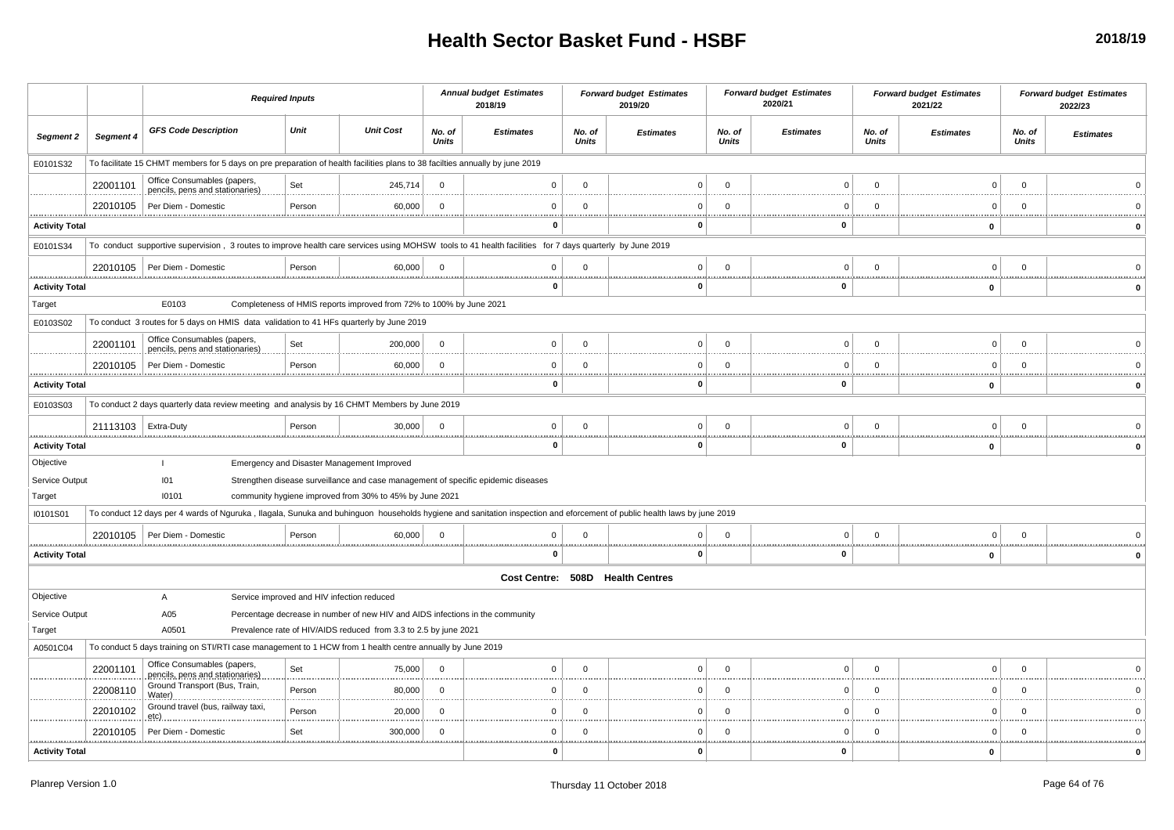|                                    |           |                                                                                                                                                                         | <b>Required Inputs</b> |                                                                               |                        | <b>Annual budget Estimates</b><br>2018/19                                         |                        | <b>Forward budget Estimates</b><br>2019/20 |                        | <b>Forward budget Estimates</b><br>2020/21 |                        | <b>Forward budget Estimates</b><br>2021/22 |                 | <b>Forward budget Estimates</b><br>2022/23 |
|------------------------------------|-----------|-------------------------------------------------------------------------------------------------------------------------------------------------------------------------|------------------------|-------------------------------------------------------------------------------|------------------------|-----------------------------------------------------------------------------------|------------------------|--------------------------------------------|------------------------|--------------------------------------------|------------------------|--------------------------------------------|-----------------|--------------------------------------------|
| Segment 2                          | Segment 4 | <b>GFS Code Description</b>                                                                                                                                             | Unit                   | <b>Unit Cost</b>                                                              | No. of<br><b>Units</b> | <b>Estimates</b>                                                                  | No. of<br><b>Units</b> | <b>Estimates</b>                           | No. of<br><b>Units</b> | <b>Estimates</b>                           | No. of<br><b>Units</b> | <b>Estimates</b>                           | No. of<br>Units | <b>Estimates</b>                           |
| E0101S32                           |           | To facilitate 15 CHMT members for 5 days on pre preparation of health facilities plans to 38 facilties annually by june 2019                                            |                        |                                                                               |                        |                                                                                   |                        |                                            |                        |                                            |                        |                                            |                 |                                            |
|                                    | 22001101  | Office Consumables (papers,<br>pencils, pens and stationaries)                                                                                                          | Set                    | 245,714                                                                       | $\Omega$               | $\Omega$                                                                          | $\Omega$               |                                            | $\Omega$               | $\Omega$                                   | $^{\circ}$             | $\Omega$                                   | $\mathbf{0}$    |                                            |
|                                    | 22010105  | Per Diem - Domestic                                                                                                                                                     | Person                 | 60,000                                                                        | $\mathbf 0$            | $\Omega$                                                                          | $\Omega$               | n                                          | $\Omega$               | C                                          | $\Omega$               | $\Omega$                                   | $\overline{0}$  |                                            |
| <b>Activity Total</b>              |           |                                                                                                                                                                         |                        |                                                                               |                        | n                                                                                 |                        | 0                                          |                        | $\mathbf{0}$                               |                        | 0                                          |                 | $\Omega$                                   |
| E0101S34                           |           | To conduct supportive supervision, 3 routes to improve health care services using MOHSW tools to 41 health facilities for 7 days quarterly by June 2019                 |                        |                                                                               |                        |                                                                                   |                        |                                            |                        |                                            |                        |                                            |                 |                                            |
|                                    |           | 22010105   Per Diem - Domestic                                                                                                                                          | Person                 | 60,000                                                                        | $\mathbf 0$            | $^{\circ}$                                                                        | $\Omega$               | $\overline{0}$                             | $\Omega$               | $\mathbf{0}$                               | 0                      | $\overline{0}$                             | $\mathbf{0}$    |                                            |
| <b>Activity Total</b>              |           |                                                                                                                                                                         |                        |                                                                               |                        | $\mathbf 0$                                                                       |                        | 0                                          |                        | $\mathbf{0}$                               |                        | $\mathbf{0}$                               |                 |                                            |
| Target                             |           | E0103                                                                                                                                                                   |                        | Completeness of HMIS reports improved from 72% to 100% by June 2021           |                        |                                                                                   |                        |                                            |                        |                                            |                        |                                            |                 |                                            |
| E0103S02                           |           | To conduct 3 routes for 5 days on HMIS data validation to 41 HFs quarterly by June 2019                                                                                 |                        |                                                                               |                        |                                                                                   |                        |                                            |                        |                                            |                        |                                            |                 |                                            |
|                                    | 22001101  | Office Consumables (papers,                                                                                                                                             | Set                    | 200,000                                                                       | $\Omega$               | $\Omega$                                                                          | $\Omega$               | $\Omega$                                   | $\Omega$               | C                                          | $\mathbf 0$            | $\Omega$                                   | $\mathbf{0}$    |                                            |
|                                    | 22010105  | pencils, pens and stationaries)<br>Per Diem - Domestic                                                                                                                  | Person                 | 60,000                                                                        | $\Omega$               | $\Omega$                                                                          | $\Omega$               | $\Omega$                                   | $\Omega$               | $\Omega$                                   | $\Omega$               | $\overline{0}$                             | $\Omega$        |                                            |
| <b>Activity Total</b>              |           |                                                                                                                                                                         |                        |                                                                               |                        | $\mathbf 0$                                                                       |                        | 0                                          |                        | $\mathbf{0}$                               |                        | 0                                          |                 | $\Omega$                                   |
| E0103S03                           |           | To conduct 2 days quarterly data review meeting and analysis by 16 CHMT Members by June 2019                                                                            |                        |                                                                               |                        |                                                                                   |                        |                                            |                        |                                            |                        |                                            |                 |                                            |
|                                    |           |                                                                                                                                                                         |                        |                                                                               | $\Omega$               | $\Omega$                                                                          |                        |                                            | C                      | $\overline{0}$                             | $\Omega$               | $\Omega$                                   | $\Omega$        |                                            |
|                                    | 21113103  | Extra-Duty                                                                                                                                                              | Person                 | 30,000                                                                        |                        | $\bf{0}$                                                                          | $\Omega$               | $\Omega$<br>. i<br>0                       |                        | $\mathbf{0}$                               |                        |                                            |                 |                                            |
| <b>Activity Total</b><br>Objective |           |                                                                                                                                                                         |                        | Emergency and Disaster Management Improved                                    |                        |                                                                                   |                        |                                            |                        |                                            |                        | 0                                          |                 |                                            |
| Service Output                     |           | 101                                                                                                                                                                     |                        |                                                                               |                        | Strengthen disease surveillance and case management of specific epidemic diseases |                        |                                            |                        |                                            |                        |                                            |                 |                                            |
| Target                             |           | 10101                                                                                                                                                                   |                        | community hygiene improved from 30% to 45% by June 2021                       |                        |                                                                                   |                        |                                            |                        |                                            |                        |                                            |                 |                                            |
| I0101S01                           |           | To conduct 12 days per 4 wards of Nguruka, Ilagala, Sunuka and buhinguon households hygiene and sanitation inspection and eforcement of public health laws by june 2019 |                        |                                                                               |                        |                                                                                   |                        |                                            |                        |                                            |                        |                                            |                 |                                            |
|                                    | 22010105  | Per Diem - Domestic                                                                                                                                                     | Person                 | 60,000                                                                        | $\Omega$               | $\Omega$                                                                          | $\Omega$               |                                            | $\Omega$               | $\Omega$                                   | $\Omega$               | $\Omega$                                   | $\Omega$        |                                            |
| <b>Activity Total</b>              |           |                                                                                                                                                                         |                        |                                                                               |                        | 0                                                                                 |                        | 0                                          |                        | $\mathbf{0}$                               |                        | 0                                          |                 |                                            |
|                                    |           |                                                                                                                                                                         |                        |                                                                               |                        |                                                                                   |                        | Cost Centre: 508D Health Centres           |                        |                                            |                        |                                            |                 |                                            |
| Objective                          |           | A                                                                                                                                                                       |                        | Service improved and HIV infection reduced                                    |                        |                                                                                   |                        |                                            |                        |                                            |                        |                                            |                 |                                            |
| Service Output                     |           | A05                                                                                                                                                                     |                        | Percentage decrease in number of new HIV and AIDS infections in the community |                        |                                                                                   |                        |                                            |                        |                                            |                        |                                            |                 |                                            |
| Target                             |           | A0501                                                                                                                                                                   |                        | Prevalence rate of HIV/AIDS reduced from 3.3 to 2.5 by june 2021              |                        |                                                                                   |                        |                                            |                        |                                            |                        |                                            |                 |                                            |
| A0501C04                           |           | To conduct 5 days training on STI/RTI case management to 1 HCW from 1 health centre annually by June 2019                                                               |                        |                                                                               |                        |                                                                                   |                        |                                            |                        |                                            |                        |                                            |                 |                                            |
|                                    | 22001101  | Office Consumables (papers,<br>pencils, pens and stationaries)                                                                                                          | Set                    | 75,000                                                                        | $\Omega$               | $\Omega$                                                                          | $\Omega$               | $\Omega$                                   | $\Omega$               | $\Omega$                                   | $^{\circ}$             | $\overline{0}$                             | $\mathbf{0}$    |                                            |
|                                    | 22008110  | Ground Transport (Bus, Train,<br>Water                                                                                                                                  | Person                 | 80,000                                                                        | $\Omega$               | $\Omega$                                                                          | $\Omega$               | $\Omega$                                   | $\Omega$               | $\Omega$                                   | $\Omega$               | $\Omega$                                   | $\overline{0}$  |                                            |
|                                    | 22010102  | Ground travel (bus, railway taxi,                                                                                                                                       | Person                 | 20,000                                                                        | $\Omega$               | $\cap$                                                                            | $\Omega$               | n                                          | $\Omega$               | $\Omega$                                   | $^{\circ}$             | $\mathbf 0$                                | $\overline{0}$  |                                            |
|                                    | 22010105  | etc)<br>Per Diem - Domestic                                                                                                                                             | Set                    | 300,000                                                                       | $\Omega$               | $\cap$                                                                            | $\Omega$               |                                            | $\Omega$               | C                                          | $\Omega$               | - 0                                        | $\Omega$        |                                            |
| <b>Activity Total</b>              |           |                                                                                                                                                                         |                        |                                                                               |                        | $\bf{0}$                                                                          | .                      | 0                                          |                        | $\mathbf{0}$                               |                        | 0                                          |                 | $\Omega$                                   |
|                                    |           |                                                                                                                                                                         |                        |                                                                               |                        |                                                                                   |                        |                                            |                        |                                            |                        |                                            |                 |                                            |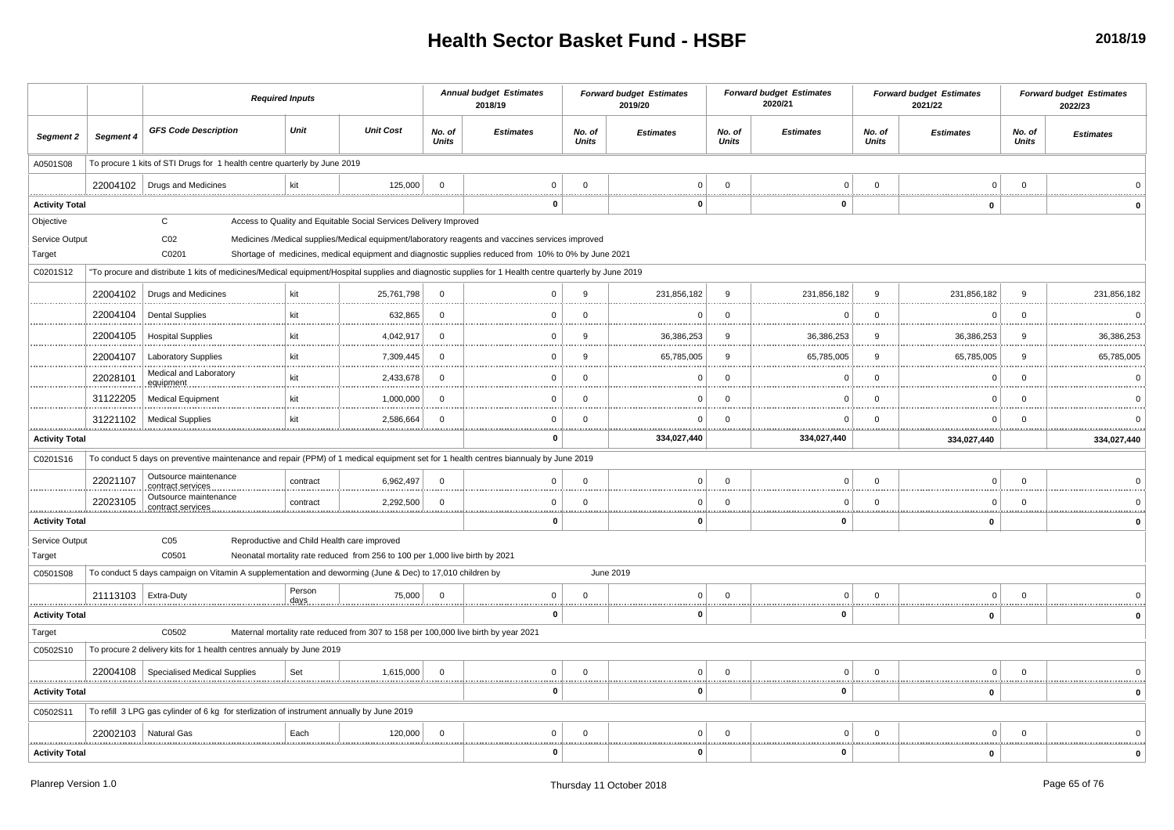|                          |                        | <b>Required Inputs</b>                                                                                                                                |                |                                                                                                                             |                        | <b>Annual budget Estimates</b><br>2018/19                                                            |                        | <b>Forward budget Estimates</b><br>2019/20 |                        | <b>Forward budget Estimates</b><br>2020/21 |                 | <b>Forward budget Estimates</b><br>2021/22 |                 | <b>Forward budget Estimates</b><br>2022/23 |
|--------------------------|------------------------|-------------------------------------------------------------------------------------------------------------------------------------------------------|----------------|-----------------------------------------------------------------------------------------------------------------------------|------------------------|------------------------------------------------------------------------------------------------------|------------------------|--------------------------------------------|------------------------|--------------------------------------------|-----------------|--------------------------------------------|-----------------|--------------------------------------------|
| <b>Segment 2</b>         | Segment 4              | <b>GFS Code Description</b>                                                                                                                           | Unit           | <b>Unit Cost</b>                                                                                                            | No. of<br><b>Units</b> | <b>Estimates</b>                                                                                     | No. of<br><b>Units</b> | <b>Estimates</b>                           | No. of<br><b>Units</b> | <b>Estimates</b>                           | No. of<br>Units | <b>Estimates</b>                           | No. of<br>Units | <b>Estimates</b>                           |
| A0501S08                 |                        | To procure 1 kits of STI Drugs for 1 health centre quarterly by June 2019                                                                             |                |                                                                                                                             |                        |                                                                                                      |                        |                                            |                        |                                            |                 |                                            |                 |                                            |
|                          |                        | 22004102   Drugs and Medicines                                                                                                                        | kit            | 125,000                                                                                                                     | $\mathbf 0$            | $^{\circ}$                                                                                           | $\Omega$               | $\Omega$                                   | $\Omega$               | $\Omega$                                   | $\mathbf 0$     | $\overline{0}$                             | $\mathbf{0}$    |                                            |
| <b>Activity Total</b>    |                        |                                                                                                                                                       |                |                                                                                                                             |                        | 0                                                                                                    |                        | 0                                          |                        | 0                                          |                 | $\mathbf 0$                                |                 |                                            |
| Objective                |                        | C                                                                                                                                                     |                | Access to Quality and Equitable Social Services Delivery Improved                                                           |                        |                                                                                                      |                        |                                            |                        |                                            |                 |                                            |                 |                                            |
| Service Output           |                        | CO <sub>2</sub>                                                                                                                                       |                |                                                                                                                             |                        | Medicines /Medical supplies/Medical equipment/laboratory reagents and vaccines services improved     |                        |                                            |                        |                                            |                 |                                            |                 |                                            |
| Target                   |                        | C0201                                                                                                                                                 |                |                                                                                                                             |                        | Shortage of medicines, medical equipment and diagnostic supplies reduced from 10% to 0% by June 2021 |                        |                                            |                        |                                            |                 |                                            |                 |                                            |
| C0201S12                 |                        | "To procure and distribute 1 kits of medicines/Medical equipment/Hospital supplies and diagnostic supplies for 1 Health centre quarterly by June 2019 |                |                                                                                                                             |                        |                                                                                                      |                        |                                            |                        |                                            |                 |                                            |                 |                                            |
|                          | 22004102               | Drugs and Medicines                                                                                                                                   | kit            | 25,761,798                                                                                                                  | $\Omega$               | $\Omega$                                                                                             | 9                      | 231,856,182                                | $\mathbf{Q}$           | 231,856,182                                | $\mathbf{Q}$    | 231,856,182                                | $\mathbf{q}$    | 231,856,182                                |
|                          | 22004104               | <b>Dental Supplies</b>                                                                                                                                | kit            | 632,865                                                                                                                     | $\Omega$               | $\Omega$                                                                                             | $\Omega$               | $\Omega$                                   | $\Omega$               | c                                          | $\Omega$        | - 0                                        | $\Omega$        | $\Omega$                                   |
|                          | 22004105               | <b>Hospital Supplies</b>                                                                                                                              | kit            | 4,042,917                                                                                                                   | $\Omega$               | 0                                                                                                    | 9                      | 36,386,253                                 | 9                      | 36,386,253                                 | 9               | 36,386,253                                 | -9              | 36,386,253                                 |
|                          | 22004107               | <b>Laboratory Supplies</b>                                                                                                                            | kit            | 7,309,445                                                                                                                   | $\Omega$               | $\Omega$                                                                                             | 9                      | 65,785,005                                 | 9                      | 65,785,005                                 | 9               | 65,785,005                                 | 9               | 65,785,005                                 |
|                          | 22028101               | Medical and Laboratory<br>equipment                                                                                                                   | kit            | 2,433,678                                                                                                                   | $\Omega$               | $\Omega$                                                                                             | $\Omega$               | ŋ                                          | C                      | C                                          | $\Omega$        | $\Omega$                                   | $\mathbf{0}$    |                                            |
|                          | 31122205               | <b>Medical Equipment</b>                                                                                                                              | kit            | 1,000,000                                                                                                                   | $\Omega$               | $\Omega$                                                                                             | $\Omega$               | $\Omega$                                   | $\mathcal{C}$          | C                                          | $\Omega$        | $\Omega$                                   | $\Omega$        |                                            |
|                          | 31221102               | <b>Medical Supplies</b>                                                                                                                               | kit            | 2,586,664                                                                                                                   | $\Omega$               | $\Omega$                                                                                             | $\Omega$               | $\Omega$<br>                               | ∩                      | ∩                                          | $\Omega$        | $\Omega$                                   | $\Omega$        |                                            |
| <b>Activity Total</b>    |                        |                                                                                                                                                       |                |                                                                                                                             |                        | $\mathbf 0$                                                                                          |                        | 334,027,440                                |                        | 334,027,440                                |                 | 334,027,440                                |                 | 334,027,440                                |
| C0201S16                 |                        | To conduct 5 days on preventive maintenance and repair (PPM) of 1 medical equipment set for 1 health centres biannualy by June 2019                   |                |                                                                                                                             |                        |                                                                                                      |                        |                                            |                        |                                            |                 |                                            |                 |                                            |
|                          | 22021107               | Outsource maintenance<br>contract services                                                                                                            | contract       | 6,962,497                                                                                                                   | $\Omega$               | $\Omega$                                                                                             | $\Omega$               | $\mathbf 0$                                | $\Omega$               | $\Omega$                                   | $\Omega$        | $\overline{0}$                             | $\mathbf{0}$    |                                            |
|                          | 22023105               | Outsource maintenance<br>contract services                                                                                                            | contract       | 2,292,500                                                                                                                   | $\Omega$               | $\Omega$                                                                                             | $\Omega$               | $\Omega$                                   | $\Omega$               | $\mathbf C$                                | $^{\circ}$      | $\overline{0}$                             | $\overline{0}$  |                                            |
| <b>Activity Total</b>    |                        |                                                                                                                                                       |                |                                                                                                                             |                        | 0                                                                                                    | .                      | . <u>.</u><br>0                            |                        | 0                                          |                 | 0                                          |                 |                                            |
| Service Output<br>Target |                        | C <sub>05</sub><br>C0501                                                                                                                              |                | Reproductive and Child Health care improved<br>Neonatal mortality rate reduced from 256 to 100 per 1,000 live birth by 2021 |                        |                                                                                                      |                        |                                            |                        |                                            |                 |                                            |                 |                                            |
| C0501S08                 |                        | To conduct 5 days campaign on Vitamin A supplementation and deworming (June & Dec) to 17,010 children by                                              |                |                                                                                                                             |                        |                                                                                                      |                        | June 2019                                  |                        |                                            |                 |                                            |                 |                                            |
|                          | 21113103               | Extra-Duty                                                                                                                                            | Person<br>days | 75,000                                                                                                                      | $\mathbf 0$            | $\mathbf 0$<br><u></u>                                                                               | $\Omega$               | $\overline{0}$                             | $\Omega$<br><u></u>    | $\Omega$                                   | $\mathbf 0$     | $\Omega$                                   | $\overline{0}$  |                                            |
| <b>Activity Total</b>    |                        |                                                                                                                                                       |                |                                                                                                                             |                        | $\mathbf 0$                                                                                          |                        | 0                                          |                        | $\mathbf{0}$                               |                 | $\mathbf 0$                                |                 |                                            |
| Target                   |                        | C0502                                                                                                                                                 |                | Maternal mortality rate reduced from 307 to 158 per 100,000 live birth by year 2021                                         |                        |                                                                                                      |                        |                                            |                        |                                            |                 |                                            |                 |                                            |
| C0502S10                 |                        | To procure 2 delivery kits for 1 health centres annualy by June 2019                                                                                  |                |                                                                                                                             |                        |                                                                                                      |                        |                                            |                        |                                            |                 |                                            |                 |                                            |
| .                        | 22004108               | <b>Specialised Medical Supplies</b>                                                                                                                   | Set            | 1,615,000                                                                                                                   | $\Omega$               | $\mathbf 0$<br>                                                                                      | $\mathbf 0$<br>        | 0 <sup>1</sup>                             | $\Omega$<br>           | $\mathbf 0$                                | $\mathbf 0$     | $\overline{0}$                             | $\overline{0}$  |                                            |
| <b>Activity Total</b>    |                        |                                                                                                                                                       |                |                                                                                                                             |                        | 0                                                                                                    |                        | 0                                          |                        | $\mathbf{0}$                               |                 | 0                                          |                 |                                            |
| C0502S11                 |                        | To refill 3 LPG gas cylinder of 6 kg for sterlization of instrument annually by June 2019                                                             |                |                                                                                                                             |                        |                                                                                                      |                        |                                            |                        |                                            |                 |                                            |                 |                                            |
|                          | 22002103   Natural Gas |                                                                                                                                                       | Each           | 120,000                                                                                                                     | $\Omega$               | $\Omega$                                                                                             | $\Omega$               | 0                                          | ∩                      | $\Omega$                                   | $\Omega$        | $\Omega$                                   | $\Omega$        |                                            |
| <b>Activity Total</b>    |                        |                                                                                                                                                       |                |                                                                                                                             |                        | 0                                                                                                    |                        | 0                                          |                        | $\mathbf{0}$                               |                 | $\pmb{0}$                                  |                 | $\mathbf{0}$                               |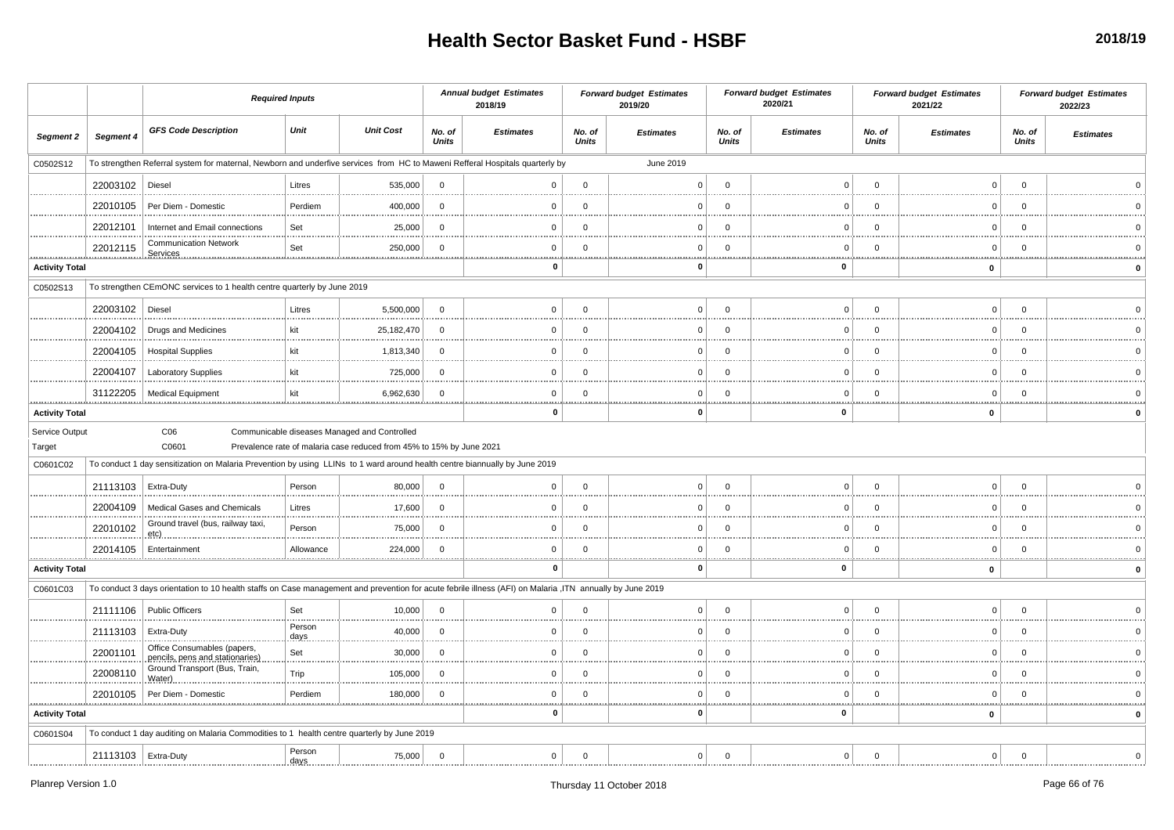|                          |                       | <b>Required Inputs</b>                                                                                                                                     |                                                                                                                      |                        | <b>Annual budget Estimates</b><br>2018/19 |                        | <b>Forward budget Estimates</b><br>2019/20 |                        | <b>Forward budget Estimates</b><br>2020/21 |                 | <b>Forward budget Estimates</b><br>2021/22 |                        | <b>Forward budget Estimates</b><br>2022/23 |
|--------------------------|-----------------------|------------------------------------------------------------------------------------------------------------------------------------------------------------|----------------------------------------------------------------------------------------------------------------------|------------------------|-------------------------------------------|------------------------|--------------------------------------------|------------------------|--------------------------------------------|-----------------|--------------------------------------------|------------------------|--------------------------------------------|
| <b>Segment 2</b>         | Segment 4             | <b>GFS Code Description</b>                                                                                                                                | Unit<br><b>Unit Cost</b>                                                                                             | No. of<br><b>Units</b> | <b>Estimates</b>                          | No. of<br><b>Units</b> | <b>Estimates</b>                           | No. of<br><b>Units</b> | <b>Estimates</b>                           | No. of<br>Units | <b>Estimates</b>                           | No. of<br><b>Units</b> | <b>Estimates</b>                           |
| C0502S12                 |                       | To strengthen Referral system for maternal, Newborn and underfive services from HC to Maweni Refferal Hospitals quarterly by                               |                                                                                                                      |                        |                                           |                        | June 2019                                  |                        |                                            |                 |                                            |                        |                                            |
|                          | 22003102              | Diesel                                                                                                                                                     | Litres<br>535,000                                                                                                    | $\Omega$               | $\Omega$                                  | $\Omega$               | U                                          | $\Omega$               | n                                          | $\Omega$        | $\Omega$                                   | $\Omega$               |                                            |
|                          | 22010105              | Per Diem - Domestic                                                                                                                                        | Perdiem<br>400,000                                                                                                   | $\Omega$               | $\Omega$                                  | $\Omega$               |                                            | $\Omega$               |                                            | C               | $\Omega$                                   | $\Omega$               |                                            |
|                          | 22012101              | Internet and Email connections                                                                                                                             | Set<br>25,000                                                                                                        | $\Omega$               | $\mathbf 0$                               | $\Omega$               | $\Omega$                                   | $\Omega$               | $\Omega$                                   | $\Omega$        | $\Omega$                                   | $\Omega$               |                                            |
|                          | 22012115              | <b>Communication Network</b>                                                                                                                               | Set<br>250,000                                                                                                       | - 0                    | $\Omega$                                  | $\Omega$               | n                                          | $\Omega$               | n                                          | ∩               | $\Omega$                                   | - 0                    |                                            |
| <b>Activity Total</b>    |                       |                                                                                                                                                            |                                                                                                                      |                        | $\mathbf 0$                               |                        | o                                          |                        | 0                                          |                 | $\bf{0}$                                   |                        | $\Omega$                                   |
| C0502S13                 |                       | To strengthen CEmONC services to 1 health centre quarterly by June 2019                                                                                    |                                                                                                                      |                        |                                           |                        |                                            |                        |                                            |                 |                                            |                        |                                            |
|                          | 22003102   Diesel     |                                                                                                                                                            | 5,500,000<br>Litres                                                                                                  | $\overline{0}$         | $\Omega$                                  | $\Omega$               | $\Omega$                                   | $\Omega$               | $\cap$                                     | $\Omega$        | $\Omega$                                   | $\Omega$               |                                            |
|                          | 22004102              | <b>Drugs and Medicines</b>                                                                                                                                 | kit<br>25,182,470                                                                                                    | $\Omega$               | $\Omega$                                  | $\Omega$               | n                                          | $\Omega$               | n                                          | $\Omega$        | $\Omega$                                   | - 0                    |                                            |
|                          | 22004105              | <b>Hospital Supplies</b>                                                                                                                                   | 1,813,340<br>kit                                                                                                     | $\Omega$               | $\Omega$                                  | $\Omega$               |                                            | $\Omega$               | 0                                          | C               | $\Omega$                                   | $\Omega$               |                                            |
|                          | 22004107              | <b>Laboratory Supplies</b>                                                                                                                                 | kit<br>725,000                                                                                                       | $\mathbf 0$            | $\mathbf 0$                               | $\Omega$               | O                                          | $\Omega$               | O                                          | C               | $\mathbf 0$                                | $\Omega$               |                                            |
|                          | 31122205              | <b>Medical Equipment</b>                                                                                                                                   | kit<br>6,962,630                                                                                                     | $\Omega$               | $\Omega$                                  | $\Omega$               | $\Omega$                                   | $\Omega$               | $\Omega$                                   | $\Omega$        | $\Omega$                                   | $\mathbf 0$            |                                            |
| <b>Activity Total</b>    |                       |                                                                                                                                                            |                                                                                                                      |                        | $\mathbf 0$                               | .                      | o                                          |                        | 0                                          |                 | 0                                          |                        |                                            |
| Service Output<br>Target |                       | C <sub>06</sub><br>C0601                                                                                                                                   | Communicable diseases Managed and Controlled<br>Prevalence rate of malaria case reduced from 45% to 15% by June 2021 |                        |                                           |                        |                                            |                        |                                            |                 |                                            |                        |                                            |
| C0601C02                 |                       | To conduct 1 day sensitization on Malaria Prevention by using LLINs to 1 ward around health centre biannually by June 2019                                 |                                                                                                                      |                        |                                           |                        |                                            |                        |                                            |                 |                                            |                        |                                            |
|                          | 21113103   Extra-Duty |                                                                                                                                                            | Person<br>80,000                                                                                                     | $\overline{0}$         | 0                                         | $\Omega$               | $\Omega$                                   | $\Omega$               | $\Omega$                                   | $\Omega$        | $\Omega$                                   | $\Omega$               |                                            |
|                          | 22004109              | Medical Gases and Chemicals                                                                                                                                | Litres<br>17,600                                                                                                     | $\Omega$               | $\Omega$                                  | $\Omega$               |                                            | $\Omega$               |                                            | C               | $\Omega$                                   | $\Omega$               |                                            |
|                          | 22010102              | Ground travel (bus, railway taxi,<br>etc)                                                                                                                  | Person<br>75,000                                                                                                     | $\Omega$               | $\Omega$                                  | $\Omega$               |                                            | $\Omega$               | O                                          | C               | $\Omega$                                   | $\Omega$               |                                            |
|                          | 22014105              | Entertainment                                                                                                                                              | 224,000<br>Allowance                                                                                                 | - 0                    | $\Omega$                                  | $\Omega$               | $\Omega$                                   | $\Omega$               | n                                          | $\Omega$        | $\Omega$                                   | - 0                    |                                            |
| <b>Activity Total</b>    |                       |                                                                                                                                                            |                                                                                                                      |                        | 0                                         |                        | n                                          |                        | 0                                          |                 | $\mathbf 0$                                |                        | $\Omega$                                   |
| C0601C03                 |                       | To conduct 3 days orientation to 10 health staffs on Case management and prevention for acute febrile illness (AFI) on Malaria , ITN annually by June 2019 |                                                                                                                      |                        |                                           |                        |                                            |                        |                                            |                 |                                            |                        |                                            |
|                          |                       | 21111106 Public Officers                                                                                                                                   | Set<br>10,000<br>.                                                                                                   | $\mathbf 0$            | $\Omega$                                  | $\Omega$               |                                            | $\Omega$               | n                                          |                 | $\Omega$                                   | $\Omega$               |                                            |
|                          | 21113103              | Extra-Duty                                                                                                                                                 | Person<br>40,000<br>days                                                                                             | $\overline{0}$         | $\Omega$                                  | $\Omega$               | $\Omega$                                   | $\Omega$               | n                                          | $\Omega$        | $\Omega$                                   | $\Omega$               |                                            |
|                          | 22001101              | Office Consumables (papers,<br>pencils, pens and stationaries)                                                                                             | Set<br>30,000                                                                                                        | $\mathbf 0$            | $\mathbf 0$                               | $\mathbf 0$            |                                            | $\Omega$               | $\Omega$                                   | $\Omega$        | $\mathbf 0$                                | - 0                    |                                            |
|                          | 22008110              | Ground Transport (Bus, Train,<br>Water)                                                                                                                    | Trip<br>105,000                                                                                                      | $\mathbf 0$            | $\Omega$                                  | $\Omega$               |                                            | $\Omega$               |                                            | C               | $\Omega$                                   | $\Omega$               |                                            |
|                          | 22010105              | Per Diem - Domestic                                                                                                                                        | Perdiem<br>180,000                                                                                                   | $\Omega$               | $\Omega$                                  | $\Omega$               | $\Omega$                                   | $\Omega$               | $\Omega$                                   | $\Omega$        | $\Omega$                                   | $\Omega$               |                                            |
| <b>Activity Total</b>    |                       |                                                                                                                                                            |                                                                                                                      |                        | O                                         |                        |                                            |                        | 0                                          |                 | $\mathbf 0$                                |                        |                                            |
| C0601S04                 |                       | To conduct 1 day auditing on Malaria Commodities to 1 health centre quarterly by June 2019                                                                 |                                                                                                                      |                        |                                           |                        |                                            |                        |                                            |                 |                                            |                        |                                            |
|                          | 21113103   Extra-Duty |                                                                                                                                                            | Person<br>75,000<br>days                                                                                             | $\overline{0}$         | $\mathbf{0}$                              | $\Omega$               | 0 <sup>1</sup>                             | $\Omega$               | $\Omega$                                   | $\Omega$        | $\Omega$                                   | $\Omega$               |                                            |
|                          |                       |                                                                                                                                                            |                                                                                                                      |                        |                                           |                        |                                            |                        |                                            |                 |                                            |                        |                                            |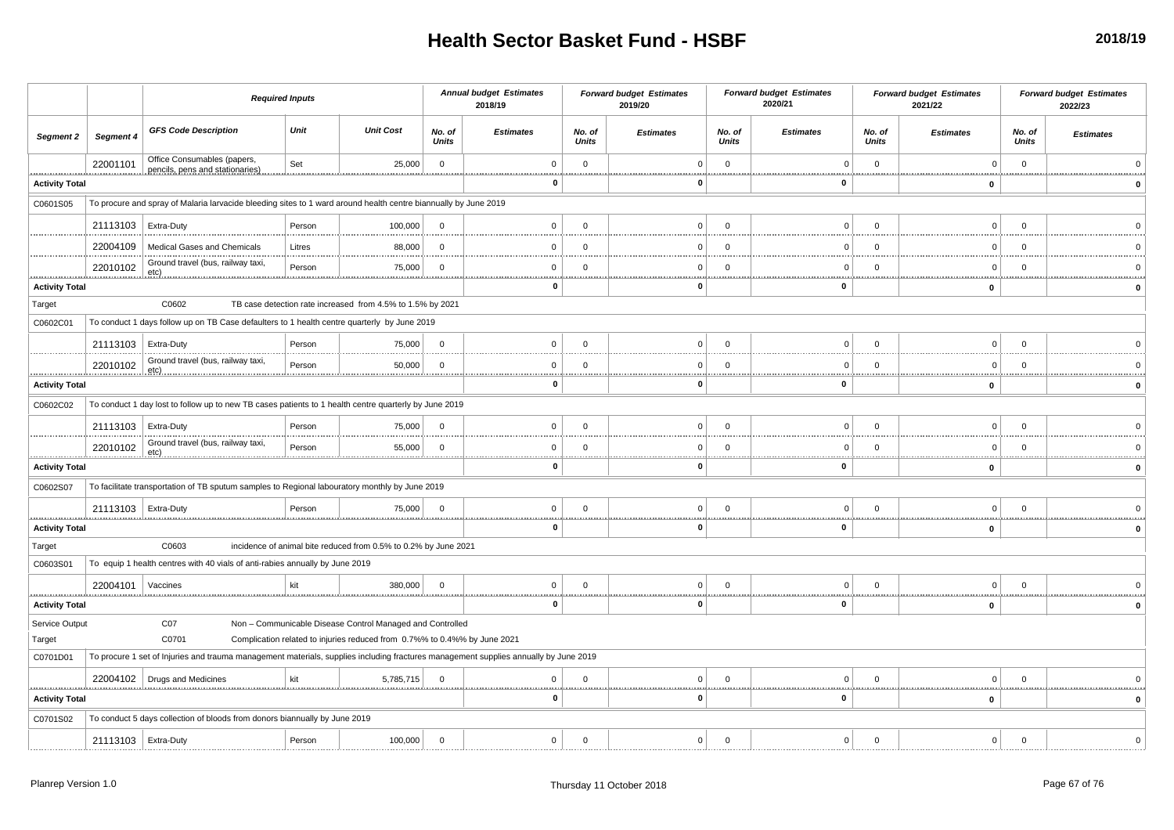|                                            |                       | <b>Required Inputs</b>                                                                                                               |             |                                                                           |                        | <b>Annual budget Estimates</b><br>2018/19 |                        | <b>Forward budget Estimates</b><br>2019/20  |                        | <b>Forward budget Estimates</b><br>2020/21 |                        | <b>Forward budget Estimates</b><br>2021/22 |                        | <b>Forward budget Estimates</b><br>2022/23 |
|--------------------------------------------|-----------------------|--------------------------------------------------------------------------------------------------------------------------------------|-------------|---------------------------------------------------------------------------|------------------------|-------------------------------------------|------------------------|---------------------------------------------|------------------------|--------------------------------------------|------------------------|--------------------------------------------|------------------------|--------------------------------------------|
| Segment 2                                  | <b>Segment 4</b>      | <b>GFS Code Description</b>                                                                                                          | Unit        | <b>Unit Cost</b>                                                          | No. of<br><b>Units</b> | <b>Estimates</b>                          | No. of<br><b>Units</b> | <b>Estimates</b>                            | No. of<br><b>Units</b> | <b>Estimates</b>                           | No. of<br><b>Units</b> | <b>Estimates</b>                           | No. of<br><b>Units</b> | <b>Estimates</b>                           |
|                                            | 22001101              | Office Consumables (papers,<br>pencils, pens and stationaries)                                                                       | Set         | 25,000                                                                    | $\overline{0}$         | $\Omega$<br><b>.</b>                      | $\mathbf 0$            | $\Omega$                                    | $\mathbf{0}$           | $\Omega$                                   | $\mathbf 0$<br>        | $\Omega$                                   | $\mathbf 0$<br>        |                                            |
| <b>Activity Total</b>                      |                       |                                                                                                                                      |             |                                                                           |                        | 0                                         |                        | 0                                           |                        | $\mathbf{0}$                               |                        | 0                                          |                        |                                            |
| C0601S05                                   |                       | To procure and spray of Malaria larvacide bleeding sites to 1 ward around health centre biannually by June 2019                      |             |                                                                           |                        |                                           |                        |                                             |                        |                                            |                        |                                            |                        |                                            |
|                                            | 21113103              | Extra-Duty                                                                                                                           | Person      | 100,000                                                                   | $\overline{0}$         | $\mathbf 0$                               | $\Omega$               | $\Omega$                                    | $\Omega$               | 0                                          | $\Omega$               | $\Omega$                                   | $\Omega$               |                                            |
|                                            | 22004109              | <b>Medical Gases and Chemicals</b>                                                                                                   | Litres      | 88,000                                                                    | - 0                    | $\Omega$                                  | $\Omega$               | $\Omega$                                    | $\Omega$               | $\Omega$                                   | $\Omega$               | $\Omega$                                   | $\Omega$               |                                            |
|                                            | 22010102              | Ground travel (bus, railway taxi,<br>etc)                                                                                            | Person      | 75,000                                                                    | $\Omega$               | $\mathbf 0$                               | $\mathbf 0$            | $\mathbf 0$                                 | $\mathbf 0$            | $\mathbf 0$                                | $\mathbf 0$            | $\mathbf 0$                                | $\mathbf 0$            |                                            |
| .<br><b>Activity Total</b>                 |                       |                                                                                                                                      |             |                                                                           |                        | 0                                         |                        | $\mathbf{0}$                                |                        | $\mathbf{0}$                               |                        | $\mathbf 0$                                |                        |                                            |
| Target                                     |                       | C0602                                                                                                                                |             | TB case detection rate increased from 4.5% to 1.5% by 2021                |                        |                                           |                        |                                             |                        |                                            |                        |                                            |                        |                                            |
| C0602C01                                   |                       | To conduct 1 days follow up on TB Case defaulters to 1 health centre quarterly by June 2019                                          |             |                                                                           |                        |                                           |                        |                                             |                        |                                            |                        |                                            |                        |                                            |
|                                            | 21113103   Extra-Duty |                                                                                                                                      | Person      | 75,000                                                                    | $\Omega$               | $\mathbf 0$                               | $\Omega$               | $\Omega$                                    | $\Omega$               | $\mathbf 0$                                | $\Omega$               | $\mathbf 0$                                | $\Omega$               |                                            |
|                                            | 22010102              | Ground travel (bus, railway taxi,<br><u>.etc)</u>                                                                                    | Person      | 50,000<br><u></u>                                                         | $\Omega$               | $\mathbf 0$                               | $\Omega$               | $\Omega$                                    | $\Omega$               | $\Omega$<br>                               | $\Omega$               | $\Omega$                                   | $\Omega$               |                                            |
| ,,,,,,,,,,,,,,,,,<br><b>Activity Total</b> |                       |                                                                                                                                      |             |                                                                           |                        | 0                                         |                        | 0                                           |                        | --------------------------<br>0            |                        | $\mathbf 0$                                |                        |                                            |
| C0602C02                                   |                       | To conduct 1 day lost to follow up to new TB cases patients to 1 health centre quarterly by June 2019                                |             |                                                                           |                        |                                           |                        |                                             |                        |                                            |                        |                                            |                        |                                            |
|                                            | 21113103   Extra-Duty |                                                                                                                                      | Person      | 75,000                                                                    | $\overline{0}$         | $\Omega$                                  | $\mathbf{0}$           | $\Omega$                                    | $\mathbf{0}$           | 0 <sup>1</sup>                             | $\mathbf{0}$           | $\Omega$                                   | $\mathbf 0$            |                                            |
|                                            | 22010102              | Ground travel (bus, railway taxi,<br>etc)                                                                                            | Person      | 55,000                                                                    | $\Omega$               | $\Omega$                                  | $\Omega$               | $\Omega$                                    | $\Omega$               | $\mathbf{0}$                               | $\Omega$               | $\Omega$                                   | $\Omega$               |                                            |
| .<br><b>Activity Total</b>                 |                       |                                                                                                                                      |             |                                                                           |                        | 0                                         |                        | ,,,,,,,,,,,,,,,,,,,,,,,,,,,<br>$\mathbf{0}$ |                        | 0                                          | .                      | .<br>$\mathbf 0$                           |                        |                                            |
| C0602S07                                   |                       | To facilitate transportation of TB sputum samples to Regional labouratory monthly by June 2019                                       |             |                                                                           |                        |                                           |                        |                                             |                        |                                            |                        |                                            |                        |                                            |
|                                            | 21113103   Extra-Duty |                                                                                                                                      | Person<br>. | 75,000                                                                    | $\Omega$               | $\mathbf 0$<br>.                          | $\Omega$               | $\Omega$<br>                                | $\Omega$               | $\mathbf{0}$                               | $\Omega$               | $\Omega$<br>1.1.1.1                        | $\Omega$<br>           |                                            |
| <b>Activity Total</b>                      |                       |                                                                                                                                      |             |                                                                           |                        | 0                                         |                        | 0                                           |                        | 0                                          |                        | $\mathbf 0$                                |                        |                                            |
| Target                                     |                       | C0603                                                                                                                                |             | incidence of animal bite reduced from 0.5% to 0.2% by June 2021           |                        |                                           |                        |                                             |                        |                                            |                        |                                            |                        |                                            |
| C0603S01                                   |                       | To equip 1 health centres with 40 vials of anti-rabies annually by June 2019                                                         |             |                                                                           |                        |                                           |                        |                                             |                        |                                            |                        |                                            |                        |                                            |
|                                            | 22004101              | Vaccines                                                                                                                             | kit         | 380,000                                                                   | $\overline{0}$         | $\mathbf 0$                               | $\mathbf 0$            | $\mathbf 0$                                 | $\mathbf 0$            | $\mathbf 0$                                | $\mathbf 0$            | $\mathbf 0$                                | $\mathbf 0$            |                                            |
| <b>Activity Total</b>                      |                       |                                                                                                                                      |             |                                                                           |                        | 0                                         |                        | $\Omega$                                    |                        | $\mathbf 0$                                |                        | $\mathbf 0$                                |                        |                                            |
| Service Output                             |                       | CO7                                                                                                                                  |             | Non - Communicable Disease Control Managed and Controlled                 |                        |                                           |                        |                                             |                        |                                            |                        |                                            |                        |                                            |
| Target                                     |                       | C0701                                                                                                                                |             | Complication related to injuries reduced from 0.7%% to 0.4%% by June 2021 |                        |                                           |                        |                                             |                        |                                            |                        |                                            |                        |                                            |
| C0701D01                                   |                       | To procure 1 set of Injuries and trauma management materials, supplies including fractures management supplies annually by June 2019 |             |                                                                           |                        |                                           |                        |                                             |                        |                                            |                        |                                            |                        |                                            |
|                                            |                       | 22004102   Drugs and Medicines                                                                                                       | kit         | 5,785,715                                                                 | $\Omega$               | $\Omega$                                  | $\Omega$               | $\Omega$                                    | $\mathbf 0$            | $\Omega$                                   | $\Omega$               | $\Omega$                                   | $\Omega$               |                                            |
| <b>Activity Total</b>                      |                       |                                                                                                                                      |             |                                                                           |                        |                                           |                        | $\Omega$                                    |                        | 0                                          |                        | 0                                          |                        |                                            |
| C0701S02                                   |                       | To conduct 5 days collection of bloods from donors biannually by June 2019                                                           |             |                                                                           |                        |                                           |                        |                                             |                        |                                            |                        |                                            |                        |                                            |
|                                            | 21113103   Extra-Duty |                                                                                                                                      | Person      | 100,000                                                                   | $\overline{0}$         | $\mathbf 0$                               | $\mathbf 0$            | $\Omega$                                    | $\mathbf 0$            | $\mathbf 0$                                | $\mathbf 0$            | $\Omega$                                   | $\mathbf 0$            |                                            |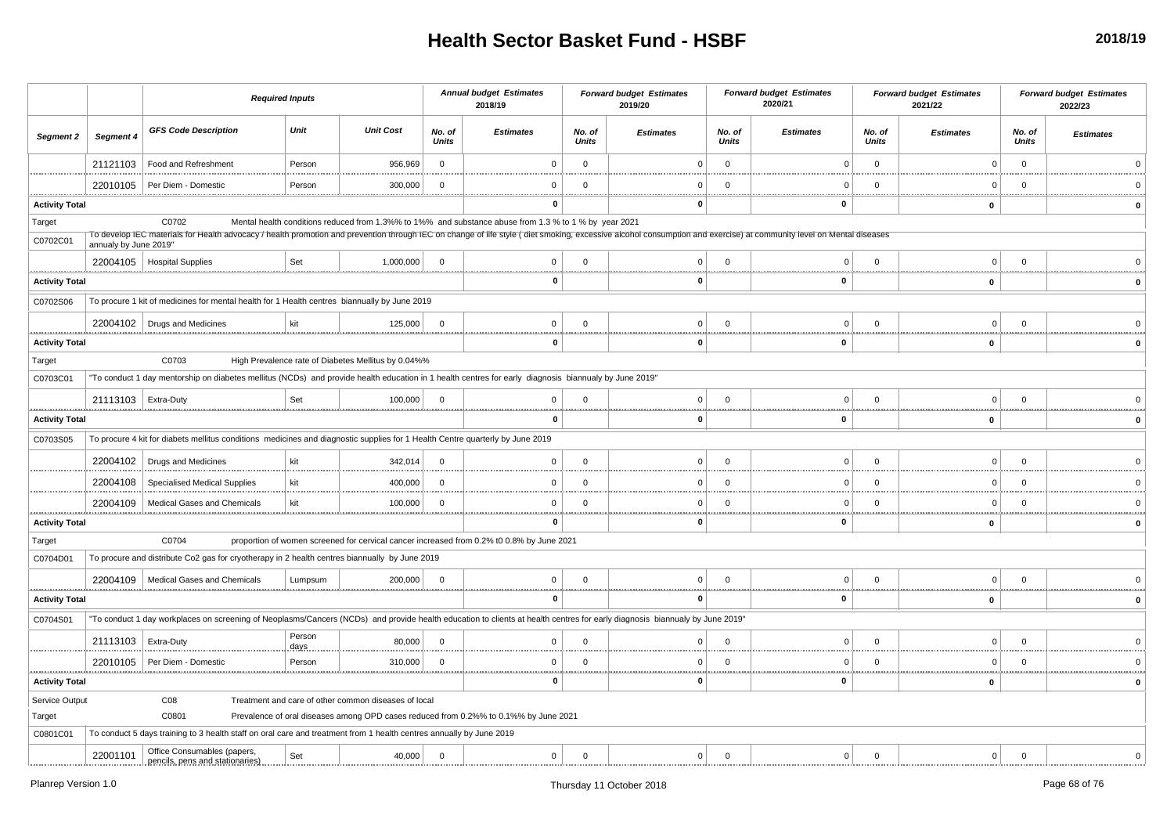|                                   |                       |                                                                                                                                                                                                                     | <b>Required Inputs</b> |                                                      |                 | <b>Annual budget Estimates</b><br>2018/19                                                             |                 | <b>Forward budget Estimates</b><br>2019/20 |                        | <b>Forward budget Estimates</b><br>2020/21 |                 | <b>Forward budget Estimates</b><br>2021/22 |                 | <b>Forward budget Estimates</b><br>2022/23 |
|-----------------------------------|-----------------------|---------------------------------------------------------------------------------------------------------------------------------------------------------------------------------------------------------------------|------------------------|------------------------------------------------------|-----------------|-------------------------------------------------------------------------------------------------------|-----------------|--------------------------------------------|------------------------|--------------------------------------------|-----------------|--------------------------------------------|-----------------|--------------------------------------------|
| Segment 2                         | Segment 4             | <b>GFS Code Description</b>                                                                                                                                                                                         | Unit                   | <b>Unit Cost</b>                                     | No. of<br>Units | <b>Estimates</b>                                                                                      | No. of<br>Units | <b>Estimates</b>                           | No. of<br><b>Units</b> | <b>Estimates</b>                           | No. of<br>Units | <b>Estimates</b>                           | No. of<br>Units | <b>Estimates</b>                           |
|                                   | 21121103              | Food and Refreshment                                                                                                                                                                                                | Person                 | 956,969                                              | $\mathbf{0}$    | $\Omega$                                                                                              | $\Omega$        |                                            | $\Omega$               | $\Omega$                                   | $\Omega$        | $\Omega$                                   | $\Omega$        |                                            |
|                                   | 22010105              | Per Diem - Domestic                                                                                                                                                                                                 | Person                 | 300,000                                              | $\mathbf 0$     | $\Omega$                                                                                              | $\mathbf 0$     |                                            | $\Omega$               |                                            | $\Omega$        | n                                          | $\Omega$        |                                            |
| <b>Activity Total</b>             |                       |                                                                                                                                                                                                                     |                        |                                                      |                 | <br>0                                                                                                 |                 | 0                                          |                        | 0                                          |                 | <u></u><br>0                               |                 |                                            |
| Target                            |                       | C0702                                                                                                                                                                                                               |                        |                                                      |                 | Mental health conditions reduced from 1.3%% to 1%% and substance abuse from 1.3 % to 1 % by year 2021 |                 |                                            |                        |                                            |                 |                                            |                 |                                            |
| C0702C01                          | annualy by June 2019" | To develop IEC materials for Health advocacy / health promotion and prevention through IEC on change of life style (diet smoking, excessive alcohol consumption and exercise) at community level on Mental diseases |                        |                                                      |                 |                                                                                                       |                 |                                            |                        |                                            |                 |                                            |                 |                                            |
|                                   |                       | 22004105   Hospital Supplies                                                                                                                                                                                        | Set                    | 1,000,000                                            | $\Omega$        | $\Omega$                                                                                              | $\Omega$        | $\Omega$                                   | $\Omega$               |                                            |                 |                                            |                 |                                            |
| <b>Activity Total</b>             |                       |                                                                                                                                                                                                                     |                        |                                                      |                 | $\bf{0}$                                                                                              |                 | $\mathbf{0}$                               |                        | $\mathbf 0$                                |                 | 0                                          |                 |                                            |
| C0702S06                          |                       | To procure 1 kit of medicines for mental health for 1 Health centres biannually by June 2019                                                                                                                        |                        |                                                      |                 |                                                                                                       |                 |                                            |                        |                                            |                 |                                            |                 |                                            |
|                                   |                       | 22004102   Drugs and Medicines                                                                                                                                                                                      | kit                    | 125,000                                              | $\overline{0}$  | $\mathbf 0$                                                                                           | $\mathbf 0$     | 0                                          | $\Omega$               | $\Omega$                                   | $\Omega$        | $\Omega$                                   | $\Omega$        |                                            |
| <b>Activity Total</b>             |                       |                                                                                                                                                                                                                     |                        |                                                      |                 | 0                                                                                                     |                 | <u></u><br>0                               |                        | 0                                          |                 | 0                                          |                 |                                            |
| Target                            |                       | C0703                                                                                                                                                                                                               |                        | High Prevalence rate of Diabetes Mellitus by 0.04%%  |                 |                                                                                                       |                 |                                            |                        |                                            |                 |                                            |                 |                                            |
| C0703C01                          |                       | "To conduct 1 day mentorship on diabetes mellitus (NCDs) and provide health education in 1 health centres for early diagnosis biannualy by June 2019"                                                               |                        |                                                      |                 |                                                                                                       |                 |                                            |                        |                                            |                 |                                            |                 |                                            |
|                                   | 21113103   Extra-Duty |                                                                                                                                                                                                                     | Set                    | 100,000                                              | $\Omega$        | $\mathbf 0$                                                                                           | $\mathbf 0$     | $\Omega$                                   | $\Omega$               | $\Omega$                                   | $\Omega$        | $\Omega$                                   | $\Omega$        |                                            |
| <br><b>Activity Total</b>         |                       |                                                                                                                                                                                                                     |                        |                                                      |                 | 0                                                                                                     |                 | 0                                          |                        | $\bf{0}$                                   |                 | 0                                          |                 |                                            |
| C0703S05                          |                       | To procure 4 kit for diabets mellitus conditions medicines and diagnostic supplies for 1 Health Centre quarterly by June 2019                                                                                       |                        |                                                      |                 |                                                                                                       |                 |                                            |                        |                                            |                 |                                            |                 |                                            |
|                                   | 22004102              | Drugs and Medicines                                                                                                                                                                                                 | kit                    | 342,014                                              | $\mathbf 0$     | $\mathbf 0$                                                                                           | $\mathbf 0$     | <sup>0</sup>                               | $\Omega$               | $\Omega$                                   |                 | $\Omega$                                   | $\Omega$        |                                            |
|                                   | 22004108              | Specialised Medical Supplies                                                                                                                                                                                        | kit                    | 400,000                                              | $\Omega$        | $\Omega$                                                                                              | $\Omega$        | $\Omega$                                   | $\Omega$               | $\Omega$                                   | $\Omega$        | $\Omega$                                   | $\Omega$        |                                            |
|                                   | 22004109              | Medical Gases and Chemicals                                                                                                                                                                                         | kit                    | 100,000                                              | $\mathbf 0$     | $\Omega$                                                                                              | $\Omega$        | <sup>0</sup>                               | $\Omega$               | $\Omega$                                   |                 | n                                          | $\Omega$        |                                            |
| <b>Activity Total</b>             |                       |                                                                                                                                                                                                                     |                        |                                                      |                 | 0                                                                                                     |                 | 0                                          |                        | 0                                          |                 | .<br>$\mathbf 0$                           | . <u>.</u>      |                                            |
| Target                            |                       | C0704                                                                                                                                                                                                               |                        |                                                      |                 | proportion of women screened for cervical cancer increased from 0.2% t0 0.8% by June 2021             |                 |                                            |                        |                                            |                 |                                            |                 |                                            |
| C0704D01                          |                       | To procure and distribute Co2 gas for cryotherapy in 2 health centres biannually by June 2019                                                                                                                       |                        |                                                      |                 |                                                                                                       |                 |                                            |                        |                                            |                 |                                            |                 |                                            |
|                                   | 22004109              | Medical Gases and Chemicals                                                                                                                                                                                         | Lumpsum                | 200,000                                              | $\overline{0}$  | $\mathbf 0$                                                                                           | $\mathbf{0}$    | $\Omega$                                   | $\Omega$               | $\Omega$                                   | $\Omega$        | $\Omega$                                   | $\Omega$        |                                            |
| <br><b>Activity Total</b>         |                       |                                                                                                                                                                                                                     |                        |                                                      |                 | <br>$\mathbf 0$                                                                                       |                 | 0                                          |                        | $\mathbf 0$                                |                 | $\bf{0}$                                   |                 | $\Omega$                                   |
| C0704S01                          |                       | "To conduct 1 day workplaces on screening of Neoplasms/Cancers (NCDs) and provide health education to clients at health centres for early diagnosis biannualy by June 2019'                                         |                        |                                                      |                 |                                                                                                       |                 |                                            |                        |                                            |                 |                                            |                 |                                            |
|                                   | 21113103              | Extra-Duty                                                                                                                                                                                                          | Person                 | 80,000                                               | $\Omega$        | $\Omega$                                                                                              | $\Omega$        | $\Omega$                                   | $\Omega$               |                                            |                 | $\Omega$                                   | $\Omega$        |                                            |
|                                   | 22010105              | Per Diem - Domestic                                                                                                                                                                                                 | days<br>Person         | 310,000                                              | $\Omega$        | $\Omega$                                                                                              | $\Omega$        | n                                          | $\Omega$               | n                                          | $\Omega$        | n                                          | $\Omega$        |                                            |
| <u>.</u><br><b>Activity Total</b> |                       |                                                                                                                                                                                                                     |                        |                                                      |                 | <u></u><br>$\bullet$                                                                                  |                 | O.                                         |                        | $\Omega$                                   |                 | $\bf{0}$                                   |                 | <br>$\Omega$                               |
| Service Output                    |                       | C <sub>08</sub>                                                                                                                                                                                                     |                        | Treatment and care of other common diseases of local |                 |                                                                                                       |                 |                                            |                        |                                            |                 |                                            |                 |                                            |
| Target                            |                       | C0801                                                                                                                                                                                                               |                        |                                                      |                 | Prevalence of oral diseases among OPD cases reduced from 0.2%% to 0.1%% by June 2021                  |                 |                                            |                        |                                            |                 |                                            |                 |                                            |
| C0801C01                          |                       | To conduct 5 days training to 3 health staff on oral care and treatment from 1 health centres annually by June 2019                                                                                                 |                        |                                                      |                 |                                                                                                       |                 |                                            |                        |                                            |                 |                                            |                 |                                            |
|                                   | 22001101              | Office Consumables (papers,<br>pencils, pens and stationaries)                                                                                                                                                      | Set                    | 40,000                                               | $\Omega$        | $\mathbf 0$                                                                                           | $\mathbf{0}$    | $\overline{0}$                             | $\Omega$               | $\Omega$                                   | $\Omega$        | $\Omega$                                   | $\Omega$        |                                            |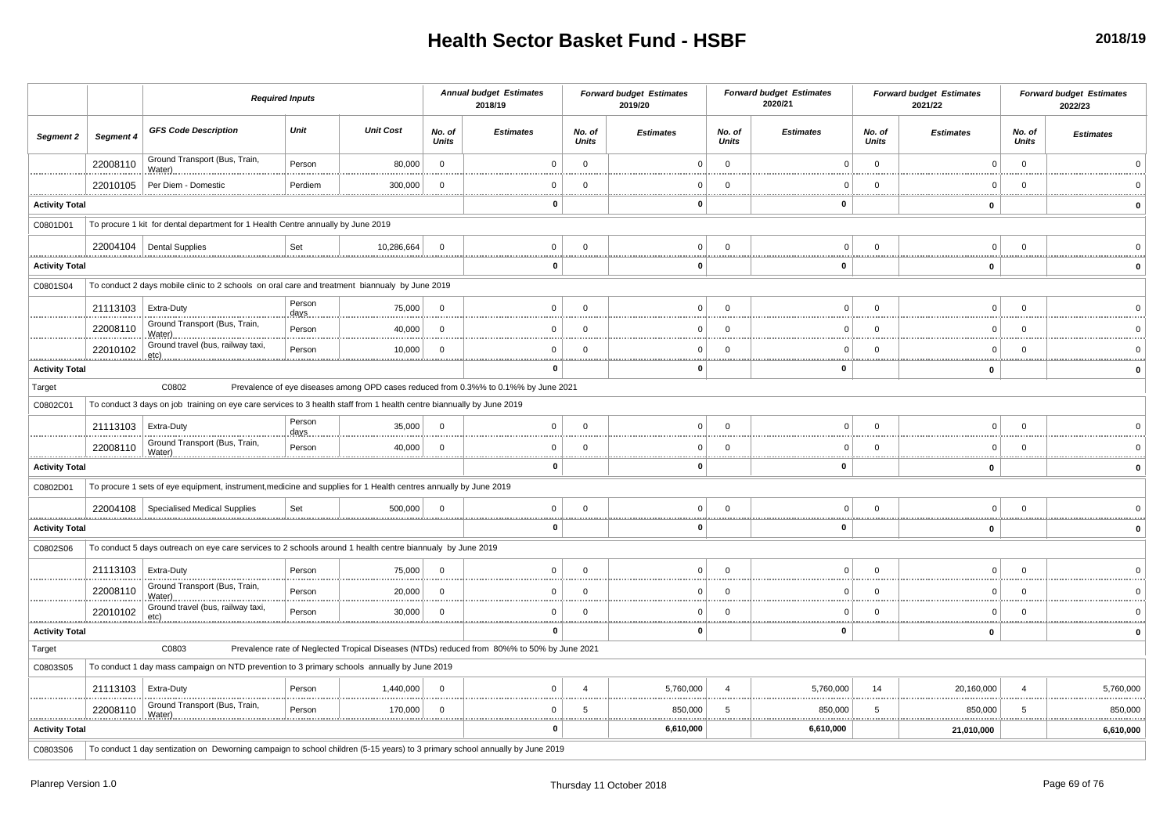|                       |                       |                                                                                                                              | <b>Required Inputs</b> |                  |                        | <b>Annual budget Estimates</b><br>2018/19                                                   |                        | <b>Forward budget Estimates</b><br>2019/20 |                        | <b>Forward budget Estimates</b><br>2020/21 |                        | <b>Forward budget Estimates</b><br>2021/22 |                        | <b>Forward budget Estimates</b><br>2022/23 |
|-----------------------|-----------------------|------------------------------------------------------------------------------------------------------------------------------|------------------------|------------------|------------------------|---------------------------------------------------------------------------------------------|------------------------|--------------------------------------------|------------------------|--------------------------------------------|------------------------|--------------------------------------------|------------------------|--------------------------------------------|
| Segment 2             | Segment 4             | <b>GFS Code Description</b>                                                                                                  | Unit                   | <b>Unit Cost</b> | No. of<br><b>Units</b> | <b>Estimates</b>                                                                            | No. of<br><b>Units</b> | <b>Estimates</b>                           | No. of<br><b>Units</b> | <b>Estimates</b>                           | No. of<br><b>Units</b> | <b>Estimates</b>                           | No. of<br>Units        | <b>Estimates</b>                           |
|                       | 22008110              | Ground Transport (Bus, Train,<br>Water)                                                                                      | Person                 | 80,000           | $\overline{0}$         | $\Omega$                                                                                    | $\mathbf 0$            | $\Omega$                                   | $\Omega$               | $\Omega$                                   | $\mathbf 0$            | $\Omega$                                   | $\overline{0}$         |                                            |
|                       | 22010105              | Per Diem - Domestic                                                                                                          | Perdiem                | 300,000          | $\overline{0}$         | $\mathbf{0}$                                                                                | $\Omega$               |                                            | $\Omega$               | $\Omega$                                   | $\Omega$               | $\overline{0}$                             | $\overline{0}$         |                                            |
| <b>Activity Total</b> |                       |                                                                                                                              |                        |                  |                        | $\mathbf{0}$                                                                                |                        | $\Omega$                                   |                        | $\mathbf{0}$                               |                        | $\mathbf{0}$                               |                        | $\Omega$                                   |
| C0801D01              |                       | To procure 1 kit for dental department for 1 Health Centre annually by June 2019                                             |                        |                  |                        |                                                                                             |                        |                                            |                        |                                            |                        |                                            |                        |                                            |
|                       |                       | 22004104   Dental Supplies                                                                                                   | Set                    | 10,286,664       | $\overline{0}$         | $\mathbf 0$                                                                                 | $\Omega$               | 0                                          | $\Omega$               | $\Omega$                                   | $\Omega$               | $\Omega$                                   | $\Omega$               |                                            |
| <b>Activity Total</b> |                       |                                                                                                                              |                        |                  |                        | 0                                                                                           | .                      | 0                                          |                        | 0                                          |                        | 0                                          |                        |                                            |
| C0801S04              |                       | To conduct 2 days mobile clinic to 2 schools on oral care and treatment biannualy by June 2019                               |                        |                  |                        |                                                                                             |                        |                                            |                        |                                            |                        |                                            |                        |                                            |
|                       | 21113103              | Extra-Duty                                                                                                                   | Person<br>days         | 75,000           | $\Omega$               | $\mathbf 0$                                                                                 | $\mathbf 0$            | 0                                          | $\Omega$               | $\Omega$                                   | $\Omega$               | $\Omega$                                   | $\overline{0}$         |                                            |
|                       | 22008110              | Ground Transport (Bus, Train,<br>Water)                                                                                      | Person                 | 40,000           | $\Omega$               | $\Omega$                                                                                    | $\Omega$               | $\Omega$                                   | $\Omega$               |                                            | $\Omega$               | $\Omega$                                   | $\Omega$               |                                            |
|                       | 22010102              | Ground travel (bus, railway taxi,                                                                                            | Person                 | 10,000           | $\overline{0}$         | $\mathbf{0}$                                                                                | $\mathbf{0}$           | O                                          | $\Omega$               | C                                          | $\Omega$               | $\Omega$                                   | - 0                    |                                            |
| <b>Activity Total</b> |                       |                                                                                                                              |                        |                  |                        | $\mathbf 0$                                                                                 |                        | O                                          |                        | 0                                          |                        | 0                                          |                        | $\mathbf 0$                                |
| Target                |                       | C0802                                                                                                                        |                        |                  |                        | Prevalence of eye diseases among OPD cases reduced from 0.3%% to 0.1%% by June 2021         |                        |                                            |                        |                                            |                        |                                            |                        |                                            |
| C0802C01              |                       | To conduct 3 days on job training on eye care services to 3 health staff from 1 health centre biannually by June 2019        |                        |                  |                        |                                                                                             |                        |                                            |                        |                                            |                        |                                            |                        |                                            |
|                       | 21113103   Extra-Duty | .                                                                                                                            | Person<br>days         | 35,000           | $\overline{0}$         | $\mathbf{0}$                                                                                | $\Omega$               | <sup>n</sup>                               | $\Omega$               | $\Omega$                                   | $\Omega$               | $\Omega$                                   | $\Omega$               |                                            |
|                       | 22008110              | Ground Transport (Bus, Train,                                                                                                | Person                 | 40,000           | $\overline{0}$         | $\Omega$                                                                                    | $\Omega$               | ŋ                                          | $\Omega$               | $\Omega$                                   | $\Omega$               | $\overline{0}$                             | $\overline{0}$         |                                            |
| <b>Activity Total</b> |                       |                                                                                                                              |                        |                  |                        | $\Omega$                                                                                    |                        | O                                          |                        | $\Omega$                                   |                        | 0                                          |                        |                                            |
| C0802D01              |                       | To procure 1 sets of eye equipment, instrument, medicine and supplies for 1 Health centres annually by June 2019             |                        |                  |                        |                                                                                             |                        |                                            |                        |                                            |                        |                                            |                        |                                            |
|                       |                       | 22004108   Specialised Medical Supplies                                                                                      | Set                    | 500.000          | $\Omega$               | $\mathbf 0$                                                                                 | $\Omega$               | 0                                          | $\Omega$               | $\Omega$                                   | $\Omega$               | $\Omega$                                   | $\Omega$               |                                            |
| <b>Activity Total</b> |                       |                                                                                                                              |                        |                  |                        | $\mathbf 0$                                                                                 |                        | 0                                          |                        | <br>$\mathbf{0}$                           |                        | $\mathbf{0}$                               |                        | $\Omega$                                   |
| C0802S06              |                       | To conduct 5 days outreach on eye care services to 2 schools around 1 health centre biannualy by June 2019                   |                        |                  |                        |                                                                                             |                        |                                            |                        |                                            |                        |                                            |                        |                                            |
|                       | 21113103              | Extra-Duty                                                                                                                   | Person                 | 75,000           | $\Omega$               | $\Omega$                                                                                    | $\Omega$               | U                                          | $\Omega$               | $\Omega$                                   | $\Omega$               | $\Omega$                                   | $\Omega$               |                                            |
|                       | 22008110              | Ground Transport (Bus, Train,<br>Water)                                                                                      | Person                 | 20,000           | $\overline{0}$         | $\mathbf 0$                                                                                 | $\overline{0}$         | U                                          | $\Omega$               | $\Omega$                                   | $\Omega$               | $\overline{0}$                             | $\Omega$               |                                            |
|                       | 22010102              | Ground travel (bus, railway taxi,<br>$etc)$ .                                                                                | Person                 | 30,000           | $\overline{0}$         | $\Omega$                                                                                    | $\mathbf 0$            | ŋ                                          | $\Omega$               |                                            | $\Omega$               | $\Omega$                                   | - 0                    |                                            |
| <b>Activity Total</b> |                       |                                                                                                                              |                        |                  |                        | $\bf{0}$                                                                                    |                        | O                                          | <u></u>                | $\mathbf{0}$                               |                        | $\mathbf 0$                                |                        |                                            |
| Target                |                       | C0803                                                                                                                        |                        |                  |                        | Prevalence rate of Neglected Tropical Diseases (NTDs) reduced from 80%% to 50% by June 2021 |                        |                                            |                        |                                            |                        |                                            |                        |                                            |
| C0803S05              |                       | To conduct 1 day mass campaign on NTD prevention to 3 primary schools annually by June 2019                                  |                        |                  |                        |                                                                                             |                        |                                            |                        |                                            |                        |                                            |                        |                                            |
|                       | 21113103   Extra-Duty |                                                                                                                              | Person                 | 1,440,000        | $\Omega$               | $\Omega$                                                                                    | $\overline{A}$         | 5,760,000                                  |                        | 5,760,000                                  | 14                     | 20,160,000                                 | $\boldsymbol{\Lambda}$ | 5,760,000                                  |
|                       | 22008110              | Ground Transport (Bus, Train,                                                                                                | Person                 | 170,000          | $\Omega$               | $\Omega$                                                                                    | 5                      | 850.000                                    | -5                     | 850,000<br>                                | -5                     | 850,000                                    | 5                      | 850,000<br>.                               |
| <b>Activity Total</b> |                       |                                                                                                                              |                        |                  |                        | $\mathbf 0$                                                                                 |                        | 6,610,000                                  |                        | 6,610,000                                  |                        | 21,010,000                                 |                        | 6,610,000                                  |
| C0803S06              |                       | To conduct 1 day sentization on Deworning campaign to school children (5-15 years) to 3 primary school annually by June 2019 |                        |                  |                        |                                                                                             |                        |                                            |                        |                                            |                        |                                            |                        |                                            |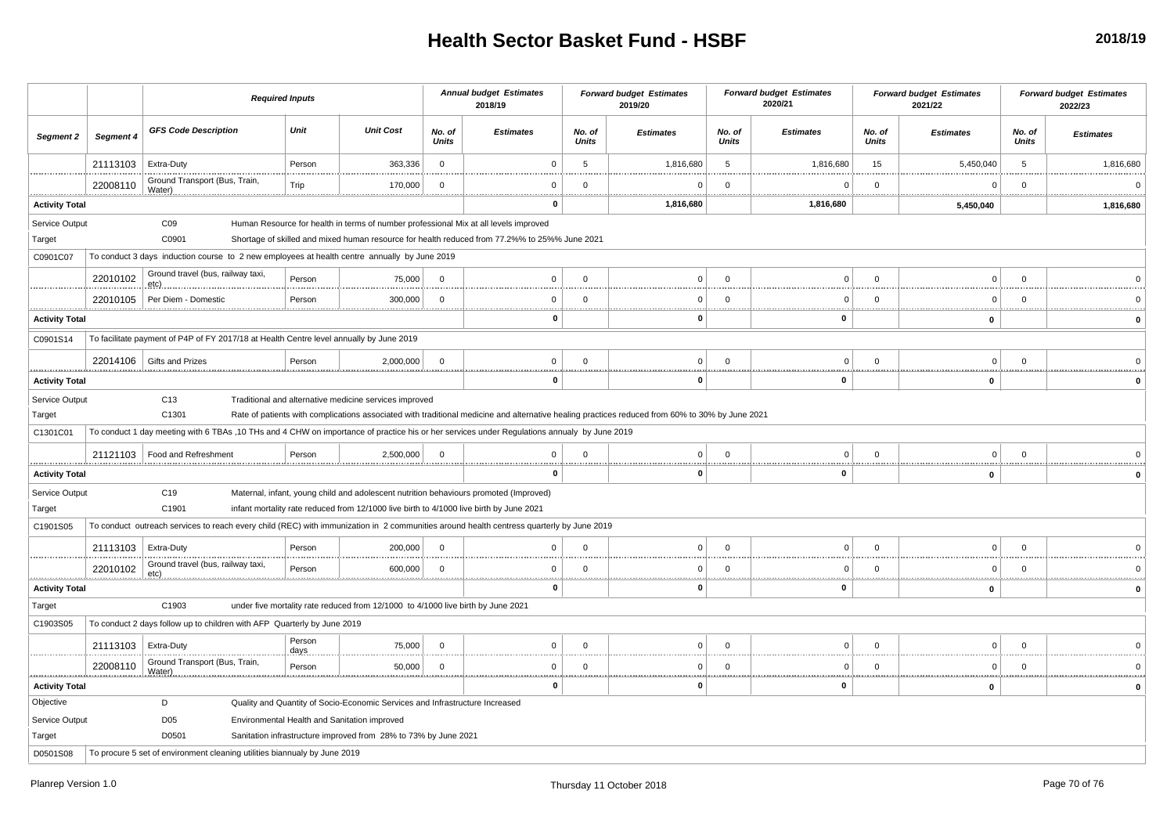|                            |                       | <b>Required Inputs</b>                                                                                                                      |                 |                                                                                         |                        | <b>Annual budget Estimates</b><br>2018/19                                                                                                                                             |                     | <b>Forward budget Estimates</b><br>2019/20 |                        | <b>Forward budget Estimates</b><br>2020/21 |                        | <b>Forward budget Estimates</b><br>2021/22 |                 | <b>Forward budget Estimates</b><br>2022/23 |
|----------------------------|-----------------------|---------------------------------------------------------------------------------------------------------------------------------------------|-----------------|-----------------------------------------------------------------------------------------|------------------------|---------------------------------------------------------------------------------------------------------------------------------------------------------------------------------------|---------------------|--------------------------------------------|------------------------|--------------------------------------------|------------------------|--------------------------------------------|-----------------|--------------------------------------------|
| Segment 2                  | Segment 4             | <b>GFS Code Description</b>                                                                                                                 | Unit            | <b>Unit Cost</b>                                                                        | No. of<br><b>Units</b> | <b>Estimates</b>                                                                                                                                                                      | No. of<br>Units     | <b>Estimates</b>                           | No. of<br><b>Units</b> | <b>Estimates</b>                           | No. of<br><b>Units</b> | <b>Estimates</b>                           | No. of<br>Units | <b>Estimates</b>                           |
|                            | 21113103              | Extra-Duty                                                                                                                                  | Person          | 363,336                                                                                 | $\mathsf 0$            | $\Omega$                                                                                                                                                                              | 5                   | 1,816,680                                  | 5                      | 1,816,680                                  | 15                     | 5,450,040                                  | 5               | 1,816,680                                  |
|                            | 22008110              | Ground Transport (Bus, Train,<br>Water).                                                                                                    | Trip            | 170,000                                                                                 | $\mathbf 0$            | $\Omega$                                                                                                                                                                              | $\Omega$            | $\Omega$                                   | $\Omega$               | C                                          | $^{\circ}$             | $\Omega$                                   | $\Omega$        |                                            |
| <b>Activity Total</b>      |                       |                                                                                                                                             |                 |                                                                                         |                        | $\mathbf{0}$                                                                                                                                                                          |                     | 1,816,680                                  |                        | 1,816,680                                  |                        | 5,450,040                                  |                 | 1,816,680                                  |
| Service Output<br>Target   |                       | CO9<br>C0901                                                                                                                                |                 |                                                                                         |                        | Human Resource for health in terms of number professional Mix at all levels improved<br>Shortage of skilled and mixed human resource for health reduced from 77.2%% to 25%% June 2021 |                     |                                            |                        |                                            |                        |                                            |                 |                                            |
| C0901C07                   |                       | To conduct 3 days induction course to 2 new employees at health centre annually by June 2019                                                |                 |                                                                                         |                        |                                                                                                                                                                                       |                     |                                            |                        |                                            |                        |                                            |                 |                                            |
|                            | 22010102              | Ground travel (bus, railway taxi,<br>$etc)$ .                                                                                               | Person          | 75,000                                                                                  | $\mathbf 0$            | $\Omega$                                                                                                                                                                              | $\Omega$            | $\Omega$                                   | $\Omega$               | $\Omega$                                   | $\Omega$               | $\mathbf 0$                                | $\Omega$        |                                            |
|                            | 22010105              | Per Diem - Domestic                                                                                                                         | Person          | 300,000                                                                                 | $\overline{0}$         | $\Omega$                                                                                                                                                                              | $\Omega$            | $\Omega$                                   | $\Omega$               | $\Omega$<br>                               | $\Omega$               | $\mathbf 0$<br>                            | $\Omega$<br>    |                                            |
| <b>Activity Total</b>      |                       |                                                                                                                                             |                 |                                                                                         |                        | 0                                                                                                                                                                                     |                     | O                                          |                        | 0                                          |                        | $\mathbf 0$                                |                 | $\mathbf 0$                                |
| C0901S14                   |                       | To facilitate payment of P4P of FY 2017/18 at Health Centre level annually by June 2019                                                     |                 |                                                                                         |                        |                                                                                                                                                                                       |                     |                                            |                        |                                            |                        |                                            |                 |                                            |
|                            |                       | 22014106 Gifts and Prizes                                                                                                                   | Person          | 2,000,000                                                                               | $\overline{0}$         | $\Omega$                                                                                                                                                                              | $\overline{0}$      | $\Omega$                                   | $\Omega$               | $\Omega$                                   | $\Omega$               | $\Omega$                                   | $\Omega$        |                                            |
| .<br><b>Activity Total</b> |                       |                                                                                                                                             |                 |                                                                                         |                        | $\mathbf 0$                                                                                                                                                                           |                     | $\Omega$                                   |                        | $\mathbf 0$                                |                        | $\mathbf 0$                                |                 |                                            |
| Service Output<br>Target   |                       | C <sub>13</sub><br>C1301                                                                                                                    |                 | Traditional and alternative medicine services improved                                  |                        | Rate of patients with complications associated with traditional medicine and alternative healing practices reduced from 60% to 30% by June 2021                                       |                     |                                            |                        |                                            |                        |                                            |                 |                                            |
| C1301C01                   |                       | To conduct 1 day meeting with 6 TBAs ,10 THs and 4 CHW on importance of practice his or her services under Regulations annualy by June 2019 |                 |                                                                                         |                        |                                                                                                                                                                                       |                     |                                            |                        |                                            |                        |                                            |                 |                                            |
|                            |                       | 21121103   Food and Refreshment                                                                                                             | Person          | 2,500,000                                                                               | $\overline{0}$         | $\Omega$<br>                                                                                                                                                                          | $\Omega$            | $\Omega$                                   | $\Omega$               | $\Omega$                                   | $\mathbf 0$            | $\mathbf 0$                                | $\Omega$        |                                            |
| <b>Activity Total</b>      |                       |                                                                                                                                             |                 |                                                                                         |                        | $\mathbf{0}$                                                                                                                                                                          |                     | 0                                          |                        | 0                                          |                        | $\mathbf 0$                                |                 |                                            |
| Service Output<br>Target   |                       | C19<br>C1901                                                                                                                                |                 | infant mortality rate reduced from 12/1000 live birth to 4/1000 live birth by June 2021 |                        | Maternal, infant, young child and adolescent nutrition behaviours promoted (Improved)                                                                                                 |                     |                                            |                        |                                            |                        |                                            |                 |                                            |
| C1901S05                   |                       | To conduct outreach services to reach every child (REC) with immunization in 2 communities around health centress quarterly by June 2019    |                 |                                                                                         |                        |                                                                                                                                                                                       |                     |                                            |                        |                                            |                        |                                            |                 |                                            |
|                            | 21113103              | Extra-Duty                                                                                                                                  | Person          | 200,000                                                                                 | $\mathbf 0$            | $\mathbf 0$                                                                                                                                                                           | $\mathbf 0$         | $\Omega$                                   | $\Omega$               | $\mathbf 0$                                | $\mathbf 0$            | $\mathbf 0$                                | $\Omega$        |                                            |
| .                          | 22010102              | Ground travel (bus, railway taxi,                                                                                                           | Person          | 600,000                                                                                 | $\mathbf 0$            | $\Omega$                                                                                                                                                                              | $\Omega$<br><b></b> | $\Omega$                                   | $\Omega$               | $\Omega$<br>                               | $\Omega$               | $\mathbf 0$                                | $\Omega$        | .                                          |
| <b>Activity Total</b>      |                       |                                                                                                                                             |                 |                                                                                         |                        | $\mathbf 0$                                                                                                                                                                           |                     | $\Omega$                                   |                        | $\mathbf 0$                                |                        | 0                                          |                 | $\Omega$                                   |
| Target                     |                       | C1903                                                                                                                                       |                 | under five mortality rate reduced from 12/1000 to 4/1000 live birth by June 2021        |                        |                                                                                                                                                                                       |                     |                                            |                        |                                            |                        |                                            |                 |                                            |
| C1903S05                   |                       | To conduct 2 days follow up to children with AFP Quarterly by June 2019                                                                     |                 |                                                                                         |                        |                                                                                                                                                                                       |                     |                                            |                        |                                            |                        |                                            |                 |                                            |
|                            | 21113103   Extra-Duty |                                                                                                                                             | Person<br>days. | 75,000                                                                                  | $\overline{0}$         | $\mathbf 0$                                                                                                                                                                           | $\overline{0}$      | $\Omega$                                   | $\Omega$               | $\Omega$                                   | $^{\circ}$             | $\mathbf 0$                                | $\mathbf 0$     |                                            |
|                            | 22008110              | Ground Transport (Bus, Train,<br>Water).<br>                                                                                                | Person          | 50,000                                                                                  | $\overline{0}$         | $\Omega$                                                                                                                                                                              | $\Omega$            | $\Omega$                                   | $\Omega$               | $\Omega$<br>.<br>                          | $\mathbf 0$            | $\mathbf 0$                                | $\Omega$        | <u></u>                                    |
| <b>Activity Total</b>      |                       |                                                                                                                                             |                 |                                                                                         |                        | $\mathbf 0$                                                                                                                                                                           |                     |                                            |                        | 0                                          |                        | $\mathbf 0$                                |                 |                                            |
| Objective                  |                       | D                                                                                                                                           |                 | Quality and Quantity of Socio-Economic Services and Infrastructure Increased            |                        |                                                                                                                                                                                       |                     |                                            |                        |                                            |                        |                                            |                 |                                            |
| Service Output             |                       | D <sub>05</sub>                                                                                                                             |                 | Environmental Health and Sanitation improved                                            |                        |                                                                                                                                                                                       |                     |                                            |                        |                                            |                        |                                            |                 |                                            |
| Target                     |                       | D0501                                                                                                                                       |                 | Sanitation infrastructure improved from 28% to 73% by June 2021                         |                        |                                                                                                                                                                                       |                     |                                            |                        |                                            |                        |                                            |                 |                                            |
| D0501S08                   |                       | To procure 5 set of environment cleaning utilities biannualy by June 2019                                                                   |                 |                                                                                         |                        |                                                                                                                                                                                       |                     |                                            |                        |                                            |                        |                                            |                 |                                            |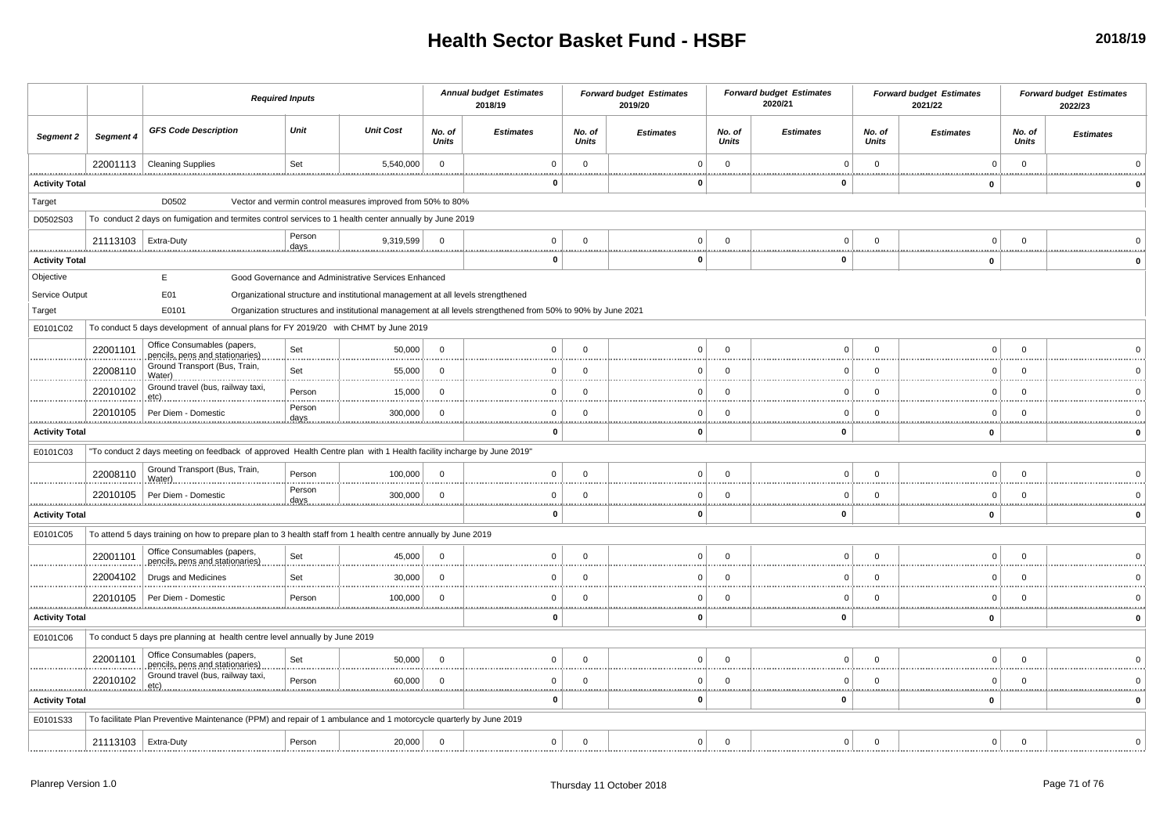|                           |                       | <b>Required Inputs</b>                                                                                              |                        |                                                                                  | <b>Annual budget Estimates</b><br>2018/19 |                                                                                                              | <b>Forward budget Estimates</b><br>2019/20 |                  | <b>Forward budget Estimates</b><br>2020/21 |                  | <b>Forward budget Estimates</b><br>2021/22 |                  | <b>Forward budget Estimates</b><br>2022/23 |                  |
|---------------------------|-----------------------|---------------------------------------------------------------------------------------------------------------------|------------------------|----------------------------------------------------------------------------------|-------------------------------------------|--------------------------------------------------------------------------------------------------------------|--------------------------------------------|------------------|--------------------------------------------|------------------|--------------------------------------------|------------------|--------------------------------------------|------------------|
| <b>Segment 2</b>          | Segment 4             | <b>GFS Code Description</b>                                                                                         | Unit                   | <b>Unit Cost</b>                                                                 | No. of<br><b>Units</b>                    | <b>Estimates</b>                                                                                             | No. of<br><b>Units</b>                     | <b>Estimates</b> | No. of<br><b>Units</b>                     | <b>Estimates</b> | No. of<br><b>Units</b>                     | <b>Estimates</b> | No. of<br><b>Units</b>                     | <b>Estimates</b> |
|                           | 22001113              | <b>Cleaning Supplies</b>                                                                                            | Set                    | 5,540,000                                                                        | $\overline{0}$                            | $\Omega$                                                                                                     | $\mathbf 0$<br>.                           | $\Omega$<br>     | $\mathbf 0$<br>                            | $\overline{0}$   | $\mathbf 0$                                | $\mathbf 0$      | $\mathbf{0}$<br>                           |                  |
| <br><b>Activity Total</b> |                       |                                                                                                                     |                        |                                                                                  |                                           | 0                                                                                                            |                                            | 0                |                                            | 0                |                                            | 0                |                                            |                  |
| Target                    |                       | D0502                                                                                                               |                        | Vector and vermin control measures improved from 50% to 80%                      |                                           |                                                                                                              |                                            |                  |                                            |                  |                                            |                  |                                            |                  |
| D0502S03                  |                       | To conduct 2 days on fumigation and termites control services to 1 health center annually by June 2019              |                        |                                                                                  |                                           |                                                                                                              |                                            |                  |                                            |                  |                                            |                  |                                            |                  |
|                           | 21113103              | Extra-Duty                                                                                                          | Person<br>days         | 9,319,599                                                                        | $\Omega$                                  | $\Omega$                                                                                                     | $\Omega$                                   | $\Omega$         | $\Omega$                                   | $\Omega$         | $\Omega$                                   | $\Omega$         | $\Omega$<br>                               |                  |
| <b>Activity Total</b>     |                       |                                                                                                                     |                        |                                                                                  |                                           | $\mathbf 0$                                                                                                  |                                            | $\mathbf{0}$     | <u></u>                                    | 0                |                                            | $\mathbf 0$      |                                            |                  |
| Objective                 |                       | E                                                                                                                   |                        | Good Governance and Administrative Services Enhanced                             |                                           |                                                                                                              |                                            |                  |                                            |                  |                                            |                  |                                            |                  |
| Service Output            |                       | E01                                                                                                                 |                        | Organizational structure and institutional management at all levels strengthened |                                           |                                                                                                              |                                            |                  |                                            |                  |                                            |                  |                                            |                  |
| Target                    |                       | E0101                                                                                                               |                        |                                                                                  |                                           | Organization structures and institutional management at all levels strengthened from 50% to 90% by June 2021 |                                            |                  |                                            |                  |                                            |                  |                                            |                  |
| E0101C02                  |                       | To conduct 5 days development of annual plans for FY 2019/20 with CHMT by June 2019                                 |                        |                                                                                  |                                           |                                                                                                              |                                            |                  |                                            |                  |                                            |                  |                                            |                  |
|                           | 22001101              | Office Consumables (papers,<br>pencils, pens and stationaries)                                                      | Set                    | 50,000                                                                           | $\Omega$                                  | $\mathbf 0$                                                                                                  | $\mathbf 0$                                | $\Omega$         | $\mathbf 0$                                | $\Omega$         | $\Omega$                                   | $\Omega$         | $\mathbf 0$                                |                  |
|                           | 22008110              | Ground Transport (Bus, Train,<br>Water)                                                                             | Set                    | 55,000                                                                           | $\mathbf 0$                               | $\mathbf 0$                                                                                                  | $\mathbf 0$                                | $\Omega$         | $\mathbf 0$                                | 0                | $\mathbf 0$                                | $\Omega$         | $\mathbf 0$                                |                  |
|                           | 22010102              | Ground travel (bus, railway taxi,<br>etc)                                                                           | Person                 | 15,000                                                                           | $\overline{0}$                            | $\Omega$                                                                                                     | $\Omega$                                   | $\Omega$<br>     | $\Omega$                                   | $\Omega$         | $\Omega$                                   | $\Omega$         | $\mathbf 0$                                |                  |
|                           | 22010105              | Per Diem - Domestic                                                                                                 | Person<br>days         | 300,000                                                                          | $\mathbf 0$                               | $\mathbf 0$                                                                                                  | $\mathbf 0$                                | $\Omega$         | $\mathbf 0$                                | 0                | $\mathbf 0$                                | $\mathbf 0$      | $\mathbf 0$                                |                  |
| <b>Activity Total</b>     |                       | $\bf{0}$                                                                                                            |                        | $\Omega$                                                                         |                                           | $\mathbf 0$                                                                                                  |                                            | $\mathbf 0$      |                                            |                  |                                            |                  |                                            |                  |
| E0101C03                  |                       | "To conduct 2 days meeting on feedback of approved Health Centre plan with 1 Health facility incharge by June 2019" |                        |                                                                                  |                                           |                                                                                                              |                                            |                  |                                            |                  |                                            |                  |                                            |                  |
|                           | 22008110              | Ground Transport (Bus, Train,<br>Water)                                                                             | Person                 | 100,000                                                                          | $\Omega$                                  | $\Omega$                                                                                                     | $\Omega$                                   | $\Omega$         | $\Omega$                                   | $\Omega$         | $\Omega$                                   | $\Omega$         | $\Omega$                                   |                  |
|                           | 22010105              | Per Diem - Domestic                                                                                                 | Person<br><u>.days</u> | 300,000                                                                          | $\overline{0}$<br>                        | $\Omega$                                                                                                     | $\Omega$                                   | $\Omega$         | $\Omega$                                   | $\Omega$         | $\Omega$<br>                               | $\Omega$         | $\mathbf 0$                                |                  |
| <br><b>Activity Total</b> |                       |                                                                                                                     |                        |                                                                                  |                                           | 0                                                                                                            |                                            | $\mathbf{0}$     |                                            | 0                |                                            | $\mathbf 0$      |                                            |                  |
| E0101C05                  |                       | To attend 5 days training on how to prepare plan to 3 health staff from 1 health centre annually by June 2019       |                        |                                                                                  |                                           |                                                                                                              |                                            |                  |                                            |                  |                                            |                  |                                            |                  |
|                           | 22001101              | Office Consumables (papers,<br>pencils, pens and stationaries)                                                      | Set                    | 45,000                                                                           | $\Omega$                                  | $\Omega$                                                                                                     | $\Omega$                                   | $\Omega$         | $\Omega$                                   | $\Omega$         | $\Omega$                                   | $\Omega$         | $\Omega$                                   |                  |
|                           | 22004102              | Drugs and Medicines                                                                                                 | Set                    | 30,000                                                                           | $\Omega$                                  | $\Omega$                                                                                                     | $\Omega$                                   | $\Omega$<br>.    | $\mathbf 0$                                | $\Omega$         | $\Omega$                                   | $\Omega$         | $\Omega$                                   |                  |
|                           | 22010105              | Per Diem - Domestic                                                                                                 | Person                 | 100,000                                                                          | $\Omega$                                  | $\mathbf 0$<br>                                                                                              | $\mathbf 0$<br>                            | $\Omega$         | 0<br>.                                     | 0                | $\Omega$                                   | $\Omega$         | $\Omega$<br>                               |                  |
| <b>Activity Total</b>     |                       |                                                                                                                     |                        |                                                                                  |                                           | $\mathbf 0$                                                                                                  |                                            | $\mathbf{0}$     |                                            | 0                |                                            | $\mathbf 0$      |                                            |                  |
| E0101C06                  |                       | To conduct 5 days pre planning at health centre level annually by June 2019                                         |                        |                                                                                  |                                           |                                                                                                              |                                            |                  |                                            |                  |                                            |                  |                                            |                  |
|                           | 22001101              | Office Consumables (papers,<br>pencils, pens and stationaries)                                                      | Set                    | 50,000                                                                           | $\mathbf 0$                               | $\Omega$                                                                                                     | $\mathbf 0$                                | $\Omega$         | $\Omega$                                   | $\Omega$         | $\Omega$                                   | $\Omega$         | $\Omega$                                   |                  |
| .                         | 22010102<br>          | Ground travel (bus, railway taxi,<br>etc).                                                                          | Person                 | 60,000                                                                           | $\Omega$<br>                              | $\mathbf 0$                                                                                                  | $\mathbf 0$                                | $\Omega$<br>     | $\mathbf 0$                                | $\Omega$<br>     | $\Omega$<br>                               | $\Omega$         | $\Omega$<br><u></u>                        |                  |
| <b>Activity Total</b>     |                       | $\bf{0}$                                                                                                            |                        | n                                                                                |                                           | $\bf{0}$                                                                                                     |                                            | $\mathbf{0}$     |                                            |                  |                                            |                  |                                            |                  |
| E0101S33                  |                       | To facilitate Plan Preventive Maintenance (PPM) and repair of 1 ambulance and 1 motorcycle quarterly by June 2019   |                        |                                                                                  |                                           |                                                                                                              |                                            |                  |                                            |                  |                                            |                  |                                            |                  |
|                           | 21113103   Extra-Duty |                                                                                                                     | Person                 | 20,000                                                                           | $\mathbf 0$                               | $\mathbf 0$                                                                                                  | 0                                          | $\Omega$         | $\mathbf 0$                                | $\overline{0}$   | $\Omega$                                   | $\Omega$         | $\Omega$                                   |                  |
|                           |                       |                                                                                                                     |                        |                                                                                  |                                           |                                                                                                              |                                            |                  |                                            |                  |                                            |                  |                                            |                  |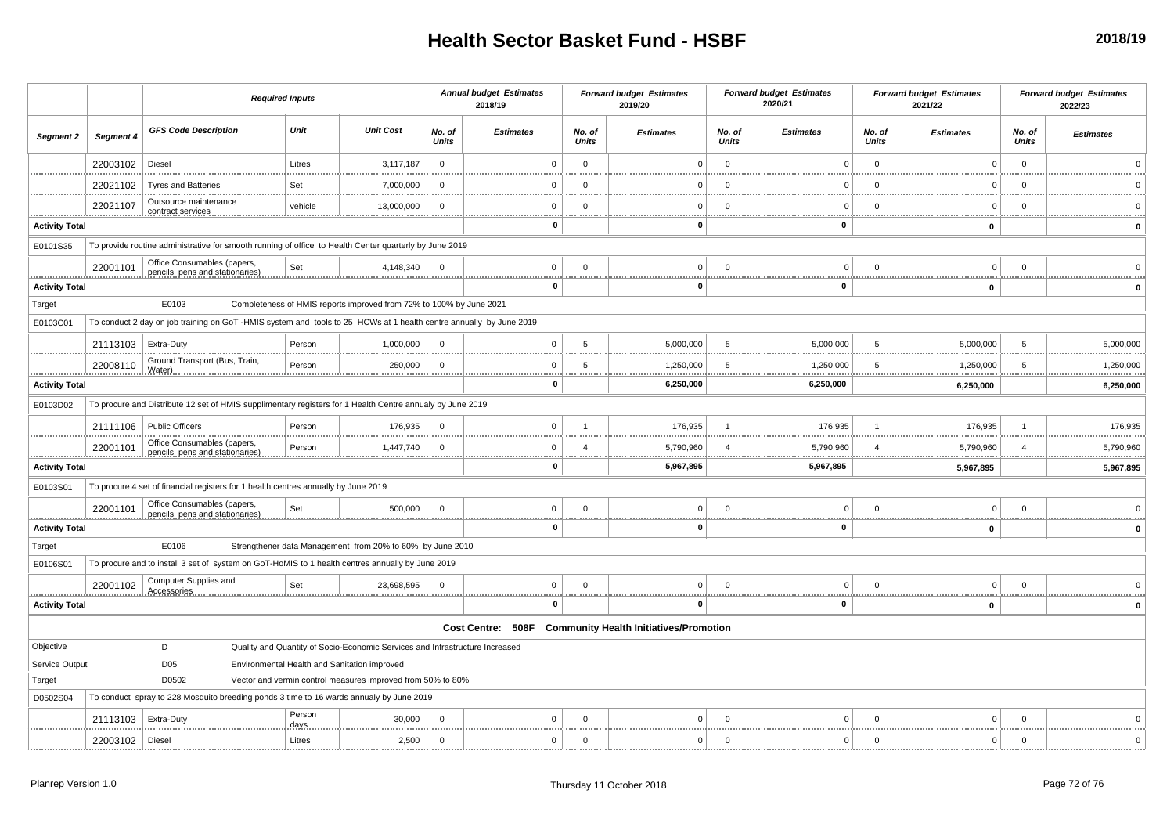|                                   |           | <b>Required Inputs</b>                                                                                             |                |                                                                              | <b>Annual budget Estimates</b><br>2018/19 |                   | <b>Forward budget Estimates</b><br>2019/20 |                                               | <b>Forward budget Estimates</b><br>2020/21 |                  | <b>Forward budget Estimates</b><br>2021/22 |                  | <b>Forward budget Estimates</b><br>2022/23 |                  |
|-----------------------------------|-----------|--------------------------------------------------------------------------------------------------------------------|----------------|------------------------------------------------------------------------------|-------------------------------------------|-------------------|--------------------------------------------|-----------------------------------------------|--------------------------------------------|------------------|--------------------------------------------|------------------|--------------------------------------------|------------------|
| Segment 2                         | Segment 4 | <b>GFS Code Description</b>                                                                                        | Unit           | <b>Unit Cost</b>                                                             | No. of<br><b>Units</b>                    | <b>Estimates</b>  | No. of<br><b>Units</b>                     | <b>Estimates</b>                              | No. of<br><b>Units</b>                     | <b>Estimates</b> | No. of<br>Units                            | <b>Estimates</b> | No. of<br>Units                            | <b>Estimates</b> |
|                                   | 22003102  | Diesel                                                                                                             | Litres         | 3,117,187                                                                    | $\mathbf 0$                               | $\Omega$          | $\mathbf{0}$                               |                                               | $\mathbf{0}$                               | $\Omega$         | $\mathbf{0}$                               | $\overline{0}$   | $\mathbf{0}$                               |                  |
|                                   | 22021102  | <b>Tyres and Batteries</b>                                                                                         | Set            | 7,000,000                                                                    | $\Omega$                                  | - 0               | $\Omega$                                   |                                               | $\Omega$                                   | C                | $\Omega$                                   | $\Omega$         | $\Omega$                                   |                  |
|                                   | 22021107  | Outsource maintenance<br>contract services                                                                         | vehicle        | 13,000,000                                                                   | $\Omega$                                  | $\Omega$          | $\Omega$                                   | $\mathbf 0$                                   | $\Omega$                                   | $\mathbf 0$      | $\Omega$                                   | $\overline{0}$   | $\mathbf 0$                                |                  |
| <b>Activity Total</b>             |           |                                                                                                                    |                |                                                                              |                                           | $\mathbf 0$       |                                            | $\mathbf 0$                                   |                                            | $\mathbf{0}$     |                                            | 0                |                                            |                  |
| E0101S35                          |           | To provide routine administrative for smooth running of office to Health Center quarterly by June 2019             |                |                                                                              |                                           |                   |                                            |                                               |                                            |                  |                                            |                  |                                            |                  |
|                                   | 22001101  | Office Consumables (papers,<br>pencils, pens and stationaries)                                                     | Set            | 4,148,340                                                                    | $\Omega$                                  | $\mathbf 0$       | $\mathbf 0$                                | $\overline{0}$                                | $\Omega$                                   | $\Omega$         | $\mathbf 0$                                | $\overline{0}$   | $\mathbf{0}$                               |                  |
| <u>.</u><br><b>Activity Total</b> |           |                                                                                                                    |                |                                                                              |                                           | 0                 |                                            | 0                                             |                                            | $\mathbf{0}$     |                                            | $\mathbf 0$      |                                            | $\Omega$         |
| Target                            |           | E0103                                                                                                              |                | Completeness of HMIS reports improved from 72% to 100% by June 2021          |                                           |                   |                                            |                                               |                                            |                  |                                            |                  |                                            |                  |
| E0103C01                          |           | To conduct 2 day on job training on GoT -HMIS system and tools to 25 HCWs at 1 health centre annually by June 2019 |                |                                                                              |                                           |                   |                                            |                                               |                                            |                  |                                            |                  |                                            |                  |
|                                   | 21113103  | Extra-Duty                                                                                                         | Person         | 1,000,000                                                                    | $\Omega$                                  | $\mathbf 0$       | 5                                          | 5,000,000                                     | -5                                         | 5,000,000        | 5                                          | 5,000,000        | -5                                         | 5,000,000        |
|                                   | 22008110  | Ground Transport (Bus, Train,<br>Water)                                                                            | Person         | 250,000                                                                      | $\Omega$                                  | $\Omega$          | 5                                          | 1,250,000<br>                                 | 5                                          | 1,250,000        | 5                                          | 1,250,000        | 5                                          | 1,250,000<br>.   |
| <u></u><br><b>Activity Total</b>  |           |                                                                                                                    |                | 0                                                                            |                                           | 6,250,000         |                                            | 6,250,000                                     |                                            | 6,250,000        |                                            | 6,250,000        |                                            |                  |
| E0103D02                          |           | To procure and Distribute 12 set of HMIS supplimentary registers for 1 Health Centre annualy by June 2019          |                |                                                                              |                                           |                   |                                            |                                               |                                            |                  |                                            |                  |                                            |                  |
|                                   | 21111106  | <b>Public Officers</b>                                                                                             | Person         | 176,935                                                                      | $\Omega$                                  | $\mathbf 0$       | $\overline{1}$                             | 176,935                                       |                                            | 176,935          | $\overline{1}$                             | 176,935          | $\overline{1}$                             | 176,935          |
|                                   | 22001101  | Office Consumables (papers,<br>pencils, pens and stationaries)                                                     | Person         | 1,447,740                                                                    | $\Omega$                                  | $\Omega$          | Δ                                          | 5,790,960                                     |                                            | 5,790,960        |                                            | 5,790,960        |                                            | 5,790,960        |
| .<br><b>Activity Total</b>        |           |                                                                                                                    |                |                                                                              |                                           | 0                 |                                            | .<br>5,967,895                                |                                            | 5,967,895        |                                            | 5,967,895        |                                            | .<br>5,967,895   |
| E0103S01                          |           | To procure 4 set of financial registers for 1 health centres annually by June 2019                                 |                |                                                                              |                                           |                   |                                            |                                               |                                            |                  |                                            |                  |                                            |                  |
|                                   | 22001101  | Office Consumables (papers,<br>pencils, pens and stationaries)                                                     | Set            | 500,000                                                                      | $\Omega$                                  | $\Omega$          | $\Omega$                                   | 0                                             | $\mathsf{C}$                               | $\Omega$         | $\Omega$                                   | $\overline{0}$   | $\overline{0}$                             |                  |
| <b>Activity Total</b>             |           |                                                                                                                    |                |                                                                              |                                           | $\mathbf{0}$      |                                            | 0                                             |                                            | $\mathbf{0}$     |                                            | 0                |                                            |                  |
| Target                            |           | E0106                                                                                                              |                | Strengthener data Management from 20% to 60% by June 2010                    |                                           |                   |                                            |                                               |                                            |                  |                                            |                  |                                            |                  |
| E0106S01                          |           | To procure and to install 3 set of system on GoT-HoMIS to 1 health centres annually by June 2019                   |                |                                                                              |                                           |                   |                                            |                                               |                                            |                  |                                            |                  |                                            |                  |
|                                   | 22001102  | Computer Supplies and<br>Accessories                                                                               | Set            | 23,698,595                                                                   | $\Omega$                                  | $\mathbf 0$       | $\mathbf 0$                                | 0 <sup>1</sup>                                | $\Omega$                                   | $\Omega$         | $\Omega$                                   | $\overline{0}$   | $\Omega$                                   |                  |
| .<br><b>Activity Total</b>        |           |                                                                                                                    |                |                                                                              |                                           | $\mathbf 0$       |                                            | 0                                             |                                            | <br>0            |                                            | .<br>0           |                                            | $\Omega$         |
|                                   |           |                                                                                                                    |                |                                                                              |                                           | Cost Centre: 508F |                                            | <b>Community Health Initiatives/Promotion</b> |                                            |                  |                                            |                  |                                            |                  |
| Objective                         |           | D                                                                                                                  |                | Quality and Quantity of Socio-Economic Services and Infrastructure Increased |                                           |                   |                                            |                                               |                                            |                  |                                            |                  |                                            |                  |
| Service Output                    |           | D <sub>05</sub>                                                                                                    |                | Environmental Health and Sanitation improved                                 |                                           |                   |                                            |                                               |                                            |                  |                                            |                  |                                            |                  |
| Target                            |           | D0502                                                                                                              |                | Vector and vermin control measures improved from 50% to 80%                  |                                           |                   |                                            |                                               |                                            |                  |                                            |                  |                                            |                  |
| D0502S04                          |           | To conduct spray to 228 Mosquito breeding ponds 3 time to 16 wards annualy by June 2019                            |                |                                                                              |                                           |                   |                                            |                                               |                                            |                  |                                            |                  |                                            |                  |
|                                   | 21113103  | Extra-Duty                                                                                                         | Person<br>days | 30,000                                                                       | $\Omega$                                  | $\Omega$          | $\Omega$                                   | $\Omega$                                      | $\Omega$                                   | $\Omega$         | $^{\circ}$                                 | $\Omega$         | $\overline{0}$                             |                  |
|                                   | 22003102  | Diesel                                                                                                             | Litres         | 2,500                                                                        | $\Omega$                                  | $\mathbf 0$       | $\Omega$                                   | $\overline{0}$                                | $\mathbf 0$                                | $\Omega$         | $\mathbf 0$                                | $\Omega$         | $\mathbf{0}$                               |                  |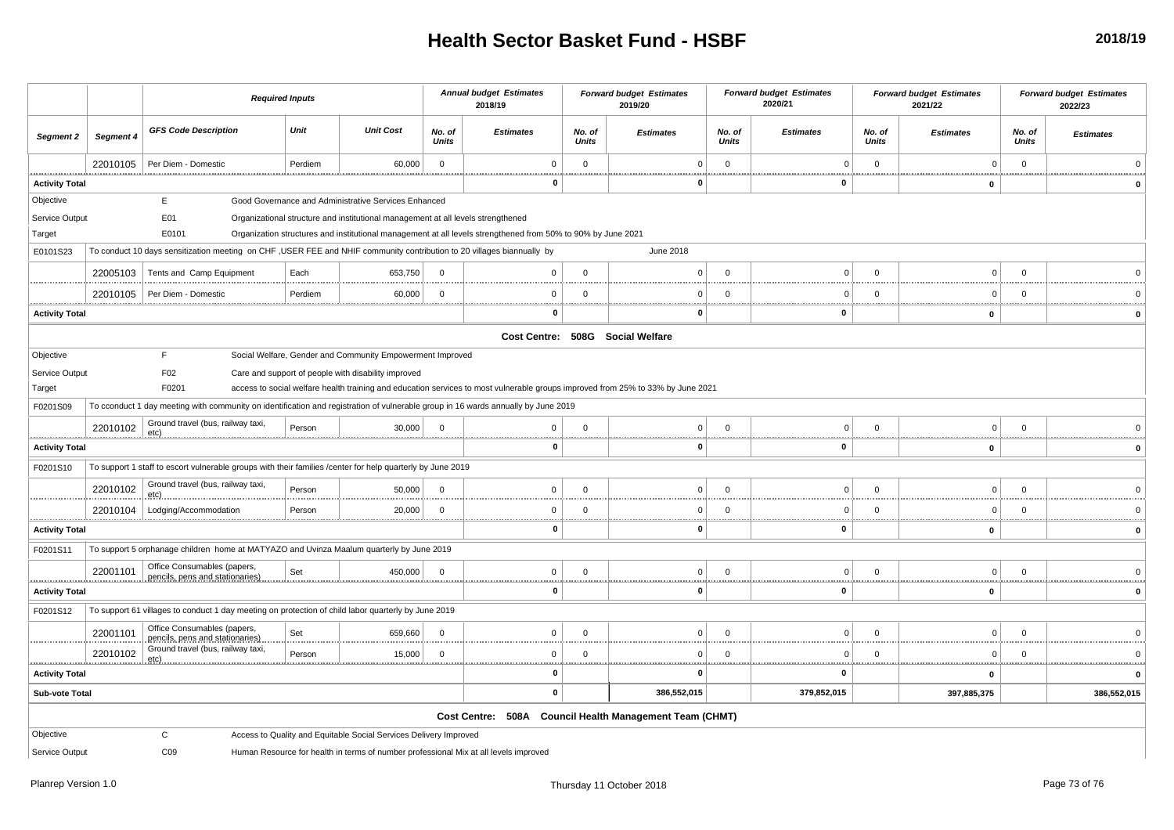## **Health Sector Basket Fund - HSBF**

|                                                                                                                                                  |                                                                                                                                          | <b>Required Inputs</b>                                                                                                             |         |                                                                                  | <b>Annual budget Estimates</b><br>2018/19 |                                                                                                              | <b>Forward budget Estimates</b><br>2019/20 |                  | <b>Forward budget Estimates</b><br>2020/21 |                  | <b>Forward budget Estimates</b><br>2021/22 |                      | <b>Forward budget Estimates</b><br>2022/23 |                  |
|--------------------------------------------------------------------------------------------------------------------------------------------------|------------------------------------------------------------------------------------------------------------------------------------------|------------------------------------------------------------------------------------------------------------------------------------|---------|----------------------------------------------------------------------------------|-------------------------------------------|--------------------------------------------------------------------------------------------------------------|--------------------------------------------|------------------|--------------------------------------------|------------------|--------------------------------------------|----------------------|--------------------------------------------|------------------|
| Segment 2                                                                                                                                        | Segment 4                                                                                                                                | <b>GFS Code Description</b>                                                                                                        | Unit    | <b>Unit Cost</b>                                                                 | No. of<br><b>Units</b>                    | <b>Estimates</b>                                                                                             | No. of<br><b>Units</b>                     | <b>Estimates</b> | No. of<br><b>Units</b>                     | <b>Estimates</b> | No. of<br><b>Units</b>                     | <b>Estimates</b>     | No. of<br><b>Units</b>                     | <b>Estimates</b> |
|                                                                                                                                                  | 22010105                                                                                                                                 | Per Diem - Domestic                                                                                                                | Perdiem | 60,000                                                                           | $\overline{0}$                            | $\Omega$                                                                                                     | $\mathbf 0$<br>                            | $\Omega$         | $\overline{0}$                             | $\Omega$<br>     | $\overline{0}$                             | $\mathbf 0$          | $\mathbf 0$                                |                  |
| <b>Activity Total</b>                                                                                                                            |                                                                                                                                          |                                                                                                                                    |         |                                                                                  |                                           | $\mathbf{0}$                                                                                                 |                                            | $\Omega$         |                                            | $\mathbf 0$      |                                            | $\mathbf 0$          |                                            |                  |
| Objective                                                                                                                                        |                                                                                                                                          | Е                                                                                                                                  |         | Good Governance and Administrative Services Enhanced                             |                                           |                                                                                                              |                                            |                  |                                            |                  |                                            |                      |                                            |                  |
| Service Output                                                                                                                                   |                                                                                                                                          | E01                                                                                                                                |         | Organizational structure and institutional management at all levels strengthened |                                           |                                                                                                              |                                            |                  |                                            |                  |                                            |                      |                                            |                  |
| Target                                                                                                                                           |                                                                                                                                          | E0101                                                                                                                              |         |                                                                                  |                                           | Organization structures and institutional management at all levels strengthened from 50% to 90% by June 2021 |                                            |                  |                                            |                  |                                            |                      |                                            |                  |
| To conduct 10 days sensitization meeting on CHF , USER FEE and NHIF community contribution to 20 villages biannually by<br>June 2018<br>E0101S23 |                                                                                                                                          |                                                                                                                                    |         |                                                                                  |                                           |                                                                                                              |                                            |                  |                                            |                  |                                            |                      |                                            |                  |
|                                                                                                                                                  | 22005103                                                                                                                                 | Tents and Camp Equipment                                                                                                           | Each    | 653,750                                                                          | $\mathbf 0$                               | $\mathbf 0$                                                                                                  | $\Omega$                                   | $\Omega$         | $\overline{0}$                             | $\Omega$         | $\overline{0}$                             | $\Omega$             | $\mathbf 0$                                |                  |
|                                                                                                                                                  | 22010105                                                                                                                                 | Per Diem - Domestic                                                                                                                | Perdiem | 60,000                                                                           | $\mathbf 0$                               | $\Omega$                                                                                                     | $\Omega$<br>.                              | $\Omega$         | $\overline{0}$                             | $\Omega$         | $\Omega$                                   | $\Omega$             | $\Omega$                                   |                  |
| <b>Activity Total</b>                                                                                                                            |                                                                                                                                          |                                                                                                                                    |         |                                                                                  |                                           | $\Omega$                                                                                                     |                                            | 0                |                                            | <u></u><br>0     |                                            | $\mathbf 0$          |                                            | 0                |
|                                                                                                                                                  | Cost Centre: 508G Social Welfare                                                                                                         |                                                                                                                                    |         |                                                                                  |                                           |                                                                                                              |                                            |                  |                                            |                  |                                            |                      |                                            |                  |
| Objective                                                                                                                                        |                                                                                                                                          | F.                                                                                                                                 |         | Social Welfare, Gender and Community Empowerment Improved                        |                                           |                                                                                                              |                                            |                  |                                            |                  |                                            |                      |                                            |                  |
|                                                                                                                                                  | F02<br>Service Output<br>Care and support of people with disability improved                                                             |                                                                                                                                    |         |                                                                                  |                                           |                                                                                                              |                                            |                  |                                            |                  |                                            |                      |                                            |                  |
| Target                                                                                                                                           | F0201<br>access to social welfare health training and education services to most vulnerable groups improved from 25% to 33% by June 2021 |                                                                                                                                    |         |                                                                                  |                                           |                                                                                                              |                                            |                  |                                            |                  |                                            |                      |                                            |                  |
| F0201S09<br>To cconduct 1 day meeting with community on identification and registration of vulnerable group in 16 wards annually by June 2019    |                                                                                                                                          |                                                                                                                                    |         |                                                                                  |                                           |                                                                                                              |                                            |                  |                                            |                  |                                            |                      |                                            |                  |
|                                                                                                                                                  | 22010102                                                                                                                                 | Ground travel (bus, railway taxi,                                                                                                  | Person  | 30,000                                                                           | $\overline{0}$                            | 0                                                                                                            | $\Omega$                                   | $\overline{0}$   | $\overline{0}$                             | $\Omega$         | $\mathbf 0$                                | 0                    | $\mathbf 0$                                |                  |
| <u>.etc) </u><br>.<br><b>Activity Total</b>                                                                                                      |                                                                                                                                          |                                                                                                                                    |         |                                                                                  |                                           | $\mathbf 0$                                                                                                  |                                            | $\mathbf{0}$     |                                            | $\mathbf 0$      |                                            | 0                    |                                            | 0                |
| F0201S10                                                                                                                                         |                                                                                                                                          | To support 1 staff to escort vulnerable groups with their families /center for help quarterly by June 2019                         |         |                                                                                  |                                           |                                                                                                              |                                            |                  |                                            |                  |                                            |                      |                                            |                  |
|                                                                                                                                                  | 22010102                                                                                                                                 | Ground travel (bus, railway taxi,<br>etc)                                                                                          | Person  | 50,000                                                                           | $\Omega$                                  | $\Omega$                                                                                                     | $\Omega$                                   | $^{\circ}$       | $\overline{0}$                             | $\Omega$         | $\overline{0}$                             | $\mathbf 0$          | $\Omega$                                   |                  |
|                                                                                                                                                  | 22010104                                                                                                                                 | Lodging/Accommodation                                                                                                              | Person  | 20,000                                                                           | $\Omega$                                  | $\mathbf 0$                                                                                                  | $\Omega$                                   | $\Omega$         | $\Omega$                                   | $\Omega$         | $\Omega$                                   | $\mathbf 0$          | $\Omega$                                   |                  |
| <b>Activity Total</b>                                                                                                                            |                                                                                                                                          |                                                                                                                                    |         |                                                                                  |                                           | $\mathbf{0}$                                                                                                 | <b>ARRAIGHT</b>                            | $\Omega$         |                                            | <br>$\mathbf 0$  |                                            | $\mathbf 0$          |                                            | $\mathbf{0}$     |
| F0201S11                                                                                                                                         |                                                                                                                                          | To support 5 orphanage children home at MATYAZO and Uvinza Maalum quarterly by June 2019                                           |         |                                                                                  |                                           |                                                                                                              |                                            |                  |                                            |                  |                                            |                      |                                            |                  |
|                                                                                                                                                  | 22001101                                                                                                                                 | Office Consumables (papers,                                                                                                        | Set     | 450,000                                                                          | $\mathbf 0$                               | $\Omega$                                                                                                     | $\Omega$                                   | $\Omega$         | $\overline{0}$                             | $\Omega$         | $\Omega$                                   | $\mathbf 0$          | $\Omega$                                   |                  |
|                                                                                                                                                  |                                                                                                                                          | pencils, pens and stationaries)                                                                                                    |         |                                                                                  |                                           | $\mathbf 0$                                                                                                  |                                            | n                | . <del>.</del>                             | 0                |                                            |                      |                                            |                  |
| <b>Activity Total</b>                                                                                                                            |                                                                                                                                          |                                                                                                                                    |         |                                                                                  |                                           |                                                                                                              |                                            |                  |                                            |                  |                                            | 0                    |                                            |                  |
| F0201S12                                                                                                                                         |                                                                                                                                          | To support 61 villages to conduct 1 day meeting on protection of child labor quarterly by June 2019<br>Office Consumables (papers, |         |                                                                                  |                                           |                                                                                                              |                                            |                  |                                            |                  |                                            |                      |                                            |                  |
|                                                                                                                                                  | 22001101                                                                                                                                 | pencils, pens and stationaries)<br>Ground travel (bus, railway taxi,                                                               | Set     | 659,660                                                                          | $\mathbf 0$                               | $\Omega$                                                                                                     | $\Omega$                                   | $\Omega$         | $\overline{0}$                             | $\Omega$         | $\overline{0}$                             | $\Omega$             | $\Omega$                                   |                  |
| .                                                                                                                                                | 22010102                                                                                                                                 |                                                                                                                                    | Person  | 15,000                                                                           | $\Omega$                                  | $\Omega$                                                                                                     | $\Omega$<br>                               | $\Omega$         | $\Omega$                                   | $\Omega$<br>     | $\Omega$                                   | $\Omega$<br><u>.</u> | $\Omega$                                   |                  |
| <b>Activity Total</b>                                                                                                                            |                                                                                                                                          |                                                                                                                                    |         |                                                                                  |                                           | $\mathbf{0}$                                                                                                 |                                            |                  |                                            | $\bf{0}$         |                                            | $\mathbf 0$          |                                            |                  |
| Sub-vote Total                                                                                                                                   |                                                                                                                                          |                                                                                                                                    |         |                                                                                  |                                           | $\mathbf 0$                                                                                                  |                                            | 386,552,015      |                                            | 379,852,015      |                                            | 397,885,375          |                                            | 386,552,015      |
|                                                                                                                                                  |                                                                                                                                          |                                                                                                                                    |         |                                                                                  |                                           | Cost Centre: 508A Council Health Management Team (CHMT)                                                      |                                            |                  |                                            |                  |                                            |                      |                                            |                  |
| Objective                                                                                                                                        |                                                                                                                                          | C                                                                                                                                  |         | Access to Quality and Equitable Social Services Delivery Improved                |                                           |                                                                                                              |                                            |                  |                                            |                  |                                            |                      |                                            |                  |
| Service Output                                                                                                                                   |                                                                                                                                          | CO9                                                                                                                                |         |                                                                                  |                                           | Human Resource for health in terms of number professional Mix at all levels improved                         |                                            |                  |                                            |                  |                                            |                      |                                            |                  |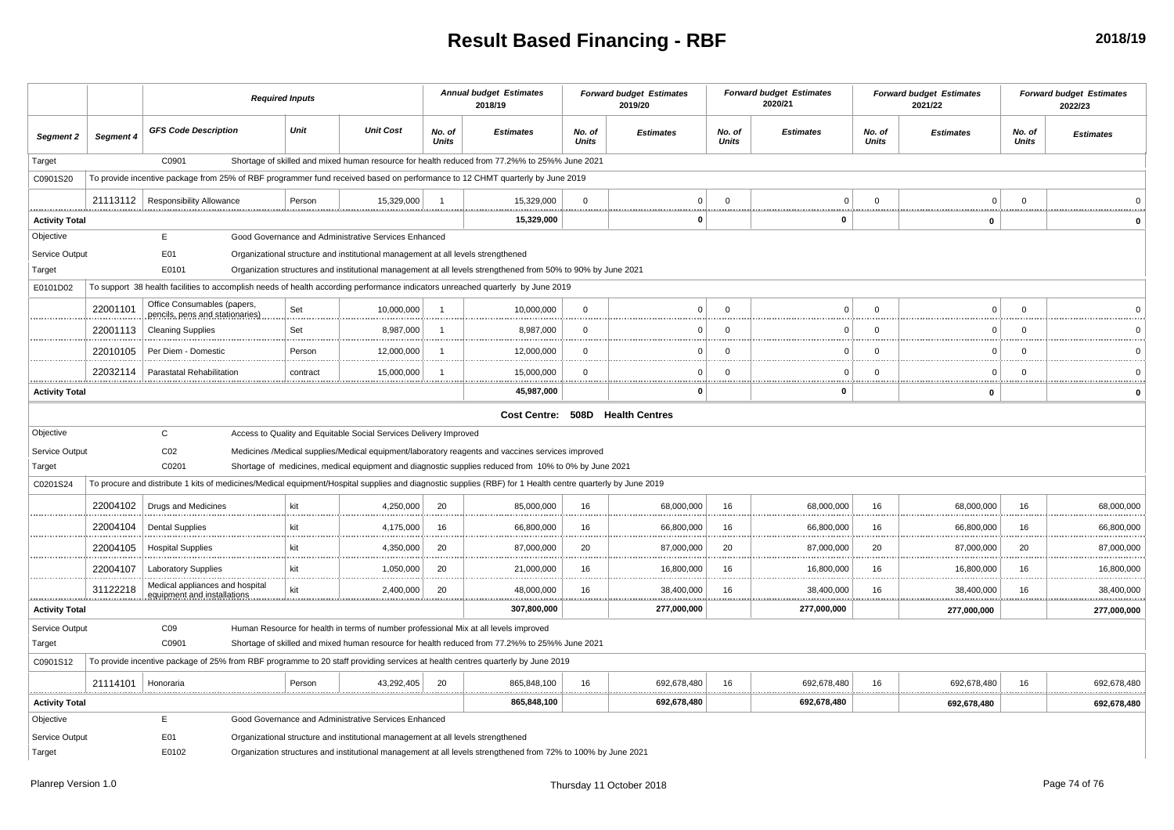## **Result Based Financing - RBF**

|                       |           | <b>Required Inputs</b>                                                                                                                                     |          |                                                                                  | <b>Annual budget Estimates</b><br>2018/19 |                                                                                                               | <b>Forward budget Estimates</b><br>2019/20 |                        | <b>Forward budget Estimates</b><br>2020/21 |                  | <b>Forward budget Estimates</b><br>2021/22 |                  | <b>Forward budget Estimates</b><br>2022/23 |                  |
|-----------------------|-----------|------------------------------------------------------------------------------------------------------------------------------------------------------------|----------|----------------------------------------------------------------------------------|-------------------------------------------|---------------------------------------------------------------------------------------------------------------|--------------------------------------------|------------------------|--------------------------------------------|------------------|--------------------------------------------|------------------|--------------------------------------------|------------------|
| Segment 2             | Segment 4 | <b>GFS Code Description</b>                                                                                                                                | Unit     | <b>Unit Cost</b>                                                                 | No. of<br><b>Units</b>                    | <b>Estimates</b>                                                                                              | No. of<br><b>Units</b>                     | <b>Estimates</b>       | No. of<br><b>Units</b>                     | <b>Estimates</b> | No. of<br><b>Units</b>                     | <b>Estimates</b> | No. of<br><b>Units</b>                     | <b>Estimates</b> |
| Target                |           | C0901                                                                                                                                                      |          |                                                                                  |                                           | Shortage of skilled and mixed human resource for health reduced from 77.2%% to 25%% June 2021                 |                                            |                        |                                            |                  |                                            |                  |                                            |                  |
| C0901S20              |           | To provide incentive package from 25% of RBF programmer fund received based on performance to 12 CHMT quarterly by June 2019                               |          |                                                                                  |                                           |                                                                                                               |                                            |                        |                                            |                  |                                            |                  |                                            |                  |
|                       |           | 21113112   Responsibility Allowance                                                                                                                        | Person   | 15,329,000                                                                       | $\overline{1}$                            | 15,329,000                                                                                                    | $\Omega$                                   | $\Omega$               | $\Omega$                                   | $\mathsf 0$      | $\mathbf{0}$                               | $\Omega$         | $\Omega$                                   |                  |
| <b>Activity Total</b> |           |                                                                                                                                                            |          |                                                                                  | 15,329,000                                |                                                                                                               | $\mathbf{0}$                               | .                      | <br>$\mathbf 0$                            |                  | <br>0                                      |                  |                                            |                  |
| Objective             |           | E                                                                                                                                                          |          | Good Governance and Administrative Services Enhanced                             |                                           |                                                                                                               |                                            |                        |                                            |                  |                                            |                  |                                            |                  |
| Service Output        |           | E01                                                                                                                                                        |          | Organizational structure and institutional management at all levels strengthened |                                           |                                                                                                               |                                            |                        |                                            |                  |                                            |                  |                                            |                  |
| Target                |           | E0101                                                                                                                                                      |          |                                                                                  |                                           | Organization structures and institutional management at all levels strengthened from 50% to 90% by June 2021  |                                            |                        |                                            |                  |                                            |                  |                                            |                  |
| E0101D02              |           | To support 38 health facilities to accomplish needs of health according performance indicators unreached quarterly by June 2019                            |          |                                                                                  |                                           |                                                                                                               |                                            |                        |                                            |                  |                                            |                  |                                            |                  |
|                       | 22001101  | Office Consumables (papers,<br>pencils, pens and stationaries)                                                                                             | Set      | 10,000,000                                                                       | $\overline{1}$                            | 10,000,000                                                                                                    | $\mathbf{0}$                               | $\Omega$               | $\Omega$                                   | $\Omega$         | $\mathbf 0$                                | $\Omega$         | $\mathbf 0$                                |                  |
|                       | 22001113  | <b>Cleaning Supplies</b>                                                                                                                                   | Set      | 8,987,000                                                                        | -1                                        | 8,987,000                                                                                                     | $\Omega$                                   | $\Omega$               | $\Omega$                                   | $\mathbf 0$      | $\Omega$                                   | $\Omega$         | $\Omega$                                   |                  |
|                       | 22010105  | Per Diem - Domestic                                                                                                                                        | Person   | 12,000,000                                                                       | $\overline{1}$                            | 12,000,000                                                                                                    | $\mathbf{0}$                               | $\Omega$               | $\Omega$                                   | $\mathbf 0$      | $\Omega$                                   | $\Omega$         | $\mathbf 0$                                |                  |
|                       | 22032114  | Parastatal Rehabilitation                                                                                                                                  | contract | 15,000,000                                                                       | $\overline{1}$                            | 15,000,000                                                                                                    | $\Omega$                                   | $\Omega$               | $\Omega$                                   | $\Omega$         | $\Omega$                                   | $\Omega$         | $\Omega$                                   |                  |
| <b>Activity Total</b> |           |                                                                                                                                                            |          |                                                                                  |                                           | 45,987,000                                                                                                    |                                            | <u></u><br>$\mathbf 0$ | . <u>.</u>                                 | $\mathbf 0$      |                                            | $\mathbf{0}$     |                                            | .<br>O           |
|                       |           |                                                                                                                                                            |          |                                                                                  |                                           | Cost Centre: 508D Health Centres                                                                              |                                            |                        |                                            |                  |                                            |                  |                                            |                  |
| Objective             |           | $\mathbf{C}$                                                                                                                                               |          | Access to Quality and Equitable Social Services Delivery Improved                |                                           |                                                                                                               |                                            |                        |                                            |                  |                                            |                  |                                            |                  |
| Service Output        |           | CO <sub>2</sub>                                                                                                                                            |          |                                                                                  |                                           | Medicines /Medical supplies/Medical equipment/laboratory reagents and vaccines services improved              |                                            |                        |                                            |                  |                                            |                  |                                            |                  |
| Target                |           | C0201                                                                                                                                                      |          |                                                                                  |                                           | Shortage of medicines, medical equipment and diagnostic supplies reduced from 10% to 0% by June 2021          |                                            |                        |                                            |                  |                                            |                  |                                            |                  |
| C0201S24              |           | To procure and distribute 1 kits of medicines/Medical equipment/Hospital supplies and diagnostic supplies (RBF) for 1 Health centre quarterly by June 2019 |          |                                                                                  |                                           |                                                                                                               |                                            |                        |                                            |                  |                                            |                  |                                            |                  |
|                       | 22004102  | Drugs and Medicines                                                                                                                                        | kit      | 4,250,000                                                                        | 20                                        | 85,000,000                                                                                                    | 16                                         | 68,000,000             | 16                                         | 68,000,000       | 16                                         | 68,000,000       | 16                                         | 68,000,000       |
|                       | 22004104  | <b>Dental Supplies</b>                                                                                                                                     | kit      | 4,175,000                                                                        | 16                                        | 66,800,000                                                                                                    | 16                                         | 66,800,000             | 16                                         | 66,800,000       | 16                                         | 66,800,000       | 16                                         | 66,800,000       |
|                       | 22004105  | <b>Hospital Supplies</b>                                                                                                                                   | kit      | 4,350,000                                                                        | 20                                        | 87,000,000                                                                                                    | 20                                         | 87,000,000             | 20                                         | 87,000,000       | 20                                         | 87,000,000       | 20                                         | 87,000,000       |
|                       | 22004107  | <b>Laboratory Supplies</b>                                                                                                                                 | kit      | 1,050,000                                                                        | 20                                        | .<br>21,000,000                                                                                               | 16                                         | 16,800,000             | 16                                         | 16,800,000       | 16                                         | 16,800,000       | 16                                         | .<br>16,800,000  |
|                       | 31122218  | Medical appliances and hospital<br>equipment and installation                                                                                              | kit      | 2,400,000                                                                        | 20                                        | 48,000,000                                                                                                    | 16                                         | 38,400,000             | 16                                         | 38,400,000       | 16                                         | 38,400,000       | 16                                         | 38,400,000       |
| <b>Activity Total</b> |           |                                                                                                                                                            |          |                                                                                  |                                           | 307,800,000                                                                                                   |                                            | 277,000,000            |                                            | 277,000,000      |                                            | 277,000,000      |                                            | 277,000,000      |
| Service Output        |           | CO9                                                                                                                                                        |          |                                                                                  |                                           | Human Resource for health in terms of number professional Mix at all levels improved                          |                                            |                        |                                            |                  |                                            |                  |                                            |                  |
| Target                |           | C0901                                                                                                                                                      |          |                                                                                  |                                           | Shortage of skilled and mixed human resource for health reduced from 77.2%% to 25%% June 2021                 |                                            |                        |                                            |                  |                                            |                  |                                            |                  |
| C0901S12              |           | To provide incentive package of 25% from RBF programme to 20 staff providing services at health centres quarterly by June 2019                             |          |                                                                                  |                                           |                                                                                                               |                                            |                        |                                            |                  |                                            |                  |                                            |                  |
|                       | 21114101  | Honoraria                                                                                                                                                  | Person   | 43,292,405                                                                       | 20                                        | 865,848,100                                                                                                   | 16                                         | 692,678,480<br>.       | 16<br>                                     | 692,678,480      | 16                                         | 692,678,480      | 16                                         | 692,678,480<br>. |
| <b>Activity Total</b> |           |                                                                                                                                                            |          |                                                                                  |                                           | 865,848,100                                                                                                   |                                            | 692,678,480            |                                            | 692,678,480      |                                            | 692,678,480      |                                            | 692,678,480      |
| Objective             |           | E                                                                                                                                                          |          | Good Governance and Administrative Services Enhanced                             |                                           |                                                                                                               |                                            |                        |                                            |                  |                                            |                  |                                            |                  |
| Service Output        |           | E01                                                                                                                                                        |          | Organizational structure and institutional management at all levels strengthened |                                           |                                                                                                               |                                            |                        |                                            |                  |                                            |                  |                                            |                  |
| Target                |           | E0102                                                                                                                                                      |          |                                                                                  |                                           | Organization structures and institutional management at all levels strengthened from 72% to 100% by June 2021 |                                            |                        |                                            |                  |                                            |                  |                                            |                  |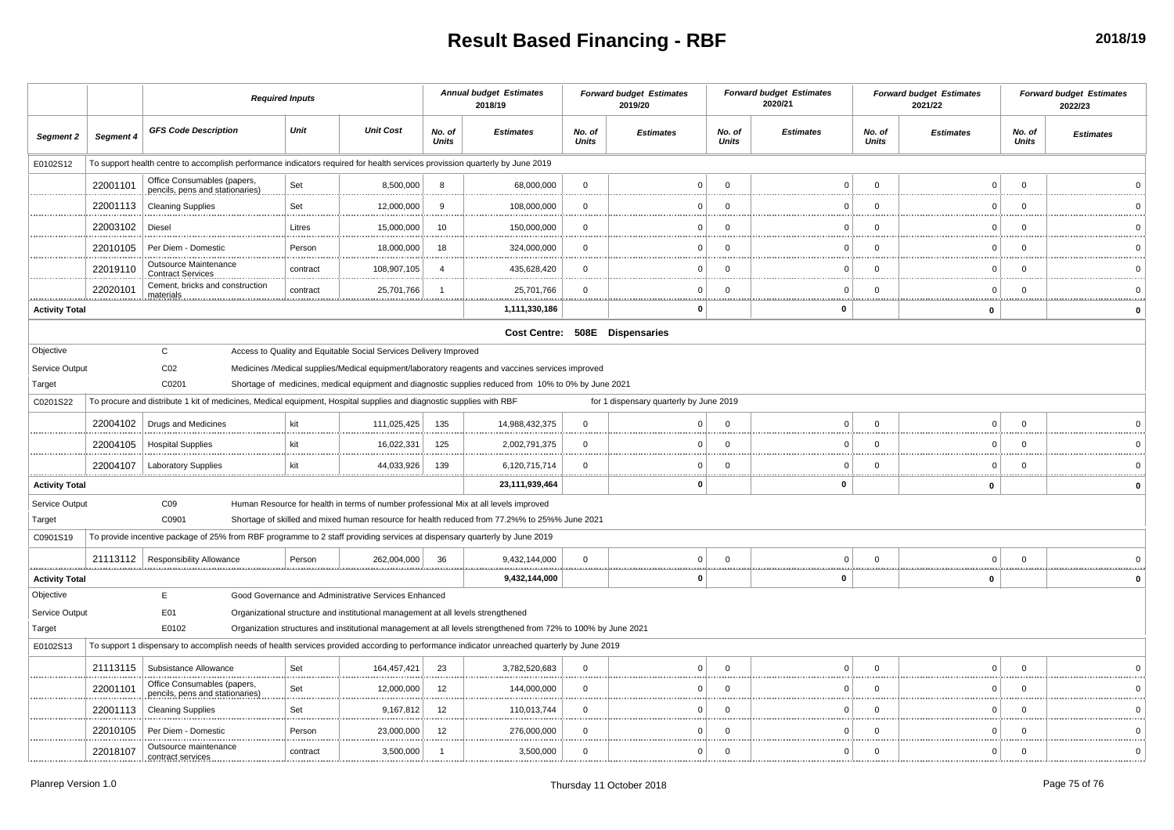## **Result Based Financing - RBF**

|                       |                                                                                                                                       | <b>Required Inputs</b>                                                                                                                      |          |                                                                                  | <b>Annual budget Estimates</b><br>2018/19 |                                                                                                               | <b>Forward budget Estimates</b><br>2019/20 |                                         | <b>Forward budget Estimates</b><br>2020/21 |                  | <b>Forward budget Estimates</b><br>2021/22 |                  | <b>Forward budget Estimates</b><br>2022/23 |                  |
|-----------------------|---------------------------------------------------------------------------------------------------------------------------------------|---------------------------------------------------------------------------------------------------------------------------------------------|----------|----------------------------------------------------------------------------------|-------------------------------------------|---------------------------------------------------------------------------------------------------------------|--------------------------------------------|-----------------------------------------|--------------------------------------------|------------------|--------------------------------------------|------------------|--------------------------------------------|------------------|
| Segment 2             | Segment 4                                                                                                                             | <b>GFS Code Description</b>                                                                                                                 | Unit     | <b>Unit Cost</b>                                                                 | No. of<br><b>Units</b>                    | <b>Estimates</b>                                                                                              | No. of<br><b>Units</b>                     | <b>Estimates</b>                        | No. of<br>Units                            | <b>Estimates</b> | No. of<br>Units                            | <b>Estimates</b> | No. of<br>Units                            | <b>Estimates</b> |
| E0102S12              |                                                                                                                                       | To support health centre to accomplish performance indicators required for health services provission quarterly by June 2019                |          |                                                                                  |                                           |                                                                                                               |                                            |                                         |                                            |                  |                                            |                  |                                            |                  |
|                       | 22001101                                                                                                                              | Office Consumables (papers<br>pencils, pens and stationaries)                                                                               | Set      | 8,500,000                                                                        | -8                                        | 68,000,000                                                                                                    | $\Omega$                                   | $\Omega$                                | $\mathbf{0}$                               | $\Omega$         | $\mathbf 0$                                | $\Omega$         | $\Omega$                                   |                  |
|                       | 22001113                                                                                                                              | <b>Cleaning Supplies</b>                                                                                                                    | Set      | 12,000,000                                                                       | 9                                         | 108,000,000                                                                                                   | $\Omega$                                   | $\Omega$<br>                            | $\Omega$                                   | $\Omega$         | $\Omega$                                   | $\Omega$         | $\Omega$                                   |                  |
|                       | 22003102                                                                                                                              | Diesel                                                                                                                                      | Litres   | 15,000,000                                                                       | 10                                        | 150,000,000                                                                                                   | $\Omega$                                   | $\Omega$                                | $\mathbf{0}$                               | $\Omega$         | $\Omega$                                   | $\Omega$         | $\Omega$                                   |                  |
|                       | 22010105                                                                                                                              | Per Diem - Domestic                                                                                                                         | Person   | 18,000,000                                                                       | 18                                        | 324,000,000                                                                                                   | $\Omega$                                   | $\Omega$<br>.                           | $\mathbf 0$                                | $\Omega$         | $\mathbf 0$                                | $\Omega$         | $\Omega$                                   |                  |
|                       | 22019110                                                                                                                              | Outsource Maintenance<br>Contract Services                                                                                                  | contract | 108,907,105                                                                      | $\overline{4}$                            | 435,628,420                                                                                                   | $\mathbf 0$                                | $\Omega$                                | $\mathbf 0$                                | $\mathbf 0$      | $\mathbf 0$                                | $\Omega$         | $\mathbf 0$                                |                  |
| <u></u>               | 22020101                                                                                                                              | Cement, bricks and construction<br>materials                                                                                                | contract | 25,701,766<br>.                                                                  | $\overline{1}$                            | 25,701,766<br>                                                                                                | $\Omega$<br>                               | $\Omega$                                | $\mathbf 0$                                | $\Omega$         | $\Omega$                                   | $\Omega$         | $\Omega$                                   |                  |
| <b>Activity Total</b> |                                                                                                                                       |                                                                                                                                             |          |                                                                                  |                                           | 1,111,330,186                                                                                                 |                                            | $\Omega$                                |                                            | $\bf{0}$         |                                            | $\mathbf 0$      |                                            |                  |
|                       |                                                                                                                                       |                                                                                                                                             |          |                                                                                  |                                           |                                                                                                               |                                            | Cost Centre: 508E Dispensaries          |                                            |                  |                                            |                  |                                            |                  |
| Objective             |                                                                                                                                       | $\mathbf{C}$                                                                                                                                |          | Access to Quality and Equitable Social Services Delivery Improved                |                                           |                                                                                                               |                                            |                                         |                                            |                  |                                            |                  |                                            |                  |
|                       | Service Output<br>CO <sub>2</sub><br>Medicines /Medical supplies/Medical equipment/laboratory reagents and vaccines services improved |                                                                                                                                             |          |                                                                                  |                                           |                                                                                                               |                                            |                                         |                                            |                  |                                            |                  |                                            |                  |
| Target                |                                                                                                                                       | C0201                                                                                                                                       |          |                                                                                  |                                           | Shortage of medicines, medical equipment and diagnostic supplies reduced from 10% to 0% by June 2021          |                                            |                                         |                                            |                  |                                            |                  |                                            |                  |
| C0201S22              |                                                                                                                                       | To procure and distribute 1 kit of medicines, Medical equipment, Hospital supplies and diagnostic supplies with RBF                         |          |                                                                                  |                                           |                                                                                                               |                                            | for 1 dispensary quarterly by June 2019 |                                            |                  |                                            |                  |                                            |                  |
|                       | 22004102                                                                                                                              | <b>Drugs and Medicines</b>                                                                                                                  | kit      | 111,025,425                                                                      | 135                                       | 14,988,432,375                                                                                                | $\Omega$                                   | $\Omega$<br>                            | $\Omega$                                   | $\Omega$         | $\Omega$                                   | $\Omega$         | $\Omega$                                   |                  |
|                       | 22004105                                                                                                                              | <b>Hospital Supplies</b>                                                                                                                    | kit      | 16,022,331                                                                       | 125                                       | 2,002,791,375                                                                                                 | $\mathbf 0$                                | $\mathbf 0$                             | $\mathbf 0$                                | $\mathbf 0$      | $\Omega$                                   | $\mathbf 0$      | $\Omega$                                   |                  |
|                       | 22004107                                                                                                                              | <b>Laboratory Supplies</b>                                                                                                                  | kit      | 44,033,926                                                                       | 139                                       | 6,120,715,714                                                                                                 | $\Omega$                                   | $\Omega$<br>.                           | $\mathbf 0$                                | $\Omega$<br>     | $\Omega$<br>                               | $\Omega$         | $\Omega$<br>.                              |                  |
| <b>Activity Total</b> |                                                                                                                                       |                                                                                                                                             |          |                                                                                  |                                           | 23,111,939,464                                                                                                |                                            | 0                                       |                                            | 0                |                                            | $\mathbf 0$      |                                            |                  |
| Service Output        |                                                                                                                                       | CO9                                                                                                                                         |          |                                                                                  |                                           | Human Resource for health in terms of number professional Mix at all levels improved                          |                                            |                                         |                                            |                  |                                            |                  |                                            |                  |
| Target                |                                                                                                                                       | C0901                                                                                                                                       |          |                                                                                  |                                           | Shortage of skilled and mixed human resource for health reduced from 77.2%% to 25%% June 2021                 |                                            |                                         |                                            |                  |                                            |                  |                                            |                  |
| C0901S19              |                                                                                                                                       | To provide incentive package of 25% from RBF programme to 2 staff providing services at dispensary quarterly by June 2019                   |          |                                                                                  |                                           |                                                                                                               |                                            |                                         |                                            |                  |                                            |                  |                                            |                  |
|                       |                                                                                                                                       | 21113112   Responsibility Allowance                                                                                                         | Person   | 262,004,000                                                                      | 36                                        | 9,432,144,000                                                                                                 | $\mathbf 0$                                | $\mathbf 0$<br><u></u>                  | $\mathbf 0$                                | $\mathbf 0$      | $\mathbf 0$                                | $\mathbf 0$      | $\Omega$                                   |                  |
| <b>Activity Total</b> |                                                                                                                                       |                                                                                                                                             |          |                                                                                  |                                           | 9,432,144,000                                                                                                 |                                            | $\Omega$                                |                                            | $\mathbf 0$      |                                            | $\mathbf 0$      |                                            |                  |
| Objective             |                                                                                                                                       | E                                                                                                                                           |          | Good Governance and Administrative Services Enhanced                             |                                           |                                                                                                               |                                            |                                         |                                            |                  |                                            |                  |                                            |                  |
| Service Output        |                                                                                                                                       | E01                                                                                                                                         |          | Organizational structure and institutional management at all levels strengthened |                                           |                                                                                                               |                                            |                                         |                                            |                  |                                            |                  |                                            |                  |
| Target                |                                                                                                                                       | E0102                                                                                                                                       |          |                                                                                  |                                           | Organization structures and institutional management at all levels strengthened from 72% to 100% by June 2021 |                                            |                                         |                                            |                  |                                            |                  |                                            |                  |
| E0102S13              |                                                                                                                                       | To support 1 dispensary to accomplish needs of health services provided according to performance indicator unreached quarterly by June 2019 |          |                                                                                  |                                           |                                                                                                               |                                            |                                         |                                            |                  |                                            |                  |                                            |                  |
|                       | 21113115                                                                                                                              | Subsistance Allowance                                                                                                                       | Set      | 164,457,421                                                                      | 23                                        | 3,782,520,683                                                                                                 | $\mathbf 0$                                | $\Omega$                                | $\mathbf 0$                                | $\mathbf 0$      | $\Omega$                                   | $\Omega$         | $\Omega$                                   |                  |
|                       | 22001101                                                                                                                              | Office Consumables (papers<br>pencils, pens and stationaries)                                                                               | Set      | 12,000,000                                                                       | 12                                        | 144,000,000                                                                                                   | $\Omega$                                   | $\Omega$                                | $\mathbf 0$                                | $\Omega$         | $\Omega$                                   | $\Omega$         | $\Omega$                                   |                  |
|                       | 22001113                                                                                                                              | <b>Cleaning Supplies</b>                                                                                                                    | Set      | 9,167,812                                                                        | 12                                        | 110,013,744                                                                                                   | $\Omega$                                   | $\Omega$<br>                            | $\mathbf 0$                                | $\Omega$         | $\Omega$                                   | $\Omega$         | $\Omega$                                   |                  |
|                       | 22010105                                                                                                                              | Per Diem - Domestio                                                                                                                         | Person   | 23,000,000                                                                       | 12                                        | 276,000,000                                                                                                   | $\mathbf 0$                                | $\Omega$                                | $\mathbf 0$                                | $\Omega$         | $\mathbf 0$                                | $\Omega$         | $\Omega$                                   |                  |
|                       | 22018107                                                                                                                              | Outsource maintenance<br>contract services                                                                                                  | contract | 3,500,000                                                                        | $\overline{1}$                            | 3,500,000                                                                                                     | $\mathbf 0$                                | $\Omega$                                | $\mathbf 0$                                | $\mathbf 0$      | $\mathbf 0$                                | $\Omega$         | $\Omega$                                   | $\Omega$         |